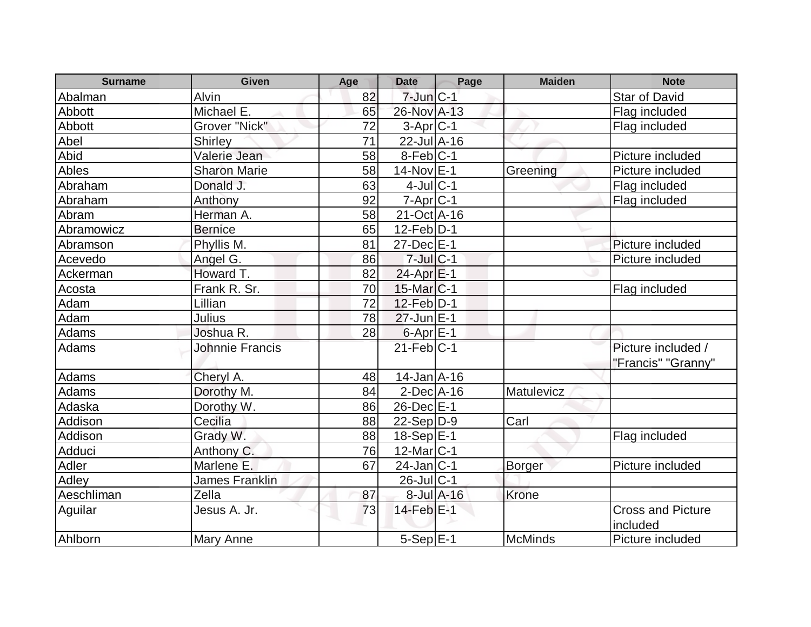| <b>Surname</b> | <b>Given</b>           | Age | <b>Date</b>       | Page             | <b>Maiden</b>  | <b>Note</b>              |
|----------------|------------------------|-----|-------------------|------------------|----------------|--------------------------|
| Abalman        | Alvin                  | 82  | $7$ -Jun $C-1$    |                  |                | <b>Star of David</b>     |
| Abbott         | Michael E.             | 65  | 26-Nov A-13       |                  |                | Flag included            |
| Abbott         | Grover "Nick"          | 72  | $3-Apr C-1$       |                  |                | Flag included            |
| Abel           | Shirley                | 71  | $22$ -Jul $A-16$  |                  |                |                          |
| Abid           | Valerie Jean           | 58  | $8$ -Feb $C-1$    |                  |                | Picture included         |
| Ables          | <b>Sharon Marie</b>    | 58  | 14-Nov E-1        |                  | Greening       | Picture included         |
| Abraham        | Donald J.              | 63  | $4$ -JulC-1       |                  |                | Flag included            |
| Abraham        | Anthony                | 92  | $7 - Apr$ $C - 1$ |                  |                | Flag included            |
| Abram          | Herman A.              | 58  | 21-Oct A-16       |                  |                |                          |
| Abramowicz     | <b>Bernice</b>         | 65  | $12$ -Feb $ D-1 $ |                  |                |                          |
| Abramson       | Phyllis M.             | 81  | 27-Dec E-1        |                  |                | Picture included         |
| Acevedo        | Angel G.               | 86  | $7$ -Jul $C-1$    |                  |                | Picture included         |
| Ackerman       | Howard T.              | 82  | 24-Apr E-1        |                  |                |                          |
| Acosta         | Frank R. Sr.           | 70  | $15$ -Mar $ C-1$  |                  |                | Flag included            |
| Adam           | Lillian                | 72  | $12$ -Feb $D-1$   |                  |                |                          |
| Adam           | <b>Julius</b>          | 78  | $27$ -Jun $E-1$   |                  |                |                          |
| Adams          | Joshua R.              | 28  | $6$ -Apr $E-1$    |                  |                |                          |
| Adams          | <b>Johnnie Francis</b> |     | $21$ -Feb $ C-1 $ |                  |                | Picture included /       |
|                |                        |     |                   |                  |                | "Francis" "Granny"       |
| Adams          | Cheryl A.              | 48  | $14$ -Jan $A$ -16 |                  |                |                          |
| Adams          | Dorothy M.             | 84  | $2$ -Dec $A$ -16  |                  | Matulevicz     |                          |
| Adaska         | Dorothy W.             | 86  | $26$ -Dec $E-1$   |                  |                |                          |
| Addison        | Cecilia                | 88  | $22-Sep D-9$      |                  | Carl           |                          |
| Addison        | Grady W.               | 88  | 18-Sep E-1        |                  |                | Flag included            |
| Adduci         | Anthony C.             | 76  | $12$ -Mar $ C-1 $ |                  |                |                          |
| Adler          | Marlene E.             | 67  | $24$ -Jan $ C-1$  |                  | <b>Borger</b>  | Picture included         |
| Adley          | <b>James Franklin</b>  |     | $26$ -Jul $ C-1$  |                  |                |                          |
| Aeschliman     | Zella                  | 87  |                   | $8$ -Jul $A$ -16 | Krone          |                          |
| Aguilar        | Jesus A. Jr.           | 73  | $14$ -Feb $E-1$   |                  |                | <b>Cross and Picture</b> |
|                |                        |     |                   |                  |                | included                 |
| Ahlborn        | <b>Mary Anne</b>       |     | $5-Sep$ $E-1$     |                  | <b>McMinds</b> | Picture included         |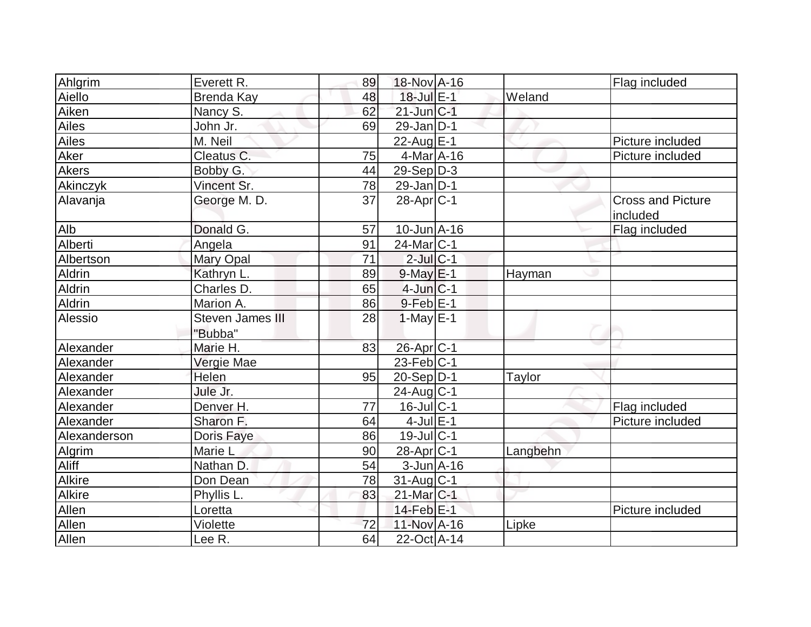| Ahlgrim         | Everett R.              | 89 | 18-Nov A-16           |          | Flag included                        |
|-----------------|-------------------------|----|-----------------------|----------|--------------------------------------|
| Aiello          | <b>Brenda Kay</b>       | 48 | 18-Jul E-1            | Weland   |                                      |
| Aiken           | Nancy S.                | 62 | $21$ -Jun $ C-1 $     |          |                                      |
| Ailes           | John Jr.                | 69 | $29$ -Jan D-1         |          |                                      |
| Ailes           | M. Neil                 |    | 22-Aug $E-1$          |          | Picture included                     |
| Aker            | Cleatus C.              | 75 | $4$ -Mar $A$ -16      |          | Picture included                     |
| <b>Akers</b>    | Bobby G.                | 44 | $29-Sep D-3$          |          |                                      |
| <b>Akinczyk</b> | Vincent Sr.             | 78 | $29$ -Jan D-1         |          |                                      |
| Alavanja        | George M. D.            | 37 | $28$ -Apr $ C-1 $     |          | <b>Cross and Picture</b><br>included |
| Alb             | Donald G.               | 57 | $10$ -Jun $A$ -16     |          | Flag included                        |
| Alberti         | Angela                  | 91 | 24-Mar C-1            |          |                                      |
| Albertson       | Mary Opal               | 71 | $2$ -Jul $ C-1$       |          |                                      |
| Aldrin          | Kathryn L.              | 89 | $9$ -May $E-1$        | Hayman   |                                      |
| Aldrin          | Charles D.              | 65 | $4$ -Jun $ C-1$       |          |                                      |
| Aldrin          | Marion A.               | 86 | $9$ -Feb $E-1$        |          |                                      |
| Alessio         | <b>Steven James III</b> | 28 | $1-May$ $E-1$         |          |                                      |
|                 | "Bubba"                 |    |                       |          |                                      |
| Alexander       | Marie H.                | 83 | 26-Apr <sub>C-1</sub> |          |                                      |
| Alexander       | Vergie Mae              |    | $23$ -Feb $ C-1 $     |          |                                      |
| Alexander       | Helen                   | 95 | 20-Sep D-1            | Taylor   |                                      |
| Alexander       | Jule Jr.                |    | $24$ -Aug $C-1$       |          |                                      |
| Alexander       | Denver H.               | 77 | $16$ -Jul C-1         |          | Flag included                        |
| Alexander       | Sharon F.               | 64 | $4$ -Jul $E-1$        |          | Picture included                     |
| Alexanderson    | Doris Faye              | 86 | 19-Jul C-1            |          |                                      |
| Algrim          | Marie L                 | 90 | $28$ -Apr $ C-1$      | Langbehn |                                      |
| Aliff           | Nathan D.               | 54 | $3$ -Jun $A$ -16      |          |                                      |
| <b>Alkire</b>   | Don Dean                | 78 | 31-Aug C-1            |          |                                      |
| Alkire          | Phyllis L.              | 83 | $21$ -Mar $C-1$       |          |                                      |
| Allen           | Loretta                 |    | 14-Feb <sup>E-1</sup> |          | Picture included                     |
| Allen           | Violette                | 72 | 11-Nov A-16           | Lipke    |                                      |
| Allen           | Lee R.                  | 64 | 22-Oct A-14           |          |                                      |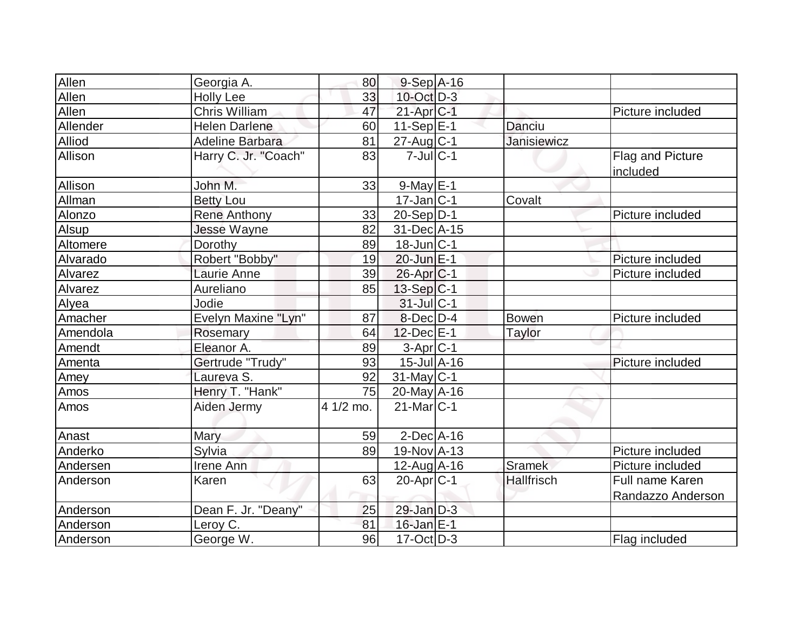| Allen    | Georgia A.             | 80        | $9-Sep$ A-16                 |                    |                                      |
|----------|------------------------|-----------|------------------------------|--------------------|--------------------------------------|
| Allen    | <b>Holly Lee</b>       | 33        | $10$ -Oct $D-3$              |                    |                                      |
| Allen    | <b>Chris William</b>   | 47        | $21-Apr$ $C-1$               |                    | Picture included                     |
| Allender | <b>Helen Darlene</b>   | 60        | $11-Sep$ $E-1$               | Danciu             |                                      |
| Alliod   | <b>Adeline Barbara</b> | 81        | $27$ -Aug C-1                | <b>Janisiewicz</b> |                                      |
| Allison  | Harry C. Jr. "Coach"   | 83        | $7$ -Jul $ C-1 $             |                    | Flag and Picture<br>included         |
| Allison  | John M.                | 33        | $9$ -May $E-1$               |                    |                                      |
| Allman   | <b>Betty Lou</b>       |           | $17$ -Jan $ C-1$             | Covalt             |                                      |
| Alonzo   | <b>Rene Anthony</b>    | 33        | $20-Sep D-1$                 |                    | Picture included                     |
| Alsup    | <b>Jesse Wayne</b>     | 82        | 31-Dec A-15                  |                    |                                      |
| Altomere | Dorothy                | 89        | $18$ -Jun $ C-1$             |                    |                                      |
| Alvarado | Robert "Bobby"         | 19        | 20-Jun E-1                   |                    | Picture included                     |
| Alvarez  | Laurie Anne            | 39        | 26-Apr C-1                   |                    | Picture included                     |
| Alvarez  | Aureliano              | 85        | 13-Sep C-1                   |                    |                                      |
| Alyea    | Jodie                  |           | 31-Jul C-1                   |                    |                                      |
| Amacher  | Evelyn Maxine "Lyn"    | 87        | 8-Dec D-4                    | <b>Bowen</b>       | Picture included                     |
| Amendola | Rosemary               | 64        | $12$ -Dec $E-1$              | <b>Taylor</b>      |                                      |
| Amendt   | Eleanor A.             | 89        | $3-Apr C-1$                  |                    |                                      |
| Amenta   | Gertrude "Trudy"       | 93        | $15$ -Jul $\overline{A}$ -16 |                    | Picture included                     |
| Amey     | Laureva S.             | 92        | $31$ -May C-1                |                    |                                      |
| Amos     | Henry T. "Hank"        | 75        | $20$ -May A-16               |                    |                                      |
| Amos     | Aiden Jermy            | 4 1/2 mo. | $21$ -Mar $C-1$              |                    |                                      |
| Anast    | Mary                   | 59        | $2$ -Dec $A$ -16             |                    |                                      |
| Anderko  | Sylvia                 | 89        | 19-Nov A-13                  |                    | Picture included                     |
| Andersen | Irene Ann              |           | $12$ -Aug A-16               | <b>Sramek</b>      | Picture included                     |
| Anderson | Karen                  | 63        | $20$ -Apr $ C-1 $            | <b>Hallfrisch</b>  | Full name Karen<br>Randazzo Anderson |
| Anderson | Dean F. Jr. "Deany"    | 25        | $29$ -Jan $D-3$              |                    |                                      |
| Anderson | Leroy C.               | 81        | 16-Jan E-1                   |                    |                                      |
| Anderson | George W.              | 96        | $17-Oct$ D-3                 |                    | Flag included                        |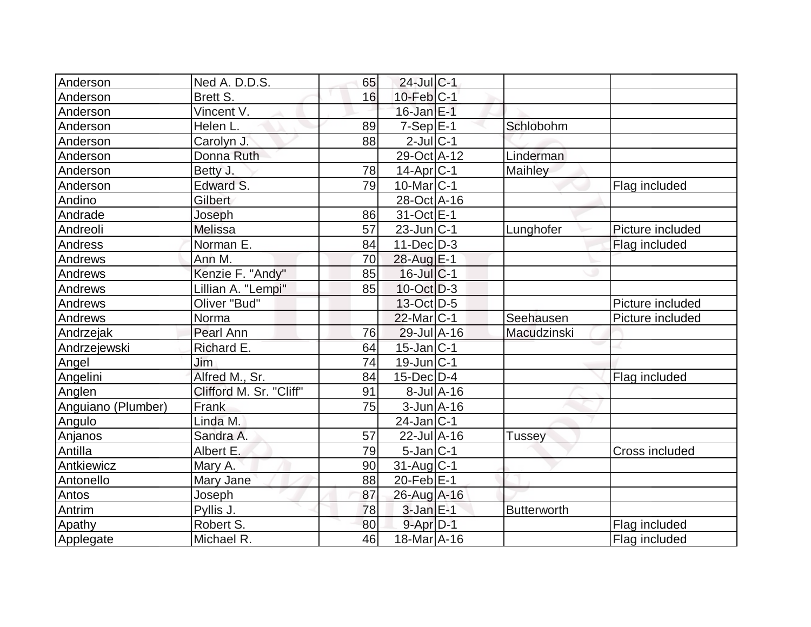| Anderson           | Ned A. D.D.S.           | 65 | $24$ -Jul C-1                |                  |                    |                  |
|--------------------|-------------------------|----|------------------------------|------------------|--------------------|------------------|
| Anderson           | Brett S.                | 16 | $10$ -Feb $ C-1$             |                  |                    |                  |
| Anderson           | Vincent V.              |    | $16$ -Jan $E-1$              |                  |                    |                  |
| Anderson           | Helen L.                | 89 | $7-Sep$ $E-1$                |                  | Schlobohm          |                  |
| Anderson           | Carolyn J.              | 88 | $2$ -Jul $ C-1 $             |                  |                    |                  |
| Anderson           | Donna Ruth              |    | 29-Oct A-12                  |                  | Linderman          |                  |
| Anderson           | Betty J.                | 78 | $14$ -Apr $ C-1$             |                  | Maihley            |                  |
| Anderson           | Edward S.               | 79 | $10$ -Mar $ C-1 $            |                  |                    | Flag included    |
| Andino             | Gilbert                 |    | 28-Oct A-16                  |                  |                    |                  |
| Andrade            | Joseph                  | 86 | 31-Oct E-1                   |                  |                    |                  |
| Andreoli           | <b>Melissa</b>          | 57 | $23$ -Jun $ C-1 $            |                  | Lunghofer          | Picture included |
| Andress            | Norman E.               | 84 | $11 - Dec$ $D-3$             |                  |                    | Flag included    |
| Andrews            | Ann M.                  | 70 | 28-Aug E-1                   |                  |                    |                  |
| Andrews            | Kenzie F. "Andy"        | 85 | $16$ -Jul $C$ -1             |                  |                    |                  |
| Andrews            | Lillian A. "Lempi"      | 85 | $10$ -Oct $ D-3 $            |                  |                    |                  |
| Andrews            | Oliver "Bud"            |    | 13-Oct D-5                   |                  |                    | Picture included |
| Andrews            | Norma                   |    | $22$ -Mar $ C-1 $            |                  | Seehausen          | Picture included |
| Andrzejak          | Pearl Ann               | 76 | $29$ -Jul $\overline{A}$ -16 |                  | Macudzinski        |                  |
| Andrzejewski       | Richard E.              | 64 | $15$ -Jan $ C-1 $            |                  |                    |                  |
| Angel              | Jim                     | 74 | $19$ -Jun $ C-1$             |                  |                    |                  |
| Angelini           | Alfred M., Sr.          | 84 | $15$ -Dec $ D-4$             |                  |                    | Flag included    |
| Anglen             | Clifford M. Sr. "Cliff" | 91 |                              | $8$ -Jul $A$ -16 |                    |                  |
| Anguiano (Plumber) | Frank                   | 75 | $3$ -Jun $A$ -16             |                  |                    |                  |
| Angulo             | Linda M.                |    | $24$ -Jan C-1                |                  |                    |                  |
| Anjanos            | Sandra A.               | 57 | $22$ -Jul $\overline{A}$ -16 |                  | <b>Tussey</b>      |                  |
| Antilla            | Albert E.               | 79 | $5$ -Jan $ C-1 $             |                  |                    | Cross included   |
| Antkiewicz         | Mary A.                 | 90 | $31$ -Aug C-1                |                  |                    |                  |
| Antonello          | Mary Jane               | 88 | $20$ -Feb $E-1$              |                  |                    |                  |
| Antos              | <b>Joseph</b>           | 87 | 26-Aug A-16                  |                  |                    |                  |
| Antrim             | Pyllis J.               | 78 | $3$ -Jan $E-1$               |                  | <b>Butterworth</b> |                  |
| Apathy             | Robert S.               | 80 | $9 - Apr$ $D-1$              |                  |                    | Flag included    |
| Applegate          | Michael R.              | 46 | 18-Mar A-16                  |                  |                    | Flag included    |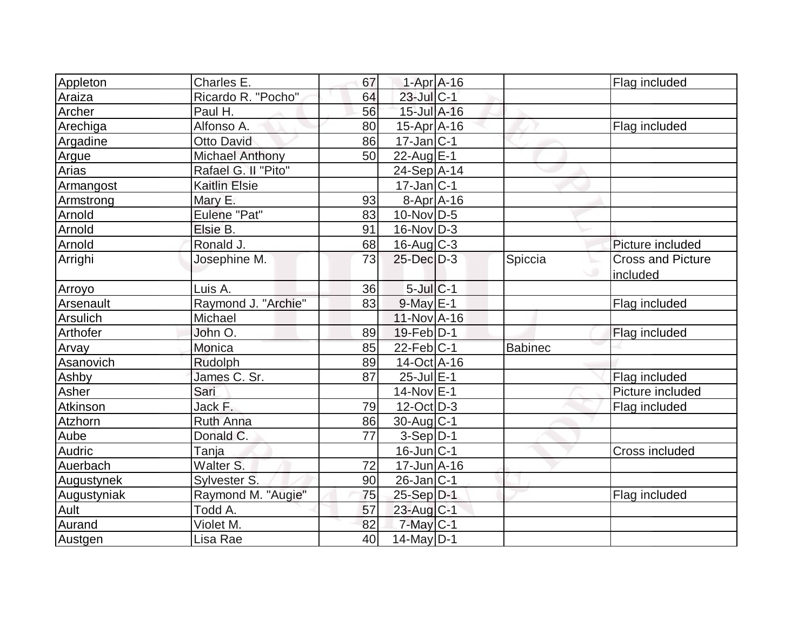| Appleton    | Charles E.             | 67 | $1-Apr$ A-16      |                | Flag included            |
|-------------|------------------------|----|-------------------|----------------|--------------------------|
| Araiza      | Ricardo R. "Pocho"     | 64 | $23$ -Jul $C-1$   |                |                          |
| Archer      | Paul H.                | 56 | 15-Jul A-16       |                |                          |
| Arechiga    | Alfonso A.             | 80 | $15$ -Apr $A$ -16 |                | Flag included            |
| Argadine    | <b>Otto David</b>      | 86 | $17$ -Jan $ C-1 $ |                |                          |
| Argue       | <b>Michael Anthony</b> | 50 | 22-Aug E-1        |                |                          |
| Arias       | Rafael G. II "Pito"    |    | 24-Sep A-14       |                |                          |
| Armangost   | <b>Kaitlin Elsie</b>   |    | $17$ -Jan $ C-1 $ |                |                          |
| Armstrong   | Mary E.                | 93 | $8-Apr$ A-16      |                |                          |
| Arnold      | Eulene "Pat"           | 83 | $10$ -Nov $ D-5 $ |                |                          |
| Arnold      | Elsie B.               | 91 | $16$ -Nov $ D-3 $ |                |                          |
| Arnold      | Ronald J.              | 68 | $16$ -Aug C-3     |                | Picture included         |
| Arrighi     | Josephine M.           | 73 | 25-Dec D-3        | Spiccia        | <b>Cross and Picture</b> |
|             |                        |    |                   |                | included                 |
| Arroyo      | Luis A.                | 36 | $5$ -Jul $C-1$    |                |                          |
| Arsenault   | Raymond J. "Archie"    | 83 | $9$ -May $E-1$    |                | Flag included            |
| Arsulich    | Michael                |    | $11-Nov1 - 16$    |                |                          |
| Arthofer    | John O.                | 89 | $19$ -Feb $ D-1 $ |                | Flag included            |
| Arvay       | Monica                 | 85 | $22$ -Feb $ C-1 $ | <b>Babinec</b> |                          |
| Asanovich   | Rudolph                | 89 | 14-Oct A-16       |                |                          |
| Ashby       | James C. Sr.           | 87 | 25-Jul E-1        |                | Flag included            |
| Asher       | Sari                   |    | $14$ -Nov $E-1$   |                | Picture included         |
| Atkinson    | Jack F.                | 79 | $12-Oct$ D-3      |                | Flag included            |
| Atzhorn     | <b>Ruth Anna</b>       | 86 | $30$ -Aug $C-1$   |                |                          |
| Aube        | Donald C.              | 77 | $3-Sep D-1$       |                |                          |
| Audric      | Tanja                  |    | $16$ -Jun $ C-1 $ |                | Cross included           |
| Auerbach    | Walter S.              | 72 | $17$ -Jun $A-16$  |                |                          |
| Augustynek  | Sylvester S.           | 90 | $26$ -Jan $ C-1$  |                |                          |
| Augustyniak | Raymond M. "Augie"     | 75 | $25-Sep D-1$      |                | Flag included            |
| Ault        | Todd A.                | 57 | 23-Aug C-1        |                |                          |
| Aurand      | Violet M.              | 82 | $7$ -May $C-1$    |                |                          |
| Austgen     | Lisa Rae               | 40 | 14-May D-1        |                |                          |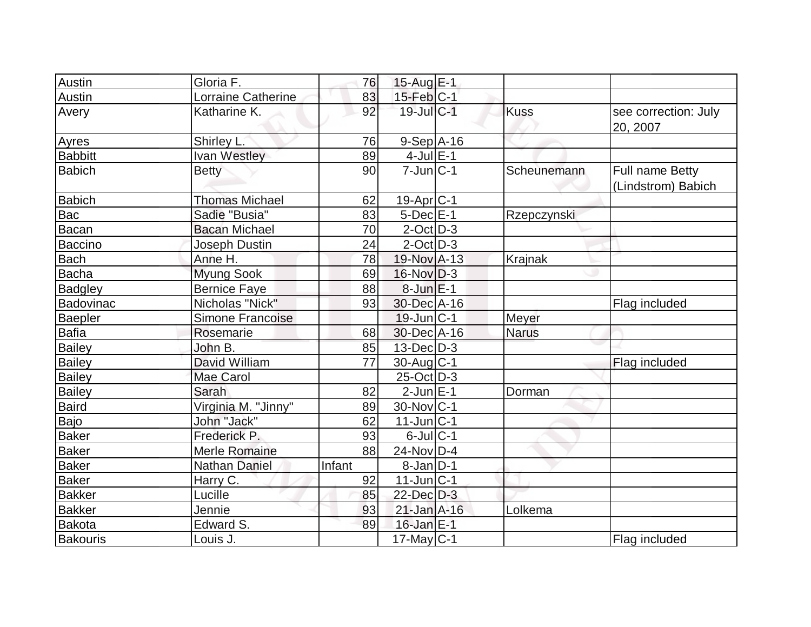| Austin           | Gloria F.             | 76     | 15-Aug E-1        |              |                                       |
|------------------|-----------------------|--------|-------------------|--------------|---------------------------------------|
| Austin           | Lorraine Catherine    | 83     | $15$ -Feb $ C-1 $ |              |                                       |
| Avery            | Katharine K.          | 92     | 19-Jul C-1        | <b>Kuss</b>  | see correction: July<br>20, 2007      |
| Ayres            | Shirley L.            | 76     | $9-Sep$ A-16      |              |                                       |
| <b>Babbitt</b>   | Ivan Westley          | 89     | $4$ -Jul $E-1$    |              |                                       |
| <b>Babich</b>    | <b>Betty</b>          | 90     | $7$ -Jun $ C-1 $  | Scheunemann  | Full name Betty<br>(Lindstrom) Babich |
| <b>Babich</b>    | <b>Thomas Michael</b> | 62     | $19-Apr$ $C-1$    |              |                                       |
| Bac              | Sadie "Busia"         | 83     | $5$ -Dec $E-1$    | Rzepczynski  |                                       |
| Bacan            | <b>Bacan Michael</b>  | 70     | $2$ -Oct $D-3$    |              |                                       |
| <b>Baccino</b>   | Joseph Dustin         | 24     | $2$ -Oct $D-3$    |              |                                       |
| <b>Bach</b>      | Anne H.               | 78     | 19-Nov A-13       | Krajnak      |                                       |
| Bacha            | <b>Myung Sook</b>     | 69     | $16$ -Nov $D-3$   |              |                                       |
| <b>Badgley</b>   | <b>Bernice Faye</b>   | 88     | $8$ -Jun $E-1$    |              |                                       |
| <b>Badovinac</b> | Nicholas "Nick"       | 93     | 30-Dec A-16       |              | Flag included                         |
| <b>Baepler</b>   | Simone Francoise      |        | $19$ -Jun $ C-1 $ | Meyer        |                                       |
| <b>Bafia</b>     | Rosemarie             | 68     | 30-Dec A-16       | <b>Narus</b> |                                       |
| <b>Bailey</b>    | John B.               | 85     | $13$ -Dec $D-3$   |              |                                       |
| <b>Bailey</b>    | David William         | 77     | 30-Aug C-1        |              | Flag included                         |
| Bailey           | <b>Mae Carol</b>      |        | $25$ -Oct $D-3$   |              |                                       |
| <b>Bailey</b>    | Sarah                 | 82     | $2$ -Jun $E-1$    | Dorman       |                                       |
| <b>Baird</b>     | Virginia M. "Jinny"   | 89     | $30$ -Nov $ C-1$  |              |                                       |
| Bajo             | John "Jack"           | 62     | $11$ -Jun $ C-1$  |              |                                       |
| <b>Baker</b>     | Frederick P.          | 93     | $6$ -Jul $C-1$    |              |                                       |
| <b>Baker</b>     | Merle Romaine         | 88     | $24$ -Nov $ D-4$  |              |                                       |
| <b>Baker</b>     | <b>Nathan Daniel</b>  | Infant | $8-Jan$ $D-1$     |              |                                       |
| <b>Baker</b>     | Harry C.              | 92     | $11$ -Jun $ C-1 $ |              |                                       |
| <b>Bakker</b>    | Lucille               | 85     | $22$ -Dec $D-3$   |              |                                       |
| <b>Bakker</b>    | Jennie                | 93     | $21$ -Jan $A-16$  | Lolkema      |                                       |
| <b>Bakota</b>    | Edward S.             | 89     | 16-Jan E-1        |              |                                       |
| Bakouris         | Louis J.              |        | 17-May C-1        |              | Flag included                         |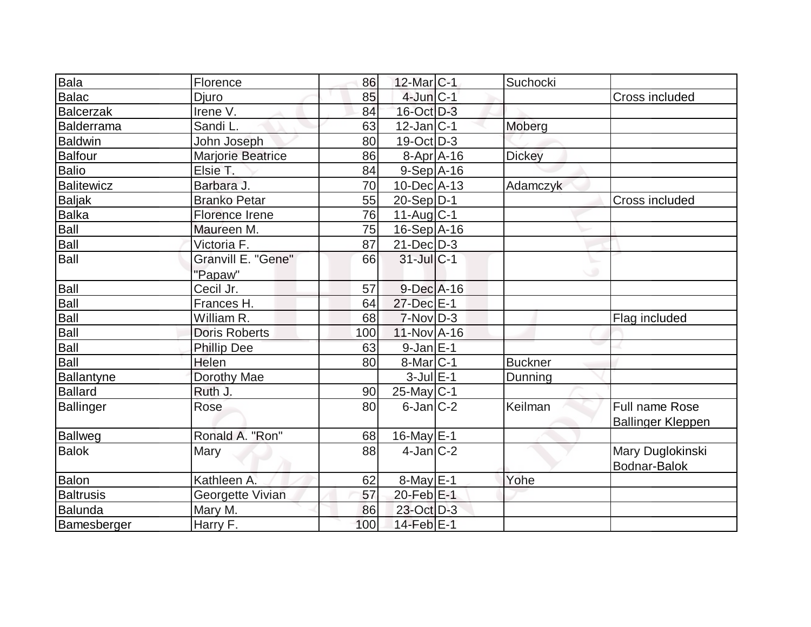| <b>Bala</b>                                  | Florence                 | 86  | $12$ -Mar $ C-1 $       | Suchocki       |                          |
|----------------------------------------------|--------------------------|-----|-------------------------|----------------|--------------------------|
| <b>Balac</b>                                 | <b>Djuro</b>             | 85  | $4$ -Jun $C-1$          |                | Cross included           |
| Balcerzak                                    | Irene V.                 | 84  | 16-Oct D-3              |                |                          |
| <b>Balderrama</b>                            | Sandi L.                 | 63  | $12$ -Jan $ C-1 $       | Moberg         |                          |
| Baldwin                                      | John Joseph              | 80  | $19-Oct$ D-3            |                |                          |
| Balfour                                      | <b>Marjorie Beatrice</b> | 86  | $8-Apr$ $A-16$          | <b>Dickey</b>  |                          |
| <b>Balio</b>                                 | Elsie T.                 | 84  | $9-Sep$ A-16            |                |                          |
| Balitewicz                                   | Barbara J.               | 70  | $10$ -Dec $ A-13$       | Adamczyk       |                          |
| <b>Baljak</b>                                | <b>Branko Petar</b>      | 55  | $20-Sep D-1$            |                | Cross included           |
| Balka<br>Balka                               | Florence Irene           | 76  | $11-Aug$ <sub>C-1</sub> |                |                          |
|                                              | Maureen M.               | 75  | $16-Sep$ A-16           |                |                          |
| Ball                                         | Victoria F.              | 87  | $21$ -Dec $D-3$         |                |                          |
| Ball                                         | Granvill E. "Gene"       | 66  | $31$ -Jul $C-1$         |                |                          |
|                                              | "Papaw"                  |     |                         |                |                          |
| Ball                                         | Cecil Jr.                | 57  | $9$ -Dec $A$ -16        |                |                          |
| $\frac{\overline{\text{Ball}}}{\text{Ball}}$ | Frances H.               | 64  | 27-Dec E-1              |                |                          |
|                                              | William R.               | 68  | $7-Nov D-3$             |                | Flag included            |
| Ball<br>Ball<br>Ball                         | <b>Doris Roberts</b>     | 100 | $11$ -Nov $A$ -16       |                |                          |
|                                              | <b>Phillip Dee</b>       | 63  | $9-Jan$ $E-1$           |                |                          |
| Ball                                         | Helen                    | 80  | $8$ -Mar $C-1$          | <b>Buckner</b> |                          |
| Ballantyne                                   | Dorothy Mae              |     | $3$ -Jul $E-1$          | Dunning        |                          |
| <b>Ballard</b>                               | Ruth J.                  | 90  | 25-May C-1              |                |                          |
| Ballinger                                    | Rose                     | 80  | $6$ -Jan $ C-2 $        | Keilman        | <b>Full name Rose</b>    |
|                                              |                          |     |                         |                | <b>Ballinger Kleppen</b> |
| Ballweg                                      | Ronald A. "Ron"          | 68  | $16$ -May $E-1$         |                |                          |
| Balok                                        | Mary                     | 88  | $4$ -Jan $ C-2 $        |                | Mary Duglokinski         |
|                                              |                          |     |                         |                | Bodnar-Balok             |
| Balon                                        | Kathleen A.              | 62  | $8$ -May $E-1$          | Yohe           |                          |
| <b>Baltrusis</b>                             | Georgette Vivian         | 57  | 20-Feb E-1              |                |                          |
| Balunda                                      | Mary M.                  | 86  | 23-Oct D-3              |                |                          |
| Bamesberger                                  | Harry F.                 | 100 | $14$ -Feb $E-1$         |                |                          |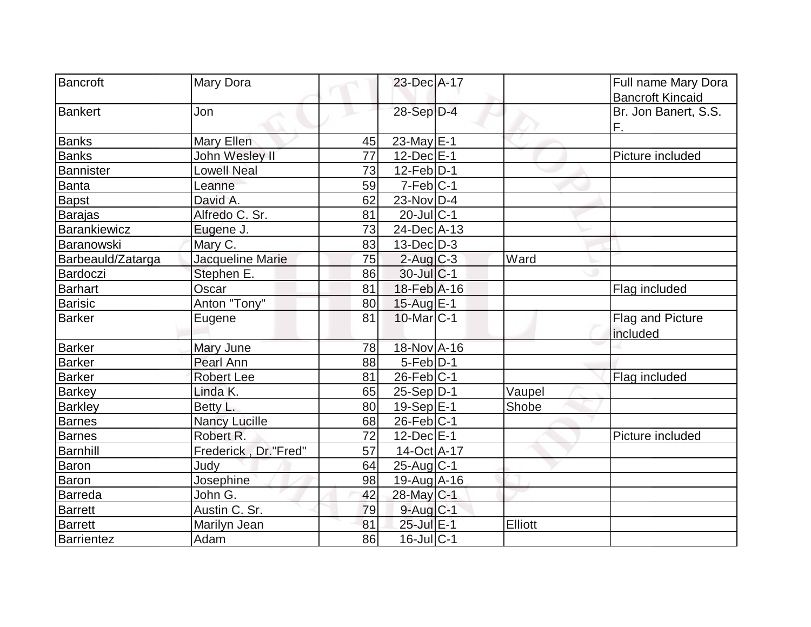| Bancroft          | Mary Dora            |    | 23-Dec A-17       |         | Full name Mary Dora     |
|-------------------|----------------------|----|-------------------|---------|-------------------------|
|                   |                      |    |                   |         | <b>Bancroft Kincaid</b> |
| <b>Bankert</b>    | Jon                  |    | 28-Sep D-4        |         | Br. Jon Banert, S.S.    |
|                   |                      |    |                   |         | F.                      |
| <b>Banks</b>      | Mary Ellen           | 45 | $23$ -May $E$ -1  |         |                         |
| <b>Banks</b>      | John Wesley II       | 77 | $12$ -Dec $E-1$   |         | Picture included        |
| <b>Bannister</b>  | <b>Lowell Neal</b>   | 73 | $12$ -Feb $ D-1$  |         |                         |
| Banta             | Leanne               | 59 | $7-Feb C-1$       |         |                         |
| Bapst             | David A.             | 62 | 23-Nov D-4        |         |                         |
| <b>Barajas</b>    | Alfredo C. Sr.       | 81 | $20$ -Jul $C-1$   |         |                         |
| Barankiewicz      | Eugene J.            | 73 | 24-Dec A-13       |         |                         |
| Baranowski        | Mary C.              | 83 | $13$ -Dec $D-3$   |         |                         |
| Barbeauld/Zatarga | Jacqueline Marie     | 75 | $2$ -Aug $C-3$    | Ward    |                         |
| Bardoczi          | Stephen E.           | 86 | $30$ -Jul $C-1$   |         |                         |
| <b>Barhart</b>    | Oscar                | 81 | 18-Feb A-16       |         | Flag included           |
| <b>Barisic</b>    | Anton "Tony"         | 80 | 15-Aug E-1        |         |                         |
| <b>Barker</b>     | Eugene               | 81 | $10$ -Mar $ C-1 $ |         | <b>Flag and Picture</b> |
|                   |                      |    |                   |         | included                |
| <b>Barker</b>     | Mary June            | 78 | 18-Nov A-16       |         |                         |
| Barker            | Pearl Ann            | 88 | $5-Feb D-1$       |         |                         |
| <b>Barker</b>     | <b>Robert Lee</b>    | 81 | $26$ -Feb $ C-1$  |         | Flag included           |
| <b>Barkey</b>     | Linda K.             | 65 | $25-Sep D-1$      | Vaupel  |                         |
| <b>Barkley</b>    | Betty L.             | 80 | $19-Sep \, E-1$   | Shobe   |                         |
| <b>Barnes</b>     | <b>Nancy Lucille</b> | 68 | $26$ -Feb $ C-1$  |         |                         |
| <b>Barnes</b>     | Robert R.            | 72 | $12$ -Dec $E-1$   |         | Picture included        |
| <b>Barnhill</b>   | Frederick, Dr."Fred" | 57 | 14-Oct A-17       |         |                         |
| <b>Baron</b>      | Judv                 | 64 | $25$ -Aug C-1     |         |                         |
| Baron             | Josephine            | 98 | 19-Aug A-16       |         |                         |
| <b>Barreda</b>    | John G.              | 42 | 28-May C-1        |         |                         |
| Barrett           | Austin C. Sr.        | 79 | $9$ -Aug $C-1$    |         |                         |
| Barrett           | Marilyn Jean         | 81 | 25-Jul E-1        | Elliott |                         |
| Barrientez        | Adam                 | 86 | $16$ -Jul $C-1$   |         |                         |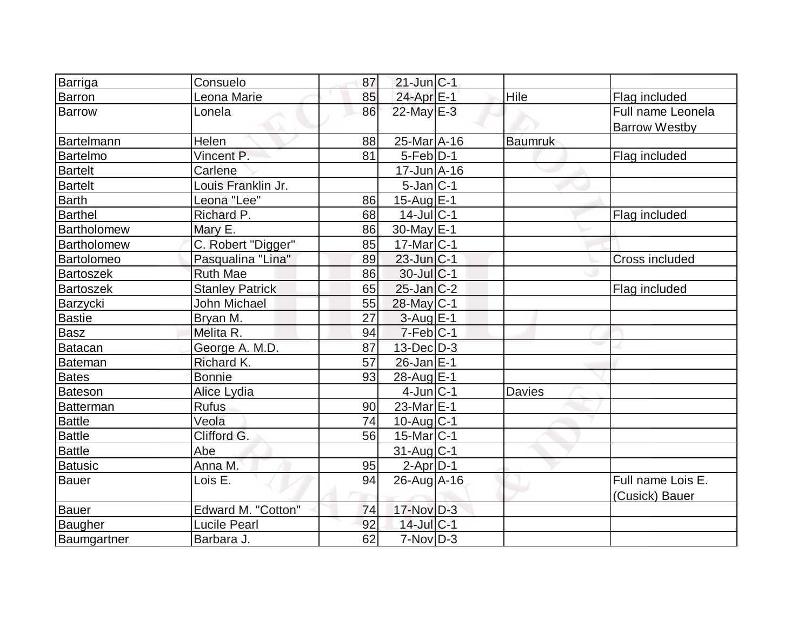| Barriga<br>$21$ -Jun $ C-1 $<br>Consuelo<br>87                        |                                           |
|-----------------------------------------------------------------------|-------------------------------------------|
| <b>Barron</b><br>24-Apr <sub>E-1</sub><br>Hile<br>85<br>Leona Marie   | Flag included                             |
| 22-May E-3<br>86<br><b>Barrow</b><br>Lonela                           | Full name Leonela<br><b>Barrow Westby</b> |
| <b>Bartelmann</b><br>25-Mar A-16<br>Helen<br>88<br><b>Baumruk</b>     |                                           |
| $5$ -Feb $ D-1 $<br>Vincent P.<br>81<br>Bartelmo                      | Flag included                             |
| Carlene<br><b>Bartelt</b><br>$17$ -Jun $\overline{A}$ -16             |                                           |
| <b>Bartelt</b><br>Louis Franklin Jr.<br>$5$ -Jan $ C-1 $              |                                           |
| 15-Aug E-1<br><b>Barth</b><br>Leona "Lee"<br>86                       |                                           |
| <b>Barthel</b><br>Richard P.<br>68<br>$14$ -Jul $ C-1$                | Flag included                             |
| 30-May E-1<br>Bartholomew<br>Mary E.<br>86                            |                                           |
| C. Robert "Digger"<br>85<br>$17$ -Mar $ C-1$<br>Bartholomew           |                                           |
| Pasqualina "Lina"<br>89<br>$23$ -Jun $ C-1$<br>Bartolomeo             | <b>Cross included</b>                     |
| <b>Bartoszek</b><br>$30$ -Jul $C-1$<br><b>Ruth Mae</b><br>86          |                                           |
| $25$ -Jan $ C-2 $<br><b>Stanley Patrick</b><br>65<br><b>Bartoszek</b> | Flag included                             |
| John Michael<br>55<br>28-May C-1<br>Barzycki                          |                                           |
| Bastie<br>$3$ -Aug $E-1$<br>27<br>Bryan M.                            |                                           |
| Basz<br>$7-Feb C-1$<br>Melita R.<br>94                                |                                           |
| 87<br>$13$ -Dec $D-3$<br>Batacan<br>George A. M.D.                    |                                           |
| Bateman<br>57<br>$26$ -Jan $E-1$<br>Richard K.                        |                                           |
| 28-Aug E-1<br><b>Bates</b><br><b>Bonnie</b><br>93                     |                                           |
| $4$ -Jun $ C-1$<br><b>Davies</b><br>Bateson<br>Alice Lydia            |                                           |
| Batterman<br><b>Rufus</b><br>$23$ -Mar $E-1$<br>90                    |                                           |
| <b>Battle</b><br>74<br>$10$ -Aug $C-1$<br>Veola                       |                                           |
| Clifford G.<br>15-Mar <sub>IC-1</sub><br><b>Battle</b><br>56          |                                           |
| <b>Battle</b><br>$31$ -Aug C-1<br>Abe                                 |                                           |
| $2$ -Apr $D-1$<br><b>Batusic</b><br>Anna M.<br>95                     |                                           |
| <b>Bauer</b><br>Lois E.<br>94<br>$26$ -Aug A-16                       | Full name Lois E.                         |
| $17-Nov$ D-3<br>Edward M. "Cotton"<br>74<br>Bauer                     | (Cusick) Bauer                            |
| 14-Jul C-1<br>Baugher<br><b>Lucile Pearl</b><br>92                    |                                           |
| Baumgartner<br>$7-Nov D-3$<br>62<br>Barbara J.                        |                                           |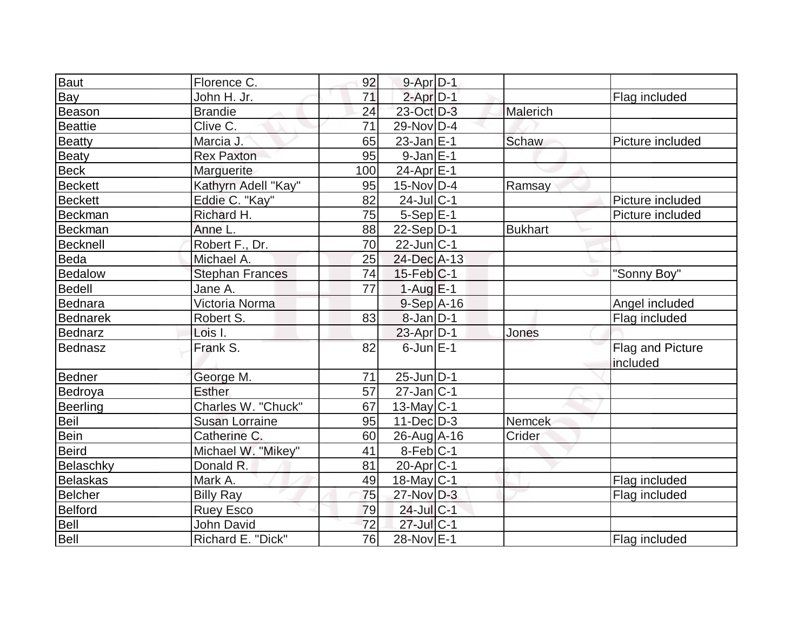| Baut            | Florence C.            | 92  | $9 - Apr$ $D-1$             |                |                  |
|-----------------|------------------------|-----|-----------------------------|----------------|------------------|
| <b>Bay</b>      | John H. Jr.            | 71  | $2$ -Apr $D-1$              |                | Flag included    |
| Beason          | <b>Brandie</b>         | 24  | 23-Oct D-3                  | Malerich       |                  |
| <b>Beattie</b>  | Clive C.               | 71  | 29-Nov D-4                  |                |                  |
| Beatty          | Marcia J.              | 65  | $23$ -Jan $ E-1 $           | Schaw          | Picture included |
| <b>Beaty</b>    | <b>Rex Paxton</b>      | 95  | $9$ -Jan $E-1$              |                |                  |
| <b>Beck</b>     | Marguerite             | 100 | $24$ -Apr $E-1$             |                |                  |
| Beckett         | Kathyrn Adell "Kay"    | 95  | $15$ -Nov $ D-4$            | Ramsay         |                  |
| <b>Beckett</b>  | Eddie C. "Kay"         | 82  | $24$ -Jul $ C-1$            |                | Picture included |
| Beckman         | Richard H.             | 75  | $5-Sep$ $E-1$               |                | Picture included |
| Beckman         | Anne L.                | 88  | $22-Sep D-1$                | <b>Bukhart</b> |                  |
| Becknell        | Robert F., Dr.         | 70  | $22$ -Jun $ C-1 $           |                |                  |
| Beda            | Michael A.             | 25  | 24-Dec A-13                 |                |                  |
| Bedalow         | <b>Stephan Frances</b> | 74  | $15$ -Feb $ C-1 $           |                | "Sonny Boy"      |
| Bedell          | Jane A.                | 77  | $1-AugE-1$                  |                |                  |
| Bednara         | Victoria Norma         |     | $9-Sep$ $A-16$              |                | Angel included   |
| Bednarek        | Robert S.              | 83  | $8$ -Jan $D-1$              |                | Flag included    |
| Bednarz         | Lois I.                |     | $23$ -Apr $D-1$             | Jones          |                  |
| Bednasz         | Frank S.               | 82  | $6$ -Jun $E-1$              |                | Flag and Picture |
|                 |                        |     |                             |                | included         |
| Bedner          | George M.              | 71  | $25$ -Jun $\overline{D}$ -1 |                |                  |
| Bedroya         | <b>Esther</b>          | 57  | $27$ -Jan $ C-1$            |                |                  |
| Beerling        | Charles W. "Chuck"     | 67  | $13$ -May C-1               |                |                  |
| <b>Beil</b>     | <b>Susan Lorraine</b>  | 95  | $11$ -Dec $ D-3 $           | Nemcek         |                  |
| Bein            | Catherine C.           | 60  | $26$ -Aug A-16              | Crider         |                  |
| Beird           | Michael W. "Mikey"     | 41  | $8$ -Feb $ C-1 $            |                |                  |
| Belaschky       | Donald R.              | 81  | $20$ -Apr $ C-1 $           |                |                  |
| <b>Belaskas</b> | Mark A.                | 49  | 18-May C-1                  |                | Flag included    |
| Belcher         | <b>Billy Ray</b>       | 75  | $27$ -Nov $D-3$             |                | Flag included    |
| Belford         | <b>Ruey Esco</b>       | 79  | $24$ -Jul $ C-1$            |                |                  |
| Bell            | <b>John David</b>      | 72  | 27-Jul C-1                  |                |                  |
| Bell            | Richard E. "Dick"      | 76  | 28-Nov E-1                  |                | Flag included    |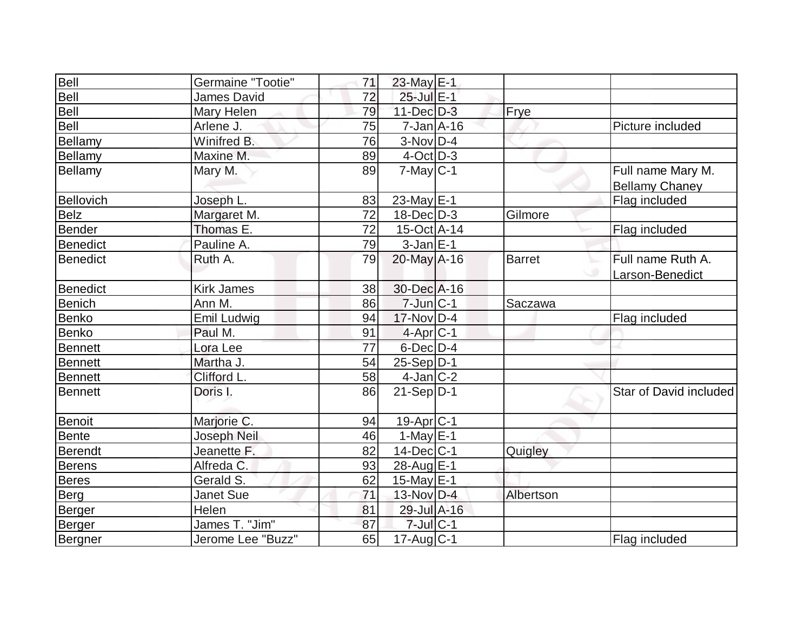| Bell            | Germaine "Tootie" | 71 | 23-May E-1            |               |                                            |
|-----------------|-------------------|----|-----------------------|---------------|--------------------------------------------|
| Bell            | James David       | 72 | 25-Jul E-1            |               |                                            |
| Bell            | Mary Helen        | 79 | $11$ -Dec $D-3$       | <b>Frye</b>   |                                            |
| Bell            | Arlene J.         | 75 | $7$ -Jan $A$ -16      |               | Picture included                           |
| Bellamy         | Winifred B.       | 76 | $3-Nov D-4$           |               |                                            |
| Bellamy         | Maxine M.         | 89 | $4$ -Oct $D-3$        |               |                                            |
| Bellamy         | Mary M.           | 89 | $7$ -May $ C-1 $      |               | Full name Mary M.<br><b>Bellamy Chaney</b> |
| Bellovich       | Joseph L.         | 83 | 23-May $E-1$          |               | Flag included                              |
| <b>Belz</b>     | Margaret M.       | 72 | 18-Dec D-3            | Gilmore       |                                            |
| Bender          | Thomas E.         | 72 | $15$ -Oct A-14        |               | Flag included                              |
| <b>Benedict</b> | Pauline A.        | 79 | $3-Jan$ $E-1$         |               |                                            |
| Benedict        | Ruth A.           | 79 | 20-May A-16           | <b>Barret</b> | Full name Ruth A.<br>Larson-Benedict       |
| Benedict        | <b>Kirk James</b> | 38 | 30-Dec A-16           |               |                                            |
| <b>Benich</b>   | Ann M.            | 86 | $7$ -Jun $ C-1$       | Saczawa       |                                            |
| Benko           | Emil Ludwig       | 94 | $17$ -Nov $ D-4$      |               | Flag included                              |
| Benko           | Paul M.           | 91 | $4-Apr C-1$           |               |                                            |
| <b>Bennett</b>  | Lora Lee          | 77 | $6$ -Dec $D-4$        |               |                                            |
| Bennett         | Martha J.         | 54 | $25-Sep D-1$          |               |                                            |
| <b>Bennett</b>  | Clifford L.       | 58 | 4-Jan C-2             |               |                                            |
| Bennett         | Doris I.          | 86 | $21-Sep D-1$          |               | Star of David included                     |
| Benoit          | Marjorie C.       | 94 | 19-Apr <sub>C-1</sub> |               |                                            |
| <b>Bente</b>    | Joseph Neil       | 46 | $1-May$ $E-1$         |               |                                            |
| Berendt         | Jeanette F.       | 82 | $14$ -Dec $ C-1 $     | Quigley       |                                            |
| Berens          | Alfreda C.        | 93 | 28-Aug E-1            |               |                                            |
| <b>Beres</b>    | Gerald S.         | 62 | 15-May E-1            |               |                                            |
| <b>Berg</b>     | <b>Janet Sue</b>  | 71 | 13-Nov $D-4$          | Albertson     |                                            |
| Berger          | Helen             | 81 | 29-Jul A-16           |               |                                            |
| Berger          | James T. "Jim"    | 87 | $7$ -Jul $C-1$        |               |                                            |
| Bergner         | Jerome Lee "Buzz" | 65 | $17$ -Aug C-1         |               | Flag included                              |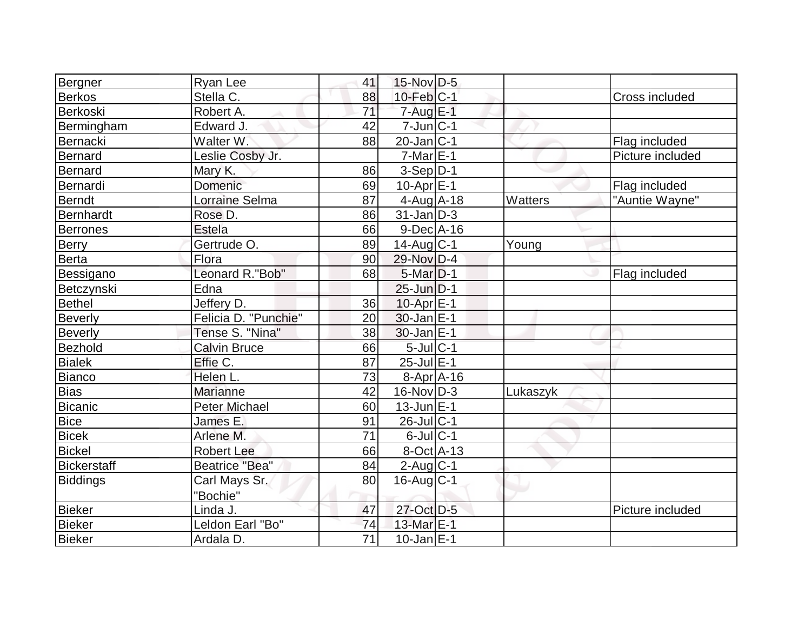| Bergner            | <b>Ryan Lee</b>       | 41 | $15$ -Nov D-5         |          |                  |
|--------------------|-----------------------|----|-----------------------|----------|------------------|
| <b>Berkos</b>      | Stella C.             | 88 | $10$ -Feb $ C-1 $     |          | Cross included   |
| Berkoski           | Robert A.             | 71 | $7 - Aug$ E-1         |          |                  |
| Bermingham         | Edward J.             | 42 | $7$ -Jun $ C-1$       |          |                  |
| Bernacki           | Walter W.             | 88 | $20$ -Jan $ C-1 $     |          | Flag included    |
| Bernard            | Leslie Cosby Jr.      |    | $7-Mar \E-1$          |          | Picture included |
| <b>Bernard</b>     | Mary K.               | 86 | $3-Sep D-1$           |          |                  |
| Bernardi           | Domenic               | 69 | 10-Apr $E$ -1         |          | Flag included    |
| <b>Berndt</b>      | Lorraine Selma        | 87 | $4$ -Aug $A$ -18      | Watters  | "Auntie Wayne"   |
| <b>Bernhardt</b>   | Rose D.               | 86 | $31$ -Jan D-3         |          |                  |
| <b>Berrones</b>    | Estela                | 66 | $9$ -Dec $A$ -16      |          |                  |
| <b>Berry</b>       | Gertrude O.           | 89 | $14$ -Aug $C-1$       | Young    |                  |
| <b>Berta</b>       | Flora                 | 90 | 29-Nov D-4            |          |                  |
| Bessigano          | Leonard R."Bob"       | 68 | $5$ -Mar $D-1$        |          | Flag included    |
| Betczynski         | Edna                  |    | $25$ -Jun $D-1$       |          |                  |
| <b>Bethel</b>      | Jeffery D.            | 36 | 10-Apr E-1            |          |                  |
| <b>Beverly</b>     | Felicia D. "Punchie"  | 20 | $30$ -Jan $E-1$       |          |                  |
| <b>Beverly</b>     | Tense S. "Nina"       | 38 | $30$ -Jan $E-1$       |          |                  |
| Bezhold            | <b>Calvin Bruce</b>   | 66 | $5$ -Jul $C-1$        |          |                  |
| <b>Bialek</b>      | Effie C.              | 87 | $25$ -Jul $E-1$       |          |                  |
| Bianco             | Helen L.              | 73 | $8-Apr$ $A-16$        |          |                  |
| <b>Bias</b>        | <b>Marianne</b>       | 42 | $16$ -Nov $ D-3 $     | Lukaszyk |                  |
| Bicanic            | <b>Peter Michael</b>  | 60 | $13$ -Jun $E-1$       |          |                  |
| <b>Bice</b>        | James E.              | 91 | 26-Jul C-1            |          |                  |
| <b>Bicek</b>       | Arlene M.             | 71 | $6$ -Jul $C-1$        |          |                  |
| <b>Bickel</b>      | <b>Robert Lee</b>     | 66 | $8-Oct$ A-13          |          |                  |
| <b>Bickerstaff</b> | <b>Beatrice "Bea"</b> | 84 | $2$ -Aug C-1          |          |                  |
| <b>Biddings</b>    | Carl Mays Sr.         | 80 | $16$ -Aug $C-1$       |          |                  |
|                    | "Bochie"              |    |                       |          |                  |
| <b>Bieker</b>      | Linda J.              | 47 | 27-Oct D-5            |          | Picture included |
| <b>Bieker</b>      | Leldon Earl "Bo"      | 74 | 13-Mar <sub>E-1</sub> |          |                  |
| Bieker             | Ardala D.             | 71 | $10$ -Jan $ E-1 $     |          |                  |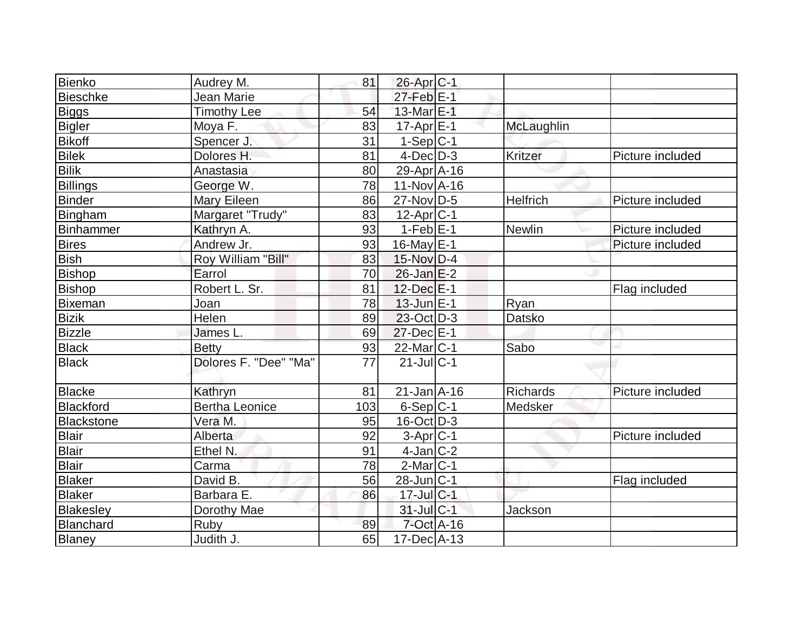| Bienko        | Audrey M.             | 81              | 26-Apr <sub>C-1</sub> |                 |                  |
|---------------|-----------------------|-----------------|-----------------------|-----------------|------------------|
| Bieschke      | Jean Marie            |                 | $27$ -Feb $E-1$       |                 |                  |
| <b>Biggs</b>  | <b>Timothy Lee</b>    | 54              | 13-Mar <sub>E-1</sub> |                 |                  |
| Bigler        | Moya F.               | 83              | $17$ -Apr $E-1$       | McLaughlin      |                  |
| <b>Bikoff</b> | Spencer J.            | 31              | $1-Sep C-1$           |                 |                  |
| <b>Bilek</b>  | Dolores H.            | 81              | $4$ -Dec $D-3$        | Kritzer         | Picture included |
| <b>Bilik</b>  | Anastasia             | 80              | 29-Apr A-16           |                 |                  |
| Billings      | George W.             | 78              | $11-NovA-16$          |                 |                  |
| <b>Binder</b> | Mary Eileen           | 86              | $27$ -Nov $ D-5 $     | Helfrich        | Picture included |
| Bingham       | Margaret "Trudy"      | 83              | $12$ -Apr $ C-1 $     |                 |                  |
| Binhammer     | Kathryn A.            | 93              | $1-FebE-1$            | Newlin          | Picture included |
| <b>Bires</b>  | Andrew Jr.            | 93              | $16$ -May $E-1$       |                 | Picture included |
| <b>Bish</b>   | Roy William "Bill"    | 83              | 15-Nov D-4            |                 |                  |
| <b>Bishop</b> | Earrol                | 70              | $26$ -Jan $E-2$       |                 |                  |
| Bishop        | Robert L. Sr.         | 81              | $12$ -Dec $E-1$       |                 | Flag included    |
| Bixeman       | Joan                  | 78              | $13$ -Jun $E-1$       | Ryan            |                  |
| <b>Bizik</b>  | Helen                 | 89              | 23-Oct D-3            | <b>Datsko</b>   |                  |
| <b>Bizzle</b> | James L.              | 69              | $27$ -Dec $E-1$       |                 |                  |
| <b>Black</b>  | <b>Betty</b>          | 93              | 22-Mar C-1            | Sabo            |                  |
| <b>Black</b>  | Dolores F. "Dee" "Ma" | $\overline{77}$ | $21$ -Jul C-1         |                 |                  |
| <b>Blacke</b> | Kathryn               | 81              | $21$ -Jan $A$ -16     | <b>Richards</b> | Picture included |
| Blackford     | <b>Bertha Leonice</b> | 103             | $6-Sep C-1$           | Medsker         |                  |
| Blackstone    | Vera M.               | 95              | $16$ -Oct $ D-3 $     |                 |                  |
| Blair         | Alberta               | 92              | $3-Apr$ $C-1$         |                 | Picture included |
| <b>Blair</b>  | Ethel N.              | 91              | $4$ -Jan $ C-2 $      |                 |                  |
| Blair         | Carma                 | 78              | $2$ -Mar $ C-1$       |                 |                  |
| <b>Blaker</b> | David B.              | 56              | $28$ -Jun $ C-1$      |                 | Flag included    |
| Blaker        | Barbara E.            | 86              | $17$ -Jul $C-1$       |                 |                  |
| Blakesley     | Dorothy Mae           |                 | 31-Jul C-1            | Jackson         |                  |
| Blanchard     | Ruby                  | 89              | 7-Oct A-16            |                 |                  |
| <b>Blaney</b> | Judith J.             | 65              | $17$ -Dec $A$ -13     |                 |                  |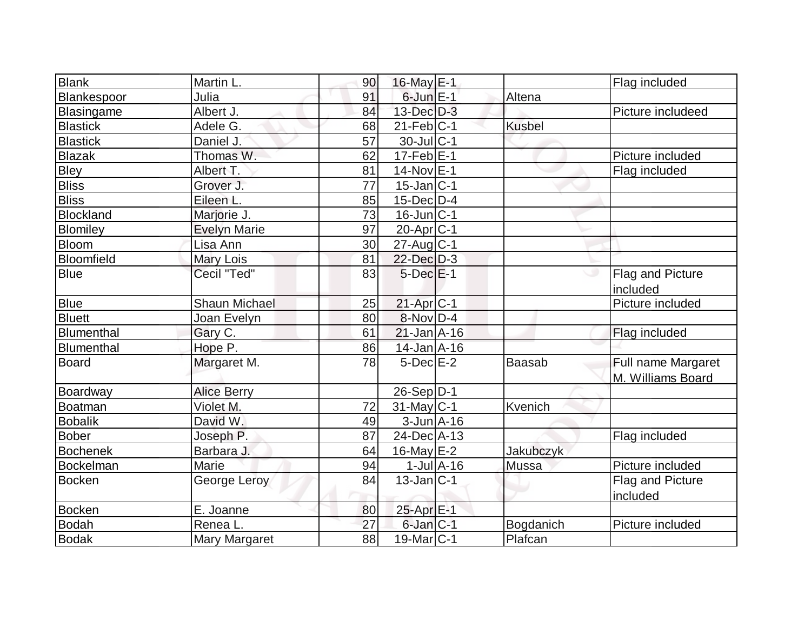| <b>Blank</b>      | Martin L.            | 90              | 16-May $E-1$            |               | Flag included                           |
|-------------------|----------------------|-----------------|-------------------------|---------------|-----------------------------------------|
| Blankespoor       | Julia                | 91              | $6$ -Jun $E-1$          | Altena        |                                         |
| Blasingame        | Albert J.            | 84              | $13$ -Dec $D-3$         |               | Picture includeed                       |
| <b>Blastick</b>   | Adele G.             | 68              | $21$ -Feb $ C-1$        | <b>Kusbel</b> |                                         |
| <b>Blastick</b>   | Daniel J.            | 57              | 30-Jul C-1              |               |                                         |
| <b>Blazak</b>     | Thomas W.            | 62              | $17 - Feb$ E-1          |               | Picture included                        |
| <b>Bley</b>       | Albert T.            | 81              | 14-Nov E-1              |               | Flag included                           |
| <b>Bliss</b>      | Grover J.            | $\overline{77}$ | $15$ -Jan $ C-1 $       |               |                                         |
| <b>Bliss</b>      | Eileen L.            | 85              | 15-Dec D-4              |               |                                         |
| <b>Blockland</b>  | Marjorie J.          | 73              | $16$ -Jun $ C-1$        |               |                                         |
| <b>Blomiley</b>   | <b>Evelyn Marie</b>  | 97              | 20-Apr <sub>C-1</sub>   |               |                                         |
| <b>Bloom</b>      | Lisa Ann             | 30              | $27$ -Aug $C-1$         |               |                                         |
| <b>Bloomfield</b> | Mary Lois            | 81              | 22-Dec D-3              |               |                                         |
| <b>Blue</b>       | Cecil "Ted"          | 83              | $5$ -Dec $E-1$          |               | Flag and Picture<br>included            |
| <b>Blue</b>       | <b>Shaun Michael</b> | 25              | $21-Apr$ <sub>C-1</sub> |               | Picture included                        |
| <b>Bluett</b>     | Joan Evelyn          | 80              | $8-Nov D-4$             |               |                                         |
| <b>Blumenthal</b> | Gary C.              | 61              | $21$ -Jan $A$ -16       |               | Flag included                           |
| Blumenthal        | Hope P.              | 86              | 14-Jan A-16             |               |                                         |
| <b>Board</b>      | Margaret M.          | 78              | 5-Dec E-2               | <b>Baasab</b> | Full name Margaret<br>M. Williams Board |
| Boardway          | <b>Alice Berry</b>   |                 | $26-Sep D-1$            |               |                                         |
| <b>Boatman</b>    | Violet M.            | 72              | $31$ -May C-1           | Kvenich       |                                         |
| <b>Bobalik</b>    | David W.             | 49              | $3$ -Jun $A$ -16        |               |                                         |
| <b>Bober</b>      | Joseph P.            | 87              | 24-Dec A-13             |               | Flag included                           |
| <b>Bochenek</b>   | Barbara J.           | 64              | 16-May $E-2$            | Jakubczyk     |                                         |
| Bockelman         | Marie                | 94              | $1$ -Jul $A$ -16        | Mussa         | Picture included                        |
| <b>Bocken</b>     | George Leroy         | 84              | $13$ -Jan $ C-1 $       |               | Flag and Picture<br>included            |
| <b>Bocken</b>     | E. Joanne            | 80              | 25-Apr <sub>E-1</sub>   |               |                                         |
| <b>Bodah</b>      | Renea L.             | 27              | $6$ -Jan $ C-1$         | Bogdanich     | Picture included                        |
| <b>Bodak</b>      | Mary Margaret        | 88              | 19-Mar <sub>IC-1</sub>  | Plafcan       |                                         |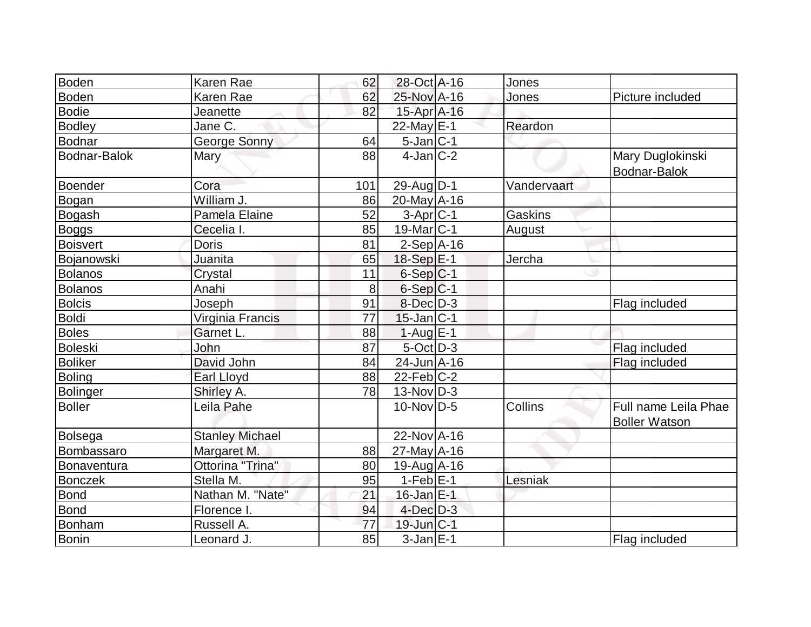| Boden               | Karen Rae              | 62  | 28-Oct A-16       | Jones       |                                              |
|---------------------|------------------------|-----|-------------------|-------------|----------------------------------------------|
| Boden               | Karen Rae              | 62  | 25-Nov A-16       | Jones       | Picture included                             |
| Bodie               | Jeanette               | 82  | 15-Apr A-16       |             |                                              |
| <b>Bodley</b>       | Jane C.                |     | $22$ -May E-1     | Reardon     |                                              |
| Bodnar              | George Sonny           | 64  | $5$ -Jan $ C-1 $  |             |                                              |
| <b>Bodnar-Balok</b> | Mary                   | 88  | $4$ -Jan $ C-2 $  |             | Mary Duglokinski<br>Bodnar-Balok             |
| Boender             | Cora                   | 101 | 29-Aug $D-1$      | Vandervaart |                                              |
| Bogan               | William J.             | 86  | $20$ -May $A$ -16 |             |                                              |
| Bogash              | Pamela Elaine          | 52  | $3-Apr C-1$       | Gaskins     |                                              |
| Boggs               | Cecelia I.             | 85  | $19$ -Mar $ C-1 $ | August      |                                              |
| <b>Boisvert</b>     | <b>Doris</b>           | 81  | $2-Sep$ A-16      |             |                                              |
| Bojanowski          | Juanita                | 65  | $18-Sep$ $E-1$    | Jercha      |                                              |
| Bolanos             | Crystal                | 11  | $6-Sep C-1$       |             |                                              |
| <b>Bolanos</b>      | Anahi                  | 8   | $6-Sep C-1$       |             |                                              |
| <b>Bolcis</b>       | Joseph                 | 91  | $8$ -Dec $D-3$    |             | Flag included                                |
| Boldi               | Virginia Francis       | 77  | $15$ -Jan $ C-1 $ |             |                                              |
| <b>Boles</b>        | Garnet L.              | 88  | $1-Aug$ $E-1$     |             |                                              |
| <b>Boleski</b>      | John                   | 87  | $5$ -Oct $D-3$    |             | Flag included                                |
| <b>Boliker</b>      | David John             | 84  | $24$ -Jun $A$ -16 |             | Flag included                                |
| <b>Boling</b>       | Earl Lloyd             | 88  | $22$ -Feb $ C-2 $ |             |                                              |
| Bolinger            | Shirley A.             | 78  | $13-Nov D-3$      |             |                                              |
| Boller              | Leila Pahe             |     | $10$ -Nov $ D-5 $ | Collins     | Full name Leila Phae<br><b>Boller Watson</b> |
| Bolsega             | <b>Stanley Michael</b> |     | 22-Nov A-16       |             |                                              |
| Bombassaro          | Margaret M.            | 88  | $27$ -May $A$ -16 |             |                                              |
| Bonaventura         | Ottorina "Trina"       | 80  | $19$ -Aug A-16    |             |                                              |
| Bonczek             | Stella M.              | 95  | $1-Feb$ $E-1$     | Lesniak     |                                              |
| Bond                | Nathan M. "Nate"       | 21  | $16$ -Jan $E-1$   |             |                                              |
| <b>Bond</b>         | Florence I.            | 94  | $4$ -Dec $D-3$    |             |                                              |
| Bonham              | Russell A.             | 77  | $19$ -Jun $ C-1$  |             |                                              |
| Bonin               | Leonard J.             | 85  | $3-Jan$ $E-1$     |             | Flag included                                |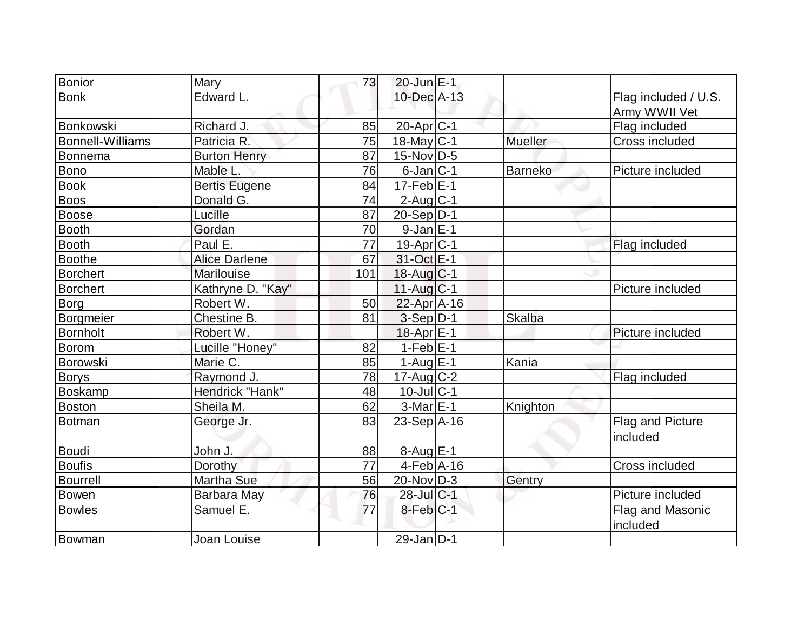| <b>Bonior</b>           | Mary                 | 73  | $20$ -Jun $E-1$            |                |                                       |
|-------------------------|----------------------|-----|----------------------------|----------------|---------------------------------------|
| <b>Bonk</b>             | Edward L.            |     | 10-Dec A-13                |                | Flag included / U.S.<br>Army WWII Vet |
| Bonkowski               | Richard J.           | 85  | 20-Apr C-1                 |                | Flag included                         |
| <b>Bonnell-Williams</b> | Patricia R.          | 75  | $18$ -May $\overline{C-1}$ | <b>Mueller</b> | Cross included                        |
| Bonnema                 | <b>Burton Henry</b>  | 87  | $15$ -Nov $ D-5 $          |                |                                       |
| Bono                    | Mable L.             | 76  | $6$ -Jan $ C-1 $           | <b>Barneko</b> | Picture included                      |
| Book                    | <b>Bertis Eugene</b> | 84  | $17-Feb$ E-1               |                |                                       |
| <b>Boos</b>             | Donald G.            | 74  | $2$ -Aug $C-1$             |                |                                       |
| Boose                   | Lucille              | 87  | $20-Sep D-1$               |                |                                       |
| Booth                   | Gordan               | 70  | $9$ -Jan $E-1$             |                |                                       |
| <b>Booth</b>            | Paul E.              | 77  | $19$ -Apr $ C-1$           |                | Flag included                         |
| <b>Boothe</b>           | <b>Alice Darlene</b> | 67  | 31-Oct E-1                 |                |                                       |
| <b>Borchert</b>         | Marilouise           | 101 | $18$ -Aug $C-1$            |                |                                       |
| <b>Borchert</b>         | Kathryne D. "Kay"    |     | $11-Aug C-1$               |                | Picture included                      |
| Borg                    | Robert W.            | 50  | $22$ -Apr $A$ -16          |                |                                       |
| Borgmeier               | Chestine B.          | 81  | $3-Sep$ D-1                | <b>Skalba</b>  |                                       |
| <b>Bornholt</b>         | Robert W.            |     | 18-Apr E-1                 |                | Picture included                      |
| <b>Borom</b>            | Lucille "Honey"      | 82  | $1-FebE-1$                 |                |                                       |
| Borowski                | Marie C.             | 85  | $1-Aug$ E-1                | Kania          |                                       |
| <b>Borys</b>            | Raymond J.           | 78  | $17$ -Aug C-2              |                | Flag included                         |
| Boskamp                 | Hendrick "Hank"      | 48  | $10$ -Jul $ C-1$           |                |                                       |
| Boston                  | Sheila M.            | 62  | 3-Mar E-1                  | Knighton       |                                       |
| Botman                  | George Jr.           | 83  | $23-Sep$ A-16              |                | Flag and Picture<br>included          |
| Boudi                   | John J.              | 88  | $8-Auq$ $E-1$              |                |                                       |
| <b>Boufis</b>           | Dorothy              | 77  | $4-Feb$ A-16               |                | Cross included                        |
| <b>Bourrell</b>         | <b>Martha Sue</b>    | 56  | 20-Nov D-3                 | Gentry         |                                       |
| <b>Bowen</b>            | Barbara May          | 76  | 28-Jul C-1                 |                | Picture included                      |
| <b>Bowles</b>           | Samuel E.            | 77  | 8-Feb C-1                  |                | Flag and Masonic<br>included          |
| Bowman                  | Joan Louise          |     | $29$ -Jan D-1              |                |                                       |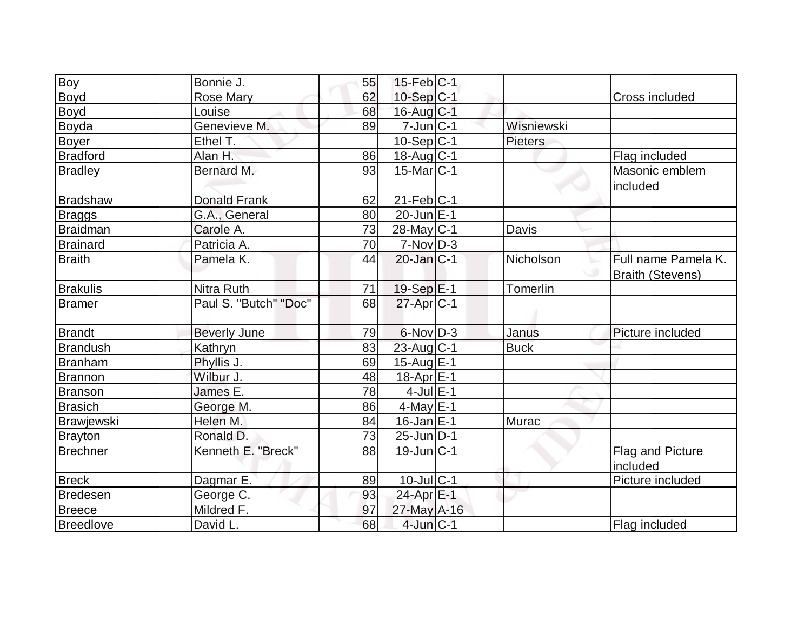| Boy             | Bonnie J.             | 55 | $15$ -Feb $ C-1 $ |             |                                                |
|-----------------|-----------------------|----|-------------------|-------------|------------------------------------------------|
| Boyd            | <b>Rose Mary</b>      | 62 | $10-Sep C-1$      |             | <b>Cross included</b>                          |
| <b>Boyd</b>     | Louise                | 68 | 16-Aug C-1        |             |                                                |
| Boyda           | Genevieve M.          | 89 | $7$ -Jun $ C-1 $  | Wisniewski  |                                                |
| <b>Boyer</b>    | Ethel T.              |    | $10-Sep C-1$      | Pieters     |                                                |
| <b>Bradford</b> | Alan H.               | 86 | $18$ -Aug C-1     |             | Flag included                                  |
| <b>Bradley</b>  | Bernard M.            | 93 | $15$ -Mar $ C-1 $ |             | Masonic emblem<br>included                     |
| Bradshaw        | <b>Donald Frank</b>   | 62 | $21$ -Feb $ C-1$  |             |                                                |
| Braggs          | G.A., General         | 80 | 20-Jun E-1        |             |                                                |
| Braidman        | Carole A.             | 73 | $28$ -May C-1     | Davis       |                                                |
| <b>Brainard</b> | Patricia A.           | 70 | $7-Nov D-3$       |             |                                                |
| <b>Braith</b>   | Pamela K.             | 44 | $20$ -Jan $ C-1 $ | Nicholson   | Full name Pamela K.<br><b>Braith (Stevens)</b> |
| <b>Brakulis</b> | <b>Nitra Ruth</b>     | 71 | 19-Sep E-1        | Tomerlin    |                                                |
| Bramer          | Paul S. "Butch" "Doc" | 68 | $27$ -Apr $ C-1 $ |             |                                                |
| Brandt          | <b>Beverly June</b>   | 79 | $6$ -Nov $D-3$    | Janus       | Picture included                               |
| <b>Brandush</b> | Kathryn               | 83 | $23$ -Aug $C-1$   | <b>Buck</b> |                                                |
| Branham         | Phyllis J.            | 69 | $15$ -Aug $E-1$   |             |                                                |
| Brannon         | Wilbur J.             | 48 | $18$ -Apr $E-1$   |             |                                                |
| <b>Branson</b>  | James E.              | 78 | $4$ -Jul $E-1$    |             |                                                |
| <b>Brasich</b>  | George M.             | 86 | $4$ -May $E-1$    |             |                                                |
| Brawjewski      | Helen M.              | 84 | $16$ -Jan $E-1$   | Murac       |                                                |
| <b>Brayton</b>  | Ronald D.             | 73 | $25$ -Jun $ D-1 $ |             |                                                |
| <b>Brechner</b> | Kenneth E. "Breck"    | 88 | $19$ -Jun $ C-1 $ |             | Flag and Picture<br>included                   |
| <b>Breck</b>    | Dagmar E.             | 89 | $10$ -Jul $ C-1 $ |             | Picture included                               |
| <b>Bredesen</b> | George C.             | 93 | 24-Apr E-1        |             |                                                |
| <b>Breece</b>   | Mildred F.            | 97 | $27$ -May A-16    |             |                                                |
| Breedlove       | David L.              | 68 | $4$ -Jun $C-1$    |             | Flag included                                  |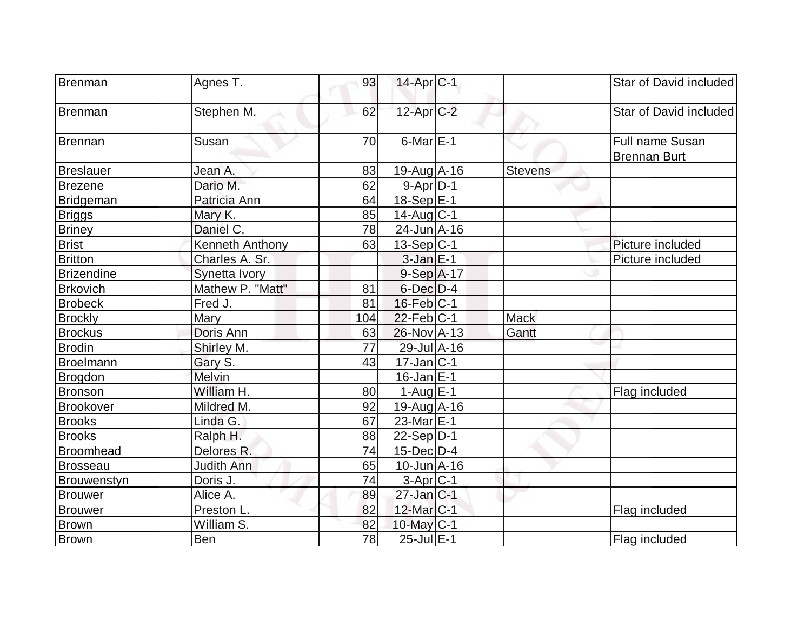| Brenman           | Agnes T.          | 93  | $14$ -Apr $ C-1 $     |                | Star of David included                 |
|-------------------|-------------------|-----|-----------------------|----------------|----------------------------------------|
| Brenman           | Stephen M.        | 62  | $12$ -Apr $C-2$       |                | Star of David included                 |
| Brennan           | Susan             | 70  | $6$ -Mar $E-1$        |                | Full name Susan<br><b>Brennan Burt</b> |
| Breslauer         | Jean A.           | 83  | $19$ -Aug A-16        | <b>Stevens</b> |                                        |
| <b>Brezene</b>    | Dario M.          | 62  | $9-Apr$ D-1           |                |                                        |
| <b>Bridgeman</b>  | Patricia Ann      | 64  | 18-Sep E-1            |                |                                        |
| <b>Briggs</b>     | Mary K.           | 85  | $14$ -Aug C-1         |                |                                        |
| <b>Briney</b>     | Daniel C.         | 78  | 24-Jun A-16           |                |                                        |
| <b>Brist</b>      | Kenneth Anthony   | 63  | $13-Sep C-1$          |                | Picture included                       |
| <b>Britton</b>    | Charles A. Sr.    |     | $3$ -Jan $E-1$        |                | Picture included                       |
| <b>Brizendine</b> | Synetta Ivory     |     | $9-Sep$ A-17          |                |                                        |
| <b>Brkovich</b>   | Mathew P. "Matt"  | 81  | $6$ -Dec $D-4$        |                |                                        |
| <b>Brobeck</b>    | Fred J.           | 81  | $16$ -Feb $ C-1$      |                |                                        |
| <b>Brockly</b>    | Mary              | 104 | $22$ -Feb $ C-1 $     | <b>Mack</b>    |                                        |
| <b>Brockus</b>    | Doris Ann         | 63  | $26$ -Nov $A$ -13     | Gantt          |                                        |
| <b>Brodin</b>     | Shirley M.        | 77  | 29-Jul A-16           |                |                                        |
| Broelmann         | Gary S.           | 43  | $17$ -Jan $ C-1 $     |                |                                        |
| Brogdon           | Melvin            |     | $16$ -Jan $E-1$       |                |                                        |
| <b>Bronson</b>    | William H.        | 80  | $1-Auq$ $E-1$         |                | Flag included                          |
| <b>Brookover</b>  | Mildred M.        | 92  | 19-Aug A-16           |                |                                        |
| <b>Brooks</b>     | Linda G.          | 67  | $23$ -Mar $ E-1 $     |                |                                        |
| <b>Brooks</b>     | Ralph H.          | 88  | $22-Sep D-1$          |                |                                        |
| <b>Broomhead</b>  | Delores R.        | 74  | $15$ -Dec $D-4$       |                |                                        |
| <b>Brosseau</b>   | <b>Judith Ann</b> | 65  | $10$ -Jun $A-16$      |                |                                        |
| Brouwenstyn       | Doris J.          | 74  | $3-Apr$ $C-1$         |                |                                        |
| Brouwer           | Alice A.          | 89  | $27$ -Jan $C-1$       |                |                                        |
| <b>Brouwer</b>    | Preston L.        | 82  | 12-Mar <sub>C-1</sub> |                | Flag included                          |
| <b>Brown</b>      | William S.        | 82  | $10$ -May $C-1$       |                |                                        |
| Brown             | Ben               | 78  | 25-Jul E-1            |                | Flag included                          |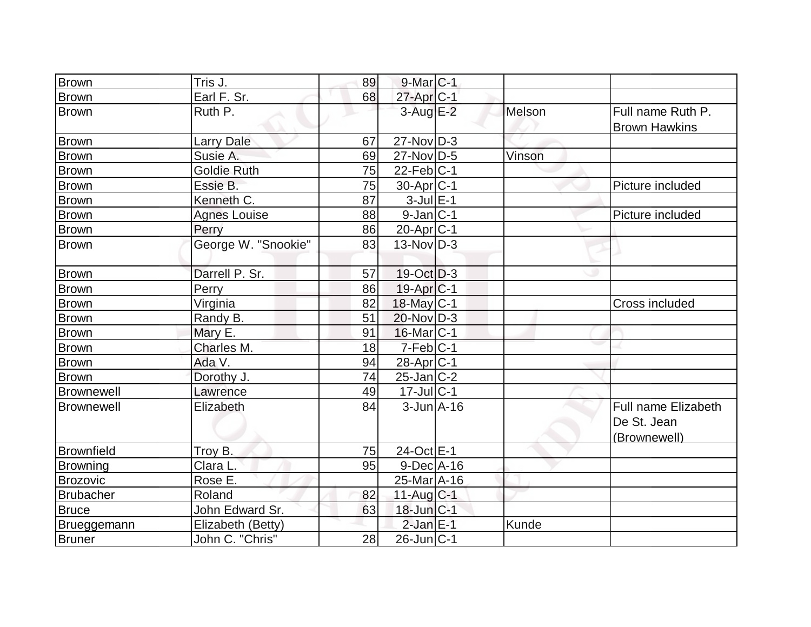| <b>Brown</b>      | Tris J.             | 89 | $9$ -Mar $ C-1$              |        |                            |
|-------------------|---------------------|----|------------------------------|--------|----------------------------|
| <b>Brown</b>      | Earl F. Sr.         | 68 | $27$ -Apr $C-1$              |        |                            |
| <b>Brown</b>      | Ruth P.             |    | $3$ -Aug $E-2$               | Melson | Full name Ruth P.          |
|                   |                     |    |                              |        | <b>Brown Hawkins</b>       |
| <b>Brown</b>      | <b>Larry Dale</b>   | 67 | $27$ -Nov $ D-3 $            |        |                            |
| <b>Brown</b>      | Susie A.            | 69 | 27-Nov D-5                   | Vinson |                            |
| <b>Brown</b>      | <b>Goldie Ruth</b>  | 75 | $22$ -Feb $ C-1$             |        |                            |
| <b>Brown</b>      | Essie B.            | 75 | $30-Apr$ $C-1$               |        | Picture included           |
| <b>Brown</b>      | Kenneth C.          | 87 | $3$ -Jul $E-1$               |        |                            |
| Brown             | <b>Agnes Louise</b> | 88 | $9$ -Jan $ C-1$              |        | Picture included           |
| <b>Brown</b>      | Perry               | 86 | $20$ -Apr $ C-1 $            |        |                            |
| <b>Brown</b>      | George W. "Snookie" | 83 | $13-Nov D-3$                 |        |                            |
|                   |                     |    |                              |        |                            |
| <b>Brown</b>      | Darrell P. Sr.      | 57 | $19-Oct$ D-3                 |        |                            |
| Brown             | Perry               | 86 | $19-Apr$ $C-1$               |        |                            |
| <b>Brown</b>      | Virginia            | 82 | 18-May C-1                   |        | Cross included             |
| <b>Brown</b>      | Randy B.            | 51 | $20$ -Nov $ D-3 $            |        |                            |
| <b>Brown</b>      | Mary E.             | 91 | $16$ -Mar $ C-1$             |        |                            |
| <b>Brown</b>      | Charles M.          | 18 | $7-Feb$ C-1                  |        |                            |
| <b>Brown</b>      | Ada V.              | 94 | 28-Apr <sub>C-1</sub>        |        |                            |
| <b>Brown</b>      | Dorothy J.          | 74 | $25$ -Jan $ C-2 $            |        |                            |
| <b>Brownewell</b> | Lawrence            | 49 | $17$ -Jul $C-1$              |        |                            |
| Brownewell        | Elizabeth           | 84 | $3$ -Jun $A$ -16             |        | <b>Full name Elizabeth</b> |
|                   |                     |    |                              |        | De St. Jean                |
|                   |                     |    |                              |        | (Brownewell)               |
| Brownfield        | Troy B.             | 75 | 24-Oct E-1                   |        |                            |
| Browning          | Clara L.            | 95 | $9$ -Dec $A$ -16             |        |                            |
| Brozovic          | Rose E.             |    | $25$ -Mar $\overline{A}$ -16 |        |                            |
| <b>Brubacher</b>  | Roland              | 82 | 11-Aug C-1                   |        |                            |
| <b>Bruce</b>      | John Edward Sr.     | 63 | $18$ -Jun $ C-1 $            |        |                            |
| Brueggemann       | Elizabeth (Betty)   |    | $2$ -Jan $E-1$               | Kunde  |                            |
| <b>Bruner</b>     | John C. "Chris"     | 28 | 26-Jun C-1                   |        |                            |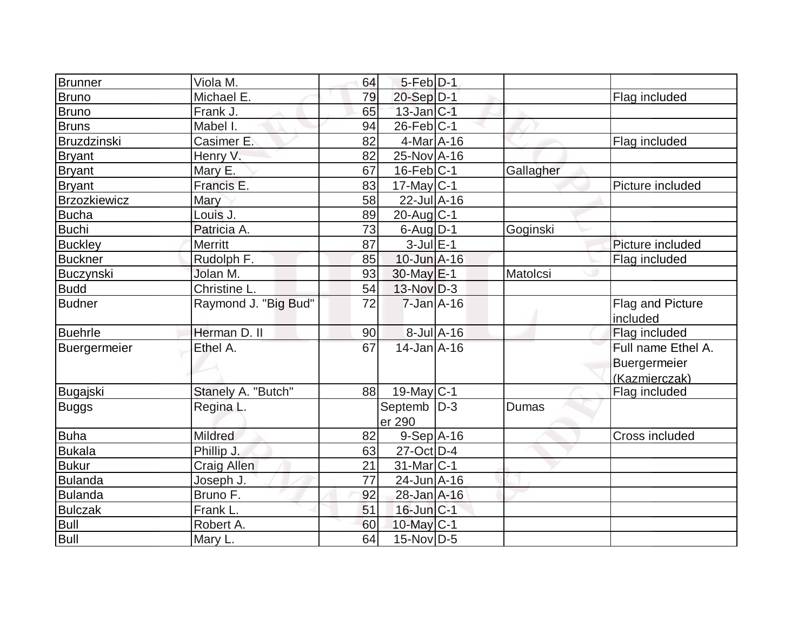| Brunner             | Viola M.             | 64 | $5$ -Feb $ D-1$         |           |                                                     |
|---------------------|----------------------|----|-------------------------|-----------|-----------------------------------------------------|
| <b>Bruno</b>        | Michael E.           | 79 | 20-Sep D-1              |           | Flag included                                       |
| <b>Bruno</b>        | Frank J.             | 65 | $13$ -Jan $C-1$         |           |                                                     |
| <b>Bruns</b>        | Mabel I.             | 94 | $26$ -Feb $ C-1$        |           |                                                     |
| <b>Bruzdzinski</b>  | Casimer E.           | 82 | $4$ -Mar $A$ -16        |           | Flag included                                       |
| Bryant              | Henry V.             | 82 | 25-Nov A-16             |           |                                                     |
| <b>Bryant</b>       | Mary E.              | 67 | $16$ -Feb $ C-1$        | Gallagher |                                                     |
| <b>Bryant</b>       | Francis E.           | 83 | $17$ -May C-1           |           | Picture included                                    |
| <b>Brzozkiewicz</b> | Mary                 | 58 | $22$ -Jul $A-16$        |           |                                                     |
| Bucha               | Louis J.             | 89 | $20$ -Aug $C-1$         |           |                                                     |
| <b>Buchi</b>        | Patricia A.          | 73 | $6$ -Aug $D-1$          | Goginski  |                                                     |
| <b>Buckley</b>      | <b>Merritt</b>       | 87 | $3$ -Jul $E-1$          |           | Picture included                                    |
| <b>Buckner</b>      | Rudolph F.           | 85 | $10$ -Jun $A-16$        |           | Flag included                                       |
| Buczynski           | Jolan M.             | 93 | $30$ -May $E-1$         | Matolcsi  |                                                     |
| <b>Budd</b>         | Christine L.         | 54 | $13-Nov D-3$            |           |                                                     |
| <b>Budner</b>       | Raymond J. "Big Bud" | 72 | $7$ -Jan $A-16$         |           | Flag and Picture<br>included                        |
| <b>Buehrle</b>      | Herman D. II         | 90 | $8$ -Jul $A$ -16        |           | Flag included                                       |
| Buergermeier        | Ethel A.             | 67 | $14$ -Jan $A$ -16       |           | Full name Ethel A.<br>Buergermeier<br>(Kazmierczak) |
| Bugajski            | Stanely A. "Butch"   | 88 | 19-May C-1              |           | Flag included                                       |
| <b>Buggs</b>        | Regina L.            |    | Septemb   D-3<br>er 290 | Dumas     |                                                     |
| Buha                | Mildred              | 82 | $9-Sep$ A-16            |           | Cross included                                      |
| <b>Bukala</b>       | Phillip J.           | 63 | 27-Oct D-4              |           |                                                     |
| <b>Bukur</b>        | Craig Allen          | 21 | 31-Mar C-1              |           |                                                     |
| <b>Bulanda</b>      | Joseph J.            | 77 | $24$ -Jun $A-16$        |           |                                                     |
| <b>Bulanda</b>      | Bruno F.             | 92 | 28-Jan A-16             |           |                                                     |
| <b>Bulczak</b>      | Frank L.             | 51 | $16$ -Jun $ C-1 $       |           |                                                     |
| <b>Bull</b>         | Robert A.            | 60 | 10-May C-1              |           |                                                     |
| <b>Bull</b>         | Mary L.              | 64 | $15$ -Nov $ D-5$        |           |                                                     |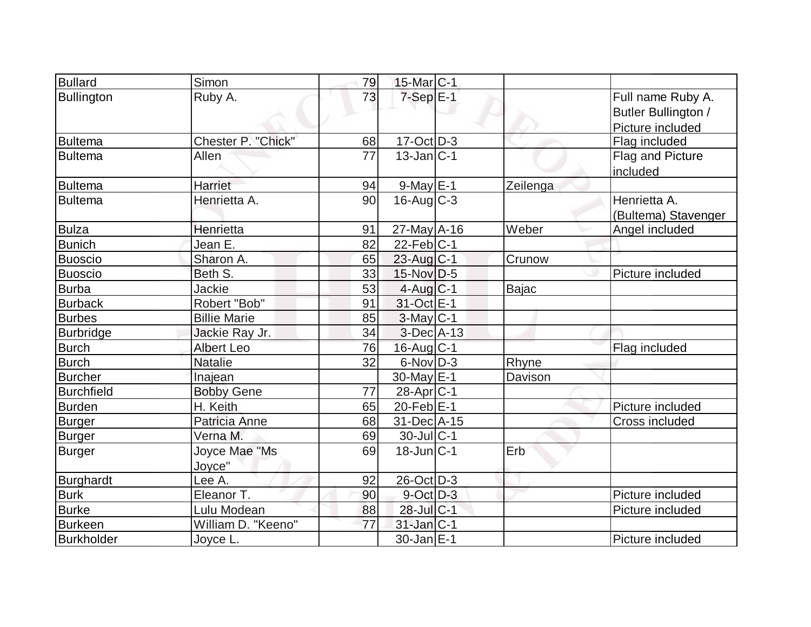| <b>Bullard</b>    | Simon                   | 79 | 15-Mar <sub>C-1</sub>  |          |                                                              |
|-------------------|-------------------------|----|------------------------|----------|--------------------------------------------------------------|
| <b>Bullington</b> | Ruby A.                 | 73 | $7-Sep \nE-1$          |          | Full name Ruby A.<br>Butler Bullington /<br>Picture included |
| <b>Bultema</b>    | Chester P. "Chick"      | 68 | $17-Oct$ D-3           |          | Flag included                                                |
| <b>Bultema</b>    | Allen                   | 77 | $13$ -Jan $ C-1 $      |          | Flag and Picture<br>included                                 |
| <b>Bultema</b>    | Harriet                 | 94 | $9$ -May $E-1$         | Zeilenga |                                                              |
| <b>Bultema</b>    | Henrietta A.            | 90 | $16$ -Aug $C-3$        |          | Henrietta A.<br>(Bultema) Stavenger                          |
| <b>Bulza</b>      | Henrietta               | 91 | $27$ -May A-16         | Weber    | Angel included                                               |
| <b>Bunich</b>     | Jean E.                 | 82 | $22$ -Feb $ C-1$       |          |                                                              |
| <b>Buoscio</b>    | Sharon A.               | 65 | $23$ -Aug C-1          | Crunow   |                                                              |
| <b>Buoscio</b>    | Beth S.                 | 33 | $15$ -Nov D-5          |          | Picture included                                             |
| <b>Burba</b>      | Jackie                  | 53 | $4$ -Aug $C-1$         | Bajac    |                                                              |
| <b>Burback</b>    | Robert "Bob"            | 91 | 31-Oct E-1             |          |                                                              |
| <b>Burbes</b>     | <b>Billie Marie</b>     | 85 | $3-May$ <sub>C-1</sub> |          |                                                              |
| <b>Burbridge</b>  | Jackie Ray Jr.          | 34 | $3-Dec A-13$           |          |                                                              |
| <b>Burch</b>      | <b>Albert Leo</b>       | 76 | 16-Aug C-1             |          | Flag included                                                |
| <b>Burch</b>      | <b>Natalie</b>          | 32 | $6$ -Nov $D-3$         | Rhyne    |                                                              |
| <b>Burcher</b>    | Inajean                 |    | 30-May $E-1$           | Davison  |                                                              |
| <b>Burchfield</b> | <b>Bobby Gene</b>       | 77 | 28-Apr <sub>C-1</sub>  |          |                                                              |
| Burden            | H. Keith                | 65 | $20$ -Feb $E-1$        |          | Picture included                                             |
| <b>Burger</b>     | Patricia Anne           | 68 | 31-Dec A-15            |          | Cross included                                               |
| <b>Burger</b>     | Verna M.                | 69 | $30$ -Jul $ C-1$       |          |                                                              |
| <b>Burger</b>     | Joyce Mae "Ms<br>Jovce" | 69 | $18$ -Jun $ C-1 $      | Erb      |                                                              |
| <b>Burghardt</b>  | Lee A.                  | 92 | 26-Oct D-3             |          |                                                              |
| <b>Burk</b>       | Eleanor T.              | 90 | $9$ -Oct $D-3$         |          | Picture included                                             |
| <b>Burke</b>      | Lulu Modean             | 88 | 28-Jul C-1             |          | Picture included                                             |
| <b>Burkeen</b>    | William D. "Keeno"      | 77 | 31-Jan C-1             |          |                                                              |
| <b>Burkholder</b> | Joyce L.                |    | 30-Jan E-1             |          | Picture included                                             |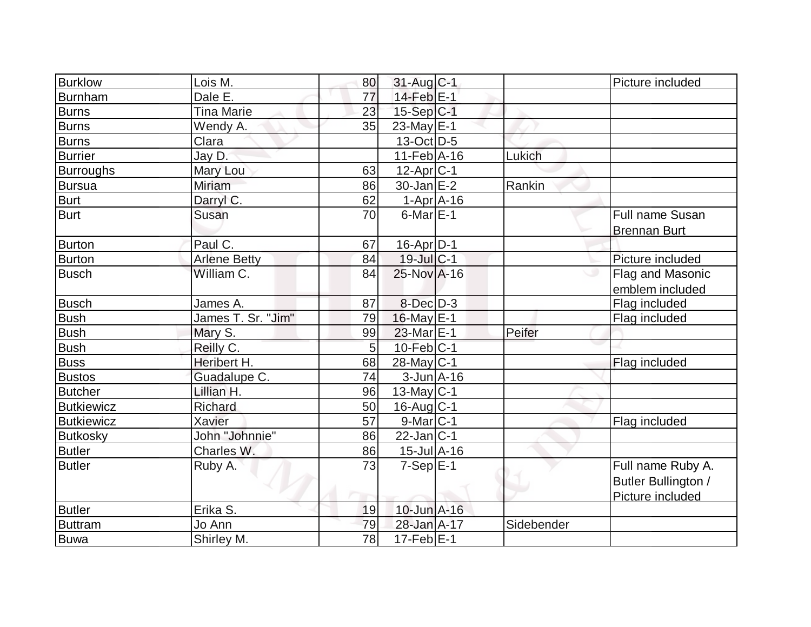| <b>Burklow</b>    | Lois M.             | 80              | $31$ -Aug C-1                |            | Picture included       |
|-------------------|---------------------|-----------------|------------------------------|------------|------------------------|
| <b>Burnham</b>    | Dale E.             | 77              | $14$ -Feb $E-1$              |            |                        |
| <b>Burns</b>      | <b>Tina Marie</b>   | 23              | $15-Sep C-1$                 |            |                        |
| <b>Burns</b>      | Wendy A.            | 35              | 23-May $E-1$                 |            |                        |
| <b>Burns</b>      | Clara               |                 | $13-Oct$ D-5                 |            |                        |
| <b>Burrier</b>    | Jay D.              |                 | $11-Feb$ A-16                | Lukich     |                        |
| <b>Burroughs</b>  | Mary Lou            | 63              | $12$ -Apr $ C-1 $            |            |                        |
| <b>Bursua</b>     | Miriam              | 86              | $30$ -Jan $E-2$              | Rankin     |                        |
| <b>Burt</b>       | Darryl C.           | 62              | 1-Apr A-16                   |            |                        |
| <b>Burt</b>       | Susan               | 70              | $6$ -Mar $E-1$               |            | <b>Full name Susan</b> |
|                   |                     |                 |                              |            | <b>Brennan Burt</b>    |
| <b>Burton</b>     | Paul C.             | 67              | 16-Apr D-1                   |            |                        |
| <b>Burton</b>     | <b>Arlene Betty</b> | 84              | $19$ -Jul $C-1$              |            | Picture included       |
| <b>Busch</b>      | William C.          | 84              | 25-Nov A-16                  | ە          | Flag and Masonic       |
|                   |                     |                 |                              |            | emblem included        |
| <b>Busch</b>      | James A.            | 87              | $8$ -Dec $D-3$               |            | Flag included          |
| <b>Bush</b>       | James T. Sr. "Jim"  | 79              | 16-May E-1                   |            | Flag included          |
| <b>Bush</b>       | Mary S.             | 99              | 23-Mar E-1                   | Peifer     |                        |
| <b>Bush</b>       | Reilly C.           | $5\overline{)}$ | $10$ -Feb $ C-1$             |            |                        |
| Buss              | Heribert H.         | 68              | $28$ -May C-1                |            | Flag included          |
| <b>Bustos</b>     | Guadalupe C.        | 74              | $3$ -Jun $A$ -16             |            |                        |
| <b>Butcher</b>    | Lillian H.          | 96              | $13$ -May C-1                |            |                        |
| <b>Butkiewicz</b> | Richard             | 50              | $16$ -Aug $C-1$              |            |                        |
| <b>Butkiewicz</b> | <b>Xavier</b>       | 57              | $9$ -Mar $ C-1 $             |            | Flag included          |
| <b>Butkosky</b>   | John "Johnnie"      | 86              | $22$ -Jan C-1                |            |                        |
| <b>Butler</b>     | Charles W.          | 86              | $15$ -Jul $\overline{A}$ -16 |            |                        |
| <b>Butler</b>     | Ruby A.             | 73              | $7-Sep$ $E-1$                |            | Full name Ruby A.      |
|                   |                     |                 |                              |            | Butler Bullington /    |
|                   |                     |                 |                              |            | Picture included       |
| <b>Butler</b>     | Erika S.            | 19              | 10-Jun A-16                  |            |                        |
| <b>Buttram</b>    | Jo Ann              | 79              | 28-Jan A-17                  | Sidebender |                        |
| <b>Buwa</b>       | Shirley M.          | $\overline{78}$ | $17-Feb$ E-1                 |            |                        |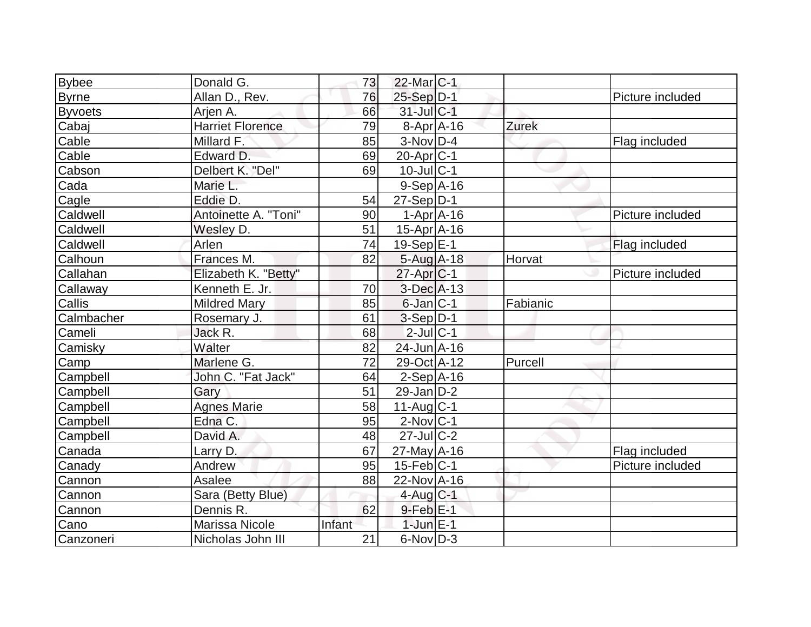| <b>Bybee</b>   | Donald G.               | 73     | 22-Mar <sub>IC-1</sub> |          |                  |
|----------------|-------------------------|--------|------------------------|----------|------------------|
| <b>Byrne</b>   | Allan D., Rev.          | 76     | $25-Sep D-1$           |          | Picture included |
| <b>Byvoets</b> | Arjen A.                | 66     | 31-Jul C-1             |          |                  |
| Cabaj          | <b>Harriet Florence</b> | 79     | $8-Apr$ A-16           | Zurek    |                  |
| Cable          | Millard F.              | 85     | $3-Nov$ D-4            |          | Flag included    |
| Cable          | Edward D.               | 69     | $20$ -Apr $ C-1 $      |          |                  |
| Cabson         | Delbert K. "Del"        | 69     | $10$ -Jul $ C-1$       |          |                  |
| Cada           | Marie L.                |        | $9-Sep$ $A-16$         |          |                  |
| Cagle          | Eddie D.                | 54     | $27-Sep D-1$           |          |                  |
| Caldwell       | Antoinette A. "Toni"    | 90     | $1-Apr$ $A-16$         |          | Picture included |
| Caldwell       | Wesley D.               | 51     | $15$ -Apr $A$ -16      |          |                  |
| Caldwell       | Arlen                   | 74     | 19-Sep E-1             |          | Flag included    |
| Calhoun        | Frances M.              | 82     | $5 - Aug$ A-18         | Horvat   |                  |
| Callahan       | Elizabeth K. "Betty"    |        | $27$ -Apr $ C-1$       |          | Picture included |
| Callaway       | Kenneth E. Jr.          | 70     | $3$ -Dec $A$ -13       |          |                  |
| Callis         | <b>Mildred Mary</b>     | 85     | $6$ -Jan $ C-1$        | Fabianic |                  |
| Calmbacher     | Rosemary J.             | 61     | $3-Sep D-1$            |          |                  |
| Cameli         | Jack R.                 | 68     | $2$ -Jul $ C-1 $       |          |                  |
| Camisky        | Walter                  | 82     | 24-Jun A-16            |          |                  |
| Camp           | Marlene G.              | 72     | 29-Oct A-12            | Purcell  |                  |
| Campbell       | John C. "Fat Jack"      | 64     | $2-Sep$ A-16           |          |                  |
| Campbell       | Gary                    | 51     | $29$ -Jan D-2          |          |                  |
| Campbell       | <b>Agnes Marie</b>      | 58     | $11$ -Aug $C-1$        |          |                  |
| Campbell       | Edna C.                 | 95     | $2$ -Nov $ C-1$        |          |                  |
| Campbell       | David A.                | 48     | $27$ -JulC-2           |          |                  |
| Canada         | Larry D.                | 67     | $27$ -May A-16         |          | Flag included    |
| Canady         | Andrew                  | 95     | $15$ -Feb $ C-1$       |          | Picture included |
| Cannon         | Asalee                  | 88     | $22$ -Nov A-16         |          |                  |
| Cannon         | Sara (Betty Blue)       |        | $4$ -Aug C-1           |          |                  |
| Cannon         | Dennis R.               | 62     | $9$ -Feb $E-1$         |          |                  |
| Cano           | Marissa Nicole          | Infant | $1$ -Jun $E-1$         |          |                  |
| Canzoneri      | Nicholas John III       | 21     | $6$ -Nov $D-3$         |          |                  |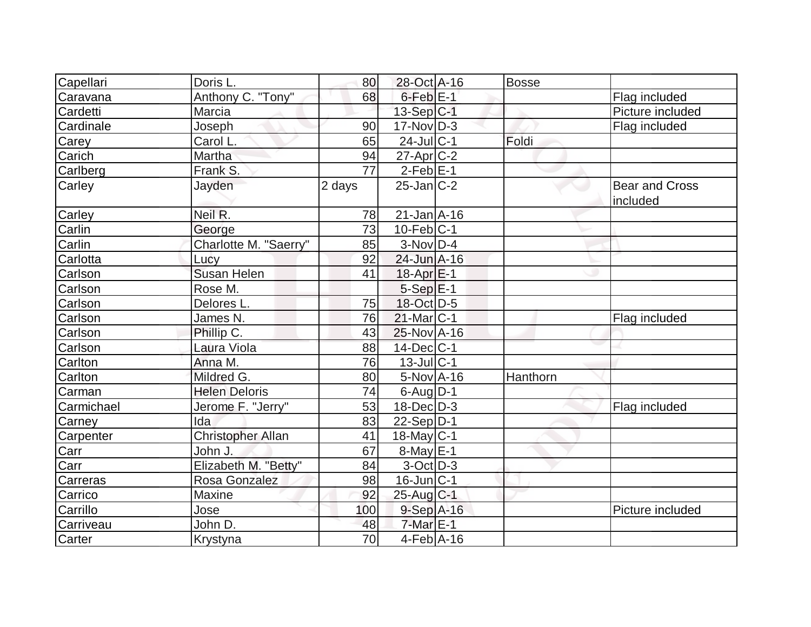| Capellari    | Doris L.                 | 80     | 28-Oct A-16       | <b>Bosse</b> |                       |
|--------------|--------------------------|--------|-------------------|--------------|-----------------------|
| Caravana     | Anthony C. "Tony"        | 68     | $6$ -Feb $E-1$    |              | Flag included         |
| Cardetti     | Marcia                   |        | $13-Sep C-1$      |              | Picture included      |
| Cardinale    | Joseph                   | 90     | $17$ -Nov $ D-3 $ |              | Flag included         |
| Carey        | Carol L.                 | 65     | $24$ -Jul C-1     | Foldi        |                       |
| Carich       | Martha                   | 94     | $27$ -Apr $C-2$   |              |                       |
| Carlberg     | Frank S.                 | 77     | $2$ -Feb $ E-1$   |              |                       |
| Carley       | Jayden                   | 2 days | $25$ -Jan $ C-2 $ |              | <b>Bear and Cross</b> |
|              |                          |        |                   |              | included              |
| Carley       | Neil R.                  | 78     | $21$ -Jan $A$ -16 |              |                       |
| Carlin       | George                   | 73     | $10$ -Feb $ C-1 $ |              |                       |
| Carlin       | Charlotte M. "Saerry"    | 85     | $3-Nov D-4$       |              |                       |
| Carlotta     | Lucy                     | 92     | 24-Jun A-16       |              |                       |
| Carlson      | <b>Susan Helen</b>       | 41     | $18$ -Apr $E-1$   |              |                       |
| Carlson      | Rose M.                  |        | $5-Sep$ $E-1$     |              |                       |
| Carlson      | Delores L.               | 75     | 18-Oct D-5        |              |                       |
| Carlson      | James N.                 | 76     | 21-Mar C-1        |              | Flag included         |
| Carlson      | Phillip C.               | 43     | 25-Nov A-16       |              |                       |
| Carlson      | Laura Viola              | 88     | $14$ -Dec $ C-1$  |              |                       |
| Carlton      | Anna M.                  | 76     | $13$ -Jul C-1     |              |                       |
| Carlton      | Mildred G.               | 80     | 5-Nov A-16        | Hanthorn     |                       |
| Carman       | <b>Helen Deloris</b>     | 74     | $6$ -Aug $D-1$    |              |                       |
| Carmichael   | Jerome F. "Jerry"        | 53     | $18$ -Dec $D-3$   |              | Flag included         |
| Carney       | Ida                      | 83     | $22-Sep D-1$      |              |                       |
| Carpenter    | <b>Christopher Allan</b> | 41     | $18$ -May C-1     |              |                       |
| Carr<br>Carr | John J.                  | 67     | $8$ -May $E-1$    |              |                       |
|              | Elizabeth M. "Betty"     | 84     | $3-Oct$ D-3       |              |                       |
| Carreras     | Rosa Gonzalez            | 98     | $16$ -Jun $ C-1$  |              |                       |
| Carrico      | Maxine                   | 92     | $25$ -Aug $C-1$   |              |                       |
| Carrillo     | Jose                     | 100    | $9-Sep$ A-16      |              | Picture included      |
| Carriveau    | John D.                  | 48     | $7$ -Mar $E-1$    |              |                       |
| Carter       | Krystyna                 | 70     | $4-Feb$ A-16      |              |                       |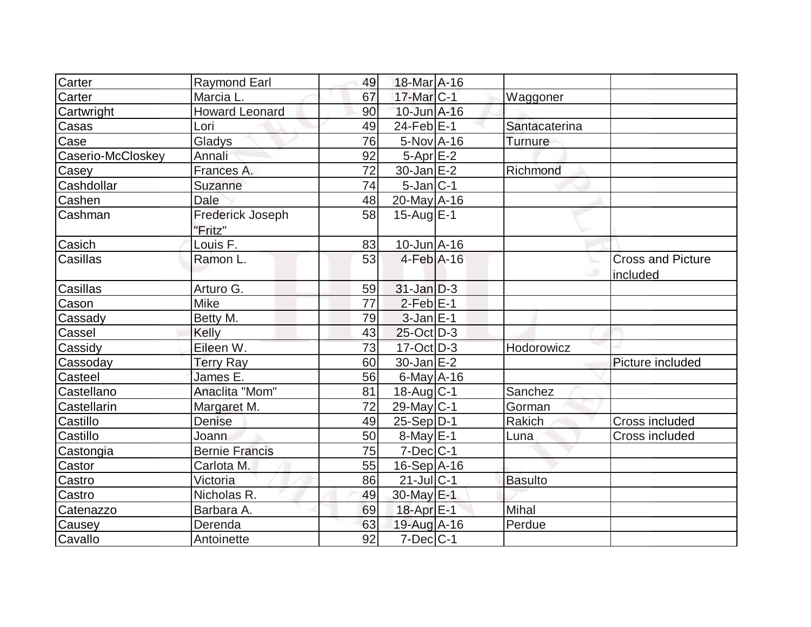| Carter            | <b>Raymond Earl</b>                | 49 | 18-Mar A-16       |                |                                      |
|-------------------|------------------------------------|----|-------------------|----------------|--------------------------------------|
| Carter            | Marcia L.                          | 67 | $17$ -Mar $C-1$   | Waggoner       |                                      |
| Cartwright        | <b>Howard Leonard</b>              | 90 | 10-Jun A-16       |                |                                      |
| Casas             | Lori                               | 49 | $24$ -Feb $ E-1 $ | Santacaterina  |                                      |
| Case              | Gladys                             | 76 | $5-Nov$ A-16      | Turnure        |                                      |
| Caserio-McCloskey | Annali                             | 92 | $5-Apr$ $E-2$     |                |                                      |
| Casey             | Frances A.                         | 72 | $30$ -Jan $E-2$   | Richmond       |                                      |
| Cashdollar        | Suzanne                            | 74 | $5$ -Jan $ C-1$   |                |                                      |
| Cashen            | <b>Dale</b>                        | 48 | 20-May A-16       |                |                                      |
| Cashman           | <b>Frederick Joseph</b><br>"Fritz" | 58 | $15$ -Aug $E-1$   |                |                                      |
| Casich            | Louis F.                           | 83 | $10$ -Jun $A$ -16 |                |                                      |
| Casillas          | Ramon L.                           | 53 | $4-Feb$ A-16      |                | <b>Cross and Picture</b><br>included |
| Casillas          | Arturo G.                          | 59 | $31$ -Jan D-3     |                |                                      |
| Cason             | <b>Mike</b>                        | 77 | $2$ -Feb $E-1$    |                |                                      |
| Cassady           | Betty M.                           | 79 | $3$ -Jan $E-1$    |                |                                      |
| Cassel            | Kelly                              | 43 | $25$ -Oct $D-3$   |                |                                      |
| Cassidy           | Eileen W.                          | 73 | $17-Oct$ D-3      | Hodorowicz     |                                      |
| Cassoday          | Terry Ray                          | 60 | $30$ -Jan $E-2$   |                | Picture included                     |
| Casteel           | James E.                           | 56 | $6$ -May $A$ -16  |                |                                      |
| Castellano        | Anaclita "Mom"                     | 81 | 18-Aug C-1        | Sanchez        |                                      |
| Castellarin       | Margaret M.                        | 72 | $29$ -May C-1     | Gorman         |                                      |
| Castillo          | <b>Denise</b>                      | 49 | $25-Sep D-1$      | Rakich         | Cross included                       |
| Castillo          | Joann                              | 50 | $8$ -May $E-1$    | Luna           | Cross included                       |
| Castongia         | <b>Bernie Francis</b>              | 75 | $7$ -Dec $C$ -1   |                |                                      |
| Castor            | Carlota M.                         | 55 | $16-Sep$ A-16     |                |                                      |
| Castro            | Victoria                           | 86 | $21$ -Jul $ C-1$  | <b>Basulto</b> |                                      |
| Castro            | Nicholas R.                        | 49 | 30-May $E-1$      |                |                                      |
| Catenazzo         | Barbara A.                         | 69 | 18-Apr E-1        | Mihal          |                                      |
| Causey            | Derenda                            | 63 | $19$ -Aug $A$ -16 | Perdue         |                                      |
| Cavallo           | Antoinette                         | 92 | $7$ -Dec $ C-1$   |                |                                      |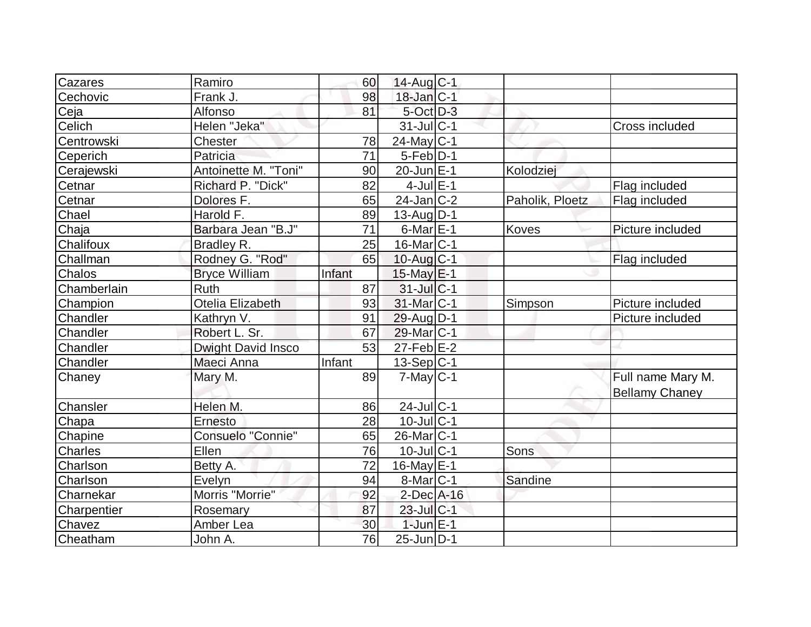| Cazares        | Ramiro                    | 60     | $14$ -Aug $C-1$        |                 |                       |
|----------------|---------------------------|--------|------------------------|-----------------|-----------------------|
| Cechovic       | Frank J.                  | 98     | $18$ -Jan $ C-1 $      |                 |                       |
| Ceja           | Alfonso                   | 81     | 5-Oct D-3              |                 |                       |
| Celich         | Helen "Jeka"              |        | $31$ -Jul $ C-1$       |                 | Cross included        |
| Centrowski     | Chester                   | 78     | 24-May $C-1$           |                 |                       |
| Ceperich       | Patricia                  | 71     | $5-Feb D-1$            |                 |                       |
| Cerajewski     | Antoinette M. "Toni"      | 90     | 20-Jun E-1             | Kolodziej       |                       |
| Cetnar         | Richard P. "Dick"         | 82     | $4$ -Jul $E-1$         |                 | Flag included         |
| Cetnar         | Dolores F.                | 65     | $24$ -Jan $ C-2 $      | Paholik, Ploetz | Flag included         |
| Chael          | Harold F.                 | 89     | $13$ -Aug $D-1$        |                 |                       |
| Chaja          | Barbara Jean "B.J"        | 71     | $6$ -Mar $E-1$         | <b>Koves</b>    | Picture included      |
| Chalifoux      | Bradley R.                | 25     | 16-Mar C-1             |                 |                       |
| Challman       | Rodney G. "Rod"           | 65     | $10$ -Aug $C-1$        |                 | Flag included         |
| Chalos         | <b>Bryce William</b>      | Infant | $15$ -May $E-1$        |                 |                       |
| Chamberlain    | Ruth                      | 87     | $31$ -JulC-1           |                 |                       |
| Champion       | Otelia Elizabeth          | 93     | 31-Mar C-1             | Simpson         | Picture included      |
| Chandler       | Kathryn V.                | 91     | 29-Aug $D-1$           |                 | Picture included      |
| Chandler       | Robert L. Sr.             | 67     | 29-Mar <sub>IC-1</sub> |                 |                       |
| Chandler       | <b>Dwight David Insco</b> | 53     | $27$ -Feb $E-2$        |                 |                       |
| Chandler       | Maeci Anna                | Infant | $13-Sep C-1$           |                 |                       |
| Chaney         | Mary M.                   | 89     | $7$ -May $ C-1$        |                 | Full name Mary M.     |
|                |                           |        |                        |                 | <b>Bellamy Chaney</b> |
| Chansler       | Helen M.                  | 86     | $24$ -Jul $ C-1$       |                 |                       |
| Chapa          | Ernesto                   | 28     | $10$ -Jul $ C-1$       |                 |                       |
| Chapine        | Consuelo "Connie"         | 65     | 26-Mar C-1             |                 |                       |
| <b>Charles</b> | Ellen                     | 76     | $10$ -Jul $C-1$        | Sons            |                       |
| Charlson       | Betty A.                  | 72     | $16$ -May $E-1$        |                 |                       |
| Charlson       | Evelyn                    | 94     | $8$ -Mar $ C-1$        | Sandine         |                       |
| Charnekar      | Morris "Morrie"           | 92     | $2$ -Dec $A$ -16       |                 |                       |
| Charpentier    | Rosemary                  | 87     | 23-Jul C-1             |                 |                       |
| Chavez         | Amber Lea                 | 30     | $1$ -Jun $E-1$         |                 |                       |
| Cheatham       | John A.                   | 76     | $25$ -Jun $ D-1$       |                 |                       |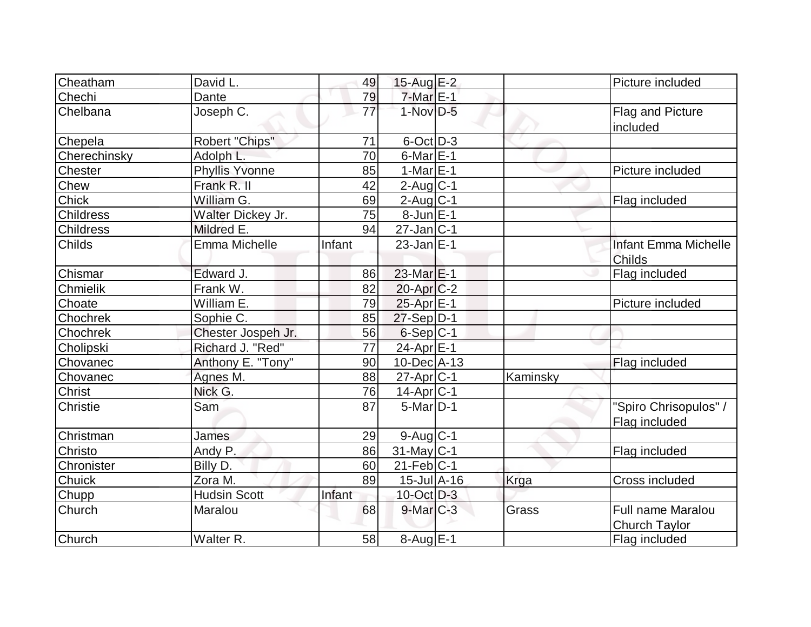| Cheatham         | David L.              | 49              | 15-Aug E-2                   |          | Picture included            |
|------------------|-----------------------|-----------------|------------------------------|----------|-----------------------------|
| Chechi           | Dante                 | 79              | $7$ -Mar $E-1$               |          |                             |
| Chelbana         | Joseph C.             | $\overline{77}$ | $1-Nov$ D-5                  |          | Flag and Picture            |
|                  |                       |                 |                              |          | included                    |
| Chepela          | Robert "Chips"        | 71              | 6-Oct D-3                    |          |                             |
| Cherechinsky     | Adolph L.             | 70              | $6$ -Mar $E-1$               |          |                             |
| Chester          | <b>Phyllis Yvonne</b> | 85              | $1-MarE-1$                   |          | Picture included            |
| Chew             | Frank R. II           | 42              | $2$ -Aug $C-1$               |          |                             |
| <b>Chick</b>     | William G.            | 69              | $2$ -Aug C-1                 |          | Flag included               |
| <b>Childress</b> | Walter Dickey Jr.     | 75              | $8$ -Jun $E-1$               |          |                             |
| <b>Childress</b> | Mildred E.            | 94              | $27$ -Jan $ C-1$             |          |                             |
| <b>Childs</b>    | Emma Michelle         | Infant          | $23$ -Jan $ E-1 $            |          | <b>Infant Emma Michelle</b> |
|                  |                       |                 |                              |          | Childs                      |
| Chismar          | Edward J.             | 86              | $23$ -Mar $E-1$              |          | Flag included               |
| Chmielik         | Frank W.              | 82              | $20$ -Apr $C-2$              |          |                             |
| Choate           | William E.            | 79              | 25-Apr E-1                   |          | Picture included            |
| Chochrek         | Sophie C.             | 85              | $27-Sep D-1$                 |          |                             |
| Chochrek         | Chester Jospeh Jr.    | 56              | $6-Sep C-1$                  |          |                             |
| Cholipski        | Richard J. "Red"      | 77              | 24-Apr E-1                   |          |                             |
| Chovanec         | Anthony E. "Tony"     | 90              | $10$ -Dec $ A-13$            |          | Flag included               |
| Chovanec         | Agnes M.              | 88              | $27$ -Apr $ C-1$             | Kaminsky |                             |
| <b>Christ</b>    | Nick G.               | 76              | $14$ -Apr $ C-1 $            |          |                             |
| Christie         | Sam                   | 87              | $5$ -Mar $ D-1 $             |          | "Spiro Chrisopulos" /       |
|                  |                       |                 |                              |          | Flag included               |
| Christman        | James                 | 29              | $9$ -Aug $ C-1 $             |          |                             |
| Christo          | Andy P.               | 86              | 31-May C-1                   |          | Flag included               |
| Chronister       | Billy D.              | 60              | $21$ -Feb $ C-1 $            |          |                             |
| <b>Chuick</b>    | Zora M.               | 89              | $15$ -Jul $\overline{A}$ -16 | Krga     | <b>Cross included</b>       |
| <b>Chupp</b>     | <b>Hudsin Scott</b>   | Infant          | $10$ -Oct $\overline{D}$ -3  |          |                             |
| Church           | Maralou               | 68              | $9$ -Mar $C-3$               | Grass    | <b>Full name Maralou</b>    |
|                  |                       |                 |                              |          | <b>Church Taylor</b>        |
| Church           | Walter R.             | 58              | $8-Aug$ $E-1$                |          | Flag included               |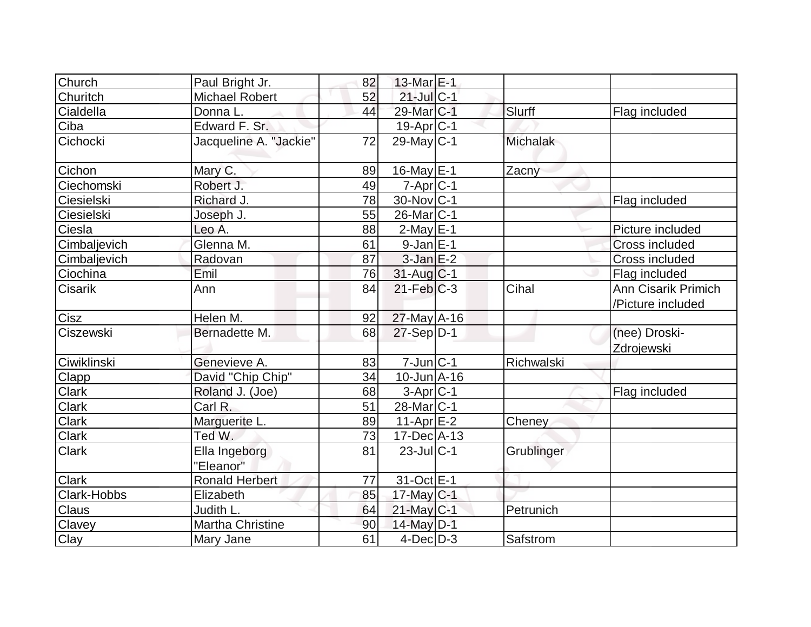| Church         | Paul Bright Jr.            | 82 | 13-Mar E-1             |                 |                                          |
|----------------|----------------------------|----|------------------------|-----------------|------------------------------------------|
| Churitch       | <b>Michael Robert</b>      | 52 | $21$ -Jul C-1          |                 |                                          |
| Cialdella      | Donna L.                   | 44 | 29-Mar C-1             | Slurff          | Flag included                            |
| Ciba           | Edward F. Sr.              |    | $19-Apr$ $C-1$         |                 |                                          |
| Cichocki       | Jacqueline A. "Jackie"     | 72 | $29$ -May C-1          | <b>Michalak</b> |                                          |
| Cichon         | Mary C.                    | 89 | $16$ -May $E-1$        | Zacny           |                                          |
| Ciechomski     | Robert J.                  | 49 | $7$ -Apr $ C-1$        |                 |                                          |
| Ciesielski     | Richard J.                 | 78 | 30-Nov C-1             |                 | Flag included                            |
| Ciesielski     | Joseph J.                  | 55 | $26$ -Mar $ C-1$       |                 |                                          |
| Ciesla         | Leo A.                     | 88 | $2$ -May $E-1$         |                 | Picture included                         |
| Cimbaljevich   | Glenna M.                  | 61 | $9-Jan$ $E-1$          |                 | Cross included                           |
| Cimbaljevich   | Radovan                    | 87 | $3$ -Jan $E-2$         |                 | Cross included                           |
| Ciochina       | Emil                       | 76 | 31-Aug C-1             |                 | Flag included                            |
| <b>Cisarik</b> | Ann                        | 84 | $21$ -Feb $C-3$        | Cihal           | Ann Cisarik Primich<br>/Picture included |
| Cisz           | Helen M.                   | 92 | 27-May A-16            |                 |                                          |
| Ciszewski      | Bernadette M.              | 68 | $27-Sep D-1$           |                 | (nee) Droski-<br>Zdrojewski              |
| Ciwiklinski    | Genevieve A.               | 83 | $7$ -Jun $ C-1$        | Richwalski      |                                          |
| Clapp          | David "Chip Chip"          | 34 | $10$ -Jun $A$ -16      |                 |                                          |
| Clark          | Roland J. (Joe)            | 68 | $3-Apr C-1$            |                 | Flag included                            |
| Clark          | Carl R.                    | 51 | 28-Mar <sub>IC-1</sub> |                 |                                          |
| Clark          | Marguerite L.              | 89 | $11-Apr$ $E-2$         | Cheney          |                                          |
| Clark          | Ted W.                     | 73 | $17$ -Dec $ A-13$      |                 |                                          |
| <b>Clark</b>   | Ella Ingeborg<br>"Eleanor" | 81 | $23$ -JulC-1           | Grublinger      |                                          |
| <b>Clark</b>   | Ronald Herbert             | 77 | 31-Oct E-1             |                 |                                          |
| Clark-Hobbs    | Elizabeth                  | 85 | $17$ -May C-1          |                 |                                          |
| Claus          | Judith L.                  | 64 | $21$ -May C-1          | Petrunich       |                                          |
| Clavey         | Martha Christine           | 90 | 14-May D-1             |                 |                                          |
| Clay           | Mary Jane                  | 61 | $4$ -Dec $D-3$         | Safstrom        |                                          |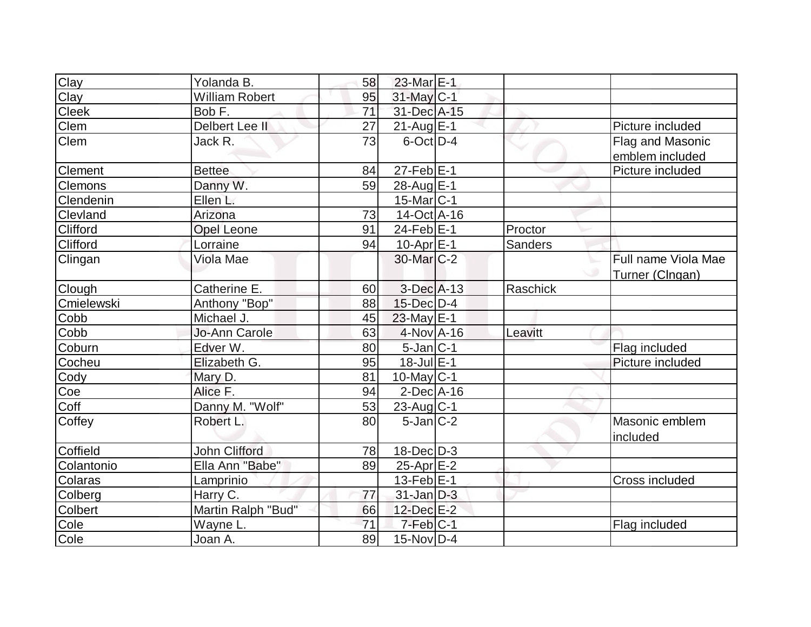| Clay            | Yolanda B.            | 58              | $23$ -Mar $E-1$        |          |                     |
|-----------------|-----------------------|-----------------|------------------------|----------|---------------------|
| Clay            | <b>William Robert</b> | 95              | 31-May C-1             |          |                     |
| Cleek           | Bob F.                | $\overline{71}$ | 31-Dec A-15            |          |                     |
| <b>Clem</b>     | Delbert Lee II        | 27              | $21$ -Aug E-1          |          | Picture included    |
| <b>Clem</b>     | Jack R.               | 73              | $6$ -Oct $D-4$         |          | Flag and Masonic    |
|                 |                       |                 |                        |          | emblem included     |
| <b>Clement</b>  | <b>Bettee</b>         | 84              | $27$ -Feb $ E-1$       |          | Picture included    |
| <b>Clemons</b>  | Danny W.              | 59              | 28-Aug E-1             |          |                     |
| Clendenin       | Ellen L.              |                 | $15$ -Mar $ C-1 $      |          |                     |
| Clevland        | Arizona               | 73              | 14-Oct A-16            |          |                     |
| <b>Clifford</b> | <b>Opel Leone</b>     | 91              | $24$ -Feb $ E-1 $      | Proctor  |                     |
| <b>Clifford</b> | Lorraine              | 94              | $10-Apr \, \text{E-1}$ | Sanders  |                     |
| Clingan         | Viola Mae             |                 | 30-Mar <sub>IC-2</sub> |          | Full name Viola Mae |
|                 |                       |                 |                        |          | Turner (Clngan)     |
| Clough          | Catherine E.          | 60              | $3-Dec A-13$           | Raschick |                     |
| Cmielewski      | Anthony "Bop"         | 88              | 15-Dec D-4             |          |                     |
| Cobb            | Michael J.            | 45              | 23-May $E-1$           |          |                     |
| Cobb            | <b>Jo-Ann Carole</b>  | 63              | 4-Nov A-16             | Leavitt  |                     |
| Coburn          | Edver W.              | 80              | $5$ -Jan $ C-1 $       |          | Flag included       |
| Cocheu          | Elizabeth G.          | 95              | $18$ -Jul $E-1$        |          | Picture included    |
| Cody            | Mary D.               | 81              | 10-May C-1             |          |                     |
| Coe             | Alice F.              | 94              | $2$ -Dec $A$ -16       |          |                     |
| Coff            | Danny M. "Wolf"       | 53              | $23$ -Aug C-1          |          |                     |
| Coffey          | Robert L.             | 80              | $5$ -Jan $ C-2 $       |          | Masonic emblem      |
|                 |                       |                 |                        |          | included            |
| Coffield        | John Clifford         | 78              | $18$ -Dec $D-3$        |          |                     |
| Colantonio      | Ella Ann "Babe"       | 89              | $25$ -Apr $E$ -2       |          |                     |
| Colaras         | Lamprinio             |                 | $13$ -Feb $ E-1$       |          | Cross included      |
| Colberg         | Harry C.              | 77              | $31$ -Jan $D-3$        |          |                     |
| <b>Colbert</b>  | Martin Ralph "Bud"    | 66              | 12-Dec E-2             |          |                     |
| Cole            | Wayne L.              | 71              | $7-Feb C-1$            |          | Flag included       |
| Cole            | Joan A.               | 89              | $15$ -Nov $ D-4$       |          |                     |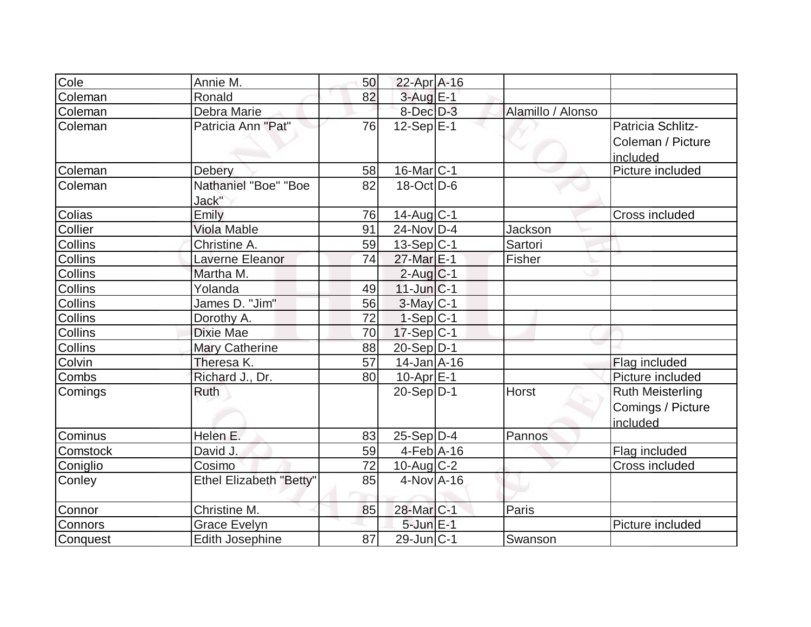| Cole     | Annie M.                       | 50 | 22-Apr A-16       |                   |                                                          |
|----------|--------------------------------|----|-------------------|-------------------|----------------------------------------------------------|
| Coleman  | Ronald                         | 82 | $3$ -Aug $E-1$    |                   |                                                          |
| Coleman  | Debra Marie                    |    | $8$ -Dec $D-3$    | Alamillo / Alonso |                                                          |
| Coleman  | Patricia Ann "Pat"             | 76 | $12-Sep$ E-1      |                   | Patricia Schlitz-<br>Coleman / Picture<br>included       |
| Coleman  | Debery                         | 58 | $16$ -Mar $ C-1$  |                   | Picture included                                         |
| Coleman  | Nathaniel "Boe" "Boe<br>Jack"  | 82 | $18$ -Oct $ D-6 $ |                   |                                                          |
| Colias   | Emily                          | 76 | 14-Aug C-1        |                   | Cross included                                           |
| Collier  | <b>Viola Mable</b>             | 91 | $24$ -Nov $ D-4 $ | <b>Jackson</b>    |                                                          |
| Collins  | Christine A.                   | 59 | $13-Sep C-1$      | Sartori           |                                                          |
| Collins  | Laverne Eleanor                | 74 | 27-Mar E-1        | Fisher            |                                                          |
| Collins  | Martha M.                      |    | $2$ -Aug $C-1$    |                   |                                                          |
| Collins  | Yolanda                        | 49 | $11$ -Jun $ C-1$  |                   |                                                          |
| Collins  | James D. "Jim"                 | 56 | $3$ -May $ C-1$   |                   |                                                          |
| Collins  | Dorothy A.                     | 72 | $1-Sep C-1$       |                   |                                                          |
| Collins  | Dixie Mae                      | 70 | $17-Sep C-1$      |                   |                                                          |
| Collins  | <b>Mary Catherine</b>          | 88 | $20-Sep D-1$      |                   |                                                          |
| Colvin   | Theresa K.                     | 57 | $14$ -Jan $A$ -16 |                   | Flag included                                            |
| Combs    | Richard J., Dr.                | 80 | $10$ -Apr $E-1$   |                   | Picture included                                         |
| Comings  | Ruth                           |    | $20-Sep D-1$      | <b>Horst</b>      | <b>Ruth Meisterling</b><br>Comings / Picture<br>included |
| Cominus  | Helen E.                       | 83 | $25-Sep D-4$      | Pannos            |                                                          |
| Comstock | David J.                       | 59 | $4-Feb$ A-16      |                   | Flag included                                            |
| Coniglio | Cosimo                         | 72 | $10$ -Aug $C-2$   |                   | Cross included                                           |
| Conley   | <b>Ethel Elizabeth "Betty"</b> | 85 | $4$ -Nov $A$ -16  |                   |                                                          |
| Connor   | Christine M.                   | 85 | 28-Mar C-1        | Paris             |                                                          |
| Connors  | <b>Grace Evelyn</b>            |    | $5$ -Jun $E-1$    |                   | Picture included                                         |
| Conquest | <b>Edith Josephine</b>         | 87 | $29$ -Jun $ C-1$  | Swanson           |                                                          |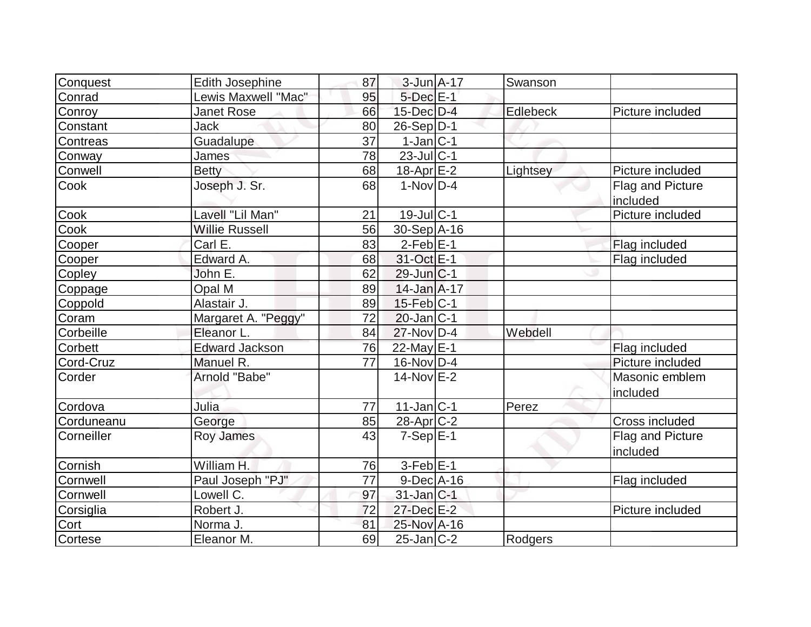| Conquest        | <b>Edith Josephine</b> | 87 | $3$ -Jun $A-17$       | Swanson        |                              |
|-----------------|------------------------|----|-----------------------|----------------|------------------------------|
| Conrad          | Lewis Maxwell "Mac"    | 95 | $5$ -Dec $E-1$        |                |                              |
| Conroy          | Janet Rose             | 66 | $15$ -Dec $D-4$       | Edlebeck       | Picture included             |
| Constant        | Jack                   | 80 | $26-Sep D-1$          |                |                              |
| <b>Contreas</b> | Guadalupe              | 37 | $1-Jan C-1$           |                |                              |
| Conway          | <b>James</b>           | 78 | $23$ -Jul C-1         |                |                              |
| Conwell         | <b>Betty</b>           | 68 | 18-Apr <sub>E-2</sub> | Lightsey       | Picture included             |
| Cook            | Joseph J. Sr.          | 68 | $1-Nov D-4$           |                | Flag and Picture<br>included |
| Cook            | Lavell "Lil Man"       | 21 | $19$ -Jul $ C-1$      |                | Picture included             |
| Cook            | <b>Willie Russell</b>  | 56 | 30-Sep A-16           |                |                              |
| Cooper          | Carl E.                | 83 | $2-Feb$ $E-1$         |                | Flag included                |
| Cooper          | Edward A.              | 68 | 31-Oct E-1            |                | Flag included                |
| Copley          | John E.                | 62 | 29-Jun C-1            |                |                              |
| Coppage         | Opal M                 | 89 | $14$ -Jan $A$ -17     |                |                              |
| Coppold         | Alastair J.            | 89 | $15$ -Feb $ C-1$      |                |                              |
| Coram           | Margaret A. "Peggy"    | 72 | $20$ -Jan $ C-1$      |                |                              |
| Corbeille       | Eleanor L.             | 84 | 27-Nov D-4            | Webdell        |                              |
| <b>Corbett</b>  | <b>Edward Jackson</b>  | 76 | 22-May E-1            |                | Flag included                |
| Cord-Cruz       | Manuel R.              | 77 | $16$ -Nov $ D-4$      |                | Picture included             |
| Corder          | Arnold "Babe"          |    | $14$ -Nov $E-2$       |                | Masonic emblem<br>included   |
| Cordova         | Julia                  | 77 | $11$ -Jan $ C-1 $     | Perez          |                              |
| Corduneanu      | George                 | 85 | $28$ -Apr $C-2$       |                | Cross included               |
| Corneiller      | Roy James              | 43 | $7-Sep$ $E-1$         |                | Flag and Picture<br>included |
| Cornish         | William H.             | 76 | $3-Feb$ $E-1$         |                |                              |
| Cornwell        | Paul Joseph "PJ"       | 77 | $9$ -Dec $A$ -16      |                | Flag included                |
| Cornwell        | Lowell C.              | 97 | $31$ -Jan $ C-1 $     |                |                              |
| Corsiglia       | Robert J.              | 72 | 27-Dec E-2            |                | Picture included             |
| Cort            | Norma J.               | 81 | 25-Nov A-16           |                |                              |
| Cortese         | Eleanor M.             | 69 | $25$ -Jan $C-2$       | <b>Rodgers</b> |                              |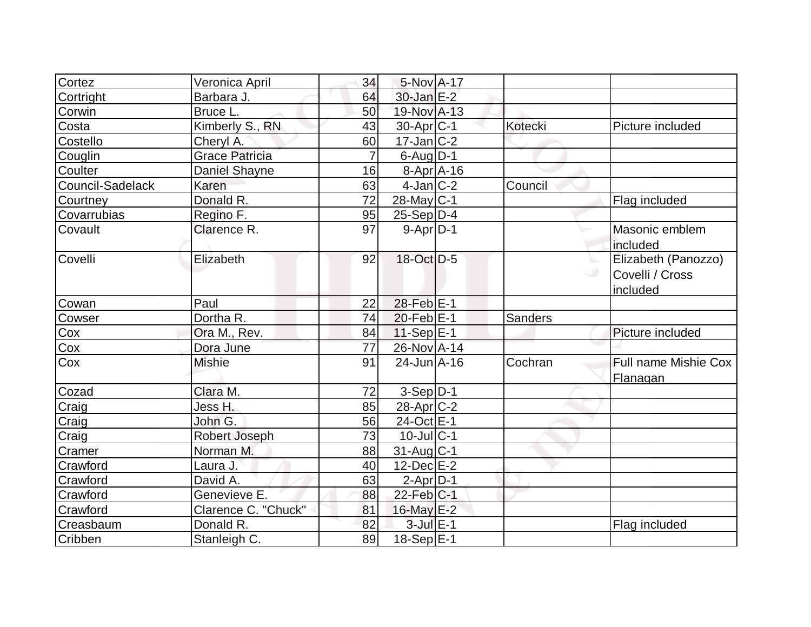| Cortez           | Veronica April        | 34             | 5-Nov A-17        |                |                                                               |
|------------------|-----------------------|----------------|-------------------|----------------|---------------------------------------------------------------|
| Cortright        | Barbara J.            | 64             | $30$ -Jan $E-2$   |                |                                                               |
| Corwin           | Bruce L.              | 50             | 19-Nov A-13       |                |                                                               |
| Costa            | Kimberly S., RN       | 43             | $30$ -Apr $ C-1 $ | <b>Kotecki</b> | Picture included                                              |
| Costello         | Cheryl A.             | 60             | $17 - Jan$ $C-2$  |                |                                                               |
| Couglin          | <b>Grace Patricia</b> | $\overline{7}$ | $6$ -Aug $D-1$    |                |                                                               |
| Coulter          | Daniel Shayne         | 16             | $8-Apr$ A-16      |                |                                                               |
| Council-Sadelack | Karen                 | 63             | $4$ -Jan $ C-2 $  | Council        |                                                               |
| Courtney         | Donald R.             | 72             | $28$ -May C-1     |                | Flag included                                                 |
| Covarrubias      | Regino F.             | 95             | $25-Sep D-4$      |                |                                                               |
| Covault          | Clarence R.           | 97             | $9-Apr D-1$       |                | Masonic emblem<br>included                                    |
| Covelli          | Elizabeth             | 92             | 18-Oct D-5        |                | Elizabeth (Panozzo)<br>$\circ$<br>Covelli / Cross<br>included |
| Cowan            | Paul                  | 22             | 28-Feb E-1        |                |                                                               |
| Cowser           | Dortha R.             | 74             | $20$ -Feb $ E-1 $ | <b>Sanders</b> |                                                               |
| Cox              | Ora M., Rev.          | 84             | $11-Sep$ $E-1$    |                | Picture included                                              |
| Cox              | Dora June             | 77             | 26-Nov A-14       |                |                                                               |
| Cox              | <b>Mishie</b>         | 91             | $24$ -Jun $A$ -16 | Cochran        | Full name Mishie Cox<br>Flanagan                              |
| Cozad            | Clara M.              | 72             | $3-Sep D-1$       |                |                                                               |
| Craig            | Jess H.               | 85             | $28$ -Apr $C-2$   |                |                                                               |
| Craig            | John G.               | 56             | 24-Oct E-1        |                |                                                               |
| Craig            | Robert Joseph         | 73             | $10$ -Jul $C-1$   |                |                                                               |
| Cramer           | Norman M.             | 88             | $31$ -Aug $C-1$   |                |                                                               |
| Crawford         | Laura J.              | 40             | $12$ -Dec $E-2$   |                |                                                               |
| Crawford         | David A.              | 63             | $2-Apr D-1$       |                |                                                               |
| Crawford         | Genevieve E.          | 88             | $22$ -Feb $ C-1$  |                |                                                               |
| Crawford         | Clarence C. "Chuck"   | 81             | 16-May E-2        |                |                                                               |
| Creasbaum        | Donald R.             | 82             | $3$ -Jul $E-1$    |                | Flag included                                                 |
| Cribben          | Stanleigh C.          | 89             | $18-Sep \E-1$     |                |                                                               |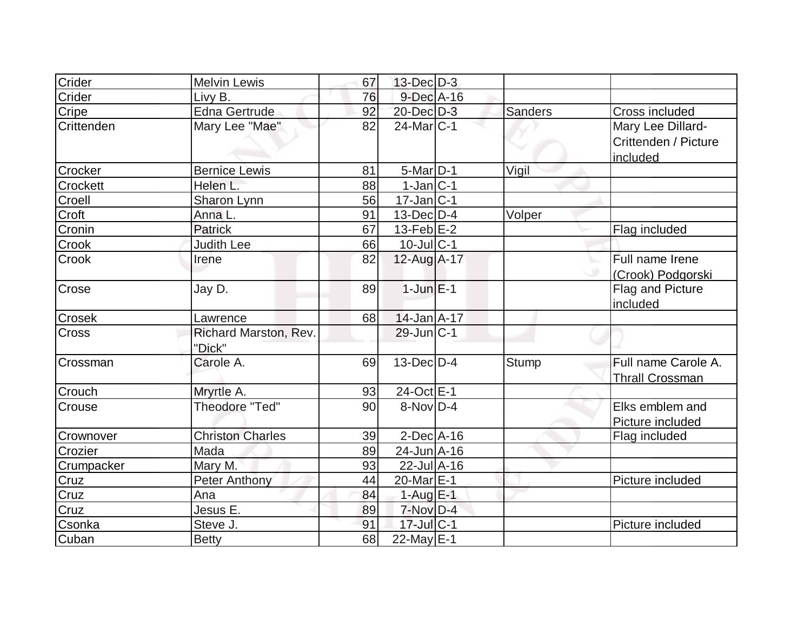| Crider          | <b>Melvin Lewis</b>             | 67 | $13$ -Dec $D-3$       |                |                                                       |
|-----------------|---------------------------------|----|-----------------------|----------------|-------------------------------------------------------|
| Crider          | Livy B.                         | 76 | 9-Dec A-16            |                |                                                       |
| Cripe           | <b>Edna Gertrude</b>            | 92 | 20-Dec D-3            | <b>Sanders</b> | Cross included                                        |
| Crittenden      | Mary Lee "Mae"                  | 82 | $24$ -Mar $ C-1 $     |                | Mary Lee Dillard-<br>Crittenden / Picture<br>included |
| Crocker         | <b>Bernice Lewis</b>            | 81 | 5-Mar D-1             | Vigil          |                                                       |
| <b>Crockett</b> | Helen L.                        | 88 | $1-Jan C-1$           |                |                                                       |
| Croell          | Sharon Lynn                     | 56 | $17$ -Jan $ C-1$      |                |                                                       |
| Croft           | Anna L.                         | 91 | $13$ -Dec $ D-4 $     | Volper         |                                                       |
| Cronin          | Patrick                         | 67 | $13$ -Feb $E-2$       |                | Flag included                                         |
| Crook           | <b>Judith Lee</b>               | 66 | $10$ -JulC-1          |                |                                                       |
| Crook           | Irene                           | 82 | 12-Aug A-17           |                | Full name Irene<br>(Crook) Podgorski                  |
| Crose           | Jay D.                          | 89 | $1$ -Jun $E-1$        |                | Flag and Picture<br>included                          |
| <b>Crosek</b>   | Lawrence                        | 68 | $14$ -Jan $A$ -17     |                |                                                       |
| Cross           | Richard Marston, Rev.<br>"Dick" |    | $29$ -Jun $ C-1 $     |                |                                                       |
| Crossman        | Carole A.                       | 69 | $13$ -Dec $D-4$       | <b>Stump</b>   | Full name Carole A.<br><b>Thrall Crossman</b>         |
| Crouch          | Mryrtle A.                      | 93 | 24-Oct E-1            |                |                                                       |
| Crouse          | Theodore "Ted"                  | 90 | $8-Nov D-4$           |                | Elks emblem and<br>Picture included                   |
| Crownover       | <b>Christon Charles</b>         | 39 | $2$ -Dec $A$ -16      |                | Flag included                                         |
| Crozier         | Mada                            | 89 | $24$ -Jun $A$ -16     |                |                                                       |
| Crumpacker      | Mary M.                         | 93 | 22-Jul A-16           |                |                                                       |
| Cruz            | <b>Peter Anthony</b>            | 44 | 20-Mar <sub>E-1</sub> |                | Picture included                                      |
| Cruz            | Ana                             | 84 | 1-Aug $E-1$           |                |                                                       |
| Cruz            | Jesus E.                        | 89 | $7-Nov$ D-4           |                |                                                       |
| Csonka          | Steve J.                        | 91 | 17-Jul C-1            |                | Picture included                                      |
| Cuban           | <b>Betty</b>                    | 68 | 22-May $E-1$          |                |                                                       |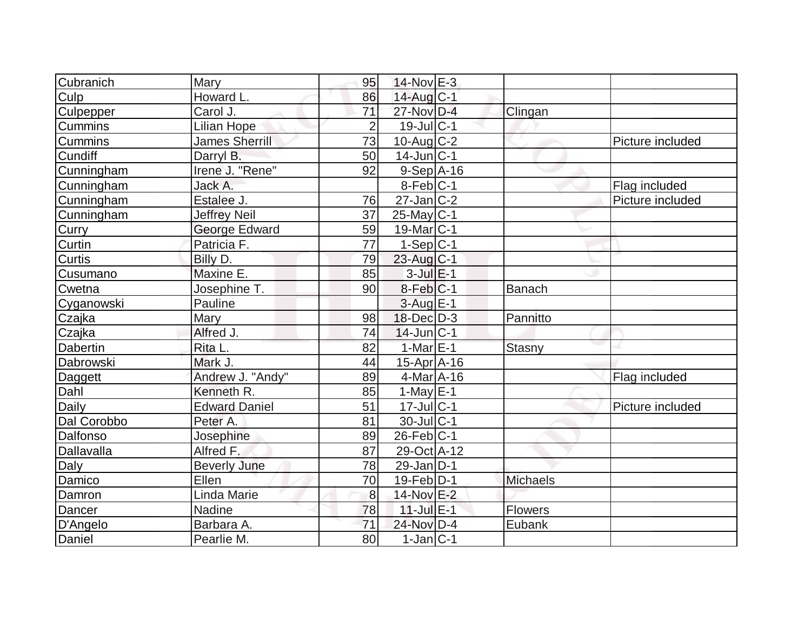| Cubranich      | Mary                  | 95             | $14$ -Nov $E-3$        |                 |                  |
|----------------|-----------------------|----------------|------------------------|-----------------|------------------|
| Culp           | Howard L.             | 86             | 14-Aug C-1             |                 |                  |
| Culpepper      | Carol J.              | 71             | 27-Nov D-4             | Clingan         |                  |
| <b>Cummins</b> | <b>Lilian Hope</b>    | $\overline{2}$ | $19$ -Jul $ C-1$       |                 |                  |
| Cummins        | <b>James Sherrill</b> | 73             | $10$ -Aug C-2          |                 | Picture included |
| Cundiff        | Darryl B.             | 50             | $14$ -Jun $ C-1 $      |                 |                  |
| Cunningham     | Irene J. "Rene"       | 92             | $9-Sep$ $A-16$         |                 |                  |
| Cunningham     | Jack A.               |                | $8-Feb C-1$            |                 | Flag included    |
| Cunningham     | Estalee J.            | 76             | $27$ -Jan $ C-2 $      |                 | Picture included |
| Cunningham     | <b>Jeffrey Neil</b>   | 37             | $25$ -May C-1          |                 |                  |
| Curry          | George Edward         | 59             | 19-Mar <sub>IC-1</sub> |                 |                  |
| Curtin         | Patricia F.           | 77             | $1-Sep C-1$            |                 |                  |
| Curtis         | Billy D.              | 79             | 23-Aug C-1             |                 |                  |
| Cusumano       | Maxine E.             | 85             | $3$ -Jul $E-1$         |                 |                  |
| Cwetna         | Josephine T.          | 90             | $8$ -Feb $ C-1$        | Banach          |                  |
| Cyganowski     | Pauline               |                | $3$ -Aug $E-1$         |                 |                  |
| Czajka         | Mary                  | 98             | $18$ -Dec $D-3$        | Pannitto        |                  |
| Czajka         | Alfred J.             | 74             | $14$ -Jun $ C-1$       |                 |                  |
| Dabertin       | Rita L.               | 82             | 1-Mar $E-1$            | <b>Stasny</b>   |                  |
| Dabrowski      | Mark J.               | 44             | $15$ -Apr $A$ -16      |                 |                  |
| Daggett        | Andrew J. "Andy"      | 89             | $4$ -Mar $A$ -16       |                 | Flag included    |
| Dahl           | Kenneth R.            | 85             | $1-MavE-1$             |                 |                  |
| Daily          | <b>Edward Daniel</b>  | 51             | $17$ -Jul $C-1$        |                 | Picture included |
| Dal Corobbo    | Peter A.              | 81             | 30-Jul C-1             |                 |                  |
| Dalfonso       | Josephine             | 89             | $26$ -Feb $ C-1$       |                 |                  |
| Dallavalla     | Alfred F.             | 87             | 29-Oct A-12            |                 |                  |
| Daly           | <b>Beverly June</b>   | 78             | 29-Jan D-1             |                 |                  |
| Damico         | Ellen                 | 70             | $19$ -Feb $ D-1$       | <b>Michaels</b> |                  |
| Damron         | Linda Marie           | 8              | 14-Nov E-2             |                 |                  |
| Dancer         | Nadine                | 78             | $11$ -Jul $E-1$        | Flowers         |                  |
| D'Angelo       | Barbara A.            | 71             | 24-Nov D-4             | Eubank          |                  |
| Daniel         | Pearlie M.            | 80             | $1-Jan C-1$            |                 |                  |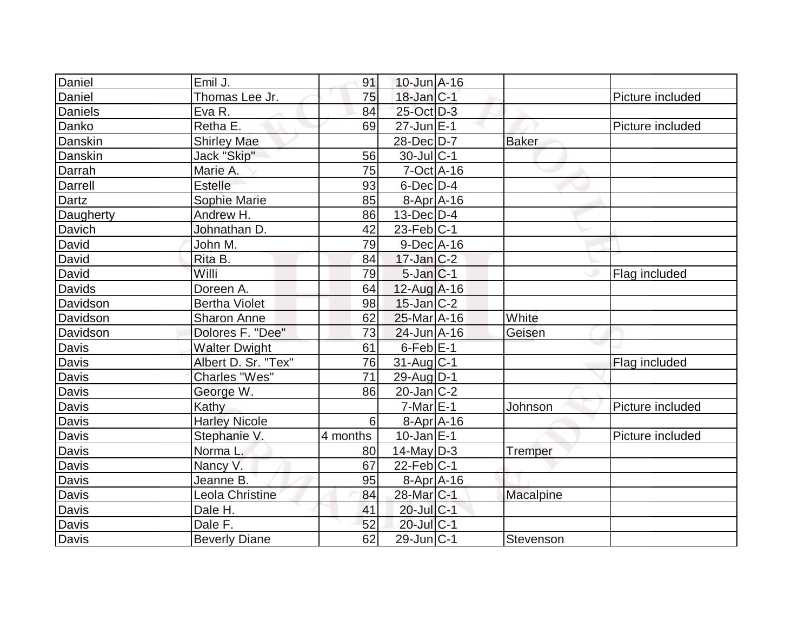| Daniel         | Emil J.              | 91       | $10$ -Jun $A-16$       |              |                  |
|----------------|----------------------|----------|------------------------|--------------|------------------|
| Daniel         | Thomas Lee Jr.       | 75       | $18$ -Jan $ C-1 $      |              | Picture included |
| <b>Daniels</b> | Eva R.               | 84       | 25-Oct D-3             |              |                  |
| Danko          | Retha E.             | 69       | $27$ -Jun $E-1$        |              | Picture included |
| Danskin        | <b>Shirley Mae</b>   |          | 28-Dec D-7             | <b>Baker</b> |                  |
| Danskin        | Jack "Skip"          | 56       | $30$ -Jul $ C-1$       |              |                  |
| Darrah         | Marie A.             | 75       | $7-Oct$ A-16           |              |                  |
| Darrell        | Estelle              | 93       | $6$ -Dec $D-4$         |              |                  |
| Dartz          | Sophie Marie         | 85       | $8-Apr$ $A-16$         |              |                  |
| Daugherty      | Andrew H.            | 86       | $13$ -Dec $D-4$        |              |                  |
| Davich         | Johnathan D.         | 42       | $23$ -Feb $ C-1 $      |              |                  |
| David          | John M.              | 79       | $9$ -Dec $A$ -16       |              |                  |
| David          | Rita B.              | 84       | $17$ -Jan $ C-2 $      |              |                  |
| David          | Willi                | 79       | $5$ -Jan $ C-1 $       |              | Flag included    |
| <b>Davids</b>  | Doreen A.            | 64       | $12$ -Aug A-16         |              |                  |
| Davidson       | <b>Bertha Violet</b> | 98       | $15$ -Jan $ C-2 $      |              |                  |
| Davidson       | Sharon Anne          | 62       | 25-Mar A-16            | White        |                  |
| Davidson       | Dolores F. "Dee"     | 73       | $24$ -Jun $A-16$       | Geisen       |                  |
| Davis          | <b>Walter Dwight</b> | 61       | $6$ -Feb $E-1$         |              |                  |
| <b>Davis</b>   | Albert D. Sr. "Tex"  | 76       | $31$ -Aug $C-1$        |              | Flag included    |
| <b>Davis</b>   | <b>Charles "Wes"</b> | 71       | 29-Aug D-1             |              |                  |
| <b>Davis</b>   | George W.            | 86       | $20$ -Jan $ C-2 $      |              |                  |
| Davis          | Kathy                |          | $7-MarE-1$             | Johnson      | Picture included |
| Davis          | <b>Harley Nicole</b> | 6        | $8-Apr$ $A-16$         |              |                  |
| Davis          | Stephanie V.         | 4 months | $10$ -Jan $ E-1 $      |              | Picture included |
| <b>Davis</b>   | Norma L.             | 80       | $14$ -May D-3          | Tremper      |                  |
| Davis          | Nancy V.             | 67       | $22$ -Feb $ C-1$       |              |                  |
| Davis          | Jeanne B.            | 95       | 8-Apr A-16             |              |                  |
| Davis          | Leola Christine      | 84       | 28-Mar <sub>IC-1</sub> | Macalpine    |                  |
| <b>Davis</b>   | Dale H.              | 41       | $20$ -Jul $C-1$        |              |                  |
| Davis          | Dale F.              | 52       | 20-Jul C-1             |              |                  |
| <b>Davis</b>   | <b>Beverly Diane</b> | 62       | $29$ -Jun $ C-1$       | Stevenson    |                  |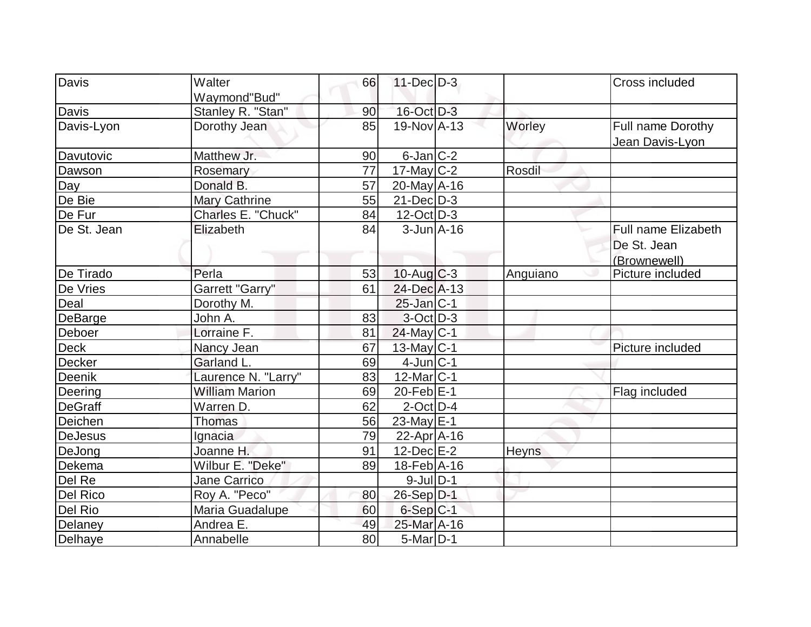| Davis          | Walter                            | 66 | 11-Dec D-3        |              | Cross included      |
|----------------|-----------------------------------|----|-------------------|--------------|---------------------|
|                |                                   |    |                   |              |                     |
| Davis          | Waymond"Bud"<br>Stanley R. "Stan" | 90 | 16-Oct D-3        |              |                     |
| Davis-Lyon     | Dorothy Jean                      | 85 | 19-Nov A-13       | Worley       |                     |
|                |                                   |    |                   |              | Full name Dorothy   |
| Davutovic      | Matthew Jr.                       | 90 | $6$ -Jan $ C-2 $  |              | Jean Davis-Lyon     |
|                |                                   | 77 |                   |              |                     |
| Dawson         | Rosemary                          | 57 | $17$ -May C-2     | Rosdil       |                     |
| Day            | Donald B.                         |    | $20$ -May A-16    |              |                     |
| De Bie         | Mary Cathrine                     | 55 | $21$ -Dec $D-3$   |              |                     |
| De Fur         | Charles E. "Chuck"                | 84 | $12$ -Oct $ D-3 $ |              |                     |
| De St. Jean    | Elizabeth                         | 84 | $3 - Jun$ A-16    |              | Full name Elizabeth |
|                |                                   |    |                   |              | De St. Jean         |
|                |                                   |    |                   |              | (Brownewell)        |
| De Tirado      | Perla                             | 53 | $10$ -Aug $C-3$   | Anguiano     | Picture included    |
| De Vries       | Garrett "Garry"                   | 61 | 24-Dec A-13       |              |                     |
| Deal           | Dorothy M.                        |    | $25$ -Jan $ C-1 $ |              |                     |
| DeBarge        | John A.                           | 83 | $3-Oct$ D-3       |              |                     |
| Deboer         | Lorraine F.                       | 81 | $24$ -May C-1     |              |                     |
| <b>Deck</b>    | Nancy Jean                        | 67 | $13$ -May C-1     |              | Picture included    |
| Decker         | Garland L.                        | 69 | $4$ -Jun $ C-1$   |              |                     |
| Deenik         | Laurence N. "Larry"               | 83 | $12$ -Mar $ C-1$  |              |                     |
| Deering        | <b>William Marion</b>             | 69 | $20$ -Feb $E-1$   |              | Flag included       |
| <b>DeGraff</b> | Warren D.                         | 62 | $2$ -Oct $ D-4 $  |              |                     |
| Deichen        | <b>Thomas</b>                     | 56 | $23$ -May E-1     |              |                     |
| <b>DeJesus</b> | Ignacia                           | 79 | $22$ -Apr $ A-16$ |              |                     |
| DeJong         | Joanne H.                         | 91 | 12-Dec E-2        | <b>Heyns</b> |                     |
| Dekema         | Wilbur E. "Deke"                  | 89 | $18$ -Feb $ A-16$ |              |                     |
| Del Re         | <b>Jane Carrico</b>               |    | $9$ -Jul $D-1$    |              |                     |
| Del Rico       | Roy A. "Peco"                     | 80 | $26-Sep D-1$      |              |                     |
| Del Rio        | Maria Guadalupe                   | 60 | $6-Sep C-1$       |              |                     |
| Delaney        | Andrea E.                         | 49 | 25-Mar A-16       |              |                     |
| Delhaye        | Annabelle                         | 80 | $5$ -Mar $ D-1$   |              |                     |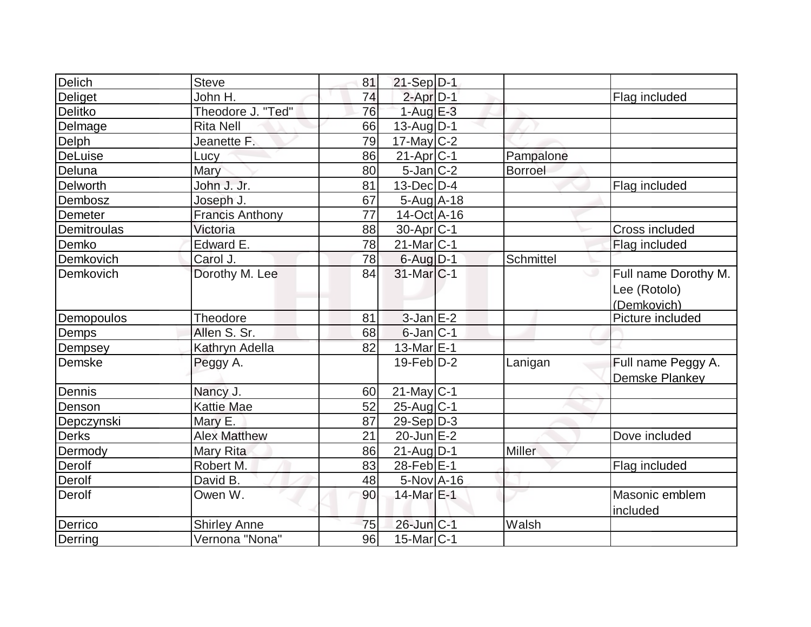| <b>Delich</b> | <b>Steve</b>           | 81 | $21-Sep D-1$      |           |                                                     |
|---------------|------------------------|----|-------------------|-----------|-----------------------------------------------------|
| Deliget       | John H.                | 74 | $2$ -Apr $D-1$    |           | Flag included                                       |
| Delitko       | Theodore J. "Ted"      | 76 | $1-Aug$ $E-3$     |           |                                                     |
| Delmage       | <b>Rita Nell</b>       | 66 | $13$ -Aug $D-1$   |           |                                                     |
| Delph         | Jeanette F.            | 79 | $17$ -May C-2     |           |                                                     |
| DeLuise       | Lucy                   | 86 | $21-Apr$ $C-1$    | Pampalone |                                                     |
| Deluna        | Mary                   | 80 | $5$ -Jan $ C-2 $  | Borroel   |                                                     |
| Delworth      | John J. Jr.            | 81 | $13$ -Dec $D-4$   |           | Flag included                                       |
| Dembosz       | Joseph J.              | 67 | $5-Aug$ A-18      |           |                                                     |
| Demeter       | <b>Francis Anthony</b> | 77 | $14$ -Oct $ A-16$ |           |                                                     |
| Demitroulas   | Victoria               | 88 | $30-Apr$ C-1      |           | Cross included                                      |
| Demko         | Edward E.              | 78 | $21$ -Mar $ C-1$  |           | Flag included                                       |
| Demkovich     | Carol J.               | 78 | $6$ -Aug $D-1$    | Schmittel |                                                     |
| Demkovich     | Dorothy M. Lee         | 84 | $31$ -Mar $ C-1 $ | پ         | Full name Dorothy M.<br>Lee (Rotolo)<br>(Demkovich) |
| Demopoulos    | Theodore               | 81 | $3$ -Jan $E-2$    |           | Picture included                                    |
| Demps         | Allen S. Sr.           | 68 | $6$ -Jan $ C-1$   |           |                                                     |
| Dempsey       | Kathryn Adella         | 82 | 13-Mar $E-1$      |           |                                                     |
| Demske        | Peggy A.               |    | $19$ -Feb $D-2$   | Lanigan   | Full name Peggy A.<br>Demske Plankey                |
| Dennis        | Nancy J.               | 60 | $21$ -May C-1     |           |                                                     |
| Denson        | <b>Kattie Mae</b>      | 52 | $25$ -Aug $C-1$   |           |                                                     |
| Depczynski    | Mary E.                | 87 | $29-Sep D-3$      |           |                                                     |
| <b>Derks</b>  | <b>Alex Matthew</b>    | 21 | $20$ -Jun $E-2$   |           | Dove included                                       |
| Dermody       | Mary Rita              | 86 | $21$ -AugD-1      | Miller    |                                                     |
| Derolf        | Robert M.              | 83 | $28$ -Feb $E-1$   |           | Flag included                                       |
| Derolf        | David B.               | 48 | $5-Nov$ A-16      |           |                                                     |
| Derolf        | Owen W.                | 90 | 14-Mar E-1        |           | Masonic emblem<br>included                          |
| Derrico       | <b>Shirley Anne</b>    | 75 | 26-Jun C-1        | Walsh     |                                                     |
| Derring       | Vernona "Nona"         | 96 | $15$ -Mar $ C-1 $ |           |                                                     |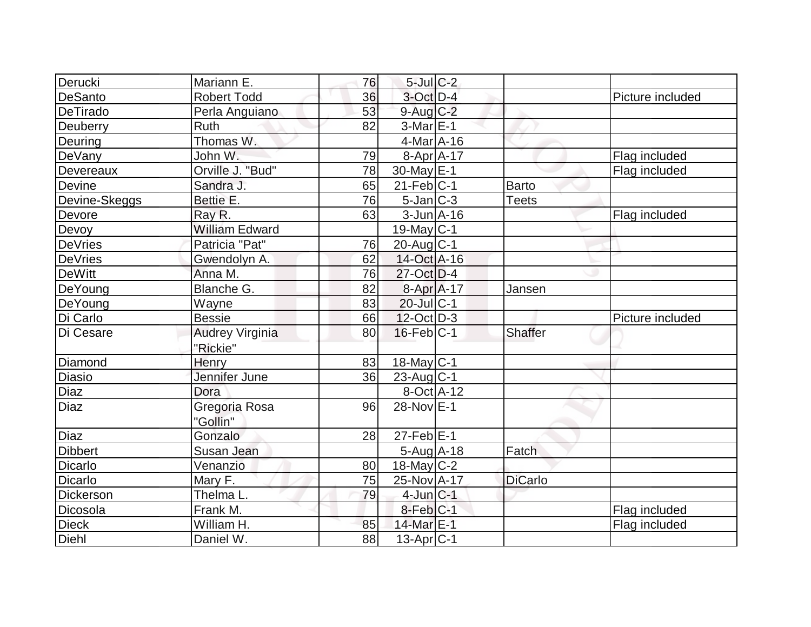| Derucki        | Mariann E.             | 76 | $5$ -Jul $C-2$    |                |                  |
|----------------|------------------------|----|-------------------|----------------|------------------|
| <b>DeSanto</b> | <b>Robert Todd</b>     | 36 | 3-Oct D-4         |                | Picture included |
| DeTirado       | Perla Anguiano         | 53 | $9$ -Aug $C-2$    |                |                  |
| Deuberry       | <b>Ruth</b>            | 82 | $3-Mar \E-1$      |                |                  |
| Deuring        | Thomas W.              |    | $4$ -Mar $A$ -16  |                |                  |
| DeVany         | John W.                | 79 | $8-Apr$ A-17      |                | Flag included    |
| Devereaux      | Orville J. "Bud"       | 78 | 30-May E-1        |                | Flag included    |
| Devine         | Sandra J.              | 65 | $21$ -Feb $ C-1 $ | <b>Barto</b>   |                  |
| Devine-Skeggs  | Bettie E.              | 76 | $5$ -Jan $ C-3 $  | <b>Teets</b>   |                  |
| Devore         | Ray R.                 | 63 | $3$ -Jun $A$ -16  |                | Flag included    |
| Devoy          | <b>William Edward</b>  |    | $19$ -May C-1     |                |                  |
| <b>DeVries</b> | Patricia "Pat"         | 76 | $20$ -Aug $C-1$   |                |                  |
| <b>DeVries</b> | Gwendolyn A.           | 62 | 14-Oct A-16       |                |                  |
| <b>DeWitt</b>  | Anna M.                | 76 | $27$ -Oct D-4     |                |                  |
| DeYoung        | Blanche G.             | 82 | 8-Apr A-17        | Jansen         |                  |
| DeYoung        | Wayne                  | 83 | $20$ -JulC-1      |                |                  |
| Di Carlo       | <b>Bessie</b>          | 66 | $12$ -Oct $ D-3 $ |                | Picture included |
| Di Cesare      | <b>Audrey Virginia</b> | 80 | $16$ -Feb $ C-1 $ | <b>Shaffer</b> |                  |
|                | "Rickie"               |    |                   |                |                  |
| Diamond        | Henry                  | 83 | $18$ -May C-1     |                |                  |
| <b>Diasio</b>  | Jennifer June          | 36 | $23$ -Aug C-1     |                |                  |
| Diaz           | Dora                   |    | 8-Oct A-12        |                |                  |
| <b>Diaz</b>    | Gregoria Rosa          | 96 | $28-NovE-1$       |                |                  |
|                | "Gollin"               |    |                   |                |                  |
| Diaz           | Gonzalo                | 28 | $27$ -Feb $E-1$   |                |                  |
| <b>Dibbert</b> | Susan Jean             |    | $5-Aug$ A-18      | Fatch          |                  |
| <b>Dicarlo</b> | Venanzio               | 80 | $18$ -May C-2     |                |                  |
| <b>Dicarlo</b> | Mary F.                | 75 | 25-Nov A-17       | <b>DiCarlo</b> |                  |
| Dickerson      | Thelma L.              | 79 | $4$ -Jun $ C-1 $  |                |                  |
| Dicosola       | Frank M.               |    | 8-Feb C-1         |                | Flag included    |
| <b>Dieck</b>   | William H.             | 85 | 14-Mar E-1        |                | Flag included    |
| Diehl          | Daniel W.              | 88 | $13$ -Apr $ C-1$  |                |                  |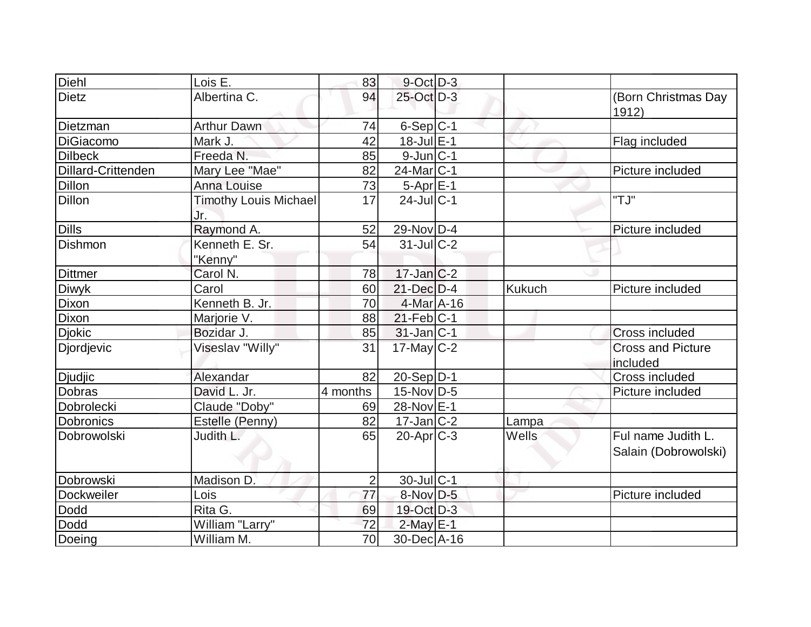| Diehl              | Lois E.                             | 83             | $9$ -Oct $D-3$         |               |                                            |
|--------------------|-------------------------------------|----------------|------------------------|---------------|--------------------------------------------|
| <b>Dietz</b>       | Albertina C.                        | 94             | 25-Oct D-3             |               | (Born Christmas Day<br>1912)               |
| Dietzman           | <b>Arthur Dawn</b>                  | 74             | $6-Sep C-1$            |               |                                            |
| <b>DiGiacomo</b>   | Mark J.                             | 42             | $18 -$ Jul $E-1$       |               | Flag included                              |
| <b>Dilbeck</b>     | Freeda N.                           | 85             | $9$ -Jun $ C-1$        |               |                                            |
| Dillard-Crittenden | Mary Lee "Mae"                      | 82             | $24$ -Mar $ C-1$       |               | Picture included                           |
| <b>Dillon</b>      | <b>Anna Louise</b>                  | 73             | $5-Apr \overline{E-1}$ |               |                                            |
| <b>Dillon</b>      | <b>Timothy Louis Michael</b><br>Jr. | 17             | $24$ -JulC-1           |               | "TJ"                                       |
| <b>Dills</b>       | Raymond A.                          | 52             | 29-Nov D-4             |               | Picture included                           |
| Dishmon            | Kenneth E. Sr.                      | 54             | $31$ -JulC-2           |               |                                            |
|                    | "Kenny"                             |                |                        |               |                                            |
| <b>Dittmer</b>     | Carol N.                            | 78             | $17$ -Jan $C-2$        |               |                                            |
| <b>Diwyk</b>       | Carol                               | 60             | $21$ -Dec $D-4$        | <b>Kukuch</b> | Picture included                           |
| Dixon              | Kenneth B. Jr.                      | 70             | $4$ -Mar $A$ -16       |               |                                            |
| Dixon              | Marjorie V.                         | 88             | $21$ -Feb $ C-1$       |               |                                            |
| <b>Djokic</b>      | Bozidar J.                          | 85             | $31$ -Jan C-1          |               | Cross included                             |
| Djordjevic         | Viseslav "Willy"                    | 31             | $17$ -May C-2          |               | <b>Cross and Picture</b><br>included       |
| <b>Djudjic</b>     | Alexandar                           | 82             | $20-Sep D-1$           |               | <b>Cross included</b>                      |
| <b>Dobras</b>      | David L. Jr.                        | 4 months       | 15-Nov D-5             |               | Picture included                           |
| Dobrolecki         | Claude "Doby"                       | 69             | 28-Nov E-1             |               |                                            |
| <b>Dobronics</b>   | Estelle (Penny)                     | 82             | $17 - Jan$ $C-2$       | Lampa         |                                            |
| Dobrowolski        | Judith L.                           | 65             | $20$ -Apr $C-3$        | Wells         | Ful name Judith L.<br>Salain (Dobrowolski) |
| Dobrowski          | Madison D.                          | $\overline{2}$ | 30-Jul C-1             |               |                                            |
| Dockweiler         | Lois                                | 77             | 8-Nov D-5              |               | Picture included                           |
| Dodd               | Rita G.                             | 69             | 19-Oct D-3             |               |                                            |
| Dodd               | William "Larry"                     | 72             | $2$ -May $E-1$         |               |                                            |
| Doeing             | William M.                          | 70             | 30-Dec A-16            |               |                                            |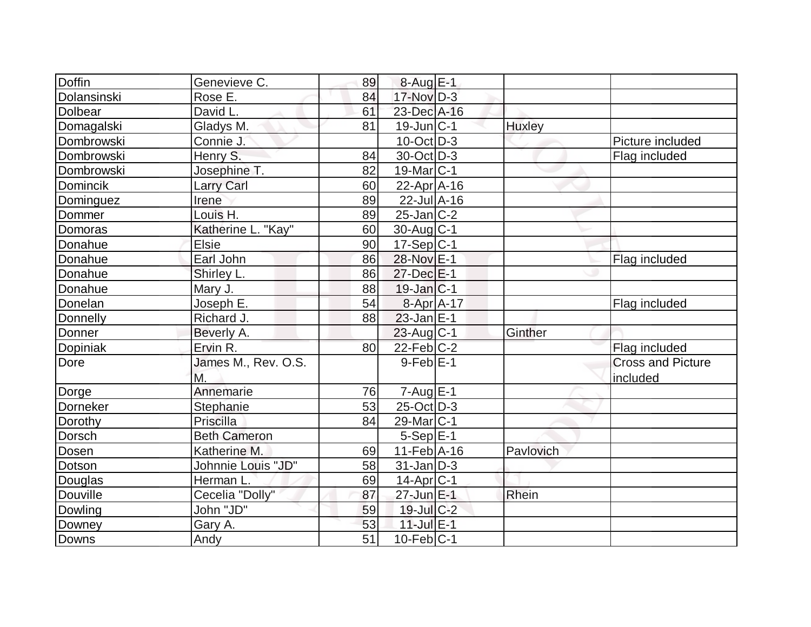| Doffin      | Genevieve C.        | 89              | $8-Auq$ $E-1$              |               |                          |
|-------------|---------------------|-----------------|----------------------------|---------------|--------------------------|
| Dolansinski | Rose E.             | 84              | $17$ -Nov $D-3$            |               |                          |
| Dolbear     | David L.            | 61              | 23-Dec A-16                |               |                          |
| Domagalski  | Gladys M.           | 81              | $19$ -Jun $ C-1 $          | <b>Huxley</b> |                          |
| Dombrowski  | Connie J.           |                 | $10$ -Oct $\overline{D-3}$ |               | Picture included         |
| Dombrowski  | Henry S.            | 84              | 30-Oct D-3                 |               | Flag included            |
| Dombrowski  | Josephine T.        | 82              | 19-Mar <sub>IC-1</sub>     |               |                          |
| Domincik    | <b>Larry Carl</b>   | 60              | $22$ -Apr $A$ -16          |               |                          |
| Dominguez   | Irene               | 89              | $22$ -Jul $A-16$           |               |                          |
| Dommer      | Louis <sub>H.</sub> | 89              | $25$ -Jan $ C-2 $          |               |                          |
| Domoras     | Katherine L. "Kay"  | 60              | $30$ -Aug $C-1$            |               |                          |
| Donahue     | <b>Elsie</b>        | 90              | $17-Sep C-1$               |               |                          |
| Donahue     | Earl John           | 86              | 28-Nov E-1                 |               | Flag included            |
| Donahue     | Shirley L.          | 86              | 27-Dec E-1                 |               |                          |
| Donahue     | Mary J.             | 88              | $19$ -Jan $ C-1 $          |               |                          |
| Donelan     | Joseph E.           | 54              | 8-Apr A-17                 |               | Flag included            |
| Donnelly    | Richard J.          | 88              | $23$ -Jan $ E-1 $          |               |                          |
| Donner      | Beverly A.          |                 | $23$ -Aug C-1              | Ginther       |                          |
| Dopiniak    | Ervin R.            | 80              | 22-Feb C-2                 |               | Flag included            |
| Dore        | James M., Rev. O.S. |                 | $9$ -Feb $E-1$             |               | <b>Cross and Picture</b> |
|             | M.                  |                 |                            |               | included                 |
| Dorge       | Annemarie           | 76              | $7 - Aug$ <sub>E-1</sub>   |               |                          |
| Dorneker    | Stephanie           | 53              | $25$ -Oct $D-3$            |               |                          |
| Dorothy     | Priscilla           | 84              | $29$ -Mar $ C-1$           |               |                          |
| Dorsch      | <b>Beth Cameron</b> |                 | $5-Sep E-1$                |               |                          |
| Dosen       | Katherine M.        | 69              | $11$ -Feb $ A-16$          | Pavlovich     |                          |
| Dotson      | Johnnie Louis "JD"  | 58              | $31$ -Jan $ D-3 $          |               |                          |
| Douglas     | Herman L.           | 69              | $14$ -Apr $ C-1$           |               |                          |
| Douville    | Cecelia "Dolly"     | 87              | 27-Jun E-1                 | Rhein         |                          |
| Dowling     | John "JD"           | 59              | $19$ -Jul $C-2$            |               |                          |
| Downey      | Gary A.             | 53              | 11-Jul E-1                 |               |                          |
| Downs       | Andy                | $\overline{51}$ | $10$ -Feb $ C-1 $          |               |                          |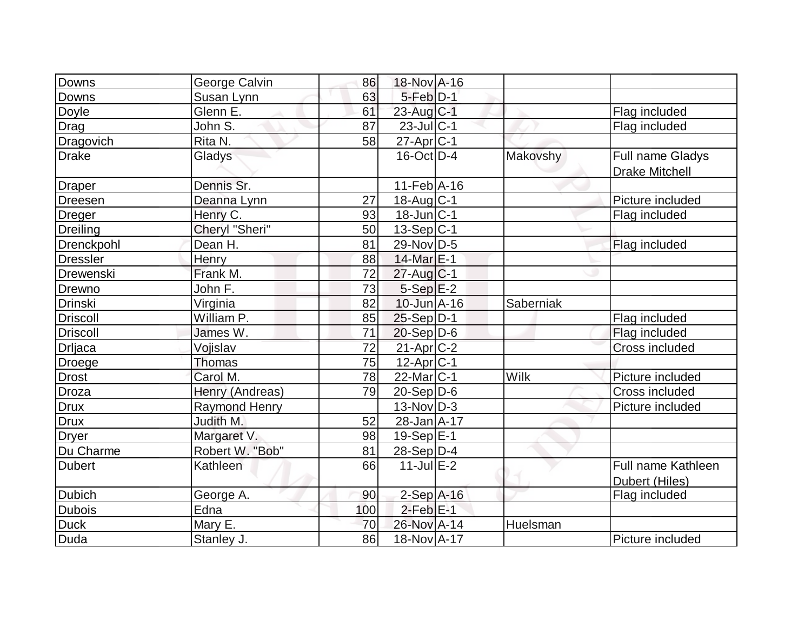| Downs           | George Calvin        | 86  | 18-Nov A-16            |           |                       |
|-----------------|----------------------|-----|------------------------|-----------|-----------------------|
| Downs           | Susan Lynn           | 63  | $5$ -Feb $D-1$         |           |                       |
| <b>Doyle</b>    | Glenn E.             | 61  | $23$ -Aug $C-1$        |           | Flag included         |
| Drag            | John S.              | 87  | $23$ -JulC-1           |           | Flag included         |
| Dragovich       | Rita N.              | 58  | $27$ -Apr $ C-1 $      |           |                       |
| <b>Drake</b>    | Gladys               |     | $16$ -Oct $ D-4 $      | Makovshy  | Full name Gladys      |
|                 |                      |     |                        |           | <b>Drake Mitchell</b> |
| Draper          | Dennis Sr.           |     | $11-Feb$ A-16          |           |                       |
| Dreesen         | Deanna Lynn          | 27  | $18$ -Aug $C-1$        |           | Picture included      |
| <b>Dreger</b>   | Henry C.             | 93  | $18$ -Jun $ C-1$       |           | Flag included         |
| Dreiling        | Cheryl "Sheri"       | 50  | $13-Sep C-1$           |           |                       |
| Drenckpohl      | Dean H.              | 81  | 29-Nov D-5             |           | Flag included         |
| <b>Dressler</b> | Henry                | 88  | 14-Mar E-1             |           |                       |
| Drewenski       | Frank M.             | 72  | $27$ -Aug C-1          |           |                       |
| Drewno          | John F.              | 73  | $5-Sep$ $E-2$          |           |                       |
| <b>Drinski</b>  | Virginia             | 82  | $10$ -Jun $A-16$       | Saberniak |                       |
| <b>Driscoll</b> | William P.           | 85  | $25-Sep D-1$           |           | Flag included         |
| <b>Driscoll</b> | James W.             | 71  | $20-Sep D-6$           |           | Flag included         |
| Drljaca         | Vojislav             | 72  | 21-Apr <sub>C-2</sub>  |           | Cross included        |
| Droege          | <b>Thomas</b>        | 75  | $12$ -Apr $ C-1 $      |           |                       |
| <b>Drost</b>    | Carol M.             | 78  | 22-Mar <sub>IC-1</sub> | Wilk      | Picture included      |
| Droza           | Henry (Andreas)      | 79  | $20-Sep D-6$           |           | Cross included        |
| <b>Drux</b>     | <b>Raymond Henry</b> |     | $13-Nov D-3$           |           | Picture included      |
| <b>Drux</b>     | Judith M.            | 52  | 28-Jan A-17            |           |                       |
| <b>Dryer</b>    | Margaret V.          | 98  | $19-Sep$ $E-1$         |           |                       |
| Du Charme       | Robert W. "Bob"      | 81  | 28-Sep D-4             |           |                       |
| <b>Dubert</b>   | Kathleen             | 66  | $11$ -Jul E-2          |           | Full name Kathleen    |
|                 |                      |     |                        |           | Dubert (Hiles)        |
| <b>Dubich</b>   | George A.            | 90  | $2-Sep$ A-16           |           | Flag included         |
| <b>Dubois</b>   | Edna                 | 100 | $2-FebE-1$             |           |                       |
| <b>Duck</b>     | Mary E.              | 70  | 26-Nov A-14            | Huelsman  |                       |
| Duda            | Stanley J.           | 86  | 18-Nov A-17            |           | Picture included      |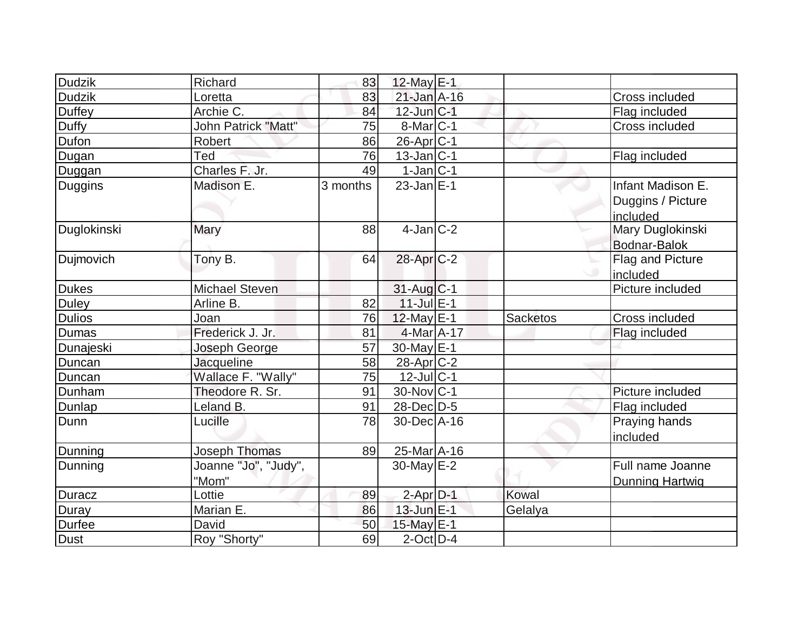| Dudzik        | Richard               | 83       | 12-May $E-1$          |          |                        |
|---------------|-----------------------|----------|-----------------------|----------|------------------------|
| <b>Dudzik</b> | Loretta               | 83       | $21$ -Jan $A-16$      |          | Cross included         |
| Duffey        | Archie C.             | 84       | $12$ -Jun $ C-1 $     |          | Flag included          |
| Duffy         | John Patrick "Matt"   | 75       | $8$ -Mar $ C-1$       |          | Cross included         |
| <b>Dufon</b>  | Robert                | 86       | 26-Apr <sub>C-1</sub> |          |                        |
| Dugan         | Ted                   | 76       | $13$ -Jan $C-1$       |          | Flag included          |
| Duggan        | Charles F. Jr.        | 49       | $1$ -Jan $ C-1 $      |          |                        |
| Duggins       | Madison E.            | 3 months | $23$ -Jan $E-1$       |          | Infant Madison E.      |
|               |                       |          |                       |          | Duggins / Picture      |
|               |                       |          |                       |          | included               |
| Duglokinski   | Mary                  | 88       | $4-Jan$ $C-2$         |          | Mary Duglokinski       |
|               |                       |          |                       |          | Bodnar-Balok           |
| Dujmovich     | Tony B.               | 64       | 28-Apr <sub>C-2</sub> |          | Flag and Picture       |
|               |                       |          |                       |          | included               |
| <b>Dukes</b>  | <b>Michael Steven</b> |          | 31-Aug C-1            |          | Picture included       |
| <b>Duley</b>  | Arline B.             | 82       | $11$ -Jul $E-1$       |          |                        |
| <b>Dulios</b> | Joan                  | 76       | 12-May E-1            | Sacketos | Cross included         |
| <b>Dumas</b>  | Frederick J. Jr.      | 81       | $4$ -Mar $A$ -17      |          | Flag included          |
| Dunajeski     | Joseph George         | 57       | 30-May E-1            |          |                        |
| Duncan        | <b>Jacqueline</b>     | 58       | $28$ -Apr $ C-2 $     |          |                        |
| Duncan        | Wallace F. "Wally"    | 75       | $12$ -Jul $ C-1$      |          |                        |
| Dunham        | Theodore R. Sr.       | 91       | $30$ -Nov $ C-1$      |          | Picture included       |
| Dunlap        | Leland B.             | 91       | 28-Dec D-5            |          | Flag included          |
| Dunn          | Lucille               | 78       | 30-Dec A-16           |          | Praying hands          |
|               |                       |          |                       |          | included               |
| Dunning       | Joseph Thomas         | 89       | 25-Mar A-16           |          |                        |
| Dunning       | Joanne "Jo", "Judy",  |          | $30$ -May $E-2$       |          | Full name Joanne       |
|               | "Mom"                 |          |                       |          | <b>Dunning Hartwig</b> |
| Duracz        | Lottie                | 89       | $2$ -Apr $D-1$        | Kowal    |                        |
| Duray         | Marian E.             | 86       | $13$ -Jun $E-1$       | Gelalya  |                        |
| <b>Durfee</b> | David                 | 50       | 15-May E-1            |          |                        |
| Dust          | Roy "Shorty"          | 69       | $2$ -Oct $ D-4 $      |          |                        |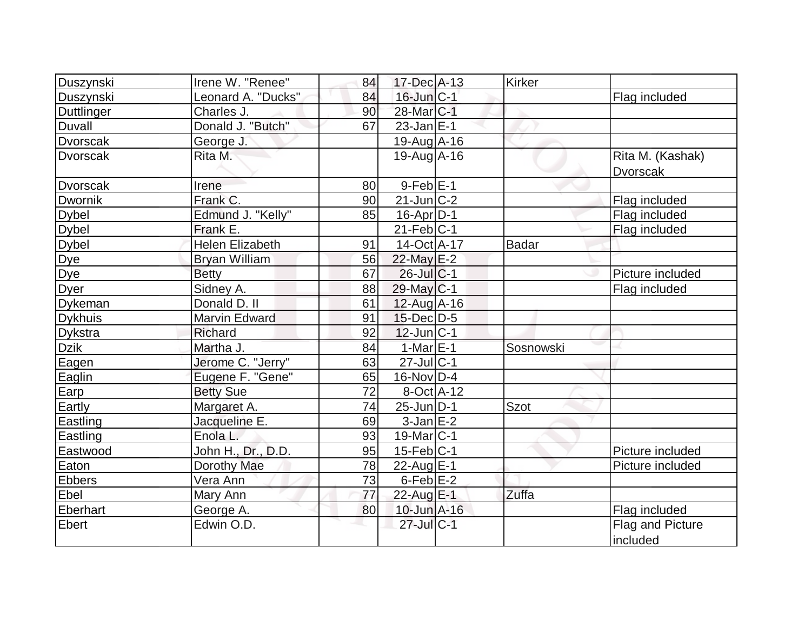| Duszynski       | Irene W. "Renee"       | 84 | 17-Dec A-13           | <b>Kirker</b> |                  |
|-----------------|------------------------|----|-----------------------|---------------|------------------|
| Duszynski       | Leonard A. "Ducks"     | 84 | $16$ -Jun $ C-1 $     |               | Flag included    |
| Duttlinger      | Charles J.             | 90 | 28-Mar <sub>C-1</sub> |               |                  |
| <b>Duvall</b>   | Donald J. "Butch"      | 67 | $23$ -Jan $E-1$       |               |                  |
| <b>Dvorscak</b> | George J.              |    | $19-Aug$ $A-16$       |               |                  |
| <b>Dvorscak</b> | Rita M.                |    | 19-Aug A-16           |               | Rita M. (Kashak) |
|                 |                        |    |                       |               | <b>Dvorscak</b>  |
| <b>Dvorscak</b> | Irene                  | 80 | $9-FebE-1$            |               |                  |
| <b>Dwornik</b>  | Frank C.               | 90 | $21$ -Jun $ C-2 $     |               | Flag included    |
| <b>Dybel</b>    | Edmund J. "Kelly"      | 85 | $16$ -Apr $D-1$       |               | Flag included    |
| <b>Dybel</b>    | Frank E.               |    | $21$ -Feb $ C-1$      |               | Flag included    |
| <b>Dybel</b>    | <b>Helen Elizabeth</b> | 91 | 14-Oct A-17           | Badar         |                  |
| <b>Dye</b>      | <b>Bryan William</b>   | 56 | 22-May E-2            |               |                  |
| Dye             | <b>Betty</b>           | 67 | $26$ -Jul $C-1$       |               | Picture included |
| <b>Dyer</b>     | Sidney A.              | 88 | 29-May C-1            |               | Flag included    |
| Dykeman         | Donald D. II           | 61 | $12$ -Aug A-16        |               |                  |
| <b>Dykhuis</b>  | <b>Marvin Edward</b>   | 91 | $15$ -Dec $D-5$       |               |                  |
| <b>Dykstra</b>  | Richard                | 92 | $12$ -Jun $ C-1$      |               |                  |
| <b>Dzik</b>     | Martha J.              | 84 | $1-MarE-1$            | Sosnowski     |                  |
| Eagen           | Jerome C. "Jerry"      | 63 | $27$ -Jul C-1         |               |                  |
| Eaglin          | Eugene F. "Gene"       | 65 | $16$ -Nov $ D-4$      |               |                  |
| Earp            | <b>Betty Sue</b>       | 72 | 8-Oct A-12            |               |                  |
| Eartly          | Margaret A.            | 74 | $25$ -Jun $D-1$       | <b>Szot</b>   |                  |
| Eastling        | Jacqueline E.          | 69 | $3$ -Jan $E-2$        |               |                  |
| Eastling        | Enola L.               | 93 | $19$ -Mar $ C-1$      |               |                  |
| Eastwood        | John H., Dr., D.D.     | 95 | $15$ -Feb $ C-1$      |               | Picture included |
| Eaton           | Dorothy Mae            | 78 | 22-Aug $E-1$          |               | Picture included |
| <b>Ebbers</b>   | Vera Ann               | 73 | $6$ -Feb $E-2$        |               |                  |
| Ebel            | Mary Ann               | 77 | 22-Aug E-1            | Zuffa         |                  |
| <b>Eberhart</b> | George A.              | 80 | 10-Jun A-16           |               | Flag included    |
| <b>Ebert</b>    | Edwin O.D.             |    | 27-Jul C-1            |               | Flag and Picture |
|                 |                        |    |                       |               | included         |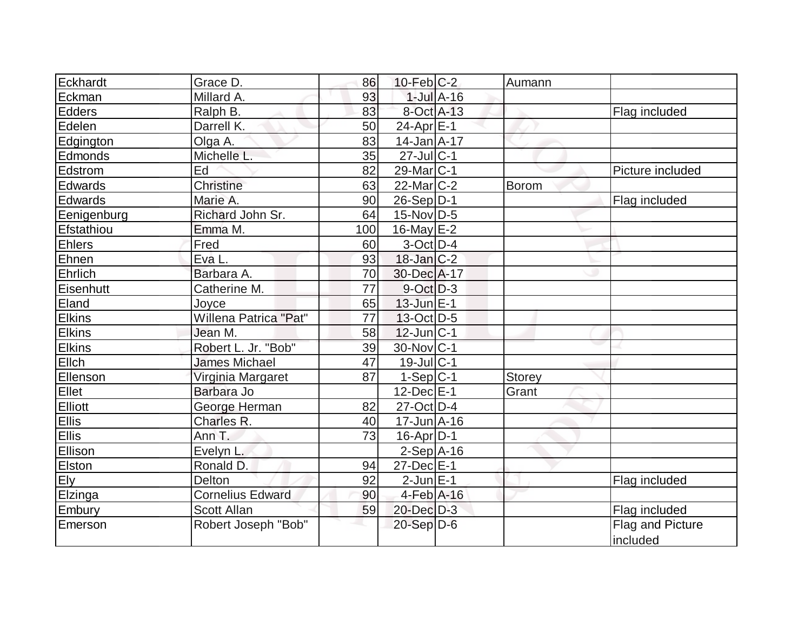| Eckhardt      | Grace D.                | 86  | $10$ -Feb $ C-2 $ |                 | Aumann |                  |
|---------------|-------------------------|-----|-------------------|-----------------|--------|------------------|
| Eckman        | Millard A.              | 93  |                   | $1$ -Jul $A-16$ |        |                  |
| Edders        | Ralph B.                | 83  | 8-Oct A-13        |                 |        | Flag included    |
| Edelen        | Darrell K.              | 50  | 24-Apr $E-1$      |                 |        |                  |
| Edgington     | Olga A.                 | 83  | $14$ -Jan $A$ -17 |                 |        |                  |
| Edmonds       | Michelle L.             | 35  | $27$ -Jul C-1     |                 |        |                  |
| Edstrom       | Ed                      | 82  | $29$ -Mar $ C-1$  |                 |        | Picture included |
| Edwards       | Christine               | 63  | $22$ -Mar $C-2$   |                 | Borom  |                  |
| Edwards       | Marie A.                | 90  | $26-Sep D-1$      |                 |        | Flag included    |
| Eenigenburg   | Richard John Sr.        | 64  | $15$ -Nov $ D-5$  |                 |        |                  |
| Efstathiou    | Emma M.                 | 100 | $16$ -May $E-2$   |                 |        |                  |
| <b>Ehlers</b> | Fred                    | 60  | $3-Oct$ D-4       |                 |        |                  |
| Ehnen         | Eva L.                  | 93  | $18$ -Jan $ C-2 $ |                 |        |                  |
| Ehrlich       | Barbara A.              | 70  | 30-Dec A-17       |                 |        |                  |
| Eisenhutt     | Catherine M.            | 77  | $9-Oct$ D-3       |                 |        |                  |
| Eland         | Joyce                   | 65  | $13$ -Jun $E-1$   |                 |        |                  |
| Elkins        | Willena Patrica "Pat"   | 77  | $13-Oct$ D-5      |                 |        |                  |
| <b>Elkins</b> | Jean M.                 | 58  | $12$ -Jun $ C-1$  |                 |        |                  |
| <b>Elkins</b> | Robert L. Jr. "Bob"     | 39  | 30-Nov C-1        |                 |        |                  |
| Ellch         | <b>James Michael</b>    | 47  | $19$ -Jul $C-1$   |                 |        |                  |
| Ellenson      | Virginia Margaret       | 87  | $1-Sep C-1$       |                 | Storey |                  |
| Ellet         | Barbara Jo              |     | $12$ -Dec $E-1$   |                 | Grant  |                  |
| Elliott       | George Herman           | 82  | $27$ -Oct $D-4$   |                 |        |                  |
| Ellis         | Charles R.              | 40  | $17$ -Jun $A$ -16 |                 |        |                  |
| Ellis         | Ann T.                  | 73  | $16$ -Apr $ D-1 $ |                 |        |                  |
| Ellison       | Evelyn L.               |     | $2-Sep$ A-16      |                 |        |                  |
| Elston        | Ronald D.               | 94  | $27$ -Dec $E-1$   |                 |        |                  |
| Ely           | <b>Delton</b>           | 92  | $2$ -Jun $E-1$    |                 |        | Flag included    |
| Elzinga       | <b>Cornelius Edward</b> | 90  | $4$ -Feb $A$ -16  |                 |        |                  |
| Embury        | <b>Scott Allan</b>      | 59  | $20$ -Dec $D-3$   |                 |        | Flag included    |
| Emerson       | Robert Joseph "Bob"     |     | $20-Sep$ D-6      |                 |        | Flag and Picture |
|               |                         |     |                   |                 |        | included         |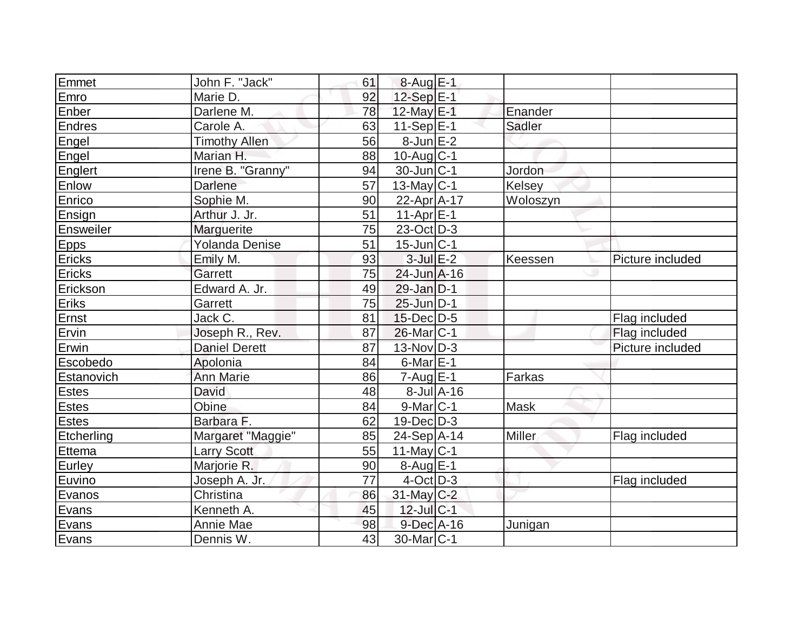| Emmet           | John F. "Jack"        | 61              | $8-Aug$ $E-1$            |               |                  |
|-----------------|-----------------------|-----------------|--------------------------|---------------|------------------|
| Emro            | Marie D.              | 92              | 12-Sep E-1               |               |                  |
| Enber           | Darlene M.            | 78              | 12-May E-1               | Enander       |                  |
| <b>Endres</b>   | Carole A.             | 63              | $11-Sep$ $E-1$           | Sadler        |                  |
| Engel           | <b>Timothy Allen</b>  | 56              | $8$ -Jun $E-2$           |               |                  |
| Engel           | Marian H.             | 88              | $10$ -Aug C-1            |               |                  |
| Englert         | Irene B. "Granny"     | 94              | $30$ -Jun $ C-1$         | Jordon        |                  |
| Enlow           | Darlene               | $\overline{57}$ | $13$ -May C-1            | <b>Kelsey</b> |                  |
| Enrico          | Sophie M.             | 90              | 22-Apr A-17              | Woloszyn      |                  |
| Ensign          | Arthur J. Jr.         | 51              | $11-Apr$ $E-1$           |               |                  |
| Ensweiler       | Marguerite            | 75              | $23-Oct$ D-3             |               |                  |
| <b>Epps</b>     | <b>Yolanda Denise</b> | 51              | $15$ -Jun $ C-1 $        |               |                  |
| Ericks          | Emily M.              | 93              | $3$ -Jul $E-2$           | Keessen       | Picture included |
| <b>Ericks</b>   | Garrett               | 75              | 24-Jun A-16              |               |                  |
| Erickson        | Edward A. Jr.         | 49              | 29-Jan D-1               |               |                  |
| Eriks           | Garrett               | 75              | 25-Jun D-1               |               |                  |
| Ernst           | Jack C.               | 81              | $15$ -Dec $D-5$          |               | Flag included    |
| Ervin           | Joseph R., Rev.       | 87              | 26-Mar <sub>IC-1</sub>   |               | Flag included    |
| Erwin           | <b>Daniel Derett</b>  | 87              | $13-Nov$ D-3             |               | Picture included |
| <b>Escobedo</b> | Apolonia              | 84              | $6$ -Mar $E-1$           |               |                  |
| Estanovich      | <b>Ann Marie</b>      | 86              | $7 - Aug$ <sub>E-1</sub> | Farkas        |                  |
| <b>Estes</b>    | <b>David</b>          | 48              | $8$ -Jul $A$ -16         |               |                  |
| <b>Estes</b>    | Obine                 | 84              | $9$ -Mar $ C-1 $         | <b>Mask</b>   |                  |
| <b>Estes</b>    | Barbara F.            | 62              | $19$ -Dec $D-3$          |               |                  |
| Etcherling      | Margaret "Maggie"     | 85              | $24-Sep$ A-14            | <b>Miller</b> | Flag included    |
| <b>Ettema</b>   | <b>Larry Scott</b>    | 55              | $11$ -May C-1            |               |                  |
| Eurley          | Marjorie R.           | 90              | $8-Auq$ $E-1$            |               |                  |
| Euvino          | Joseph A. Jr.         | 77              | $4$ -Oct $ D-3 $         |               | Flag included    |
| Evanos          |                       |                 | $31$ -May C-2            |               |                  |
|                 | Christina             | 86              |                          |               |                  |
| Evans           | Kenneth A.            | 45              | $12$ -Jul C-1            |               |                  |
| Evans<br>Evans  | Annie Mae             | 98              | $9$ -Dec $A$ -16         | Junigan       |                  |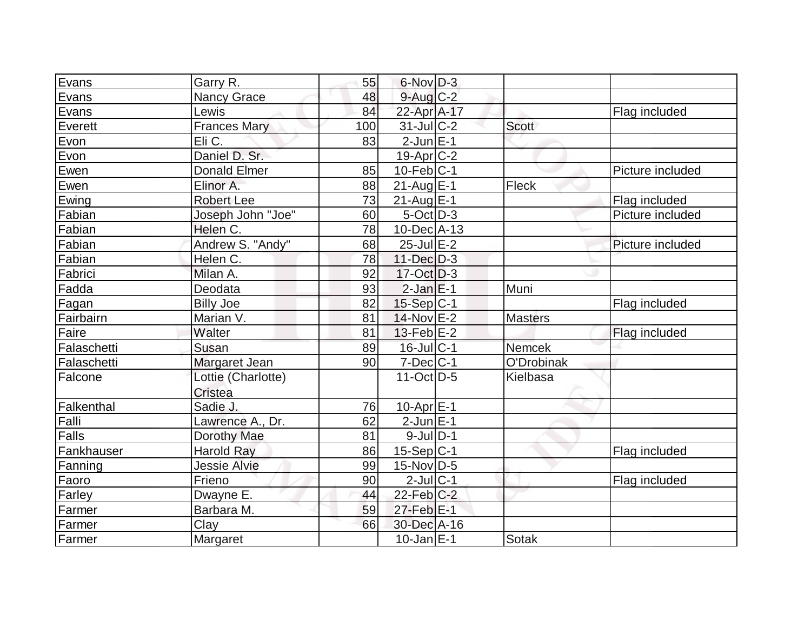| Evans             | Garry R.                      | 55  | $6$ -Nov $D-3$    |                |                  |
|-------------------|-------------------------------|-----|-------------------|----------------|------------------|
| Evans             | <b>Nancy Grace</b>            | 48  | $9$ -Aug $C$ -2   |                |                  |
| Evans             | Lewis                         | 84  | 22-Apr A-17       |                | Flag included    |
| Everett           | <b>Frances Mary</b>           | 100 | $31$ -JulC-2      | <b>Scott</b>   |                  |
| Evon              | Eli C.                        | 83  | $2-JunE-1$        |                |                  |
| Evon              | Daniel D. Sr.                 |     | $19-Apr$ $C-2$    |                |                  |
| Ewen              | <b>Donald Elmer</b>           | 85  | $10$ -Feb $ C-1$  |                | Picture included |
| Ewen              | Elinor A.                     | 88  | $21$ -Aug $E$ -1  | Fleck          |                  |
| Ewing             | <b>Robert Lee</b>             | 73  | $21$ -Aug $E-1$   |                | Flag included    |
| Fabian            | Joseph John "Joe"             | 60  | $5-Oct$ D-3       |                | Picture included |
| Fabian            | Helen C.                      | 78  | 10-Dec A-13       |                |                  |
| Fabian            | Andrew S. "Andy"              | 68  | $25$ -Jul $E-2$   |                | Picture included |
| Fabian            | Helen C.                      | 78  | $11 - Dec$ $D-3$  |                |                  |
| Fabrici           | Milan A.                      | 92  | $17-Oct$ D-3      |                |                  |
| Fadda             | Deodata                       | 93  | $2$ -Jan $E-1$    | Muni           |                  |
| Fagan             | <b>Billy Joe</b>              | 82  | $15-Sep C-1$      |                | Flag included    |
| Fairbairn         | Marian V.                     | 81  | 14-Nov E-2        | <b>Masters</b> |                  |
| Faire             | Walter                        | 81  | $13$ -Feb $E-2$   |                | Flag included    |
| Falaschetti       | Susan                         | 89  | 16-Jul C-1        | Nemcek         |                  |
| Falaschetti       | Margaret Jean                 | 90  | $7$ -Dec $ C-1$   | O'Drobinak     |                  |
| Falcone           | Lottie (Charlotte)<br>Cristea |     | $11-Oct$ D-5      | Kielbasa       |                  |
| <b>Falkenthal</b> | Sadie J.                      | 76  | $10$ -Apr $E-1$   |                |                  |
| Falli             | Lawrence A., Dr.              | 62  | $2$ -Jun $E-1$    |                |                  |
| Falls             | Dorothy Mae                   | 81  | $9$ -Jul $D-1$    |                |                  |
| Fankhauser        | <b>Harold Ray</b>             | 86  | $15-Sep C-1$      |                | Flag included    |
| Fanning           | <b>Jessie Alvie</b>           | 99  | $15$ -Nov $ D-5 $ |                |                  |
| Faoro             | Frieno                        | 90  | $2$ -Jul $ C-1$   |                | Flag included    |
| Farley            | Dwayne E.                     | 44  | $22$ -Feb $C-2$   |                |                  |
| Farmer            | Barbara M.                    | 59  | $27$ -Feb $E-1$   |                |                  |
| Farmer            | Clay                          | 66  | 30-Dec A-16       |                |                  |
| Farmer            | Margaret                      |     | $10$ -Jan $E-1$   | Sotak          |                  |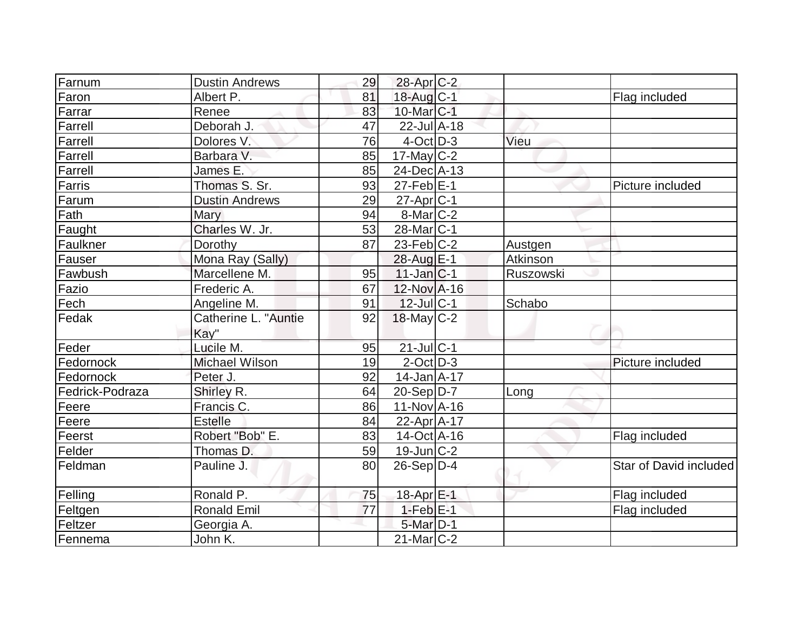| Farnum          | <b>Dustin Andrews</b> | 29 | 28-Apr C-2                 |           |                        |
|-----------------|-----------------------|----|----------------------------|-----------|------------------------|
| Faron           | Albert P.             | 81 | 18-Aug C-1                 |           | Flag included          |
| Farrar          | Renee                 | 83 | 10-Mar C-1                 |           |                        |
| Farrell         | Deborah J.            | 47 | $22$ -Jul $A-18$           |           |                        |
| Farrell         | Dolores V.            | 76 | $4$ -Oct $\overline{D}$ -3 | Vieu      |                        |
| Farrell         | Barbara V.            | 85 | $17$ -May $C-2$            |           |                        |
| Farrell         | James E.              | 85 | 24-Dec A-13                |           |                        |
| Farris          | Thomas S. Sr.         | 93 | $27$ -Feb $ E-1 $          |           | Picture included       |
| Farum           | <b>Dustin Andrews</b> | 29 | 27-Apr C-1                 |           |                        |
| Fath            | Mary                  | 94 | $8$ -Mar $ C-2 $           |           |                        |
| Faught          | Charles W. Jr.        | 53 | 28-Mar <sub>IC-1</sub>     |           |                        |
| Faulkner        | Dorothy               | 87 | $23$ -Feb $ C-2 $          | Austgen   |                        |
| Fauser          | Mona Ray (Sally)      |    | 28-Aug E-1                 | Atkinson  |                        |
| Fawbush         | Marcellene M.         | 95 | $11$ -Jan $ C-1$           | Ruszowski |                        |
| Fazio           | Frederic A.           | 67 | 12-Nov A-16                |           |                        |
| Fech            | Angeline M.           | 91 | $12$ -Jul C-1              | Schabo    |                        |
| Fedak           | Catherine L. "Auntie  | 92 | $18$ -May C-2              |           |                        |
|                 | Kay"                  |    |                            |           |                        |
| Feder           | Lucile M.             | 95 | $21$ -Jul C-1              |           |                        |
| Fedornock       | <b>Michael Wilson</b> | 19 | $2$ -Oct $D-3$             |           | Picture included       |
| Fedornock       | Peter J.              | 92 | $14$ -Jan $A$ -17          |           |                        |
| Fedrick-Podraza | Shirley R.            | 64 | $20-Sep D-7$               | Long      |                        |
| Feere           | Francis C.            | 86 | $11-Nov$ A-16              |           |                        |
| Feere           | <b>Estelle</b>        | 84 | 22-Apr A-17                |           |                        |
| Feerst          | Robert "Bob" E.       | 83 | $14$ -Oct $ A-16$          |           | Flag included          |
| Felder          | Thomas D.             | 59 | $19$ -Jun $C-2$            |           |                        |
| Feldman         | Pauline J.            | 80 | $26-Sep D-4$               |           | Star of David included |
|                 |                       |    |                            |           |                        |
| Felling         | Ronald P.             | 75 | 18-Apr E-1                 |           | Flag included          |
| Feltgen         | <b>Ronald Emil</b>    | 77 | $1-Feb$ $E-1$              |           | Flag included          |
| Feltzer         | Georgia A.            |    | 5-Mar D-1                  |           |                        |
| Fennema         | John K.               |    | $21$ -Mar $ C-2 $          |           |                        |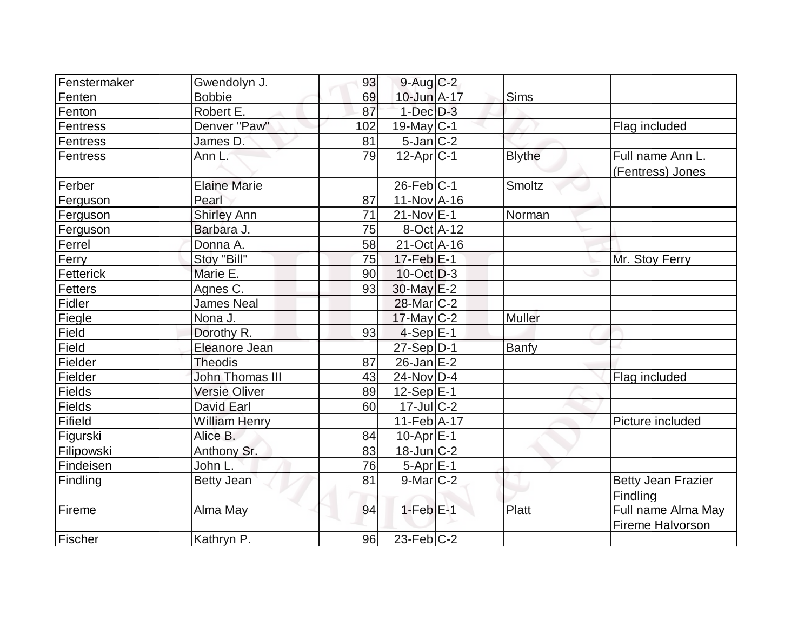| Fenstermaker | Gwendolyn J.           | 93  | $9$ -Aug C-2      |               |                                        |
|--------------|------------------------|-----|-------------------|---------------|----------------------------------------|
| Fenten       | <b>Bobbie</b>          | 69  | 10-Jun A-17       | <b>Sims</b>   |                                        |
| Fenton       | Robert E.              | 87  | $1$ -Dec $D-3$    |               |                                        |
| Fentress     | Denver "Paw"           | 102 | 19-May C-1        |               | Flag included                          |
| Fentress     | James D.               | 81  | $5$ -Jan $ C-2 $  |               |                                        |
| Fentress     | Ann L.                 | 79  | $12$ -Apr $ C-1 $ | <b>Blythe</b> | Full name Ann L.<br>(Fentress) Jones   |
| Ferber       | <b>Elaine Marie</b>    |     | $26$ -Feb $ C-1$  | Smoltz        |                                        |
| Ferguson     | Pearl                  | 87  | $11-Nov1 - 16$    |               |                                        |
| Ferguson     | <b>Shirley Ann</b>     | 71  | $21$ -Nov $E-1$   | Norman        |                                        |
| Ferguson     | Barbara J.             | 75  | 8-Oct A-12        |               |                                        |
| Ferrel       | Donna A.               | 58  | $21$ -Oct A-16    |               |                                        |
| Ferry        | Stoy "Bill"            | 75  | 17-Feb E-1        |               | Mr. Stoy Ferry                         |
| Fetterick    | Marie E.               | 90  | $10$ -Oct D-3     |               |                                        |
| Fetters      | Agnes C.               | 93  | $30$ -May $E-2$   |               |                                        |
| Fidler       | <b>James Neal</b>      |     | 28-Mar C-2        |               |                                        |
| Fiegle       | Nona J.                |     | $17$ -May C-2     | <b>Muller</b> |                                        |
| Field        | Dorothy R.             | 93  | $4-Sep E-1$       |               |                                        |
| Field        | Eleanore Jean          |     | $27-Sep$ D-1      | <b>Banfy</b>  |                                        |
| Fielder      | <b>Theodis</b>         | 87  | $26$ -Jan $E-2$   |               |                                        |
| Fielder      | <b>John Thomas III</b> | 43  | 24-Nov D-4        |               | Flag included                          |
| Fields       | <b>Versie Oliver</b>   | 89  | $12-Sep E-1$      |               |                                        |
| Fields       | <b>David Earl</b>      | 60  | $17$ -Jul $ C-2 $ |               |                                        |
| Fifield      | <b>William Henry</b>   |     | $11-Feb$ A-17     |               | Picture included                       |
| Figurski     | Alice B.               | 84  | $10$ -Apr $E-1$   |               |                                        |
| Filipowski   | Anthony Sr.            | 83  | 18-Jun C-2        |               |                                        |
| Findeisen    | John L.                | 76  | $5-Apr$ $E-1$     |               |                                        |
| Findling     | <b>Betty Jean</b>      | 81  | $9$ -Mar $ C-2 $  |               | <b>Betty Jean Frazier</b><br>Findling  |
| Fireme       | Alma May               | 94  | $1-Feb$ $E-1$     | <b>Platt</b>  | Full name Alma May<br>Fireme Halvorson |
| Fischer      | Kathryn P.             | 96  | $23$ -Feb $ C-2 $ |               |                                        |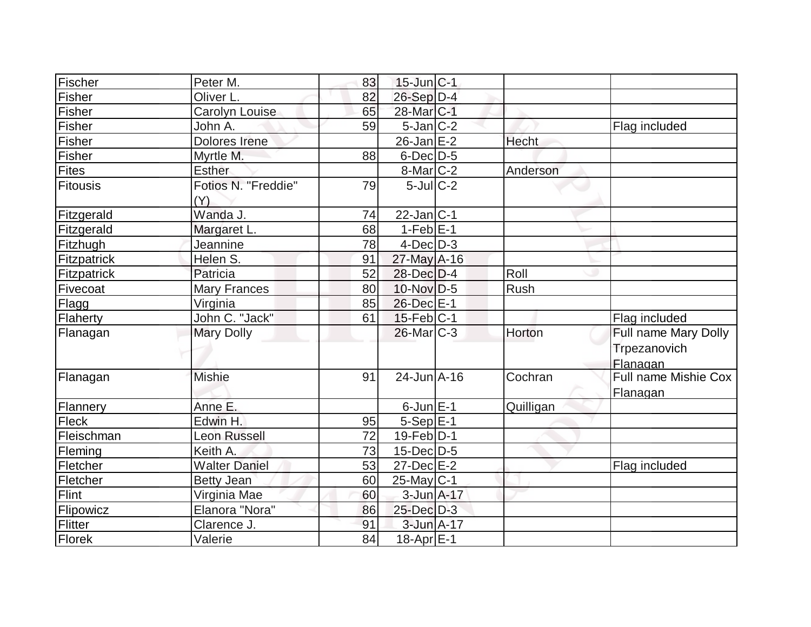| Fischer      | Peter M.                   | 83 | $15$ -Jun $C-1$       |           |                                  |
|--------------|----------------------------|----|-----------------------|-----------|----------------------------------|
| Fisher       | Oliver L.                  | 82 | 26-Sep D-4            |           |                                  |
| Fisher       | Carolyn Louise             | 65 | 28-Mar <sub>C-1</sub> |           |                                  |
| Fisher       | John A.                    | 59 | $5$ -Jan $ C-2 $      |           | Flag included                    |
| Fisher       | Dolores Irene              |    | $26$ -Jan $E-2$       | Hecht     |                                  |
| Fisher       | Myrtle M.                  | 88 | $6$ -Dec $D-5$        |           |                                  |
| <b>Fites</b> | <b>Esther</b>              |    | $8$ -Mar $C-2$        | Anderson  |                                  |
| Fitousis     | Fotios N. "Freddie"<br>(Y) | 79 | $5$ -Jul $C-2$        |           |                                  |
| Fitzgerald   | Wanda J.                   | 74 | $22$ -Jan C-1         |           |                                  |
| Fitzgerald   | Margaret L.                | 68 | $1-FebE-1$            |           |                                  |
| Fitzhugh     | Jeannine                   | 78 | $4$ -Dec $D-3$        |           |                                  |
| Fitzpatrick  | Helen S.                   | 91 | $27$ -May $A-16$      |           |                                  |
| Fitzpatrick  | Patricia                   | 52 | $28$ -Dec $D-4$       | Roll      |                                  |
| Fivecoat     | <b>Mary Frances</b>        | 80 | $10$ -Nov $D-5$       | Rush      |                                  |
| Flagg        | Virginia                   | 85 | 26-Dec E-1            |           |                                  |
| Flaherty     | John C. "Jack"             | 61 | $15$ -Feb $ C-1 $     |           | Flag included                    |
| Flanagan     | <b>Mary Dolly</b>          |    | $26$ -Mar $C-3$       | Horton    | Full name Mary Dolly             |
|              |                            |    |                       |           | Trpezanovich<br>Flanagan         |
| Flanagan     | <b>Mishie</b>              | 91 | $24$ -Jun $A-16$      | Cochran   | Full name Mishie Cox<br>Flanagan |
| Flannery     | Anne E.                    |    | $6$ -Jun $E-1$        | Quilligan |                                  |
| <b>Fleck</b> | Edwin H.                   | 95 | $5-Sep E-1$           |           |                                  |
| Fleischman   | <b>Leon Russell</b>        | 72 | $19$ -Feb $ D-1 $     |           |                                  |
| Fleming      | Keith A.                   | 73 | $15$ -Dec $ D-5$      |           |                                  |
| Fletcher     | <b>Walter Daniel</b>       | 53 | $27 - Dec$ $E-2$      |           | Flag included                    |
| Fletcher     | <b>Betty Jean</b>          | 60 | $25$ -May C-1         |           |                                  |
| Flint        | Virginia Mae               | 60 | $3$ -Jun $A$ -17      |           |                                  |
| Flipowicz    | Elanora "Nora"             | 86 | $25$ -Dec $D-3$       |           |                                  |
| Flitter      | Clarence J.                | 91 | 3-Jun A-17            |           |                                  |
| Florek       | Valerie                    | 84 | $18$ -Apr $E-1$       |           |                                  |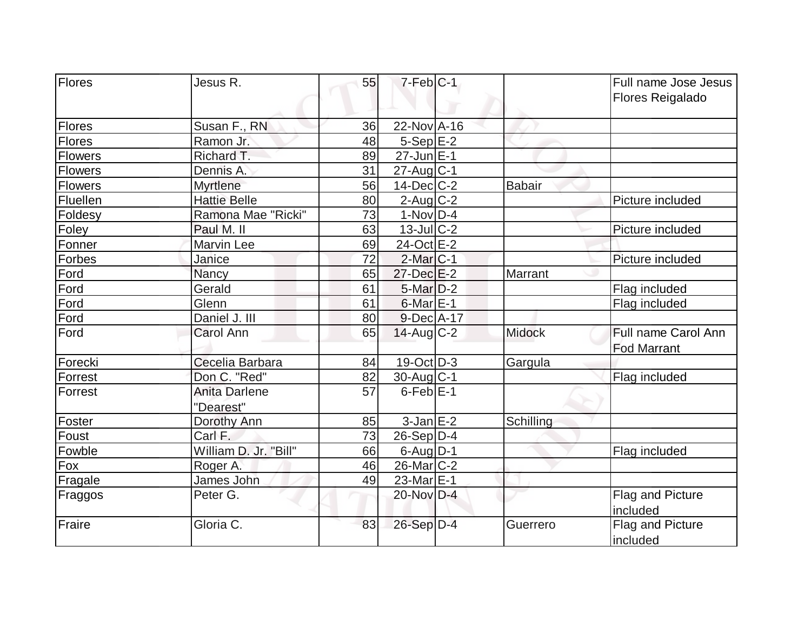| <b>Flores</b>  | Jesus R.                   | 55 | $7-Feb C-1$       |               | Full name Jose Jesus<br><b>Flores Reigalado</b> |
|----------------|----------------------------|----|-------------------|---------------|-------------------------------------------------|
| Flores         | Susan F., RN               | 36 | 22-Nov A-16       |               |                                                 |
| Flores         | Ramon Jr.                  | 48 | $5-Sep$ $E-2$     |               |                                                 |
| <b>Flowers</b> | Richard T.                 | 89 | 27-Jun E-1        |               |                                                 |
| Flowers        | Dennis A.                  | 31 | 27-Aug C-1        |               |                                                 |
| <b>Flowers</b> | Myrtlene                   | 56 | $14$ -Dec $ C-2 $ | Babair        |                                                 |
| Fluellen       | <b>Hattie Belle</b>        | 80 | $2$ -Aug C-2      |               | Picture included                                |
| Foldesy        | Ramona Mae "Ricki"         | 73 | $1-Nov D-4$       |               |                                                 |
| Foley          | Paul M. II                 | 63 | $13$ -Jul $C-2$   |               | Picture included                                |
| Fonner         | Marvin Lee                 | 69 | 24-Oct E-2        |               |                                                 |
| Forbes         | Janice                     | 72 | $2$ -Mar $C-1$    |               | Picture included                                |
| Ford           | Nancy                      | 65 | $27$ -Dec $E-2$   | Marrant       |                                                 |
| Ford           | Gerald                     | 61 | $5$ -Mar $D-2$    |               | Flag included                                   |
| Ford           | Glenn                      | 61 | $6$ -Mar $E-1$    |               | Flag included                                   |
| Ford           | Daniel J. III              | 80 | 9-Dec A-17        |               |                                                 |
| Ford           | <b>Carol Ann</b>           | 65 | $14$ -Aug C-2     | <b>Midock</b> | Full name Carol Ann<br><b>Fod Marrant</b>       |
| Forecki        | Cecelia Barbara            | 84 | $19-Oct$ D-3      | Gargula       |                                                 |
| Forrest        | Don C. "Red"               | 82 | $30$ -Aug C-1     |               | Flag included                                   |
| Forrest        | Anita Darlene<br>"Dearest" | 57 | $6$ -Feb $E-1$    |               |                                                 |
| Foster         | Dorothy Ann                | 85 | $3$ -Jan $E-2$    | Schilling     |                                                 |
| Foust          | Carl F.                    | 73 | $26-Sep D-4$      |               |                                                 |
| Fowble         | William D. Jr. "Bill"      | 66 | $6$ -Aug $D-1$    |               | Flag included                                   |
| Fox            | Roger A.                   | 46 | $26$ -Mar $C-2$   |               |                                                 |
| Fragale        | James John                 | 49 | $23$ -Mar $E-1$   |               |                                                 |
| <b>Fraggos</b> | Peter G.                   |    | 20-Nov D-4        |               | Flag and Picture<br>included                    |
| Fraire         | Gloria C.                  | 83 | $26-Sep$ D-4      | Guerrero      | <b>Flag and Picture</b><br>included             |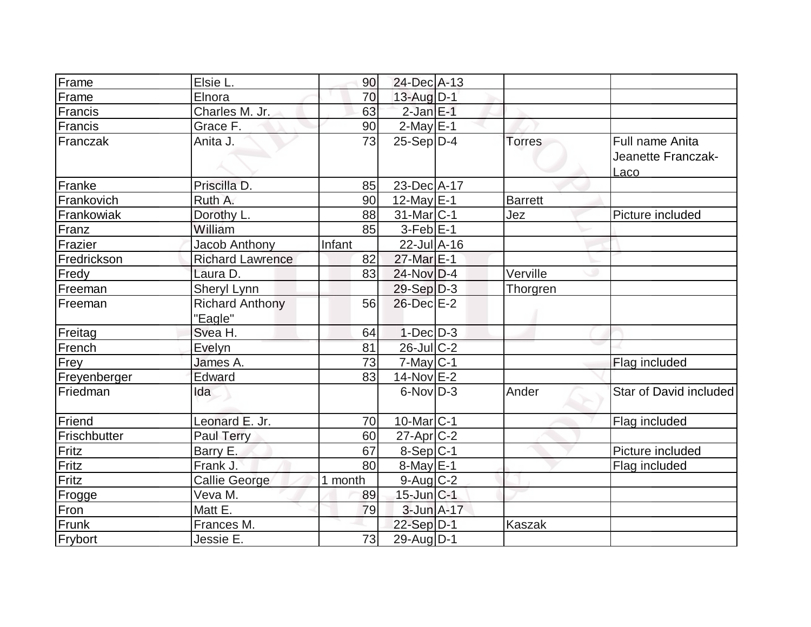| Frame        | Elsie L.                          | 90      | $24$ -Dec $A-13$      |                |                                               |
|--------------|-----------------------------------|---------|-----------------------|----------------|-----------------------------------------------|
| Frame        | Elnora                            | 70      | 13-Aug D-1            |                |                                               |
| Francis      | Charles M. Jr.                    | 63      | $2$ -Jan $E-1$        |                |                                               |
| Francis      | Grace F.                          | 90      | $2$ -May $E-1$        |                |                                               |
| Franczak     | Anita J.                          | 73      | $25-Sep D-4$          | <b>Torres</b>  | Full name Anita<br>Jeanette Franczak-<br>Laco |
| Franke       | Priscilla D.                      | 85      | 23-Dec A-17           |                |                                               |
| Frankovich   | Ruth A.                           | 90      | $12$ -May $E-1$       | <b>Barrett</b> |                                               |
| Frankowiak   | Dorothy L.                        | 88      | $31$ -Mar $ C-1 $     | Jez            | Picture included                              |
| Franz        | William                           | 85      | $3-Feb$ $E-1$         |                |                                               |
| Frazier      | Jacob Anthony                     | Infant  | $22$ -Jul $A-16$      |                |                                               |
| Fredrickson  | <b>Richard Lawrence</b>           | 82      | 27-Mar E-1            |                |                                               |
| Fredy        | Laura D.                          | 83      | $24$ -Nov $D-4$       | Verville       |                                               |
| Freeman      | Sheryl Lynn                       |         | $29-Sep D-3$          | Thorgren       |                                               |
| Freeman      | <b>Richard Anthony</b><br>"Eagle" | 56      | $26$ -Dec $E-2$       |                |                                               |
| Freitag      | Svea H.                           | 64      | $1$ -Dec $D-3$        |                |                                               |
| French       | Evelyn                            | 81      | $26$ -Jul $C-2$       |                |                                               |
| Frey         | James A.                          | 73      | $7$ -May $C-1$        |                | Flag included                                 |
| Freyenberger | Edward                            | 83      | $14$ -Nov $E-2$       |                |                                               |
| Friedman     | Ida                               |         | $6$ -Nov $D-3$        | Ander          | <b>Star of David included</b>                 |
| Friend       | Leonard E. Jr.                    | 70      | 10-Mar <sub>C-1</sub> |                | Flag included                                 |
| Frischbutter | <b>Paul Terry</b>                 | 60      | $27$ -Apr $C-2$       |                |                                               |
| Fritz        | Barry E.                          | 67      | $8-Sep C-1$           |                | Picture included                              |
| Fritz        | Frank J.                          | 80      | $8$ -May $E-1$        |                | Flag included                                 |
| Fritz        | <b>Callie George</b>              | 1 month | $9$ -Aug $C-2$        |                |                                               |
| Frogge       | Veva M.                           | 89      | $15$ -Jun $ C-1 $     |                |                                               |
| Fron         | Matt E.                           | 79      | $3$ -Jun $A-17$       |                |                                               |
| Frunk        | Frances M.                        |         | $22-Sep D-1$          | <b>Kaszak</b>  |                                               |
| Frybort      | Jessie E.                         | 73      | $29$ -Aug $D-1$       |                |                                               |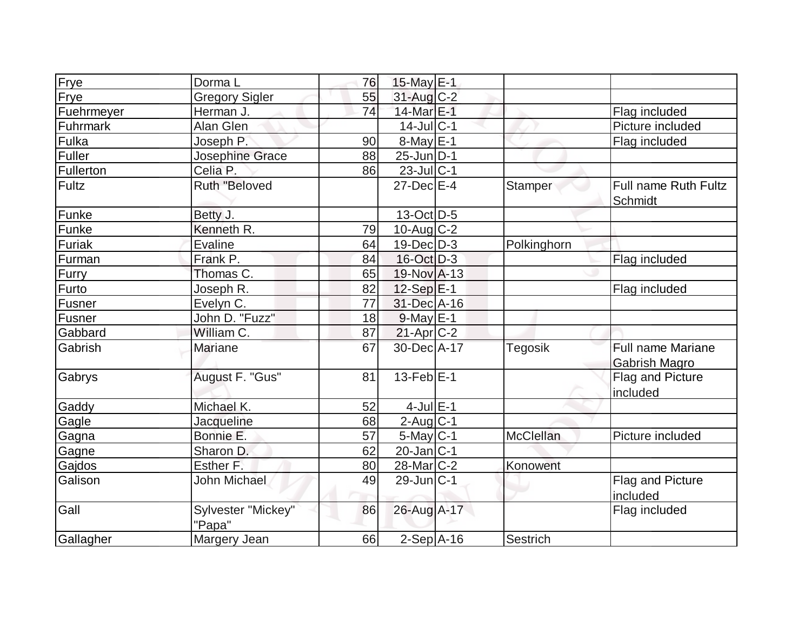| Frye          | Dorma L                      | 76 | 15-May E-1        |                |                                                  |
|---------------|------------------------------|----|-------------------|----------------|--------------------------------------------------|
| Frye          | <b>Gregory Sigler</b>        | 55 | 31-Aug C-2        |                |                                                  |
| Fuehrmeyer    | Herman J.                    | 74 | 14-Mar E-1        |                | Flag included                                    |
| Fuhrmark      | Alan Glen                    |    | $14$ -Jul $ C-1$  |                | Picture included                                 |
| Fulka         | Joseph P.                    | 90 | $8$ -May $E-1$    |                | Flag included                                    |
| Fuller        | Josephine Grace              | 88 | $25$ -Jun $ D-1 $ |                |                                                  |
| Fullerton     | Celia P.                     | 86 | $23$ -Jul $ C-1$  |                |                                                  |
| Fultz         | <b>Ruth "Beloved</b>         |    | $27$ -Dec $E-4$   | Stamper        | Full name Ruth Fultz<br>Schmidt                  |
| Funke         | Betty J.                     |    | $13-Oct$ D-5      |                |                                                  |
| Funke         | Kenneth R.                   | 79 | $10$ -Aug $C-2$   |                |                                                  |
| <b>Furiak</b> | <b>Evaline</b>               | 64 | $19$ -Dec $ D-3 $ | Polkinghorn    |                                                  |
| Furman        | Frank P.                     | 84 | 16-Oct D-3        |                | Flag included                                    |
| <b>Furry</b>  | Thomas C.                    | 65 | 19-Nov A-13       |                |                                                  |
| Furto         | Joseph R.                    | 82 | $12-Sep$ $E-1$    |                | Flag included                                    |
| <b>Fusner</b> | Evelyn C.                    | 77 | 31-Dec A-16       |                |                                                  |
| Fusner        | John D. "Fuzz"               | 18 | $9$ -May $E-1$    |                |                                                  |
| Gabbard       | William C.                   | 87 | $21-Apr$ $C-2$    |                |                                                  |
| Gabrish       | Mariane                      | 67 | 30-Dec A-17       | <b>Tegosik</b> | <b>Full name Mariane</b><br><b>Gabrish Magro</b> |
| Gabrys        | August F. "Gus"              | 81 | $13$ -Feb $ E-1 $ |                | Flag and Picture<br>included                     |
| Gaddy         | Michael K.                   | 52 | $4$ -Jul $E-1$    |                |                                                  |
| Gagle         | Jacqueline                   | 68 | $2$ -Aug C-1      |                |                                                  |
| Gagna         | Bonnie E.                    | 57 | $5$ -May $C-1$    | McClellan      | Picture included                                 |
| Gagne         | Sharon D.                    | 62 | $20$ -Jan $ C-1 $ |                |                                                  |
| Gajdos        | Esther F.                    | 80 | 28-Mar C-2        | Konowent       |                                                  |
| Galison       | John Michael                 | 49 | $29$ -Jun $ C-1$  |                | Flag and Picture<br>included                     |
| Gall          | Sylvester "Mickey"<br>"Papa" | 86 | 26-Aug A-17       |                | Flag included                                    |
| Gallagher     | Margery Jean                 | 66 | $2-Sep$ A-16      | Sestrich       |                                                  |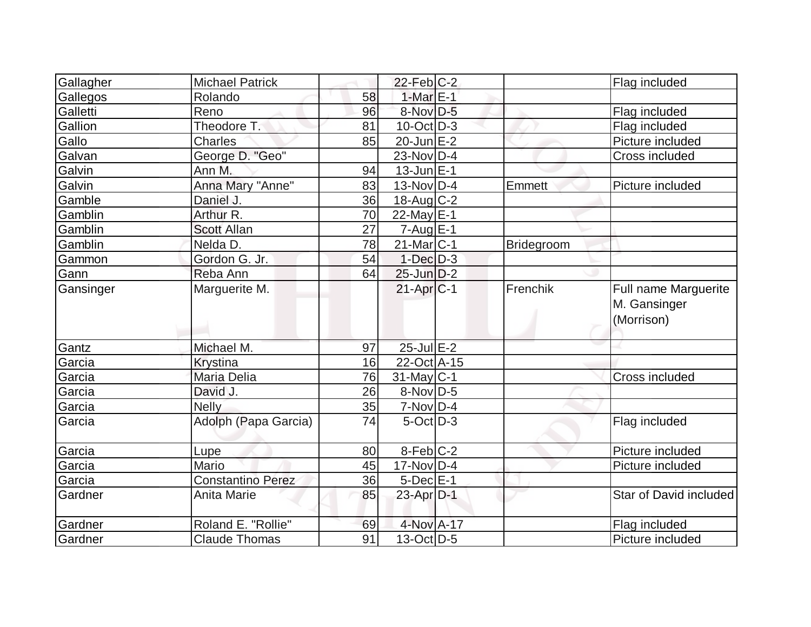| Gallagher | <b>Michael Patrick</b>   |    | $22$ -Feb $ C-2$         |            | Flag included                                      |
|-----------|--------------------------|----|--------------------------|------------|----------------------------------------------------|
| Gallegos  | Rolando                  | 58 | $1-MarE-1$               |            |                                                    |
| Galletti  | Reno                     | 96 | 8-Nov D-5                |            | Flag included                                      |
| Gallion   | Theodore T.              | 81 | $10$ -Oct $ D-3 $        |            | Flag included                                      |
| Gallo     | Charles                  | 85 | $20$ -Jun $E-2$          |            | Picture included                                   |
| Galvan    | George D. "Geo"          |    | $23-Nov$ D-4             |            | <b>Cross included</b>                              |
| Galvin    | Ann M.                   | 94 | $13$ -Jun $E-1$          |            |                                                    |
| Galvin    | Anna Mary "Anne"         | 83 | $13-Nov D-4$             | Emmett     | Picture included                                   |
| Gamble    | Daniel J.                | 36 | 18-Aug C-2               |            |                                                    |
| Gamblin   | Arthur R.                | 70 | $22$ -May E-1            |            |                                                    |
| Gamblin   | <b>Scott Allan</b>       | 27 | $7 - Aug$ <sub>E-1</sub> |            |                                                    |
| Gamblin   | Nelda D.                 | 78 | $21$ -Mar $ C-1 $        | Bridegroom |                                                    |
| Gammon    | Gordon G. Jr.            | 54 | $1-Dec$ $D-3$            |            |                                                    |
| Gann      | Reba Ann                 | 64 | $25$ -Jun $D-2$          |            |                                                    |
| Gansinger | Marguerite M.            |    | $21-Apr C-1$             | Frenchik   | Full name Marguerite<br>M. Gansinger<br>(Morrison) |
| Gantz     | Michael M.               | 97 | $25$ -Jul $E-2$          |            |                                                    |
| Garcia    | Krystina                 | 16 | 22-Oct A-15              |            |                                                    |
| Garcia    | Maria Delia              | 76 | $31$ -May C-1            |            | Cross included                                     |
| Garcia    | David J.                 | 26 | 8-Nov D-5                |            |                                                    |
| Garcia    | <b>Nelly</b>             | 35 | $7-Nov D-4$              |            |                                                    |
| Garcia    | Adolph (Papa Garcia)     | 74 | $5$ -Oct $ D-3 $         |            | Flag included                                      |
| Garcia    | Lupe                     | 80 | 8-Feb C-2                |            | Picture included                                   |
| Garcia    | Mario                    | 45 | $17-NovD-4$              |            | Picture included                                   |
| Garcia    | <b>Constantino Perez</b> | 36 | $5$ -Dec $E-1$           |            |                                                    |
| Gardner   | Anita Marie              | 85 | 23-Apr D-1               |            | Star of David included                             |
| Gardner   | Roland E. "Rollie"       | 69 | 4-Nov A-17               |            | Flag included                                      |
| Gardner   | <b>Claude Thomas</b>     | 91 | $13-Oct$ D-5             |            | Picture included                                   |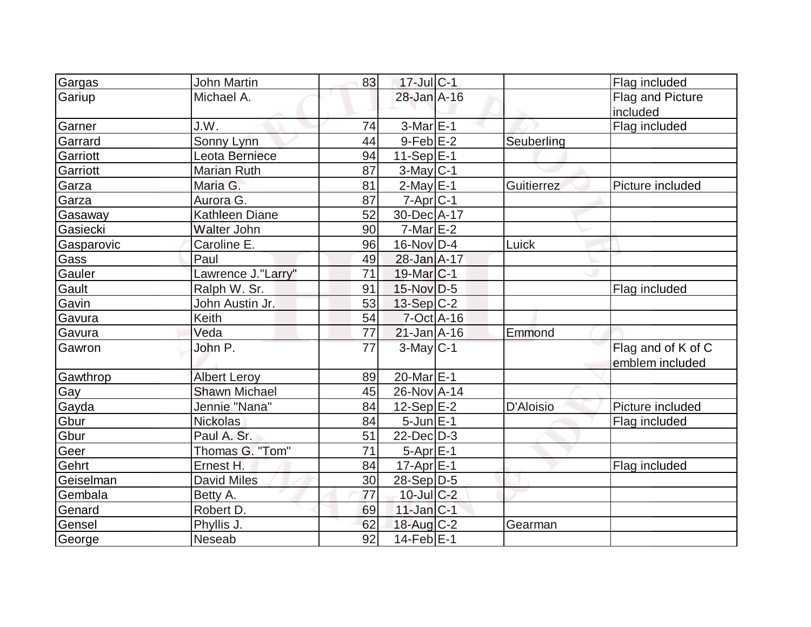| Gargas     | <b>John Martin</b>   | 83 | $17$ -Jul $C-1$         |            | Flag included      |
|------------|----------------------|----|-------------------------|------------|--------------------|
| Gariup     | Michael A.           |    | 28-Jan A-16             |            | Flag and Picture   |
|            |                      |    |                         |            | included           |
| Garner     | J.W.                 | 74 | $3-Mar \E-1$            |            | Flag included      |
| Garrard    | Sonny Lynn           | 44 | $9$ -Feb $E-2$          | Seuberling |                    |
| Garriott   | Leota Berniece       | 94 | $11-Sep \overline{E-1}$ |            |                    |
| Garriott   | <b>Marian Ruth</b>   | 87 | $3$ -May $C-1$          |            |                    |
| Garza      | Maria G.             | 81 | $2$ -May $E-1$          | Guitierrez | Picture included   |
| Garza      | Aurora G.            | 87 | $7$ -Apr $C-1$          |            |                    |
| Gasaway    | Kathleen Diane       | 52 | 30-Dec A-17             |            |                    |
| Gasiecki   | Walter John          | 90 | $7$ -Mar $E-2$          |            |                    |
| Gasparovic | Caroline E.          | 96 | 16-Nov D-4              | Luick      |                    |
| Gass       | Paul                 | 49 | 28-Jan A-17             |            |                    |
| Gauler     | Lawrence J."Larry"   | 71 | $19$ -Mar $ C-1$        |            |                    |
| Gault      | Ralph W. Sr.         | 91 | $15$ -Nov D-5           |            | Flag included      |
| Gavin      | John Austin Jr.      | 53 | $13-Sep C-2$            |            |                    |
| Gavura     | Keith                | 54 | $7-Oct$ A-16            |            |                    |
| Gavura     | Veda                 | 77 | $21$ -Jan $A-16$        | Emmond     |                    |
| Gawron     | John P.              | 77 | $3-May C-1$             |            | Flag and of K of C |
|            |                      |    |                         |            | emblem included    |
| Gawthrop   | <b>Albert Leroy</b>  | 89 | 20-Mar $E-1$            |            |                    |
| Gay        | <b>Shawn Michael</b> | 45 | 26-Nov A-14             |            |                    |
| Gayda      | Jennie "Nana"        | 84 | $12-Sep$ $E-2$          | D'Aloisio  | Picture included   |
| Gbur       | <b>Nickolas</b>      | 84 | $5$ -Jun $E-1$          |            | Flag included      |
| Gbur       | Paul A. Sr.          | 51 | $22$ -Dec $D-3$         |            |                    |
| Geer       | Thomas G. "Tom"      | 71 | 5-Apr E-1               |            |                    |
| Gehrt      | Ernest H.            | 84 | $17$ -Apr $E-1$         |            | Flag included      |
| Geiselman  | <b>David Miles</b>   | 30 | $28-Sep D-5$            |            |                    |
| Gembala    | Betty A.             | 77 | $10$ -Jul $C-2$         |            |                    |
| Genard     | Robert D.            | 69 | $11$ -Jan $ C-1 $       |            |                    |
| Gensel     | Phyllis J.           | 62 | 18-Aug C-2              | Gearman    |                    |
| George     | Neseab               | 92 | $14$ -Feb $E-1$         |            |                    |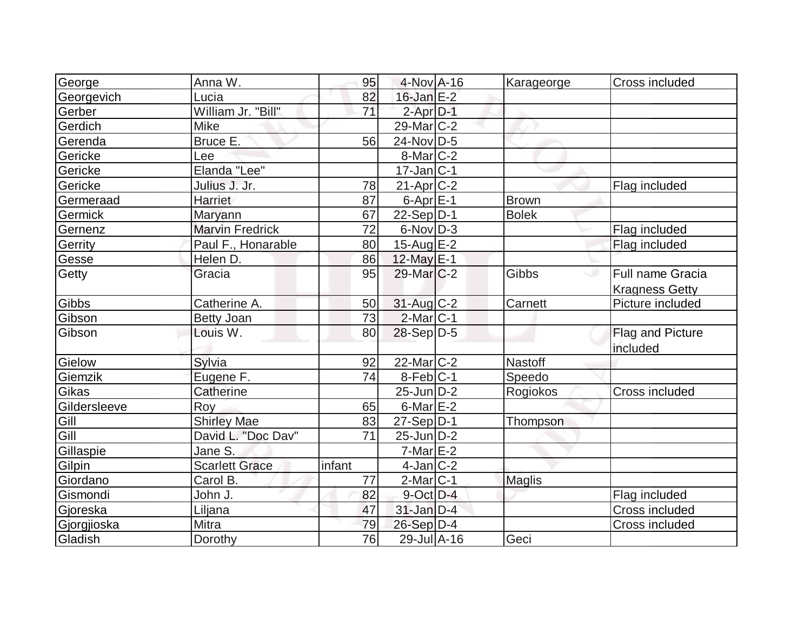| George         | Anna W.                | 95     | 4-Nov A-16        | Karageorge     | Cross included          |
|----------------|------------------------|--------|-------------------|----------------|-------------------------|
| Georgevich     | Lucia                  | 82     | $16$ -Jan $E-2$   |                |                         |
| Gerber         | William Jr. "Bill"     | 71     | $2$ -Apr $D-1$    |                |                         |
| Gerdich        | Mike                   |        | $29$ -Mar $C-2$   |                |                         |
| Gerenda        | Bruce E.               | 56     | 24-Nov D-5        |                |                         |
| Gericke        | Lee                    |        | $8$ -Mar $ C-2 $  |                |                         |
| Gericke        | Elanda "Lee"           |        | $17$ -Jan $ C-1 $ |                |                         |
| Gericke        | Julius J. Jr.          | 78     | $21-Apr$ $C-2$    |                | Flag included           |
| Germeraad      | Harriet                | 87     | $6$ -Apr $E-1$    | <b>Brown</b>   |                         |
| <b>Germick</b> | Maryann                | 67     | $22-Sep D-1$      | <b>Bolek</b>   |                         |
| Gernenz        | <b>Marvin Fredrick</b> | 72     | $6$ -Nov $D-3$    |                | Flag included           |
| Gerrity        | Paul F., Honarable     | 80     | $15$ -Aug $E-2$   |                | Flag included           |
| Gesse          | Helen D.               | 86     | 12-May $E-1$      |                |                         |
| Getty          | Gracia                 | 95     | $29$ -Mar $C-2$   | Gibbs          | Full name Gracia        |
|                |                        |        |                   |                | <b>Kragness Getty</b>   |
| Gibbs          | Catherine A.           | 50     | 31-Aug C-2        | Carnett        | Picture included        |
| Gibson         | <b>Betty Joan</b>      | 73     | $2$ -Mar $ C-1 $  |                |                         |
| Gibson         | Louis W.               | 80     | $28-Sep D-5$      |                | <b>Flag and Picture</b> |
|                |                        |        |                   |                | included                |
| Gielow         | Sylvia                 | 92     | $22$ -Mar $C-2$   | <b>Nastoff</b> |                         |
| Giemzik        | Eugene F.              | 74     | 8-Feb C-1         | Speedo         |                         |
| Gikas          | Catherine              |        | $25$ -Jun $D-2$   | Rogiokos       | Cross included          |
| Gildersleeve   | Roy                    | 65     | $6$ -Mar $E-2$    |                |                         |
| Gill           | <b>Shirley Mae</b>     | 83     | $27-Sep D-1$      | Thompson       |                         |
| Gill           | David L. "Doc Dav"     | 71     | $25$ -Jun $D-2$   |                |                         |
| Gillaspie      | Jane S.                |        | $7-Mar$ $E-2$     |                |                         |
| Gilpin         | <b>Scarlett Grace</b>  | infant | $4$ -Jan $C-2$    |                |                         |
| Giordano       | Carol B.               | 77     | $2$ -Mar $ C-1$   | Maglis         |                         |
| Gismondi       | John J.                | 82     | $9$ -Oct $D-4$    |                | Flag included           |
| Gjoreska       | Liljana                | 47     | $31$ -Jan $D-4$   |                | Cross included          |
| Gjorgjioska    | Mitra                  | 79     | $26-Sep$ D-4      |                | Cross included          |
| Gladish        | Dorothy                | 76     | 29-Jul A-16       | Geci           |                         |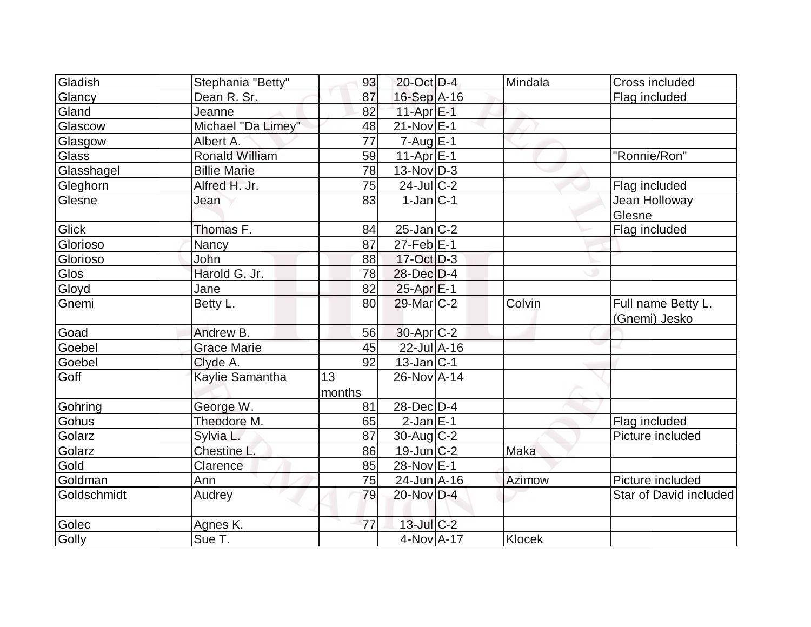| Gladish     | Stephania "Betty"     | 93              | $20$ -Oct D-4         | Mindala       | Cross included                      |
|-------------|-----------------------|-----------------|-----------------------|---------------|-------------------------------------|
| Glancy      | Dean R. Sr.           | 87              | 16-Sep A-16           |               | Flag included                       |
| Gland       | Jeanne                | 82              | 11-Apr $E-1$          |               |                                     |
| Glascow     | Michael "Da Limey"    | 48              | $21$ -Nov $E-1$       |               |                                     |
| Glasgow     | Albert A.             | $\overline{77}$ | $7 - Aug$ E-1         |               |                                     |
| Glass       | <b>Ronald William</b> | 59              | $11-Apr \mathsf{E-1}$ |               | "Ronnie/Ron"                        |
| Glasshagel  | <b>Billie Marie</b>   | 78              | $13-Nov D-3$          |               |                                     |
| Gleghorn    | Alfred H. Jr.         | 75              | $24$ -JulC-2          |               | Flag included                       |
| Glesne      | Jean                  | 83              | $1-Jan C-1$           |               | Jean Holloway<br>Glesne             |
| Glick       | Thomas F.             | 84              | $25$ -Jan $C-2$       |               | Flag included                       |
| Glorioso    | Nancy                 | 87              | $27$ -Feb $ E-1 $     |               |                                     |
| Glorioso    | John                  | 88              | $17-Oct$ D-3          |               |                                     |
| <b>Glos</b> | Harold G. Jr.         | 78              | 28-Dec D-4            |               |                                     |
| Gloyd       | Jane                  | 82              | $25$ -Apr $E-1$       |               |                                     |
| Gnemi       | Betty L.              | 80              | 29-Mar C-2            | Colvin        | Full name Betty L.<br>(Gnemi) Jesko |
| Goad        | Andrew B.             | 56              | $30$ -Apr $ C-2 $     |               |                                     |
| Goebel      | <b>Grace Marie</b>    | 45              | $22$ -Jul $A-16$      |               |                                     |
| Goebel      | Clyde A.              | 92              | $13$ -Jan $ C-1 $     |               |                                     |
| Goff        | Kaylie Samantha       | 13<br>months    | 26-Nov A-14           |               |                                     |
| Gohring     | George W.             | 81              | $28$ -Dec $D-4$       |               |                                     |
| Gohus       | Theodore M.           | 65              | $2$ -Jan $E-1$        |               | Flag included                       |
| Golarz      | Sylvia L.             | 87              | $30$ -Aug C-2         |               | Picture included                    |
| Golarz      | Chestine L.           | 86              | 19-Jun C-2            | Maka          |                                     |
| Gold        | Clarence              | 85              | 28-Nov E-1            |               |                                     |
| Goldman     | Ann                   | 75              | 24-Jun A-16           | <b>Azimow</b> | Picture included                    |
| Goldschmidt | Audrey                | 79              | 20-Nov D-4            |               | Star of David included              |
| Golec       | Agnes K.              | 77              | $13$ -Jul $C-2$       |               |                                     |
| Golly       | Sue T.                |                 | 4-Nov A-17            | Klocek        |                                     |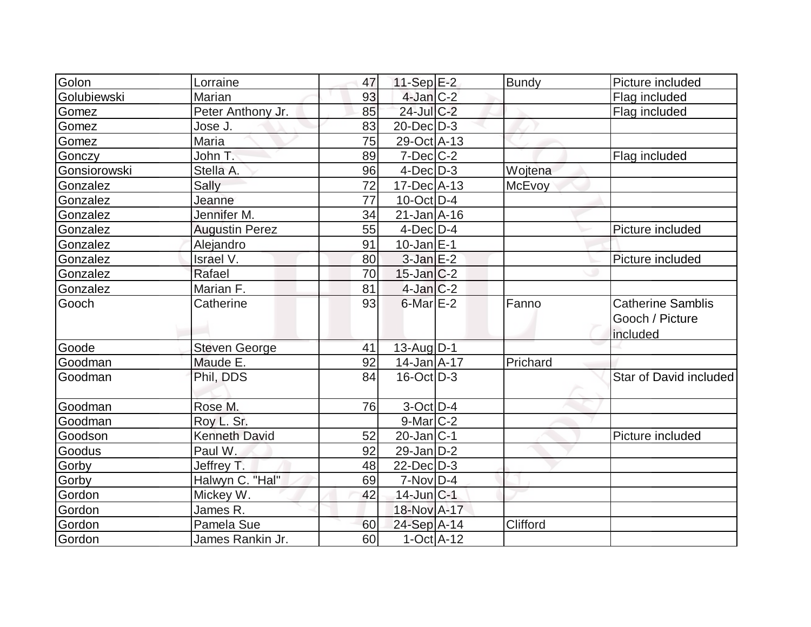| Golon        | Lorraine              | 47 | $11-Sep$ $E-2$    | <b>Bundy</b>  | Picture included                                        |
|--------------|-----------------------|----|-------------------|---------------|---------------------------------------------------------|
| Golubiewski  | Marian                | 93 | $4$ -Jan $C-2$    |               | Flag included                                           |
| Gomez        | Peter Anthony Jr.     | 85 | 24-Jul C-2        |               | Flag included                                           |
| Gomez        | Jose J.               | 83 | 20-Dec D-3        |               |                                                         |
| Gomez        | Maria                 | 75 | 29-Oct A-13       |               |                                                         |
| Gonczy       | John T.               | 89 | $7$ -Dec $C$ -2   |               | Flag included                                           |
| Gonsiorowski | Stella A.             | 96 | $4$ -Dec $D-3$    | Wojtena       |                                                         |
| Gonzalez     | Sally                 | 72 | $17$ -Dec $A$ -13 | <b>McEvoy</b> |                                                         |
| Gonzalez     | Jeanne                | 77 | $10$ -Oct $ D-4 $ |               |                                                         |
| Gonzalez     | Jennifer M.           | 34 | $21$ -Jan $A$ -16 |               |                                                         |
| Gonzalez     | <b>Augustin Perez</b> | 55 | $4$ -Dec $D-4$    |               | Picture included                                        |
| Gonzalez     | Alejandro             | 91 | $10$ -Jan $ E-1 $ |               |                                                         |
| Gonzalez     | Israel V.             | 80 | $3$ -Jan $E-2$    |               | Picture included                                        |
| Gonzalez     | Rafael                | 70 | $15$ -Jan $ C-2 $ |               |                                                         |
| Gonzalez     | Marian F.             | 81 | $4$ -Jan $C-2$    |               |                                                         |
| Gooch        | Catherine             | 93 | $6$ -Mar $E-2$    | Fanno         | <b>Catherine Samblis</b><br>Gooch / Picture<br>included |
| Goode        | <b>Steven George</b>  | 41 | $13$ -Aug $D-1$   |               |                                                         |
| Goodman      | Maude E.              | 92 | $14$ -Jan $A$ -17 | Prichard      |                                                         |
| Goodman      | Phil, DDS             | 84 | $16$ -Oct $ D-3 $ |               | Star of David included                                  |
| Goodman      | Rose M.               | 76 | 3-Oct D-4         |               |                                                         |
| Goodman      | Roy L. Sr.            |    | $9$ -Mar $ C-2 $  |               |                                                         |
| Goodson      | <b>Kenneth David</b>  | 52 | $20$ -Jan $ C-1 $ |               | Picture included                                        |
| Goodus       | Paul W.               | 92 | $29$ -Jan D-2     |               |                                                         |
| Gorby        | Jeffrey T.            | 48 | $22$ -Dec $D-3$   |               |                                                         |
| Gorby        | Halwyn C. "Hal"       | 69 | $7-Nov$ D-4       |               |                                                         |
| Gordon       | Mickey W.             | 42 | $14$ -Jun $ C-1 $ |               |                                                         |
| Gordon       | James R.              |    | 18-Nov A-17       |               |                                                         |
| Gordon       | Pamela Sue            | 60 | 24-Sep A-14       | Clifford      |                                                         |
| Gordon       | James Rankin Jr.      | 60 | $1-Oct$ $A-12$    |               |                                                         |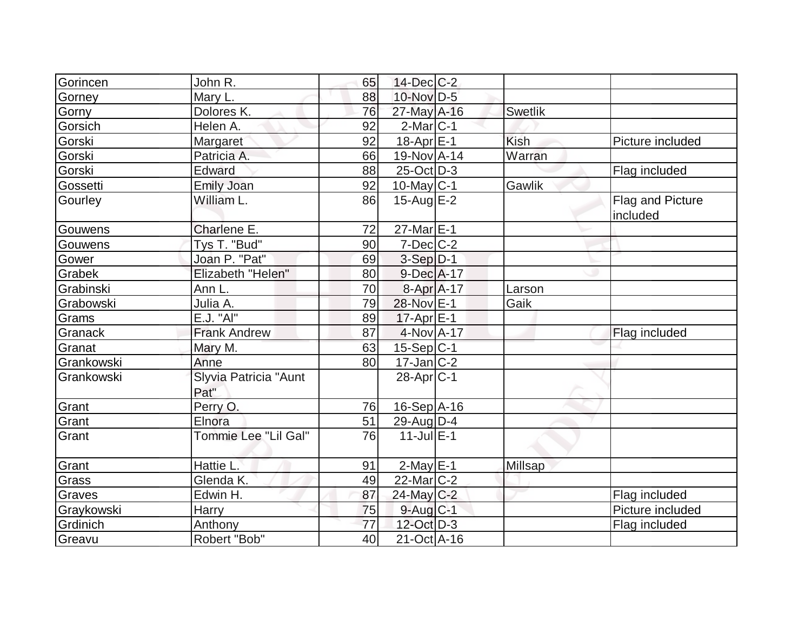| Gorincen   | John R.                       | 65 | $14$ -Dec $C$ -2      |         |                              |
|------------|-------------------------------|----|-----------------------|---------|------------------------------|
| Gorney     | Mary L.                       | 88 | 10-Nov D-5            |         |                              |
| Gorny      | Dolores K.                    | 76 | 27-May A-16           | Swetlik |                              |
| Gorsich    | Helen A.                      | 92 | $2$ -Mar $ C-1 $      |         |                              |
| Gorski     | Margaret                      | 92 | 18-Apr <sub>E-1</sub> | Kish    | Picture included             |
| Gorski     | Patricia A.                   | 66 | 19-Nov A-14           | Warran  |                              |
| Gorski     | Edward                        | 88 | $25$ -Oct $D-3$       |         | Flag included                |
| Gossetti   | Emily Joan                    | 92 | $10$ -May C-1         | Gawlik  |                              |
| Gourley    | William L.                    | 86 | 15-Aug $E-2$          |         | Flag and Picture<br>included |
| Gouwens    | Charlene E.                   | 72 | $27$ -Mar $E-1$       |         |                              |
| Gouwens    | Tys T. "Bud"                  | 90 | $7$ -Dec $ C$ -2      |         |                              |
| Gower      | Joan P. "Pat"                 | 69 | $3-Sep$ $D-1$         |         |                              |
| Grabek     | Elizabeth "Helen"             | 80 | $9$ -Dec $A$ -17      |         |                              |
| Grabinski  | Ann L.                        | 70 | 8-Apr A-17            | Larson  |                              |
| Grabowski  | Julia A.                      | 79 | 28-Nov E-1            | Gaik    |                              |
| Grams      | E.J. "AI"                     | 89 | $17$ -Apr $E-1$       |         |                              |
| Granack    | <b>Frank Andrew</b>           | 87 | $4$ -Nov $A$ -17      |         | Flag included                |
| Granat     | Mary M.                       | 63 | $15-Sep C-1$          |         |                              |
| Grankowski | Anne                          | 80 | $17$ -Jan $ C-2 $     |         |                              |
| Grankowski | Slyvia Patricia "Aunt<br>Pat" |    | $28$ -Apr $ C-1 $     |         |                              |
| Grant      | Perry O.                      | 76 | $16-Sep$ A-16         |         |                              |
| Grant      | Elnora                        | 51 | $29$ -Aug $D-4$       |         |                              |
| Grant      | Tommie Lee "Lil Gal"          | 76 | $11$ -Jul $E-1$       |         |                              |
| Grant      | Hattie L.                     | 91 | $2$ -May $E$ -1       | Millsap |                              |
| Grass      | Glenda K.                     | 49 | $22$ -Mar $C-2$       |         |                              |
| Graves     | Edwin H.                      | 87 | $24$ -May C-2         |         | Flag included                |
| Graykowski | Harry                         | 75 | $9$ -Aug $C-1$        |         | Picture included             |
| Grdinich   | Anthony                       | 77 | $12$ -Oct D-3         |         | Flag included                |
| Greavu     | Robert "Bob"                  | 40 | $21-Oct$ A-16         |         |                              |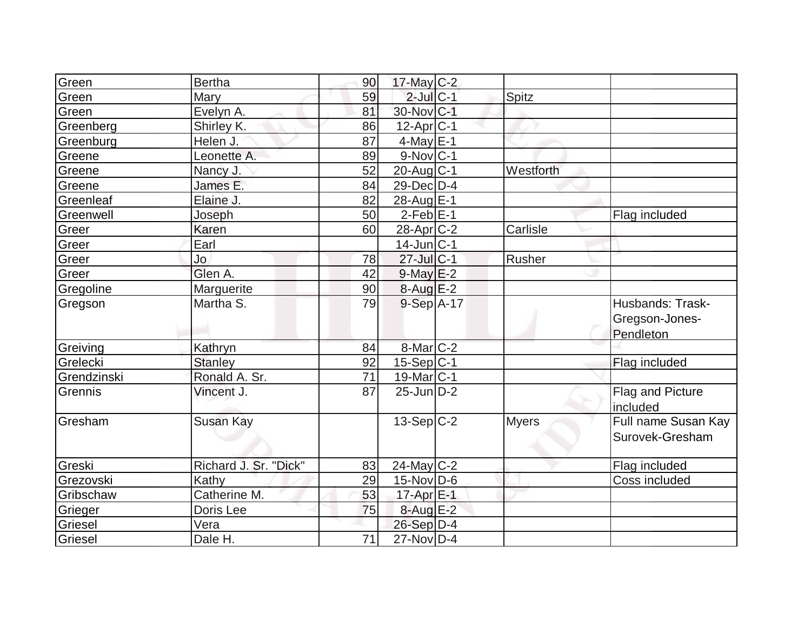| Green       | <b>Bertha</b>         | 90 | $17$ -May C-2     |              |                                                 |
|-------------|-----------------------|----|-------------------|--------------|-------------------------------------------------|
| Green       | Mary                  | 59 | $2$ -Jul $C-1$    | Spitz        |                                                 |
| Green       | Evelyn A.             | 81 | 30-Nov C-1        |              |                                                 |
| Greenberg   | Shirley K.            | 86 | $12$ -Apr $ C-1 $ |              |                                                 |
| Greenburg   | Helen J.              | 87 | $4$ -May E-1      |              |                                                 |
| Greene      | Leonette A.           | 89 | $9-Nov C-1$       |              |                                                 |
| Greene      | Nancy J.              | 52 | 20-Aug C-1        | Westforth    |                                                 |
| Greene      | James E.              | 84 | $29$ -Dec $ D-4 $ |              |                                                 |
| Greenleaf   | Elaine J.             | 82 | 28-Aug E-1        |              |                                                 |
| Greenwell   | Joseph                | 50 | $2-Feb$ $E-1$     |              | Flag included                                   |
| Greer       | <b>Karen</b>          | 60 | $28$ -Apr $C-2$   | Carlisle     |                                                 |
| Greer       | Earl                  |    | $14$ -Jun $ C-1 $ |              |                                                 |
| Greer       | Jo                    | 78 | $27$ -Jul C-1     | Rusher       |                                                 |
| Greer       | Glen A.               | 42 | $9$ -May $E-2$    |              |                                                 |
| Gregoline   | Marguerite            | 90 | $8-AugE-2$        |              |                                                 |
| Gregson     | Martha S.             | 79 | 9-Sep A-17        |              | Husbands: Trask-<br>Gregson-Jones-<br>Pendleton |
| Greiving    | Kathryn               | 84 | $8-Mar$ $C-2$     |              |                                                 |
| Grelecki    | <b>Stanley</b>        | 92 | $15-Sep C-1$      |              | Flag included                                   |
| Grendzinski | Ronald A. Sr.         | 71 | 19-Mar C-1        |              |                                                 |
| Grennis     | Vincent J.            | 87 | $25$ -Jun $D-2$   |              | <b>Flag and Picture</b><br>included             |
| Gresham     | Susan Kay             |    | $13-Sep C-2$      | <b>Myers</b> | Full name Susan Kay<br>Surovek-Gresham          |
| Greski      | Richard J. Sr. "Dick" | 83 | $24$ -May C-2     |              | Flag included                                   |
| Grezovski   | Kathy                 | 29 | 15-Nov D-6        |              | Coss included                                   |
| Gribschaw   | Catherine M.          | 53 | 17-Apr E-1        |              |                                                 |
| Grieger     | Doris Lee             | 75 | $8-Aug$ $E-2$     |              |                                                 |
| Griesel     | Vera                  |    | $26-Sep$ D-4      |              |                                                 |
| Griesel     | Dale H.               | 71 | 27-Nov D-4        |              |                                                 |
|             |                       |    |                   |              |                                                 |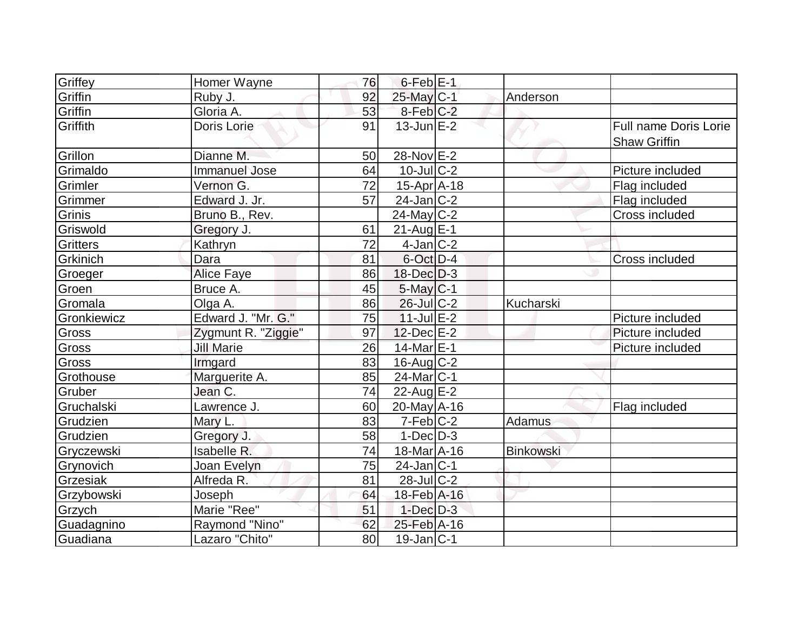| Griffey         | Homer Wayne          | 76 | $6$ -Feb $E-1$         |                  |                                                     |
|-----------------|----------------------|----|------------------------|------------------|-----------------------------------------------------|
| Griffin         | Ruby J.              | 92 | 25-May C-1             | Anderson         |                                                     |
| Griffin         | Gloria A.            | 53 | 8-Feb C-2              |                  |                                                     |
| Griffith        | Doris Lorie          | 91 | $13$ -Jun $E-2$        |                  | <b>Full name Doris Lorie</b><br><b>Shaw Griffin</b> |
| Grillon         | Dianne M.            | 50 | 28-Nov E-2             |                  |                                                     |
| Grimaldo        | <b>Immanuel Jose</b> | 64 | $10$ -JulC-2           |                  | Picture included                                    |
| Grimler         | Vernon G.            | 72 | $15-Apr$ A-18          |                  | Flag included                                       |
| Grimmer         | Edward J. Jr.        | 57 | $24$ -Jan $ C-2 $      |                  | Flag included                                       |
| Grinis          | Bruno B., Rev.       |    | $24$ -May C-2          |                  | Cross included                                      |
| Griswold        | Gregory J.           | 61 | $21$ -Aug $E-1$        |                  |                                                     |
| <b>Gritters</b> | Kathryn              | 72 | $4$ -Jan $ C-2 $       |                  |                                                     |
| <b>Grkinich</b> | Dara                 | 81 | $6$ -Oct $D-4$         |                  | Cross included                                      |
| Groeger         | <b>Alice Faye</b>    | 86 | $18$ -Dec $D-3$        |                  |                                                     |
| Groen           | Bruce A.             | 45 | $5$ -May $C-1$         |                  |                                                     |
| Gromala         | Olga A.              | 86 | $26$ -Jul $ C-2 $      | Kucharski        |                                                     |
| Gronkiewicz     | Edward J. "Mr. G."   | 75 | $11$ -Jul $E-2$        |                  | Picture included                                    |
| <b>Gross</b>    | Zygmunt R. "Ziggie"  | 97 | $12$ -Dec $E-2$        |                  | Picture included                                    |
| Gross           | <b>Jill Marie</b>    | 26 | 14-Mar <sub>E-1</sub>  |                  | Picture included                                    |
| Gross           | Irmgard              | 83 | $16$ -Aug $C-2$        |                  |                                                     |
| Grothouse       | Marguerite A.        | 85 | $24$ -Mar $ C-1 $      |                  |                                                     |
| Gruber          | Jean C.              | 74 | $22$ -Aug E-2          |                  |                                                     |
| Gruchalski      | Lawrence J.          | 60 | $20$ -May $A$ -16      |                  | Flag included                                       |
| Grudzien        | Mary L.              | 83 | $7-Feb$ $C-2$          | Adamus           |                                                     |
| Grudzien        | Gregory J.           | 58 | $1-Dec D-3$            |                  |                                                     |
| Gryczewski      | <b>Isabelle R.</b>   | 74 | 18-Mar <sub>A-16</sub> | <b>Binkowski</b> |                                                     |
| Grynovich       | Joan Evelyn          | 75 | $24$ -Jan $ C-1 $      |                  |                                                     |
| Grzesiak        | Alfreda R.           | 81 | $28$ -JulC-2           |                  |                                                     |
| Grzybowski      | Joseph               | 64 | 18-Feb A-16            |                  |                                                     |
| Grzych          | Marie "Ree"          | 51 | $1$ -Dec $D-3$         |                  |                                                     |
| Guadagnino      | Raymond "Nino"       | 62 | 25-Feb A-16            |                  |                                                     |
| Guadiana        | Lazaro "Chito"       | 80 | $19$ -Jan $ C-1 $      |                  |                                                     |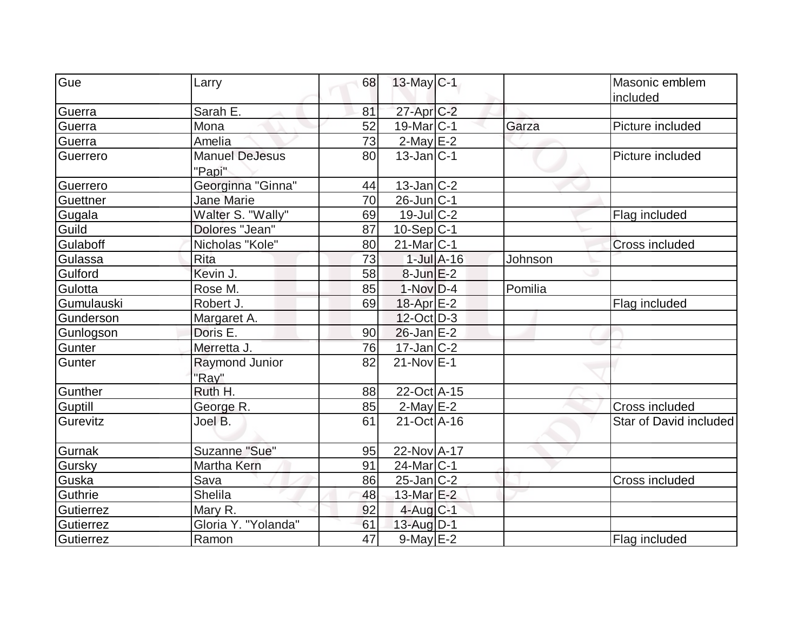| Gue        |                                 | 68 |                   |                 |         | Masonic emblem         |
|------------|---------------------------------|----|-------------------|-----------------|---------|------------------------|
|            | Larry                           |    | $13$ -May C-1     |                 |         | included               |
| Guerra     | Sarah E.                        | 81 | 27-Apr C-2        |                 |         |                        |
| Guerra     | Mona                            | 52 | 19-Mar C-1        |                 | Garza   | Picture included       |
| Guerra     | Amelia                          | 73 | $2-MayE-2$        |                 |         |                        |
| Guerrero   | <b>Manuel DeJesus</b><br>"Papi" | 80 | $13$ -Jan $ C-1 $ |                 |         | Picture included       |
| Guerrero   | Georginna "Ginna"               | 44 | $13$ -Jan $ C-2 $ |                 |         |                        |
| Guettner   | <b>Jane Marie</b>               | 70 | $26$ -Jun $ C-1$  |                 |         |                        |
| Gugala     | Walter S. "Wally"               | 69 | $19$ -Jul $C-2$   |                 |         | Flag included          |
| Guild      | Dolores "Jean"                  | 87 | $10-Sep C-1$      |                 |         |                        |
| Gulaboff   | Nicholas "Kole"                 | 80 | $21$ -Mar $ C-1$  |                 |         | <b>Cross included</b>  |
| Gulassa    | <b>Rita</b>                     | 73 |                   | $1$ -Jul $A-16$ | Johnson |                        |
| Gulford    | Kevin J.                        | 58 | $8$ -Jun $E-2$    |                 |         |                        |
| Gulotta    | Rose M.                         | 85 | $1-Nov$ D-4       |                 | Pomilia |                        |
| Gumulauski | Robert J.                       | 69 | $18$ -Apr $E-2$   |                 |         | Flag included          |
| Gunderson  | Margaret A.                     |    | $12$ -Oct $D-3$   |                 |         |                        |
| Gunlogson  | Doris E.                        | 90 | $26$ -Jan $E-2$   |                 |         |                        |
| Gunter     | Merretta J.                     | 76 | $17$ -Jan $ C-2 $ |                 |         |                        |
| Gunter     | <b>Raymond Junior</b><br>"Ray"  | 82 | $21-Nov$ E-1      |                 |         |                        |
| Gunther    | Ruth H.                         | 88 | 22-Oct A-15       |                 |         |                        |
| Guptill    | George R.                       | 85 | $2$ -May $E-2$    |                 |         | Cross included         |
| Gurevitz   | Joel B.                         | 61 | 21-Oct A-16       |                 |         | Star of David included |
| Gurnak     | Suzanne "Sue"                   | 95 | 22-Nov A-17       |                 |         |                        |
| Gursky     | Martha Kern                     | 91 | 24-Mar C-1        |                 |         |                        |
| Guska      | Sava                            | 86 | $25$ -Jan $ C-2 $ |                 |         | Cross included         |
| Guthrie    | Shelila                         | 48 | 13-Mar E-2        |                 |         |                        |
| Gutierrez  | Mary R.                         | 92 | $4$ -Aug $C-1$    |                 |         |                        |
| Gutierrez  | Gloria Y. "Yolanda"             | 61 | 13-Aug D-1        |                 |         |                        |
| Gutierrez  | Ramon                           | 47 | $9$ -May $E-2$    |                 |         | Flag included          |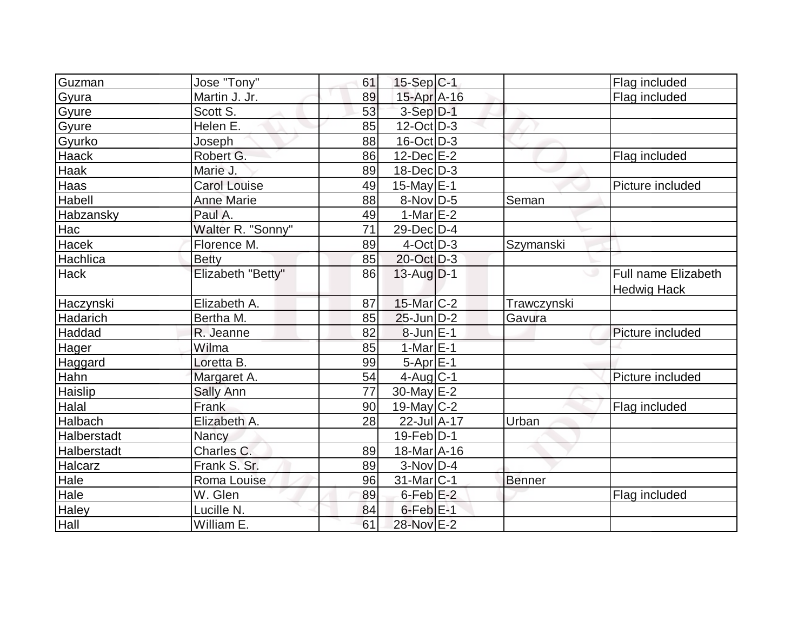| Guzman           | Jose "Tony"         | 61 | $15-Sep C-1$      |               | Flag included                             |
|------------------|---------------------|----|-------------------|---------------|-------------------------------------------|
| Gyura            | Martin J. Jr.       | 89 | 15-Apr A-16       |               | Flag included                             |
| Gyure            | Scott S.            | 53 | $3-Sep$ D-1       |               |                                           |
| Gyure            | Helen E.            | 85 | $12$ -Oct $ D-3 $ |               |                                           |
| Gyurko           | Joseph              | 88 | $16$ -Oct $ D-3 $ |               |                                           |
| <b>Haack</b>     | Robert G.           | 86 | $12$ -Dec $E-2$   |               | Flag included                             |
| Haak             | Marie J.            | 89 | $18$ -Dec $D-3$   |               |                                           |
| Haas             | <b>Carol Louise</b> | 49 | 15-May E-1        |               | Picture included                          |
| Habell           | <b>Anne Marie</b>   | 88 | $8-Nov D-5$       | Seman         |                                           |
| <b>Habzansky</b> | Paul A.             | 49 | 1-Mar $E-2$       |               |                                           |
| Hac              | Walter R. "Sonny"   | 71 | 29-Dec D-4        |               |                                           |
| Hacek            | Florence M.         | 89 | $4$ -Oct $D-3$    | Szymanski     |                                           |
| Hachlica         | <b>Betty</b>        | 85 | 20-Oct D-3        |               |                                           |
| Hack             | Elizabeth "Betty"   | 86 | 13-Aug D-1        | ت             | Full name Elizabeth<br><b>Hedwig Hack</b> |
| Haczynski        | Elizabeth A.        | 87 | $15$ -Mar $ C-2 $ | Trawczynski   |                                           |
| Hadarich         | Bertha M.           | 85 | $25$ -Jun $D-2$   | Gavura        |                                           |
| Haddad           | R. Jeanne           | 82 | $8$ -Jun $E-1$    |               | Picture included                          |
| Hager            | Wilma               | 85 | $1-MarE-1$        |               |                                           |
| Haggard          | Loretta B.          | 99 | $5-Apr$ $E-1$     |               |                                           |
| <b>Hahn</b>      | Margaret A.         | 54 | $4$ -Aug C-1      |               | Picture included                          |
| Haislip          | Sally Ann           | 77 | 30-May $E-2$      |               |                                           |
| Halal            | Frank               | 90 | 19-May $C-2$      |               | Flag included                             |
| Halbach          | Elizabeth A.        | 28 | 22-Jul A-17       | Urban         |                                           |
| Halberstadt      | Nancy               |    | $19$ -Feb $ D-1 $ |               |                                           |
| Halberstadt      | Charles C.          | 89 | 18-Mar A-16       |               |                                           |
| Halcarz          | Frank S. Sr.        | 89 | $3-NovD-4$        |               |                                           |
| Hale             | Roma Louise         | 96 | $31$ -Mar $ C-1 $ | <b>Benner</b> |                                           |
| Hale             | W. Glen             | 89 | $6$ -Feb $E-2$    |               | Flag included                             |
| Haley            | Lucille N.          | 84 | $6$ -Feb $E-1$    |               |                                           |
| Hall             | William E.          | 61 | 28-Nov E-2        |               |                                           |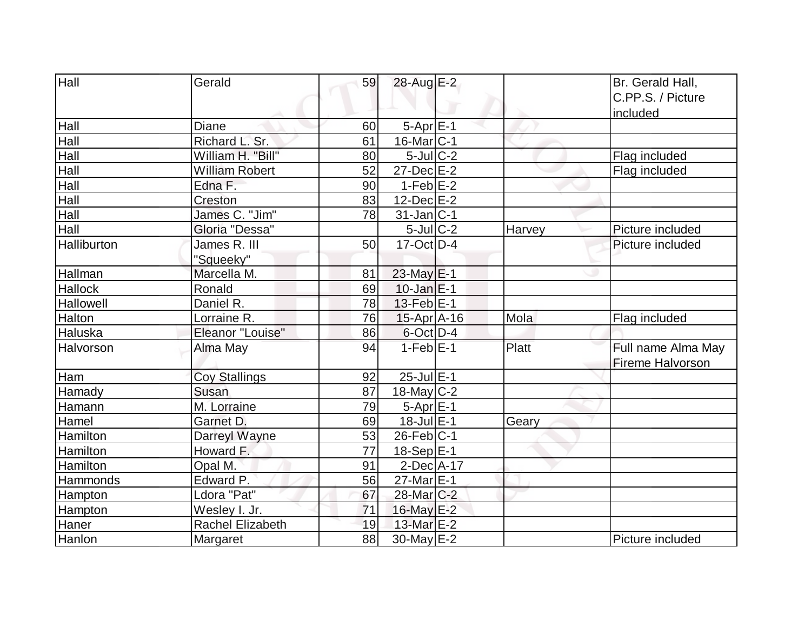| Hall             | Gerald                  | 59 | 28-Aug E-2             |              | Br. Gerald Hall,   |
|------------------|-------------------------|----|------------------------|--------------|--------------------|
|                  |                         |    |                        |              | C.PP.S. / Picture  |
|                  |                         |    |                        |              | included           |
| Hall             | <b>Diane</b>            | 60 | $5-AprE-1$             |              |                    |
| Hall             | Richard L. Sr.          | 61 | $16$ -Mar $ C-1$       |              |                    |
| Hall             | William H. "Bill"       | 80 | $5$ -Jul $C-2$         |              | Flag included      |
| Hall             | <b>William Robert</b>   | 52 | $27$ -Dec $E-2$        |              | Flag included      |
| Hall             | Edna F.                 | 90 | $1-Feb$ $E-2$          |              |                    |
| Hall             | Creston                 | 83 | 12-Dec E-2             |              |                    |
| Hall             | James C. "Jim"          | 78 | $31$ -Jan $ C-1$       |              |                    |
| Hall             | Gloria "Dessa"          |    | $5$ -Jul $C-2$         | Harvey       | Picture included   |
| Halliburton      | James R. III            | 50 | $17-Oct$ D-4           |              | Picture included   |
|                  | "Squeeky"               |    |                        |              |                    |
| Hallman          | Marcella M.             | 81 | 23-May E-1             |              |                    |
| <b>Hallock</b>   | Ronald                  | 69 | $10$ -Jan $E-1$        |              |                    |
| <b>Hallowell</b> | Daniel R.               | 78 | $13$ -Feb $E-1$        |              |                    |
| <b>Halton</b>    | Lorraine R.             | 76 | $15$ -Apr $A$ -16      | Mola         | Flag included      |
| Haluska          | Eleanor "Louise"        | 86 | $6$ -Oct $D-4$         |              |                    |
| Halvorson        | Alma May                | 94 | $1-FebE-1$             | <b>Platt</b> | Full name Alma May |
|                  |                         |    |                        |              | Fireme Halvorson   |
| Ham              | <b>Coy Stallings</b>    | 92 | $25$ -Jul $E-1$        |              |                    |
| Hamady           | Susan                   | 87 | $18$ -May C-2          |              |                    |
| Hamann           | M. Lorraine             | 79 | $5-Apr$ $E-1$          |              |                    |
| Hamel            | Garnet D.               | 69 | $18$ -Jul $E-1$        | Geary        |                    |
| Hamilton         | Darreyl Wayne           | 53 | $26$ -Feb $ C-1$       |              |                    |
| <b>Hamilton</b>  | Howard F.               | 77 | $18-Sep$ E-1           |              |                    |
| Hamilton         | Opal M.                 | 91 | $2$ -Dec $A$ -17       |              |                    |
| Hammonds         | Edward P.               | 56 | 27-Mar E-1             |              |                    |
| Hampton          | Ldora "Pat"             | 67 | 28-Mar <sub>C</sub> -2 |              |                    |
| Hampton          | Wesley I. Jr.           | 71 | $16$ -May $E-2$        |              |                    |
| Haner            | <b>Rachel Elizabeth</b> | 19 | 13-Mar E-2             |              |                    |
| Hanlon           | Margaret                | 88 | 30-May $E-2$           |              | Picture included   |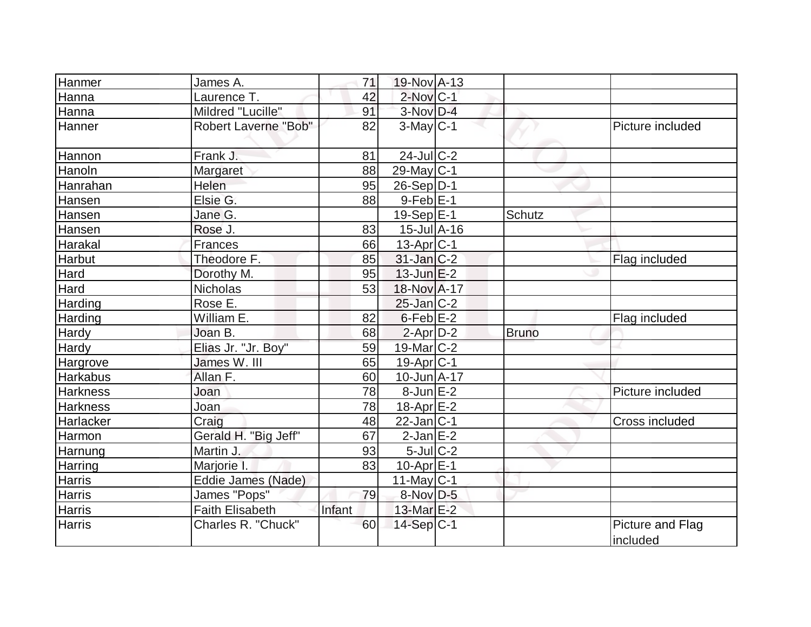| Hanmer          | James A.                    | 71     | 19-Nov A-13                  |              |                              |
|-----------------|-----------------------------|--------|------------------------------|--------------|------------------------------|
| Hanna           | Laurence T.                 | 42     | $2$ -Nov $ C-1 $             |              |                              |
| Hanna           | Mildred "Lucille"           | 91     | 3-Nov D-4                    |              |                              |
| Hanner          | <b>Robert Laverne "Bob"</b> | 82     | $3-May C-1$                  |              | Picture included             |
| Hannon          | Frank J.                    | 81     | $24$ -JulC-2                 |              |                              |
| Hanoln          | <b>Margaret</b>             | 88     | $29$ -May C-1                |              |                              |
| Hanrahan        | Helen                       | 95     | $26-Sep D-1$                 |              |                              |
| Hansen          | Elsie G.                    | 88     | $9-Feb$ $E-1$                |              |                              |
| Hansen          | Jane G.                     |        | $19-Sep$ $E-1$               | Schutz       |                              |
| Hansen          | Rose J.                     | 83     | $15$ -Jul $\overline{A}$ -16 |              |                              |
| Harakal         | <b>Frances</b>              | 66     | $13$ -Apr $ C-1 $            |              |                              |
| <b>Harbut</b>   | Theodore F.                 | 85     | $31$ -Jan $ C-2 $            |              | Flag included                |
| <b>Hard</b>     | Dorothy M.                  | 95     | 13-Jun E-2                   |              |                              |
| Hard            | <b>Nicholas</b>             | 53     | 18-Nov A-17                  |              |                              |
| Harding         | Rose E.                     |        | $25$ -Jan $C-2$              |              |                              |
| Harding         | William E.                  | 82     | $6$ -Feb $E-2$               |              | Flag included                |
| Hardy           | Joan B.                     | 68     | $2$ -Apr $D-2$               | <b>Bruno</b> |                              |
| Hardy           | Elias Jr. "Jr. Boy"         | 59     | 19-Mar $ C-2 $               |              |                              |
| Hargrove        | James W. III                | 65     | 19-Apr <sub>C-1</sub>        |              |                              |
| <b>Harkabus</b> | Allan F.                    | 60     | $10$ -Jun $A$ -17            |              |                              |
| <b>Harkness</b> | Joan                        | 78     | $8$ -Jun $E-2$               |              | Picture included             |
| <b>Harkness</b> | Joan                        | 78     | $18$ -Apr $E-2$              |              |                              |
| Harlacker       | Craig                       | 48     | $22$ -Jan C-1                |              | <b>Cross included</b>        |
| Harmon          | Gerald H. "Big Jeff"        | 67     | $2$ -Jan $E-2$               |              |                              |
| Harnung         | Martin J.                   | 93     | $5$ -Jul $C-2$               |              |                              |
| Harring         | Marjorie I.                 | 83     | $10$ -Apr $E-1$              |              |                              |
| Harris          | Eddie James (Nade)          |        | $11$ -May C-1                |              |                              |
| <b>Harris</b>   | James "Pops"                | 79     | 8-Nov D-5                    |              |                              |
| <b>Harris</b>   | <b>Faith Elisabeth</b>      | Infant | 13-Mar $E-2$                 |              |                              |
| <b>Harris</b>   | Charles R. "Chuck"          | 60     | 14-Sep C-1                   |              | Picture and Flag<br>included |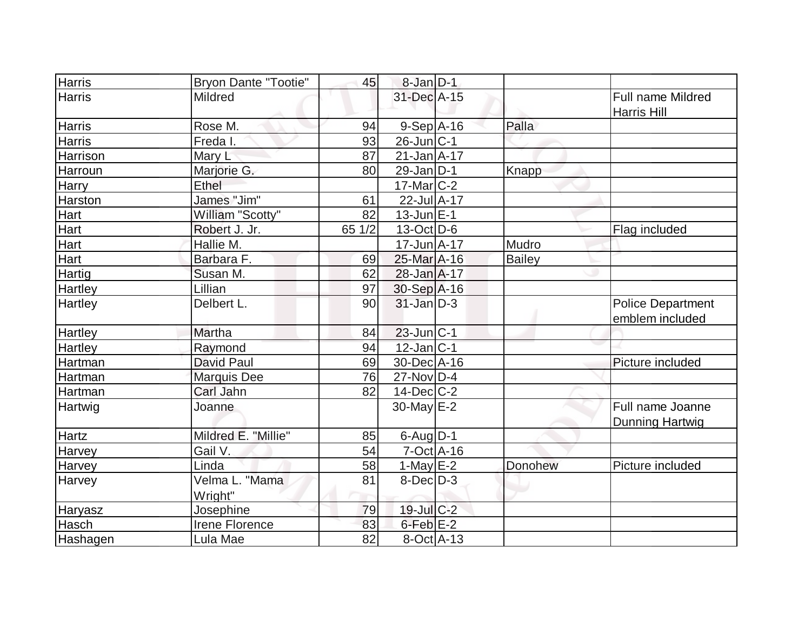| <b>Harris</b>  | <b>Bryon Dante "Tootie"</b> | 45     | $8$ -Jan $D-1$       |         |                                             |
|----------------|-----------------------------|--------|----------------------|---------|---------------------------------------------|
| Harris         | <b>Mildred</b>              |        | 31-Dec A-15          |         | Full name Mildred<br>Harris Hill            |
| <b>Harris</b>  | Rose M.                     | 94     | $9-Sep$ A-16         | Palla   |                                             |
| <b>Harris</b>  | Freda I.                    | 93     | $26$ -Jun $ C-1 $    |         |                                             |
| Harrison       | Mary L                      | 87     | $21$ -Jan $A$ -17    |         |                                             |
| Harroun        | Marjorie G.                 | 80     | $29$ -Jan $D-1$      | Knapp   |                                             |
| <b>Harry</b>   | Ethel                       |        | $17$ -Mar $C-2$      |         |                                             |
| Harston        | James "Jim"                 | 61     | 22-Jul A-17          |         |                                             |
| Hart           | William "Scotty"            | 82     | $13$ -Jun $E-1$      |         |                                             |
| Hart           | Robert J. Jr.               | 65 1/2 | $13-Oct$ D-6         |         | Flag included                               |
| Hart           | Hallie M.                   |        | $17 - Jun$ A-17      | Mudro   |                                             |
| Hart           | Barbara F.                  | 69     | 25-Mar A-16          | Bailey  |                                             |
| Hartig         | Susan M.                    | 62     | 28-Jan A-17          |         |                                             |
| Hartley        | Lillian                     | 97     | 30-Sep A-16          |         |                                             |
| Hartley        | Delbert L.                  | 90     | $31$ -Jan D-3        |         | <b>Police Department</b><br>emblem included |
| <b>Hartley</b> | Martha                      | 84     | $23$ -Jun $ C-1 $    |         |                                             |
| <b>Hartley</b> | Raymond                     | 94     | $12$ -Jan $ C-1 $    |         |                                             |
| Hartman        | <b>David Paul</b>           | 69     | 30-Dec A-16          |         | Picture included                            |
| Hartman        | <b>Marquis Dee</b>          | 76     | 27-Nov D-4           |         |                                             |
| Hartman        | Carl Jahn                   | 82     | $14$ -Dec $ C-2 $    |         |                                             |
| Hartwig        | Joanne                      |        | 30-May E-2           |         | Full name Joanne<br><b>Dunning Hartwig</b>  |
| <b>Hartz</b>   | Mildred E. "Millie"         | 85     | $6$ -Aug $D-1$       |         |                                             |
| Harvey         | Gail V.                     | 54     | $7-Oct$ $A-16$       |         |                                             |
| <b>Harvey</b>  | Linda                       | 58     | 1-May $E-2$          | Donohew | Picture included                            |
| Harvey         | Velma L. "Mama<br>Wright"   | 81     | $8$ -Dec $D-3$       |         |                                             |
| Haryasz        | Josephine                   | 79     | 19-Jul C-2           |         |                                             |
| Hasch          | Irene Florence              | 83     | 6-Feb <sup>E-2</sup> |         |                                             |
| Hashagen       | Lula Mae                    | 82     | $8-Oct$ A-13         |         |                                             |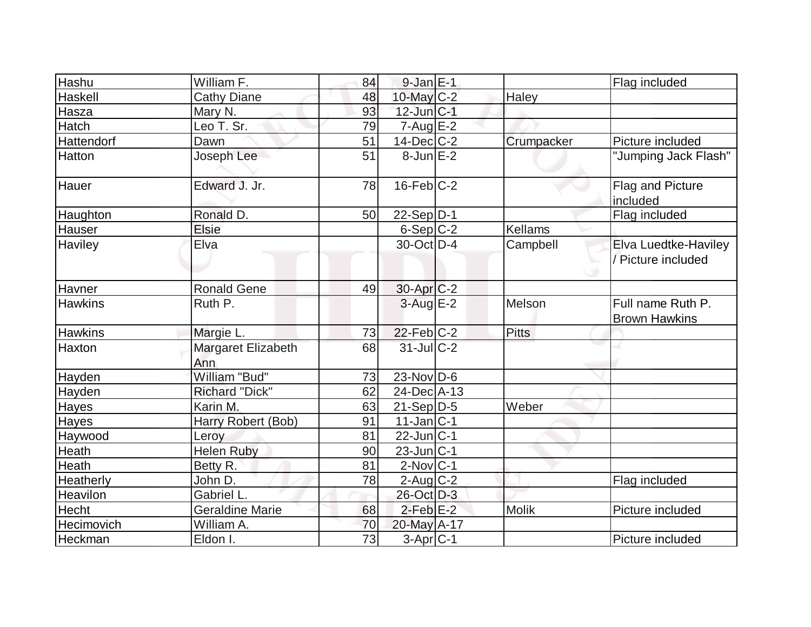| Hashu          | William F.                | 84 | $9-JanE-1$            |              | Flag included                              |
|----------------|---------------------------|----|-----------------------|--------------|--------------------------------------------|
| Haskell        | <b>Cathy Diane</b>        | 48 | 10-May C-2            | Haley        |                                            |
| Hasza          | Mary N.                   | 93 | $12$ -Jun $ C-1 $     |              |                                            |
| Hatch          | Leo T. Sr.                | 79 | $7 - Aug$ $E-2$       |              |                                            |
| Hattendorf     | Dawn                      | 51 | $14$ -Dec $ C-2 $     | Crumpacker   | Picture included                           |
| Hatton         | Joseph Lee                | 51 | $8$ -Jun $E-2$        |              | "Jumping Jack Flash"                       |
| Hauer          | Edward J. Jr.             | 78 | $16$ -Feb $ C-2 $     |              | Flag and Picture<br>included               |
| Haughton       | Ronald D.                 | 50 | $22-Sep D-1$          |              | Flag included                              |
| Hauser         | <b>Elsie</b>              |    | $6-Sep$ $C-2$         | Kellams      |                                            |
| Haviley        | Elva                      |    | 30-Oct D-4            | Campbell     | Elva Luedtke-Haviley<br>/ Picture included |
| Havner         | <b>Ronald Gene</b>        | 49 | 30-Apr <sub>C-2</sub> |              |                                            |
| <b>Hawkins</b> | Ruth P.                   |    | $3$ -Aug $E-2$        | Melson       | Full name Ruth P.<br><b>Brown Hawkins</b>  |
| <b>Hawkins</b> | Margie L.                 | 73 | $22$ -Feb $C-2$       | Pitts        |                                            |
| Haxton         | Margaret Elizabeth<br>Ann | 68 | $31$ -JulC-2          |              |                                            |
| Hayden         | William "Bud"             | 73 | $23$ -Nov D-6         |              |                                            |
| Hayden         | <b>Richard "Dick"</b>     | 62 | 24-Dec A-13           |              |                                            |
| <b>Hayes</b>   | Karin M.                  | 63 | $21-Sep D-5$          | Weber        |                                            |
| Hayes          | Harry Robert (Bob)        | 91 | $11$ -Jan $ C-1 $     |              |                                            |
| Haywood        | Leroy                     | 81 | $22$ -Jun $ C-1 $     |              |                                            |
| Heath          | <b>Helen Ruby</b>         | 90 | $23$ -Jun $ C-1 $     |              |                                            |
| Heath          | Betty R.                  | 81 | $2$ -Nov $ C-1 $      |              |                                            |
| Heatherly      | John D.                   | 78 | $2$ -Aug $C-2$        |              | Flag included                              |
| Heavilon       | Gabriel L.                |    | 26-Oct D-3            |              |                                            |
| Hecht          | <b>Geraldine Marie</b>    | 68 | $2$ -Feb $E-2$        | <b>Molik</b> | Picture included                           |
| Hecimovich     | William A.                | 70 | 20-May A-17           |              |                                            |
| Heckman        | Eldon I.                  | 73 | $3-Apr$ $C-1$         |              | Picture included                           |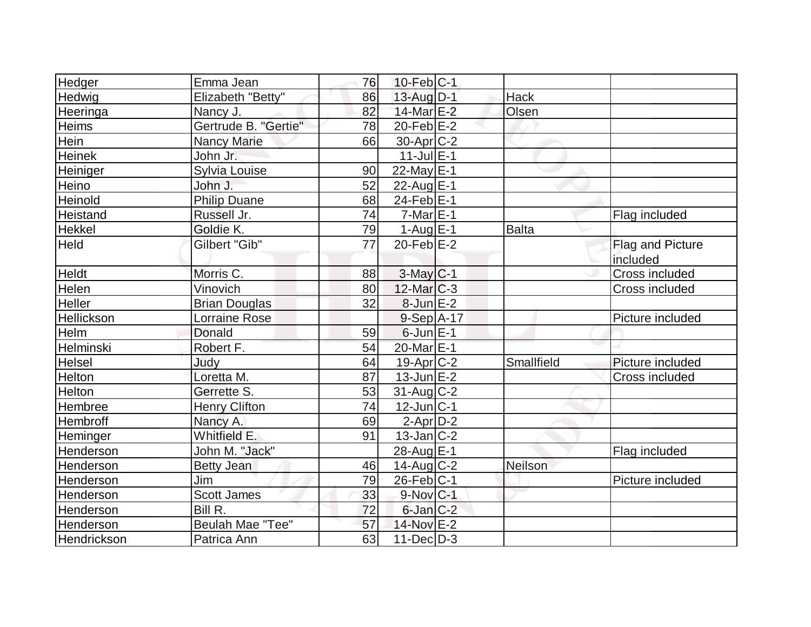| Hedger        | Emma Jean            | 76 | $10$ -Feb $ C-1$  |                |                              |
|---------------|----------------------|----|-------------------|----------------|------------------------------|
| Hedwig        | Elizabeth "Betty"    | 86 | $13$ -Aug $D-1$   | Hack           |                              |
| Heeringa      | Nancy J.             | 82 | $14$ -Mar $E-2$   | Olsen          |                              |
| Heims         | Gertrude B. "Gertie" | 78 | $20$ -Feb $E-2$   |                |                              |
| Hein          | <b>Nancy Marie</b>   | 66 | $30$ -Apr $ C-2 $ |                |                              |
| <b>Heinek</b> | John Jr.             |    | $11$ -Jul $E-1$   |                |                              |
| Heiniger      | Sylvia Louise        | 90 | 22-May $E-1$      |                |                              |
| Heino         | John J.              | 52 | 22-Aug $E-1$      |                |                              |
| Heinold       | <b>Philip Duane</b>  | 68 | $24$ -Feb $E-1$   |                |                              |
| Heistand      | Russell Jr.          | 74 | $7$ -Mar $ E-1 $  |                | Flag included                |
| <b>Hekkel</b> | Goldie K.            | 79 | $1-Auq$ $E-1$     | <b>Balta</b>   |                              |
| <b>Held</b>   | Gilbert "Gib"        | 77 | $20$ -Feb $E-2$   |                | Flag and Picture<br>included |
| <b>Heldt</b>  | Morris C.            | 88 | $3$ -May $C-1$    |                | Cross included               |
| Helen         | Vinovich             | 80 | $12$ -Mar $C-3$   |                | Cross included               |
| Heller        | <b>Brian Douglas</b> | 32 | $8$ -Jun $E-2$    |                |                              |
| Hellickson    | <b>Lorraine Rose</b> |    | $9-Sep$ A-17      |                | Picture included             |
| Helm          | Donald               | 59 | $6$ -Jun $E-1$    |                |                              |
| Helminski     | Robert F.            | 54 | 20-Mar E-1        |                |                              |
| Helsel        | Judy                 | 64 | $19-Apr$ $C-2$    | Smallfield     | Picture included             |
| Helton        | Loretta M.           | 87 | $13$ -Jun $E-2$   |                | Cross included               |
| Helton        | Gerrette S.          | 53 | $31$ -Aug C-2     |                |                              |
| Hembree       | <b>Henry Clifton</b> | 74 | $12$ -Jun $ C-1 $ |                |                              |
| Hembroff      | Nancy A.             | 69 | $2-Apr D-2$       |                |                              |
| Heminger      | Whitfield E.         | 91 | $13$ -Jan $ C-2 $ |                |                              |
| Henderson     | John M. "Jack"       |    | 28-Aug E-1        |                | Flag included                |
| Henderson     | <b>Betty Jean</b>    | 46 | $14$ -Aug C-2     | <b>Neilson</b> |                              |
| Henderson     | Jim                  | 79 | $26$ -Feb $ C-1$  |                | Picture included             |
| Henderson     | Scott James          | 33 | $9-Nov$ $C-1$     |                |                              |
| Henderson     | Bill R.              | 72 | $6$ -Jan $C-2$    |                |                              |
| Henderson     | Beulah Mae "Tee"     | 57 | 14-Nov E-2        |                |                              |
| Hendrickson   | Patrica Ann          | 63 | $11$ -Dec $D-3$   |                |                              |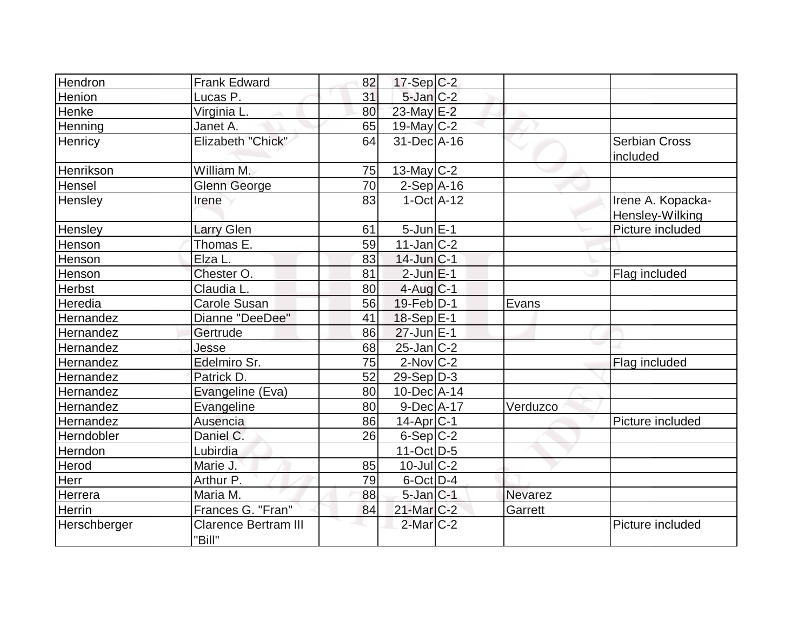| Hendron      | <b>Frank Edward</b>                   | 82 | 17-Sep C-2        |          |                                      |
|--------------|---------------------------------------|----|-------------------|----------|--------------------------------------|
| Henion       | Lucas P.                              | 31 | $5$ -Jan $C-2$    |          |                                      |
| Henke        | Virginia L.                           | 80 | 23-May E-2        |          |                                      |
| Henning      | Janet A.                              | 65 | $19$ -May C-2     |          |                                      |
| Henricy      | Elizabeth "Chick"                     | 64 | 31-Dec A-16       |          | <b>Serbian Cross</b><br>included     |
| Henrikson    | William M.                            | 75 | 13-May $C-2$      |          |                                      |
| Hensel       | <b>Glenn George</b>                   | 70 | $2-Sep$ A-16      |          |                                      |
| Hensley      | Irene                                 | 83 | $1-Oct$ $A-12$    |          | Irene A. Kopacka-<br>Hensley-Wilking |
| Hensley      | <b>Larry Glen</b>                     | 61 | $5$ -Jun $E-1$    |          | Picture included                     |
| Henson       | Thomas E.                             | 59 | $11$ -Jan $ C-2 $ |          |                                      |
| Henson       | Elza L.                               | 83 | $14$ -Jun $ C-1$  |          |                                      |
| Henson       | Chester O.                            | 81 | $2$ -Jun $E-1$    |          | Flag included                        |
| Herbst       | Claudia L.                            | 80 | $4$ -Aug $C-1$    |          |                                      |
| Heredia      | <b>Carole Susan</b>                   | 56 | 19-Feb D-1        | Evans    |                                      |
| Hernandez    | Dianne "DeeDee"                       | 41 | $18-Sep$ $E-1$    |          |                                      |
| Hernandez    | Gertrude                              | 86 | $27$ -Jun $E-1$   |          |                                      |
| Hernandez    | Jesse                                 | 68 | 25-Jan C-2        |          |                                      |
| Hernandez    | Edelmiro Sr.                          | 75 | $2$ -Nov $C-2$    |          | Flag included                        |
| Hernandez    | Patrick D.                            | 52 | $29-Sep D-3$      |          |                                      |
| Hernandez    | Evangeline (Eva)                      | 80 | $10$ -Dec $A$ -14 |          |                                      |
| Hernandez    | Evangeline                            | 80 | $9-Dec A-17$      | Verduzco |                                      |
| Hernandez    | Ausencia                              | 86 | $14$ -Apr $ C-1$  |          | Picture included                     |
| Herndobler   | Daniel C.                             | 26 | $6-Sep C-2$       |          |                                      |
| Herndon      | Lubirdia                              |    | $11-Oct D-5$      |          |                                      |
| Herod        | Marie J.                              | 85 | $10$ -Jul $C-2$   |          |                                      |
| Herr         | Arthur P.                             | 79 | $6$ -Oct $D-4$    |          |                                      |
| Herrera      | Maria M.                              | 88 | $5$ -Jan $ C-1 $  | Nevarez  |                                      |
| Herrin       | Frances G. "Fran"                     | 84 | 21-Mar C-2        | Garrett  |                                      |
| Herschberger | <b>Clarence Bertram III</b><br>"Bill" |    | $2$ -Mar $C-2$    |          | Picture included                     |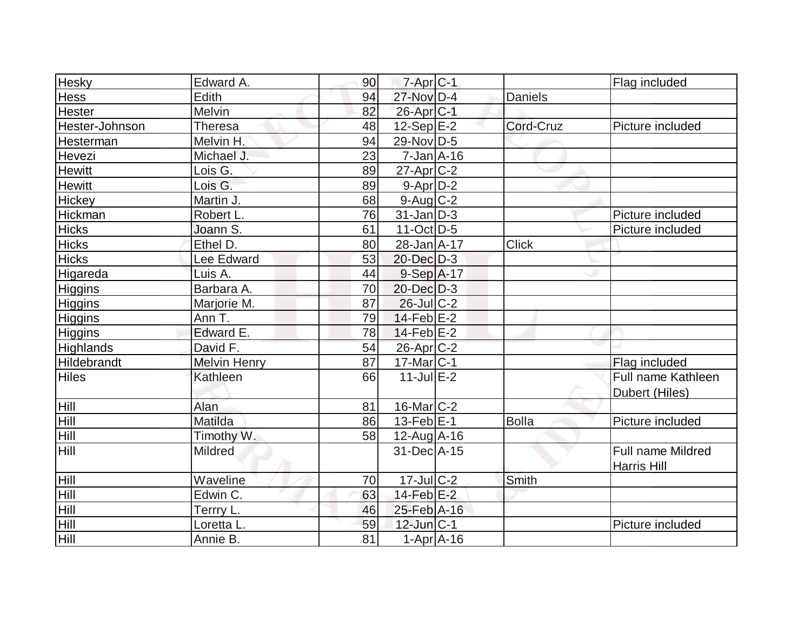| <b>Hesky</b>   | Edward A.           | 90 | $7$ -Apr $ C-1 $       |                | Flag included            |
|----------------|---------------------|----|------------------------|----------------|--------------------------|
| Hess           | Edith               | 94 | 27-Nov D-4             | <b>Daniels</b> |                          |
| Hester         | Melvin              | 82 | 26-Apr <sub>IC-1</sub> |                |                          |
| Hester-Johnson | Theresa             | 48 | $12-Sep$ $E-2$         | Cord-Cruz      | Picture included         |
| Hesterman      | Melvin H.           | 94 | 29-Nov D-5             |                |                          |
| Hevezi         | Michael J.          | 23 | $7 - Jan$ A-16         |                |                          |
| Hewitt         | Lois G.             | 89 | $27$ -Apr $C-2$        |                |                          |
| <b>Hewitt</b>  | Lois G.             | 89 | $9-Apr2$               |                |                          |
| Hickey         | Martin J.           | 68 | $9$ -Aug $C$ -2        |                |                          |
| Hickman        | Robert L.           | 76 | $31$ -Jan D-3          |                | Picture included         |
| <b>Hicks</b>   | Joann S.            | 61 | $11-Oct$ D-5           |                | Picture included         |
| <b>Hicks</b>   | Ethel D.            | 80 | $28 - Jan A - 17$      | <b>Click</b>   |                          |
| <b>Hicks</b>   | Lee Edward          | 53 | 20-Dec D-3             |                |                          |
| Higareda       | Luis A.             | 44 | $9-Sep$ A-17           |                |                          |
| Higgins        | Barbara A.          | 70 | $20$ -Dec $D-3$        |                |                          |
| Higgins        | Marjorie M.         | 87 | $26$ -Jul C-2          |                |                          |
| <b>Higgins</b> | Ann T.              | 79 | $14$ -Feb $ E-2 $      |                |                          |
| Higgins        | Edward E.           | 78 | $14$ -Feb $E-2$        |                |                          |
| Highlands      | David F.            | 54 | 26-Apr <sub>C-2</sub>  |                |                          |
| Hildebrandt    | <b>Melvin Henry</b> | 87 | $17$ -Mar $C-1$        |                | Flag included            |
| <b>Hiles</b>   | Kathleen            | 66 | $11$ -Jul $E-2$        |                | Full name Kathleen       |
|                |                     |    |                        |                | Dubert (Hiles)           |
| Hill           | Alan                | 81 | 16-Mar C-2             |                |                          |
| Hill           | Matilda             | 86 | $13$ -Feb $ E-1 $      | <b>Bolla</b>   | Picture included         |
| <b>Hill</b>    | Timothy W.          | 58 | $12$ -Aug $A$ -16      |                |                          |
| Hill           | Mildred             |    | 31-Dec A-15            |                | <b>Full name Mildred</b> |
|                |                     |    |                        |                | <b>Harris Hill</b>       |
| Hill           | Waveline            | 70 | $17$ -Jul $C-2$        | Smith          |                          |
| Hill           | Edwin C.            | 63 | $14$ -Feb $E-2$        |                |                          |
| Hill           | Terrry L.           | 46 | 25-Feb A-16            |                |                          |
| Hill           | Loretta L.          | 59 | 12-Jun C-1             |                | Picture included         |
| Hill           | Annie B.            | 81 | $1-Apr$ A-16           |                |                          |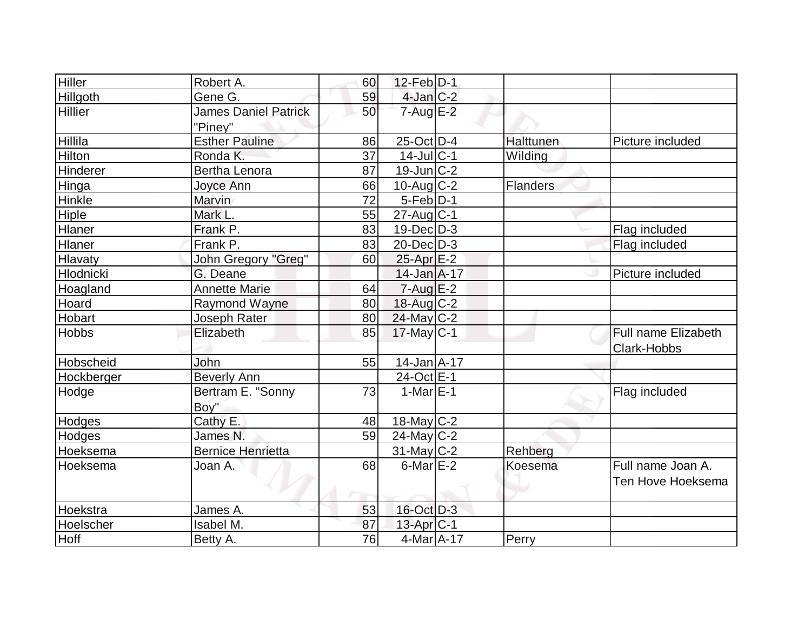| <b>Hiller</b>  | Robert A.                              | 60 | $12$ -Feb $D-1$   |                  |                     |
|----------------|----------------------------------------|----|-------------------|------------------|---------------------|
| Hillgoth       | Gene G.                                | 59 | $4$ -Jan $C-2$    |                  |                     |
| <b>Hillier</b> | <b>James Daniel Patrick</b><br>"Piney" | 50 | $7 - Aug$ $E-2$   |                  |                     |
| Hillila        | <b>Esther Pauline</b>                  | 86 | 25-Oct D-4        | <b>Halttunen</b> | Picture included    |
| Hilton         | Ronda K.                               | 37 | $14$ -Jul C-1     | Wilding          |                     |
| Hinderer       | <b>Bertha Lenora</b>                   | 87 | $19$ -Jun $ C-2 $ |                  |                     |
| Hinga          | Joyce Ann                              | 66 | $10$ -Aug C-2     | Flanders         |                     |
| Hinkle         | Marvin                                 | 72 | $5-Feb D-1$       |                  |                     |
| <b>Hiple</b>   | Mark L.                                | 55 | $27$ -Aug C-1     |                  |                     |
| <b>Hlaner</b>  | Frank P.                               | 83 | $19$ -Dec $D-3$   |                  | Flag included       |
| Hlaner         | Frank P.                               | 83 | $20$ -Dec $D-3$   |                  | Flag included       |
| Hlavaty        | John Gregory "Greg"                    | 60 | $25$ -Apr $E-2$   |                  |                     |
| Hlodnicki      | G. Deane                               |    | $14$ -Jan $A$ -17 |                  | Picture included    |
| Hoagland       | <b>Annette Marie</b>                   | 64 | $7 - Aug$ $E-2$   |                  |                     |
| Hoard          | Raymond Wayne                          | 80 | $18$ -Aug C-2     |                  |                     |
| Hobart         | Joseph Rater                           | 80 | $24$ -May C-2     |                  |                     |
| <b>Hobbs</b>   | Elizabeth                              | 85 | $17$ -May C-1     |                  | Full name Elizabeth |
|                |                                        |    |                   |                  | Clark-Hobbs         |
| Hobscheid      | John                                   | 55 | $14$ -Jan $A$ -17 |                  |                     |
| Hockberger     | <b>Beverly Ann</b>                     |    | 24-Oct E-1        |                  |                     |
| Hodge          | Bertram E. "Sonny<br>Boy"              | 73 | $1-MarE-1$        |                  | Flag included       |
| Hodges         | Cathy E.                               | 48 | $18$ -May C-2     |                  |                     |
| Hodges         | James N.                               | 59 | $24$ -May C-2     |                  |                     |
| Hoeksema       | <b>Bernice Henrietta</b>               |    | $31$ -May C-2     | Rehberg          |                     |
| Hoeksema       | Joan A.                                | 68 | $6$ -Mar $E-2$    | Koesema          | Full name Joan A.   |
|                |                                        |    |                   |                  | Ten Hove Hoeksema   |
| Hoekstra       | James A.                               | 53 | 16-Oct D-3        |                  |                     |
| Hoelscher      | Isabel M.                              | 87 | $13$ -Apr $ C-1 $ |                  |                     |
| Hoff           | Betty A.                               | 76 | 4-Mar A-17        | Perry            |                     |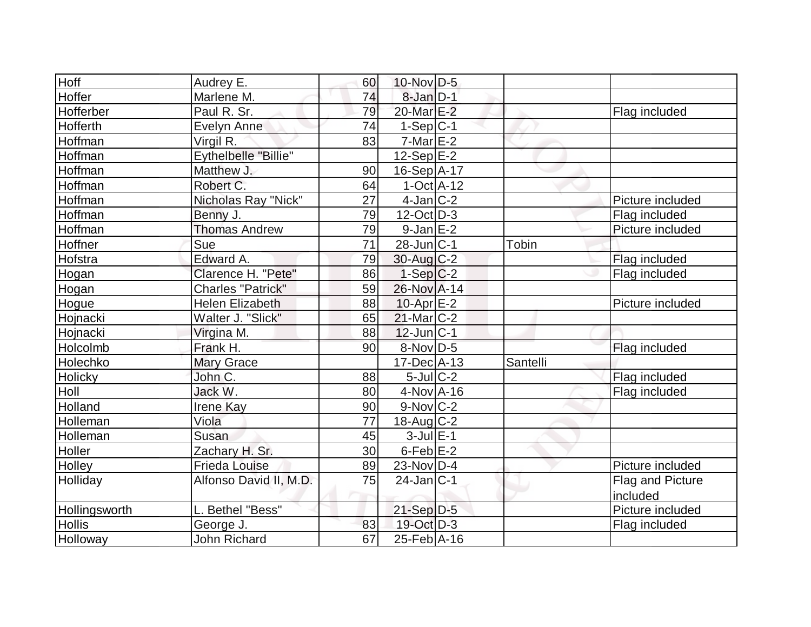| Hoff           | Audrey E.                | 60 | 10-Nov D-5           |          |                  |
|----------------|--------------------------|----|----------------------|----------|------------------|
| Hoffer         | Marlene M.               | 74 | $8$ -Jan $D-1$       |          |                  |
| Hofferber      | Paul R. Sr.              | 79 | 20-Mar E-2           |          | Flag included    |
| Hofferth       | Evelyn Anne              | 74 | $1-Sep C-1$          |          |                  |
| Hoffman        | Virgil R.                | 83 | $7-MarE-2$           |          |                  |
| Hoffman        | Eythelbelle "Billie"     |    | $12-Sep$ E-2         |          |                  |
| Hoffman        | Matthew J.               | 90 | 16-Sep A-17          |          |                  |
| Hoffman        | Robert C.                | 64 | $1-Oct$ $A-12$       |          |                  |
| Hoffman        | Nicholas Ray "Nick"      | 27 | $4$ -Jan $ C-2 $     |          | Picture included |
| Hoffman        | Benny J.                 | 79 | $12$ -Oct $ D-3 $    |          | Flag included    |
| Hoffman        | <b>Thomas Andrew</b>     | 79 | $9$ -Jan $E-2$       |          | Picture included |
| Hoffner        | Sue                      | 71 | $28$ -Jun $ C-1 $    | Tobin    |                  |
| Hofstra        | Edward A.                | 79 | 30-Aug C-2           |          | Flag included    |
| Hogan          | Clarence H. "Pete"       | 86 | $1-Sep C-2$          |          | Flag included    |
| Hogan          | <b>Charles "Patrick"</b> | 59 | 26-Nov A-14          |          |                  |
| Hogue          | <b>Helen Elizabeth</b>   | 88 | $10$ -Apr $E-2$      |          | Picture included |
| Hojnacki       | Walter J. "Slick"        | 65 | $21$ -Mar $C-2$      |          |                  |
| Hojnacki       | Virgina M.               | 88 | $12$ -Jun $ C-1 $    |          |                  |
| Holcolmb       | Frank H.                 | 90 | $8-Nov$ D-5          |          | Flag included    |
| Holechko       | Mary Grace               |    | $17$ -Dec $A$ -13    | Santelli |                  |
| <b>Holicky</b> | John C.                  | 88 | $5$ -Jul $C-2$       |          | Flag included    |
| Holl           | Jack W.                  | 80 | $4$ -Nov $A$ -16     |          | Flag included    |
| Holland        | <b>Irene Kay</b>         | 90 | $9-Nov$ $C-2$        |          |                  |
| Holleman       | Viola                    | 77 | $18$ -Aug C-2        |          |                  |
| Holleman       | Susan                    | 45 | $3$ -Jul $E-1$       |          |                  |
| Holler         | Zachary H. Sr.           | 30 | 6-Feb <sup>E-2</sup> |          |                  |
| Holley         | <b>Frieda Louise</b>     | 89 | $23$ -Nov D-4        |          | Picture included |
| Holliday       | Alfonso David II, M.D.   | 75 | $24$ -Jan $ C-1 $    |          | Flag and Picture |
|                |                          |    |                      |          | included         |
| Hollingsworth  | L. Bethel "Bess"         |    | $21-Sep D-5$         |          | Picture included |
| <b>Hollis</b>  | George J.                | 83 | 19-Oct D-3           |          | Flag included    |
| Holloway       | <b>John Richard</b>      | 67 | 25-Feb A-16          |          |                  |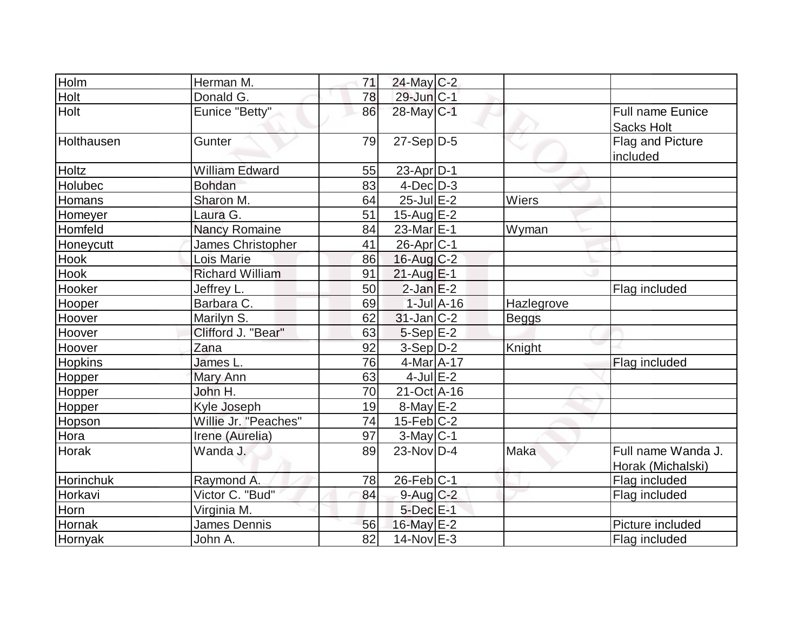| Holm             | Herman M.              | 71 | $24$ -May C-2     |                 |            |                                              |
|------------------|------------------------|----|-------------------|-----------------|------------|----------------------------------------------|
| Holt             | Donald G.              | 78 | $29$ -Jun $ C-1 $ |                 |            |                                              |
| Holt             | Eunice "Betty"         | 86 | 28-May C-1        |                 |            | <b>Full name Eunice</b><br><b>Sacks Holt</b> |
| Holthausen       | Gunter                 | 79 | $27-Sep D-5$      |                 |            | Flag and Picture<br>included                 |
| Holtz            | <b>William Edward</b>  | 55 | $23$ -Apr $ D-1$  |                 |            |                                              |
| Holubec          | <b>Bohdan</b>          | 83 | $4$ -Dec $D-3$    |                 |            |                                              |
| Homans           | Sharon M.              | 64 | $25$ -Jul $E-2$   |                 | Wiers      |                                              |
| Homeyer          | Laura G.               | 51 | $15$ -Aug $E-2$   |                 |            |                                              |
| Homfeld          | Nancy Romaine          | 84 | $23$ -Mar $E-1$   |                 | Wyman      |                                              |
| Honeycutt        | James Christopher      | 41 | $26$ -Apr $C$ -1  |                 |            |                                              |
| Hook             | Lois Marie             | 86 | 16-Aug C-2        |                 |            |                                              |
| Hook             | <b>Richard William</b> | 91 | $21$ -Aug $E-1$   |                 |            |                                              |
| Hooker           | Jeffrey L.             | 50 | $2$ -Jan $E-2$    |                 |            | Flag included                                |
| Hooper           | Barbara C.             | 69 |                   | $1$ -Jul $A-16$ | Hazlegrove |                                              |
| Hoover           | Marilyn S.             | 62 | $31$ -Jan $ C-2 $ |                 | Beggs      |                                              |
| Hoover           | Clifford J. "Bear"     | 63 | $5-Sep$ $E-2$     |                 |            |                                              |
| Hoover           | Zana                   | 92 | $3-Sep D-2$       |                 | Knight     |                                              |
| <b>Hopkins</b>   | James L.               | 76 | 4-Mar A-17        |                 |            | Flag included                                |
| Hopper           | Mary Ann               | 63 | $4$ -Jul $E-2$    |                 |            |                                              |
| Hopper           | John H.                | 70 | 21-Oct A-16       |                 |            |                                              |
| Hopper           | Kyle Joseph            | 19 | $8$ -May $E-2$    |                 |            |                                              |
| Hopson           | Willie Jr. "Peaches"   | 74 | $15$ -Feb $C-2$   |                 |            |                                              |
| Hora             | Irene (Aurelia)        | 97 | $3$ -May $C-1$    |                 |            |                                              |
| <b>Horak</b>     | Wanda J.               | 89 | $23$ -Nov $ID-4$  |                 | Maka       | Full name Wanda J.<br>Horak (Michalski)      |
| <b>Horinchuk</b> | Raymond A.             | 78 | $26$ -Feb $ C-1$  |                 |            | Flag included                                |
| Horkavi          | Victor C. "Bud"        | 84 | $9$ -Aug C-2      |                 |            | Flag included                                |
| Horn             | Virginia M.            |    | $5$ -Dec $E-1$    |                 |            |                                              |
| Hornak           | James Dennis           | 56 | 16-May E-2        |                 |            | Picture included                             |
| Hornyak          | John A.                | 82 | $14$ -Nov $E-3$   |                 |            | Flag included                                |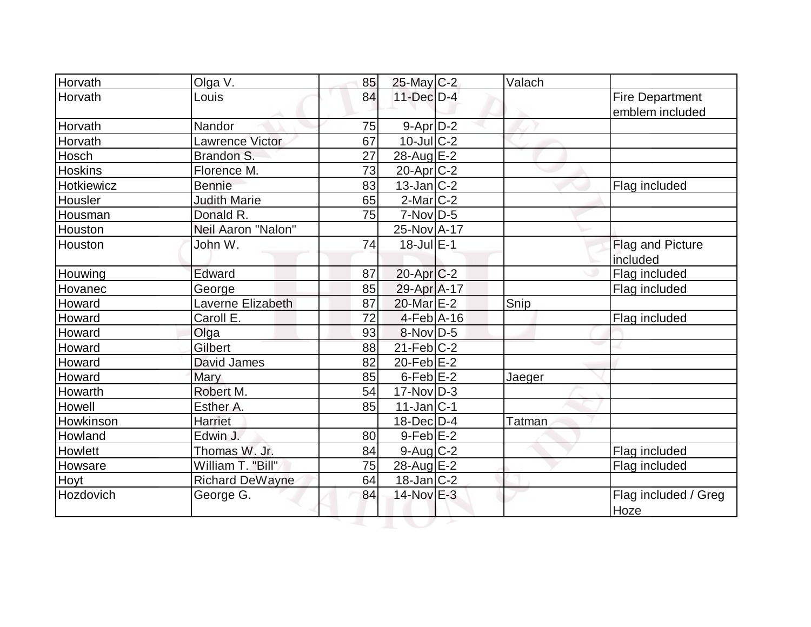| Horvath        | Olga V.                | 85 | 25-May C-2            | Valach |                              |
|----------------|------------------------|----|-----------------------|--------|------------------------------|
| Horvath        | Louis                  | 84 | $11$ -Dec $D-4$       |        | <b>Fire Department</b>       |
|                |                        |    |                       |        | emblem included              |
| Horvath        | Nandor                 | 75 | $9$ -Apr $D-2$        |        |                              |
| Horvath        | <b>Lawrence Victor</b> | 67 | $10$ -Jul $C-2$       |        |                              |
| Hosch          | Brandon S.             | 27 | 28-Aug $E-2$          |        |                              |
| <b>Hoskins</b> | Florence M.            | 73 | 20-Apr <sub>C-2</sub> |        |                              |
| Hotkiewicz     | <b>Bennie</b>          | 83 | $13$ -Jan $ C-2 $     |        | Flag included                |
| Housler        | <b>Judith Marie</b>    | 65 | $2$ -Mar $ C-2 $      |        |                              |
| Housman        | Donald R.              | 75 | $7-Nov D-5$           |        |                              |
| Houston        | Neil Aaron "Nalon"     |    | 25-Nov A-17           |        |                              |
| Houston        | John W.                | 74 | $18$ -Jul $E-1$       |        | Flag and Picture             |
|                |                        |    |                       |        | included                     |
| Houwing        | Edward                 | 87 | $20$ -Apr $C-2$       |        | Flag included                |
| Hovanec        | George                 | 85 | 29-Apr A-17           |        | Flag included                |
| Howard         | Laverne Elizabeth      | 87 | 20-Mar E-2            | Snip   |                              |
| Howard         | Caroll E.              | 72 | $4$ -Feb $A$ -16      |        | Flag included                |
| Howard         | Olga                   | 93 | $8-Nov D-5$           |        |                              |
| Howard         | Gilbert                | 88 | $21$ -Feb $ C-2 $     |        |                              |
| Howard         | David James            | 82 | 20-Feb $E-2$          |        |                              |
| Howard         | Mary                   | 85 | $6$ -Feb $E-2$        | Jaeger |                              |
| Howarth        | Robert M.              | 54 | $17$ -Nov $ D-3 $     |        |                              |
| Howell         | Esther A.              | 85 | $11$ -Jan $ C-1$      |        |                              |
| Howkinson      | Harriet                |    | $18$ -Dec $ D-4 $     | Tatman |                              |
| Howland        | Edwin J.               | 80 | $9-Feb$ $E-2$         |        |                              |
| Howlett        | Thomas W. Jr.          | 84 | $9$ -Aug $C$ -2       |        | Flag included                |
| Howsare        | William T. "Bill"      | 75 | 28-Aug E-2            |        | Flag included                |
| Hoyt           | <b>Richard DeWayne</b> | 64 | $18$ -Jan $ C-2 $     |        |                              |
| Hozdovich      | George G.              | 84 | 14-Nov E-3            |        | Flag included / Greg<br>Hoze |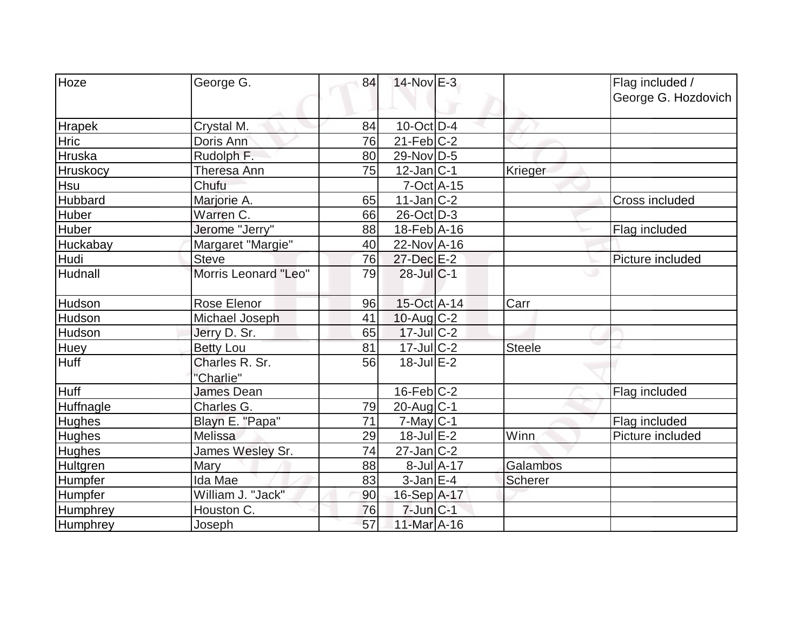| Hoze            | George G.                   | 84 | $14$ -Nov $E-3$   |               | Flag included /<br>George G. Hozdovich |
|-----------------|-----------------------------|----|-------------------|---------------|----------------------------------------|
| <b>Hrapek</b>   | Crystal M.                  | 84 | $10$ -Oct $ D-4 $ |               |                                        |
| <b>Hric</b>     | Doris Ann                   | 76 | $21$ -Feb $ C-2 $ |               |                                        |
| Hruska          | Rudolph F.                  | 80 | 29-Nov D-5        |               |                                        |
| <b>Hruskocy</b> | Theresa Ann                 | 75 | $12$ -Jan $ C-1 $ | Krieger       |                                        |
| Hsu             | Chufu                       |    | $7$ -Oct $A$ -15  |               |                                        |
| Hubbard         | Marjorie A.                 | 65 | $11$ -Jan $ C-2 $ |               | Cross included                         |
| Huber           | Warren C.                   | 66 | 26-Oct D-3        |               |                                        |
| <b>Huber</b>    | Jerome "Jerry"              | 88 | 18-Feb A-16       |               | Flag included                          |
| Huckabay        | Margaret "Margie"           | 40 | 22-Nov A-16       |               |                                        |
| Hudi            | <b>Steve</b>                | 76 | 27-Dec E-2        |               | Picture included                       |
| <b>Hudnall</b>  | Morris Leonard "Leo"        | 79 | $28$ -Jul $C-1$   |               |                                        |
| Hudson          | Rose Elenor                 | 96 | 15-Oct A-14       | Carr          |                                        |
| Hudson          | Michael Joseph              | 41 | $10$ -Aug $C-2$   |               |                                        |
| Hudson          | Jerry D. Sr.                | 65 | $17$ -JulC-2      |               |                                        |
| <b>Huey</b>     | <b>Betty Lou</b>            | 81 | $17$ -Jul $C-2$   | <b>Steele</b> |                                        |
| <b>Huff</b>     | Charles R. Sr.<br>"Charlie" | 56 | $18$ -Jul $E-2$   |               |                                        |
| <b>Huff</b>     | James Dean                  |    | $16$ -Feb $ C-2 $ |               | Flag included                          |
| Huffnagle       | Charles G.                  | 79 | 20-Aug C-1        |               |                                        |
| <b>Hughes</b>   | Blayn E. "Papa"             | 71 | $7$ -May $ C-1 $  |               | Flag included                          |
| <b>Hughes</b>   | <b>Melissa</b>              | 29 | $18$ -Jul $E-2$   | Winn          | Picture included                       |
| <b>Hughes</b>   | James Wesley Sr.            | 74 | $27$ -Jan $C-2$   |               |                                        |
| Hultgren        | Mary                        | 88 | $8$ -Jul $A$ -17  | Galambos      |                                        |
| Humpfer         | Ida Mae                     | 83 | $3$ -Jan $E-4$    | Scherer       |                                        |
| Humpfer         | William J. "Jack"           | 90 | 16-Sep A-17       |               |                                        |
| Humphrey        | Houston C.                  | 76 | $7$ -Jun $C-1$    |               |                                        |
| Humphrey        | Joseph                      | 57 | 11-Mar A-16       |               |                                        |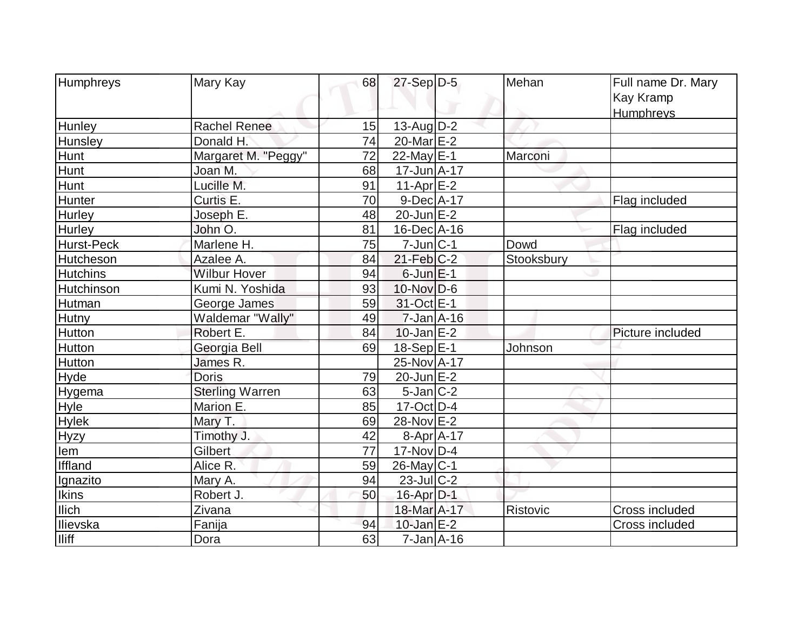| Humphreys         | Mary Kay               | 68 | $27-Sep D-5$      | Mehan      | Full name Dr. Mary<br>Kay Kramp |
|-------------------|------------------------|----|-------------------|------------|---------------------------------|
|                   |                        |    |                   |            | Humphreys                       |
| Hunley            | <b>Rachel Renee</b>    | 15 | 13-Aug $D-2$      |            |                                 |
| Hunsley           | Donald H.              | 74 | $20$ -Mar $E$ -2  |            |                                 |
| Hunt              | Margaret M. "Peggy"    | 72 | 22-May $E-1$      | Marconi    |                                 |
| Hunt              | Joan M.                | 68 | $17$ -Jun $A$ -17 |            |                                 |
| <b>Hunt</b>       | Lucille M.             | 91 | $11-Apr$ $E-2$    |            |                                 |
| Hunter            | Curtis E.              | 70 | 9-Dec A-17        |            | Flag included                   |
| Hurley            | Joseph E.              | 48 | $20$ -Jun $E-2$   |            |                                 |
| Hurley            | John O.                | 81 | $16$ -Dec $ A-16$ |            | Flag included                   |
| <b>Hurst-Peck</b> | Marlene H.             | 75 | $7$ -Jun $ C-1 $  | Dowd       |                                 |
| Hutcheson         | Azalee A.              | 84 | $21$ -Feb $ C-2$  | Stooksbury |                                 |
| <b>Hutchins</b>   | <b>Wilbur Hover</b>    | 94 | $6$ -Jun $E-1$    |            |                                 |
| Hutchinson        | Kumi N. Yoshida        | 93 | $10$ -Nov $D-6$   |            |                                 |
| Hutman            | George James           | 59 | 31-Oct E-1        |            |                                 |
| <b>Hutny</b>      | Waldemar "Wally"       | 49 | $7$ -Jan $A$ -16  |            |                                 |
| Hutton            | Robert E.              | 84 | $10$ -Jan $E-2$   |            | Picture included                |
| Hutton            | Georgia Bell           | 69 | 18-Sep E-1        | Johnson    |                                 |
| <b>Hutton</b>     | James R.               |    | 25-Nov A-17       |            |                                 |
| Hyde              | <b>Doris</b>           | 79 | $20$ -Jun $E-2$   |            |                                 |
| Hygema            | <b>Sterling Warren</b> | 63 | $5$ -Jan $ C-2 $  |            |                                 |
| Hyle              | Marion E.              | 85 | $17$ -Oct $ D-4 $ |            |                                 |
| <b>Hylek</b>      | Mary T.                | 69 | 28-Nov E-2        |            |                                 |
| <b>Hyzy</b>       | Timothy J.             | 42 | $8-Apr$ A-17      |            |                                 |
| lem               | Gilbert                | 77 | 17-Nov D-4        |            |                                 |
| <b>Iffland</b>    | Alice R.               | 59 | $26$ -May C-1     |            |                                 |
| Ignazito          | Mary A.                | 94 | $23$ -JulC-2      |            |                                 |
| Ikins             | Robert J.              | 50 | $16$ -Apr $D-1$   |            |                                 |
| <b>Ilich</b>      | Zivana                 |    | 18-Mar A-17       | Ristovic   | <b>Cross included</b>           |
| Ilievska          | Fanija                 | 94 | $10$ -Jan $E-2$   |            | <b>Cross included</b>           |
| <b>Iliff</b>      | Dora                   | 63 | $7$ -Jan $A$ -16  |            |                                 |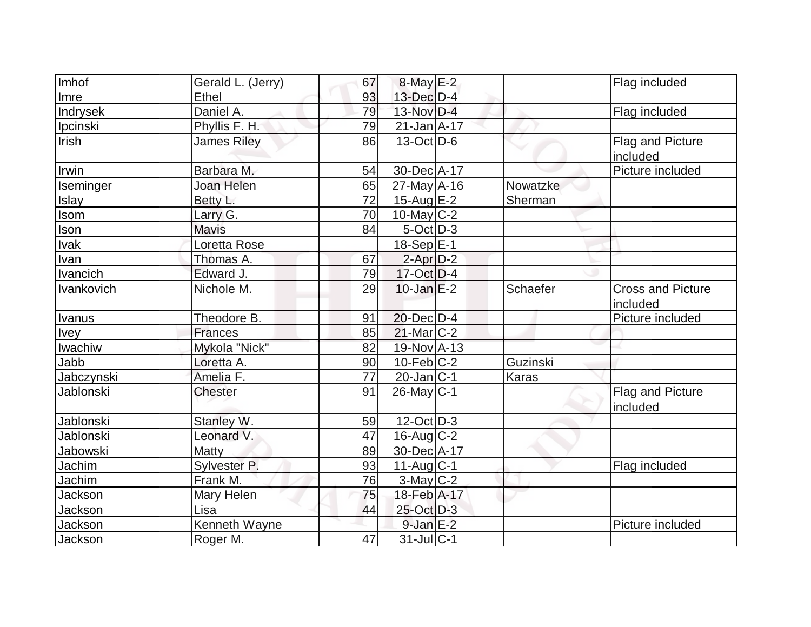| Imhof       | Gerald L. (Jerry)  | 67 | $8$ -May $E-2$              |          | Flag included                        |
|-------------|--------------------|----|-----------------------------|----------|--------------------------------------|
| Imre        | <b>Ethel</b>       | 93 | 13-Dec D-4                  |          |                                      |
| Indrysek    | Daniel A.          | 79 | 13-Nov D-4                  |          | Flag included                        |
| Ipcinski    | Phyllis F. H.      | 79 | $21$ -Jan $A$ -17           |          |                                      |
| Irish       | <b>James Riley</b> | 86 | $13-Oct$ D-6                |          | Flag and Picture<br>included         |
| Irwin       | Barbara M.         | 54 | 30-Dec A-17                 |          | Picture included                     |
| Iseminger   | Joan Helen         | 65 | $27$ -May A-16              | Nowatzke |                                      |
| Islay       | Betty L.           | 72 | 15-Aug $E-2$                | Sherman  |                                      |
| Isom        | Larry G.           | 70 | $10$ -May C-2               |          |                                      |
| Ison        | <b>Mavis</b>       | 84 | $5$ -Oct $D-3$              |          |                                      |
| Ivak        | Loretta Rose       |    | $18-Sep$ E-1                |          |                                      |
| Ivan        | Thomas A.          | 67 | $2$ -Apr $D-2$              |          |                                      |
| Ivancich    | Edward J.          | 79 | $17-Oct$ D-4                |          |                                      |
| Ivankovich  | Nichole M.         | 29 | $10$ -Jan $E-2$             | Schaefer | <b>Cross and Picture</b><br>included |
| Ivanus      | Theodore B.        | 91 | $20$ -Dec $D-4$             |          | Picture included                     |
| <b>Ivey</b> | Frances            | 85 | $21$ -Mar $ C-2 $           |          |                                      |
| Iwachiw     | Mykola "Nick"      | 82 | 19-Nov A-13                 |          |                                      |
| Jabb        | Loretta A.         | 90 | $10$ -Feb $ C-2 $           | Guzinski |                                      |
| Jabczynski  | Amelia F.          | 77 | $20$ -Jan $ C-1 $           | Karas    |                                      |
| Jablonski   | <b>Chester</b>     | 91 | $26$ -May C-1               |          | Flag and Picture<br>included         |
| Jablonski   | Stanley W.         | 59 | $12$ -Oct $\overline{D}$ -3 |          |                                      |
| Jablonski   | Leonard V.         | 47 | $16$ -Aug C-2               |          |                                      |
| Jabowski    | Matty              | 89 | 30-Dec A-17                 |          |                                      |
| Jachim      | Sylvester P.       | 93 | $11$ -Aug $C-1$             |          | Flag included                        |
| Jachim      | Frank M.           | 76 | $3$ -May C-2                |          |                                      |
| Jackson     | <b>Mary Helen</b>  | 75 | 18-Feb A-17                 |          |                                      |
| Jackson     | Lisa               | 44 | 25-Oct D-3                  |          |                                      |
| Jackson     | Kenneth Wayne      |    | $9$ -Jan $E-2$              |          | Picture included                     |
| Jackson     | Roger M.           | 47 | $31$ -Jul $C-1$             |          |                                      |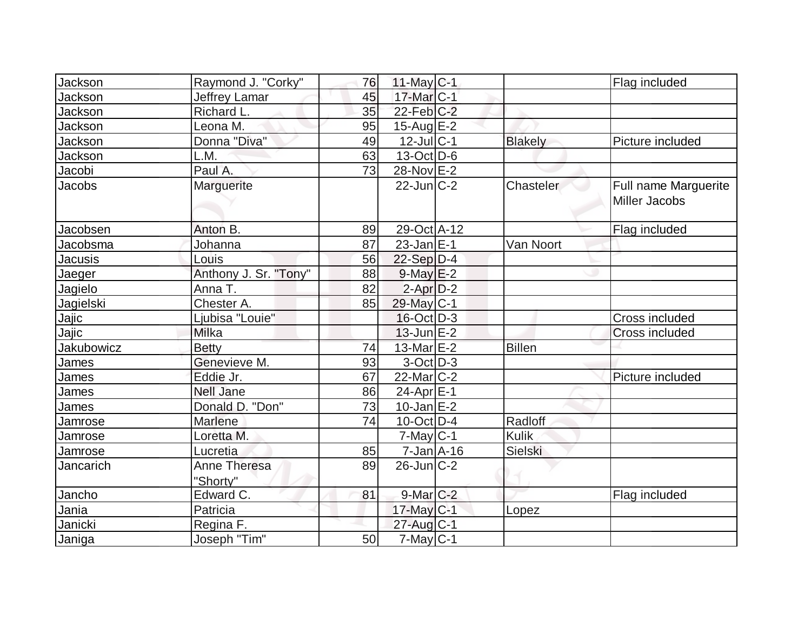| Jackson    | Raymond J. "Corky"              | 76 | 11-May $C-1$      |                | Flag included                         |
|------------|---------------------------------|----|-------------------|----------------|---------------------------------------|
| Jackson    | Jeffrey Lamar                   | 45 | 17-Mar C-1        |                |                                       |
| Jackson    | Richard L.                      | 35 | $22$ -Feb $C-2$   |                |                                       |
| Jackson    | Leona M.                        | 95 | 15-Aug $E-2$      |                |                                       |
| Jackson    | Donna "Diva"                    | 49 | $12$ -Jul C-1     | <b>Blakely</b> | Picture included                      |
| Jackson    | L.M.                            | 63 | $13-Oct$ D-6      |                |                                       |
| Jacobi     | Paul A.                         | 73 | 28-Nov E-2        |                |                                       |
| Jacobs     | Marguerite                      |    | $22$ -Jun $C-2$   | Chasteler      | Full name Marguerite<br>Miller Jacobs |
| Jacobsen   | Anton B.                        | 89 | 29-Oct A-12       |                | Flag included                         |
| Jacobsma   | Johanna                         | 87 | $23$ -Jan $ E-1 $ | Van Noort      |                                       |
| Jacusis    | Louis                           | 56 | $22-Sep D-4$      |                |                                       |
| Jaeger     | Anthony J. Sr. "Tony"           | 88 | $9$ -May $E-2$    |                |                                       |
| Jagielo    | Anna T.                         | 82 | $2$ -Apr $D-2$    |                |                                       |
| Jagielski  | Chester A.                      | 85 | 29-May C-1        |                |                                       |
| Jajic      | Ljubisa "Louie"                 |    | $16$ -Oct $ D-3 $ |                | Cross included                        |
| Jajic      | Milka                           |    | $13$ -Jun $E-2$   |                | Cross included                        |
| Jakubowicz | <b>Betty</b>                    | 74 | 13-Mar E-2        | <b>Billen</b>  |                                       |
| James      | Genevieve M.                    | 93 | $3-Oct$ D-3       |                |                                       |
| James      | Eddie Jr.                       | 67 | $22$ -Mar $C-2$   |                | Picture included                      |
| James      | <b>Nell Jane</b>                | 86 | 24-Apr E-1        |                |                                       |
| James      | Donald D. "Don"                 | 73 | $10$ -Jan $E-2$   |                |                                       |
| Jamrose    | <b>Marlene</b>                  | 74 | $10$ -Oct D-4     | Radloff        |                                       |
| Jamrose    | Loretta M.                      |    | $7$ -May $ C-1 $  | <b>Kulik</b>   |                                       |
| Jamrose    | Lucretia                        | 85 | $7 - Jan$ A-16    | Sielski        |                                       |
| Jancarich  | <b>Anne Theresa</b><br>"Shorty" | 89 | $26$ -Jun $C-2$   |                |                                       |
| Jancho     | Edward <sub>C.</sub>            | 81 | $9$ -Mar $C-2$    |                | Flag included                         |
| Jania      | Patricia                        |    | $17$ -May C-1     | Lopez          |                                       |
| Janicki    | Regina F.                       |    | $27$ -Aug C-1     |                |                                       |
| Janiga     | Joseph "Tim"                    | 50 | $7$ -May C-1      |                |                                       |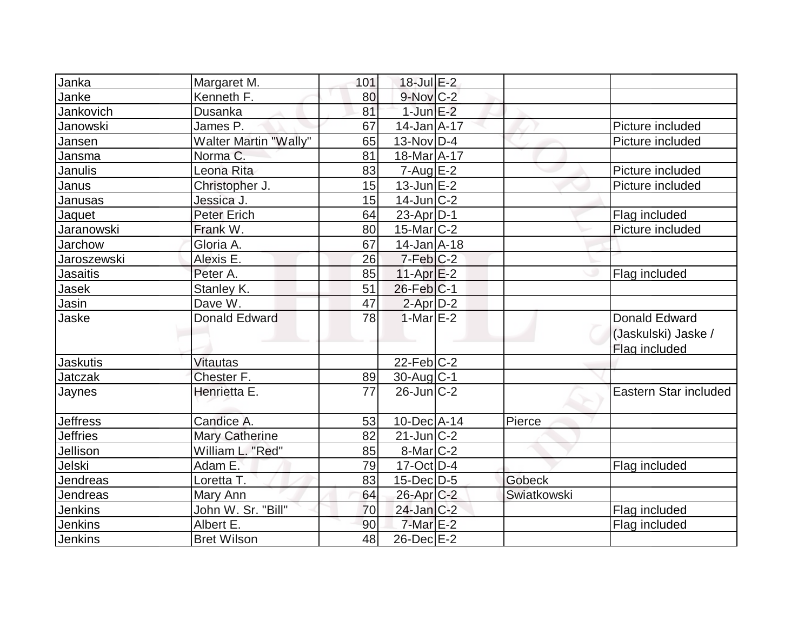| Janka           | Margaret M.                  | 101 | $18$ -Jul $E-2$        |             |                       |
|-----------------|------------------------------|-----|------------------------|-------------|-----------------------|
| Janke           | Kenneth F.                   | 80  | $9-Nov$ $C-2$          |             |                       |
| Jankovich       | Dusanka                      | 81  | $1$ -Jun $E-2$         |             |                       |
| Janowski        | James P.                     | 67  | $14$ -Jan $A$ -17      |             | Picture included      |
| Jansen          | <b>Walter Martin "Wally"</b> | 65  | $13-Nov D-4$           |             | Picture included      |
| Jansma          | Norma C.                     | 81  | 18-Mar A-17            |             |                       |
| Janulis         | Leona Rita                   | 83  | $7 - Aug$ E-2          |             | Picture included      |
| Janus           | Christopher J.               | 15  | $13$ -Jun $E-2$        |             | Picture included      |
| Janusas         | Jessica J.                   | 15  | $14$ -Jun $ C-2 $      |             |                       |
| Jaquet          | <b>Peter Erich</b>           | 64  | $23$ -Apr $ D-1 $      |             | Flag included         |
| Jaranowski      | Frank W.                     | 80  | $15$ -Mar $ C-2 $      |             | Picture included      |
| Jarchow         | Gloria A.                    | 67  | $14$ -Jan $A$ -18      |             |                       |
| Jaroszewski     | Alexis E.                    | 26  | $7-Feb$ <sub>C-2</sub> |             |                       |
| <b>Jasaitis</b> | Peter A.                     | 85  | $11-Apr$ $E-2$         |             | Flag included         |
| Jasek           | Stanley K.                   | 51  | $26$ -Feb $ C-1 $      |             |                       |
| Jasin           | Dave W.                      | 47  | 2-Apr D-2              |             |                       |
| Jaske           | <b>Donald Edward</b>         | 78  | $1-MarE-2$             |             | <b>Donald Edward</b>  |
|                 |                              |     |                        |             | (Jaskulski) Jaske /   |
|                 |                              |     |                        |             | Flag included         |
| <b>Jaskutis</b> | <b>Vitautas</b>              |     | $22$ -Feb $ C-2 $      |             |                       |
| <b>Jatczak</b>  | Chester F.                   | 89  | $30$ -Aug C-1          |             |                       |
| Jaynes          | Henrietta E.                 | 77  | $26$ -Jun $ C-2 $      |             | Eastern Star included |
|                 |                              |     |                        |             |                       |
| <b>Jeffress</b> | Candice A.                   | 53  | $10$ -Dec $ A-14$      | Pierce      |                       |
| <b>Jeffries</b> | <b>Mary Catherine</b>        | 82  | $21$ -Jun $ C-2 $      |             |                       |
| Jellison        | William L. "Red"             | 85  | $8$ -Mar $C-2$         |             |                       |
| Jelski          | Adam E.                      | 79  | $17$ -Oct $ D-4$       |             | Flag included         |
| Jendreas        | Loretta T.                   | 83  | $15$ -Dec $D-5$        | Gobeck      |                       |
| Jendreas        | Mary Ann                     | 64  | 26-Apr C-2             | Swiatkowski |                       |
| <b>Jenkins</b>  | John W. Sr. "Bill"           | 70  | $24$ -Jan $C-2$        |             | Flag included         |
| <b>Jenkins</b>  | Albert E.                    | 90  | $7$ -Mar $E-2$         |             | Flag included         |
| Jenkins         | <b>Bret Wilson</b>           | 48  | 26-Dec E-2             |             |                       |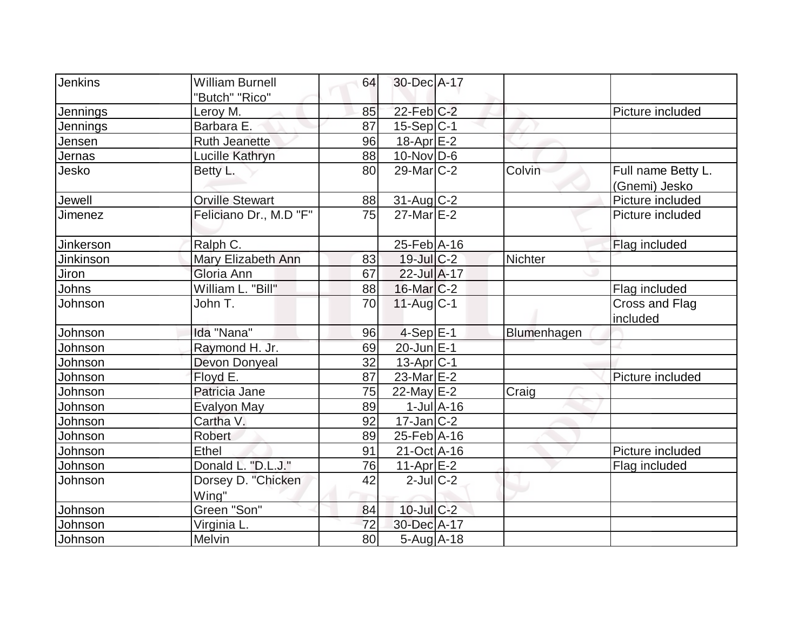| Jenkins          | <b>William Burnell</b>      | 64 | 30-Dec A-17            |                             |                |                                     |
|------------------|-----------------------------|----|------------------------|-----------------------------|----------------|-------------------------------------|
|                  | "Butch" "Rico"              |    |                        |                             |                |                                     |
| Jennings         | Leroy M.                    | 85 | $22$ -Feb $C-2$        |                             |                | Picture included                    |
| Jennings         | Barbara E.                  | 87 | 15-Sep C-1             |                             |                |                                     |
| Jensen           | <b>Ruth Jeanette</b>        | 96 | $18-Apr$ $E-2$         |                             |                |                                     |
| Jernas           | Lucille Kathryn             | 88 | $10$ -Nov $ D-6 $      |                             |                |                                     |
| Jesko            | Betty L.                    | 80 | $29$ -Mar $C-2$        |                             | Colvin         | Full name Betty L.<br>(Gnemi) Jesko |
| Jewell           | <b>Orville Stewart</b>      | 88 | 31-Aug C-2             |                             |                | Picture included                    |
| Jimenez          | Feliciano Dr., M.D "F"      | 75 | $27$ -Mar $E-2$        |                             |                | Picture included                    |
| <b>Jinkerson</b> | Ralph C.                    |    | $25$ -Feb A-16         |                             |                | Flag included                       |
| <b>Jinkinson</b> | Mary Elizabeth Ann          | 83 | 19-Jul C-2             |                             | <b>Nichter</b> |                                     |
| Jiron            | Gloria Ann                  | 67 | $22$ -Jul A-17         |                             |                |                                     |
| Johns            | William L. "Bill"           | 88 | $16$ -Mar $C-2$        |                             |                | Flag included                       |
| Johnson          | John T.                     | 70 | $11$ -Aug C-1          |                             |                | Cross and Flag<br>included          |
| Johnson          | Ida "Nana"                  | 96 | $4-Sep E-1$            |                             | Blumenhagen    |                                     |
| Johnson          | Raymond H. Jr.              | 69 | $20$ -Jun $E-1$        |                             |                |                                     |
| Johnson          | Devon Donyeal               | 32 | 13-Apr <sub>IC-1</sub> |                             |                |                                     |
| Johnson          | Floyd E.                    | 87 | 23-Mar <sub>E-2</sub>  |                             |                | Picture included                    |
| Johnson          | Patricia Jane               | 75 | $22$ -May $E-2$        |                             | Craig          |                                     |
| Johnson          | <b>Evalyon May</b>          | 89 |                        | $1$ -Jul $\overline{A}$ -16 |                |                                     |
| Johnson          | Cartha V.                   | 92 | $17$ -Jan $ C-2 $      |                             |                |                                     |
| Johnson          | <b>Robert</b>               | 89 | $25$ -Feb A-16         |                             |                |                                     |
| Johnson          | Ethel                       | 91 | 21-Oct A-16            |                             |                | Picture included                    |
| Johnson          | Donald L. "D.L.J."          | 76 | $11-Apr$ $E-2$         |                             |                | Flag included                       |
| Johnson          | Dorsey D. "Chicken<br>Wing" | 42 | $2$ -Jul $ C-2 $       |                             |                |                                     |
| Johnson          | Green "Son"                 | 84 | 10-Jul C-2             |                             |                |                                     |
|                  | Virginia L.                 | 72 | 30-Dec A-17            |                             |                |                                     |
| Johnson          |                             |    |                        |                             |                |                                     |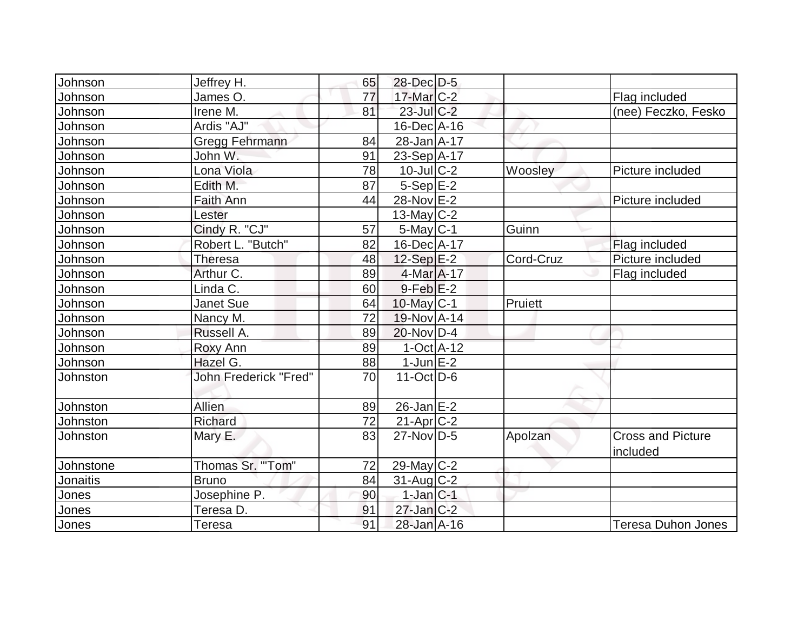| Johnson   | Jeffrey H.                   | 65 | 28-Dec D-5                  |           |                                      |
|-----------|------------------------------|----|-----------------------------|-----------|--------------------------------------|
| Johnson   | James O.                     | 77 | $17$ -Mar $C-2$             |           | Flag included                        |
| Johnson   | Irene M.                     | 81 | $23$ -Jul C-2               |           | (nee) Feczko, Fesko                  |
| Johnson   | Ardis "AJ"                   |    | $16$ -Dec $A$ -16           |           |                                      |
| Johnson   | Gregg Fehrmann               | 84 | 28-Jan A-17                 |           |                                      |
| Johnson   | John W.                      | 91 | $23-Sep$ A-17               |           |                                      |
| Johnson   | Lona Viola                   | 78 | $10$ -Jul $C-2$             | Woosley   | Picture included                     |
| Johnson   | Edith M.                     | 87 | $5-Sep$ $E-2$               |           |                                      |
| Johnson   | <b>Faith Ann</b>             | 44 | 28-Nov E-2                  |           | Picture included                     |
| Johnson   | Lester                       |    | 13-May $C-2$                |           |                                      |
| Johnson   | Cindy R. "CJ"                | 57 | $5$ -May $ C-1 $            | Guinn     |                                      |
| Johnson   | Robert L. "Butch"            | 82 | 16-Dec A-17                 |           | Flag included                        |
| Johnson   | Theresa                      | 48 | $12-Sep$ $E-2$              | Cord-Cruz | Picture included                     |
| Johnson   | Arthur C.                    | 89 | 4-Mar A-17                  |           | Flag included                        |
| Johnson   | Linda C.                     | 60 | $9$ -Feb $E-2$              |           |                                      |
| Johnson   | Janet Sue                    | 64 | $10$ -May C-1               | Pruiett   |                                      |
| Johnson   | Nancy M.                     | 72 | 19-Nov A-14                 |           |                                      |
| Johnson   | Russell A.                   | 89 | $20$ -Nov $ D-4 $           |           |                                      |
| Johnson   | <b>Roxy Ann</b>              | 89 | $1-Oct$ A-12                |           |                                      |
| Johnson   | Hazel G.                     | 88 | $1$ -Jun $E-2$              |           |                                      |
| Johnston  | <b>John Frederick "Fred"</b> | 70 | $11$ -Oct $\overline{D}$ -6 |           |                                      |
| Johnston  | Allien                       | 89 | $26$ -Jan $E-2$             |           |                                      |
| Johnston  | Richard                      | 72 | $21-Apr$ $C-2$              |           |                                      |
| Johnston  | Mary E.                      | 83 | $27$ -Nov $ D-5 $           | Apolzan   | <b>Cross and Picture</b><br>included |
| Johnstone | Thomas Sr. "'Tom"            | 72 | 29-May C-2                  |           |                                      |
| Jonaitis  | <b>Bruno</b>                 | 84 | $31$ -Aug C-2               |           |                                      |
| Jones     | Josephine P.                 | 90 | $1$ -Jan $C-1$              |           |                                      |
| Jones     | Teresa D.                    | 91 | $27$ -Jan $C-2$             |           |                                      |
| Jones     | Teresa                       | 91 | 28-Jan A-16                 |           | <b>Teresa Duhon Jones</b>            |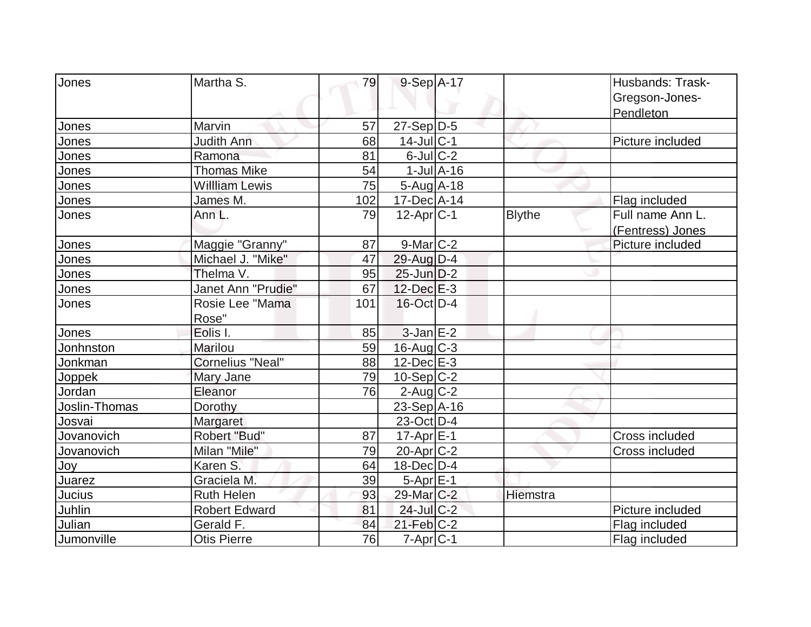| Jones         | Martha S.               | 79  | 9-Sep A-17                  |                             |               | Husbands: Trask- |
|---------------|-------------------------|-----|-----------------------------|-----------------------------|---------------|------------------|
|               |                         |     |                             |                             |               | Gregson-Jones-   |
|               |                         |     |                             |                             |               | Pendleton        |
| Jones         | Marvin                  | 57  | 27-Sep D-5                  |                             |               |                  |
| Jones         | <b>Judith Ann</b>       | 68  | $14$ -Jul $ C-1$            |                             |               | Picture included |
| Jones         | Ramona                  | 81  | $6$ -Jul $C$ -2             |                             |               |                  |
| Jones         | <b>Thomas Mike</b>      | 54  |                             | $1$ -Jul $\overline{A}$ -16 |               |                  |
| Jones         | <b>Willliam Lewis</b>   | 75  | $5-Aug$ A-18                |                             |               |                  |
| Jones         | James M.                | 102 | $17$ -Dec $ A-14$           |                             |               | Flag included    |
| Jones         | Ann L.                  | 79  | $12-Apr C-1$                |                             | <b>Blythe</b> | Full name Ann L. |
|               |                         |     |                             |                             |               | (Fentress) Jones |
| Jones         | Maggie "Granny"         | 87  | $9$ -Mar $C-2$              |                             |               | Picture included |
| Jones         | Michael J. "Mike"       | 47  | 29-Aug D-4                  |                             |               |                  |
| Jones         | Thelma V.               | 95  | $25$ -Jun $D-2$             |                             |               |                  |
| Jones         | Janet Ann "Prudie"      | 67  | $12$ -Dec $E-3$             |                             |               |                  |
| Jones         | Rosie Lee "Mama         | 101 | 16-Oct D-4                  |                             |               |                  |
|               | Rose"                   |     |                             |                             |               |                  |
| Jones         | Eolis I.                | 85  | $3$ -Jan $E-2$              |                             |               |                  |
| Jonhnston     | Marilou                 | 59  | 16-Aug C-3                  |                             |               |                  |
| Jonkman       | <b>Cornelius "Neal"</b> | 88  | $12$ -Dec $E-3$             |                             |               |                  |
| Joppek        | Mary Jane               | 79  | $10-Sep C-2$                |                             |               |                  |
| Jordan        | Eleanor                 | 76  | $2$ -Aug $C-2$              |                             |               |                  |
| Joslin-Thomas | Dorothy                 |     | $23-Sep$ A-16               |                             |               |                  |
| Josvai        | Margaret                |     | $23$ -Oct D-4               |                             |               |                  |
| Jovanovich    | Robert "Bud"            | 87  | $17$ -Apr $E-1$             |                             |               | Cross included   |
| Jovanovich    | Milan "Mile"            | 79  | 20-Apr <sub>C-2</sub>       |                             |               | Cross included   |
| Joy           | Karen S.                | 64  | $18$ -Dec $D-4$             |                             |               |                  |
| <b>Juarez</b> | Graciela M.             | 39  | $5-Apr \nightharpoonup 5-1$ |                             |               |                  |
| Jucius        | <b>Ruth Helen</b>       | 93  | 29-Mar C-2                  |                             | Hiemstra      |                  |
| Juhlin        | <b>Robert Edward</b>    | 81  | 24-Jul C-2                  |                             |               | Picture included |
| Julian        | Gerald F.               | 84  | $21$ -Feb $C-2$             |                             |               | Flag included    |
| Jumonville    | <b>Otis Pierre</b>      | 76  | 7-Apr C-1                   |                             |               | Flag included    |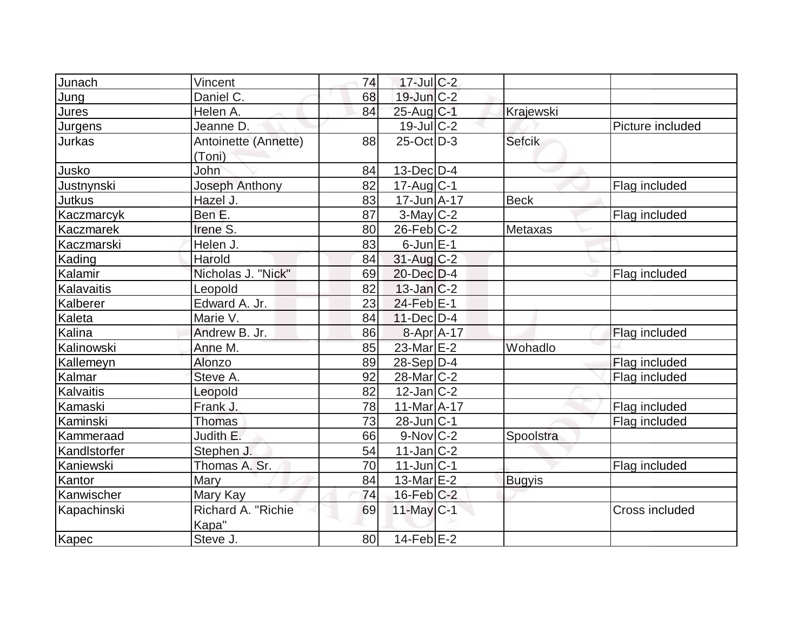| Junach       | Vincent                      | 74 | 17-Jul C-2        |               |                  |
|--------------|------------------------------|----|-------------------|---------------|------------------|
| Jung         | Daniel C.                    | 68 | $19$ -Jun $C-2$   |               |                  |
| Jures        | Helen A.                     | 84 | $25$ -Aug $C-1$   | Krajewski     |                  |
| Jurgens      | Jeanne D.                    |    | $19$ -Jul $C-2$   |               | Picture included |
| Jurkas       | Antoinette (Annette)         | 88 | $25$ -Oct $D-3$   | <b>Sefcik</b> |                  |
|              | (Toni)                       |    |                   |               |                  |
| Jusko        | John                         | 84 | $13$ -Dec $ D-4 $ |               |                  |
| Justnynski   | Joseph Anthony               | 82 | $17$ -Aug C-1     |               | Flag included    |
| Jutkus       | Hazel J.                     | 83 | $17 - Jun$ A-17   | <b>Beck</b>   |                  |
| Kaczmarcyk   | Ben E.                       | 87 | $3$ -May C-2      |               | Flag included    |
| Kaczmarek    | Irene S.                     | 80 | $26$ -Feb $ C-2 $ | Metaxas       |                  |
| Kaczmarski   | Helen J.                     | 83 | $6$ -Jun $E-1$    |               |                  |
| Kading       | Harold                       | 84 | $31$ -Aug C-2     |               |                  |
| Kalamir      | Nicholas J. "Nick"           | 69 | 20-Dec D-4        |               | Flag included    |
| Kalavaitis   | Leopold                      | 82 | $13$ -Jan $ C-2 $ |               |                  |
| Kalberer     | Edward A. Jr.                | 23 | 24-Feb E-1        |               |                  |
| Kaleta       | Marie V.                     | 84 | $11$ -Dec $D-4$   |               |                  |
| Kalina       | Andrew B. Jr.                | 86 | $8-Apr$ A-17      |               | Flag included    |
| Kalinowski   | Anne M.                      | 85 | $23$ -Mar $E-2$   | Wohadlo       |                  |
| Kallemeyn    | Alonzo                       | 89 | $28-Sep D-4$      |               | Flag included    |
| Kalmar       | Steve A.                     | 92 | $28$ -Mar $ C-2 $ |               | Flag included    |
| Kalvaitis    | Leopold                      | 82 | $12$ -Jan $C-2$   |               |                  |
| Kamaski      | Frank J.                     | 78 | $11-Mar2 - 17$    |               | Flag included    |
| Kaminski     | <b>Thomas</b>                | 73 | $28$ -Jun $ C-1 $ |               | Flag included    |
| Kammeraad    | Judith E.                    | 66 | $9-Nov$ C-2       | Spoolstra     |                  |
| Kandlstorfer | Stephen J.                   | 54 | $11$ -Jan $ C-2 $ |               |                  |
| Kaniewski    | Thomas A. Sr.                | 70 | $11$ -Jun $ C-1 $ |               | Flag included    |
| Kantor       | Mary                         | 84 | 13-Mar $E-2$      | <b>Bugyis</b> |                  |
| Kanwischer   | Mary Kay                     | 74 | $16$ -Feb $C-2$   |               |                  |
| Kapachinski  | Richard A. "Richie"<br>Kapa" | 69 | $11$ -May C-1     |               | Cross included   |
| Kapec        | Steve J.                     | 80 | $14$ -Feb $E-2$   |               |                  |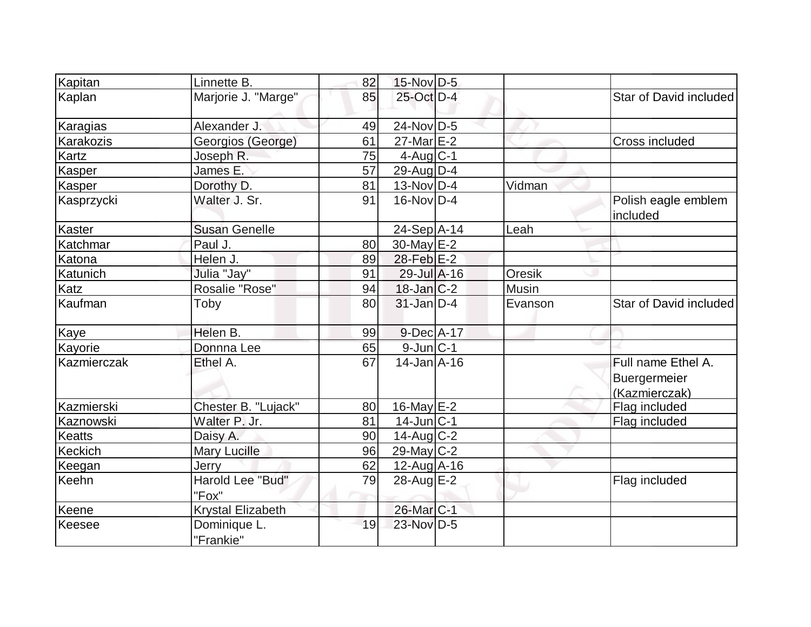| Kapitan       | Linnette B.               | 82 | 15-Nov D-5        |         |                                 |
|---------------|---------------------------|----|-------------------|---------|---------------------------------|
| Kaplan        | Marjorie J. "Marge"       | 85 | 25-Oct D-4        |         | Star of David included          |
| Karagias      | Alexander J.              | 49 | $24$ -Nov $ D-5$  |         |                                 |
| Karakozis     | Georgios (George)         | 61 | $27$ -Mar $E-2$   |         | Cross included                  |
| Kartz         | Joseph R.                 | 75 | $4$ -Aug $C-1$    |         |                                 |
| Kasper        | James E.                  | 57 | 29-Aug D-4        |         |                                 |
| Kasper        | Dorothy D.                | 81 | $13-Nov D-4$      | Vidman  |                                 |
| Kasprzycki    | Walter J. Sr.             | 91 | $16$ -Nov $ D-4$  |         | Polish eagle emblem<br>included |
| <b>Kaster</b> | <b>Susan Genelle</b>      |    | 24-Sep A-14       | Leah    |                                 |
| Katchmar      | Paul J.                   | 80 | $30$ -May $E-2$   |         |                                 |
| Katona        | Helen J.                  | 89 | 28-Feb E-2        |         |                                 |
| Katunich      | Julia "Jay"               | 91 | $29$ -Jul $A-16$  | Oresik  |                                 |
| Katz          | Rosalie "Rose"            | 94 | $18$ -Jan $ C-2 $ | Musin   |                                 |
| Kaufman       | Toby                      | 80 | $31$ -Jan D-4     | Evanson | Star of David included          |
| <b>Kaye</b>   | Helen B.                  | 99 | $9$ -Dec $A$ -17  |         |                                 |
| Kayorie       | Donnna Lee                | 65 | $9$ -Jun $C-1$    |         |                                 |
| Kazmierczak   | Ethel A.                  | 67 | $14$ -Jan $A$ -16 |         | Full name Ethel A.              |
|               |                           |    |                   |         | Buergermeier                    |
|               |                           |    |                   |         | (Kazmierczak)                   |
| Kazmierski    | Chester B. "Lujack"       | 80 | 16-May E-2        |         | Flag included                   |
| Kaznowski     | Walter P. Jr.             | 81 | $14$ -Jun $ C-1 $ |         | Flag included                   |
| <b>Keatts</b> | Daisy A.                  | 90 | 14-Aug C-2        |         |                                 |
| Keckich       | <b>Mary Lucille</b>       | 96 | 29-May C-2        |         |                                 |
| Keegan        | Jerry                     | 62 | 12-Aug A-16       |         |                                 |
| Keehn         | Harold Lee "Bud"<br>"Fox" | 79 | 28-Aug E-2        |         | Flag included                   |
| Keene         | Krystal Elizabeth         |    | 26-Mar C-1        |         |                                 |
| Keesee        | Dominique L.<br>"Frankie" | 19 | 23-Nov D-5        |         |                                 |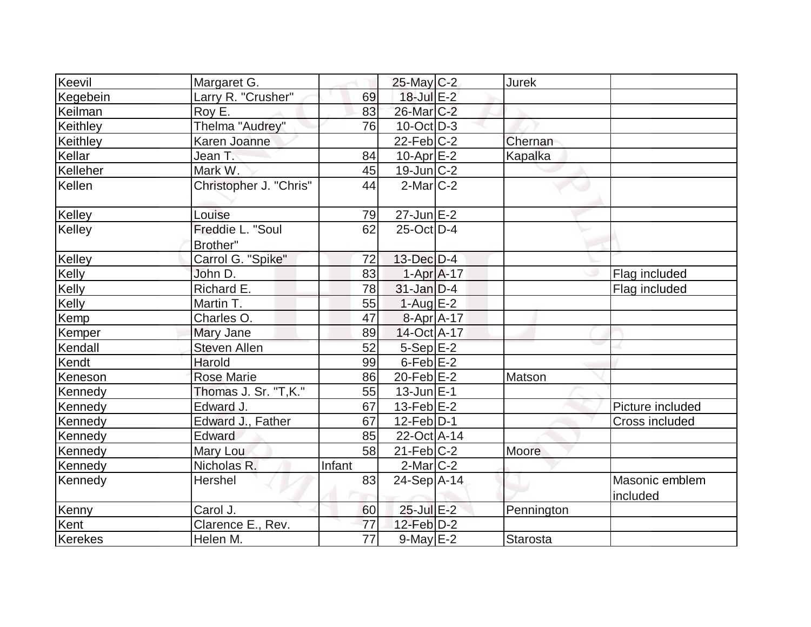| Keevil   | Margaret G.            |        | 25-May C-2        | <b>Jurek</b> |                            |
|----------|------------------------|--------|-------------------|--------------|----------------------------|
| Kegebein | Larry R. "Crusher"     | 69     | 18-Jul E-2        |              |                            |
| Keilman  | Roy E.                 | 83     | 26-Mar C-2        |              |                            |
| Keithley | Thelma "Audrey"        | 76     | $10$ -Oct $ D-3 $ |              |                            |
| Keithley | Karen Joanne           |        | $22$ -Feb $C-2$   | Chernan      |                            |
| Kellar   | Jean T.                | 84     | $10-Apr$ $E-2$    | Kapalka      |                            |
| Kelleher | Mark W.                | 45     | $19$ -Jun $ C-2 $ |              |                            |
| Kellen   | Christopher J. "Chris" | 44     | $2$ -Mar $ C-2 $  |              |                            |
| Kelley   | Louise                 | 79     | $27$ -Jun $E$ -2  |              |                            |
| Kelley   | Freddie L. "Soul       | 62     | 25-Oct D-4        |              |                            |
|          | Brother"               |        |                   |              |                            |
| Kelley   | Carrol G. "Spike"      | 72     | 13-Dec D-4        |              |                            |
| Kelly    | John D.                | 83     | $1-Apr$ $A-17$    |              | Flag included              |
| Kelly    | Richard E.             | 78     | $31$ -Jan D-4     |              | Flag included              |
| Kelly    | Martin T.              | 55     | $1-Aug$ $E-2$     |              |                            |
| Kemp     | Charles O.             | 47     | 8-Apr A-17        |              |                            |
| Kemper   | Mary Jane              | 89     | 14-Oct A-17       |              |                            |
| Kendall  | <b>Steven Allen</b>    | 52     | $5-$ Sep $E-2$    |              |                            |
| Kendt    | Harold                 | 99     | $6$ -Feb $E-2$    |              |                            |
| Keneson  | <b>Rose Marie</b>      | 86     | $20$ -Feb $E-2$   | Matson       |                            |
| Kennedy  | Thomas J. Sr. "T,K."   | 55     | $13$ -Jun $E-1$   |              |                            |
| Kennedy  | Edward J.              | 67     | $13$ -Feb $ E-2 $ |              | Picture included           |
| Kennedy  | Edward J., Father      | 67     | $12$ -Feb $ D-1 $ |              | Cross included             |
| Kennedy  | Edward                 | 85     | 22-Oct A-14       |              |                            |
| Kennedy  | Mary Lou               | 58     | $21$ -Feb $ C-2 $ | Moore        |                            |
| Kennedy  | Nicholas R.            | Infant | $2$ -Mar $ C-2 $  |              |                            |
| Kennedy  | Hershel                | 83     | $24-Sep$ A-14     |              | Masonic emblem<br>included |
| Kenny    | Carol J.               | 60     | 25-Jul E-2        | Pennington   |                            |
| Kent     | Clarence E., Rev.      | 77     | $12$ -Feb $D-2$   |              |                            |
| Kerekes  | Helen M.               | 77     | $9$ -May $E-2$    | Starosta     |                            |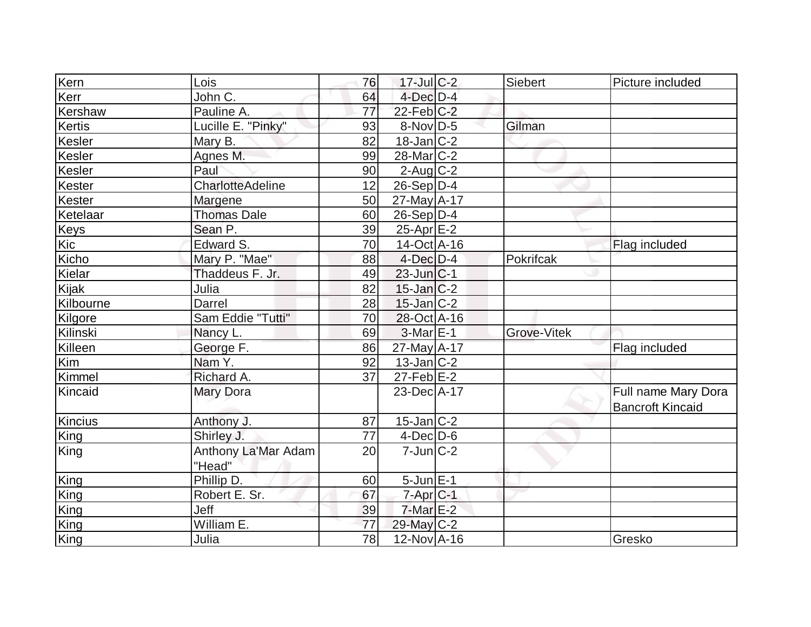| Kern          | Lois                          | 76 | $17$ -Jul C-2         | <b>Siebert</b>     | Picture included                               |
|---------------|-------------------------------|----|-----------------------|--------------------|------------------------------------------------|
| Kerr          | John C.                       | 64 | $4$ -Dec $D-4$        |                    |                                                |
| Kershaw       | Pauline A.                    | 77 | $22$ -Feb $C-2$       |                    |                                                |
| <b>Kertis</b> | Lucille E. "Pinky"            | 93 | $8-Nov D-5$           | Gilman             |                                                |
| Kesler        | Mary B.                       | 82 | $18$ -Jan $C-2$       |                    |                                                |
| Kesler        | Agnes M.                      | 99 | 28-Mar <sub>C-2</sub> |                    |                                                |
| Kesler        | Paul                          | 90 | $2$ -Aug C-2          |                    |                                                |
| Kester        | CharlotteAdeline              | 12 | $26-Sep D-4$          |                    |                                                |
| Kester        | Margene                       | 50 | $27$ -May $A$ -17     |                    |                                                |
| Ketelaar      | <b>Thomas Dale</b>            | 60 | $26-Sep D-4$          |                    |                                                |
| <b>Keys</b>   | Sean P.                       | 39 | $25$ -Apr $E-2$       |                    |                                                |
| Kic           | Edward S.                     | 70 | $14$ -Oct A-16        |                    | Flag included                                  |
| Kicho         | Mary P. "Mae"                 | 88 | $4$ -Dec $D-4$        | Pokrifcak          |                                                |
| Kielar        | Thaddeus F. Jr.               | 49 | $23$ -Jun $ C-1$      |                    |                                                |
| Kijak         | Julia                         | 82 | $15$ -Jan $C-2$       |                    |                                                |
| Kilbourne     | Darrel                        | 28 | $15$ -Jan $ C-2 $     |                    |                                                |
| Kilgore       | Sam Eddie "Tutti"             | 70 | 28-Oct A-16           |                    |                                                |
| Kilinski      | Nancy L.                      | 69 | $3-Mar$ E-1           | <b>Grove-Vitek</b> |                                                |
| Killeen       | George F.                     | 86 | 27-May A-17           |                    | Flag included                                  |
| Kim           | Nam Y.                        | 92 | $13$ -Jan $ C-2 $     |                    |                                                |
| Kimmel        | Richard A.                    | 37 | $27$ -Feb $E-2$       |                    |                                                |
| Kincaid       | <b>Mary Dora</b>              |    | 23-Dec A-17           |                    | Full name Mary Dora<br><b>Bancroft Kincaid</b> |
| Kincius       | Anthony J.                    | 87 | $15$ -Jan $ C-2 $     |                    |                                                |
| King          | Shirley J.                    | 77 | $4$ -Dec $D$ -6       |                    |                                                |
| King          | Anthony La'Mar Adam<br>"Head" | 20 | $7$ -Jun $ C-2 $      |                    |                                                |
| King          | Phillip D.                    | 60 | $5$ -Jun $E-1$        |                    |                                                |
| King          | Robert E. Sr.                 | 67 | $7$ -Apr $C-1$        |                    |                                                |
| King          | Jeff                          | 39 | $7$ -Mar $E-2$        |                    |                                                |
| King          | William E.                    | 77 | 29-May C-2            |                    |                                                |
| King          | Julia                         | 78 | $12$ -Nov $A$ -16     |                    | Gresko                                         |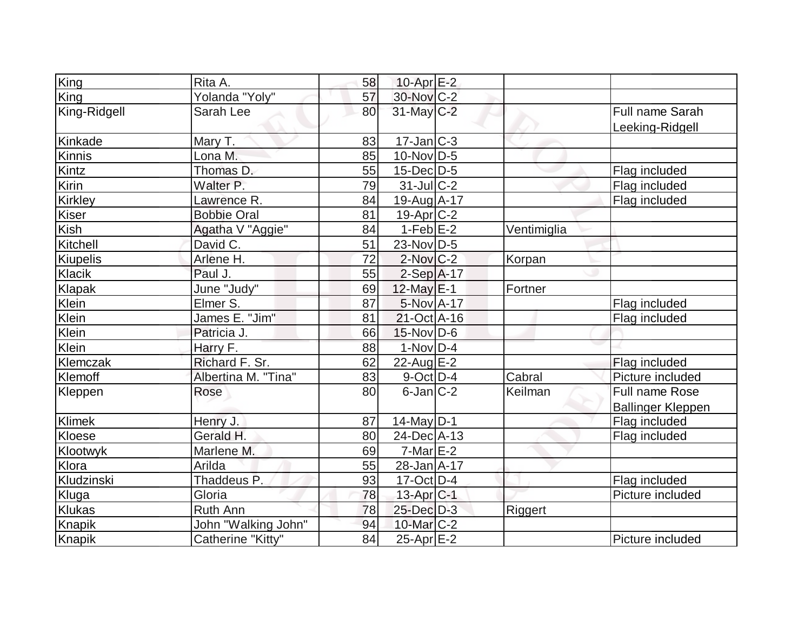| King           | Rita A.             | 58 | $10$ -Apr $E-2$   |             |                          |
|----------------|---------------------|----|-------------------|-------------|--------------------------|
| King           | Yolanda "Yoly"      | 57 | 30-Nov C-2        |             |                          |
| King-Ridgell   | Sarah Lee           | 80 | 31-May C-2        |             | Full name Sarah          |
|                |                     |    |                   |             | Leeking-Ridgell          |
| Kinkade        | Mary T.             | 83 | $17 - Jan$ $C-3$  |             |                          |
| Kinnis         | Lona M.             | 85 | $10$ -Nov $ D-5 $ |             |                          |
| Kintz          | Thomas D.           | 55 | $15$ -Dec $D-5$   |             | Flag included            |
| Kirin          | Walter P.           | 79 | $31$ -JulC-2      |             | Flag included            |
| <b>Kirkley</b> | Lawrence R.         | 84 | 19-Aug A-17       |             | Flag included            |
| Kiser          | <b>Bobbie Oral</b>  | 81 | $19$ -Apr $ C-2 $ |             |                          |
| Kish           | Agatha V "Aggie"    | 84 | $1-Feb$ $E-2$     | Ventimiglia |                          |
| Kitchell       | David C.            | 51 | $23$ -Nov D-5     |             |                          |
| Kiupelis       | Arlene H.           | 72 | $2$ -Nov $C-2$    | Korpan      |                          |
| Klacik         | Paul J.             | 55 | $2-Sep$ A-17      |             |                          |
| Klapak         | June "Judy"         | 69 | $12$ -May $E-1$   | Fortner     |                          |
| Klein          | Elmer S.            | 87 | 5-Nov A-17        |             | Flag included            |
| Klein          | James E. "Jim"      | 81 | $21-Oct$ A-16     |             | Flag included            |
| Klein          | Patricia J.         | 66 | $15$ -Nov $ D-6$  |             |                          |
| Klein          | Harry F.            | 88 | $1-NovD-4$        |             |                          |
| Klemczak       | Richard F. Sr.      | 62 | $22$ -Aug E-2     |             | Flag included            |
| Klemoff        | Albertina M. "Tina" | 83 | $9$ -Oct $ D-4 $  | Cabral      | Picture included         |
| Kleppen        | Rose                | 80 | $6$ -Jan $ C-2 $  | Keilman     | Full name Rose           |
|                |                     |    |                   |             | <b>Ballinger Kleppen</b> |
| Klimek         | Henry J.            | 87 | $14$ -May D-1     |             | Flag included            |
| Kloese         | Gerald H.           | 80 | 24-Dec A-13       |             | Flag included            |
| Klootwyk       | Marlene M.          | 69 | $7-Mar \, E-2$    |             |                          |
| Klora          | Arilda              | 55 | 28-Jan A-17       |             |                          |
| Kludzinski     | Thaddeus P.         | 93 | $17$ -Oct $ D-4 $ |             | Flag included            |
| Kluga          | Gloria              | 78 | $13$ -Apr $ C-1 $ |             | Picture included         |
| Klukas         | <b>Ruth Ann</b>     | 78 | 25-Dec D-3        | Riggert     |                          |
| Knapik         | John "Walking John" | 94 | 10-Mar $ C-2 $    |             |                          |
| Knapik         | Catherine "Kitty"   | 84 | $25$ -Apr $E-2$   |             | Picture included         |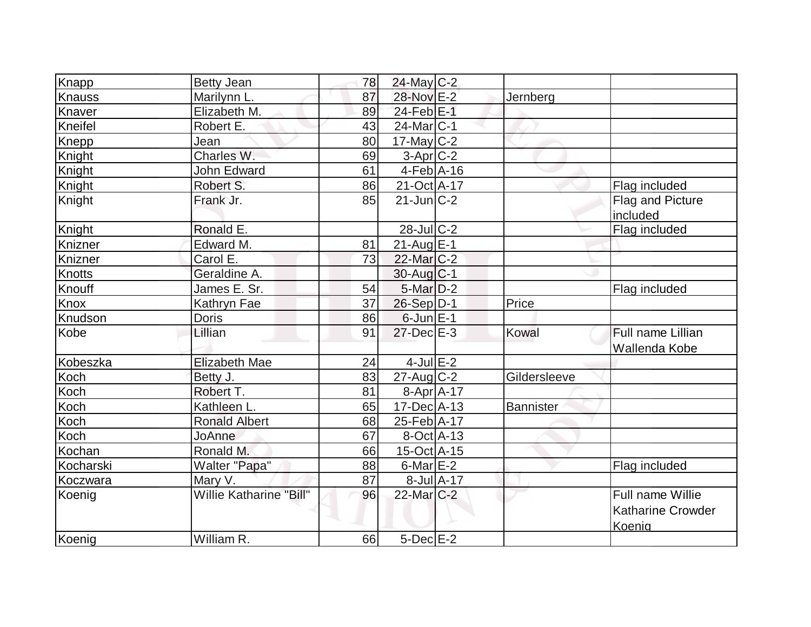| Knapp     | <b>Betty Jean</b>        | 78       | $24$ -May C-2                     |            |              |                                                        |
|-----------|--------------------------|----------|-----------------------------------|------------|--------------|--------------------------------------------------------|
| Knauss    | Marilynn L.              | 87       | 28-Nov E-2                        |            | Jernberg     |                                                        |
| Knaver    | Elizabeth M.             | 89       | $24$ -Feb $E-1$                   |            |              |                                                        |
| Kneifel   | Robert E.                | 43       | 24-Mar <sub>IC-1</sub>            |            |              |                                                        |
| Knepp     | Jean                     | 80       | $17$ -May $C-2$                   |            |              |                                                        |
| Knight    | Charles W.               | 69       | $3-Apr$ $C-2$                     |            |              |                                                        |
| Knight    | <b>John Edward</b>       | 61       | $4-Feb$ A-16                      |            |              |                                                        |
| Knight    | Robert S.                | 86       | 21-Oct A-17                       |            |              | Flag included                                          |
| Knight    | Frank Jr.                | 85       | $21$ -Jun $C-2$                   |            |              | Flag and Picture<br>included                           |
| Knight    | Ronald E.                |          | $28$ -Jul $C-2$                   |            |              | Flag included                                          |
| Knizner   | Edward M.                | 81       | 21-Aug E-1                        |            |              |                                                        |
| Knizner   | Carol E.                 | 73       | 22-Mar <sub>IC-2</sub>            |            |              |                                                        |
| Knotts    | Geraldine A.             |          | $30$ -Aug $C-1$                   |            |              |                                                        |
| Knouff    | James E. Sr.             | 54       | $5$ -Mar $D-2$                    |            |              | Flag included                                          |
| Knox      | Kathryn Fae              | 37       | 26-Sep D-1                        |            | Price        |                                                        |
| Knudson   | Doris                    | 86       | $6$ -Jun $E-1$                    |            |              |                                                        |
| Kobe      | Lillian                  | 91       | $27$ -Dec $E-3$                   |            | Kowal        | Full name Lillian                                      |
|           |                          |          |                                   |            |              | Wallenda Kobe                                          |
| Kobeszka  | <b>Elizabeth Mae</b>     | 24       | $4$ -Jul $E-2$                    |            |              |                                                        |
| Koch      | Betty J.                 | 83       | 27-Aug C-2                        |            | Gildersleeve |                                                        |
| Koch      | Robert T.<br>Kathleen L. | 81       | $8-Apr$ A-17<br>$17$ -Dec $ A-13$ |            |              |                                                        |
| Koch      |                          | 65       |                                   |            | Bannister    |                                                        |
| Koch      | <b>Ronald Albert</b>     | 68<br>67 | 25-Feb A-17<br>8-Oct A-13         |            |              |                                                        |
| Koch      | <b>JoAnne</b>            |          |                                   |            |              |                                                        |
| Kochan    | Ronald M.                | 66       | 15-Oct A-15                       |            |              |                                                        |
| Kocharski | Walter "Papa"            | 88       | $6$ -Mar $E-2$                    |            |              | Flag included                                          |
| Koczwara  | Mary V.                  | 87       |                                   | 8-Jul A-17 |              |                                                        |
| Koenig    | Willie Katharine "Bill"  | 96       | 22-Mar C-2                        |            |              | Full name Willie<br><b>Katharine Crowder</b><br>Koenig |
| Koenig    | William R.               | 66       | $5$ -Dec $E-2$                    |            |              |                                                        |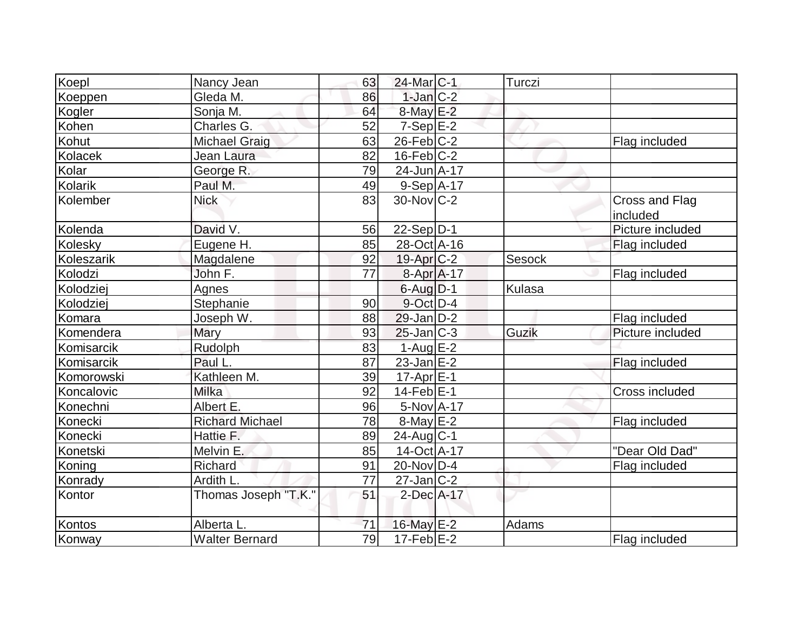| Koepl      | Nancy Jean             | 63 | $24$ -Mar $ C-1 $       | Turczi |                            |
|------------|------------------------|----|-------------------------|--------|----------------------------|
| Koeppen    | Gleda M.               | 86 | $1$ -Jan $C-2$          |        |                            |
| Kogler     | Sonja M.               | 64 | $8$ -May $E-2$          |        |                            |
| Kohen      | Charles G.             | 52 | $7-Sep$ $E-2$           |        |                            |
| Kohut      | <b>Michael Graig</b>   | 63 | $26$ -Feb $C-2$         |        | Flag included              |
| Kolacek    | Jean Laura             | 82 | $16$ -Feb $C-2$         |        |                            |
| Kolar      | George R.              | 79 | 24-Jun A-17             |        |                            |
| Kolarik    | Paul M.                | 49 | $9-Sep$ A-17            |        |                            |
| Kolember   | <b>Nick</b>            | 83 | $30$ -Nov $ C-2 $       |        | Cross and Flag<br>included |
| Kolenda    | David V.               | 56 | $22-Sep D-1$            |        | Picture included           |
| Kolesky    | Eugene H.              | 85 | 28-Oct A-16             |        | Flag included              |
| Koleszarik | Magdalene              | 92 | $19-Apr$ <sub>C-2</sub> | Sesock |                            |
| Kolodzi    | John F.                | 77 | 8-Apr A-17              |        | Flag included              |
| Kolodziej  | Agnes                  |    | $6$ -Aug $D-1$          | Kulasa |                            |
| Kolodziej  | Stephanie              | 90 | 9-Oct D-4               |        |                            |
| Komara     | Joseph W.              | 88 | $29$ -Jan D-2           |        | Flag included              |
| Komendera  | Mary                   | 93 | $25$ -Jan $ C-3 $       | Guzik  | Picture included           |
| Komisarcik | Rudolph                | 83 | $1-Aug$ E-2             |        |                            |
| Komisarcik | Paul L.                | 87 | $23$ -Jan E-2           |        | Flag included              |
| Komorowski | Kathleen M.            | 39 | $17-Apr$ $E-1$          |        |                            |
| Koncalovic | Milka                  | 92 | $14$ -Feb $ E-1 $       |        | <b>Cross included</b>      |
| Konechni   | Albert E.              | 96 | 5-Nov A-17              |        |                            |
| Konecki    | <b>Richard Michael</b> | 78 | $8$ -May $E-2$          |        | Flag included              |
| Konecki    | Hattie F.              | 89 | $24$ -Aug C-1           |        |                            |
| Konetski   | Melvin E.              | 85 | 14-Oct A-17             |        | "Dear Old Dad"             |
| Koning     | Richard                | 91 | $20$ -Nov $ D-4 $       |        | Flag included              |
| Konrady    | Ardith L.              | 77 | $27$ -Jan $ C-2 $       |        |                            |
| Kontor     | Thomas Joseph "T.K."   | 51 | 2-Dec A-17              |        |                            |
| Kontos     | Alberta L.             | 71 | 16-May E-2              | Adams  |                            |
| Konway     | <b>Walter Bernard</b>  | 79 | $17$ -Feb $E-2$         |        | Flag included              |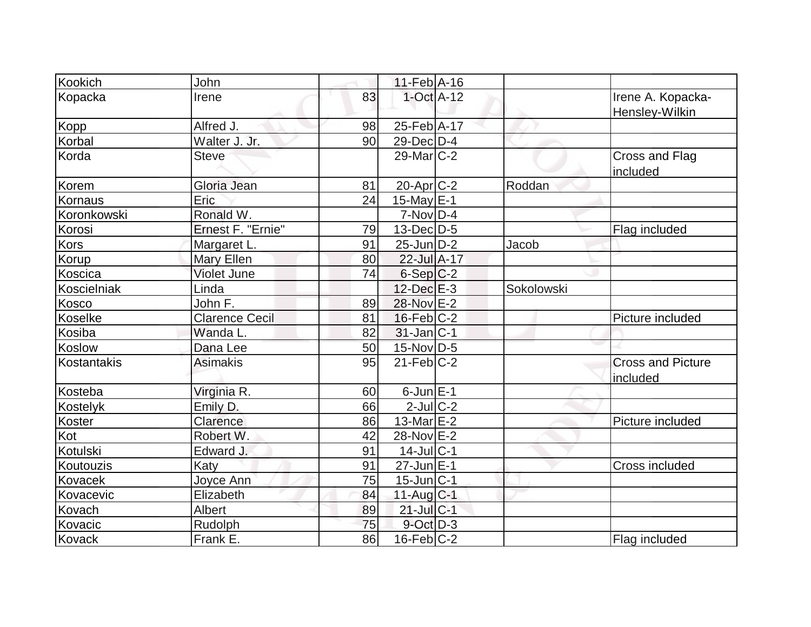| Kookich       | John                  |    | $11-Feb$ A-16     |            |                                      |
|---------------|-----------------------|----|-------------------|------------|--------------------------------------|
| Kopacka       | Irene                 | 83 | $1$ -Oct $A-12$   |            | Irene A. Kopacka-<br>Hensley-Wilkin  |
| <b>Kopp</b>   | Alfred J.             | 98 | 25-Feb A-17       |            |                                      |
| Korbal        | Walter J. Jr.         | 90 | $29$ -Dec $D-4$   |            |                                      |
| Korda         | <b>Steve</b>          |    | $29$ -Mar $C-2$   |            | Cross and Flag<br>included           |
| Korem         | Gloria Jean           | 81 | $20$ -Apr $ C-2 $ | Roddan     |                                      |
| Kornaus       | Eric                  | 24 | $15$ -May E-1     |            |                                      |
| Koronkowski   | Ronald W.             |    | $7-Nov D-4$       |            |                                      |
| Korosi        | Ernest F. "Ernie"     | 79 | $13$ -Dec $D-5$   |            | Flag included                        |
| Kors          | Margaret L.           | 91 | $25$ -Jun $D-2$   | Jacob      |                                      |
| Korup         | Mary Ellen            | 80 | 22-Jul A-17       |            |                                      |
| Koscica       | <b>Violet June</b>    | 74 | $6-Sep C-2$       |            |                                      |
| Koscielniak   | Linda                 |    | $12$ -Dec $E-3$   | Sokolowski |                                      |
| Kosco         | John F.               | 89 | 28-Nov E-2        |            |                                      |
| Koselke       | <b>Clarence Cecil</b> | 81 | $16$ -Feb $ C-2 $ |            | Picture included                     |
| Kosiba        | Wanda L.              | 82 | $31$ -Jan $ C-1 $ |            |                                      |
| <b>Koslow</b> | Dana Lee              | 50 | 15-Nov D-5        |            |                                      |
| Kostantakis   | <b>Asimakis</b>       | 95 | $21$ -Feb $ C-2 $ |            | <b>Cross and Picture</b><br>included |
| Kosteba       | Virginia R.           | 60 | $6$ -Jun $E-1$    |            |                                      |
| Kostelyk      | Emily D.              | 66 | $2$ -Jul $ C-2 $  |            |                                      |
| Koster        | Clarence              | 86 | $13$ -Mar $E-2$   |            | Picture included                     |
| Kot           | Robert W.             | 42 | 28-Nov E-2        |            |                                      |
| Kotulski      | Edward J.             | 91 | $14$ -Jul $ C-1$  |            |                                      |
| Koutouzis     | Katy                  | 91 | 27-Jun E-1        |            | Cross included                       |
| Kovacek       | Joyce Ann             | 75 | 15-Jun C-1        |            |                                      |
| Kovacevic     | Elizabeth             | 84 | 11-Aug C-1        |            |                                      |
| Kovach        | Albert                | 89 | $21$ -Jul $C-1$   |            |                                      |
| Kovacic       | Rudolph               | 75 | 9-Oct D-3         |            |                                      |
| Kovack        | Frank E.              | 86 | $16$ -Feb $ C-2 $ |            | Flag included                        |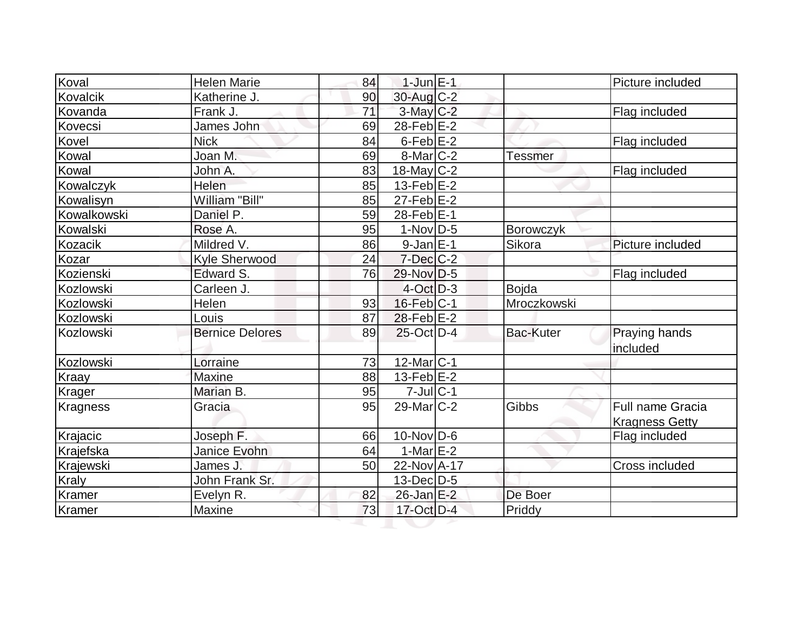| Koval           | <b>Helen Marie</b>     | 84 | $1$ -Jun $E-1$             |                  | Picture included          |
|-----------------|------------------------|----|----------------------------|------------------|---------------------------|
| Kovalcik        | Katherine J.           | 90 | 30-Aug C-2                 |                  |                           |
| Kovanda         | Frank J.               | 71 | $3$ -May C-2               |                  | Flag included             |
| Kovecsi         | James John             | 69 | 28-Feb E-2                 |                  |                           |
| Kovel           | <b>Nick</b>            | 84 | 6-Feb <sup>E-2</sup>       |                  | Flag included             |
| Kowal           | Joan M.                | 69 | $8$ -Mar $ C-2 $           | <b>Tessmer</b>   |                           |
| Kowal           | John A.                | 83 | 18-May $C-2$               |                  | Flag included             |
| Kowalczyk       | Helen                  | 85 | 13-Feb $E$ -2              |                  |                           |
| Kowalisyn       | William "Bill"         | 85 | $27$ -Feb $E-2$            |                  |                           |
| Kowalkowski     | Daniel P.              | 59 | 28-Feb E-1                 |                  |                           |
| Kowalski        | Rose A.                | 95 | $1-Nov D-5$                | <b>Borowczyk</b> |                           |
| Kozacik         | Mildred V.             | 86 | $9$ -Jan $E-1$             | Sikora           | Picture included          |
| Kozar           | <b>Kyle Sherwood</b>   | 24 | $7$ -Dec $ C-2 $           |                  |                           |
| Kozienski       | Edward S.              | 76 | 29-Nov D-5                 |                  | Flag included             |
| Kozlowski       | Carleen J.             |    | $4-Oct$ D-3                | Bojda            |                           |
| Kozlowski       | Helen                  | 93 | $16$ -Feb $C-1$            | Mroczkowski      |                           |
| Kozlowski       | Louis                  | 87 | $28$ -Feb $E-2$            |                  |                           |
| Kozlowski       | <b>Bernice Delores</b> | 89 | $25$ -Oct $D-4$            | <b>Bac-Kuter</b> | Praying hands<br>included |
| Kozlowski       | Lorraine               | 73 | $12$ -Mar $ C-1$           |                  |                           |
| Kraay           | <b>Maxine</b>          | 88 | $13$ -Feb $E-2$            |                  |                           |
| Krager          | Marian B.              | 95 | $7$ -Jul $ C-1 $           |                  |                           |
| <b>Kragness</b> | Gracia                 | 95 | $29$ -Mar $ C-2 $          | Gibbs            | <b>Full name Gracia</b>   |
|                 |                        |    |                            |                  | <b>Kragness Getty</b>     |
| Krajacic        | Joseph F.              | 66 | $10$ -Nov $\overline{D-6}$ |                  | Flag included             |
| Krajefska       | <b>Janice Evohn</b>    | 64 | $1-Mar$ E-2                |                  |                           |
| Krajewski       | James J.               | 50 | 22-Nov A-17                |                  | Cross included            |
| <b>Kraly</b>    | John Frank Sr.         |    | 13-Dec D-5                 |                  |                           |
| Kramer          | Evelyn R.              | 82 | 26-Jan E-2                 | De Boer          |                           |
| Kramer          | Maxine                 | 73 | 17-Oct D-4                 | Priddy           |                           |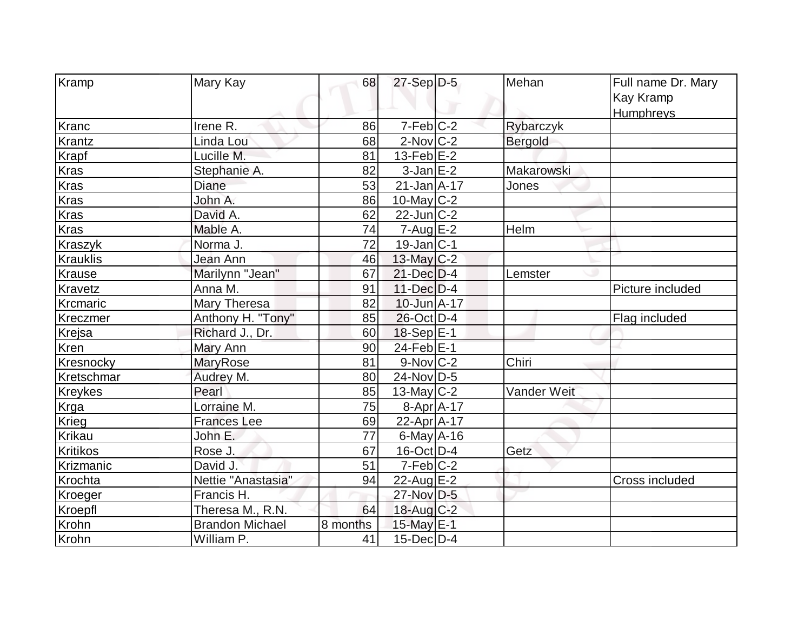| Kramp           | Mary Kay               | 68       | $27-Sep D-5$           | Mehan       | Full name Dr. Mary    |
|-----------------|------------------------|----------|------------------------|-------------|-----------------------|
|                 |                        |          |                        |             | Kay Kramp             |
|                 |                        |          |                        |             | Humphreys             |
| Kranc           | Irene R.               | 86       | $7-Feb$ $C-2$          | Rybarczyk   |                       |
| Krantz          | Linda Lou              | 68       | $2$ -Nov $ C-2 $       | Bergold     |                       |
| <b>Krapf</b>    | Lucille M.             | 81       | $13$ -Feb $E-2$        |             |                       |
| <b>Kras</b>     | Stephanie A.           | 82       | $3$ -Jan $E-2$         | Makarowski  |                       |
| <b>Kras</b>     | Diane                  | 53       | $21$ -Jan $A$ -17      | Jones       |                       |
| Kras            |                        |          |                        |             |                       |
|                 | John A.                | 86       | $10$ -May C-2          |             |                       |
| <b>Kras</b>     | David A.               | 62       | $22$ -Jun $ C-2 $      |             |                       |
| <b>Kras</b>     | Mable A.               | 74       | $7 - Aug$ $E-2$        | Helm        |                       |
| <b>Kraszyk</b>  | Norma J.               | 72       | $19$ -Jan $ C-1$       |             |                       |
| <b>Krauklis</b> | Jean Ann               | 46       | $13$ -May C-2          |             |                       |
| Krause          | Marilynn "Jean"        | 67       | $21$ -Dec $D-4$        | Lemster     |                       |
| Kravetz         | Anna M.                | 91       | $11$ -Dec $D-4$        |             | Picture included      |
| Krcmaric        | Mary Theresa           | 82       | $10$ -Jun $A-17$       |             |                       |
| Kreczmer        | Anthony H. "Tony"      | 85       | $26$ -Oct D-4          |             | Flag included         |
| Krejsa          | Richard J., Dr.        | 60       | $18-Sep$ E-1           |             |                       |
| Kren            | Mary Ann               | 90       | $24$ -Feb $E-1$        |             |                       |
| Kresnocky       | <b>MaryRose</b>        | 81       | $9-Nov$ <sub>C-2</sub> | Chiri       |                       |
| Kretschmar      | Audrey M.              | 80       | 24-Nov D-5             |             |                       |
| <b>Kreykes</b>  | Pearl                  | 85       | 13-May $C-2$           | Vander Weit |                       |
| <b>Krga</b>     | Lorraine M.            | 75       | $8-Apr$ A-17           |             |                       |
| Krieg           | <b>Frances Lee</b>     | 69       | $22$ -Apr $A$ -17      |             |                       |
| Krikau          | John E.                | 77       | $6$ -May $A$ -16       |             |                       |
| <b>Kritikos</b> | Rose J.                | 67       | $16$ -Oct $ D-4 $      | Getz        |                       |
| Krizmanic       | David J.               | 51       | $7-Feb C-2$            |             |                       |
| Krochta         | Nettie "Anastasia"     | 94       | $22$ -Aug $E-2$        |             | <b>Cross included</b> |
| Kroeger         | Francis H.             |          | 27-Nov D-5             |             |                       |
| Kroepfl         | Theresa M., R.N.       | 64       | 18-Aug C-2             |             |                       |
| Krohn           | <b>Brandon Michael</b> | 8 months | 15-May E-1             |             |                       |
| Krohn           | William P.             | 41       | $15$ -Dec $D-4$        |             |                       |
|                 |                        |          |                        |             |                       |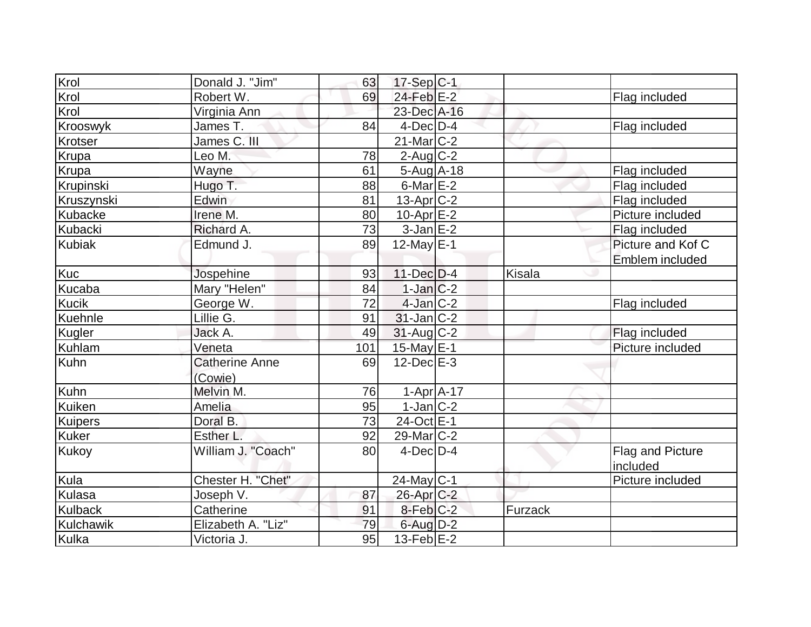| Krol           | Donald J. "Jim"       | 63  | $17-Sep C-1$      |         |                   |
|----------------|-----------------------|-----|-------------------|---------|-------------------|
| Krol           | Robert W.             | 69  | 24-Feb E-2        |         | Flag included     |
| Krol           | Virginia Ann          |     | 23-Dec A-16       |         |                   |
| Krooswyk       | James T.              | 84  | $4$ -Dec $D-4$    |         | Flag included     |
| Krotser        | James C. III          |     | $21$ -Mar $C-2$   |         |                   |
| Krupa          | Leo M.                | 78  | $2$ -Aug $C-2$    |         |                   |
| Krupa          | Wayne                 | 61  | $5-Aug$ A-18      |         | Flag included     |
| Krupinski      | Hugo T.               | 88  | $6$ -Mar $E-2$    |         | Flag included     |
| Kruszynski     | Edwin                 | 81  | $13$ -Apr $C-2$   |         | Flag included     |
| Kubacke        | Irene M.              | 80  | $10$ -Apr $E-2$   |         | Picture included  |
| Kubacki        | Richard A.            | 73  | $3-Jan$ $E-2$     |         | Flag included     |
| <b>Kubiak</b>  | Edmund J.             | 89  | $12$ -May $E-1$   |         | Picture and Kof C |
|                |                       |     |                   |         | Emblem included   |
| <b>Kuc</b>     | Jospehine             | 93  | $11$ -Dec $D-4$   | Kisala  |                   |
| Kucaba         | Mary "Helen"          | 84  | $1-Jan$ $C-2$     |         |                   |
| <b>Kucik</b>   | George W.             | 72  | $4$ -Jan $C-2$    |         | Flag included     |
| Kuehnle        | Lillie G.             | 91  | $31$ -Jan $ C-2 $ |         |                   |
| Kugler         | Jack A.               | 49  | $31$ -Aug C-2     |         | Flag included     |
| <b>Kuhlam</b>  | Veneta                | 101 | $15$ -May E-1     |         | Picture included  |
| Kuhn           | <b>Catherine Anne</b> | 69  | $12$ -Dec $E-3$   |         |                   |
|                | (Cowie)               |     |                   |         |                   |
| Kuhn           | Melvin M.             | 76  | $1-Apr$ $A-17$    |         |                   |
| Kuiken         | Amelia                | 95  | $1$ -Jan $C-2$    |         |                   |
| Kuipers        | Doral B.              | 73  | 24-Oct E-1        |         |                   |
| <b>Kuker</b>   | Esther L.             | 92  | $29$ -Mar $ C-2 $ |         |                   |
| Kukoy          | William J. "Coach"    | 80  | $4$ -Dec $ D-4 $  |         | Flag and Picture  |
|                |                       |     |                   |         | included          |
| Kula           | Chester H. "Chet"     |     | $24$ -May C-1     |         | Picture included  |
| Kulasa         | Joseph V.             | 87  | 26-Apr C-2        |         |                   |
| <b>Kulback</b> | Catherine             | 91  | 8-Feb C-2         | Furzack |                   |
| Kulchawik      | Elizabeth A. "Liz"    | 79  | $6$ -Aug $D-2$    |         |                   |
| Kulka          | Victoria J.           | 95  | $13-FebE-2$       |         |                   |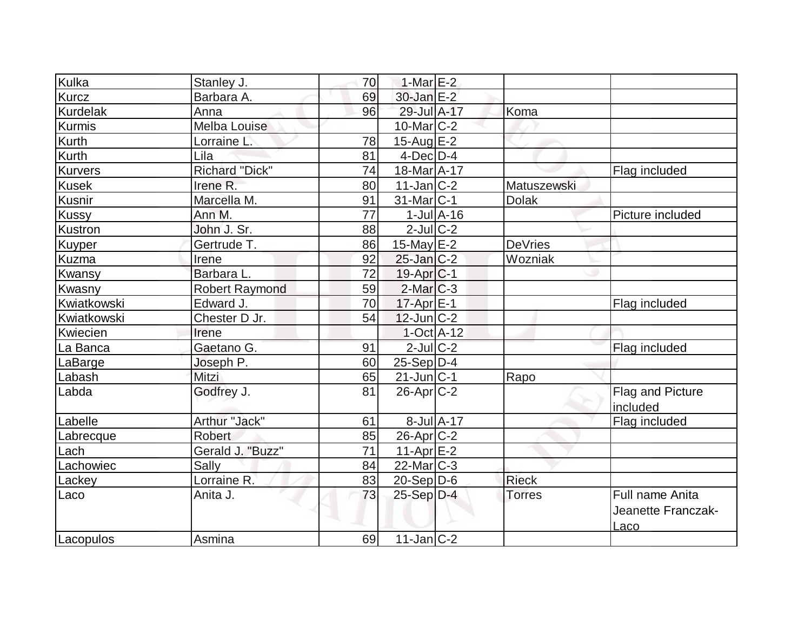| Kulka           | Stanley J.            | 70 | 1-Mar $E-2$            |                             |                |                                                      |
|-----------------|-----------------------|----|------------------------|-----------------------------|----------------|------------------------------------------------------|
| <b>Kurcz</b>    | Barbara A.            | 69 | 30-Jan E-2             |                             |                |                                                      |
| <b>Kurdelak</b> | Anna                  | 96 | 29-Jul A-17            |                             | Koma           |                                                      |
| Kurmis          | <b>Melba Louise</b>   |    | $10$ -Mar $C-2$        |                             |                |                                                      |
| <b>Kurth</b>    | Lorraine L.           | 78 | $15$ -Aug E-2          |                             |                |                                                      |
| <b>Kurth</b>    | Lila                  | 81 | $4$ -Dec $D-4$         |                             |                |                                                      |
| <b>Kurvers</b>  | <b>Richard "Dick"</b> | 74 | 18-Mar A-17            |                             |                | Flag included                                        |
| <b>Kusek</b>    | Irene R.              | 80 | $11$ -Jan $ C-2 $      |                             | Matuszewski    |                                                      |
| Kusnir          | Marcella M.           | 91 | $31$ -Mar $ C-1 $      |                             | <b>Dolak</b>   |                                                      |
| Kussy           | Ann M.                | 77 |                        | $1$ -Jul $\overline{A}$ -16 |                | Picture included                                     |
| Kustron         | John J. Sr.           | 88 | $2$ -Jul $C$ -2        |                             |                |                                                      |
| Kuyper          | Gertrude T.           | 86 | 15-May $E-2$           |                             | <b>DeVries</b> |                                                      |
| Kuzma           | Irene                 | 92 | $25$ -Jan $ C-2 $      |                             | Wozniak        |                                                      |
| <b>Kwansy</b>   | Barbara L.            | 72 | 19-Apr <sub>IC-1</sub> |                             |                |                                                      |
| Kwasny          | <b>Robert Raymond</b> | 59 | $2$ -Mar $ C-3 $       |                             |                |                                                      |
| Kwiatkowski     | Edward J.             | 70 | 17-Apr E-1             |                             |                | Flag included                                        |
| Kwiatkowski     | Chester D Jr.         | 54 | $12$ -Jun $ C-2 $      |                             |                |                                                      |
| Kwiecien        | Irene                 |    | $1-Oct$ A-12           |                             |                |                                                      |
| La Banca        | Gaetano G.            | 91 | $2$ -Jul $ C-2 $       |                             |                | Flag included                                        |
| LaBarge         | Joseph P.             | 60 | $25-Sep D-4$           |                             |                |                                                      |
| Labash          | Mitzi                 | 65 | $21$ -Jun $ C-1$       |                             | Rapo           |                                                      |
| Labda           | Godfrey J.            | 81 | $26$ -Apr $C-2$        |                             |                | <b>Flag and Picture</b><br>included                  |
| Labelle         | Arthur "Jack"         | 61 | $8$ -Jul $A$ -17       |                             |                | Flag included                                        |
| Labrecque       | <b>Robert</b>         | 85 | 26-Apr C-2             |                             |                |                                                      |
| Lach            | Gerald J. "Buzz"      | 71 | $11-Apr$ E-2           |                             |                |                                                      |
| Lachowiec       | Sally                 | 84 | $22$ -Mar $C-3$        |                             |                |                                                      |
| Lackey          | Lorraine R.           | 83 | $20-Sep D-6$           |                             | <b>Rieck</b>   |                                                      |
| Laco            | Anita J.              | 73 | $25-Sep D-4$           |                             | <b>Torres</b>  | Full name Anita<br>Jeanette Franczak-<br><u>Laco</u> |
| Lacopulos       | Asmina                | 69 | $11$ -Jan $ C-2 $      |                             |                |                                                      |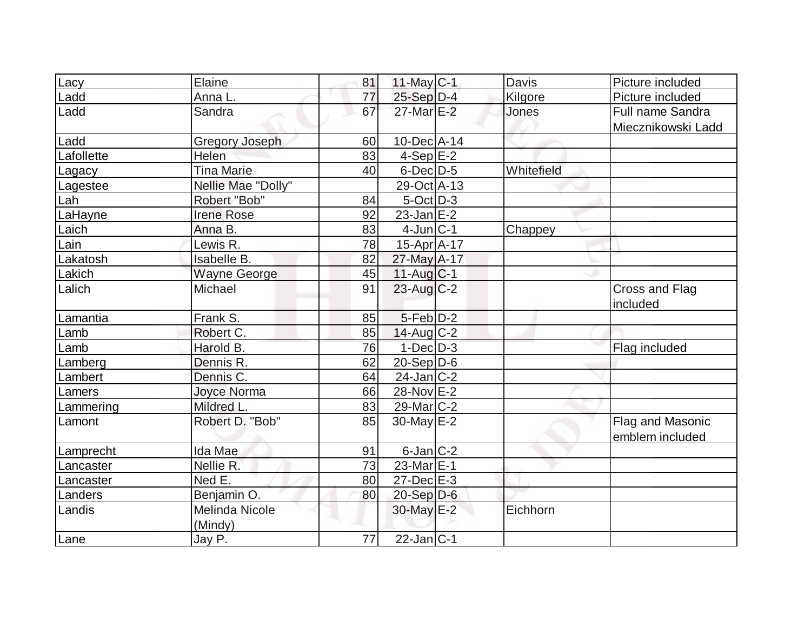| Lacy       | Elaine                | 81 | 11-May C-1                 | <b>Davis</b> | Picture included           |
|------------|-----------------------|----|----------------------------|--------------|----------------------------|
| Ladd       | Anna L.               | 77 | $25-Sep D-4$               | Kilgore      | Picture included           |
| Ladd       | Sandra                | 67 | 27-Mar E-2                 | Jones        | Full name Sandra           |
|            |                       |    |                            |              | Miecznikowski Ladd         |
| Ladd       | <b>Gregory Joseph</b> | 60 | $10$ -Dec $ A-14 $         |              |                            |
| Lafollette | Helen                 | 83 | $4-Sep$ $E-2$              |              |                            |
| Lagacy     | <b>Tina Marie</b>     | 40 | $6$ -Dec $D-5$             | Whitefield   |                            |
| Lagestee   | Nellie Mae "Dolly"    |    | 29-Oct A-13                |              |                            |
| Lah        | Robert "Bob"          | 84 | $5$ -Oct $\overline{D}$ -3 |              |                            |
| LaHayne    | <b>Irene Rose</b>     | 92 | $23$ -Jan $E-2$            |              |                            |
| Laich      | Anna B.               | 83 | $4$ -Jun $ C-1 $           | Chappey      |                            |
| Lain       | Lewis R.              | 78 | $15-Apr$ A-17              |              |                            |
| Lakatosh   | Isabelle B.           | 82 | 27-May A-17                |              |                            |
| Lakich     | <b>Wayne George</b>   | 45 | $11-Aug C-1$               |              |                            |
| Lalich     | Michael               | 91 | $23$ -Aug C-2              |              | Cross and Flag<br>included |
| Lamantia   | Frank S.              | 85 | $5-Feb D-2$                |              |                            |
| Lamb       | Robert C.             | 85 | $14$ -Aug C-2              |              |                            |
| Lamb       | Harold B.             | 76 | $1$ -Dec $D-3$             |              | Flag included              |
| Lamberg    | Dennis R.             | 62 | $20-Sep D-6$               |              |                            |
| Lambert    | Dennis C.             | 64 | $24$ -Jan $ C-2 $          |              |                            |
| Lamers     | Joyce Norma           | 66 | 28-Nov E-2                 |              |                            |
| Lammering  | Mildred L.            | 83 | $29$ -Mar $ C-2 $          |              |                            |
| Lamont     | Robert D. "Bob"       | 85 | $30$ -May $E-2$            |              | Flag and Masonic           |
|            |                       |    |                            |              | emblem included            |
| Lamprecht  | Ida Mae               | 91 | $6$ -Jan $ C-2 $           |              |                            |
| Lancaster  | Nellie R.             | 73 | $23$ -Mar $E-1$            |              |                            |
| Lancaster  | Ned E.                | 80 | $27 - Dec$ $E-3$           |              |                            |
| Landers    | Benjamin O.           | 80 | $20 - Sep$ $D-6$           |              |                            |
| Landis     | <b>Melinda Nicole</b> |    | $30$ -May $E-2$            | Eichhorn     |                            |
|            | (Mindy)               |    |                            |              |                            |
| Lane       | Jay P.                | 77 | $22$ -Jan C-1              |              |                            |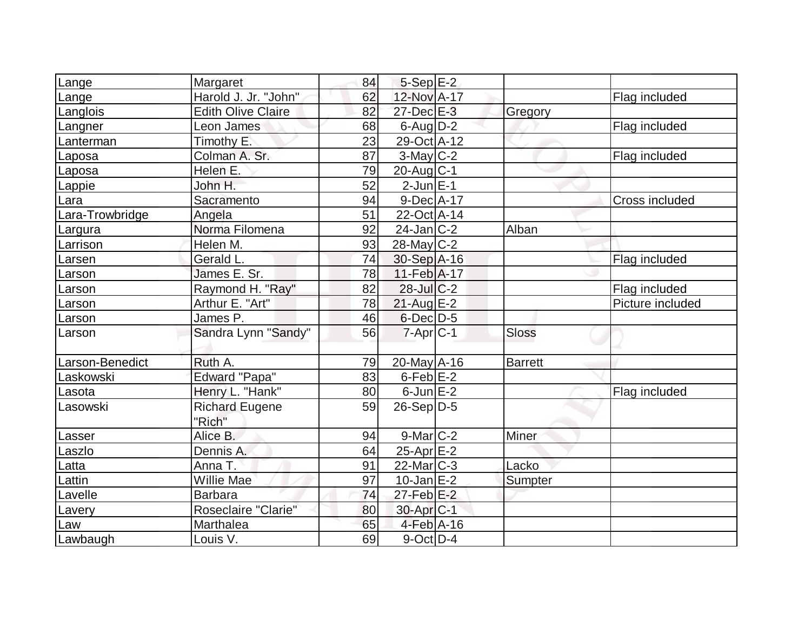| Lange           | Margaret                        | 84 | $5-Sep$ $E-2$          |              |                  |
|-----------------|---------------------------------|----|------------------------|--------------|------------------|
| Lange           | Harold J. Jr. "John"            | 62 | 12-Nov A-17            |              | Flag included    |
| Langlois        | <b>Edith Olive Claire</b>       | 82 | 27-Dec E-3             | Gregory      |                  |
| Langner         | Leon James                      | 68 | $6$ -Aug $D-2$         |              | Flag included    |
| Lanterman       | Timothy E.                      | 23 | 29-Oct A-12            |              |                  |
| Laposa          | Colman A. Sr.                   | 87 | $3$ -May C-2           |              | Flag included    |
| Laposa          | Helen E.                        | 79 | $20$ -Aug $C-1$        |              |                  |
| Lappie          | John H.                         | 52 | $2$ -Jun $E-1$         |              |                  |
| Lara            | Sacramento                      | 94 | $9-Dec A-17$           |              | Cross included   |
| Lara-Trowbridge | Angela                          | 51 | 22-Oct A-14            |              |                  |
| Largura         | Norma Filomena                  | 92 | $24$ -Jan $ C-2 $      | Alban        |                  |
| Larrison        | Helen M.                        | 93 | $28$ -May C-2          |              |                  |
| Larsen          | Gerald L.                       | 74 | 30-Sep A-16            |              | Flag included    |
| Larson          | James E. Sr.                    | 78 | 11-Feb A-17            |              |                  |
| Larson          | Raymond H. "Ray"                | 82 | $28$ -Jul $C-2$        |              | Flag included    |
| Larson          | Arthur E. "Art"                 | 78 | 21-Aug E-2             |              | Picture included |
| Larson          | James P.                        | 46 | $6$ -Dec $D$ -5        |              |                  |
| Larson          | Sandra Lynn "Sandy"             | 56 | $7 - Apr$ $C - 1$      | <b>Sloss</b> |                  |
| Larson-Benedict | Ruth A.                         | 79 | $20$ -May $A$ -16      | Barrett      |                  |
| Laskowski       | <b>Edward "Papa"</b>            | 83 | $6$ -Feb $E-2$         |              |                  |
| Lasota          | Henry L. "Hank"                 | 80 | $6$ -Jun $E-2$         |              | Flag included    |
| Lasowski        | <b>Richard Eugene</b><br>"Rich" | 59 | $26-Sep D-5$           |              |                  |
| Lasser          | Alice B.                        | 94 | $9$ -Mar $ C-2 $       | Miner        |                  |
| Laszlo          | Dennis A.                       | 64 | 25-Apr E-2             |              |                  |
| Latta           | Anna T.                         | 91 | $22$ -Mar $ C-3 $      | Lacko        |                  |
| Lattin          | <b>Willie Mae</b>               | 97 | $10$ -Jan $E-2$        | Sumpter      |                  |
| Lavelle         | <b>Barbara</b>                  | 74 | $27$ -Feb $E-2$        |              |                  |
| Lavery          | Roseclaire "Clarie"             | 80 | 30-Apr <sub>IC-1</sub> |              |                  |
| Law             | Marthalea                       | 65 | $4$ -Feb $A$ -16       |              |                  |
| Lawbaugh        | Louis V.                        | 69 | $9$ -Oct $ D-4$        |              |                  |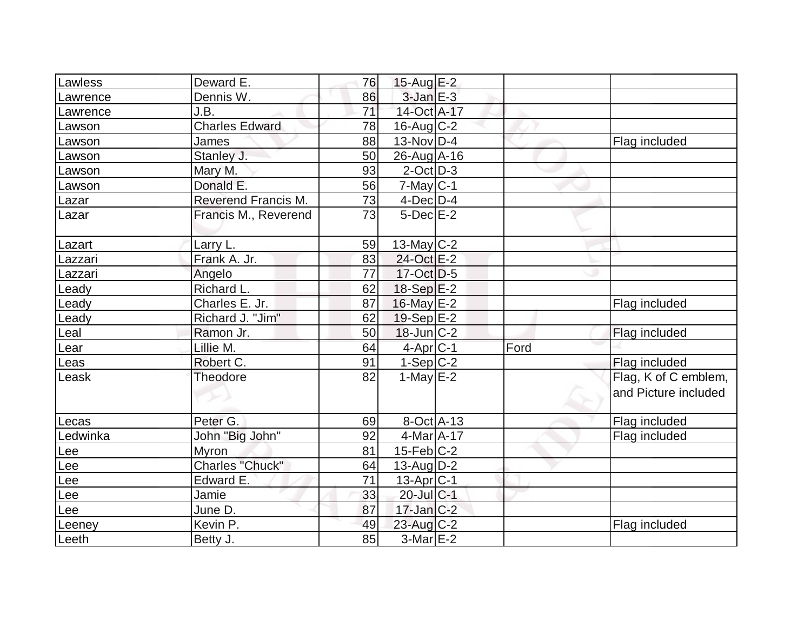| Lawless    | Deward E.              | 76 | $15$ -Aug E-2     |      |                                              |
|------------|------------------------|----|-------------------|------|----------------------------------------------|
| Lawrence   | Dennis W.              | 86 | $3$ -Jan $E-3$    |      |                                              |
| Lawrence   | J.B.                   | 71 | 14-Oct A-17       |      |                                              |
| Lawson     | <b>Charles Edward</b>  | 78 | $16$ -Aug C-2     |      |                                              |
| Lawson     | <b>James</b>           | 88 | $13-Nov D-4$      |      | Flag included                                |
| Lawson     | Stanley J.             | 50 | 26-Aug A-16       |      |                                              |
| Lawson     | Mary M.                | 93 | $2$ -Oct $ D-3 $  |      |                                              |
| Lawson     | Donald E.              | 56 | $7$ -May $C-1$    |      |                                              |
| Lazar      | Reverend Francis M.    | 73 | $4$ -Dec $D-4$    |      |                                              |
| Lazar      | Francis M., Reverend   | 73 | $5$ -Dec $E-2$    |      |                                              |
| Lazart     | Larry L.               | 59 | 13-May $C-2$      |      |                                              |
| Lazzari    | Frank A. Jr.           | 83 | 24-Oct E-2        |      |                                              |
| Lazzari    | Angelo                 | 77 | $17-Oct$ D-5      |      |                                              |
| Leady      | Richard L.             | 62 | $18-Sep$ $E-2$    |      |                                              |
| _eady      | Charles E. Jr.         | 87 | 16-May E-2        |      | Flag included                                |
| Leady      | Richard J. "Jim"       | 62 | $19-Sep$ $E-2$    |      |                                              |
| Leal       | Ramon Jr.              | 50 | $18$ -Jun $ C-2 $ |      | Flag included                                |
| Lear       | Lillie M.              | 64 | 4-Apr C-1         | Ford |                                              |
| Leas       | Robert C.              | 91 | $1-Sep C-2$       |      | Flag included                                |
| Leask      | Theodore               | 82 | 1-May $E-2$       |      | Flag, K of C emblem,<br>and Picture included |
| Lecas      | Peter G.               | 69 | 8-Oct A-13        |      | Flag included                                |
| Ledwinka   | John "Big John"        | 92 | 4-Mar A-17        |      | Flag included                                |
| <u>Lee</u> | Myron                  | 81 | 15-Feb C-2        |      |                                              |
| Lee        | <b>Charles "Chuck"</b> | 64 | $13$ -Aug $D-2$   |      |                                              |
| Lee        | Edward E.              | 71 | $13$ -Apr $ C-1$  |      |                                              |
| Lee        | Jamie                  | 33 | 20-Jul C-1        |      |                                              |
| _ee        | June D.                | 87 | $17$ -Jan $ C-2 $ |      |                                              |
| Leeney     | Kevin P.               | 49 | $23$ -Aug C-2     |      | Flag included                                |
| Leeth      | Betty J.               | 85 | $3-Mar$ $E-2$     |      |                                              |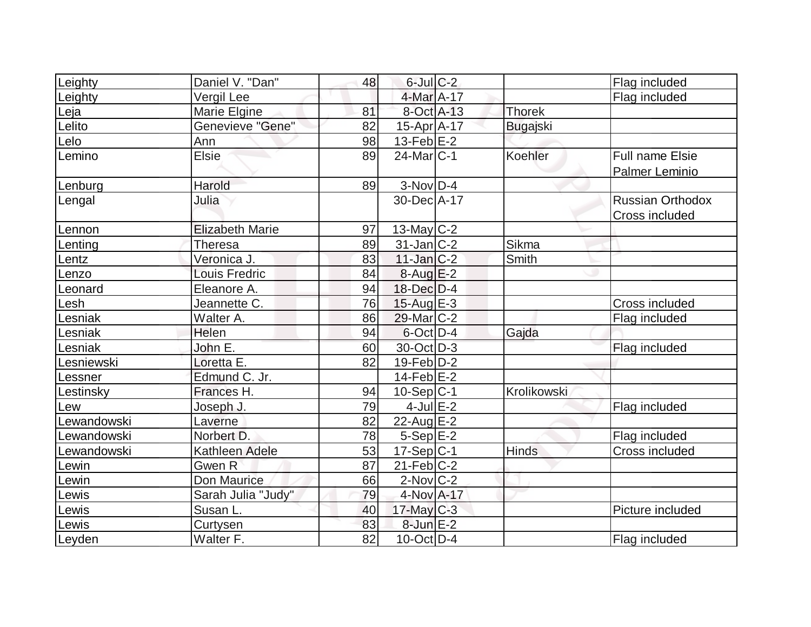| Leighty     | Daniel V. "Dan"        | 48 | $6$ -Jul $C-2$          |                 | Flag included           |
|-------------|------------------------|----|-------------------------|-----------------|-------------------------|
| Leighty     | Vergil Lee             |    | 4-Mar A-17              |                 | Flag included           |
| Leja        | Marie Elgine           | 81 | 8-Oct A-13              | <b>Thorek</b>   |                         |
| Lelito      | Genevieve "Gene"       | 82 | $15$ -Apr $A$ -17       | <b>Bugajski</b> |                         |
| Lelo        | Ann                    | 98 | $13$ -Feb $E-2$         |                 |                         |
| Lemino      | <b>Elsie</b>           | 89 | $24$ -Mar $ C-1 $       | Koehler         | <b>Full name Elsie</b>  |
|             |                        |    |                         |                 | <b>Palmer Leminio</b>   |
| Lenburg     | Harold                 | 89 | $3-Nov D-4$             |                 |                         |
| Lengal      | Julia                  |    | 30-Dec A-17             |                 | <b>Russian Orthodox</b> |
|             |                        |    |                         |                 | Cross included          |
| Lennon      | <b>Elizabeth Marie</b> | 97 | $13$ -May C-2           |                 |                         |
| Lenting     | Theresa                | 89 | $31$ -Jan $ C-2 $       | Sikma           |                         |
| Lentz       | Veronica J.            | 83 | $11$ -Jan $ C-2 $       | Smith           |                         |
| Lenzo       | <b>Louis Fredric</b>   | 84 | $8-Aug$ $E-2$           |                 |                         |
| Leonard     | Eleanore A.            | 94 | $18$ -Dec $D-4$         |                 |                         |
| Lesh        | Jeannette C.           | 76 | $15$ -Aug $E-3$         |                 | <b>Cross included</b>   |
| esniak      | Walter A.              | 86 | 29-Mar <sub>IC</sub> -2 |                 | Flag included           |
| Lesniak     | Helen                  | 94 | $6$ -Oct $D-4$          | Gajda           |                         |
| Lesniak     | John E.                | 60 | 30-Oct D-3              |                 | Flag included           |
| esniewski   | Loretta E.             | 82 | $19$ -Feb $D-2$         |                 |                         |
| Lessner     | Edmund C. Jr.          |    | $14$ -Feb $E-2$         |                 |                         |
| Lestinsky   | Frances H.             | 94 | $10-Sep C-1$            | Krolikowski     |                         |
| Lew         | Joseph J.              | 79 | $4$ -Jul $E-2$          |                 | Flag included           |
| Lewandowski | Laverne                | 82 | $22$ -Aug $E-2$         |                 |                         |
| Lewandowski | Norbert D.             | 78 | $5-Sep$ $E-2$           |                 | Flag included           |
| Lewandowski | Kathleen Adele         | 53 | $17-Sep C-1$            | Hinds           | Cross included          |
| Lewin       | Gwen R                 | 87 | $21$ -Feb $ C-2 $       |                 |                         |
| Lewin       | Don Maurice            | 66 | $2$ -Nov $ C-2 $        |                 |                         |
| Lewis       | Sarah Julia "Judy"     | 79 | 4-Nov A-17              |                 |                         |
| Lewis       | Susan L.               | 40 | $17$ -May C-3           |                 | Picture included        |
| Lewis       | Curtysen               | 83 | $8$ -Jun $E-2$          |                 |                         |
| Leyden      | Walter F.              | 82 | $10$ -Oct $ D-4 $       |                 | Flag included           |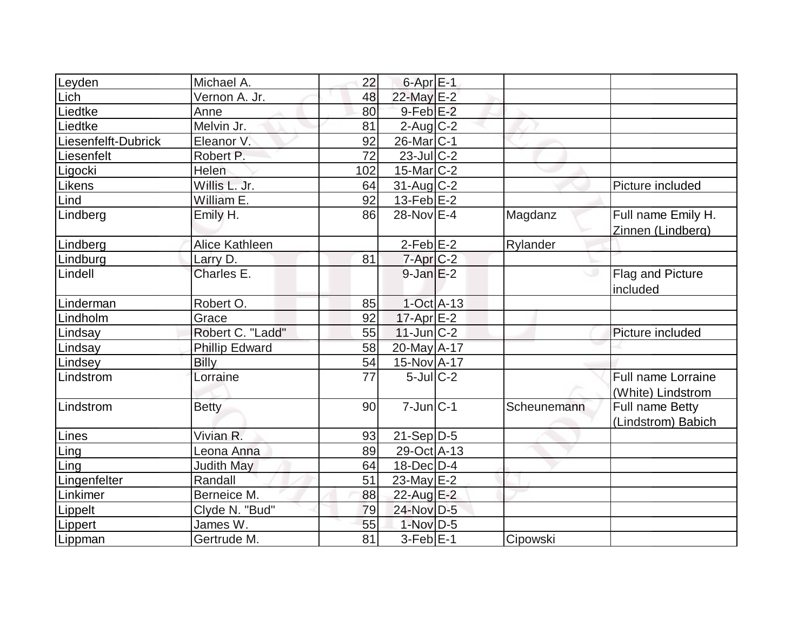| Leyden              | Michael A.            | 22  | $6$ -Apr $E-1$        |             |                                                |
|---------------------|-----------------------|-----|-----------------------|-------------|------------------------------------------------|
| Lich                | Vernon A. Jr.         | 48  | 22-May E-2            |             |                                                |
| Liedtke             | Anne                  | 80  | $9$ -Feb $E-2$        |             |                                                |
| Liedtke             | Melvin Jr.            | 81  | $2$ -Aug C-2          |             |                                                |
| Liesenfelft-Dubrick | Eleanor V.            | 92  | 26-Mar <sub>C-1</sub> |             |                                                |
| Liesenfelt          | Robert P.             | 72  | $23$ -JulC-2          |             |                                                |
| Ligocki             | Helen                 | 102 | $15$ -Mar $ C-2 $     |             |                                                |
| Likens              | Willis L. Jr.         | 64  | 31-Aug C-2            |             | Picture included                               |
| Lind                | William E.            | 92  | 13-Feb $E-2$          |             |                                                |
| Lindberg            | Emily H.              | 86  | 28-Nov E-4            | Magdanz     | Full name Emily H.<br>Zinnen (Lindberg)        |
| Lindberg            | Alice Kathleen        |     | $2-Feb$ $E-2$         | Rylander    |                                                |
| Lindburg            | Larry D.              | 81  | $7$ -Apr $ C$ -2      |             |                                                |
| Lindell             | Charles E.            |     | $9$ -Jan $E-2$        |             | <b>Flag and Picture</b>                        |
|                     |                       |     |                       |             | included                                       |
| Linderman           | Robert O.             | 85  | $1$ -Oct $A$ -13      |             |                                                |
| Lindholm            | Grace                 | 92  | $17$ -Apr $E-2$       |             |                                                |
| Lindsay             | Robert C. "Ladd"      | 55  | $11$ -Jun $ C-2 $     |             | Picture included                               |
| Lindsay             | <b>Phillip Edward</b> | 58  | 20-May A-17           |             |                                                |
| Lindsey             | <b>Billy</b>          | 54  | 15-Nov A-17           |             |                                                |
| Lindstrom           | Lorraine              | 77  | $5$ -Jul $C-2$        |             | <b>Full name Lorraine</b><br>(White) Lindstrom |
| Lindstrom           | <b>Betty</b>          | 90  | $7$ -Jun $C-1$        | Scheunemann | Full name Betty<br>(Lindstrom) Babich          |
| Lines               | Vivian R.             | 93  | $21-Sep D-5$          |             |                                                |
| Ling                | Leona Anna            | 89  | 29-Oct A-13           |             |                                                |
| Ling                | <b>Judith May</b>     | 64  | $18$ -Dec $D-4$       |             |                                                |
| Lingenfelter        | Randall               | 51  | 23-May $E-2$          |             |                                                |
| Linkimer            | Berneice M.           | 88  | 22-Aug E-2            |             |                                                |
| Lippelt             | Clyde N. "Bud"        | 79  | 24-Nov D-5            |             |                                                |
| Lippert             | James W.              | 55  | $1-Nov$ D-5           |             |                                                |
| Lippman             | Gertrude M.           | 81  | $3-Feb$ $E-1$         | Cipowski    |                                                |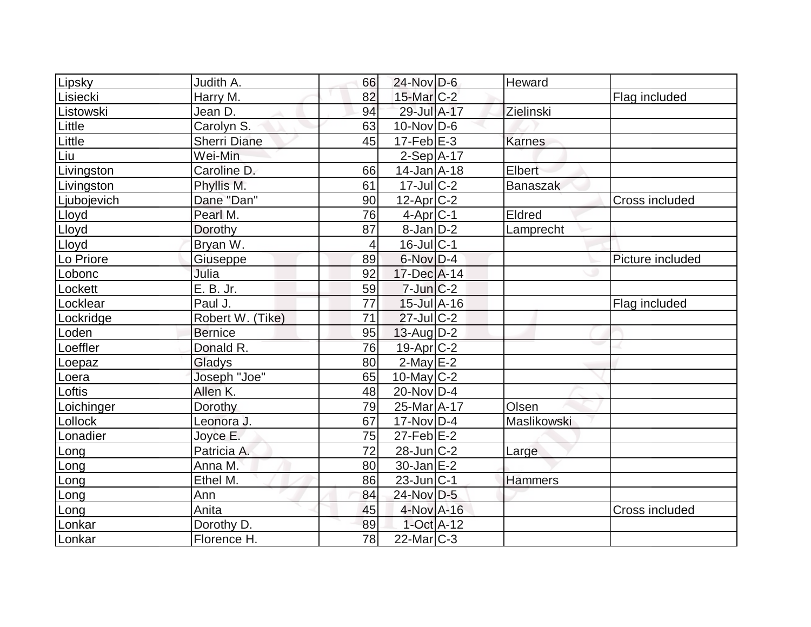| Lipsky      | Judith A.           | 66             | $24$ -Nov $D-6$       | Heward          |                  |
|-------------|---------------------|----------------|-----------------------|-----------------|------------------|
| Lisiecki    | Harry M.            | 82             | $15$ -Mar $C-2$       |                 | Flag included    |
| Listowski   | Jean D.             | 94             | 29-Jul A-17           | Zielinski       |                  |
| Little      | Carolyn S.          | 63             | $10$ -Nov $ D-6$      |                 |                  |
| Little      | <b>Sherri Diane</b> | 45             | $17-Feb$ $E-3$        | <b>Karnes</b>   |                  |
| <u>lūu</u>  | Wei-Min             |                | $2-Sep A-17$          |                 |                  |
|             | Caroline D.         | 66             | $14$ -Jan $A$ -18     | Elbert          |                  |
| Livingston  | Phyllis M.          | 61             | $17$ -JulC-2          | <b>Banaszak</b> |                  |
| Livingston  |                     |                |                       |                 |                  |
| Ljubojevich | Dane "Dan"          | 90             | $12$ -Apr $C-2$       |                 | Cross included   |
| Lloyd       | Pearl M.            | 76             | $4$ -Apr $ C-1 $      | Eldred          |                  |
| Lloyd       | Dorothy             | 87             | $8$ -Jan $D-2$        | Lamprecht       |                  |
| Lloyd       | Bryan W.            | $\overline{4}$ | $16$ -JulC-1          |                 |                  |
| Lo Priore   | Giuseppe            | 89             | 6-Nov D-4             |                 | Picture included |
| Lobonc      | Julia               | 92             | 17-Dec A-14           |                 |                  |
| Lockett     | $E. B.$ Jr.         | 59             | $7$ -Jun $C-2$        |                 |                  |
| Locklear    | Paul J.             | 77             | $15 -$ Jul $A - 16$   |                 | Flag included    |
| Lockridge   | Robert W. (Tike)    | 71             | $27$ -Jul $C-2$       |                 |                  |
| Loden       | <b>Bernice</b>      | 95             | $13$ -Aug $D-2$       |                 |                  |
| Loeffler    | Donald R.           | 76             | 19-Apr <sub>C-2</sub> |                 |                  |
| Loepaz      | Gladys              | 80             | $2$ -May $E-2$        |                 |                  |
| Loera       | Joseph "Joe"        | 65             | $10$ -May $ C-2$      |                 |                  |
| Loftis      | Allen K.            | 48             | 20-Nov D-4            |                 |                  |
| Loichinger  | Dorothy             | 79             | 25-Mar A-17           | Olsen           |                  |
| Lollock     | Leonora J.          | 67             | $17-Nov$ D-4          | Maslikowski     |                  |
| Lonadier    | Joyce E.            | 75             | $27$ -Feb $E-2$       |                 |                  |
| Long        | Patricia A.         | 72             | $28$ -Jun $ C-2 $     | Large           |                  |
| Long        | Anna M.             | 80             | $30$ -Jan $E-2$       |                 |                  |
| Long        | Ethel M.            | 86             | $23$ -Jun $ C-1$      | Hammers         |                  |
| Long        | Ann                 | 84             | 24-Nov D-5            |                 |                  |
| Long        | Anita               | 45             | 4-Nov A-16            |                 | Cross included   |
| Lonkar      | Dorothy D.          | 89             | 1-Oct A-12            |                 |                  |
| Lonkar      | Florence H.         | 78             | $22$ -Mar $ C-3 $     |                 |                  |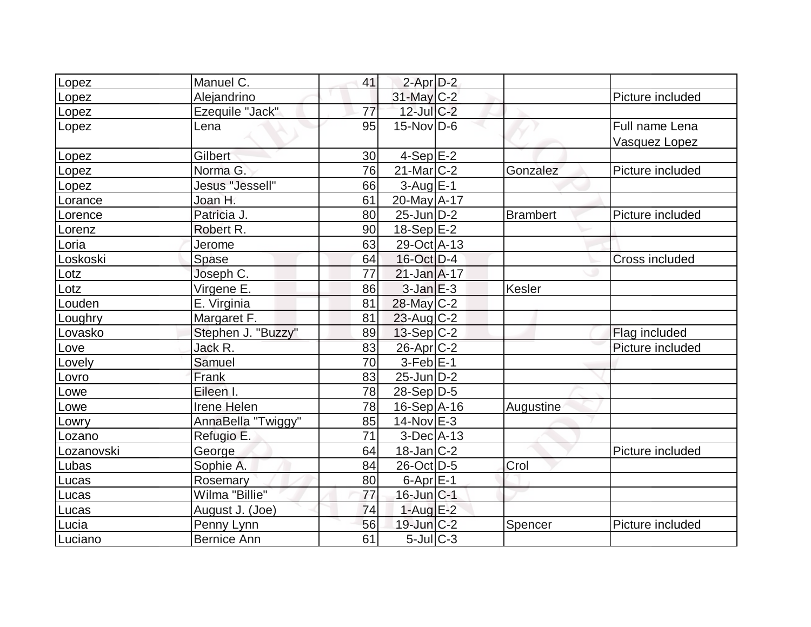| _opez           | Manuel C.          | 41              | 2-Apr D-2                  |                 |                                 |
|-----------------|--------------------|-----------------|----------------------------|-----------------|---------------------------------|
| _opez           | Alejandrino        |                 | 31-May C-2                 |                 | Picture included                |
| Lopez           | Ezequile "Jack"    | 77              | 12-Jul C-2                 |                 |                                 |
| Lopez           | Lena               | 95              | $15$ -Nov $ D-6 $          |                 | Full name Lena<br>Vasquez Lopez |
| Lopez           | Gilbert            | 30 <sup>1</sup> | $4-Sep$ $E-2$              |                 |                                 |
| _opez           | Norma G.           | 76              | $21$ -Mar $C-2$            | Gonzalez        | Picture included                |
| Lopez           | Jesus "Jessell"    | 66              | $3$ -Aug $E-1$             |                 |                                 |
| Lorance         | Joan H.            | 61              | 20-May A-17                |                 |                                 |
| Lorence         | Patricia J.        | 80              | $25$ -Jun $ D-2 $          | <b>Brambert</b> | Picture included                |
| Lorenz          | Robert R.          | 90              | $18-Sep$ $E-2$             |                 |                                 |
| Loria           | Jerome             | 63              | 29-Oct A-13                |                 |                                 |
| Loskoski        | Spase              | 64              | 16-Oct D-4                 |                 | Cross included                  |
| $_{\text{tot}}$ | Joseph C.          | 77              | $21$ -Jan $A-17$           |                 |                                 |
| Lotz            | Virgene E.         | 86              | $3$ -Jan $E-3$             | Kesler          |                                 |
| _ouden          | E. Virginia        | 81              | 28-May C-2                 |                 |                                 |
| Loughry         | Margaret F.        | 81              | $23$ -Aug C-2              |                 |                                 |
| Lovasko         | Stephen J. "Buzzy" | 89              | $13-Sep C-2$               |                 | Flag included                   |
| Love            | Jack R.            | 83              | 26-Apr C-2                 |                 | Picture included                |
| Lovely          | Samuel             | 70              | $3-FebE-1$                 |                 |                                 |
| _ovro           | Frank              | 83              | $25$ -Jun $D-2$            |                 |                                 |
| Lowe            | Eileen I.          | 78              | $28-Sep D-5$               |                 |                                 |
| Lowe            | Irene Helen        | 78              | $16-Sep$ A-16              | Augustine       |                                 |
| Lowry           | AnnaBella "Twiggy" | 85              | $14$ -Nov $E-3$            |                 |                                 |
| Lozano          | Refugio E.         | 71              | $3-Dec A-13$               |                 |                                 |
| Lozanovski      | George             | 64              | $18$ -Jan $ C-2 $          |                 | Picture included                |
| Lubas           | Sophie A.          | 84              | 26-Oct D-5                 | Crol            |                                 |
| Lucas           | Rosemary           | 80              | $6$ -Apr $E$ -1            |                 |                                 |
| Lucas           | Wilma "Billie"     | 77              | $16$ -Jun $C-1$            |                 |                                 |
| Lucas           | August J. (Joe)    | 74              | $1-Auq$ $E-2$              |                 |                                 |
| Lucia           | Penny Lynn         | 56              | $19$ -Jun $C-2$            | Spencer         | Picture included                |
| Luciano         | <b>Bernice Ann</b> | 61              | $5$ -Jul $\overline{C}$ -3 |                 |                                 |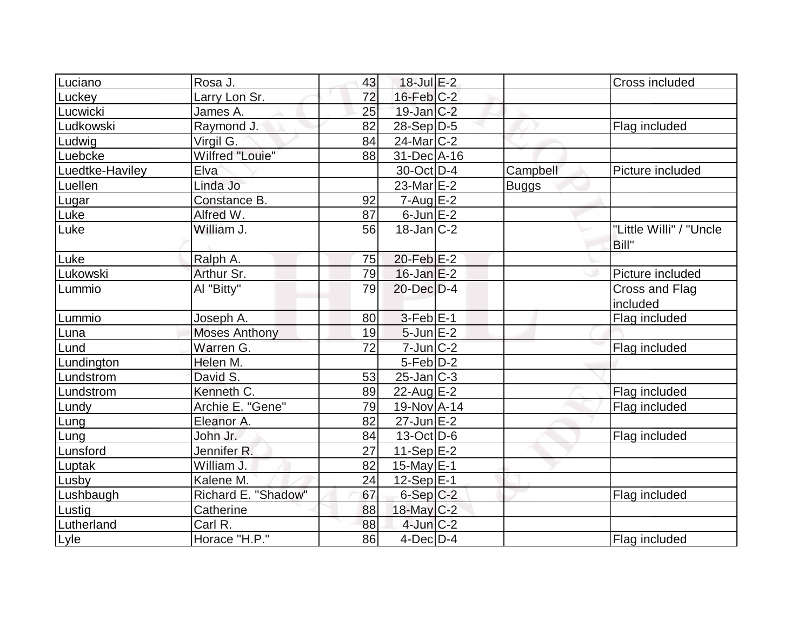| Luciano         | Rosa J.                | 43 | $18$ -Jul $E-2$   |              | Cross included                   |
|-----------------|------------------------|----|-------------------|--------------|----------------------------------|
| Luckey          | Larry Lon Sr.          | 72 | $16$ -Feb $C-2$   |              |                                  |
| Lucwicki        | James A.               | 25 | 19-Jan C-2        |              |                                  |
| Ludkowski       | Raymond J.             | 82 | $28-Sep D-5$      |              | Flag included                    |
| Ludwig          | Virgil G.              | 84 | $24$ -Mar $C-2$   |              |                                  |
| Luebcke         | <b>Wilfred "Louie"</b> | 88 | 31-Dec A-16       |              |                                  |
| Luedtke-Haviley | Elva                   |    | 30-Oct D-4        | Campbell     | Picture included                 |
| Luellen         | Linda Jo               |    | $23$ -Mar $E-2$   | <b>Buggs</b> |                                  |
| Lugar           | Constance B.           | 92 | $7 - Aug$ E-2     |              |                                  |
| Luke            | Alfred W.              | 87 | $6$ -Jun $E-2$    |              |                                  |
| Luke            | William J.             | 56 | $18$ -Jan $ C-2 $ |              | "Little Willi" / "Uncle<br>Bill" |
| Luke            | Ralph A.               | 75 | $20$ -Feb $E-2$   |              |                                  |
| Lukowski        | Arthur Sr.             | 79 | $16$ -Jan $E-2$   |              | Picture included                 |
| Lummio          | Al "Bitty"             | 79 | $20$ -Dec $D-4$   |              | Cross and Flag<br>included       |
| Lummio          | Joseph A.              | 80 | $3-Feb$ $E-1$     |              | Flag included                    |
| Luna            | <b>Moses Anthony</b>   | 19 | $5$ -Jun $E-2$    |              |                                  |
| Lund            | Warren G.              | 72 | 7-Jun C-2         |              | Flag included                    |
| Lundington      | Helen M.               |    | $5$ -Feb $D-2$    |              |                                  |
| Lundstrom       | David S.               | 53 | $25$ -Jan $ C-3 $ |              |                                  |
| Lundstrom       | Kenneth <sub>C.</sub>  | 89 | $22$ -Aug E-2     |              | Flag included                    |
| Lundy           | Archie E. "Gene"       | 79 | 19-Nov A-14       |              | Flag included                    |
| Lung            | Eleanor A.             | 82 | $27$ -Jun $E-2$   |              |                                  |
| Lung            | John Jr.               | 84 | $13-Oct$ D-6      |              | Flag included                    |
| Lunsford        | Jennifer <sub>R.</sub> | 27 | 11-Sep $E-2$      |              |                                  |
| Luptak          | William J.             | 82 | 15-May $E-1$      |              |                                  |
| Lusby           | Kalene M.              | 24 | $12-Sep$ $E-1$    |              |                                  |
| Lushbaugh       | Richard E. "Shadow"    | 67 | $6-Sep$ $C-2$     |              | Flag included                    |
| Lustig          | Catherine              | 88 | $18$ -May C-2     |              |                                  |
| Lutherland      | Carl R.                | 88 | $4$ -Jun $C-2$    |              |                                  |
| Lyle            | Horace "H.P."          | 86 | $4$ -Dec $D-4$    |              | Flag included                    |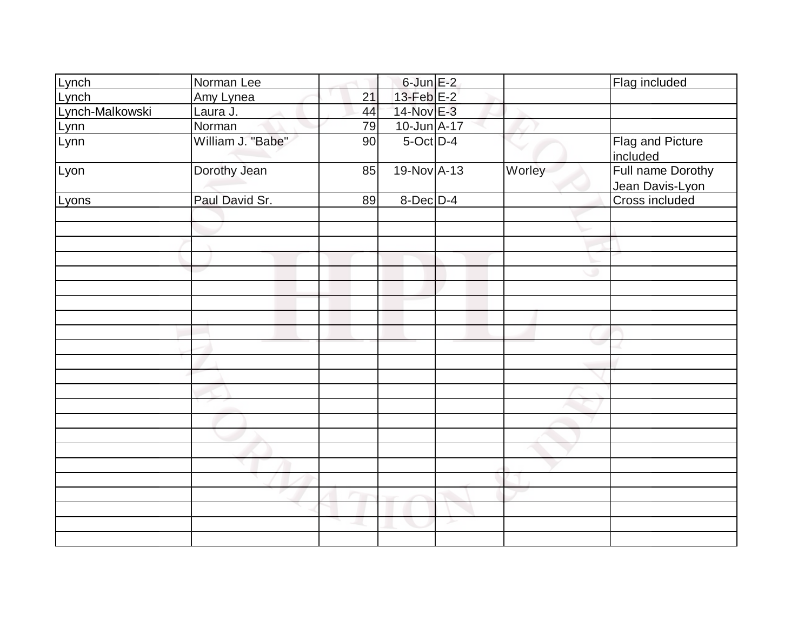| Lynch           | Norman Lee        |    | $6$ -Jun $E-2$  |   |        | Flag included                        |
|-----------------|-------------------|----|-----------------|---|--------|--------------------------------------|
| Lynch           | Amy Lynea         | 21 | $13$ -Feb $E-2$ |   |        |                                      |
| Lynch-Malkowski | Laura J.          | 44 | 14-Nov E-3      |   |        |                                      |
|                 | Norman            | 79 | 10-Jun A-17     |   |        |                                      |
| Lynn<br>Lynn    | William J. "Babe" | 90 | $5$ -Oct $D-4$  |   |        | Flag and Picture<br>included         |
| Lyon            | Dorothy Jean      | 85 | 19-Nov A-13     |   | Worley | Full name Dorothy<br>Jean Davis-Lyon |
| Lyons           | Paul David Sr.    | 89 | 8-Dec D-4       |   |        | Cross included                       |
|                 |                   |    |                 |   |        |                                      |
|                 |                   |    |                 |   |        |                                      |
|                 |                   |    |                 |   |        |                                      |
|                 |                   |    |                 |   |        |                                      |
|                 |                   |    |                 |   |        |                                      |
|                 |                   |    |                 |   |        |                                      |
|                 |                   |    |                 |   |        |                                      |
|                 |                   |    |                 |   |        |                                      |
|                 |                   |    |                 |   |        |                                      |
|                 |                   |    |                 |   |        |                                      |
|                 |                   |    |                 |   |        |                                      |
|                 |                   |    |                 |   |        |                                      |
|                 |                   |    |                 |   |        |                                      |
|                 |                   |    |                 |   |        |                                      |
|                 |                   |    |                 |   |        |                                      |
|                 |                   |    |                 |   |        |                                      |
|                 |                   |    |                 |   |        |                                      |
|                 |                   |    |                 |   |        |                                      |
|                 |                   |    |                 |   |        |                                      |
|                 |                   |    |                 |   |        |                                      |
|                 |                   |    |                 |   |        |                                      |
|                 |                   |    |                 | ≻ |        |                                      |
|                 |                   |    |                 |   |        |                                      |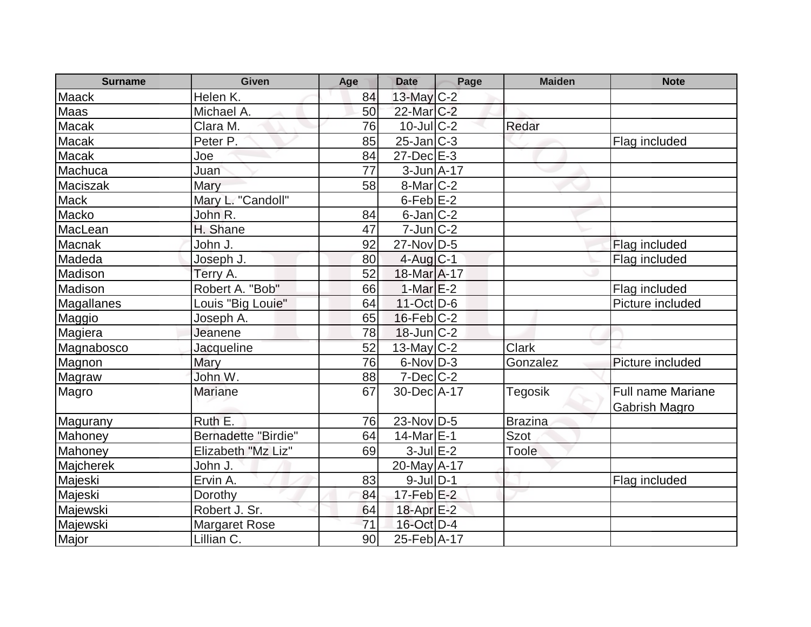| <b>Surname</b> | <b>Given</b>               | Age | <b>Date</b>                 | Page | <b>Maiden</b>  | <b>Note</b>                                      |
|----------------|----------------------------|-----|-----------------------------|------|----------------|--------------------------------------------------|
| <b>Maack</b>   | Helen K.                   | 84  | 13-May C-2                  |      |                |                                                  |
| Maas           | Michael A.                 | 50  | 22-Mar C-2                  |      |                |                                                  |
| Macak          | Clara M.                   | 76  | $10$ -JulC-2                |      | Redar          |                                                  |
| Macak          | Peter P.                   | 85  | $25$ -Jan $ C-3 $           |      |                | Flag included                                    |
| Macak          | Joe                        | 84  | $27 - Dec$ $E-3$            |      |                |                                                  |
| Machuca        | Juan                       | 77  | $3$ -Jun $A$ -17            |      |                |                                                  |
| Maciszak       | Mary                       | 58  | $8$ -Mar $ C-2 $            |      |                |                                                  |
| Mack           | Mary L. "Candoll"          |     | $6$ -Feb $E-2$              |      |                |                                                  |
| Macko          | John R.                    | 84  | $6$ -Jan $C-2$              |      |                |                                                  |
| MacLean        | H. Shane                   | 47  | $7$ -Jun $ C-2 $            |      |                |                                                  |
| Macnak         | John J.                    | 92  | $27$ -Nov $\overline{D}$ -5 |      |                | Flag included                                    |
| Madeda         | Joseph J.                  | 80  | $4$ -Aug $C-1$              |      |                | Flag included                                    |
| Madison        | Terry A.                   | 52  | 18-Mar A-17                 |      |                |                                                  |
| Madison        | Robert A. "Bob"            | 66  | 1-Mar $E-2$                 |      |                | Flag included                                    |
| Magallanes     | Louis "Big Louie"          | 64  | $11-Oct$ D-6                |      |                | Picture included                                 |
| Maggio         | Joseph A.                  | 65  | $16$ -Feb $ C-2 $           |      |                |                                                  |
| Magiera        | Jeanene                    | 78  | $18$ -Jun $C-2$             |      |                |                                                  |
| Magnabosco     | Jacqueline                 | 52  | $13$ -May C-2               |      | <b>Clark</b>   |                                                  |
| Magnon         | Mary                       | 76  | $6-Nov$ D-3                 |      | Gonzalez       | Picture included                                 |
| Magraw         | John W.                    | 88  | $7$ -Dec $\overline{C}$ -2  |      |                |                                                  |
| Magro          | <b>Mariane</b>             | 67  | 30-Dec A-17                 |      | Tegosik        | <b>Full name Mariane</b><br><b>Gabrish Magro</b> |
| Magurany       | Ruth E.                    | 76  | $23-Nov D-5$                |      | <b>Brazina</b> |                                                  |
| Mahoney        | <b>Bernadette "Birdie"</b> | 64  | $14$ -Mar $E-1$             |      | <b>Szot</b>    |                                                  |
| Mahoney        | Elizabeth "Mz Liz"         | 69  | $3$ -Jul $E-2$              |      | Toole          |                                                  |
| Majcherek      | John J.                    |     | 20-May A-17                 |      |                |                                                  |
| Majeski        | Ervin A.                   | 83  | $9$ -JulD-1                 |      |                | Flag included                                    |
| Majeski        | Dorothy                    | 84  | $17$ -Feb $E-2$             |      |                |                                                  |
| Majewski       | Robert J. Sr.              | 64  | $18$ -Apr $E-2$             |      |                |                                                  |
| Majewski       | <b>Margaret Rose</b>       | 71  | 16-Oct D-4                  |      |                |                                                  |
| Major          | Lillian C.                 | 90  | 25-Feb A-17                 |      |                |                                                  |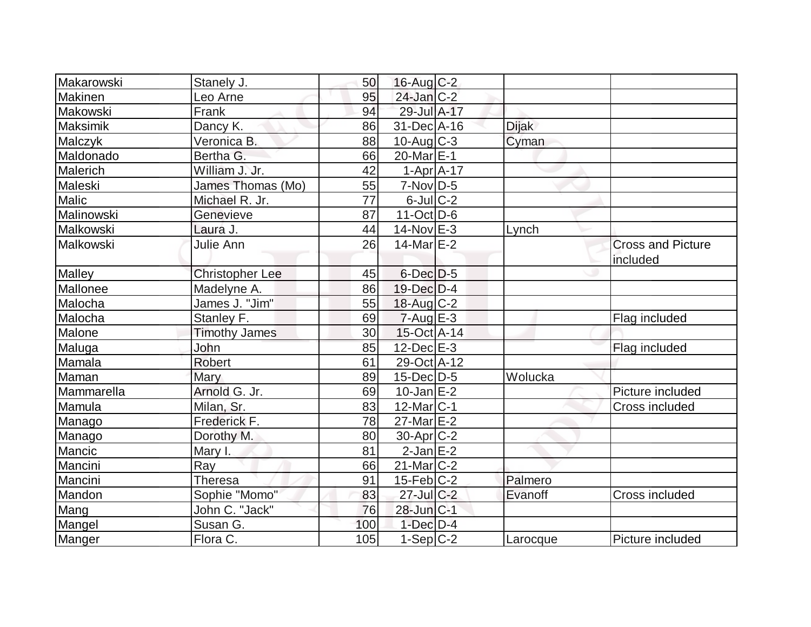| Makarowski     | Stanely J.             | 50  | 16-Aug C-2            |              |                                      |
|----------------|------------------------|-----|-----------------------|--------------|--------------------------------------|
| <b>Makinen</b> | Leo Arne               | 95  | $24$ -Jan $C-2$       |              |                                      |
| Makowski       | Frank                  | 94  | 29-Jul A-17           |              |                                      |
| Maksimik       | Dancy K.               | 86  | 31-Dec A-16           | <b>Dijak</b> |                                      |
| Malczyk        | Veronica B.            | 88  | $10$ -Aug C-3         | Cyman        |                                      |
| Maldonado      | Bertha G.              | 66  | 20-Mar <sub>E-1</sub> |              |                                      |
| Malerich       | William J. Jr.         | 42  | $1-Apr$ $A-17$        |              |                                      |
| Maleski        | James Thomas (Mo)      | 55  | $7-Nov D-5$           |              |                                      |
| <b>Malic</b>   | Michael R. Jr.         | 77  | $6$ -Jul $C-2$        |              |                                      |
| Malinowski     | Genevieve              | 87  | $11-Oct$ D-6          |              |                                      |
| Malkowski      | Laura J.               | 44  | $14$ -Nov $E-3$       | Lynch        |                                      |
| Malkowski      | Julie Ann              | 26  | $14$ -Mar $E-2$       |              | <b>Cross and Picture</b><br>included |
| Malley         | <b>Christopher Lee</b> | 45  | $6$ -Dec $D-5$        |              |                                      |
| Mallonee       | Madelyne A.            | 86  | $19$ -Dec $D-4$       |              |                                      |
| Malocha        | James J. "Jim"         | 55  | $18$ -Aug C-2         |              |                                      |
| Malocha        | Stanley F.             | 69  | $7 - Aug$ $E - 3$     |              | Flag included                        |
| Malone         | <b>Timothy James</b>   | 30  | $15$ -Oct A-14        |              |                                      |
| Maluga         | John                   | 85  | $12$ -Dec $E-3$       |              | Flag included                        |
| Mamala         | <b>Robert</b>          | 61  | 29-Oct A-12           |              |                                      |
| Maman          | Mary                   | 89  | $15$ -Dec $D-5$       | Wolucka      |                                      |
| Mammarella     | Arnold G. Jr.          | 69  | $10$ -Jan $E-2$       |              | Picture included                     |
| Mamula         | Milan, Sr.             | 83  | $12$ -Mar $ C-1 $     |              | Cross included                       |
| Manago         | Frederick F.           | 78  | $27$ -Mar $E-2$       |              |                                      |
| Manago         | Dorothy M.             | 80  | $30$ -Apr $ C-2 $     |              |                                      |
| Mancic         | Mary I.                | 81  | $2$ -Jan $E-2$        |              |                                      |
| Mancini        | Ray                    | 66  | $21$ -Mar $C-2$       |              |                                      |
| Mancini        | <b>Theresa</b>         | 91  | $15$ -Feb $ C-2 $     | Palmero      |                                      |
| Mandon         | Sophie "Momo"          | 83  | $27$ -Jul C-2         | Evanoff      | Cross included                       |
| Mang           | John C. "Jack"         | 76  | 28-Jun C-1            |              |                                      |
| Mangel         | Susan G.               | 100 | $1$ -Dec $D-4$        |              |                                      |
| Manger         | Flora C.               | 105 | $1-Sep C-2$           | Larocque     | Picture included                     |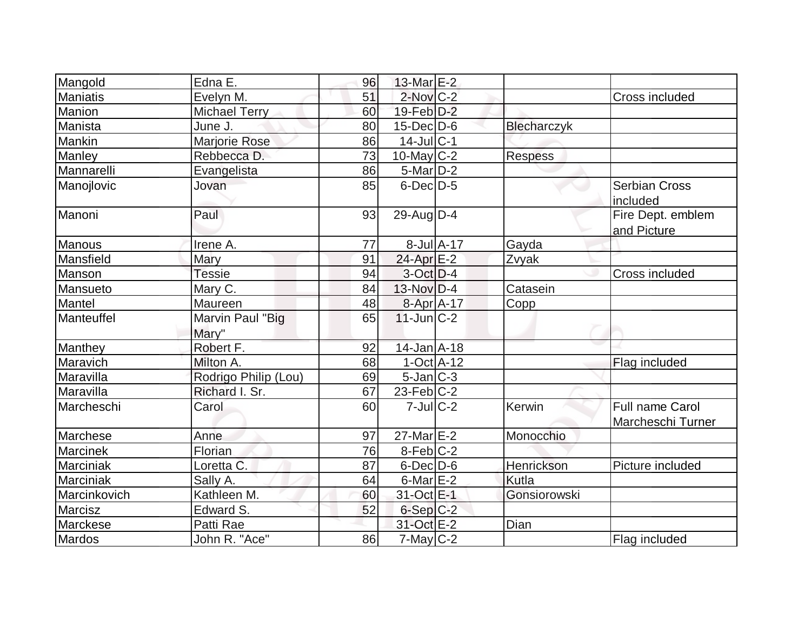| Mangold         | Edna E.                   | 96 | 13-Mar E-2        |              |                |                                             |
|-----------------|---------------------------|----|-------------------|--------------|----------------|---------------------------------------------|
| <b>Maniatis</b> | Evelyn M.                 | 51 | $2$ -Nov $C-2$    |              |                | Cross included                              |
| Manion          | Michael Terry             | 60 | $19$ -Feb $D-2$   |              |                |                                             |
| Manista         | June J.                   | 80 | $15$ -Dec $D$ -6  |              | Blecharczyk    |                                             |
| Mankin          | Marjorie Rose             | 86 | $14$ -Jul C-1     |              |                |                                             |
| Manley          | Rebbecca D.               | 73 | $10$ -May C-2     |              | <b>Respess</b> |                                             |
| Mannarelli      | Evangelista               | 86 | $5$ -Mar $D-2$    |              |                |                                             |
| Manojlovic      | Jovan                     | 85 | $6$ -Dec $D-5$    |              |                | <b>Serbian Cross</b><br>included            |
| Manoni          | Paul                      | 93 | 29-Aug $D-4$      |              |                | Fire Dept. emblem<br>and Picture            |
| <b>Manous</b>   | Irene A.                  | 77 |                   | 8-Jul A-17   | Gayda          |                                             |
| Mansfield       | Mary                      | 91 | $24$ -Apr $E-2$   |              | Zvyak          |                                             |
| Manson          | <b>Tessie</b>             | 94 | $3-Oct$ D-4       |              |                | Cross included                              |
| Mansueto        | Mary C.                   | 84 | $13-Nov D-4$      |              | Catasein       |                                             |
| Mantel          | Maureen                   | 48 | 8-Apr A-17        |              | Copp           |                                             |
| Manteuffel      | Marvin Paul "Big<br>Mary" | 65 | $11$ -Jun $C-2$   |              |                |                                             |
| Manthey         | Robert F.                 | 92 | $14$ -Jan $A$ -18 |              |                |                                             |
| Maravich        | Milton A.                 | 68 |                   | $1-Oct$ A-12 |                | Flag included                               |
| Maravilla       | Rodrigo Philip (Lou)      | 69 | $5$ -Jan $ C-3 $  |              |                |                                             |
| Maravilla       | Richard I. Sr.            | 67 | $23$ -Feb $ C-2 $ |              |                |                                             |
| Marcheschi      | Carol                     | 60 | $7$ -Jul $ C-2 $  |              | Kerwin         | <b>Full name Carol</b><br>Marcheschi Turner |
| Marchese        | Anne                      | 97 | $27$ -Mar $E-2$   |              | Monocchio      |                                             |
| Marcinek        | Florian                   | 76 | $8-Feb$ C-2       |              |                |                                             |
| Marciniak       | Loretta C.                | 87 | $6$ -Dec $D$ -6   |              | Henrickson     | Picture included                            |
| Marciniak       | Sally A.                  | 64 | $6$ -Mar $E-2$    |              | Kutla          |                                             |
| Marcinkovich    | Kathleen M.               | 60 | 31-Oct E-1        |              | Gonsiorowski   |                                             |
| Marcisz         | Edward S.                 | 52 | $6-Sep C-2$       |              |                |                                             |
| Marckese        | Patti Rae                 |    | 31-Oct E-2        |              | Dian           |                                             |
| Mardos          | John R. "Ace"             | 86 | $7$ -May C-2      |              |                | Flag included                               |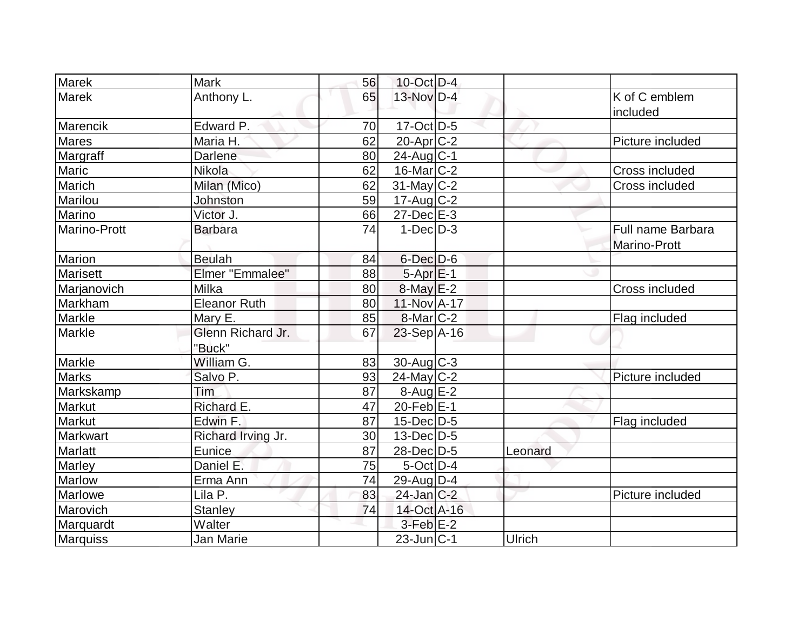| <b>Marek</b>        | <b>Mark</b>         | 56 | $10$ -Oct $D-4$           |         |                           |
|---------------------|---------------------|----|---------------------------|---------|---------------------------|
| Marek               | Anthony L.          | 65 | 13-Nov D-4                |         | K of C emblem<br>included |
| Marencik            | Edward P.           | 70 | $17-Oct$ D-5              |         |                           |
| <b>Mares</b>        | Maria H.            | 62 | $20$ -Apr $C-2$           |         | Picture included          |
| Margraff            | Darlene             | 80 | $24$ -Aug $C-1$           |         |                           |
| Maric               | Nikola              | 62 | $16$ -Mar $ C-2 $         |         | Cross included            |
| Marich              | Milan (Mico)        | 62 | $31$ -May C-2             |         | Cross included            |
| Marilou             | Johnston            | 59 | $17$ -Aug C-2             |         |                           |
| Marino              | Victor J.           | 66 | $27$ -Dec $E-3$           |         |                           |
| <b>Marino-Prott</b> | <b>Barbara</b>      | 74 | $1-Dec$ D-3               |         | Full name Barbara         |
|                     |                     |    |                           |         | Marino-Prott              |
| Marion              | <b>Beulah</b>       | 84 | $6$ -Dec $D$ -6           |         |                           |
| Marisett            | Elmer "Emmalee"     | 88 | $5-Apr \nightharpoonup 1$ |         |                           |
| Marjanovich         | Milka               | 80 | $8$ -May $E-2$            |         | Cross included            |
| Markham             | <b>Eleanor Ruth</b> | 80 | 11-Nov A-17               |         |                           |
| Markle              | Mary E.             | 85 | $8$ -Mar $ C-2 $          |         | Flag included             |
| Markle              | Glenn Richard Jr.   | 67 | $23-Sep$ A-16             |         |                           |
|                     | "Buck"              |    |                           |         |                           |
| Markle              | William G.          | 83 | $30$ -Aug C-3             |         |                           |
| <b>Marks</b>        | Salvo P.            | 93 | $24$ -May C-2             |         | Picture included          |
| Markskamp           | Tim                 | 87 | $8-Aug$ $E-2$             |         |                           |
| Markut              | Richard E.          | 47 | $20$ -Feb $E-1$           |         |                           |
| Markut              | Edwin F.            | 87 | $15$ -Dec $D-5$           |         | Flag included             |
| Markwart            | Richard Irving Jr.  | 30 | $13$ -Dec $D-5$           |         |                           |
| Marlatt             | <b>Eunice</b>       | 87 | $28$ -Dec $ D-5 $         | Leonard |                           |
| Marley              | Daniel E.           | 75 | $5$ -Oct $ D-4 $          |         |                           |
| <b>Marlow</b>       | Erma Ann            | 74 | $29$ -Aug $D-4$           |         |                           |
| Marlowe             | Lila P.             | 83 | $24$ -Jan $C-2$           |         | Picture included          |
| Marovich            | <b>Stanley</b>      | 74 | 14-Oct A-16               |         |                           |
| Marquardt           | Walter              |    | $3-Feb$ $E-2$             |         |                           |
| <b>Marquiss</b>     | Jan Marie           |    | $23$ -Jun $ C-1 $         | Ulrich  |                           |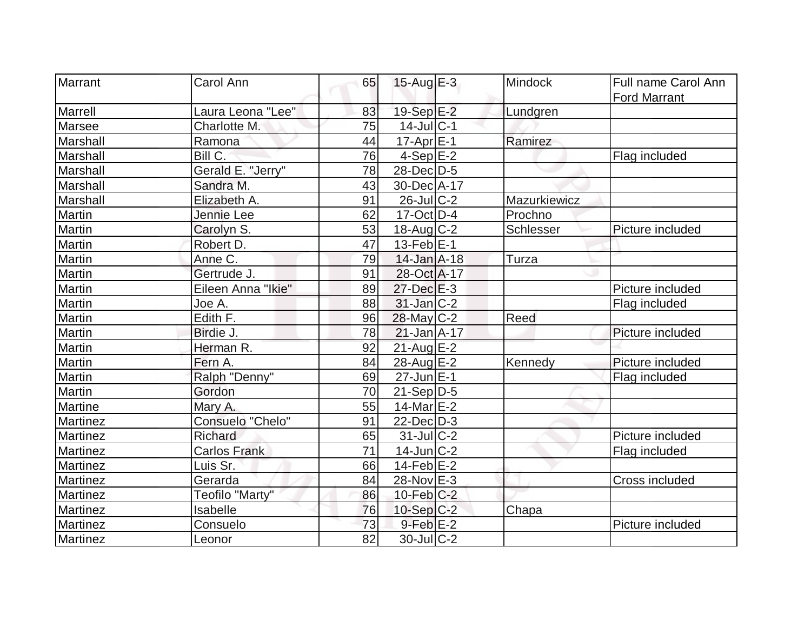| Marrant         | Carol Ann           | 65 | 15-Aug $E-3$          | <b>Mindock</b> | Full name Carol Ann<br><b>Ford Marrant</b> |
|-----------------|---------------------|----|-----------------------|----------------|--------------------------------------------|
| Marrell         | Laura Leona "Lee"   | 83 | 19-Sep E-2            | Lundgren       |                                            |
| Marsee          | Charlotte M.        | 75 | $14$ -Jul $ C-1$      |                |                                            |
| Marshall        | Ramona              | 44 | $17$ -Apr $E-1$       | Ramirez        |                                            |
| Marshall        | Bill C.             | 76 | $4-Sep$ $E-2$         |                | Flag included                              |
| Marshall        | Gerald E. "Jerry"   | 78 | 28-Dec D-5            |                |                                            |
| Marshall        | Sandra M.           | 43 | 30-Dec A-17           |                |                                            |
| Marshall        | Elizabeth A.        | 91 | $26$ -Jul $C-2$       | Mazurkiewicz   |                                            |
| Martin          | Jennie Lee          | 62 | $17$ -Oct $ D-4$      | Prochno        |                                            |
| Martin          | Carolyn S.          | 53 | $18$ -Aug C-2         | Schlesser      | Picture included                           |
| Martin          | Robert D.           | 47 | $13$ -Feb $E-1$       |                |                                            |
| Martin          | Anne C.             | 79 | $14$ -Jan $A$ -18     | Turza          |                                            |
| Martin          | Gertrude J.         | 91 | 28-Oct A-17           |                |                                            |
| Martin          | Eileen Anna "Ikie"  | 89 | $27 - Dec$ $E-3$      |                | Picture included                           |
| Martin          | Joe A.              | 88 | $31$ -Jan $ C-2 $     |                | Flag included                              |
| Martin          | Edith F.            | 96 | 28-May C-2            | Reed           |                                            |
| Martin          | Birdie J.           | 78 | $21$ -Jan $A-17$      |                | Picture included                           |
| <b>Martin</b>   | Herman R.           | 92 | $21$ -Aug $E-2$       |                |                                            |
| <b>Martin</b>   | Fern A.             | 84 | 28-Aug E-2            | Kennedy        | Picture included                           |
| Martin          | Ralph "Denny"       | 69 | 27-Jun E-1            |                | Flag included                              |
| Martin          | Gordon              | 70 | $21-Sep D-5$          |                |                                            |
| Martine         | Mary A.             | 55 | 14-Mar <sub>E-2</sub> |                |                                            |
| Martinez        | Consuelo "Chelo"    | 91 | $22$ -Dec $D-3$       |                |                                            |
| Martinez        | Richard             | 65 | $31$ -JulC-2          |                | Picture included                           |
| Martinez        | <b>Carlos Frank</b> | 71 | $14$ -Jun $C-2$       |                | Flag included                              |
| Martinez        | Luis Sr.            | 66 | $14$ -Feb $E-2$       |                |                                            |
| Martinez        | Gerarda             | 84 | 28-Nov E-3            |                | Cross included                             |
| Martinez        | Teofilo "Marty"     | 86 | $10$ -Feb $ C-2$      |                |                                            |
| <b>Martinez</b> | Isabelle            | 76 | $10-Sep C-2$          | Chapa          |                                            |
| Martinez        | Consuelo            | 73 | $9$ -Feb $E-2$        |                | Picture included                           |
| Martinez        | Leonor              | 82 | $30$ -Jul $C-2$       |                |                                            |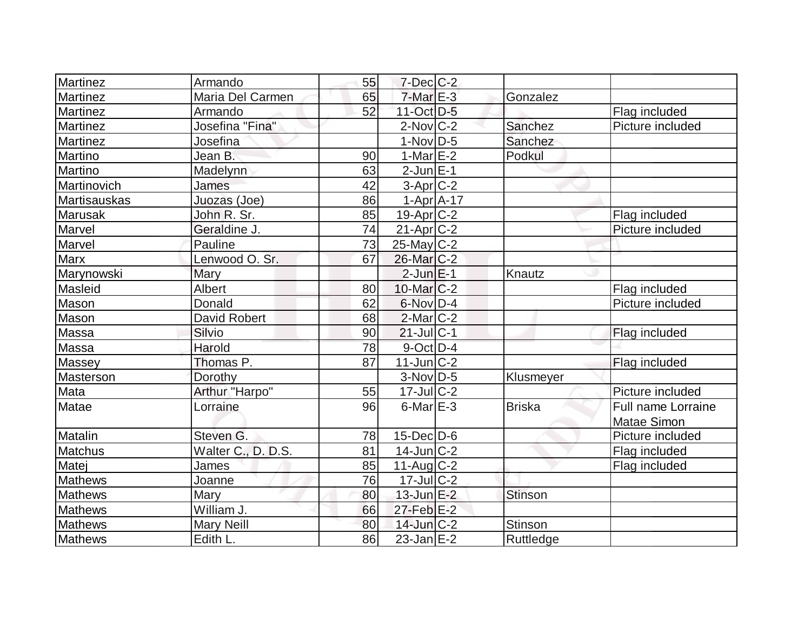| <b>Martinez</b> | Armando            | 55 | $7$ -Dec $C$ -2   |                |                    |
|-----------------|--------------------|----|-------------------|----------------|--------------------|
| <b>Martinez</b> | Maria Del Carmen   | 65 | $7-MarE-3$        | Gonzalez       |                    |
| <b>Martinez</b> | Armando            | 52 | 11-Oct D-5        |                | Flag included      |
| <b>Martinez</b> | Josefina "Fina"    |    | $2$ -Nov $C-2$    | Sanchez        | Picture included   |
| Martinez        | Josefina           |    | $1-Nov D-5$       | Sanchez        |                    |
| Martino         | Jean B.            | 90 | 1-Mar $E-2$       | Podkul         |                    |
| Martino         | Madelynn           | 63 | $2$ -Jun $E-1$    |                |                    |
| Martinovich     | James              | 42 | $3-Apr$ $C-2$     |                |                    |
| Martisauskas    | Juozas (Joe)       | 86 | $1-Apr$ A-17      |                |                    |
| <b>Marusak</b>  | John R. Sr.        | 85 | $19-Apr$ $C-2$    |                | Flag included      |
| Marvel          | Geraldine J.       | 74 | $21-Apr$ $C-2$    |                | Picture included   |
| Marvel          | Pauline            | 73 | 25-May C-2        |                |                    |
| Marx            | Lenwood O. Sr.     | 67 | 26-Mar C-2        |                |                    |
| Marynowski      | Mary               |    | $2$ -Jun $E-1$    | Knautz         |                    |
| Masleid         | Albert             | 80 | $10$ -Mar $ C-2 $ |                | Flag included      |
| Mason           | Donald             | 62 | $6$ -Nov $D-4$    |                | Picture included   |
| Mason           | David Robert       | 68 | $2$ -Mar $ C-2 $  |                |                    |
| Massa           | Silvio             | 90 | $21$ -Jul $C-1$   |                | Flag included      |
| Massa           | Harold             | 78 | 9-Oct D-4         |                |                    |
| Massey          | Thomas P.          | 87 | $11$ -Jun $ C-2 $ |                | Flag included      |
| Masterson       | Dorothy            |    | $3-Nov D-5$       | Klusmeyer      |                    |
| Mata            | Arthur "Harpo"     | 55 | $17$ -Jul $C-2$   |                | Picture included   |
| Matae           | Lorraine           | 96 | $6$ -Mar $E-3$    | <b>Briska</b>  | Full name Lorraine |
|                 |                    |    |                   |                | <b>Matae Simon</b> |
| Matalin         | Steven G.          | 78 | $15$ -Dec $D$ -6  |                | Picture included   |
| <b>Matchus</b>  | Walter C., D. D.S. | 81 | $14$ -Jun $C-2$   |                | Flag included      |
| Matej           | James              | 85 | $11$ -Aug C-2     |                | Flag included      |
| <b>Mathews</b>  | Joanne             | 76 | $17$ -Jul $C-2$   |                |                    |
| <b>Mathews</b>  | <b>Mary</b>        | 80 | $13$ -Jun $E-2$   | Stinson        |                    |
| <b>Mathews</b>  | William J.         | 66 | $27$ -Feb $E-2$   |                |                    |
| <b>Mathews</b>  | <b>Mary Neill</b>  | 80 | $14$ -Jun $C-2$   | <b>Stinson</b> |                    |
| Mathews         | Edith L.           | 86 | $23$ -Jan $E-2$   | Ruttledge      |                    |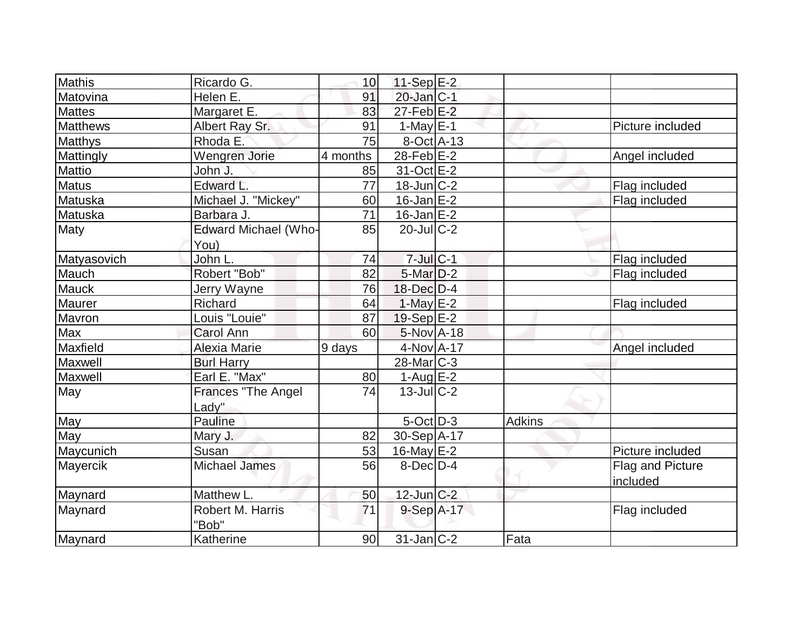| <b>Mathis</b><br>Ricardo G.      |                 |                            |              |        |                  |
|----------------------------------|-----------------|----------------------------|--------------|--------|------------------|
| Helen E.                         | 10<br>91        | $11-Sep$ E-2<br>20-Jan C-1 |              |        |                  |
| Matovina<br><b>Mattes</b>        | 83              | $27$ -Feb $E-2$            |              |        |                  |
| Margaret E.<br><b>Matthews</b>   |                 |                            |              |        |                  |
| Albert Ray Sr.                   | 91              | $1-May \, E-1$             |              |        | Picture included |
| Rhoda E.<br>Matthys              | 75              | $8-Oct$ A-13               |              |        |                  |
| Mattingly<br>Wengren Jorie       | 4 months        | 28-Feb $E-2$               |              |        | Angel included   |
| Mattio<br>John J.                | 85              | 31-Oct E-2                 |              |        |                  |
| Edward L.<br><b>Matus</b>        | $\overline{77}$ | $18$ -Jun $C-2$            |              |        | Flag included    |
| Michael J. "Mickey"<br>Matuska   | 60              | $16$ -Jan $E-2$            |              |        | Flag included    |
| Matuska<br>Barbara J.            | 71              | $16$ -Jan $E-2$            |              |        |                  |
| Edward Michael (Who-<br>Maty     | 85              | $20$ -JulC-2               |              |        |                  |
| You)                             |                 |                            |              |        |                  |
| John L.<br>Matyasovich           | 74              | $7$ -Jul $C-1$             |              |        | Flag included    |
| Mauch<br>Robert "Bob"            | 82              | $5$ -Mar $D-2$             |              |        | Flag included    |
| Mauck<br>Jerry Wayne             | 76              | $18$ -Dec $D-4$            |              |        |                  |
| Maurer<br><b>Richard</b>         | 64              | $1$ -May E-2               |              |        | Flag included    |
| Mavron<br>Louis "Louie"          | 87              | $19-Sep$ $E-2$             |              |        |                  |
| Max<br><b>Carol Ann</b>          | 60              | 5-Nov A-18                 |              |        |                  |
| Maxfield<br>Alexia Marie         | 9 days          | 4-Nov A-17                 |              |        | Angel included   |
| Maxwell<br><b>Burl Harry</b>     |                 | $28$ -Mar $C-3$            |              |        |                  |
| Earl E. "Max"<br>Maxwell         | 80              | $1-Auq$ $E-2$              |              |        |                  |
| May<br><b>Frances "The Angel</b> | 74              | $13$ -JulC-2               |              |        |                  |
| Lady"                            |                 |                            |              |        |                  |
| May<br>Pauline                   |                 | $5$ -Oct $ D-3 $           |              | Adkins |                  |
| May<br>Mary J.                   | 82              | 30-Sep A-17                |              |        |                  |
| Maycunich<br>Susan               | 53              | 16-May E-2                 |              |        | Picture included |
| <b>Michael James</b><br>Mayercik | 56              | 8-Dec <sub>D</sub> -4      |              |        | Flag and Picture |
|                                  |                 |                            |              |        | included         |
| Matthew L.<br>Maynard            | 50              | $12$ -Jun $C-2$            |              |        |                  |
| Robert M. Harris<br>Maynard      | 71              |                            | $9-Sep$ A-17 |        | Flag included    |
| "Bob"                            |                 |                            |              |        |                  |
| Maynard<br>Katherine             | 90              | $31$ -Jan C-2              |              | Fata   |                  |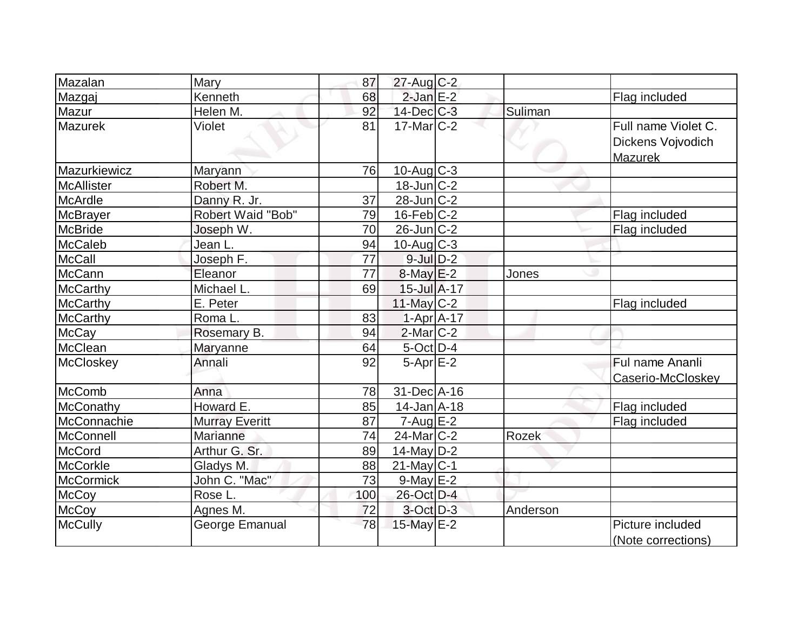| Mazalan           | Mary                     | 87  | 27-Aug C-2                   |          |                                                            |
|-------------------|--------------------------|-----|------------------------------|----------|------------------------------------------------------------|
| Mazgaj            | Kenneth                  | 68  | $2$ -Jan $E-2$               |          | Flag included                                              |
| Mazur             | Helen M.                 | 92  | $14$ -Dec $C$ -3             | Suliman  |                                                            |
| Mazurek           | Violet                   | 81  | $17$ -Mar $C-2$              |          | Full name Violet C.<br>Dickens Vojvodich<br><b>Mazurek</b> |
| Mazurkiewicz      | Maryann                  | 76  | $10$ -Aug C-3                |          |                                                            |
| <b>McAllister</b> | Robert M.                |     | $18$ -Jun $C-2$              |          |                                                            |
| <b>McArdle</b>    | Danny R. Jr.             | 37  | $28$ -Jun $C-2$              |          |                                                            |
| <b>McBrayer</b>   | <b>Robert Waid "Bob"</b> | 79  | $16$ -Feb $ C-2$             |          | Flag included                                              |
| <b>McBride</b>    | Joseph W.                | 70  | $26$ -Jun $C-2$              |          | Flag included                                              |
| <b>McCaleb</b>    | Jean L.                  | 94  | $10$ -Aug $C-3$              |          |                                                            |
| <b>McCall</b>     | Joseph F.                | 77  | $9$ -Jul $D-2$               |          |                                                            |
| McCann            | Eleanor                  | 77  | $8$ -May $E-2$               | Jones    |                                                            |
| <b>McCarthy</b>   | Michael L.               | 69  | $15$ -Jul $\overline{A}$ -17 |          |                                                            |
| McCarthy          | E. Peter                 |     | $11$ -May C-2                |          | Flag included                                              |
| <b>McCarthy</b>   | Roma L.                  | 83  | $1-Apr$ $A-17$               |          |                                                            |
| <b>McCay</b>      | Rosemary B.              | 94  | $2$ -Mar $ C-2 $             |          |                                                            |
| McClean           | Maryanne                 | 64  | $5$ -Oct $D-4$               |          |                                                            |
| McCloskey         | Annali                   | 92  | $5-Apr$ $E-2$                |          | Ful name Ananli<br>Caserio-McCloskey                       |
| McComb            | Anna                     | 78  | 31-Dec A-16                  |          |                                                            |
| McConathy         | Howard E.                | 85  | $14$ -Jan $A$ -18            |          | Flag included                                              |
| McConnachie       | <b>Murray Everitt</b>    | 87  | $7 - Aug$ E-2                |          | Flag included                                              |
| McConnell         | Marianne                 | 74  | $24$ -Mar $ C-2 $            | Rozek    |                                                            |
| McCord            | Arthur G. Sr.            | 89  | $14$ -May D-2                |          |                                                            |
| <b>McCorkle</b>   | Gladys M.                | 88  | $21$ -May C-1                |          |                                                            |
| <b>McCormick</b>  | John C. "Mac"            | 73  | $9$ -May $E-2$               |          |                                                            |
| <b>McCoy</b>      | Rose L.                  | 100 | 26-Oct D-4                   |          |                                                            |
| <b>McCoy</b>      | Agnes M.                 | 72  | $3$ -Oct $D-3$               | Anderson |                                                            |
| <b>McCully</b>    | George Emanual           | 78  | 15-May E-2                   |          | Picture included<br>(Note corrections)                     |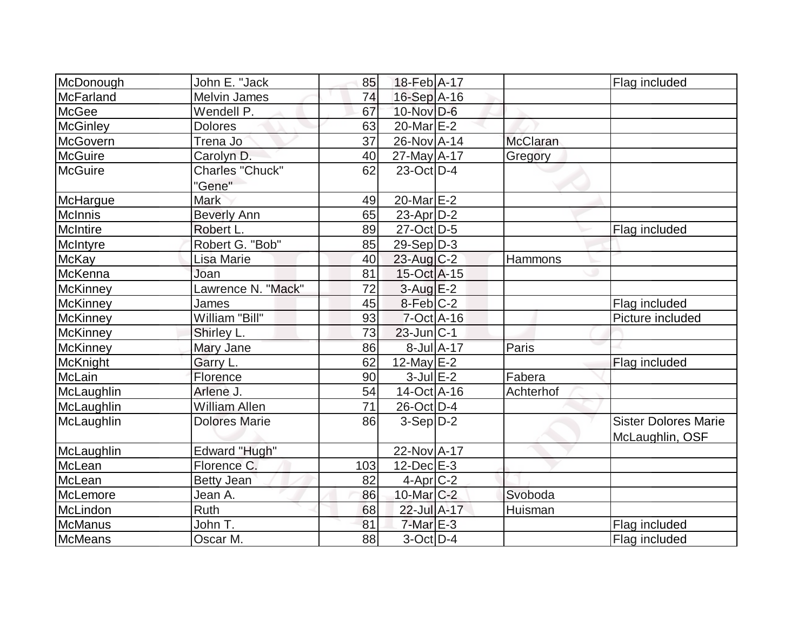|                 | John E. "Jack        | 85       | 18-Feb A-17            |            |                 |                             |
|-----------------|----------------------|----------|------------------------|------------|-----------------|-----------------------------|
| McDonough       |                      |          |                        |            |                 | Flag included               |
| McFarland       | <b>Melvin James</b>  | 74<br>67 | $16-Sep$ A-16          |            |                 |                             |
| McGee           | Wendell P.           |          | $10$ -Nov $D-6$        |            |                 |                             |
| <b>McGinley</b> | <b>Dolores</b>       | 63       | $20$ -Mar $E-2$        |            |                 |                             |
| McGovern        | Trena Jo             | 37       | 26-Nov A-14            |            | <b>McClaran</b> |                             |
| <b>McGuire</b>  | Carolyn D.           | 40       | $27$ -May A-17         |            | Gregory         |                             |
| <b>McGuire</b>  | Charles "Chuck"      | 62       | $23$ -Oct D-4          |            |                 |                             |
|                 | "Gene"               |          |                        |            |                 |                             |
| McHargue        | <b>Mark</b>          | 49       | 20-Mar <sub>E-2</sub>  |            |                 |                             |
| McInnis         | <b>Beverly Ann</b>   | 65       | $23$ -Apr $ D-2 $      |            |                 |                             |
| McIntire        | Robert L.            | 89       | $27-Oct$ D-5           |            |                 | Flag included               |
| McIntyre        | Robert G. "Bob"      | 85       | $29-Sep D-3$           |            |                 |                             |
| <b>McKay</b>    | Lisa Marie           | 40       | $23$ -Aug C-2          |            | Hammons         |                             |
| McKenna         | Joan                 | 81       | 15-Oct A-15            |            |                 |                             |
| McKinney        | Lawrence N. "Mack"   | 72       | $3$ -Aug $E-2$         |            |                 |                             |
| McKinney        | James                | 45       | $8-Feb$ <sub>C-2</sub> |            |                 | Flag included               |
| McKinney        | William "Bill"       | 93       | $7$ -Oct $A$ -16       |            |                 | Picture included            |
| <b>McKinney</b> | Shirley L.           | 73       | $23$ -Jun $ C-1 $      |            |                 |                             |
| <b>McKinney</b> | Mary Jane            | 86       |                        | 8-Jul A-17 | Paris           |                             |
| McKnight        | Garry L.             | 62       | $12$ -May $E-2$        |            |                 | Flag included               |
| McLain          | Florence             | 90       | $3$ -Jul $E-2$         |            | Fabera          |                             |
| McLaughlin      | Arlene J.            | 54       | 14-Oct A-16            |            | Achterhof       |                             |
| McLaughlin      | <b>William Allen</b> | 71       | 26-Oct D-4             |            |                 |                             |
| McLaughlin      | <b>Dolores Marie</b> | 86       | $3-Sep D-2$            |            |                 | <b>Sister Dolores Marie</b> |
|                 |                      |          |                        |            |                 | McLaughlin, OSF             |
| McLaughlin      | Edward "Hugh"        |          | 22-Nov A-17            |            |                 |                             |
| McLean          | Florence C.          | 103      | $12$ -Dec $E-3$        |            |                 |                             |
| McLean          | <b>Betty Jean</b>    | 82       | $4-Apr$ $C-2$          |            |                 |                             |
| McLemore        | Jean A.              | 86       | 10-Mar C-2             |            | Svoboda         |                             |
| McLindon        | <b>Ruth</b>          | 68       | 22-Jul A-17            |            | Huisman         |                             |
| McManus         | John T.              | 81       | $7$ -Mar $E-3$         |            |                 | Flag included               |
| McMeans         | Oscar M.             | 88       | $3-Oct$ D-4            |            |                 | Flag included               |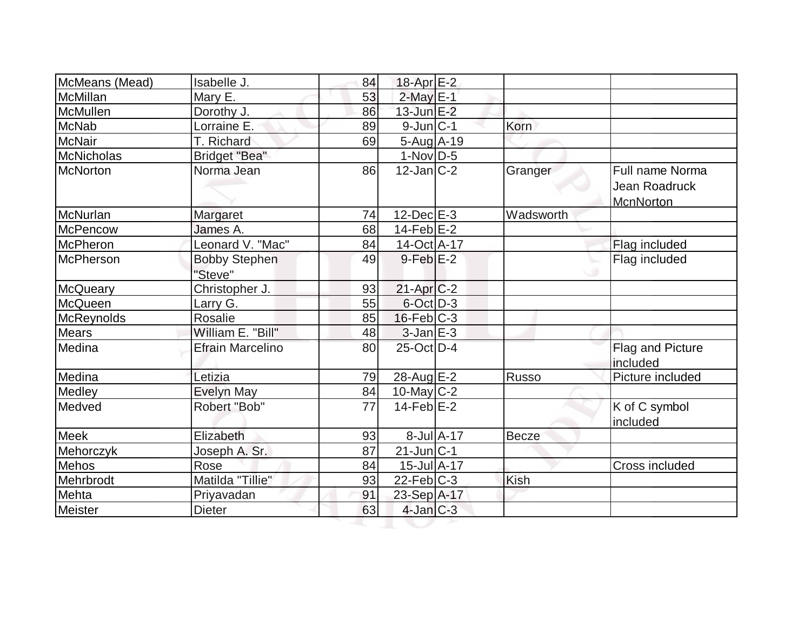| McMeans (Mead)   | Isabelle J.                     | 84 | 18-Apr $E-2$      |                  |              |                                               |
|------------------|---------------------------------|----|-------------------|------------------|--------------|-----------------------------------------------|
| McMillan         | Mary E.                         | 53 | $2$ -May $E-1$    |                  |              |                                               |
| McMullen         | Dorothy J.                      | 86 | 13-Jun E-2        |                  |              |                                               |
| <b>McNab</b>     | Lorraine E.                     | 89 | $9$ -Jun $ C-1 $  |                  | Korn         |                                               |
| <b>McNair</b>    | T. Richard                      | 69 | $5-Aug$ A-19      |                  |              |                                               |
| McNicholas       | <b>Bridget "Bea"</b>            |    | $1-Nov D-5$       |                  |              |                                               |
| <b>McNorton</b>  | Norma Jean                      | 86 | $12$ -Jan $ C-2 $ |                  | Granger      | Full name Norma<br>Jean Roadruck<br>McnNorton |
| McNurlan         | Margaret                        | 74 | $12$ -Dec $E-3$   |                  | Wadsworth    |                                               |
| McPencow         | James A.                        | 68 | $14$ -Feb $ E-2 $ |                  |              |                                               |
| <b>McPheron</b>  | Leonard V. "Mac"                | 84 | 14-Oct A-17       |                  |              | Flag included                                 |
| <b>McPherson</b> | <b>Bobby Stephen</b><br>"Steve" | 49 | $9$ -Feb $E-2$    |                  |              | Flag included                                 |
| McQueary         | Christopher J.                  | 93 | $21-Apr$ $C-2$    |                  |              |                                               |
| McQueen          | Larry G.                        | 55 | $6$ -Oct $D-3$    |                  |              |                                               |
| McReynolds       | Rosalie                         | 85 | $16$ -Feb $C-3$   |                  |              |                                               |
| <b>Mears</b>     | William E. "Bill"               | 48 | $3$ -Jan $E-3$    |                  |              |                                               |
| Medina           | <b>Efrain Marcelino</b>         | 80 | 25-Oct D-4        |                  |              | Flag and Picture<br>included                  |
| Medina           | Letizia                         | 79 | 28-Aug E-2        |                  | <b>Russo</b> | Picture included                              |
| <b>Medley</b>    | <b>Evelyn May</b>               | 84 | 10-May C-2        |                  |              |                                               |
| Medved           | Robert "Bob"                    | 77 | $14$ -Feb $E-2$   |                  |              | K of C symbol<br>included                     |
| Meek             | Elizabeth                       | 93 |                   | $8$ -Jul $A$ -17 | Becze        |                                               |
| Mehorczyk        | Joseph A. Sr.                   | 87 | $21$ -Jun $ C-1 $ |                  |              |                                               |
| Mehos            | Rose                            | 84 | 15-Jul A-17       |                  |              | Cross included                                |
| Mehrbrodt        | Matilda "Tillie"                | 93 | $22$ -Feb $ C-3 $ |                  | <b>Kish</b>  |                                               |
| Mehta            | Priyavadan                      | 91 | 23-Sep A-17       |                  |              |                                               |
| Meister          | <b>Dieter</b>                   | 63 | $4$ -Jan $C-3$    |                  |              |                                               |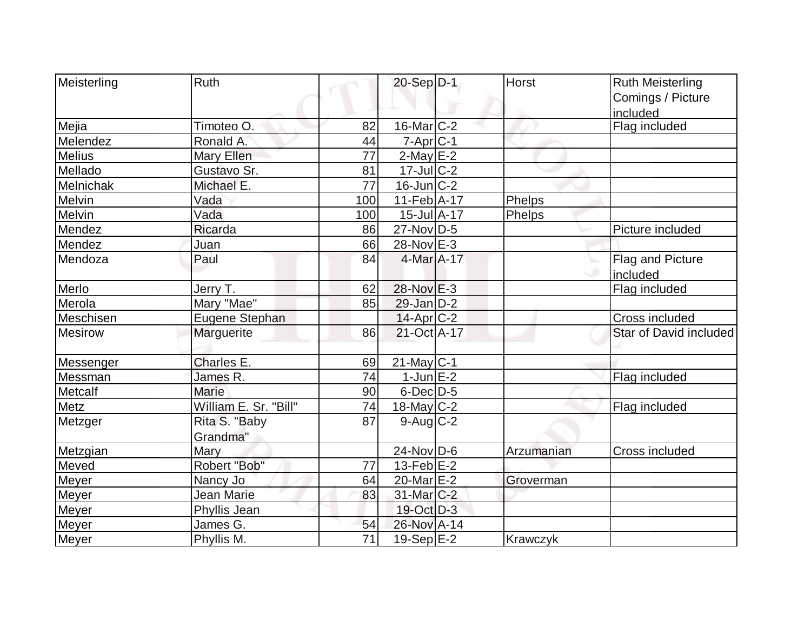| Meisterling<br>Ruth |                       |                 | 20-Sep D-1                   | <b>Horst</b> | <b>Ruth Meisterling</b> |
|---------------------|-----------------------|-----------------|------------------------------|--------------|-------------------------|
|                     |                       |                 |                              |              | Comings / Picture       |
|                     |                       |                 |                              |              | included                |
| Mejia               | Timoteo O.            | 82              | $16$ -Mar $ C-2 $            |              | Flag included           |
| Melendez            | Ronald A.             | 44              | $7-Apr$ $C-1$                |              |                         |
| <b>Melius</b>       | Mary Ellen            | 77              | $2$ -May $E-2$               |              |                         |
| Mellado             | Gustavo Sr.           | 81              | $17$ -Jul $C-2$              |              |                         |
| Melnichak           | Michael E.            | $\overline{77}$ | $16$ -Jun $ C-2 $            |              |                         |
| Melvin              | Vada                  | 100             | $11-Feb$ A-17                | Phelps       |                         |
| Melvin<br>Vada      |                       | 100             | $15$ -Jul $\overline{A}$ -17 | Phelps       |                         |
| Mendez              | Ricarda               | 86              | $27$ -Nov D-5                |              | Picture included        |
| Mendez<br>Juan      |                       | 66              | 28-Nov E-3                   |              |                         |
| Mendoza<br>Paul     |                       | 84              | 4-Mar A-17                   |              | <b>Flag and Picture</b> |
|                     |                       |                 |                              |              | included                |
| Merlo               | Jerry T.              | 62              | $28-Nov$ $E-3$               |              | Flag included           |
| Merola              | Mary "Mae"            | 85              | $29$ -Jan $D-2$              |              |                         |
| Meschisen           | Eugene Stephan        |                 | $14$ -Apr $ C-2 $            |              | <b>Cross included</b>   |
| <b>Mesirow</b>      | Marguerite            | 86              | $21-Oct$ A-17                |              | Star of David included  |
|                     |                       |                 |                              |              |                         |
| Messenger           | Charles E.            | 69              | $21$ -May C-1                |              |                         |
| Messman             | James R.              | 74              | $1$ -Jun $E-2$               |              | Flag included           |
| Marie<br>Metcalf    |                       | 90              | $6$ -Dec $D$ -5              |              |                         |
| Metz                | William E. Sr. "Bill" | 74              | 18-May C-2                   |              | Flag included           |
| Metzger             | Rita S. "Baby         | 87              | $9$ -Aug $C$ -2              |              |                         |
|                     | Grandma"              |                 |                              |              |                         |
| Mary<br>Metzgian    |                       |                 | 24-Nov D-6                   | Arzumanian   | Cross included          |
| Meved               | Robert "Bob"          | 77              | $13$ -Feb $ E-2 $            |              |                         |
| Meyer               | Nancy Jo              | 64              | 20-Mar E-2                   | Groverman    |                         |
| Meyer               | Jean Marie            | 83              | 31-Mar C-2                   |              |                         |
| <b>Meyer</b>        | Phyllis Jean          |                 | 19-Oct D-3                   |              |                         |
| Meyer               | James G.              | 54              | 26-Nov A-14                  |              |                         |
| Meyer               | Phyllis M.            | $\overline{71}$ | 19-Sep E-2                   | Krawczyk     |                         |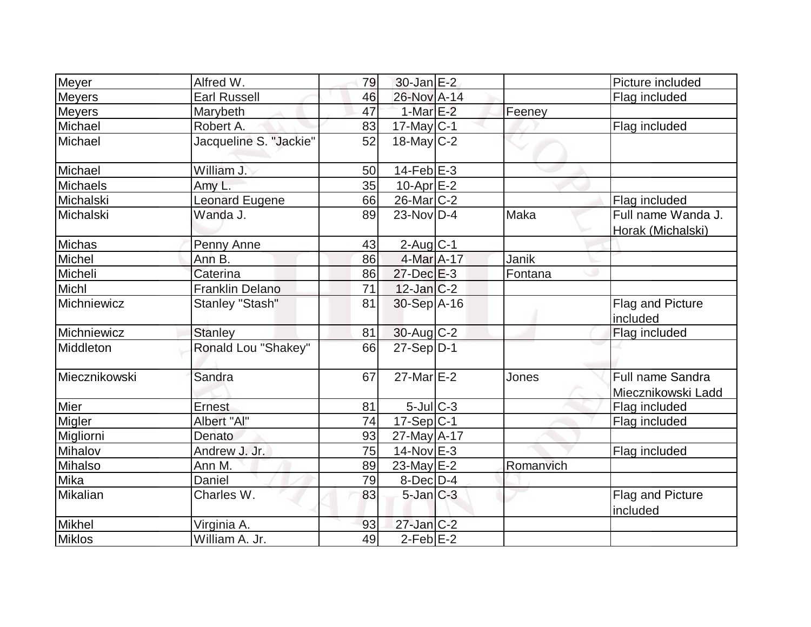| Meyer           | Alfred W.              | 79 | $30$ -Jan $E-2$   |           | Picture included                        |
|-----------------|------------------------|----|-------------------|-----------|-----------------------------------------|
| <b>Meyers</b>   | <b>Earl Russell</b>    | 46 | 26-Nov A-14       |           | Flag included                           |
| <b>Meyers</b>   | Marybeth               | 47 | $1-MarE-2$        | Feeney    |                                         |
| Michael         | Robert A.              | 83 | $17$ -May C-1     |           | Flag included                           |
| Michael         | Jacqueline S. "Jackie" | 52 | $18$ -May $C-2$   |           |                                         |
| Michael         | William J.             | 50 | $14$ -Feb $ E-3 $ |           |                                         |
| <b>Michaels</b> | Amy L.                 | 35 | 10-Apr $E-2$      |           |                                         |
| Michalski       | <b>Leonard Eugene</b>  | 66 | 26-Mar C-2        |           | Flag included                           |
| Michalski       | Wanda J.               | 89 | $23$ -Nov $ D-4 $ | Maka      | Full name Wanda J.<br>Horak (Michalski) |
| Michas          | Penny Anne             | 43 | $2$ -Aug C-1      |           |                                         |
| Michel          | Ann B.                 | 86 | 4-Mar A-17        | Janik     |                                         |
| Micheli         | Caterina               | 86 | $27$ -Dec $E-3$   | Fontana   |                                         |
| Michl           | <b>Franklin Delano</b> | 71 | $12$ -Jan $ C-2 $ |           |                                         |
| Michniewicz     | Stanley "Stash"        | 81 | 30-Sep A-16       |           | Flag and Picture<br>included            |
| Michniewicz     | <b>Stanley</b>         | 81 | $30$ -Aug C-2     |           | Flag included                           |
| Middleton       | Ronald Lou "Shakey"    | 66 | $27-Sep D-1$      |           |                                         |
| Miecznikowski   | Sandra                 | 67 | $27$ -Mar $E-2$   | Jones     | Full name Sandra<br>Miecznikowski Ladd  |
| Mier            | Ernest                 | 81 | $5$ -Jul $C$ -3   |           | Flag included                           |
| Migler          | Albert "Al"            | 74 | $17-Sep C-1$      |           | Flag included                           |
| Migliorni       | Denato                 | 93 | $27$ -May $A-17$  |           |                                         |
| Mihalov         | Andrew J. Jr.          | 75 | $14$ -Nov $E-3$   |           | Flag included                           |
| Mihalso         | Ann M.                 | 89 | 23-May $E-2$      | Romanvich |                                         |
| Mika            | Daniel                 | 79 | $8$ -Dec $D-4$    |           |                                         |
| Mikalian        | Charles W.             | 83 | $5$ -Jan $C-3$    |           | Flag and Picture<br>included            |
| <b>Mikhel</b>   | Virginia A.            | 93 | $27$ -Jan $C-2$   |           |                                         |
| Miklos          | William A. Jr.         | 49 | $2-Feb$ $E-2$     |           |                                         |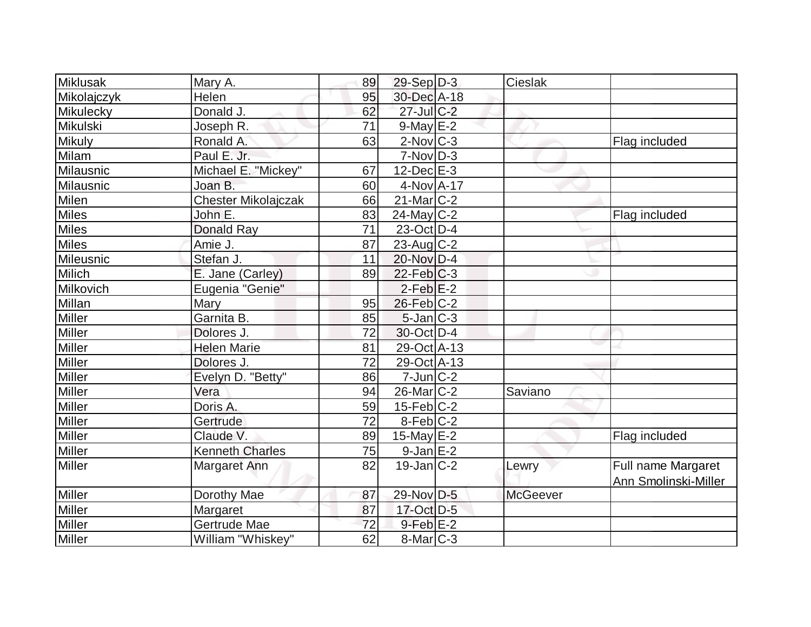| <b>Miklusak</b> | Mary A.                    | 89              | $29-Sep D-3$      | Cieslak         |                      |
|-----------------|----------------------------|-----------------|-------------------|-----------------|----------------------|
| Mikolajczyk     | Helen                      | 95              | 30-Dec A-18       |                 |                      |
| Mikulecky       | Donald J.                  | 62              | $27$ -Jul C-2     |                 |                      |
| Mikulski        | Joseph R.                  | 71              | $9$ -May $E-2$    |                 |                      |
| <b>Mikuly</b>   | Ronald A.                  | 63              | $2$ -Nov $C-3$    |                 | Flag included        |
| Milam           | Paul E. Jr.                |                 | $7-Nov D-3$       |                 |                      |
| Milausnic       | Michael E. "Mickey"        | 67              | $12$ -Dec $E-3$   |                 |                      |
| Milausnic       | Joan B.                    | 60              | $4$ -Nov $A$ -17  |                 |                      |
| <b>Milen</b>    | <b>Chester Mikolajczak</b> | 66              | $21$ -Mar $ C-2 $ |                 |                      |
| <b>Miles</b>    | John E.                    | 83              | $24$ -May C-2     |                 | Flag included        |
| <b>Miles</b>    | Donald Ray                 | 71              | $23-Oct$ D-4      |                 |                      |
| <b>Miles</b>    | Amie J.                    | 87              | $23$ -Aug C-2     |                 |                      |
| Mileusnic       | Stefan J.                  | 11              | 20-Nov D-4        |                 |                      |
| Milich          | E. Jane (Carley)           | 89              | $22$ -Feb $ C-3 $ |                 |                      |
| Milkovich       | Eugenia "Genie"            |                 | $2$ -Feb $E-2$    |                 |                      |
| Millan          | Mary                       | 95              | $26$ -Feb $C-2$   |                 |                      |
| Miller          | Garnita B.                 | 85              | $5$ -Jan $ C-3 $  |                 |                      |
| Miller          | Dolores J.                 | 72              | $30$ -Oct $D-4$   |                 |                      |
| <b>Miller</b>   | <b>Helen Marie</b>         | 81              | 29-Oct A-13       |                 |                      |
| <b>Miller</b>   | Dolores J.                 | $\overline{72}$ | 29-Oct A-13       |                 |                      |
| <b>Miller</b>   | Evelyn D. "Betty"          | 86              | $7$ -Jun $ C-2 $  |                 |                      |
| <b>Miller</b>   | Vera                       | 94              | 26-Mar C-2        | Saviano         |                      |
| Miller          | Doris A.                   | 59              | $15$ -Feb $C-2$   |                 |                      |
| Miller          | Gertrude                   | 72              | $8$ -Feb $ C-2 $  |                 |                      |
| Miller          | Claude V.                  | 89              | 15-May $E-2$      |                 | Flag included        |
| Miller          | <b>Kenneth Charles</b>     | 75              | $9$ -Jan $E-2$    |                 |                      |
| <b>Miller</b>   | Margaret Ann               | 82              | $19$ -Jan $ C-2 $ | Lewry           | Full name Margaret   |
|                 |                            |                 |                   |                 | Ann Smolinski-Miller |
| <b>Miller</b>   | Dorothy Mae                | 87              | 29-Nov D-5        | <b>McGeever</b> |                      |
| Miller          | Margaret                   | 87              | 17-Oct D-5        |                 |                      |
| <b>Miller</b>   | Gertrude Mae               | 72              | $9$ -Feb $E-2$    |                 |                      |
| Miller          | William "Whiskey"          | 62              | $8$ -Mar $C-3$    |                 |                      |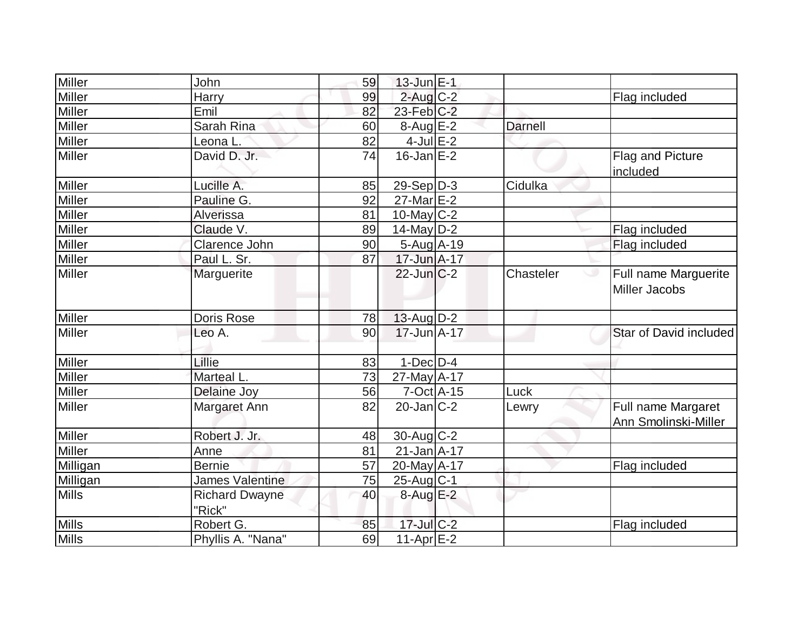| Miller        | John                            | 59 | $13$ -Jun $E-1$   |                |                                            |
|---------------|---------------------------------|----|-------------------|----------------|--------------------------------------------|
| Miller        | Harry                           | 99 | $2$ -Aug $C-2$    |                | Flag included                              |
| <b>Miller</b> | Emil                            | 82 | $23$ -Feb $C-2$   |                |                                            |
| Miller        | Sarah Rina                      | 60 | $8-Aug$ $E-2$     | <b>Darnell</b> |                                            |
| Miller        | Leona L.                        | 82 | $4$ -Jul $E-2$    |                |                                            |
| <b>Miller</b> | David D. Jr.                    | 74 | $16$ -Jan $E-2$   |                | Flag and Picture<br>included               |
| Miller        | Lucille A.                      | 85 | 29-Sep D-3        | Cidulka        |                                            |
| Miller        | Pauline G.                      | 92 | $27$ -Mar $E-2$   |                |                                            |
| Miller        | Alverissa                       | 81 | $10$ -May C-2     |                |                                            |
| Miller        | Claude V.                       | 89 | $14$ -May $D-2$   |                | Flag included                              |
| Miller        | Clarence John                   | 90 | 5-Aug A-19        |                | Flag included                              |
| Miller        | Paul L. Sr.                     | 87 | 17-Jun A-17       |                |                                            |
| Miller        | Marguerite                      |    | $22$ -Jun $C-2$   | Chasteler      | Full name Marguerite<br>ت<br>Miller Jacobs |
| Miller        | Doris Rose                      | 78 | $13$ -Aug D-2     |                |                                            |
| Miller        | Leo A.                          | 90 | $17 - Jun A - 17$ |                | Star of David included                     |
| Miller        | Lillie                          | 83 | $1-Dec$ D-4       |                |                                            |
| Miller        | <b>Marteal L</b>                | 73 | 27-May A-17       |                |                                            |
| Miller        | Delaine Joy                     | 56 | $7-Oct$ $A-15$    | Luck           |                                            |
| Miller        | Margaret Ann                    | 82 | $20$ -Jan $C-2$   | Lewry          | Full name Margaret                         |
|               |                                 |    |                   |                | Ann Smolinski-Miller                       |
| Miller        | Robert J. Jr.                   | 48 | 30-Aug C-2        |                |                                            |
| Miller        | Anne                            | 81 | $21$ -Jan $A$ -17 |                |                                            |
| Milligan      | <b>Bernie</b>                   | 57 | 20-May A-17       |                | Flag included                              |
| Milligan      | James Valentine                 | 75 | 25-Aug C-1        |                |                                            |
| <b>Mills</b>  | <b>Richard Dwayne</b><br>"Rick" | 40 | $8-Aug$ $E-2$     |                |                                            |
| <b>Mills</b>  | Robert G.                       | 85 | 17-Jul C-2        |                | Flag included                              |
| <b>Mills</b>  | Phyllis A. "Nana"               | 69 | $11-Apr$ $E-2$    |                |                                            |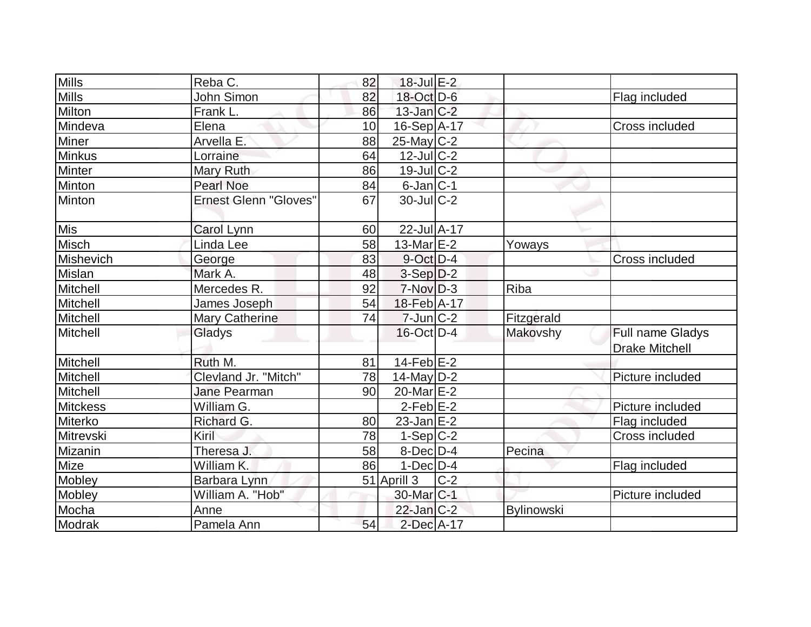| $\overline{\text{Mills}}$ | Reba C.                      | 82 | $18$ -Jul $E-2$       |       |                   |                       |
|---------------------------|------------------------------|----|-----------------------|-------|-------------------|-----------------------|
| <b>Mills</b>              | John Simon                   | 82 | 18-Oct D-6            |       |                   | Flag included         |
| Milton                    | Frank L.                     | 86 | $13$ -Jan $C-2$       |       |                   |                       |
| Mindeva                   | Elena                        | 10 | $16-Sep$ A-17         |       |                   | Cross included        |
| Miner                     | Arvella E.                   | 88 | $25$ -May C-2         |       |                   |                       |
| <b>Minkus</b>             | Lorraine                     | 64 | $12$ -JulC-2          |       |                   |                       |
| <b>Minter</b>             | Mary Ruth                    | 86 | $19$ -Jul $C-2$       |       |                   |                       |
| Minton                    | <b>Pearl Noe</b>             | 84 | $6$ -Jan $ C-1 $      |       |                   |                       |
| Minton                    | <b>Ernest Glenn "Gloves"</b> | 67 | $30$ -JulC-2          |       |                   |                       |
| Mis                       | Carol Lynn                   | 60 | 22-Jul A-17           |       |                   |                       |
| Misch                     | Linda Lee                    | 58 | 13-Mar $E-2$          |       | Yoways            |                       |
| Mishevich                 | George                       | 83 | $9$ -Oct $D-4$        |       |                   | <b>Cross included</b> |
| Mislan                    | Mark A.                      | 48 | $3-Sep$ $D-2$         |       |                   |                       |
| Mitchell                  | Mercedes R.                  | 92 | $7-Nov$ D-3           |       | Riba              |                       |
| Mitchell                  | James Joseph                 | 54 | 18-Feb A-17           |       |                   |                       |
| Mitchell                  | <b>Mary Catherine</b>        | 74 | $7$ -Jun $C-2$        |       | Fitzgerald        |                       |
| Mitchell                  | Gladys                       |    | $16$ -Oct $ D-4 $     |       | Makovshy          | Full name Gladys      |
|                           |                              |    |                       |       |                   | <b>Drake Mitchell</b> |
| Mitchell                  | Ruth M.                      | 81 | $14$ -Feb $E-2$       |       |                   |                       |
| Mitchell                  | Clevland Jr. "Mitch"         | 78 | $14$ -May D-2         |       |                   | Picture included      |
| Mitchell                  | Jane Pearman                 | 90 | 20-Mar E-2            |       |                   |                       |
| <b>Mitckess</b>           | William G.                   |    | $2$ -Feb $E-2$        |       |                   | Picture included      |
| Miterko                   | Richard G.                   | 80 | $23$ -Jan $E-2$       |       |                   | Flag included         |
| <b>Mitrevski</b>          | Kiril                        | 78 | $1-Sep C-2$           |       |                   | Cross included        |
| Mizanin                   | Theresa J.                   | 58 | $8$ -Dec $D-4$        |       | Pecina            |                       |
| Mize                      | William K.                   | 86 | $1-Dec$ D-4           |       |                   | Flag included         |
| Mobley                    | Barbara Lynn                 |    | 51 Aprill 3           | $C-2$ |                   |                       |
| Mobley                    | William A. "Hob"             |    | 30-Mar <sub>C-1</sub> |       |                   | Picture included      |
| Mocha                     | Anne                         |    | $22$ -Jan $ C-2 $     |       | <b>Bylinowski</b> |                       |
| Modrak                    | Pamela Ann                   | 54 | $2$ -Dec $A-17$       |       |                   |                       |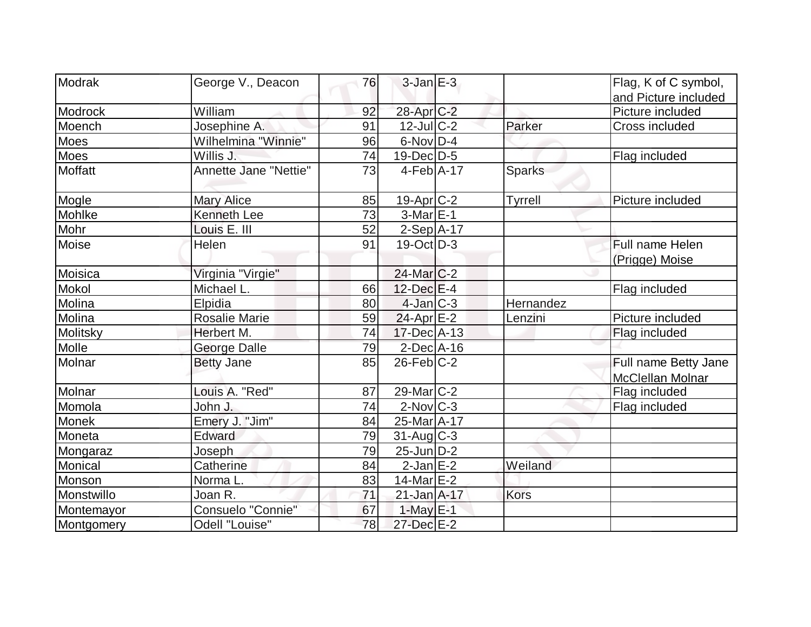| Modrak       | George V., Deacon     | 76 | $3$ -Jan $E-3$        |               | Flag, K of C symbol,    |
|--------------|-----------------------|----|-----------------------|---------------|-------------------------|
|              |                       |    |                       |               | and Picture included    |
| Modrock      | William               | 92 | 28-Apr <sub>C-2</sub> |               | Picture included        |
| Moench       | Josephine A.          | 91 | $12$ -JulC-2          | Parker        | Cross included          |
| Moes         | Wilhelmina "Winnie"   | 96 | $6$ -Nov $D-4$        |               |                         |
| Moes         | Willis J.             | 74 | $19$ -Dec $D-5$       |               | Flag included           |
| Moffatt      | Annette Jane "Nettie" | 73 | $4-Feb$ A-17          | <b>Sparks</b> |                         |
| Mogle        | <b>Mary Alice</b>     | 85 | 19-Apr C-2            | Tyrrell       | Picture included        |
| Mohlke       | <b>Kenneth Lee</b>    | 73 | $3-MarE-1$            |               |                         |
| Mohr         | Louis E. III          | 52 | $2-Sep$ A-17          |               |                         |
| Moise        | Helen                 | 91 | $19-Oct$ D-3          |               | Full name Helen         |
|              |                       |    |                       |               | (Prigge) Moise          |
| Moisica      | Virginia "Virgie"     |    | $24$ -Mar $ C-2 $     |               |                         |
| Mokol        | Michael L.            | 66 | $12$ -Dec $E-4$       |               | Flag included           |
| Molina       | Elpidia               | 80 | $4$ -Jan $C-3$        | Hernandez     |                         |
| Molina       | <b>Rosalie Marie</b>  | 59 | $24$ -Apr $E-2$       | Lenzini       | Picture included        |
| Molitsky     | Herbert M.            | 74 | $17$ -Dec $ A-13$     |               | Flag included           |
| Molle        | <b>George Dalle</b>   | 79 | $2$ -Dec $A-16$       |               |                         |
| Molnar       | <b>Betty Jane</b>     | 85 | $26$ -Feb $C-2$       |               | Full name Betty Jane    |
|              |                       |    |                       |               | <b>McClellan Molnar</b> |
| Molnar       | Louis A. "Red"        | 87 | $29$ -Mar $ C-2 $     |               | Flag included           |
| Momola       | John J.               | 74 | $2$ -Nov $ C-3 $      |               | Flag included           |
| <b>Monek</b> | Emery J. "Jim"        | 84 | 25-Mar A-17           |               |                         |
| Moneta       | <b>Edward</b>         | 79 | $31$ -Aug C-3         |               |                         |
| Mongaraz     | Joseph                | 79 | $25$ -Jun $D-2$       |               |                         |
| Monical      | Catherine             | 84 | $2$ -Jan $E-2$        | Weiland       |                         |
| Monson       | Norma L.              | 83 | $14$ -Mar $E-2$       |               |                         |
| Monstwillo   | Joan R.               | 71 | $21$ -Jan $A-17$      | <b>Kors</b>   |                         |
| Montemayor   | Consuelo "Connie"     | 67 | $1-May$ $E-1$         |               |                         |
| Montgomery   | Odell "Louise"        | 78 | 27-Dec E-2            |               |                         |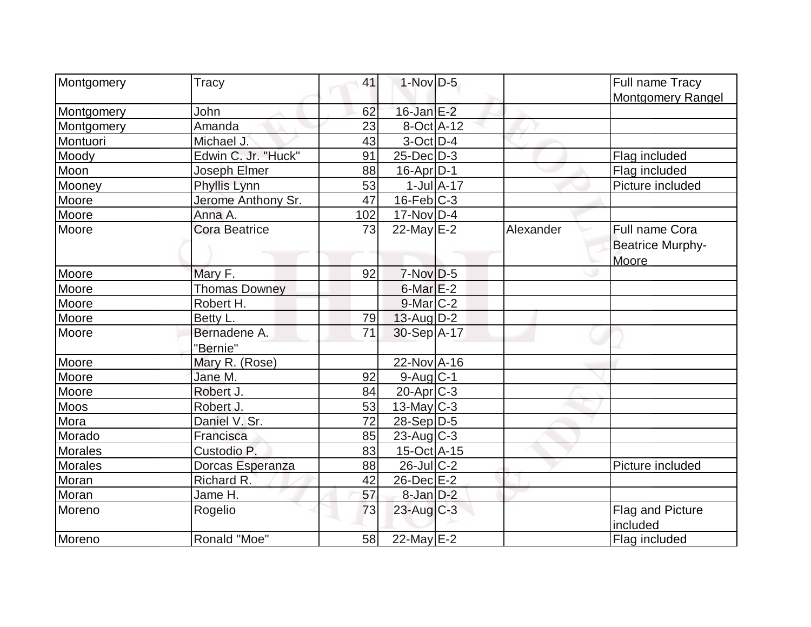| Montgomery     | Tracy                      | 41  | $1-Nov$ D-5       |                  |           | Full name Tracy                                    |
|----------------|----------------------------|-----|-------------------|------------------|-----------|----------------------------------------------------|
|                |                            |     |                   |                  |           | <b>Montgomery Rangel</b>                           |
| Montgomery     | John                       | 62  | $16$ -Jan $E-2$   |                  |           |                                                    |
| Montgomery     | Amanda                     | 23  | $8-Oct$ A-12      |                  |           |                                                    |
| Montuori       | Michael J.                 | 43  | $3$ -Oct $ D-4 $  |                  |           |                                                    |
| Moody          | Edwin C. Jr. "Huck"        | 91  | $25$ -Dec $D-3$   |                  |           | Flag included                                      |
| Moon           | Joseph Elmer               | 88  | $16$ -Apr $ D-1$  |                  |           | Flag included                                      |
| Mooney         | Phyllis Lynn               | 53  |                   | $1$ -Jul $A$ -17 |           | Picture included                                   |
| <b>Moore</b>   | Jerome Anthony Sr.         | 47  | $16$ -Feb $ C-3 $ |                  |           |                                                    |
| Moore          | Anna A.                    | 102 | $17-Nov D-4$      |                  |           |                                                    |
| Moore          | <b>Cora Beatrice</b>       | 73  | 22-May $E-2$      |                  | Alexander | Full name Cora<br><b>Beatrice Murphy-</b><br>Moore |
| Moore          | Mary F.                    | 92  | $7-Nov$ D-5       |                  |           |                                                    |
| Moore          | Thomas Downey              |     | $6$ -Mar $E-2$    |                  |           |                                                    |
| Moore          | Robert H.                  |     | $9$ -Mar $C-2$    |                  |           |                                                    |
| Moore          | Betty L.                   | 79  | $13$ -Aug $D-2$   |                  |           |                                                    |
| Moore          | Bernadene A.               | 71  | 30-Sep A-17       |                  |           |                                                    |
| Moore          | "Bernie"<br>Mary R. (Rose) |     | 22-Nov A-16       |                  |           |                                                    |
| Moore          | Jane M.                    | 92  | $9$ -Aug $C-1$    |                  |           |                                                    |
| Moore          | Robert J.                  | 84  | $20$ -Apr $C-3$   |                  |           |                                                    |
| <b>Moos</b>    | Robert J.                  | 53  | $13$ -May C-3     |                  |           |                                                    |
| Mora           | Daniel V. Sr.              | 72  | $28-Sep D-5$      |                  |           |                                                    |
| Morado         | Francisca                  | 85  | $23$ -Aug C-3     |                  |           |                                                    |
| <b>Morales</b> | Custodio P.                | 83  | 15-Oct A-15       |                  |           |                                                    |
| <b>Morales</b> | Dorcas Esperanza           | 88  | $26$ -JulC-2      |                  |           | Picture included                                   |
| Moran          | Richard R.                 | 42  | 26-Dec E-2        |                  |           |                                                    |
| Moran          | Jame H.                    | 57  | $8$ -Jan $D-2$    |                  |           |                                                    |
| Moreno         | Rogelio                    | 73  | $23$ -Aug $C-3$   |                  |           | Flag and Picture<br>included                       |
| Moreno         | Ronald "Moe"               | 58  | 22-May $E-2$      |                  |           | Flag included                                      |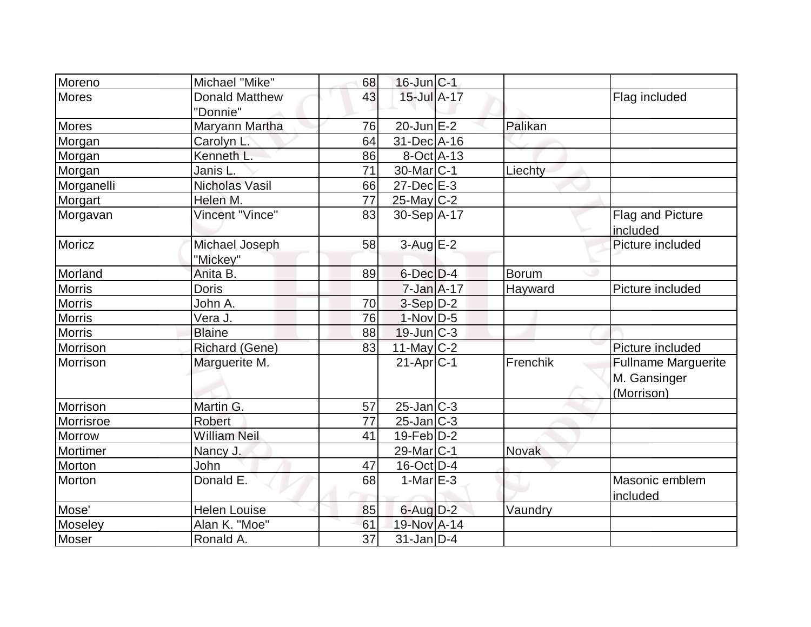| Moreno        | Michael "Mike"        | 68              | $16$ -Jun $ C-1 $       |              |                              |
|---------------|-----------------------|-----------------|-------------------------|--------------|------------------------------|
| Mores         | <b>Donald Matthew</b> | 43              | $15$ -Jul $A-17$        |              | Flag included                |
|               | "Donnie"              |                 |                         |              |                              |
| <b>Mores</b>  | Maryann Martha        | 76              | $20$ -Jun $E-2$         | Palikan      |                              |
| Morgan        | Carolyn L.            | 64              | 31-Dec A-16             |              |                              |
| Morgan        | Kenneth L.            | 86              | $8$ -Oct $A$ -13        |              |                              |
| Morgan        | Janis L.              | 71              | $30$ -Mar $ C-1 $       | Liechty      |                              |
| Morganelli    | <b>Nicholas Vasil</b> | 66              | $27 - Dec$ $E-3$        |              |                              |
| Morgart       | Helen M.              | 77              | $25$ -May C-2           |              |                              |
| Morgavan      | Vincent "Vince"       | 83              | 30-Sep A-17             |              | Flag and Picture<br>included |
| Moricz        | Michael Joseph        | 58              | $3-Aug$ $E-2$           |              | Picture included             |
| Morland       | "Mickey"              | 89              | $6$ -Dec $D-4$          |              |                              |
| <b>Morris</b> | Anita B.              |                 | $7 - Jan A - 17$        | Borum        |                              |
|               | <b>Doris</b>          |                 |                         | Hayward      | Picture included             |
| <b>Morris</b> | John A.               | 70              | $3-Sep D-2$             |              |                              |
| <b>Morris</b> | Vera J.               | 76              | $1-Nov D-5$             |              |                              |
| <b>Morris</b> | <b>Blaine</b>         | 88              | $19$ -Jun $C-3$         |              |                              |
| Morrison      | <b>Richard (Gene)</b> | 83              | 11-May $C-2$            |              | Picture included             |
| Morrison      | Marguerite M.         |                 | $21-Apr$ <sub>C-1</sub> | Frenchik     | <b>Fullname Marguerite</b>   |
|               |                       |                 |                         |              | M. Gansinger                 |
|               |                       |                 |                         |              | (Morrison)                   |
| Morrison      | Martin G.             | 57              | $25$ -Jan $ C-3 $       |              |                              |
| Morrisroe     | <b>Robert</b>         | 77              | $25$ -Jan $ C-3 $       |              |                              |
| Morrow        | <b>William Neil</b>   | 41              | $19$ -Feb $D-2$         |              |                              |
| Mortimer      | Nancy J.              |                 | 29-Mar <sub>IC-1</sub>  | <b>Novak</b> |                              |
| Morton        | John                  | 47              | $16$ -Oct $ D-4 $       |              |                              |
| Morton        | Donald E.             | 68              | $1-MarE-3$              |              | Masonic emblem               |
|               |                       |                 |                         |              | included                     |
| Mose'         | <b>Helen Louise</b>   | 85              | $6$ -Aug $D-2$          | Vaundry      |                              |
| Moseley       | Alan K. "Moe"         | 61              | 19-Nov A-14             |              |                              |
| Moser         | Ronald A.             | $\overline{37}$ | $31$ -Jan D-4           |              |                              |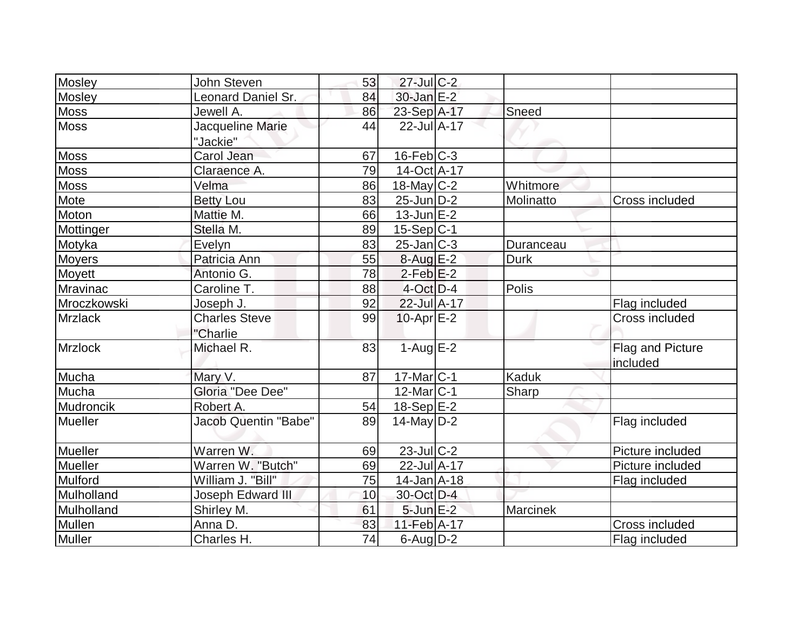| Mosley         | John Steven                      | 53 | $27$ -Jul C-2     |                 |                              |
|----------------|----------------------------------|----|-------------------|-----------------|------------------------------|
| <b>Mosley</b>  | Leonard Daniel Sr.               | 84 | 30-Jan E-2        |                 |                              |
| <b>Moss</b>    | Jewell A.                        | 86 | 23-Sep A-17       | Sneed           |                              |
| <b>Moss</b>    | Jacqueline Marie<br>"Jackie"     | 44 | 22-Jul A-17       |                 |                              |
| <b>Moss</b>    | Carol Jean                       | 67 | $16$ -Feb $ C-3 $ |                 |                              |
| <b>Moss</b>    | Claraence A.                     | 79 | 14-Oct A-17       |                 |                              |
| <b>Moss</b>    | Velma                            | 86 | $18$ -May C-2     | Whitmore        |                              |
| Mote           | <b>Betty Lou</b>                 | 83 | $25$ -Jun $D-2$   | Molinatto       | Cross included               |
| Moton          | Mattie M.                        | 66 | $13$ -Jun $E-2$   |                 |                              |
| Mottinger      | Stella M.                        | 89 | $15-Sep C-1$      |                 |                              |
| Motyka         | Evelyn                           | 83 | $25$ -Jan $ C-3 $ | Duranceau       |                              |
| <b>Moyers</b>  | Patricia Ann                     | 55 | $8-AugE-2$        | <b>Durk</b>     |                              |
| Moyett         | Antonio G.                       | 78 | $2$ -Feb $E-2$    |                 |                              |
| Mravinac       | Caroline T.                      | 88 | $4$ -Oct $D-4$    | Polis           |                              |
| Mroczkowski    | Joseph J.                        | 92 | 22-Jul A-17       |                 | Flag included                |
| <b>Mrzlack</b> | <b>Charles Steve</b><br>"Charlie | 99 | $10$ -Apr $E-2$   |                 | Cross included               |
| Mrzlock        | Michael R.                       | 83 | $1-AugE-2$        |                 | Flag and Picture<br>included |
| Mucha          | Mary V.                          | 87 | 17-Mar C-1        | Kaduk           |                              |
| Mucha          | <b>Gloria "Dee Dee"</b>          |    | 12-Mar C-1        | Sharp           |                              |
| Mudroncik      | Robert A.                        | 54 | $18-Sep$ $E-2$    |                 |                              |
| Mueller        | <b>Jacob Quentin "Babe"</b>      | 89 | $14$ -May D-2     |                 | Flag included                |
| Mueller        | Warren W.                        | 69 | $23$ -Jul C-2     |                 | Picture included             |
| Mueller        | Warren W. "Butch"                | 69 | 22-Jul A-17       |                 | Picture included             |
| Mulford        | William J. "Bill"                | 75 | $14$ -Jan $A$ -18 |                 | Flag included                |
| Mulholland     | Joseph Edward III                | 10 | 30-Oct D-4        |                 |                              |
| Mulholland     | Shirley M.                       | 61 | $5$ -Jun $E-2$    | <b>Marcinek</b> |                              |
| Mullen         | Anna D.                          | 83 | 11-Feb A-17       |                 | Cross included               |
| <b>Muller</b>  | Charles H.                       | 74 | $6$ -Aug $D-2$    |                 | Flag included                |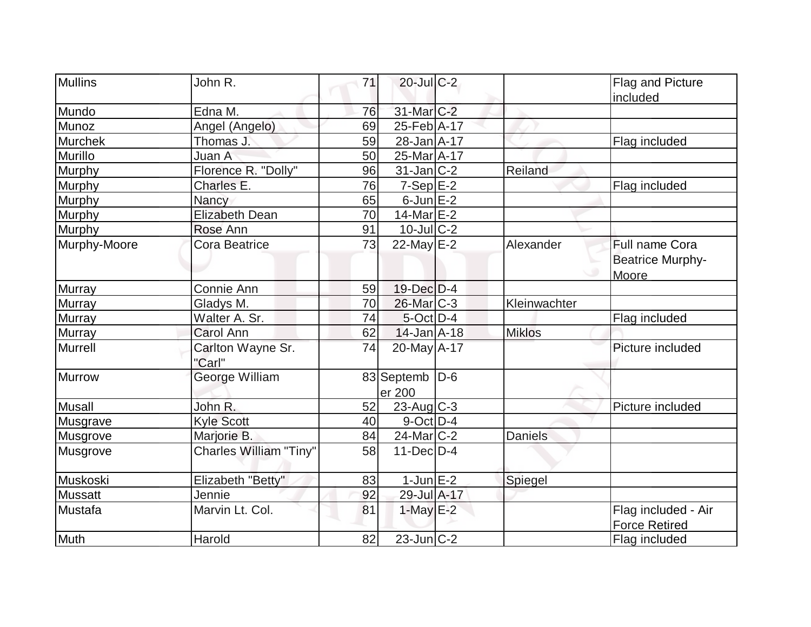| <b>Mullins</b> | John R.                       | 71 | $20$ -Jul C-2                |                | Flag and Picture        |
|----------------|-------------------------------|----|------------------------------|----------------|-------------------------|
|                |                               |    |                              |                | included                |
| Mundo          | Edna M.                       | 76 | 31-Mar C-2                   |                |                         |
| Munoz          | Angel (Angelo)                | 69 | 25-Feb A-17                  |                |                         |
| <b>Murchek</b> | Thomas J.                     | 59 | 28-Jan A-17                  |                | Flag included           |
| Murillo        | Juan A                        | 50 | 25-Mar A-17                  |                |                         |
| Murphy         | Florence R. "Dolly"           | 96 | $31$ -Jan $ C-2 $            | Reiland        |                         |
| Murphy         | Charles E.                    | 76 | $7-Sep$ $E-2$                |                | Flag included           |
| Murphy         | Nancy                         | 65 | $6$ -Jun $E-2$               |                |                         |
| <b>Murphy</b>  | <b>Elizabeth Dean</b>         | 70 | 14-Mar E-2                   |                |                         |
| Murphy         | Rose Ann                      | 91 | $10$ -Jul $C-2$              |                |                         |
| Murphy-Moore   | <b>Cora Beatrice</b>          | 73 | 22-May E-2                   | Alexander      | Full name Cora          |
|                |                               |    |                              |                | <b>Beatrice Murphy-</b> |
|                |                               |    |                              |                | Moore                   |
| <b>Murray</b>  | Connie Ann                    | 59 | 19-Dec D-4                   |                |                         |
| Murray         | Gladys M.                     | 70 | 26-Mar C-3                   | Kleinwachter   |                         |
| Murray         | Walter A. Sr.                 | 74 | $5$ -Oct $D-4$               |                | Flag included           |
| <b>Murray</b>  | Carol Ann                     | 62 | $14$ -Jan $A$ -18            | <b>Miklos</b>  |                         |
| Murrell        | Carlton Wayne Sr.<br>"Carl"   | 74 | 20-May A-17                  |                | Picture included        |
| Murrow         | George William                |    | 83 Septemb   D-6<br>er 200   |                |                         |
| <b>Musall</b>  | John R.                       | 52 | $23$ -Aug C-3                |                | Picture included        |
| Musgrave       | <b>Kyle Scott</b>             | 40 | $9$ -Oct $D-4$               |                |                         |
| Musgrove       | Marjorie B.                   | 84 | $\overline{2}$ 4-Mar $ C-2 $ | <b>Daniels</b> |                         |
| Musgrove       | <b>Charles William "Tiny"</b> | 58 | $11$ -Dec $D-4$              |                |                         |
| Muskoski       | Elizabeth "Betty"             | 83 | $1$ -Jun $E-2$               | Spiegel        |                         |
| <b>Mussatt</b> | Jennie                        | 92 | 29-Jul A-17                  |                |                         |
| Mustafa        | Marvin Lt. Col.               | 81 | $1$ -May $E-2$               |                | Flag included - Air     |
|                |                               |    |                              |                | Force Retired           |
| <b>Muth</b>    | Harold                        | 82 | $23$ -Jun $ C-2 $            |                | Flag included           |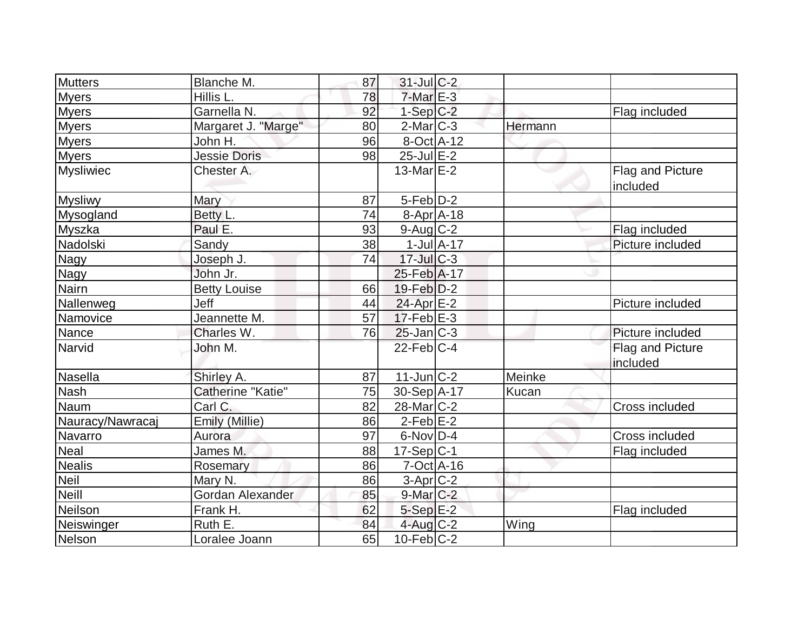| <b>Mutters</b>   | Blanche M.          | 87 | $31$ -Jul C-2         |                  |         |                              |
|------------------|---------------------|----|-----------------------|------------------|---------|------------------------------|
| <b>Myers</b>     | Hillis L.           | 78 | $7-Mar$ E-3           |                  |         |                              |
| <b>Myers</b>     | Garnella N.         | 92 | $1-SepC-2$            |                  |         | Flag included                |
| <b>Myers</b>     | Margaret J. "Marge" | 80 | $2$ -Mar $ C-3 $      |                  | Hermann |                              |
| <b>Myers</b>     | John H.             | 96 | 8-Oct A-12            |                  |         |                              |
| <b>Myers</b>     | <b>Jessie Doris</b> | 98 | $25$ -Jul $E-2$       |                  |         |                              |
| <b>Mysliwiec</b> | Chester A.          |    | 13-Mar $E-2$          |                  |         | Flag and Picture<br>included |
| <b>Mysliwy</b>   | Mary                | 87 | $5-Feb D-2$           |                  |         |                              |
| Mysogland        | Betty L.            | 74 | $8-Apr$ A-18          |                  |         |                              |
| Myszka           | Paul E.             | 93 | $9$ -Aug $C$ -2       |                  |         | Flag included                |
| Nadolski         | Sandy               | 38 |                       | $1$ -Jul $A$ -17 |         | Picture included             |
| <b>Nagy</b>      | Joseph J.           | 74 | $17$ -JulC-3          |                  |         |                              |
| <b>Nagy</b>      | John Jr.            |    | 25-Feb A-17           |                  |         |                              |
| <b>Nairn</b>     | <b>Betty Louise</b> | 66 | $19$ -Feb $D-2$       |                  |         |                              |
| Nallenweg        | Jeff                | 44 | 24-Apr E-2            |                  |         | Picture included             |
| Namovice         | Jeannette M.        | 57 | $17$ -Feb $E-3$       |                  |         |                              |
| Nance            | Charles W.          | 76 | $25$ -Jan $ C-3 $     |                  |         | Picture included             |
| Narvid           | John M.             |    | $22$ -Feb $C-4$       |                  |         | Flag and Picture<br>included |
| Nasella          | Shirley A.          | 87 | $11$ -Jun $ C-2 $     |                  | Meinke  |                              |
| <b>Nash</b>      | Catherine "Katie"   | 75 | 30-Sep A-17           |                  | Kucan   |                              |
| Naum             | Carl C.             | 82 | 28-Mar <sub>C-2</sub> |                  |         | <b>Cross included</b>        |
| Nauracy/Nawracaj | Emily (Millie)      | 86 | $2$ -Feb $E-2$        |                  |         |                              |
| Navarro          | Aurora              | 97 | $6$ -Nov $D-4$        |                  |         | Cross included               |
| <b>Neal</b>      | James M.            | 88 | $17-Sep C-1$          |                  |         | Flag included                |
| <b>Nealis</b>    | Rosemary            | 86 | $7-Oct$ A-16          |                  |         |                              |
| <b>Neil</b>      | Mary N.             | 86 | $3-Apr$ $C-2$         |                  |         |                              |
| <b>Neill</b>     | Gordan Alexander    | 85 | $9$ -Mar $C-2$        |                  |         |                              |
| Neilson          | Frank H.            | 62 | $5-Sep$ $E-2$         |                  |         | Flag included                |
| Neiswinger       | Ruth E.             | 84 | $4$ -Aug C-2          |                  | Wing    |                              |
| Nelson           | Loralee Joann       | 65 | $10$ -Feb $ C-2 $     |                  |         |                              |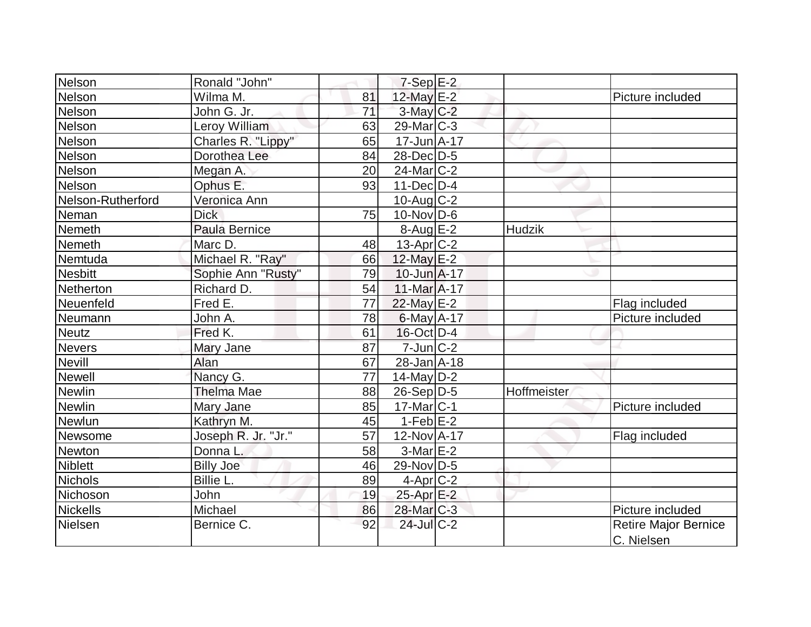| Nelson            | Ronald "John"       |                 |                       |               |                      |
|-------------------|---------------------|-----------------|-----------------------|---------------|----------------------|
|                   |                     |                 | $7-Sep$ $E-2$         |               |                      |
| Nelson            | Wilma M.            | 81              | 12-May E-2            |               | Picture included     |
| Nelson            | John G. Jr.         | $\overline{71}$ | $3$ -May $C-2$        |               |                      |
| <b>Nelson</b>     | Leroy William       | 63              | $29$ -Mar $ C-3 $     |               |                      |
| Nelson            | Charles R. "Lippy"  | 65              | $17 - Jun A - 17$     |               |                      |
| Nelson            | Dorothea Lee        | 84              | 28-Dec D-5            |               |                      |
| Nelson            | Megan A.            | 20              | $24$ -Mar $ C-2$      |               |                      |
| Nelson            | Ophus E.            | 93              | $11$ -Dec $D-4$       |               |                      |
| Nelson-Rutherford | Veronica Ann        |                 | $10$ -Aug $C-2$       |               |                      |
| Neman             | <b>Dick</b>         | 75              | $10$ -Nov $ D-6$      |               |                      |
| Nemeth            | Paula Bernice       |                 | $8-Aug$ $E-2$         | <b>Hudzik</b> |                      |
| Nemeth            | Marc D.             | 48              | 13-Apr C-2            |               |                      |
| Nemtuda           | Michael R. "Ray"    | 66              | 12-May E-2            |               |                      |
| <b>Nesbitt</b>    | Sophie Ann "Rusty"  | 79              | 10-Jun A-17           |               |                      |
| Netherton         | Richard D.          | 54              | 11-Mar A-17           |               |                      |
| Neuenfeld         | Fred E.             | 77              | 22-May E-2            |               | Flag included        |
| Neumann           | John A.             | 78              | $6$ -May $A$ -17      |               | Picture included     |
| <b>Neutz</b>      | Fred K.             | 61              | $16$ -Oct $ D-4$      |               |                      |
| Nevers            | Mary Jane           | 87              | $7$ -Jun $C-2$        |               |                      |
| Nevill            | Alan                | 67              | 28-Jan A-18           |               |                      |
| Newell            | Nancy G.            | 77              | $14$ -May D-2         |               |                      |
| <b>Newlin</b>     | <b>Thelma Mae</b>   | 88              | $26-Sep D-5$          | Hoffmeister   |                      |
| Newlin            | Mary Jane           | 85              | $17$ -Mar $ C-1 $     |               | Picture included     |
| Newlun            | Kathryn M.          | 45              | $1-Feb$ $E-2$         |               |                      |
| Newsome           | Joseph R. Jr. "Jr." | 57              | 12-Nov A-17           |               | Flag included        |
| Newton            | Donna L.            | 58              | $3-Mar \E-2$          |               |                      |
| <b>Niblett</b>    | <b>Billy Joe</b>    | 46              | $29$ -Nov D-5         |               |                      |
| Nichols           | Billie L.           | 89              | $4$ -Apr $ C-2$       |               |                      |
| Nichoson          | John                | 19              | 25-Apr E-2            |               |                      |
| <b>Nickells</b>   | Michael             | 86              | 28-Mar <sub>C-3</sub> |               | Picture included     |
| Nielsen           | Bernice C.          | 92              | 24-Jul C-2            |               | Retire Major Bernice |
|                   |                     |                 |                       |               | C. Nielsen           |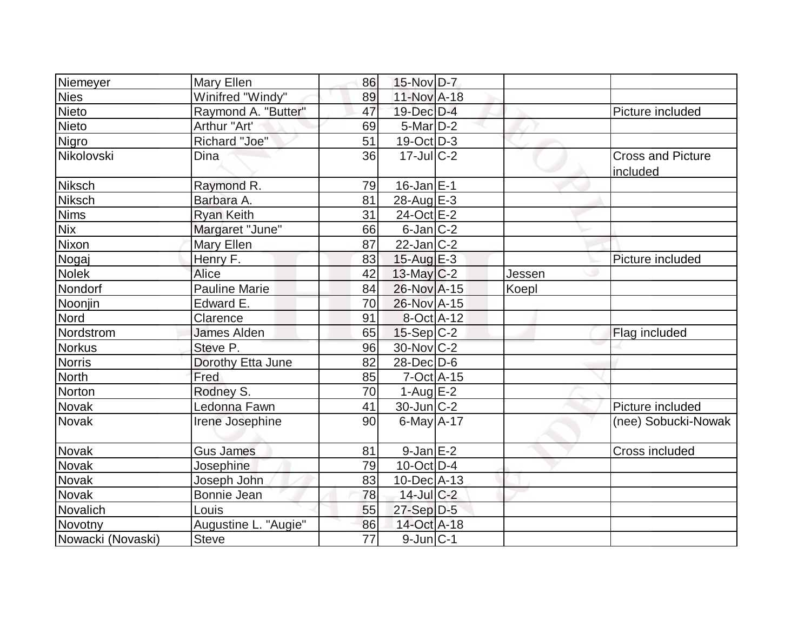| Niemeyer          | Mary Ellen           | 86              | 15-Nov D-7         |        |                                      |
|-------------------|----------------------|-----------------|--------------------|--------|--------------------------------------|
| <b>Nies</b>       | Winifred "Windy"     | 89              | 11-Nov A-18        |        |                                      |
| Nieto             | Raymond A. "Butter"  | 47              | 19-Dec D-4         |        | Picture included                     |
| Nieto             | Arthur "Art'         | 69              | $5$ -Mar $D-2$     |        |                                      |
| Nigro             | Richard "Joe"        | 51              | $19$ -Oct $D-3$    |        |                                      |
| Nikolovski        | Dina                 | 36              | $17 -$ Jul $C - 2$ |        | <b>Cross and Picture</b><br>included |
| <b>Niksch</b>     | Raymond R.           | 79              | $16$ -Jan $E$ -1   |        |                                      |
| Niksch            | Barbara A.           | 81              | 28-Aug E-3         |        |                                      |
| <b>Nims</b>       | <b>Ryan Keith</b>    | 31              | 24-Oct E-2         |        |                                      |
| <b>Nix</b>        | Margaret "June"      | 66              | $6$ -Jan $ C-2 $   |        |                                      |
| Nixon             | Mary Ellen           | 87              | $22$ -Jan $ C-2 $  |        |                                      |
| Nogaj             | Henry F.             | 83              | 15-Aug $E-3$       |        | Picture included                     |
| <b>Nolek</b>      | Alice                | 42              | $13$ -May C-2      | Jessen |                                      |
| Nondorf           | <b>Pauline Marie</b> | 84              | 26-Nov A-15        | Koepl  |                                      |
| Noonjin           | Edward E.            | 70              | 26-Nov A-15        |        |                                      |
| Nord              | Clarence             | 91              | 8-Oct A-12         |        |                                      |
| Nordstrom         | <b>James Alden</b>   | 65              | $15-Sep C-2$       |        | Flag included                        |
| <b>Norkus</b>     | Steve P.             | 96              | 30-Nov C-2         |        |                                      |
| <b>Norris</b>     | Dorothy Etta June    | 82              | $28$ -Dec $D-6$    |        |                                      |
| <b>North</b>      | Fred                 | 85              | $7$ -Oct $A$ -15   |        |                                      |
| Norton            | Rodney S.            | 70              | $1-Aug$ $E-2$      |        |                                      |
| <b>Novak</b>      | Ledonna Fawn         | 41              | $30$ -Jun $C-2$    |        | Picture included                     |
| <b>Novak</b>      | Irene Josephine      | 90              | $6$ -May $A$ -17   |        | (nee) Sobucki-Nowak                  |
| Novak             | <b>Gus James</b>     | 81              | $9$ -Jan $E-2$     |        | Cross included                       |
| Novak             | Josephine            | 79              | $10$ -Oct $ D-4 $  |        |                                      |
| Novak             | Joseph John          | 83              | $10$ -Dec $ A-13$  |        |                                      |
| <b>Novak</b>      | Bonnie Jean          | 78              | $14$ -Jul $C-2$    |        |                                      |
| Novalich          | Louis                | 55              | $27-Sep D-5$       |        |                                      |
| Novotny           | Augustine L. "Augie" | 86              | 14-Oct A-18        |        |                                      |
| Nowacki (Novaski) | <b>Steve</b>         | $\overline{77}$ | $9$ -Jun $ C-1 $   |        |                                      |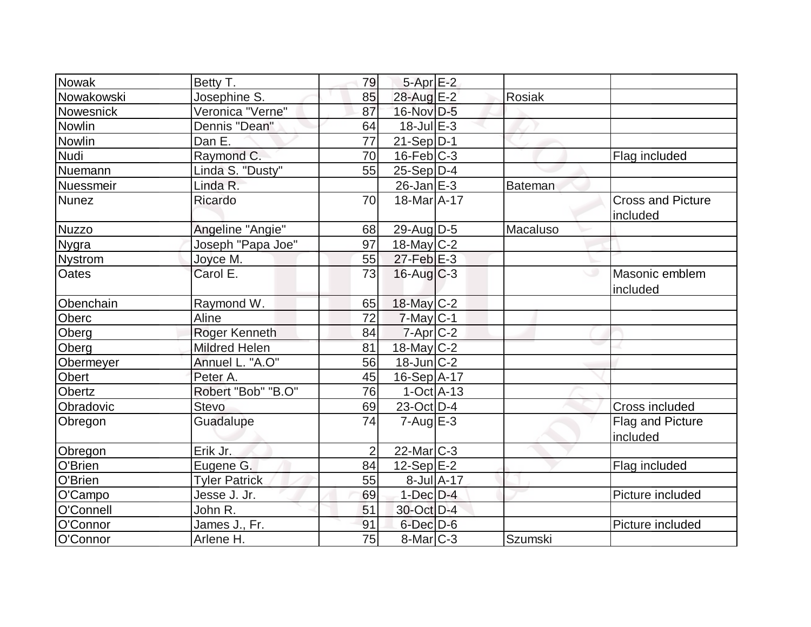| <b>Nowak</b>   | Betty T.             | 79             | $5-Apr$ E-2           |            |                |                                      |
|----------------|----------------------|----------------|-----------------------|------------|----------------|--------------------------------------|
| Nowakowski     | Josephine S.         | 85             | 28-Aug E-2            |            | <b>Rosiak</b>  |                                      |
| Nowesnick      | Veronica "Verne"     | 87             | 16-Nov D-5            |            |                |                                      |
| Nowlin         | Dennis "Dean"        | 64             | $18$ -Jul $E-3$       |            |                |                                      |
| <b>Nowlin</b>  | Dan E.               | 77             | $21-Sep D-1$          |            |                |                                      |
| <b>Nudi</b>    | Raymond C.           | 70             | $16$ -Feb $C-3$       |            |                | Flag included                        |
| Nuemann        | Linda S. "Dusty"     | 55             | $25-Sep D-4$          |            |                |                                      |
| Nuessmeir      | Linda R.             |                | $26$ -Jan $E-3$       |            | Bateman        |                                      |
| <b>Nunez</b>   | Ricardo              | 70             | 18-Mar A-17           |            |                | <b>Cross and Picture</b><br>included |
| <b>Nuzzo</b>   | Angeline "Angie"     | 68             | 29-Aug $D-5$          |            | Macaluso       |                                      |
| <b>Nygra</b>   | Joseph "Papa Joe"    | 97             | 18-May $C-2$          |            |                |                                      |
| <b>Nystrom</b> | Joyce M.             | 55             | $27$ -Feb $E-3$       |            |                |                                      |
| <b>Oates</b>   | Carol E.             | 73             | $16$ -Aug C-3         |            |                | Masonic emblem<br>included           |
| Obenchain      | Raymond W.           | 65             | 18-May C-2            |            |                |                                      |
| Oberc          | Aline                | 72             | $7$ -May C-1          |            |                |                                      |
| Oberg          | Roger Kenneth        | 84             | $7 - Apr$ $C-2$       |            |                |                                      |
| Oberg          | <b>Mildred Helen</b> | 81             | $18$ -May C-2         |            |                |                                      |
| Obermeyer      | Annuel L. "A.O"      | 56             | $18$ -Jun $ C-2 $     |            |                |                                      |
| Obert          | Peter A.             | 45             | 16-Sep A-17           |            |                |                                      |
| <b>Obertz</b>  | Robert "Bob" "B.O"   | 76             | $1-Oct$ $A-13$        |            |                |                                      |
| Obradovic      | <b>Stevo</b>         | 69             | 23-Oct D-4            |            |                | Cross included                       |
| Obregon        | Guadalupe            | 74             | $7 - Aug$ $E - 3$     |            |                | Flag and Picture<br>included         |
| Obregon        | Erik Jr.             | $\overline{2}$ | 22-Mar <sub>C-3</sub> |            |                |                                      |
| O'Brien        | Eugene G.            | 84             | $12-Sep$ $E-2$        |            |                | Flag included                        |
| O'Brien        | <b>Tyler Patrick</b> | 55             |                       | 8-Jul A-17 |                |                                      |
| O'Campo        | Jesse J. Jr.         | 69             | $1$ -Dec $D-4$        |            |                | Picture included                     |
| O'Connell      | John R.              | 51             | 30-Oct D-4            |            |                |                                      |
| O'Connor       | James J., Fr.        | 91             | $6$ -Dec $D$ -6       |            |                | Picture included                     |
| O'Connor       | Arlene H.            | 75             | $8$ -Mar $C-3$        |            | <b>Szumski</b> |                                      |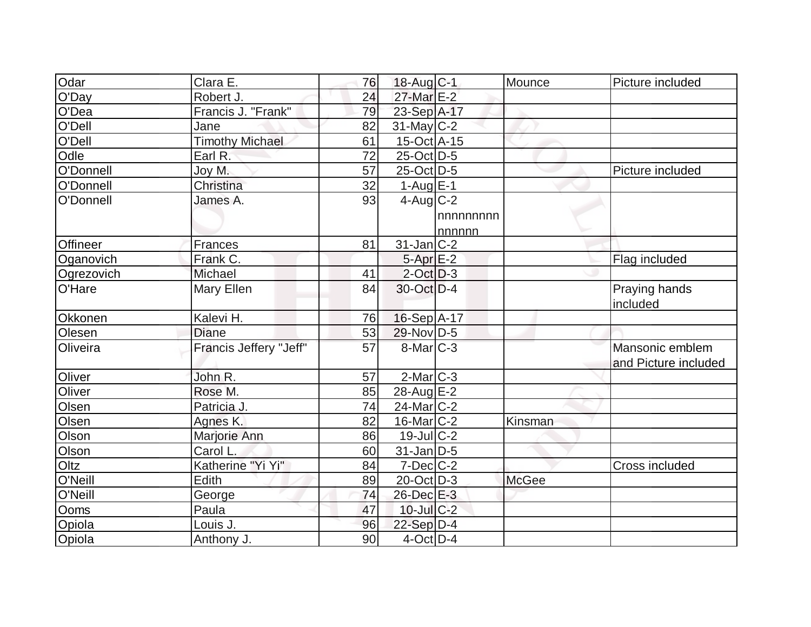| Odar            | Clara E.               | 76 | 18-Aug C-1        |          | Mounce       | Picture included     |
|-----------------|------------------------|----|-------------------|----------|--------------|----------------------|
| O'Day           | Robert J.              | 24 | 27-Mar E-2        |          |              |                      |
| O'Dea           | Francis J. "Frank"     | 79 | 23-Sep A-17       |          |              |                      |
| O'Dell          | Jane                   | 82 | $31$ -May C-2     |          |              |                      |
| O'Dell          | <b>Timothy Michael</b> | 61 | $15$ -Oct A-15    |          |              |                      |
| Odle            | Earl R.                | 72 | 25-Oct D-5        |          |              |                      |
| O'Donnell       | Joy M.                 | 57 | 25-Oct D-5        |          |              | Picture included     |
| O'Donnell       | Christina              | 32 | $1-Aug$ $E-1$     |          |              |                      |
| O'Donnell       | James A.               | 93 | $4$ -Aug $C-2$    |          |              |                      |
|                 |                        |    |                   | nnnnnnnn |              |                      |
|                 |                        |    |                   | nnnnn    |              |                      |
| <b>Offineer</b> | Frances                | 81 | $31$ -Jan $ C-2 $ |          |              |                      |
| Oganovich       | Frank C.               |    | $5-Apr$ E-2       |          |              | Flag included        |
| Ogrezovich      | Michael                | 41 | $2$ -Oct $D-3$    |          |              |                      |
| O'Hare          | Mary Ellen             | 84 | 30-Oct D-4        |          |              | Praying hands        |
|                 |                        |    |                   |          |              | included             |
| Okkonen         | Kalevi H.              | 76 | $16-Sep$ A-17     |          |              |                      |
| Olesen          | Diane                  | 53 | 29-Nov D-5        |          |              |                      |
| Oliveira        | Francis Jeffery "Jeff" | 57 | $8$ -Mar $C-3$    |          |              | Mansonic emblem      |
|                 |                        |    |                   |          |              | and Picture included |
| Oliver          | John R.                | 57 | $2$ -Mar $ C-3 $  |          |              |                      |
| Oliver          | Rose M.                | 85 | 28-Aug E-2        |          |              |                      |
| Olsen           | Patricia J.            | 74 | 24-Mar C-2        |          |              |                      |
| Olsen           | Agnes K.               | 82 | $16$ -Mar $C-2$   |          | Kinsman      |                      |
| Olson           | Marjorie Ann           | 86 | $19$ -Jul $ C-2$  |          |              |                      |
| Olson           | Carol L.               | 60 | $31$ -Jan D-5     |          |              |                      |
| Oltz            | Katherine "Yi Yi"      | 84 | $7$ -Dec $ C-2 $  |          |              | Cross included       |
| O'Neill         | Edith                  | 89 | $20$ -Oct $ D-3 $ |          | <b>McGee</b> |                      |
| O'Neill         | George                 | 74 | 26-Dec E-3        |          |              |                      |
| Ooms            | Paula                  | 47 | $10$ -Jul $C-2$   |          |              |                      |
| Opiola          | Louis J.               | 96 | 22-Sep D-4        |          |              |                      |
| Opiola          | Anthony J.             | 90 | $4$ -Oct $ D-4$   |          |              |                      |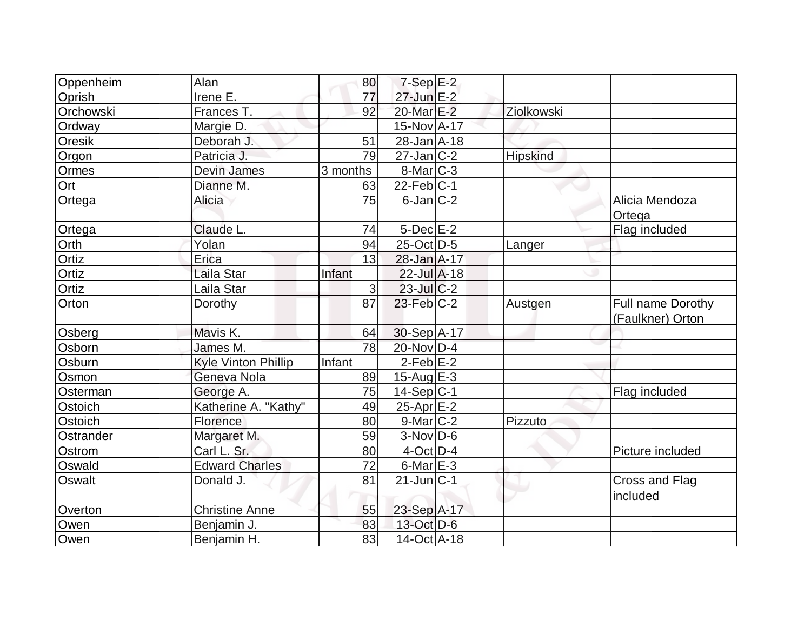| Oppenheim     | Alan                  | 80       | $7-Sep$ E-2               |            |                                              |
|---------------|-----------------------|----------|---------------------------|------------|----------------------------------------------|
| Oprish        | Irene E.              | 77       | $27$ -Jun $E-2$           |            |                                              |
| Orchowski     | Frances T.            | 92       | 20-Mar E-2                | Ziolkowski |                                              |
| Ordway        | Margie D.             |          | 15-Nov A-17               |            |                                              |
| Oresik        | Deborah J.            | 51       | $28 - Jan$ $A - 18$       |            |                                              |
| Orgon         | Patricia J.           | 79       | $27 - Jan$ <sub>C-2</sub> | Hipskind   |                                              |
| Ormes         | <b>Devin James</b>    | 3 months | $8$ -Mar $ C-3 $          |            |                                              |
| Ort           | Dianne M.             | 63       | $22$ -Feb $ C-1 $         |            |                                              |
| Ortega        | Alicia                | 75       | $6$ -Jan $ C-2 $          |            | Alicia Mendoza<br>Ortega                     |
| Ortega        | Claude L.             | 74       | $5$ -Dec $E-2$            |            | Flag included                                |
| Orth          | Yolan                 | 94       | $25$ -Oct D-5             | Langer     |                                              |
| Ortiz         | Erica                 | 13       | 28-Jan A-17               |            |                                              |
| Ortiz         | Laila Star            | Infant   | $22 -$ Jul $A - 18$       |            |                                              |
| Ortiz         | Laila Star            | 3        | $23$ -JulC-2              |            |                                              |
| Orton         | Dorothy               | 87       | $23$ -Feb $C-2$           | Austgen    | <b>Full name Dorothy</b><br>(Faulkner) Orton |
| Osberg        | Mavis K.              | 64       | $30-Sep$ A-17             |            |                                              |
| Osborn        | James M.              | 78       | $20$ -Nov $ D-4 $         |            |                                              |
| Osburn        | Kyle Vinton Phillip   | Infant   | $2-Feb$ $E-2$             |            |                                              |
| Osmon         | Geneva Nola           | 89       | $15$ -Aug $E-3$           |            |                                              |
| Osterman      | George A.             | 75       | $14-Sep C-1$              |            | Flag included                                |
| Ostoich       | Katherine A. "Kathy"  | 49       | $25$ -Apr $E-2$           |            |                                              |
| Ostoich       | Florence              | 80       | $9$ -Mar $C-2$            | Pizzuto    |                                              |
| Ostrander     | Margaret M.           | 59       | $3-Nov D-6$               |            |                                              |
| Ostrom        | Carl L. Sr.           | 80       | $4$ -Oct D-4              |            | Picture included                             |
| Oswald        | <b>Edward Charles</b> | 72       | $6$ -Mar $E-3$            |            |                                              |
| <b>Oswalt</b> | Donald J.             | 81       | $21$ -Jun $C-1$           |            | Cross and Flag<br>included                   |
| Overton       | <b>Christine Anne</b> | 55       | 23-Sep A-17               |            |                                              |
| Owen          | Benjamin J.           | 83       | 13-Oct D-6                |            |                                              |
| Owen          | Benjamin H.           | 83       | $14$ -Oct $ A-18$         |            |                                              |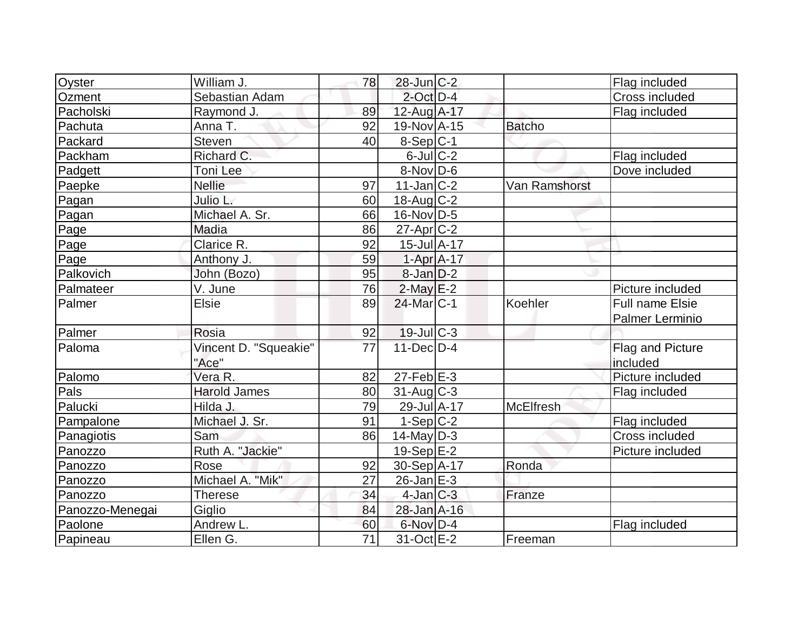| Oyster          | William J.            | 78              | $28$ -Jun $C-2$        |                  | Flag included          |
|-----------------|-----------------------|-----------------|------------------------|------------------|------------------------|
| Ozment          | Sebastian Adam        |                 | $2$ -Oct $D-4$         |                  | Cross included         |
| Pacholski       | Raymond J.            | 89              | 12-Aug A-17            |                  | Flag included          |
| Pachuta         | Anna T.               | 92              | 19-Nov A-15            | <b>Batcho</b>    |                        |
| Packard         | Steven                | 40              | $8-Sep C-1$            |                  |                        |
| Packham         | Richard C.            |                 | $6$ -Jul $C$ -2        |                  | Flag included          |
| Padgett         | Toni Lee              |                 | $8-Nov D-6$            |                  | Dove included          |
| Paepke          | <b>Nellie</b>         | 97              | $11$ -Jan $ C-2 $      | Van Ramshorst    |                        |
| Pagan           | Julio L.              | 60              | $18$ -Aug C-2          |                  |                        |
| Pagan           | Michael A. Sr.        | 66              | 16-Nov D-5             |                  |                        |
| Page            | Madia                 | 86              | $27$ -Apr $ C-2 $      |                  |                        |
| Page            | Clarice R.            | 92              | $15$ -Jul $A-17$       |                  |                        |
| Page            | Anthony J.            | 59              | $1-Apr$ A-17           |                  |                        |
| Palkovich       | John (Bozo)           | 95              | $8$ -Jan $D-2$         |                  |                        |
| Palmateer       | V. June               | 76              | $2$ -May $E-2$         |                  | Picture included       |
| Palmer          | <b>Elsie</b>          | 89              | 24-Mar <sub>IC-1</sub> | Koehler          | <b>Full name Elsie</b> |
|                 |                       |                 |                        |                  | Palmer Lerminio        |
| Palmer          | Rosia                 | 92              | $19$ -JulC-3           |                  |                        |
| Paloma          | Vincent D. "Squeakie" | 77              | $11$ -Dec $D-4$        |                  | Flag and Picture       |
|                 | "Ace"                 |                 |                        |                  | included               |
| Palomo          | Vera R.               | 82              | $27$ -Feb $E-3$        |                  | Picture included       |
| Pals            | Harold James          | 80              | $31$ -Aug C-3          |                  | Flag included          |
| Palucki         | Hilda J.              | 79              | 29-Jul A-17            | <b>McElfresh</b> |                        |
| Pampalone       | Michael J. Sr.        | 91              | $1-Sep C-2$            |                  | Flag included          |
| Panagiotis      | Sam                   | 86              | $14$ -May D-3          |                  | Cross included         |
| Panozzo         | Ruth A. "Jackie"      |                 | $19-Sep$ $E-2$         |                  | Picture included       |
| Panozzo         | Rose                  | 92              | 30-Sep A-17            | Ronda            |                        |
| Panozzo         | Michael A. "Mik"      | 27              | $26$ -Jan $E-3$        |                  |                        |
| Panozzo         | <b>Therese</b>        | 34              | $4$ -Jan $C-3$         | Franze           |                        |
| Panozzo-Menegai | Giglio                | 84              | 28-Jan A-16            |                  |                        |
| Paolone         | Andrew L.             | 60              | 6-Nov D-4              |                  | Flag included          |
| Papineau        | Ellen G.              | $\overline{71}$ | 31-Oct E-2             | Freeman          |                        |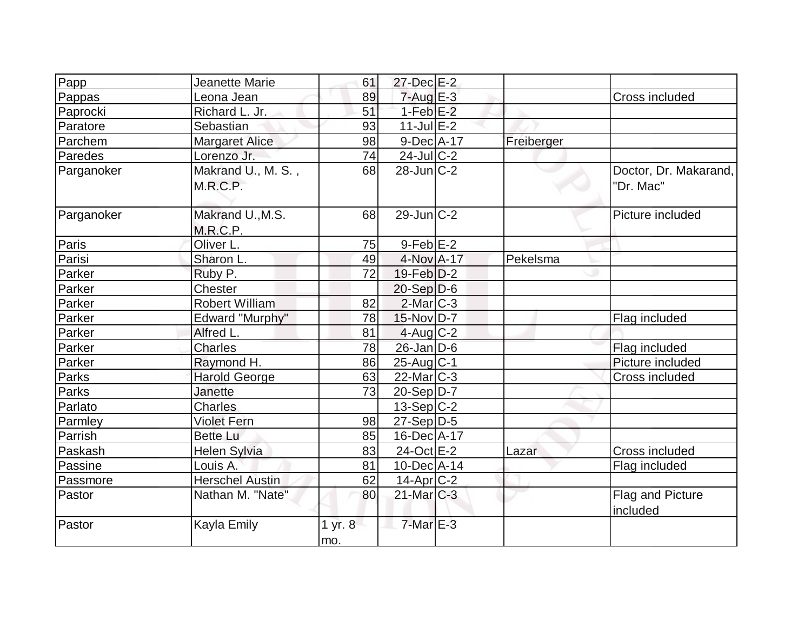| Papp       | Jeanette Marie         | 61      | 27-Dec E-2             |            |                       |
|------------|------------------------|---------|------------------------|------------|-----------------------|
| Pappas     | Leona Jean             | 89      | $7 - Aug$ E-3          |            | Cross included        |
| Paprocki   | Richard L. Jr.         | 51      | $1-Feb$ $E-2$          |            |                       |
| Paratore   | Sebastian              | 93      | $11$ -Jul $E-2$        |            |                       |
| Parchem    | <b>Margaret Alice</b>  | 98      | $9-Dec A-17$           | Freiberger |                       |
| Paredes    | Lorenzo Jr.            | 74      | $24$ -JulC-2           |            |                       |
| Parganoker | Makrand U., M. S.,     | 68      | $28$ -Jun $ C-2 $      |            | Doctor, Dr. Makarand, |
|            | M.R.C.P.               |         |                        |            | "Dr. Mac"             |
|            |                        |         |                        |            |                       |
| Parganoker | Makrand U., M.S.       | 68      | $29$ -Jun $ C-2 $      |            | Picture included      |
|            | M.R.C.P.               |         |                        |            |                       |
| Paris      | Oliver L.              | 75      | $9-Feb$ $E-2$          |            |                       |
| Parisi     | Sharon L.              | 49      | 4-Nov A-17             | Pekelsma   |                       |
| Parker     | Ruby P.                | 72      | $19$ -Feb $D-2$        |            |                       |
| Parker     | Chester                |         | $20-Sep D-6$           |            |                       |
| Parker     | <b>Robert William</b>  | 82      | $2$ -Mar $ C-3 $       |            |                       |
| Parker     | Edward "Murphy"        | 78      | $15$ -Nov $D-7$        |            | Flag included         |
| Parker     | Alfred L.              | 81      | $4$ -Aug C-2           |            |                       |
| Parker     | <b>Charles</b>         | 78      | $26$ -Jan $D-6$        |            | Flag included         |
| Parker     | Raymond H.             | 86      | $25$ -Aug $C-1$        |            | Picture included      |
| Parks      | <b>Harold George</b>   | 63      | $22$ -Mar $ C-3 $      |            | Cross included        |
| Parks      | Janette                | 73      | $20-Sep D-7$           |            |                       |
| Parlato    | <b>Charles</b>         |         | $13-Sep C-2$           |            |                       |
| Parmley    | <b>Violet Fern</b>     | 98      | $27-Sep D-5$           |            |                       |
| Parrish    | <b>Bette Lu</b>        | 85      | 16-Dec A-17            |            |                       |
| Paskash    | <b>Helen Sylvia</b>    | 83      | 24-Oct E-2             | Lazar      | Cross included        |
| Passine    | Louis A.               | 81      | $10$ -Dec $ A-14$      |            | Flag included         |
| Passmore   | <b>Herschel Austin</b> | 62      | 14-Apr <sub>IC-2</sub> |            |                       |
| Pastor     | Nathan M. "Nate"       | 80      | $21$ -Mar $C-3$        |            | Flag and Picture      |
|            |                        |         |                        |            | included              |
| Pastor     | Kayla Emily            | 1 yr. 8 | $7$ -Mar $E-3$         |            |                       |
|            |                        | mo.     |                        |            |                       |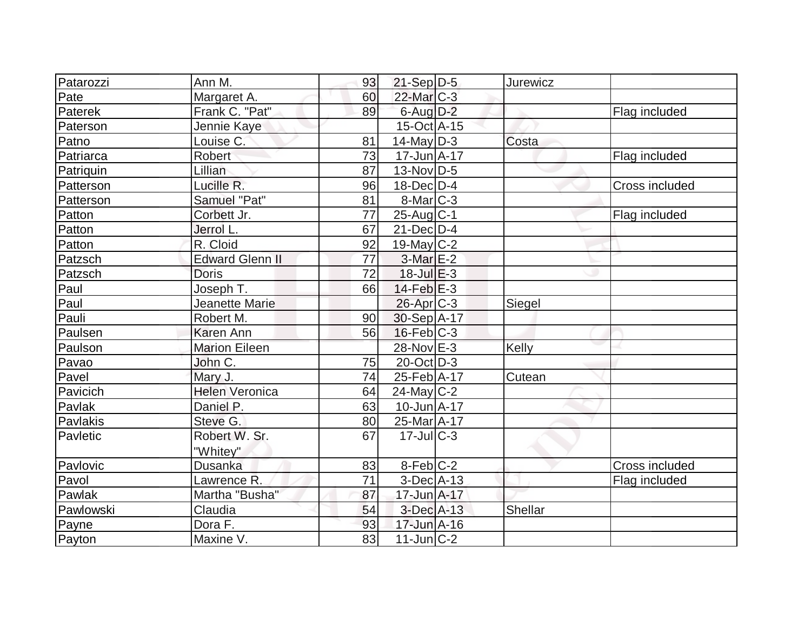| Patarozzi | Ann M.                 | 93 | $21-Sep D-5$      | <b>Jurewicz</b> |                |
|-----------|------------------------|----|-------------------|-----------------|----------------|
| Pate      | Margaret A.            | 60 | $22$ -Mar $C-3$   |                 |                |
| Paterek   | Frank C. "Pat"         | 89 | $6$ -Aug $D-2$    |                 | Flag included  |
| Paterson  | Jennie Kaye            |    | $15$ -Oct A-15    |                 |                |
| Patno     | Louise C.              | 81 | $14$ -May D-3     | Costa           |                |
| Patriarca | Robert                 | 73 | $17 - Jun A - 17$ |                 | Flag included  |
| Patriquin | Lillian                | 87 | $13-Nov D-5$      |                 |                |
| Patterson | Lucille R.             | 96 | $18$ -Dec $D-4$   |                 | Cross included |
| Patterson | Samuel "Pat"           | 81 | $8$ -Mar $ C-3 $  |                 |                |
| Patton    | Corbett Jr.            | 77 | $25$ -Aug C-1     |                 | Flag included  |
| Patton    | Jerrol L.              | 67 | $21$ -Dec $D-4$   |                 |                |
| Patton    | R. Cloid               | 92 | $19$ -May C-2     |                 |                |
| Patzsch   | <b>Edward Glenn II</b> | 77 | $3$ -Mar $E-2$    |                 |                |
| Patzsch   | <b>Doris</b>           | 72 | $18$ -Jul $E-3$   |                 |                |
| Paul      | Joseph T.              | 66 | $14$ -Feb $E-3$   |                 |                |
| Paul      | <b>Jeanette Marie</b>  |    | $26$ -Apr $C-3$   | Siegel          |                |
| Pauli     | Robert M.              | 90 | $30-Sep$ A-17     |                 |                |
| Paulsen   | <b>Karen Ann</b>       | 56 | $16$ -Feb $ C-3 $ |                 |                |
| Paulson   | <b>Marion Eileen</b>   |    | 28-Nov E-3        | Kelly           |                |
| Pavao     | John C.                | 75 | $20$ -Oct $ D-3 $ |                 |                |
| Pavel     | Mary J.                | 74 | 25-Feb A-17       | Cutean          |                |
| Pavicich  | <b>Helen Veronica</b>  | 64 | $24$ -May C-2     |                 |                |
| Pavlak    | Daniel P.              | 63 | $10$ -Jun $A$ -17 |                 |                |
| Pavlakis  | Steve G.               | 80 | 25-Mar A-17       |                 |                |
| Pavletic  | Robert W. Sr.          | 67 | $17$ -JulC-3      |                 |                |
|           | "Whitey"               |    |                   |                 |                |
| Pavlovic  | <b>Dusanka</b>         | 83 | $8-Feb$ C-2       |                 | Cross included |
| Pavol     | Lawrence R.            | 71 | $3$ -Dec $A$ -13  |                 | Flag included  |
| Pawlak    | Martha "Busha"         | 87 | 17-Jun A-17       |                 |                |
| Pawlowski | Claudia                | 54 | 3-Dec A-13        | Shellar         |                |
| Payne     | Dora F.                | 93 | 17-Jun A-16       |                 |                |
| Payton    | Maxine V.              | 83 | $11$ -Jun $ C-2 $ |                 |                |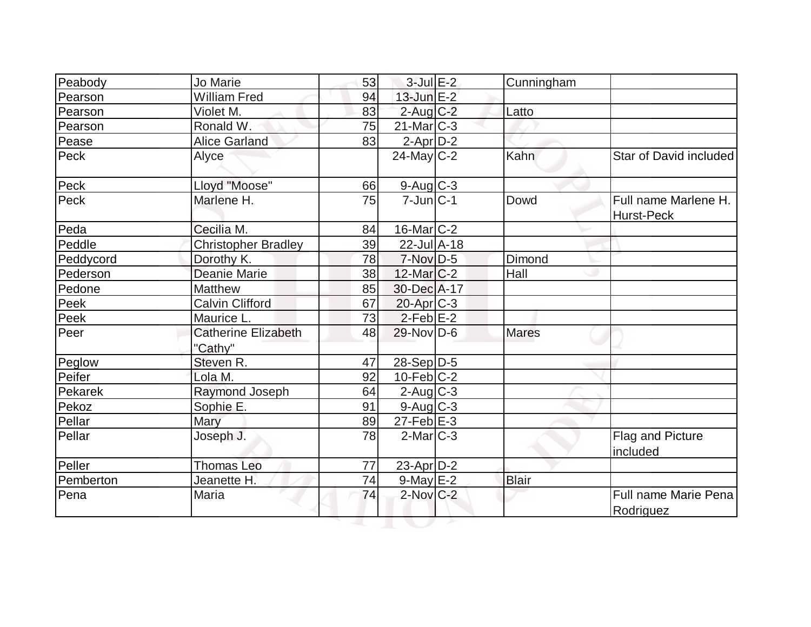| Peabody          | Jo Marie                   | 53 | $3$ -Jul $E-2$      | Cunningham   |                                    |
|------------------|----------------------------|----|---------------------|--------------|------------------------------------|
| Pearson          | <b>William Fred</b>        | 94 | $13$ -Jun $E-2$     |              |                                    |
| Pearson          | Violet M.                  | 83 | $2$ -Aug $C-2$      | Latto        |                                    |
| Pearson          | Ronald W.                  | 75 | $21$ -Mar $ C-3 $   |              |                                    |
| Pease            | <b>Alice Garland</b>       | 83 | $2$ -Apr $D-2$      |              |                                    |
| Peck             | Alyce                      |    | $24$ -May C-2       | Kahn         | Star of David included             |
| Peck             | Lloyd "Moose"              | 66 | $9$ -Aug $C$ -3     |              |                                    |
| Peck             | Marlene H.                 | 75 | $7$ -Jun $ C-1 $    | Dowd         | Full name Marlene H.<br>Hurst-Peck |
| Peda             | Cecilia M.                 | 84 | $16$ -Mar $C-2$     |              |                                    |
| Peddle           | <b>Christopher Bradley</b> | 39 | $22 -$ Jul $A - 18$ |              |                                    |
| Peddycord        | Dorothy K.                 | 78 | $7-Nov$ D-5         | Dimond       |                                    |
| Pederson         | Deanie Marie               | 38 | $12$ -Mar $C-2$     | Hall         |                                    |
| Pedone           | <b>Matthew</b>             | 85 | 30-Dec A-17         |              |                                    |
| Peek             | <b>Calvin Clifford</b>     | 67 | $20$ -Apr $C-3$     |              |                                    |
| Peek             | Maurice L.                 | 73 | $2$ -Feb $E-2$      |              |                                    |
| Peer             | <b>Catherine Elizabeth</b> | 48 | 29-Nov D-6          | <b>Mares</b> |                                    |
|                  | "Cathy"<br>Steven R.       | 47 | $28-Sep D-5$        |              |                                    |
| Peglow<br>Peifer | Lola M.                    | 92 | $10$ -Feb $ C-2 $   |              |                                    |
| Pekarek          | Raymond Joseph             | 64 | $2$ -Aug $C-3$      |              |                                    |
| Pekoz            | Sophie E.                  | 91 | $9$ -Aug $C$ -3     |              |                                    |
|                  |                            | 89 | $27$ -Feb $E-3$     |              |                                    |
| Pellar           | Mary                       |    |                     |              |                                    |
| Pellar           | Joseph J.                  | 78 | $2$ -Mar $ C-3 $    |              | Flag and Picture<br>included       |
| Peller           | <b>Thomas Leo</b>          | 77 | 23-Apr $D-2$        |              |                                    |
| Pemberton        | Jeanette H.                | 74 | $9$ -May $E-2$      | <b>Blair</b> |                                    |
| Pena             | Maria                      | 74 | $2$ -Nov $C-2$      |              | Full name Marie Pena<br>Rodriguez  |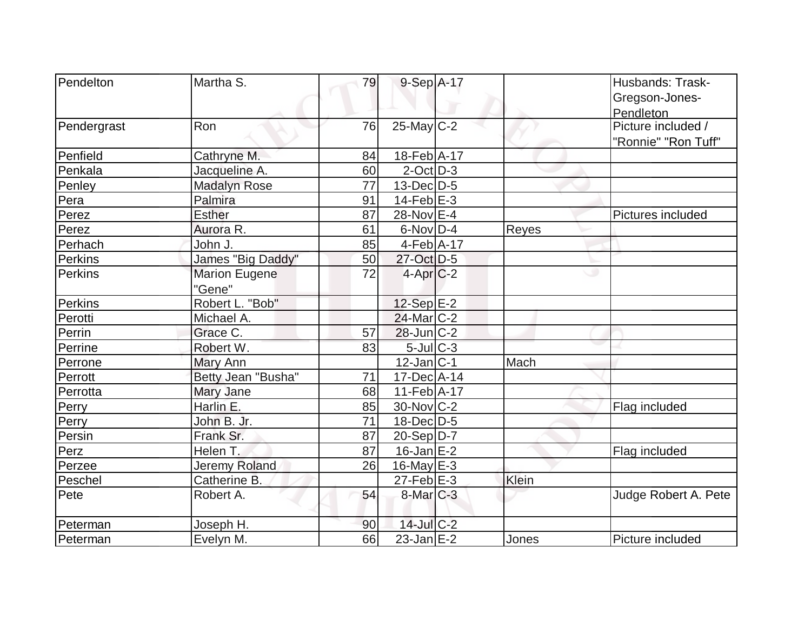| Pendelton   | Martha S.            | 79 | 9-Sep A-17        |       | Husbands: Trask-     |
|-------------|----------------------|----|-------------------|-------|----------------------|
|             |                      |    |                   |       | Gregson-Jones-       |
|             |                      |    |                   |       | Pendleton            |
| Pendergrast | Ron                  | 76 | $25$ -May C-2     |       | Picture included /   |
|             |                      |    |                   |       | "Ronnie" "Ron Tuff"  |
| Penfield    | Cathryne M.          | 84 | 18-Feb A-17       |       |                      |
| Penkala     | Jacqueline A.        | 60 | $2$ -Oct $ D-3 $  |       |                      |
| Penley      | <b>Madalyn Rose</b>  | 77 | $13$ -Dec $D-5$   |       |                      |
| Pera        | Palmira              | 91 | $14$ -Feb $E-3$   |       |                      |
| Perez       | <b>Esther</b>        | 87 | 28-Nov E-4        |       | Pictures included    |
| Perez       | Aurora R.            | 61 | $6$ -Nov $D-4$    | Reyes |                      |
| Perhach     | John J.              | 85 | $4-Feb$ A-17      |       |                      |
| Perkins     | James "Big Daddy"    | 50 | 27-Oct D-5        |       |                      |
| Perkins     | <b>Marion Eugene</b> | 72 | $4-Apr C-2$       |       | ى                    |
|             | "Gene"               |    |                   |       |                      |
| Perkins     | Robert L. "Bob"      |    | $12-Sep$ $E-2$    |       |                      |
| Perotti     | Michael A.           |    | $24$ -Mar $ C-2 $ |       |                      |
| Perrin      | Grace C.             | 57 | $28$ -Jun $ C-2 $ |       |                      |
| Perrine     | Robert W.            | 83 | $5$ -Jul $C-3$    |       |                      |
| Perrone     | Mary Ann             |    | $12$ -Jan $ C-1 $ | Mach  |                      |
| Perrott     | Betty Jean "Busha"   | 71 | $17 - Dec$ A-14   |       |                      |
| Perrotta    | Mary Jane            | 68 | $11-Feb$ A-17     |       |                      |
| Perry       | Harlin E.            | 85 | $30$ -Nov $ C-2 $ |       | Flag included        |
| Perry       | John B. Jr.          | 71 | 18-Dec D-5        |       |                      |
| Persin      | Frank Sr.            | 87 | $20-Sep D-7$      |       |                      |
| Perz        | Helen T.             | 87 | $16$ -Jan $E-2$   |       | Flag included        |
| Perzee      | Jeremy Roland        | 26 | 16-May $E-3$      |       |                      |
| Peschel     | Catherine B.         |    | $27$ -Feb $E-3$   | Klein |                      |
| Pete        | Robert A.            | 54 | $8$ -Mar $C-3$    |       | Judge Robert A. Pete |
| Peterman    | Joseph H.            | 90 | $14$ -Jul C-2     |       |                      |
| Peterman    | Evelyn M.            | 66 | $23$ -Jan $E-2$   | Jones | Picture included     |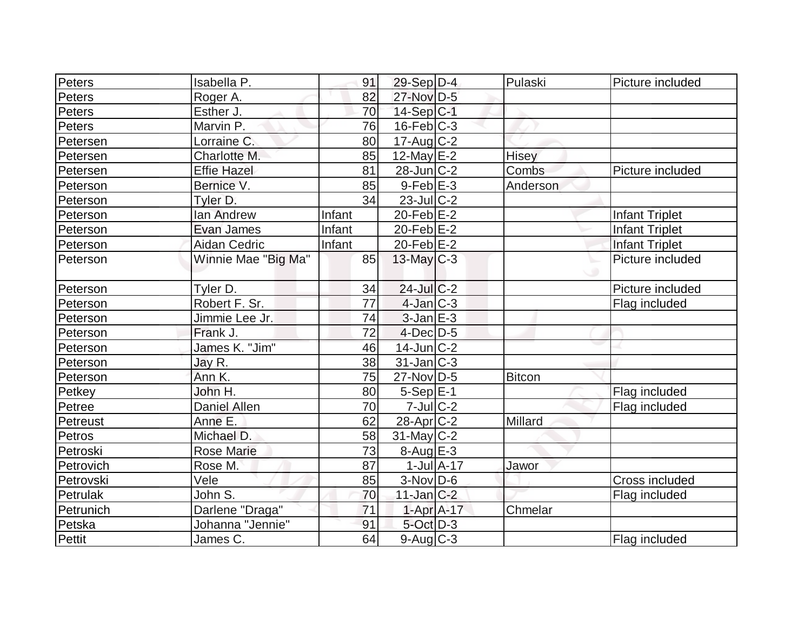| Peters    | Isabella P.         | 91     | $29-Sep D-4$      |                  | Pulaski       | Picture included      |
|-----------|---------------------|--------|-------------------|------------------|---------------|-----------------------|
| Peters    | Roger A.            | 82     | 27-Nov D-5        |                  |               |                       |
| Peters    | Esther J.           | 70     | $14-Sep C-1$      |                  |               |                       |
| Peters    | Marvin P.           | 76     | $16$ -Feb $C-3$   |                  |               |                       |
| Petersen  | Lorraine C.         | 80     | $17$ -Aug C-2     |                  |               |                       |
| Petersen  | Charlotte M.        | 85     | $12$ -May $E-2$   |                  | Hisey         |                       |
| Petersen  | <b>Effie Hazel</b>  | 81     | $28$ -Jun $C-2$   |                  | Combs         | Picture included      |
| Peterson  | Bernice V.          | 85     | $9$ -Feb $E-3$    |                  | Anderson      |                       |
| Peterson  | Tyler D.            | 34     | $23$ -JulC-2      |                  |               |                       |
| Peterson  | lan Andrew          | Infant | $20$ -Feb $E-2$   |                  |               | <b>Infant Triplet</b> |
| Peterson  | Evan James          | Infant | $20$ -Feb $E-2$   |                  |               | <b>Infant Triplet</b> |
| Peterson  | <b>Aidan Cedric</b> | Infant | 20-Feb $E-2$      |                  |               | <b>Infant Triplet</b> |
| Peterson  | Winnie Mae "Big Ma" | 85     | $13$ -May C-3     |                  |               | Picture included      |
| Peterson  | Tyler D.            | 34     | $24$ -Jul C-2     |                  |               | Picture included      |
| Peterson  | Robert F. Sr.       | 77     | $4$ -Jan $ C-3 $  |                  |               | Flag included         |
| Peterson  | Jimmie Lee Jr.      | 74     | $3$ -Jan $E-3$    |                  |               |                       |
| Peterson  | Frank J.            | 72     | $4$ -Dec $D-5$    |                  |               |                       |
| Peterson  | James K. "Jim"      | 46     | $14$ -Jun $C-2$   |                  |               |                       |
| Peterson  | Jay R.              | 38     | $31$ -Jan $ C-3 $ |                  |               |                       |
| Peterson  | Ann K.              | 75     | $27$ -Nov $ D-5$  |                  | <b>Bitcon</b> |                       |
| Petkey    | John H.             | 80     | $5-Sep E-1$       |                  |               | Flag included         |
| Petree    | <b>Daniel Allen</b> | 70     | $7$ -Jul $C-2$    |                  |               | Flag included         |
| Petreust  | Anne E.             | 62     | $28$ -Apr $C-2$   |                  | Millard       |                       |
| Petros    | Michael D.          | 58     | $31$ -May C-2     |                  |               |                       |
| Petroski  | <b>Rose Marie</b>   | 73     | $8 - Aug$ E-3     |                  |               |                       |
| Petrovich | Rose M.             | 87     |                   | $1$ -Jul $A$ -17 | Jawor         |                       |
| Petrovski | Vele                | 85     | $3-Nov D-6$       |                  |               | Cross included        |
| Petrulak  | John S.             | 70     | $11$ -Jan $C-2$   |                  |               | Flag included         |
| Petrunich | Darlene "Draga"     | 71     | $1-Apr$ A-17      |                  | Chmelar       |                       |
| Petska    | Johanna "Jennie"    | 91     | $5$ -Oct $D-3$    |                  |               |                       |
| Pettit    | James C.            | 64     | $9$ -Aug $C$ -3   |                  |               | Flag included         |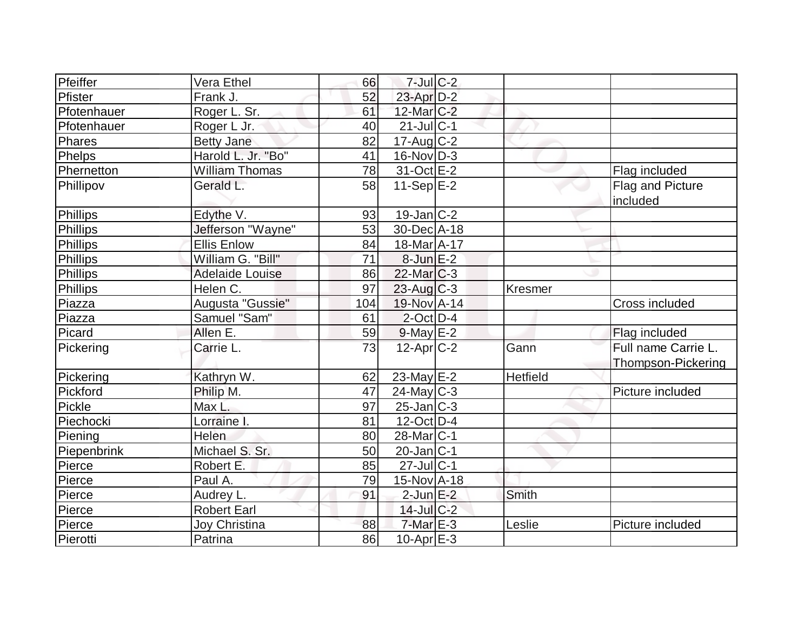| Pfeiffer        | Vera Ethel             | 66  | $7$ -Jul $C-2$         |                 |                                           |
|-----------------|------------------------|-----|------------------------|-----------------|-------------------------------------------|
| Pfister         | Frank J.               | 52  | 23-Apr D-2             |                 |                                           |
| Pfotenhauer     | Roger L. Sr.           | 61  | 12-Mar C-2             |                 |                                           |
| Pfotenhauer     | Roger L Jr.            | 40  | $21$ -Jul $ C-1$       |                 |                                           |
| Phares          | <b>Betty Jane</b>      | 82  | $17$ -Aug $C-2$        |                 |                                           |
| Phelps          | Harold L. Jr. "Bo"     | 41  | $16$ -Nov $ D-3 $      |                 |                                           |
| Phernetton      | <b>William Thomas</b>  | 78  | $31-Oct$ $E-2$         |                 | Flag included                             |
| Phillipov       | Gerald L.              | 58  | 11-Sep $E-2$           |                 | Flag and Picture<br>included              |
| Phillips        | Edythe V.              | 93  | $19$ -Jan $ C-2 $      |                 |                                           |
| <b>Phillips</b> | Jefferson "Wayne"      | 53  | $30$ -Dec $A$ -18      |                 |                                           |
| Phillips        | <b>Ellis Enlow</b>     | 84  | 18-Mar A-17            |                 |                                           |
| <b>Phillips</b> | William G. "Bill"      | 71  | $8$ -Jun $E-2$         |                 |                                           |
| <b>Phillips</b> | <b>Adelaide Louise</b> | 86  | $22$ -Mar $C-3$        |                 |                                           |
| Phillips        | Helen C.               | 97  | $23$ -Aug C-3          | Kresmer         |                                           |
| Piazza          | Augusta "Gussie"       | 104 | 19-Nov A-14            |                 | Cross included                            |
| Piazza          | Samuel "Sam"           | 61  | $2$ -Oct $D-4$         |                 |                                           |
| Picard          | Allen E.               | 59  | $9$ -May $E-2$         |                 | Flag included                             |
| Pickering       | Carrie L.              | 73  | $12$ -Apr $ C-2 $      | Gann            | Full name Carrie L.<br>Thompson-Pickering |
| Pickering       | Kathryn W.             | 62  | 23-May E-2             | <b>Hetfield</b> |                                           |
| Pickford        | Philip M.              | 47  | $24$ -May C-3          |                 | Picture included                          |
| Pickle          | Max L.                 | 97  | $25$ -Jan $ C-3 $      |                 |                                           |
| Piechocki       | Lorraine I.            | 81  | $12$ -Oct D-4          |                 |                                           |
| Piening         | Helen                  | 80  | 28-Mar <sub>IC-1</sub> |                 |                                           |
| Piepenbrink     | Michael S. Sr.         | 50  | $20$ -Jan $ C-1 $      |                 |                                           |
| Pierce          | Robert E.              | 85  | $27$ -Jul $ C-1$       |                 |                                           |
| Pierce          | Paul A.                | 79  | 15-Nov A-18            |                 |                                           |
| Pierce          | Audrey L.              | 91  | $2$ -Jun $E-2$         | Smith           |                                           |
| Pierce          | <b>Robert Earl</b>     |     | $14$ -Jul $C-2$        |                 |                                           |
| Pierce          | Joy Christina          | 88  | $7-MarE-3$             | Leslie          | Picture included                          |
| Pierotti        | Patrina                | 86  | $10$ -Apr $E-3$        |                 |                                           |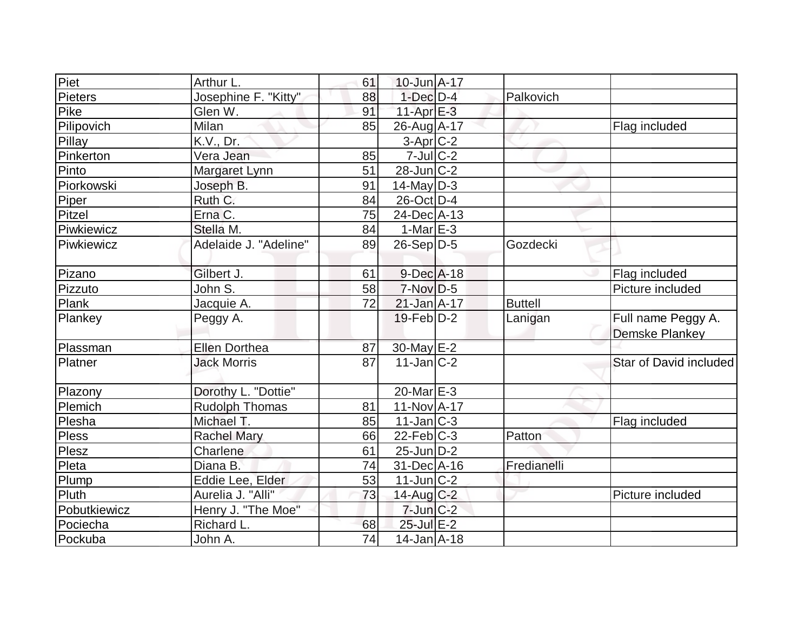| Piet           | Arthur L.                     | 61 | 10-Jun A-17       |                |                                             |
|----------------|-------------------------------|----|-------------------|----------------|---------------------------------------------|
| <b>Pieters</b> | Josephine F. "Kitty"          | 88 | $1-Dec$ $D-4$     | Palkovich      |                                             |
| Pike           | Glen W.                       | 91 | $11-Apr$ $E-3$    |                |                                             |
| Pilipovich     | Milan                         | 85 | 26-Aug A-17       |                | Flag included                               |
| Pillay         | K.V., Dr.                     |    | $3-Apr$ $C-2$     |                |                                             |
| Pinkerton      | Vera Jean                     | 85 | $7$ -Jul $C$ -2   |                |                                             |
| Pinto          | Margaret Lynn                 | 51 | $28$ -Jun $ C-2 $ |                |                                             |
| Piorkowski     | Joseph B.                     | 91 | $14$ -May D-3     |                |                                             |
| Piper          | Ruth C.                       | 84 | $26$ -Oct $ D-4 $ |                |                                             |
| Pitzel         | Erna C.                       | 75 | 24-Dec A-13       |                |                                             |
| Piwkiewicz     | Stella M.                     | 84 | $1-Mar$ $E-3$     |                |                                             |
| Piwkiewicz     | Adelaide J. "Adeline"         | 89 | $26-Sep D-5$      | Gozdecki       |                                             |
| Pizano         | Gilbert J.                    | 61 | $9$ -Dec $A$ -18  |                | Flag included                               |
| Pizzuto        | John $\overline{\mathsf{S}.}$ | 58 | $7-Nov$ D-5       |                | Picture included                            |
| Plank          | Jacquie A.                    | 72 | $21$ -Jan $A-17$  | <b>Buttell</b> |                                             |
| Plankey        | Peggy A.                      |    | $19$ -Feb $D-2$   | Lanigan        | Full name Peggy A.<br><b>Demske Plankey</b> |
| Plassman       | <b>Ellen Dorthea</b>          | 87 | 30-May E-2        |                |                                             |
| Platner        | <b>Jack Morris</b>            | 87 | $11$ -Jan $ C-2 $ |                | Star of David included                      |
| Plazony        | Dorothy L. "Dottie"           |    | $20$ -Mar $E$ -3  |                |                                             |
| Plemich        | <b>Rudolph Thomas</b>         | 81 | $11-Nov1 - 17$    |                |                                             |
| Plesha         | Michael T.                    | 85 | $11$ -Jan $ C-3 $ |                | Flag included                               |
| Pless          | <b>Rachel Mary</b>            | 66 | $22$ -Feb $ C-3$  | Patton         |                                             |
| Plesz          | Charlene                      | 61 | $25$ -Jun D-2     |                |                                             |
| Pleta          | Diana B.                      | 74 | 31-Dec A-16       | Fredianelli    |                                             |
| Plump          | Eddie Lee, Elder              | 53 | $11$ -Jun $ C-2 $ |                |                                             |
| Pluth          | Aurelia J. "Alli"             | 73 | 14-Aug C-2        |                | Picture included                            |
| Pobutkiewicz   | Henry J. "The Moe"            |    | $7$ -Jun $C-2$    |                |                                             |
| Pociecha       | Richard L.                    | 68 | 25-Jul E-2        |                |                                             |
| Pockuba        | John A.                       | 74 | $14$ -Jan $A$ -18 |                |                                             |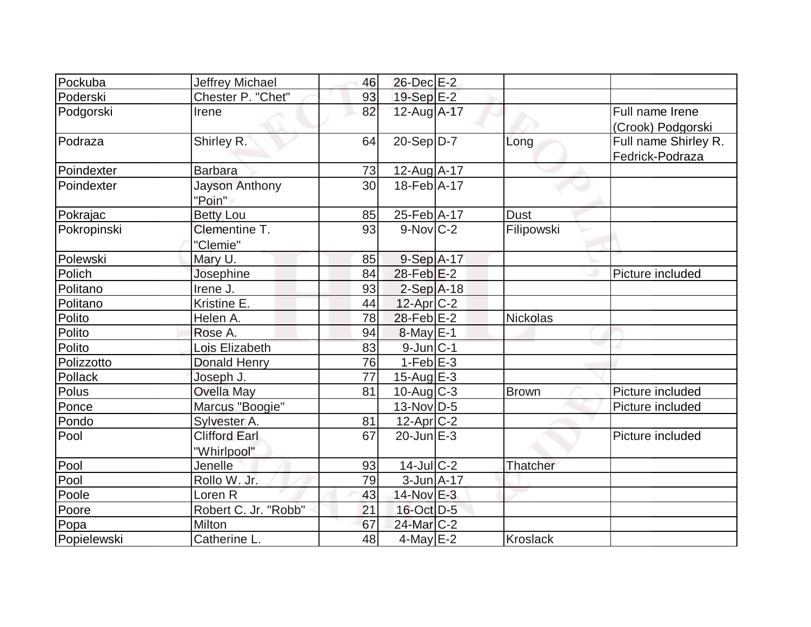| Pockuba     | Jeffrey Michael      | 46 | 26-Dec E-2        |                 |                      |
|-------------|----------------------|----|-------------------|-----------------|----------------------|
| Poderski    | Chester P. "Chet"    | 93 | 19-Sep $E-2$      |                 |                      |
| Podgorski   | Irene                | 82 | 12-Aug A-17       |                 | Full name Irene      |
|             |                      |    |                   |                 | (Crook) Podgorski    |
| Podraza     | Shirley R.           | 64 | $20-Sep D-7$      | Long            | Full name Shirley R. |
|             |                      |    |                   |                 | Fedrick-Podraza      |
| Poindexter  | <b>Barbara</b>       | 73 | 12-Aug A-17       |                 |                      |
| Poindexter  | Jayson Anthony       | 30 | 18-Feb A-17       |                 |                      |
|             | "Poin"               |    |                   |                 |                      |
| Pokrajac    | <b>Betty Lou</b>     | 85 | 25-Feb A-17       | <b>Dust</b>     |                      |
| Pokropinski | Clementine T.        | 93 | $9-Nov$ C-2       | Filipowski      |                      |
|             | "Clemie"             |    |                   |                 |                      |
| Polewski    | Mary U.              | 85 | $9-Sep$ A-17      |                 |                      |
| Polich      | Josephine            | 84 | $28$ -Feb $E-2$   |                 | Picture included     |
| Politano    | Irene J.             | 93 | $2-Sep$ A-18      |                 |                      |
| Politano    | Kristine E.          | 44 | $12$ -Apr $C-2$   |                 |                      |
| Polito      | Helen A.             | 78 | $28$ -Feb $E-2$   | <b>Nickolas</b> |                      |
| Polito      | Rose A.              | 94 | $8$ -May $E-1$    |                 |                      |
| Polito      | Lois Elizabeth       | 83 | 9-Jun C-1         |                 |                      |
| Polizzotto  | <b>Donald Henry</b>  | 76 | $1-Feb$ E-3       |                 |                      |
| Pollack     | Joseph J.            | 77 | $15$ -Aug $E-3$   |                 |                      |
| Polus       | <b>Ovella May</b>    | 81 | $10$ -Aug C-3     | Brown           | Picture included     |
| Ponce       | Marcus "Boogie"      |    | $13-Nov D-5$      |                 | Picture included     |
| Pondo       | Sylvester A.         | 81 | $12$ -Apr $C-2$   |                 |                      |
| Pool        | <b>Clifford Earl</b> | 67 | $20$ -Jun $E-3$   |                 | Picture included     |
|             | "Whirlpool"          |    |                   |                 |                      |
| Pool        | Jenelle              | 93 | $14$ -Jul $ C-2 $ | Thatcher        |                      |
| Pool        | Rollo W. Jr.         | 79 | $3$ -Jun $A$ -17  |                 |                      |
| Poole       | Loren <sub>R</sub>   | 43 | $14$ -Nov $E-3$   |                 |                      |
| Poore       | Robert C. Jr. "Robb" | 21 | 16-Oct D-5        |                 |                      |
| Popa        | Milton               | 67 | 24-Mar C-2        |                 |                      |
| Popielewski | Catherine L.         | 48 | $4$ -May $E-2$    | <b>Kroslack</b> |                      |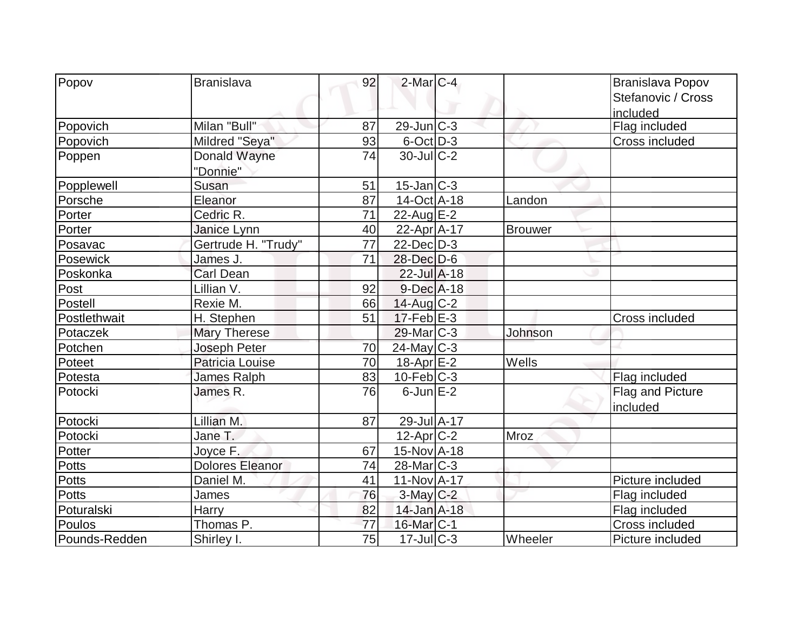| Popov         | <b>Branislava</b>      | 92 | $2$ -Mar $ C-4 $          |                | Branislava Popov               |
|---------------|------------------------|----|---------------------------|----------------|--------------------------------|
|               |                        |    |                           |                | Stefanovic / Cross<br>included |
| Popovich      | Milan "Bull"           | 87 | $29$ -Jun $ C-3$          |                | Flag included                  |
| Popovich      | Mildred "Seya"         | 93 | $6$ -Oct $\overline{D-3}$ |                | Cross included                 |
| Poppen        | Donald Wayne           | 74 | $30$ -JulC-2              |                |                                |
|               | "Donnie"               |    |                           |                |                                |
| Popplewell    | Susan                  | 51 | $15$ -Jan $ C-3 $         |                |                                |
| Porsche       | Eleanor                | 87 | 14-Oct A-18               | Landon         |                                |
| Porter        | Cedric R.              | 71 | 22-Aug $E-2$              |                |                                |
| Porter        | Janice Lynn            | 40 | $22$ -Apr $A$ -17         | <b>Brouwer</b> |                                |
| Posavac       | Gertrude H. "Trudy"    | 77 | $22$ -Dec $D-3$           |                |                                |
| Posewick      | James J.               | 71 | 28-Dec D-6                |                |                                |
| Poskonka      | Carl Dean              |    | $22$ -Jul $A-18$          |                |                                |
| Post          | Lillian V.             | 92 | $9$ -Dec $A$ -18          |                |                                |
| Postell       | Rexie M.               | 66 | $14$ -Aug C-2             |                |                                |
| Postlethwait  | H. Stephen             | 51 | $17$ -Feb $E-3$           |                | Cross included                 |
| Potaczek      | <b>Mary Therese</b>    |    | $29$ -Mar $ C-3 $         | Johnson        |                                |
| Potchen       | Joseph Peter           | 70 | $24$ -May C-3             |                |                                |
| Poteet        | Patricia Louise        | 70 | $18-Apr$ $E-2$            | Wells          |                                |
| Potesta       | James Ralph            | 83 | $10$ -Feb $C-3$           |                | Flag included                  |
| Potocki       | James R.               | 76 | $6$ -Jun $E-2$            |                | Flag and Picture               |
|               |                        |    |                           |                | included                       |
| Potocki       | Lillian M.             | 87 | 29-Jul A-17               |                |                                |
| Potocki       | Jane T.                |    | $12$ -Apr $C-2$           | Mroz           |                                |
| Potter        | Joyce F.               | 67 | $15$ -Nov $A$ -18         |                |                                |
| Potts         | <b>Dolores Eleanor</b> | 74 | $28$ -Mar $ C-3 $         |                |                                |
| <b>Potts</b>  | Daniel M.              | 41 | 11-Nov A-17               |                | Picture included               |
| <b>Potts</b>  | James                  | 76 | $3$ -May $C-2$            |                | Flag included                  |
| Poturalski    | <b>Harry</b>           | 82 | 14-Jan A-18               |                | Flag included                  |
| Poulos        | Thomas P.              | 77 | 16-Mar <sub>IC-1</sub>    |                | Cross included                 |
| Pounds-Redden | Shirley I.             | 75 | $17$ -JulC-3              | Wheeler        | Picture included               |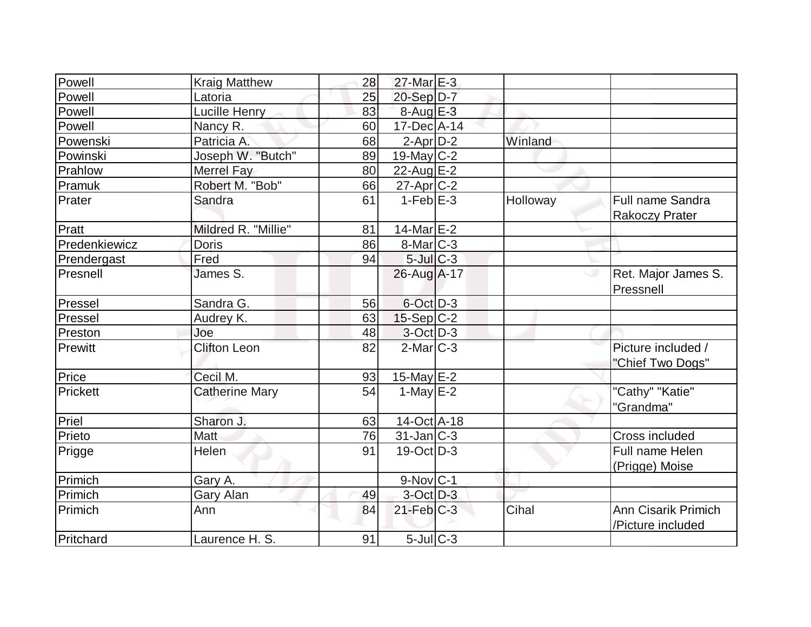| Powell        | <b>Kraig Matthew</b>  | 28 | 27-Mar E-3                 |          |                                                  |
|---------------|-----------------------|----|----------------------------|----------|--------------------------------------------------|
| Powell        | Latoria               | 25 | $20-Sep D-7$               |          |                                                  |
| Powell        | Lucille Henry         | 83 | $8-Aug$ $E-3$              |          |                                                  |
| Powell        | Nancy R.              | 60 | $17$ -Dec $A$ -14          |          |                                                  |
| Powenski      | Patricia A.           | 68 | $2$ -Apr $D-2$             | Winland  |                                                  |
| Powinski      | Joseph W. "Butch"     | 89 | $19$ -May $C-2$            |          |                                                  |
| Prahlow       | Merrel Fay            | 80 | 22-Aug $E-2$               |          |                                                  |
| Pramuk        | Robert M. "Bob"       | 66 | 27-Apr <sub>C</sub> -2     |          |                                                  |
| Prater        | Sandra                | 61 | $1-FebE-3$                 | Holloway | <b>Full name Sandra</b><br><b>Rakoczy Prater</b> |
| Pratt         | Mildred R. "Millie"   | 81 | $14$ -Mar $E-2$            |          |                                                  |
| Predenkiewicz | <b>Doris</b>          | 86 | $8$ -Mar $ C-3 $           |          |                                                  |
| Prendergast   | Fred                  | 94 | $5$ -Jul $C-3$             |          |                                                  |
| Presnell      | James S.              |    | 26-Aug A-17                |          | Ret. Major James S.<br>Pressnell                 |
| Pressel       | Sandra G.             | 56 | 6-Oct D-3                  |          |                                                  |
| Pressel       | Audrey K.             | 63 | $15-Sep C-2$               |          |                                                  |
| Preston       | Joe                   | 48 | 3-Oct D-3                  |          |                                                  |
| Prewitt       | <b>Clifton Leon</b>   | 82 | $2$ -Mar $ C-3 $           |          | Picture included /<br>"Chief Two Dogs"           |
| Price         | Cecil M.              | 93 | 15-May $E-2$               |          |                                                  |
| Prickett      | <b>Catherine Mary</b> | 54 | 1-May $E-2$                |          | "Cathy" "Katie"<br>"Grandma"                     |
| Priel         | Sharon J.             | 63 | 14-Oct A-18                |          |                                                  |
| Prieto        | Matt                  | 76 | $31$ -Jan $C-3$            |          | <b>Cross included</b>                            |
| Prigge        | Helen                 | 91 | $19-Oct$ D-3               |          | Full name Helen<br>(Prigge) Moise                |
| Primich       | Gary A.               |    | $9-Nov$ $C-1$              |          |                                                  |
| Primich       | Gary Alan             | 49 | $3-Oct$ $D-3$              |          |                                                  |
| Primich       | Ann                   | 84 | $21$ -Feb $C-3$            | Cihal    | <b>Ann Cisarik Primich</b><br>/Picture included  |
| Pritchard     | Laurence H. S.        | 91 | $5$ -Jul $\overline{C}$ -3 |          |                                                  |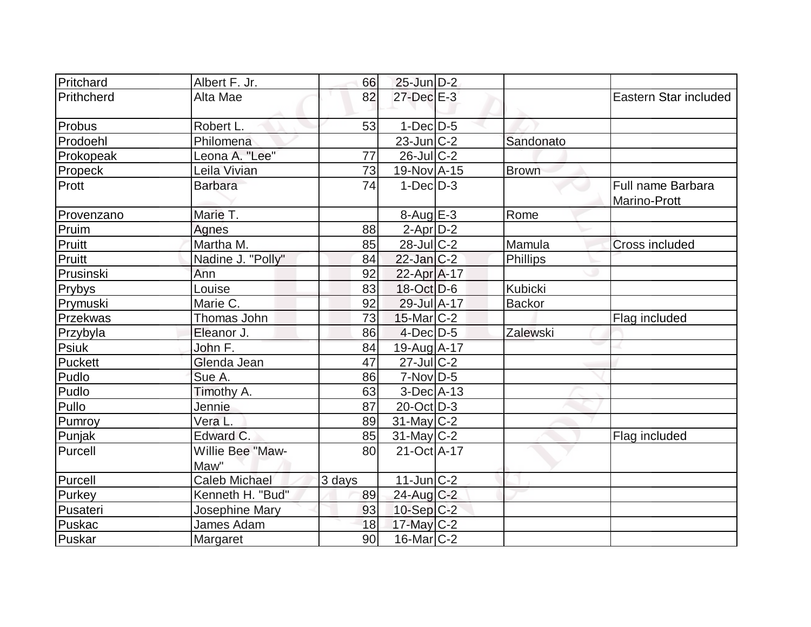| Pritchard      | Albert F. Jr.        | 66     | $25$ -Jun $D-2$   |               |                                   |
|----------------|----------------------|--------|-------------------|---------------|-----------------------------------|
| Prithcherd     | Alta Mae             | 82     | 27-Dec E-3        |               | Eastern Star included             |
| Probus         | Robert L.            | 53     | $1-Dec$ D-5       |               |                                   |
| Prodoehl       | Philomena            |        | $23$ -Jun $C-2$   | Sandonato     |                                   |
| Prokopeak      | Leona A. "Lee"       | 77     | $26$ -JulC-2      |               |                                   |
| <b>Propeck</b> | Leila Vivian         | 73     | 19-Nov A-15       | <b>Brown</b>  |                                   |
| Prott          | <b>Barbara</b>       | 74     | $1-Dec$ D-3       |               | Full name Barbara<br>Marino-Prott |
| Provenzano     | Marie T.             |        | $8-Auq$ $E-3$     | Rome          |                                   |
| Pruim          | Agnes                | 88     | $2-AprD-2$        |               |                                   |
| Pruitt         | Martha M.            | 85     | $28$ -JulC-2      | Mamula        | <b>Cross included</b>             |
| Pruitt         | Nadine J. "Polly"    | 84     | $22$ -Jan $C-2$   | Phillips      |                                   |
| Prusinski      | Ann                  | 92     | $22$ -Apr $A$ -17 |               |                                   |
| Prybys         | Louise               | 83     | 18-Oct D-6        | Kubicki       |                                   |
| Prymuski       | Marie C.             | 92     | 29-Jul A-17       | <b>Backor</b> |                                   |
| Przekwas       | Thomas John          | 73     | $15$ -Mar $ C-2 $ |               | Flag included                     |
| Przybyla       | Eleanor J.           | 86     | $4$ -Dec $D-5$    | Zalewski      |                                   |
| <b>Psiuk</b>   | John F.              | 84     | 19-Aug A-17       |               |                                   |
| Puckett        | Glenda Jean          | 47     | $27$ -JulC-2      |               |                                   |
| Pudlo          | Sue A.               | 86     | $7-Nov D-5$       |               |                                   |
| Pudlo          | Timothy A.           | 63     | $3-Dec A-13$      |               |                                   |
| Pullo          | Jennie               | 87     | $20$ -Oct $ D-3 $ |               |                                   |
| Pumroy         | Vera L.              | 89     | $31$ -May C-2     |               |                                   |
| Punjak         | Edward C.            | 85     | $31$ -May C-2     |               | Flag included                     |
| Purcell        | Willie Bee "Maw-     | 80     | 21-Oct A-17       |               |                                   |
|                | Maw"                 |        |                   |               |                                   |
| Purcell        | <b>Caleb Michael</b> | 3 days | 11-Jun C-2        |               |                                   |
| Purkey         | Kenneth H. "Bud"     | 89     | $24$ -Aug C-2     |               |                                   |
| Pusateri       | Josephine Mary       | 93     | $10-Sep C-2$      |               |                                   |
| Puskac         | James Adam           | 18     | 17-May $C-2$      |               |                                   |
| Puskar         | Margaret             | 90     | $16$ -Mar $ C-2 $ |               |                                   |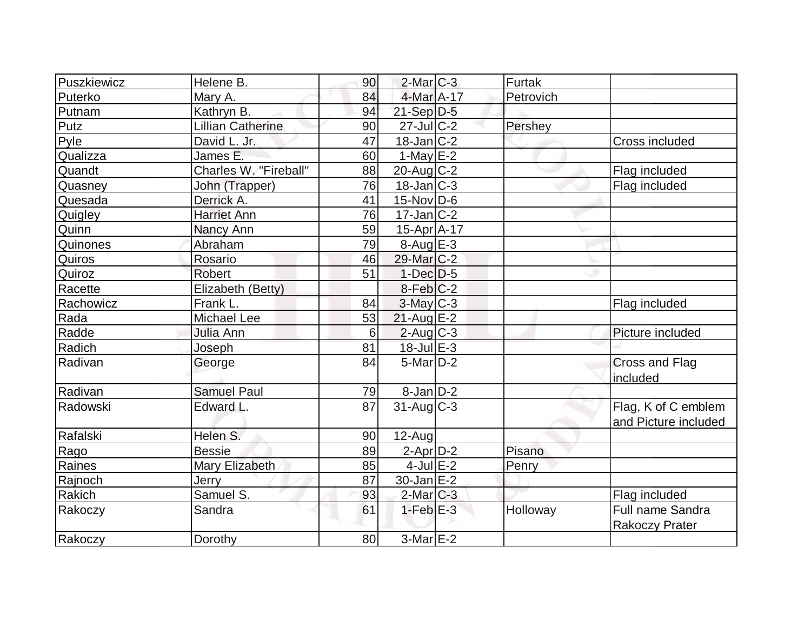| Puszkiewicz | Helene B.                | 90 | $2$ -Mar $C-3$        | Furtak    |                                                  |
|-------------|--------------------------|----|-----------------------|-----------|--------------------------------------------------|
| Puterko     | Mary A.                  | 84 | 4-Mar A-17            | Petrovich |                                                  |
| Putnam      | Kathryn B.               | 94 | $21-Sep D-5$          |           |                                                  |
| Putz        | <b>Lillian Catherine</b> | 90 | $27$ -Jul C-2         | Pershey   |                                                  |
| Pyle        | David L. Jr.             | 47 | $18 - Jan$ $C-2$      |           | Cross included                                   |
| Qualizza    | James E.                 | 60 | $1-May$ $E-2$         |           |                                                  |
| Quandt      | Charles W. "Fireball"    | 88 | $20$ -Aug $C-2$       |           | Flag included                                    |
| Quasney     | John (Trapper)           | 76 | $18$ -Jan $ C-3 $     |           | Flag included                                    |
| Quesada     | Derrick A.               | 41 | $15$ -Nov $ D-6$      |           |                                                  |
| Quigley     | <b>Harriet Ann</b>       | 76 | $17$ -Jan $ C-2 $     |           |                                                  |
| Quinn       | Nancy Ann                | 59 | $15$ -Apr $A$ -17     |           |                                                  |
| Quinones    | Abraham                  | 79 | $8-Aug$ E-3           |           |                                                  |
| Quiros      | Rosario                  | 46 | 29-Mar C-2            |           |                                                  |
| Quiroz      | Robert                   | 51 | $1-Dec$ D-5           |           |                                                  |
| Racette     | Elizabeth (Betty)        |    | $8-Feb C-2$           |           |                                                  |
| Rachowicz   | Frank L.                 | 84 | $3$ -May $C-3$        |           | Flag included                                    |
| Rada        | Michael Lee              | 53 | $21$ -Aug $E-2$       |           |                                                  |
| Radde       | Julia Ann                | 6  | $2$ -Aug C-3          |           | Picture included                                 |
| Radich      | Joseph                   | 81 | $18$ -Jul $E-3$       |           |                                                  |
| Radivan     | George                   | 84 | $5$ -Mar $D-2$        |           | Cross and Flag<br>included                       |
| Radivan     | <b>Samuel Paul</b>       | 79 | $8-Jan\overline{D-2}$ |           |                                                  |
| Radowski    | Edward L.                | 87 | $31$ -Aug C-3         |           | Flag, K of C emblem<br>and Picture included      |
| Rafalski    | Helen S.                 | 90 | $12-Auq$              |           |                                                  |
| Rago        | <b>Bessie</b>            | 89 | $2$ -Apr $D-2$        | Pisano    |                                                  |
| Raines      | Mary Elizabeth           | 85 | $4$ -Jul $E-2$        | Penry     |                                                  |
| Rajnoch     | Jerry                    | 87 | $30$ -Jan $E-2$       |           |                                                  |
| Rakich      | Samuel S.                | 93 | $2$ -Mar $C-3$        |           | Flag included                                    |
| Rakoczy     | Sandra                   | 61 | $1-FebE-3$            | Holloway  | <b>Full name Sandra</b><br><b>Rakoczy Prater</b> |
| Rakoczy     | Dorothy                  | 80 | $3-Mar \E-2$          |           |                                                  |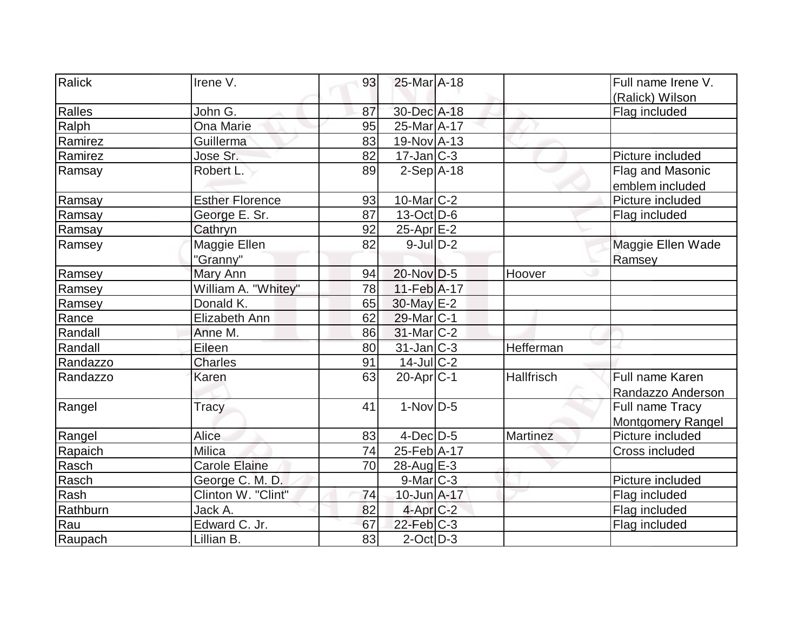| Ralick   | Irene V.               | 93 | 25-Mar A-18       |                   | Full name Irene V. |
|----------|------------------------|----|-------------------|-------------------|--------------------|
|          |                        |    |                   |                   | (Ralick) Wilson    |
| Ralles   | John G.                | 87 | 30-Dec A-18       |                   | Flag included      |
| Ralph    | Ona Marie              | 95 | 25-Mar A-17       |                   |                    |
| Ramirez  | Guillerma              | 83 | 19-Nov A-13       |                   |                    |
| Ramirez  | Jose Sr.               | 82 | $17$ -Jan $ C-3 $ |                   | Picture included   |
| Ramsay   | Robert L.              | 89 | $2-Sep$ $A-18$    |                   | Flag and Masonic   |
|          |                        |    |                   |                   | emblem included    |
| Ramsay   | <b>Esther Florence</b> | 93 | $10$ -Mar $ C-2 $ |                   | Picture included   |
| Ramsay   | George E. Sr.          | 87 | $13-Oct$ D-6      |                   | Flag included      |
| Ramsay   | Cathryn                | 92 | $25$ -Apr $E-2$   |                   |                    |
| Ramsey   | Maggie Ellen           | 82 | $9$ -JulD-2       |                   | Maggie Ellen Wade  |
|          | "Granny"               |    |                   |                   | Ramsey             |
| Ramsey   | Mary Ann               | 94 | 20-Nov D-5        | Hoover            |                    |
| Ramsey   | William A. "Whitey"    | 78 | $11-Feb$ A-17     |                   |                    |
| Ramsey   | Donald K.              | 65 | 30-May E-2        |                   |                    |
| Rance    | Elizabeth Ann          | 62 | $29$ -Mar $ C-1$  |                   |                    |
| Randall  | Anne M.                | 86 | $31$ -Mar $C-2$   |                   |                    |
| Randall  | Eileen                 | 80 | 31-Jan C-3        | Hefferman         |                    |
| Randazzo | <b>Charles</b>         | 91 | $14$ -JulC-2      |                   |                    |
| Randazzo | Karen                  | 63 | $20$ -Apr $ C-1 $ | <b>Hallfrisch</b> | Full name Karen    |
|          |                        |    |                   |                   | Randazzo Anderson  |
| Rangel   | Tracy                  | 41 | $1-Nov$ D-5       |                   | Full name Tracy    |
|          |                        |    |                   |                   | Montgomery Rangel  |
| Rangel   | <b>Alice</b>           | 83 | $4$ -Dec $D-5$    | Martinez          | Picture included   |
| Rapaich  | Milica                 | 74 | 25-Feb A-17       |                   | Cross included     |
| Rasch    | <b>Carole Elaine</b>   | 70 | $28$ -Aug $E-3$   |                   |                    |
| Rasch    | George C. M. D.        |    | $9$ -Mar $ C-3 $  |                   | Picture included   |
| Rash     | Clinton W. "Clint"     | 74 | 10-Jun A-17       |                   | Flag included      |
| Rathburn | Jack A.                | 82 | $4$ -Apr $C-2$    |                   | Flag included      |
| Rau      | Edward C. Jr.          | 67 | $22$ -Feb $ C-3 $ |                   | Flag included      |
| Raupach  | Lillian B.             | 83 | $2$ -Oct $ D-3 $  |                   |                    |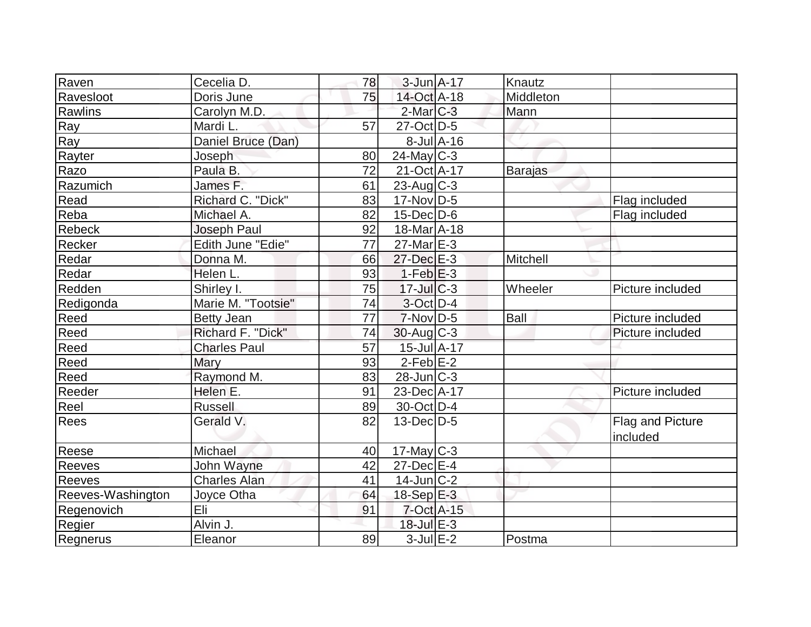| Raven             | Cecelia D.          | 78              | $3$ -Jun $A-17$              | Knautz         |                         |
|-------------------|---------------------|-----------------|------------------------------|----------------|-------------------------|
| Ravesloot         | Doris June          | 75              | 14-Oct A-18                  | Middleton      |                         |
| Rawlins           | Carolyn M.D.        |                 | $2$ -Mar $C-3$               | Mann           |                         |
| Ray               | Mardi L.            | 57              | 27-Oct D-5                   |                |                         |
| Ray               | Daniel Bruce (Dan)  |                 | $8$ -Jul $A$ -16             |                |                         |
| Rayter            | Joseph              | 80              | $24$ -May C-3                |                |                         |
| Razo              | Paula B.            | 72              | 21-Oct A-17                  | <b>Barajas</b> |                         |
| Razumich          | James F.            | 61              | $23$ -Aug C-3                |                |                         |
| Read              | Richard C. "Dick"   | 83              | $17$ -Nov $ D-5 $            |                | Flag included           |
| Reba              | Michael A.          | 82              | $15$ -Dec $D$ -6             |                | Flag included           |
| Rebeck            | Joseph Paul         | 92              | $18$ -Mar $\overline{A}$ -18 |                |                         |
| Recker            | Edith June "Edie"   | 77              | $27$ -Mar $E-3$              |                |                         |
| Redar             | Donna M.            | 66              | $27 - Dec$ E-3               | Mitchell       |                         |
| Redar             | Helen L.            | 93              | $1-Feb$ $E-3$                |                |                         |
| Redden            | Shirley I.          | 75              | $17$ -Jul $C-3$              | Wheeler        | Picture included        |
| Redigonda         | Marie M. "Tootsie"  | 74              | $3-Oct$ D-4                  |                |                         |
| Reed              | <b>Betty Jean</b>   | $\overline{77}$ | $7-Nov D-5$                  | Ball           | Picture included        |
| Reed              | Richard F. "Dick"   | 74              | $30$ -Aug C-3                |                | Picture included        |
| Reed              | <b>Charles Paul</b> | 57              | 15-Jul A-17                  |                |                         |
| Reed              | <b>Mary</b>         | 93              | $2-Feb$ $E-2$                |                |                         |
| Reed              | Raymond M.          | 83              | $28$ -Jun $C-3$              |                |                         |
| Reeder            | Helen E.            | 91              | 23-Dec A-17                  |                | Picture included        |
| Reel              | <b>Russell</b>      | 89              | $30$ -Oct D-4                |                |                         |
| Rees              | Gerald V.           | 82              | $13$ -Dec $D-5$              |                | <b>Flag and Picture</b> |
|                   |                     |                 |                              |                | included                |
| Reese             | Michael             | 40              | $17$ -May C-3                |                |                         |
| Reeves            | John Wayne          | 42              | $27$ -Dec $E-4$              |                |                         |
| <b>Reeves</b>     | <b>Charles Alan</b> | 41              | $14$ -Jun $ C-2 $            |                |                         |
| Reeves-Washington | Joyce Otha          | 64              | $18-Sep$ $E-3$               |                |                         |
| Regenovich        | Eli                 | 91              | $7$ -Oct $A$ -15             |                |                         |
| Regier            | Alvin J.            |                 | $18$ -Jul $E-3$              |                |                         |
| Regnerus          | Eleanor             | 89              | $3$ -Jul $E-2$               | Postma         |                         |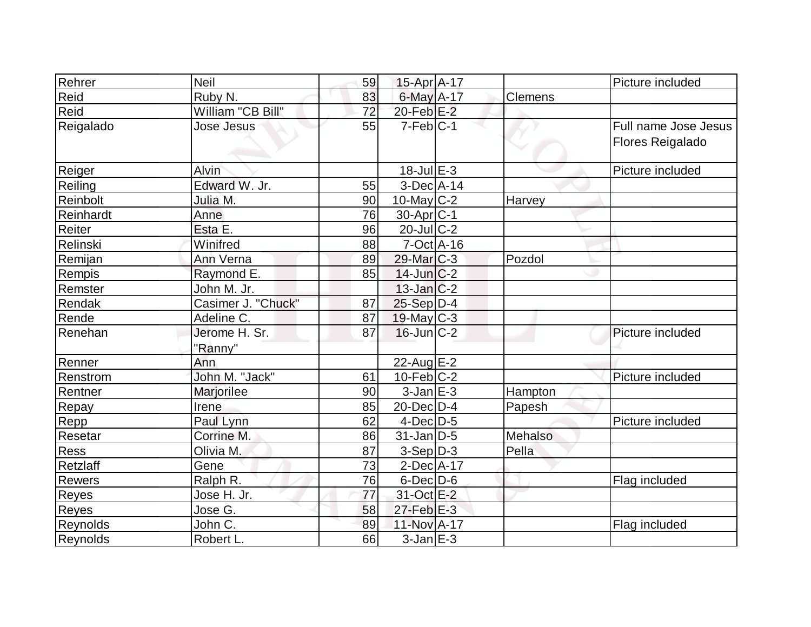| Rehrer          | <b>Neil</b>        | 59 | $15$ -Apr $A$ -17 |         | Picture included        |
|-----------------|--------------------|----|-------------------|---------|-------------------------|
| Reid            | Ruby N.            | 83 | $6$ -May $A$ -17  | Clemens |                         |
| Reid            | William "CB Bill"  | 72 | $20$ -Feb $E-2$   |         |                         |
| Reigalado       | Jose Jesus         | 55 | $7-Feb C-1$       |         | Full name Jose Jesus    |
|                 |                    |    |                   |         | <b>Flores Reigalado</b> |
|                 |                    |    |                   |         |                         |
| Reiger          | <b>Alvin</b>       |    | $18$ -Jul $E-3$   |         | Picture included        |
| Reiling         | Edward W. Jr.      | 55 | $3-Dec A-14$      |         |                         |
| Reinbolt        | Julia M.           | 90 | 10-May $C-2$      | Harvey  |                         |
| Reinhardt       | Anne               | 76 | $30$ -Apr $ C-1 $ |         |                         |
| Reiter          | Esta E.            | 96 | $20$ -JulC-2      |         |                         |
| Relinski        | Winifred           | 88 | $7-Oct$ $A-16$    |         |                         |
| Remijan         | Ann Verna          | 89 | $29$ -Mar $C-3$   | Pozdol  |                         |
| Rempis          | Raymond E.         | 85 | $14$ -Jun $C-2$   |         |                         |
| Remster         | John M. Jr.        |    | $13$ -Jan $ C-2 $ |         |                         |
| Rendak          | Casimer J. "Chuck" | 87 | $25-Sep$ D-4      |         |                         |
| Rende           | Adeline C.         | 87 | $19$ -May C-3     |         |                         |
| Renehan         | Jerome H. Sr.      | 87 | $16$ -Jun $C-2$   |         | Picture included        |
|                 | "Ranny"            |    |                   |         |                         |
| Renner          | Ann                |    | 22-Aug E-2        |         |                         |
| Renstrom        | John M. "Jack"     | 61 | $10$ -Feb $ C-2 $ |         | Picture included        |
| Rentner         | Marjorilee         | 90 | $3$ -Jan $E-3$    | Hampton |                         |
| Repay           | Irene              | 85 | $20$ -Dec $D-4$   | Papesh  |                         |
| Repp            | Paul Lynn          | 62 | $4$ -Dec $D-5$    |         | Picture included        |
| Resetar         | Corrine M.         | 86 | $31$ -Jan D-5     | Mehalso |                         |
| <b>Ress</b>     | Olivia M.          | 87 | $3-Sep D-3$       | Pella   |                         |
| Retzlaff        | Gene               | 73 | $2$ -Dec $A$ -17  |         |                         |
| <b>Rewers</b>   | Ralph R.           | 76 | $6$ -Dec $D$ -6   |         | Flag included           |
| Reyes           | Jose H. Jr.        | 77 | 31-Oct E-2        |         |                         |
| <b>Reyes</b>    | Jose G.            | 58 | $27$ -Feb $E-3$   |         |                         |
| <b>Reynolds</b> | John C.            | 89 | 11-Nov A-17       |         | Flag included           |
| Reynolds        | Robert L.          | 66 | $3$ -Jan $E-3$    |         |                         |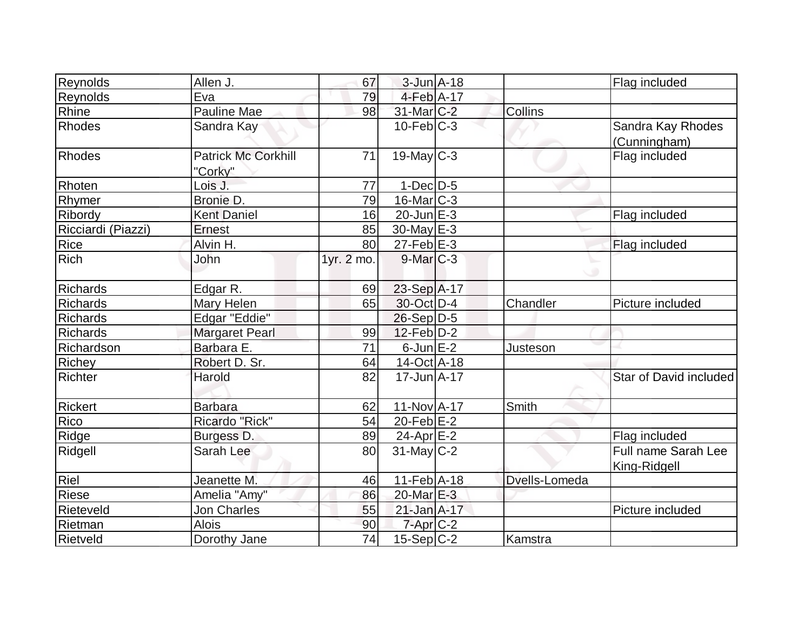| Reynolds           | Allen J.                              | 67         | 3-Jun A-18             |               | Flag included                       |
|--------------------|---------------------------------------|------------|------------------------|---------------|-------------------------------------|
| Reynolds           | Eva                                   | 79         | $4$ -Feb $A$ -17       |               |                                     |
| Rhine              | <b>Pauline Mae</b>                    | 98         | 31-Mar <sub>C</sub> -2 | Collins       |                                     |
| Rhodes             | Sandra Kay                            |            | $10$ -Feb $ C-3 $      |               | Sandra Kay Rhodes<br>(Cunningham)   |
| <b>Rhodes</b>      | <b>Patrick Mc Corkhill</b><br>"Corky" | 71         | $19$ -May $C-3$        |               | Flag included                       |
| Rhoten             | Lois J.                               | 77         | $1-Dec$ $D-5$          |               |                                     |
| Rhymer             | Bronie D.                             | 79         | 16-Mar <sub>C-3</sub>  |               |                                     |
| Ribordy            | <b>Kent Daniel</b>                    | 16         | $20$ -Jun $E-3$        |               | Flag included                       |
| Ricciardi (Piazzi) | Ernest                                | 85         | $30$ -May $E-3$        |               |                                     |
| Rice               | Alvin H.                              | 80         | $27$ -Feb $E$ -3       |               | Flag included                       |
| <b>Rich</b>        | John                                  | 1yr. 2 mo. | $9$ -Mar $C-3$         |               |                                     |
| <b>Richards</b>    | Edgar R.                              | 69         | 23-Sep A-17            |               |                                     |
| Richards           | Mary Helen                            | 65         | 30-Oct D-4             | Chandler      | Picture included                    |
| <b>Richards</b>    | Edgar "Eddie"                         |            | $26-Sep D-5$           |               |                                     |
| Richards           | <b>Margaret Pearl</b>                 | 99         | $12$ -Feb $D-2$        |               |                                     |
| Richardson         | Barbara E.                            | 71         | $6$ -Jun $E-2$         | Justeson      |                                     |
| <b>Richey</b>      | Robert D. Sr.                         | 64         | 14-Oct A-18            |               |                                     |
| Richter            | Harold                                | 82         | $17$ -Jun $A-17$       |               | Star of David included              |
| <b>Rickert</b>     | <b>Barbara</b>                        | 62         | 11-Nov A-17            | Smith         |                                     |
| Rico               | Ricardo "Rick"                        | 54         | $20$ -Feb $E-2$        |               |                                     |
| Ridge              | Burgess D.                            | 89         | $24$ -Apr $E-2$        |               | Flag included                       |
| Ridgell            | Sarah Lee                             | 80         | $31$ -May C-2          |               | Full name Sarah Lee<br>King-Ridgell |
| Riel               | Jeanette M.                           | 46         | $11-Feb$ A-18          | Dvells-Lomeda |                                     |
| Riese              | Amelia "Amy"                          | 86         | 20-Mar E-3             |               |                                     |
| Rieteveld          | <b>Jon Charles</b>                    | 55         | $21$ -Jan $A-17$       |               | Picture included                    |
| Rietman            | <b>Alois</b>                          | 90         | $7 - Apr$ $C-2$        |               |                                     |
| <b>Rietveld</b>    | Dorothy Jane                          | 74         | $15-Sep C-2$           | Kamstra       |                                     |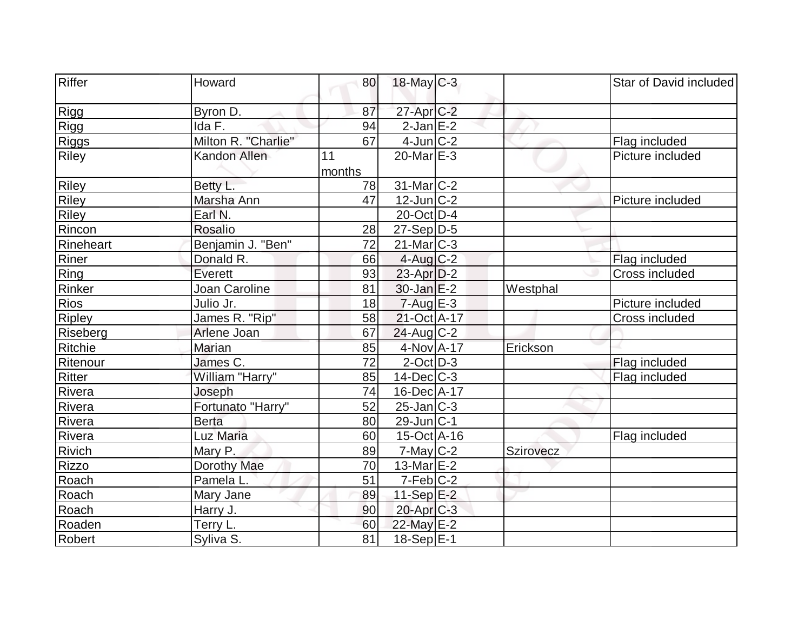| Riffer        | Howard              | 80           | $18$ -May C-3         |           | Star of David included |
|---------------|---------------------|--------------|-----------------------|-----------|------------------------|
| Rigg          | Byron D.            | 87           | $27$ -Apr $C-2$       |           |                        |
| Rigg          | Ida F.              | 94           | $2$ -Jan $E-2$        |           |                        |
| <b>Riggs</b>  | Milton R. "Charlie" | 67           | $4$ -Jun $C-2$        |           | Flag included          |
| <b>Riley</b>  | Kandon Allen        | 11<br>months | $20$ -Mar $E-3$       |           | Picture included       |
| <b>Riley</b>  | Betty L.            | 78           | $31$ -Mar $ C-2 $     |           |                        |
| Riley         | Marsha Ann          | 47           | $12$ -Jun $C-2$       |           | Picture included       |
| Riley         | Earl N.             |              | $20$ -Oct D-4         |           |                        |
| Rincon        | Rosalio             | 28           | $27-Sep D-5$          |           |                        |
| Rineheart     | Benjamin J. "Ben"   | 72           | $21$ -Mar $ C-3 $     |           |                        |
| Riner         | Donald R.           | 66           | $4$ -Aug C-2          |           | Flag included          |
| Ring          | Everett             | 93           | $23$ -Apr $D-2$       |           | Cross included         |
| Rinker        | Joan Caroline       | 81           | $30$ -Jan $E-2$       | Westphal  |                        |
| Rios          | Julio Jr.           | 18           | $7 - Aug$ E-3         |           | Picture included       |
| <b>Ripley</b> | James R. "Rip"      | 58           | 21-Oct A-17           |           | Cross included         |
| Riseberg      | Arlene Joan         | 67           | $24$ -Aug C-2         |           |                        |
| Ritchie       | Marian              | 85           | 4-Nov A-17            | Erickson  |                        |
| Ritenour      | James C.            | 72           | $2$ -Oct $D-3$        |           | Flag included          |
| Ritter        | William "Harry"     | 85           | $14$ -Dec $ C-3 $     |           | Flag included          |
| Rivera        | Joseph              | 74           | 16-Dec A-17           |           |                        |
| Rivera        | Fortunato "Harry"   | 52           | $25$ -Jan $ C-3 $     |           |                        |
| Rivera        | <b>Berta</b>        | 80           | $29$ -Jun $ C-1$      |           |                        |
| Rivera        | Luz Maria           | 60           | $15$ -Oct A-16        |           | Flag included          |
| <b>Rivich</b> | Mary P.             | 89           | $7$ -May $C$ -2       | Szirovecz |                        |
| Rizzo         | Dorothy Mae         | 70           | $13$ -Mar $E-2$       |           |                        |
| Roach         | Pamela L.           | 51           | $7-Feb$ $C-2$         |           |                        |
| Roach         | Mary Jane           | 89           | 11-Sep $E-2$          |           |                        |
| Roach         | Harry J.            | 90           | 20-Apr <sub>C-3</sub> |           |                        |
| Roaden        | Terry L.            | 60           | 22-May E-2            |           |                        |
| <b>Robert</b> | Syliva S.           | 81           | 18-Sep E-1            |           |                        |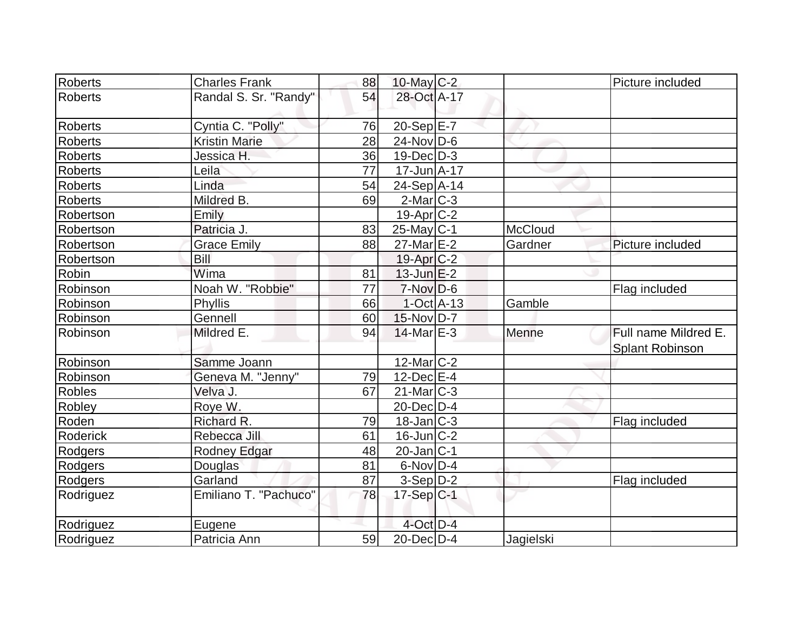| Roberts        |                       |    |                   |                |                        |
|----------------|-----------------------|----|-------------------|----------------|------------------------|
|                | <b>Charles Frank</b>  | 88 | 10-May $C-2$      |                | Picture included       |
| <b>Roberts</b> | Randal S. Sr. "Randy" | 54 | 28-Oct A-17       |                |                        |
| <b>Roberts</b> | Cyntia C. "Polly"     | 76 | $20-Sep$ $E-7$    |                |                        |
| Roberts        | <b>Kristin Marie</b>  | 28 | $24$ -Nov $ D-6$  |                |                        |
| <b>Roberts</b> | Jessica H.            | 36 | $19$ -Dec $ D-3 $ |                |                        |
| <b>Roberts</b> | Leila                 | 77 | $17$ -Jun $A$ -17 |                |                        |
| <b>Roberts</b> | Linda                 | 54 | 24-Sep A-14       |                |                        |
| Roberts        | Mildred B.            | 69 | $2$ -Mar $C-3$    |                |                        |
| Robertson      | Emily                 |    | $19$ -Apr $ C-2 $ |                |                        |
| Robertson      | Patricia J.           | 83 | $25$ -May C-1     | <b>McCloud</b> |                        |
| Robertson      | <b>Grace Emily</b>    | 88 | $27$ -Mar $E-2$   | Gardner        | Picture included       |
| Robertson      | Bill                  |    | $19$ -Apr $C-2$   |                |                        |
| Robin          | Wima                  | 81 | $13$ -Jun $E-2$   |                |                        |
| Robinson       | Noah W. "Robbie"      | 77 | $7-Nov D-6$       |                | Flag included          |
| Robinson       | Phyllis               | 66 | $1-Oct$ A-13      | Gamble         |                        |
| Robinson       | Gennell               | 60 | $15$ -Nov $ D-7 $ |                |                        |
| Robinson       | Mildred E.            | 94 | $14$ -Mar $E-3$   | Menne          | Full name Mildred E.   |
|                |                       |    |                   |                | <b>Splant Robinson</b> |
| Robinson       | Samme Joann           |    | $12$ -Mar $ C-2 $ |                |                        |
| Robinson       | Geneva M. "Jenny"     | 79 | $12$ -Dec $E-4$   |                |                        |
| <b>Robles</b>  | Velva J.              | 67 | $21$ -Mar $C-3$   |                |                        |
| Robley         | Roye W.               |    | 20-Dec D-4        |                |                        |
| Roden          | Richard R.            | 79 | $18$ -Jan $ C-3 $ |                | Flag included          |
| Roderick       | Rebecca Jill          | 61 | $16$ -Jun $ C-2 $ |                |                        |
| Rodgers        | Rodney Edgar          | 48 | $20$ -Jan $ C-1 $ |                |                        |
| Rodgers        | Douglas               | 81 | $6-Nov$ D-4       |                |                        |
| Rodgers        | Garland               | 87 | $3-Sep D-2$       |                | Flag included          |
| Rodriguez      | Emiliano T. "Pachuco" | 78 | $17-Sep C-1$      |                |                        |
| Rodriguez      | Eugene                |    | $4$ -Oct $D-4$    |                |                        |
| Rodriguez      | Patricia Ann          | 59 | $20$ -Dec $D-4$   | Jagielski      |                        |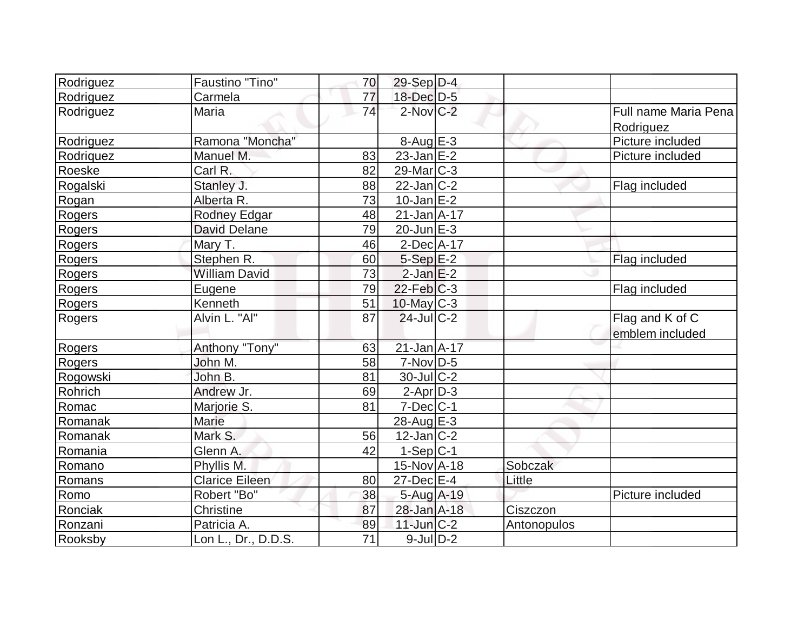| Rodriguez     | Faustino "Tino"       | 70              | $29-Sep D-4$      |             |                      |
|---------------|-----------------------|-----------------|-------------------|-------------|----------------------|
| Rodriguez     | Carmela               | 77              | 18-Dec D-5        |             |                      |
| Rodriguez     | Maria                 | $\overline{74}$ | $2$ -Nov $C-2$    |             | Full name Maria Pena |
|               |                       |                 |                   |             | Rodriguez            |
| Rodriguez     | Ramona "Moncha"       |                 | $8-Aug$ $E-3$     |             | Picture included     |
| Rodriquez     | Manuel M.             | 83              | $23$ -Jan $E-2$   |             | Picture included     |
| Roeske        | Carl R.               | 82              | $29$ -Mar $C-3$   |             |                      |
| Rogalski      | Stanley J.            | 88              | $22$ -Jan $ C-2 $ |             | Flag included        |
| Rogan         | Alberta R.            | 73              | $10$ -Jan $E-2$   |             |                      |
| Rogers        | Rodney Edgar          | 48              | $21$ -Jan $A$ -17 |             |                      |
| Rogers        | <b>David Delane</b>   | 79              | $20$ -Jun $E-3$   |             |                      |
| Rogers        | Mary T.               | 46              | $2$ -Dec $A$ -17  |             |                      |
| Rogers        | Stephen R.            | 60              | $5-Sep$ $E-2$     |             | Flag included        |
| Rogers        | <b>William David</b>  | 73              | $2$ -Jan $E-2$    |             |                      |
| Rogers        | Eugene                | 79              | $22$ -Feb $ C-3 $ |             | Flag included        |
| Rogers        | Kenneth               | 51              | 10-May C-3        |             |                      |
| Rogers        | Alvin L. "Al"         | 87              | $24$ -JulC-2      |             | Flag and K of C      |
|               |                       |                 |                   |             | emblem included      |
| <b>Rogers</b> | Anthony "Tony"        | 63              | $21$ -Jan $A-17$  |             |                      |
| Rogers        | John M.               | 58              | $7-Nov D-5$       |             |                      |
| Rogowski      | John B.               | 81              | $30$ -JulC-2      |             |                      |
| Rohrich       | Andrew Jr.            | 69              | $2-Apr D-3$       |             |                      |
| Romac         | Marjorie S.           | 81              | $7$ -Dec $ C-1 $  |             |                      |
| Romanak       | <b>Marie</b>          |                 | $28$ -Aug $E-3$   |             |                      |
| Romanak       | Mark S.               | 56              | $12$ -Jan $ C-2 $ |             |                      |
| Romania       | Glenn A.              | 42              | $1-Sep C-1$       |             |                      |
| Romano        | Phyllis M.            |                 | $15$ -Nov $A$ -18 | Sobczak     |                      |
| Romans        | <b>Clarice Eileen</b> | 80              | $27$ -Dec $E-4$   | Little      |                      |
| Romo          | Robert "Bo"           | 38              | 5-Aug A-19        |             | Picture included     |
| Ronciak       | Christine             | 87              | 28-Jan A-18       | Ciszczon    |                      |
| Ronzani       | Patricia A.           | 89              | $11$ -Jun $C-2$   | Antonopulos |                      |
| Rooksby       | Lon L., Dr., D.D.S.   | 71              | $9$ -Jul $D-2$    |             |                      |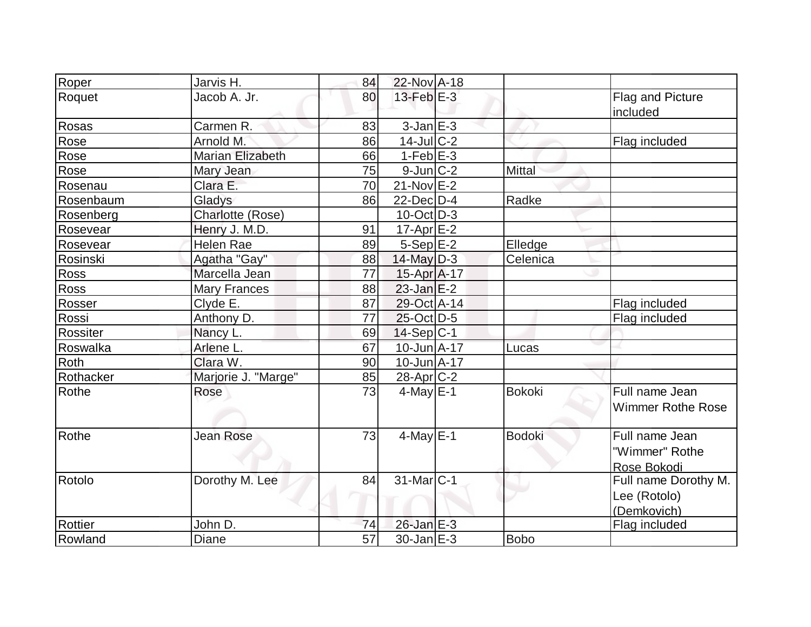| Roper     | Jarvis H.           | 84 | 22-Nov A-18            |               |                                                     |
|-----------|---------------------|----|------------------------|---------------|-----------------------------------------------------|
| Roquet    | Jacob A. Jr.        | 80 | $13$ -Feb $E-3$        |               | Flag and Picture<br>included                        |
| Rosas     | Carmen R.           | 83 | $3$ -Jan $E-3$         |               |                                                     |
| Rose      | Arnold M.           | 86 | $14$ -JulC-2           |               | Flag included                                       |
| Rose      | Marian Elizabeth    | 66 | $1-Feb$ $E-3$          |               |                                                     |
| Rose      | Mary Jean           | 75 | $9$ -Jun $C-2$         | Mittal        |                                                     |
| Rosenau   | Clara E.            | 70 | $21-Nov$ $E-2$         |               |                                                     |
| Rosenbaum | Gladys              | 86 | $22$ -Dec $D-4$        | Radke         |                                                     |
| Rosenberg | Charlotte (Rose)    |    | $10$ -Oct $D-3$        |               |                                                     |
| Rosevear  | Henry J. M.D.       | 91 | $17$ -Apr $E-2$        |               |                                                     |
| Rosevear  | <b>Helen Rae</b>    | 89 | $5-Sep$ $E-2$          | Elledge       |                                                     |
| Rosinski  | Agatha "Gay"        | 88 | $14$ -May $D-3$        | Celenica      |                                                     |
| Ross      | Marcella Jean       | 77 | 15-Apr A-17            |               |                                                     |
| Ross      | <b>Mary Frances</b> | 88 | $23$ -Jan $E-2$        |               |                                                     |
| Rosser    | Clyde E.            | 87 | 29-Oct A-14            |               | Flag included                                       |
| Rossi     | Anthony D.          | 77 | $25$ -Oct D-5          |               | Flag included                                       |
| Rossiter  | Nancy L.            | 69 | $14-Sep C-1$           |               |                                                     |
| Roswalka  | Arlene L.           | 67 | 10-Jun A-17            | Lucas         |                                                     |
| Roth      | Clara W.            | 90 | $10$ -Jun $A$ -17      |               |                                                     |
| Rothacker | Marjorie J. "Marge" | 85 | $28$ -Apr $C-2$        |               |                                                     |
| Rothe     | Rose                | 73 | $4$ -May $E-1$         | <b>Bokoki</b> | Full name Jean<br><b>Wimmer Rothe Rose</b>          |
| Rothe     | <b>Jean Rose</b>    | 73 | $4$ -May $E-1$         | <b>Bodoki</b> | Full name Jean<br>"Wimmer" Rothe<br>Rose Bokodi     |
| Rotolo    | Dorothy M. Lee      | 84 | 31-Mar <sub>IC-1</sub> |               | Full name Dorothy M.<br>Lee (Rotolo)<br>(Demkovich) |
| Rottier   | John D.             | 74 | 26-Jan E-3             |               | Flag included                                       |
| Rowland   | <b>Diane</b>        | 57 | $30$ -Jan $E-3$        | <b>Bobo</b>   |                                                     |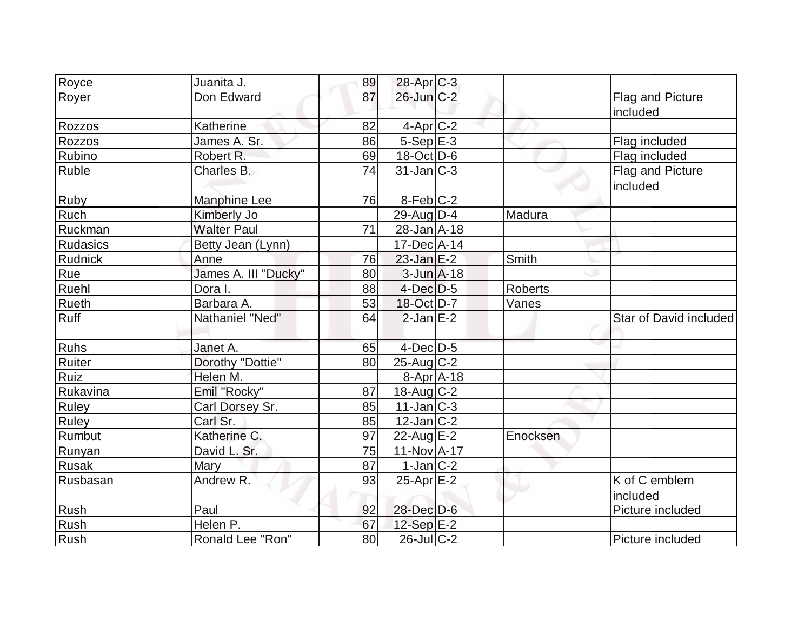| Royce           | Juanita J.           | 89 | 28-Apr C-3         |                |                              |
|-----------------|----------------------|----|--------------------|----------------|------------------------------|
| Royer           | Don Edward           | 87 | 26-Jun C-2         |                | Flag and Picture<br>included |
| Rozzos          | Katherine            | 82 | $4$ -Apr $C-2$     |                |                              |
| Rozzos          | James A. Sr.         | 86 | $5-Sep$ E-3        |                | Flag included                |
| Rubino          | Robert R.            | 69 | 18-Oct D-6         |                | Flag included                |
| Ruble           | Charles B.           | 74 | $31$ -Jan $ C-3 $  |                | Flag and Picture<br>included |
| <b>Ruby</b>     | <b>Manphine Lee</b>  | 76 | $8-Feb$ C-2        |                |                              |
| <b>Ruch</b>     | Kimberly Jo          |    | $29$ -AugD-4       | Madura         |                              |
| Ruckman         | <b>Walter Paul</b>   | 71 | $28 - Jan$ A-18    |                |                              |
| <b>Rudasics</b> | Betty Jean (Lynn)    |    | 17-Dec A-14        |                |                              |
| Rudnick         | Anne                 | 76 | $23$ -Jan E-2      | Smith          |                              |
| Rue             | James A. III "Ducky" | 80 | $3$ -Jun $A$ -18   |                |                              |
| Ruehl           | Dora I.              | 88 | $4$ -Dec $D-5$     | <b>Roberts</b> |                              |
| <b>Rueth</b>    | Barbara A.           | 53 | 18-Oct D-7         | Vanes          |                              |
| Ruff            | Nathaniel "Ned"      | 64 | $2$ -Jan $E-2$     |                | Star of David included       |
| <b>Ruhs</b>     | Janet A.             | 65 | $4$ -Dec $D-5$     |                |                              |
| Ruiter          | Dorothy "Dottie"     | 80 | $25$ -Aug C-2      |                |                              |
| Ruiz            | Helen M.             |    | $8 - Apr$ $A - 18$ |                |                              |
| Rukavina        | Emil "Rocky"         | 87 | 18-Aug C-2         |                |                              |
| <b>Ruley</b>    | Carl Dorsey Sr.      | 85 | $11$ -Jan $ C-3 $  |                |                              |
| <b>Ruley</b>    | Carl Sr.             | 85 | $12$ -Jan $ C-2 $  |                |                              |
| Rumbut          | Katherine C.         | 97 | 22-Aug $E-2$       | Enocksen       |                              |
| Runyan          | David L. Sr.         | 75 | $11-Nov2 - 17$     |                |                              |
| <b>Rusak</b>    | Mary                 | 87 | $1-Jan$ C-2        |                |                              |
| Rusbasan        | Andrew R.            | 93 | $25$ -Apr $E-2$    |                | K of C emblem<br>included    |
| Rush            | Paul                 | 92 | 28-Dec D-6         |                | Picture included             |
| <b>Rush</b>     | Helen P.             | 67 | 12-Sep E-2         |                |                              |
| Rush            | Ronald Lee "Ron"     | 80 | $26$ -JulC-2       |                | Picture included             |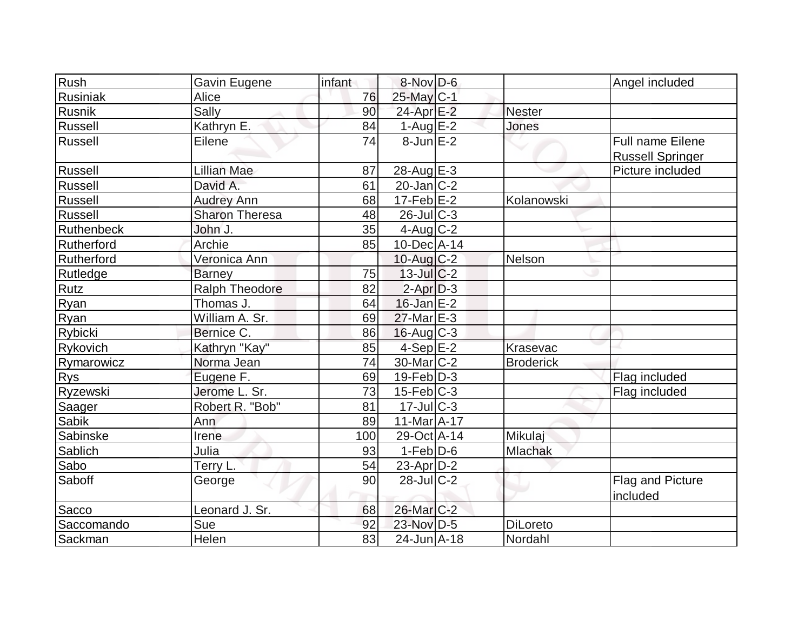| Rush            | Gavin Eugene          | infant | 8-Nov D-6             |                  | Angel included                                     |
|-----------------|-----------------------|--------|-----------------------|------------------|----------------------------------------------------|
| Rusiniak        | Alice                 | 76     | 25-May C-1            |                  |                                                    |
| Rusnik          | Sally                 | 90     | 24-Apr E-2            | <b>Nester</b>    |                                                    |
| Russell         | Kathryn E.            | 84     | $1-Aug$ E-2           | Jones            |                                                    |
| Russell         | Eilene                | 74     | $8$ -Jun $E-2$        |                  | <b>Full name Eilene</b><br><b>Russell Springer</b> |
| Russell         | <b>Lillian Mae</b>    | 87     | $28$ -Aug E-3         |                  | Picture included                                   |
| Russell         | David A.              | 61     | $20$ -Jan $ C-2 $     |                  |                                                    |
| <b>Russell</b>  | <b>Audrey Ann</b>     | 68     | $17$ -Feb $E-2$       | Kolanowski       |                                                    |
| Russell         | <b>Sharon Theresa</b> | 48     | $26$ -JulC-3          |                  |                                                    |
| Ruthenbeck      | John J.               | 35     | $4$ -Aug C-2          |                  |                                                    |
| Rutherford      | Archie                | 85     | $10$ -Dec $ A-14$     |                  |                                                    |
| Rutherford      | Veronica Ann          |        | $10$ -Aug $C-2$       | Nelson           |                                                    |
| <b>Rutledge</b> | <b>Barney</b>         | 75     | $13$ -Jul $C-2$       |                  |                                                    |
| Rutz            | <b>Ralph Theodore</b> | 82     | $2-Apr$ $D-3$         |                  |                                                    |
| Ryan            | Thomas J.             | 64     | $16$ -Jan $E-2$       |                  |                                                    |
| Ryan            | William A. Sr.        | 69     | $27$ -Mar $E-3$       |                  |                                                    |
| Rybicki         | Bernice C.            | 86     | $16$ -Aug $C-3$       |                  |                                                    |
| Rykovich        | Kathryn "Kay"         | 85     | $4-Sep$ E-2           | Krasevac         |                                                    |
| Rymarowicz      | Norma Jean            | 74     | $30$ -Mar $ C-2 $     | <b>Broderick</b> |                                                    |
| <b>Rys</b>      | Eugene F.             | 69     | $19$ -Feb $ D-3$      |                  | Flag included                                      |
| Ryzewski        | Jerome L. Sr.         | 73     | $15$ -Feb $ C-3 $     |                  | Flag included                                      |
| Saager          | Robert R. "Bob"       | 81     | $17$ -Jul $C-3$       |                  |                                                    |
| <b>Sabik</b>    | Ann                   | 89     | $11-Mar2 - 17$        |                  |                                                    |
| Sabinske        | Irene                 | 100    | 29-Oct A-14           | Mikulaj          |                                                    |
| Sablich         | Julia                 | 93     | $1-Feb$ $D-6$         | Mlachak          |                                                    |
| Sabo            | Terry L.              | 54     | $23$ -Apr $D-2$       |                  |                                                    |
| Saboff          | George                | 90     | $28$ -Jul $C-2$       |                  | Flag and Picture<br>included                       |
| Sacco           | Leonard J. Sr.        | 68     | 26-Mar <sub>C-2</sub> |                  |                                                    |
| Saccomando      | Sue                   | 92     | 23-Nov D-5            | <b>DiLoreto</b>  |                                                    |
| Sackman         | Helen                 | 83     | 24-Jun A-18           | Nordahl          |                                                    |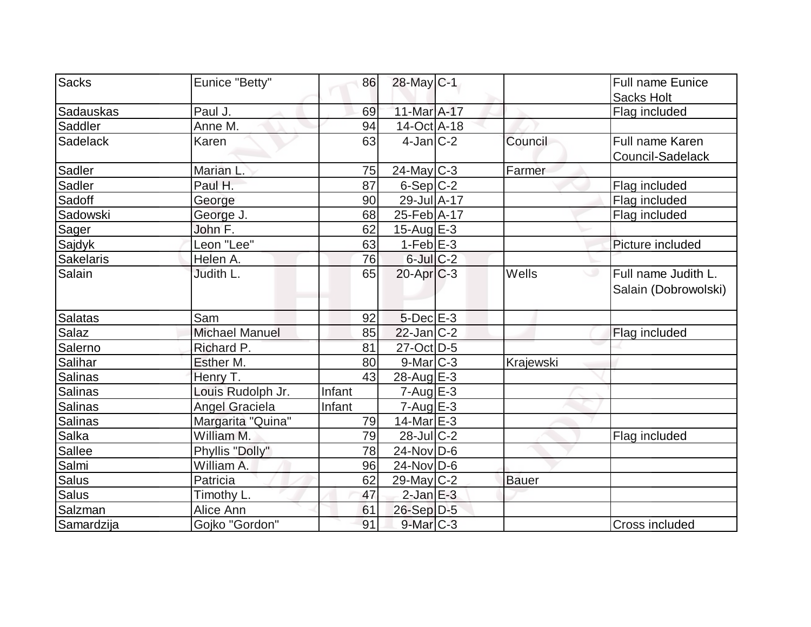| <b>Sacks</b>     | Eunice "Betty"        | 86     | 28-May C-1        |              | Full name Eunice     |
|------------------|-----------------------|--------|-------------------|--------------|----------------------|
|                  |                       |        |                   |              | <b>Sacks Holt</b>    |
| Sadauskas        | Paul J.               | 69     | 11-Mar A-17       |              | Flag included        |
| Saddler          | Anne M.               | 94     | $14-Oct$ A-18     |              |                      |
| Sadelack         | Karen                 | 63     | $4$ -Jan $ C-2 $  | Council      | Full name Karen      |
|                  |                       |        |                   |              | Council-Sadelack     |
| Sadler           | Marian L.             | 75     | $24$ -May C-3     | Farmer       |                      |
| Sadler           | Paul H.               | 87     | $6-Sep C-2$       |              | Flag included        |
| Sadoff           | George                | 90     | 29-Jul A-17       |              | Flag included        |
| Sadowski         | George J.             | 68     | 25-Feb A-17       |              | Flag included        |
| Sager            | John F.               | 62     | 15-Aug $E-3$      |              |                      |
| Sajdyk           | Leon "Lee"            | 63     | $1-Feb$ $E-3$     |              | Picture included     |
| <b>Sakelaris</b> | Helen A.              | 76     | $6$ -Jul $C$ -2   |              |                      |
| Salain           | Judith L.             | 65     | $20$ -Apr $C-3$   | Wells        | Full name Judith L.  |
|                  |                       |        |                   |              | Salain (Dobrowolski) |
|                  |                       |        |                   |              |                      |
| <b>Salatas</b>   | Sam                   | 92     | $5$ -Dec $E-3$    |              |                      |
| Salaz            | <b>Michael Manuel</b> | 85     | $22$ -Jan $ C-2 $ |              | Flag included        |
| Salerno          | Richard P.            | 81     | 27-Oct D-5        |              |                      |
| Salihar          | Esther M.             | 80     | $9$ -Mar $ C-3 $  | Krajewski    |                      |
| Salinas          | Henry T.              | 43     | 28-Aug $E-3$      |              |                      |
| Salinas          | Louis Rudolph Jr.     | Infant | $7 - Aug$ $E-3$   |              |                      |
| Salinas          | <b>Angel Graciela</b> | Infant | $7 - Aug$ E-3     |              |                      |
| <b>Salinas</b>   | Margarita "Quina"     | 79     | $14$ -Mar $E-3$   |              |                      |
| Salka            | William M.            | 79     | $28$ -Jul $C-2$   |              | Flag included        |
| Sallee           | Phyllis "Dolly"       | 78     | $24$ -Nov D-6     |              |                      |
| Salmi            | William A.            | 96     | $24$ -Nov D-6     |              |                      |
| <b>Salus</b>     | Patricia              | 62     | $29$ -May C-2     | <b>Bauer</b> |                      |
| Salus            | Timothy L.            | 47     | $2$ -Jan $E-3$    |              |                      |
| Salzman          | Alice Ann             | 61     | $26-Sep D-5$      |              |                      |
| Samardzija       | Gojko "Gordon"        | 91     | $9$ -Mar $C-3$    |              | Cross included       |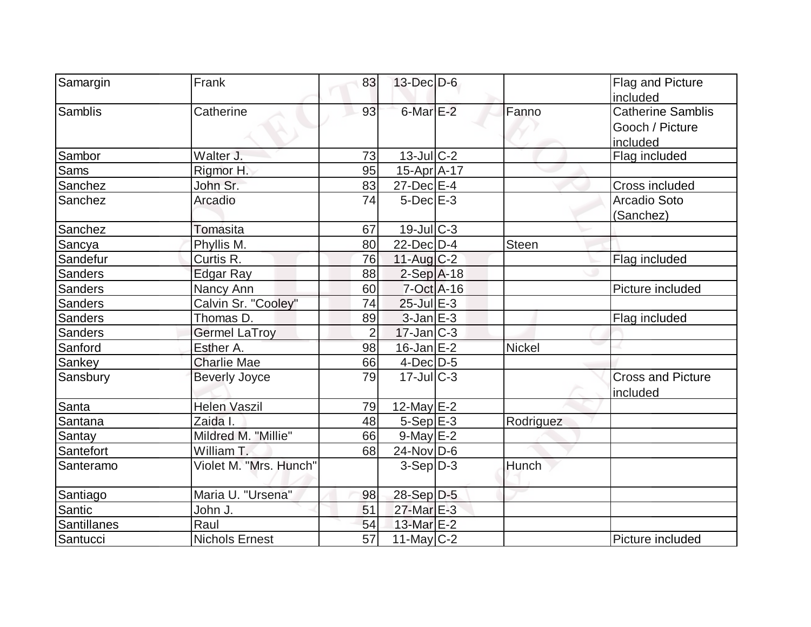| Samargin           | Frank                  | 83             | $13$ -Dec $D-6$   |               | Flag and Picture<br>included                            |
|--------------------|------------------------|----------------|-------------------|---------------|---------------------------------------------------------|
| Samblis            | Catherine              | 93             | $6$ -Mar $E-2$    | Fanno         | <b>Catherine Samblis</b><br>Gooch / Picture<br>included |
| Sambor             | Walter J.              | 73             | $13$ -JulC-2      |               | Flag included                                           |
| Sams               | Rigmor H.              | 95             | $15$ -Apr $A$ -17 |               |                                                         |
| Sanchez            | John Sr.               | 83             | $27$ -Dec $E-4$   |               | Cross included                                          |
| Sanchez            | Arcadio                | 74             | $5$ -Dec $E-3$    |               | Arcadio Soto<br>(Sanchez)                               |
| Sanchez            | Tomasita               | 67             | $19$ -Jul $C-3$   |               |                                                         |
| Sancya             | Phyllis M.             | 80             | $22$ -Dec $D-4$   | <b>Steen</b>  |                                                         |
| Sandefur           | Curtis R.              | 76             | $11-Auq$ $C-2$    |               | Flag included                                           |
| <b>Sanders</b>     | Edgar Ray              | 88             | $2-Sep$ A-18      |               |                                                         |
| <b>Sanders</b>     | Nancy Ann              | 60             | $7-Oct$ A-16      |               | Picture included                                        |
| Sanders            | Calvin Sr. "Cooley"    | 74             | $25$ -Jul $E-3$   |               |                                                         |
| Sanders            | Thomas D.              | 89             | $3$ -Jan $E-3$    |               | Flag included                                           |
| <b>Sanders</b>     | <b>Germel LaTroy</b>   | $\overline{2}$ | $17$ -Jan $ C-3 $ |               |                                                         |
| Sanford            | Esther A.              | 98             | $16$ -Jan $E-2$   | <b>Nickel</b> |                                                         |
| Sankey             | <b>Charlie Mae</b>     | 66             | $4$ -Dec $D-5$    |               |                                                         |
| Sansbury           | <b>Beverly Joyce</b>   | 79             | $17 -$ JulC-3     |               | <b>Cross and Picture</b><br>included                    |
| Santa              | <b>Helen Vaszil</b>    | 79             | 12-May $E-2$      |               |                                                         |
| Santana            | Zaida I.               | 48             | $5-Sep$ $E-3$     | Rodriguez     |                                                         |
| Santay             | Mildred M. "Millie"    | 66             | $9$ -May $E-2$    |               |                                                         |
| Santefort          | William T.             | 68             | $24$ -Nov D-6     |               |                                                         |
| Santeramo          | Violet M. "Mrs. Hunch" |                | $3-Sep D-3$       | Hunch         |                                                         |
| Santiago           | Maria U. "Ursena"      | 98             | 28-Sep D-5        |               |                                                         |
| Santic             | John J.                | 51             | 27-Mar E-3        |               |                                                         |
| <b>Santillanes</b> | Raul                   | 54             | 13-Mar E-2        |               |                                                         |
| Santucci           | <b>Nichols Ernest</b>  | 57             | $11$ -May C-2     |               | Picture included                                        |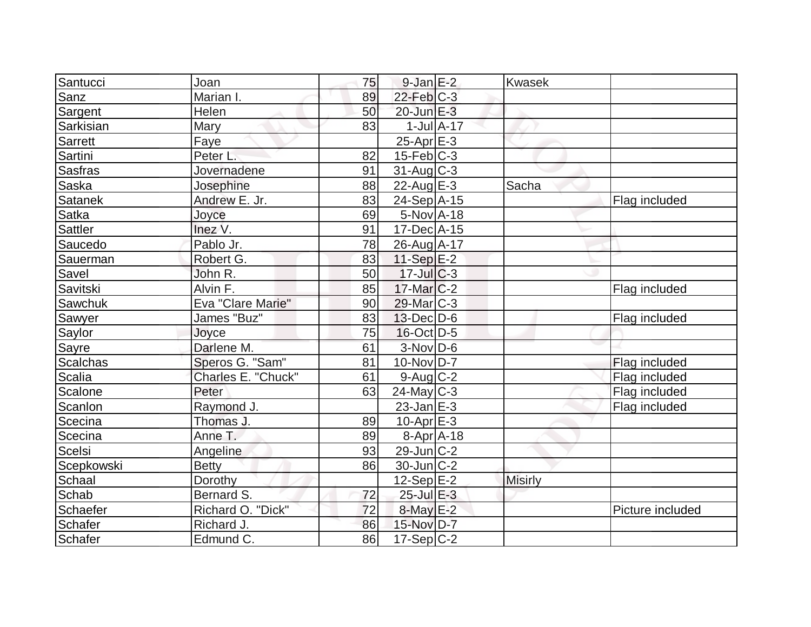| Santucci        | Joan               | 75 | $9$ -Jan $E-2$        |                  | <b>Kwasek</b>  |                  |
|-----------------|--------------------|----|-----------------------|------------------|----------------|------------------|
| Sanz            | Marian I.          | 89 | $22$ -Feb $C-3$       |                  |                |                  |
| Sargent         | Helen              | 50 | $20$ -Jun $E-3$       |                  |                |                  |
| Sarkisian       | Mary               | 83 |                       | $1$ -Jul $A$ -17 |                |                  |
| Sarrett         | Faye               |    | $25$ -Apr $E-3$       |                  |                |                  |
| Sartini         | Peter L.           | 82 | $15$ -Feb $ C-3 $     |                  |                |                  |
| <b>Sasfras</b>  | Jovernadene        | 91 | $31$ -Aug $C-3$       |                  |                |                  |
| Saska           | Josephine          | 88 | 22-Aug $E-3$          |                  | Sacha          |                  |
| Satanek         | Andrew E. Jr.      | 83 | 24-Sep A-15           |                  |                | Flag included    |
| Satka           | Joyce              | 69 | $5-Nov$ A-18          |                  |                |                  |
| Sattler         | Inez V.            | 91 | 17-Dec A-15           |                  |                |                  |
| Saucedo         | Pablo Jr.          | 78 | 26-Aug A-17           |                  |                |                  |
| Sauerman        | Robert G.          | 83 | 11-Sep E-2            |                  |                |                  |
| Savel           | John R.            | 50 | $17$ -Jul $C-3$       |                  |                |                  |
| Savitski        | Alvin F.           | 85 | $17$ -Mar $ C-2$      |                  |                | Flag included    |
| Sawchuk         | Eva "Clare Marie"  | 90 | 29-Mar <sub>C-3</sub> |                  |                |                  |
| Sawyer          | James "Buz"        | 83 | $13$ -Dec $D$ -6      |                  |                | Flag included    |
| Saylor          | Joyce              | 75 | $16$ -Oct $D-5$       |                  |                |                  |
| Sayre           | Darlene M.         | 61 | $3-Nov D-6$           |                  |                |                  |
| <b>Scalchas</b> | Speros G. "Sam"    | 81 | 10-Nov D-7            |                  |                | Flag included    |
| Scalia          | Charles E. "Chuck" | 61 | $9$ -Aug $C$ -2       |                  |                | Flag included    |
| Scalone         | Peter              | 63 | $24$ -May C-3         |                  |                | Flag included    |
| Scanlon         | Raymond J.         |    | $23$ -Jan $E-3$       |                  |                | Flag included    |
| Scecina         | Thomas J.          | 89 | $10$ -Apr $E-3$       |                  |                |                  |
| Scecina         | Anne T.            | 89 | $8 - Apr$ $A - 18$    |                  |                |                  |
| Scelsi          | Angeline           | 93 | $29$ -Jun $C-2$       |                  |                |                  |
| Scepkowski      | <b>Betty</b>       | 86 | $30$ -Jun $C-2$       |                  |                |                  |
| Schaal          | Dorothy            |    | $12-Sep$ $E-2$        |                  | <b>Misirly</b> |                  |
| Schab           | Bernard S.         | 72 | 25-Jul E-3            |                  |                |                  |
| Schaefer        | Richard O. "Dick"  | 72 | $8$ -May $E-2$        |                  |                | Picture included |
| Schafer         | Richard J.         | 86 | 15-Nov D-7            |                  |                |                  |
| Schafer         | Edmund C.          | 86 | $17-Sep C-2$          |                  |                |                  |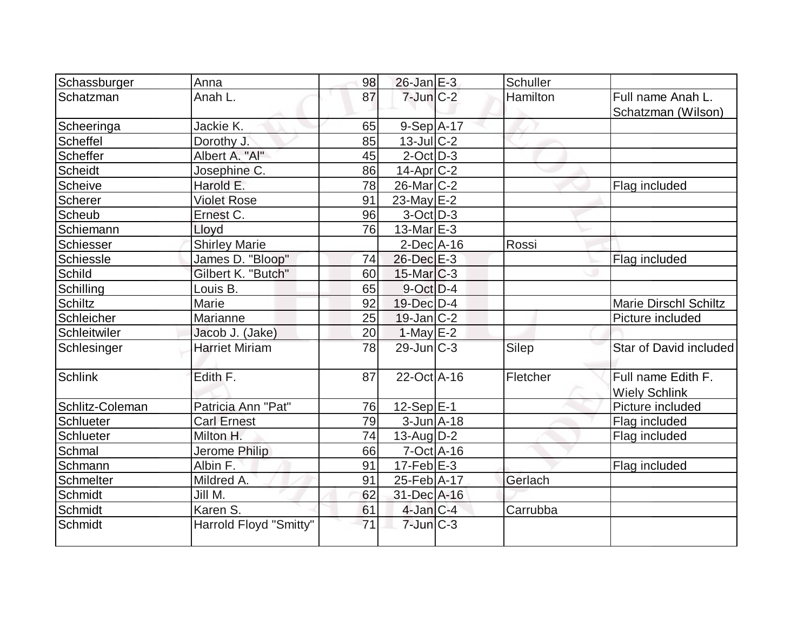| Schassburger    | Anna                   | 98 | $26$ -Jan $E-3$              | Schuller |                                            |
|-----------------|------------------------|----|------------------------------|----------|--------------------------------------------|
| Schatzman       | Anah L.                | 87 | $7$ -Jun $C-2$               | Hamilton | Full name Anah L.<br>Schatzman (Wilson)    |
| Scheeringa      | Jackie K.              | 65 | $9-Sep$ $A-17$               |          |                                            |
| Scheffel        | Dorothy J.             | 85 | 13-Jul C-2                   |          |                                            |
| Scheffer        | Albert A. "Al"         | 45 | $2$ -Oct $D-3$               |          |                                            |
| <b>Scheidt</b>  | Josephine C.           | 86 | $14$ -Apr $C-2$              |          |                                            |
| Scheive         | Harold E.              | 78 | $26$ -Mar $C-2$              |          | Flag included                              |
| Scherer         | <b>Violet Rose</b>     | 91 | $23$ -May $E-2$              |          |                                            |
| Scheub          | Ernest C.              | 96 | $3-Oct$ D-3                  |          |                                            |
| Schiemann       | Lloyd                  | 76 | $13$ -Mar $E-3$              |          |                                            |
| Schiesser       | <b>Shirley Marie</b>   |    | $2$ -Dec $A$ -16             | Rossi    |                                            |
| Schiessle       | James D. "Bloop"       | 74 | 26-Dec E-3                   |          | Flag included                              |
| Schild          | Gilbert K. "Butch"     | 60 | $15$ -Mar $ C-3 $            |          |                                            |
| Schilling       | Louis B.               | 65 | $9$ -Oct $D-4$               |          |                                            |
| <b>Schiltz</b>  | Marie                  | 92 | 19-Dec D-4                   |          | <b>Marie Dirschl Schiltz</b>               |
| Schleicher      | Marianne               | 25 | $19$ -Jan $ C-2 $            |          | Picture included                           |
| Schleitwiler    | Jacob J. (Jake)        | 20 | $1-May$ $E-2$                |          |                                            |
| Schlesinger     | <b>Harriet Miriam</b>  | 78 | $29$ -Jun $ C-3 $            | Silep    | Star of David included                     |
| Schlink         | Edith F.               | 87 | $22$ -Oct $\overline{A}$ -16 | Fletcher | Full name Edith F.<br><b>Wiely Schlink</b> |
| Schlitz-Coleman | Patricia Ann "Pat"     | 76 | $12-Sep$ E-1                 |          | Picture included                           |
| Schlueter       | <b>Carl Ernest</b>     | 79 | $3$ -Jun $A$ -18             |          | Flag included                              |
| Schlueter       | Milton H.              | 74 | $13$ -Aug $D-2$              |          | Flag included                              |
| Schmal          | Jerome Philip          | 66 | $7-Oct$ $A-16$               |          |                                            |
| Schmann         | Albin F.               | 91 | 17-Feb $E$ -3                |          | Flag included                              |
| Schmelter       | Mildred A.             | 91 | $25$ -Feb $ A-17 $           | Gerlach  |                                            |
| Schmidt         | Jill M.                | 62 | 31-Dec A-16                  |          |                                            |
| Schmidt         | Karen S.               | 61 | $4$ -Jan $ C-4 $             | Carrubba |                                            |
| Schmidt         | Harrold Floyd "Smitty" | 71 | $7$ -Jun $C-3$               |          |                                            |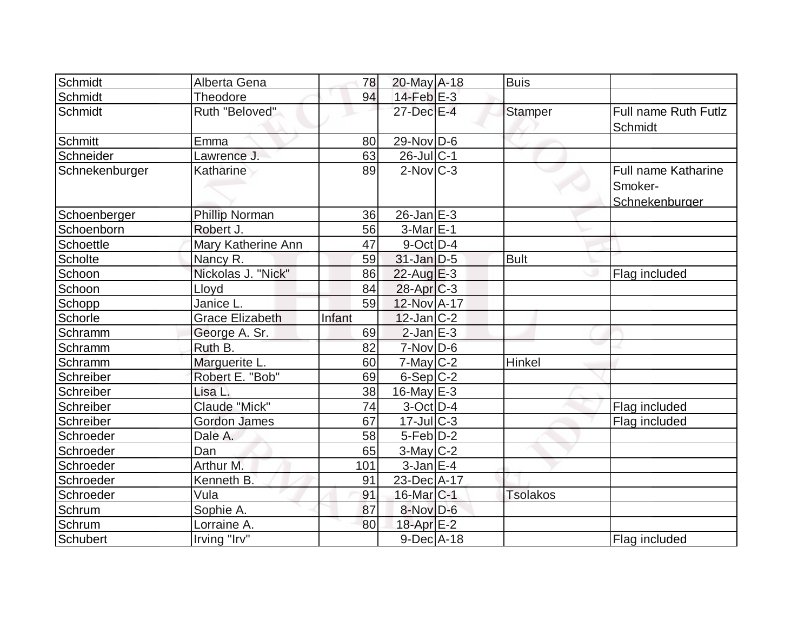| Schmidt          | Alberta Gena           | 78     | $20$ -May $A-18$        | <b>Buis</b>     |                                                         |
|------------------|------------------------|--------|-------------------------|-----------------|---------------------------------------------------------|
| Schmidt          | Theodore               | 94     | $14$ -Feb $E-3$         |                 |                                                         |
| Schmidt          | Ruth "Beloved"         |        | 27-Dec E-4              | <b>Stamper</b>  | <b>Full name Ruth Futlz</b><br>Schmidt                  |
| Schmitt          | Emma                   | 80     | $29$ -Nov $D$ -6        |                 |                                                         |
| Schneider        | Lawrence J.            | 63     | $26$ -Jul $C-1$         |                 |                                                         |
| Schnekenburger   | Katharine              | 89     | $2$ -Nov $ C-3 $        |                 | <b>Full name Katharine</b><br>Smoker-<br>Schnekenburger |
| Schoenberger     | <b>Phillip Norman</b>  | 36     | $26$ -Jan $E-3$         |                 |                                                         |
| Schoenborn       | Robert J.              | 56     | $3-MarE-1$              |                 |                                                         |
| <b>Schoettle</b> | Mary Katherine Ann     | 47     | $9$ -Oct $D-4$          |                 |                                                         |
| <b>Scholte</b>   | Nancy R.               | 59     | $31$ -Jan D-5           | <b>Bult</b>     |                                                         |
| Schoon           | Nickolas J. "Nick"     | 86     | $22$ -Aug $E-3$         |                 | Flag included                                           |
| Schoon           | Lloyd                  | 84     | $28$ -Apr $C-3$         |                 |                                                         |
| Schopp           | Janice L.              | 59     | 12-Nov A-17             |                 |                                                         |
| Schorle          | <b>Grace Elizabeth</b> | Infant | $12$ -Jan $ C-2 $       |                 |                                                         |
| Schramm          | George A. Sr.          | 69     | $2$ -Jan $E-3$          |                 |                                                         |
| Schramm          | Ruth B.                | 82     | $7-Nov$ D-6             |                 |                                                         |
| Schramm          | Marguerite L.          | 60     | $7$ -May $C-2$          | Hinkel          |                                                         |
| Schreiber        | Robert E. "Bob"        | 69     | $6-Sep C-2$             |                 |                                                         |
| Schreiber        | Lisa L.                | 38     | $16$ -May E-3           |                 |                                                         |
| Schreiber        | Claude "Mick"          | 74     | $3-Oct$ D-4             |                 | Flag included                                           |
| Schreiber        | <b>Gordon James</b>    | 67     | $17$ -JulC-3            |                 | Flag included                                           |
| Schroeder        | Dale A.                | 58     | $5-Feb D-2$             |                 |                                                         |
| Schroeder        | Dan                    | 65     | $3-May$ <sub>C</sub> -2 |                 |                                                         |
| Schroeder        | Arthur M.              | 101    | $3$ -Jan $E-4$          |                 |                                                         |
| Schroeder        | Kenneth B.             | 91     | 23-Dec A-17             |                 |                                                         |
| Schroeder        | Vula                   | 91     | 16-Mar C-1              | <b>Tsolakos</b> |                                                         |
| Schrum           | Sophie A.              | 87     | 8-Nov D-6               |                 |                                                         |
| Schrum           | Lorraine A.            | 80     | 18-Apr E-2              |                 |                                                         |
| Schubert         | Irving "Irv"           |        | $9$ -Dec $A$ -18        |                 | Flag included                                           |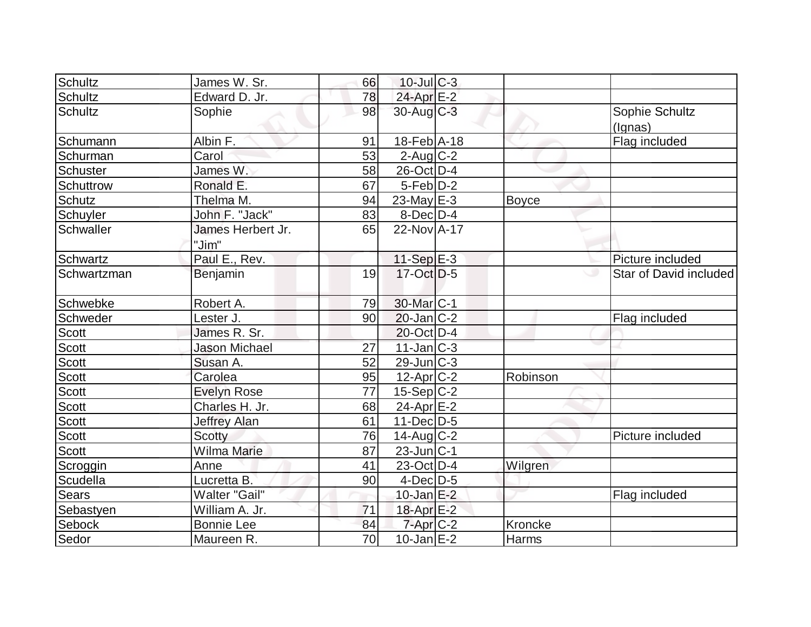| Schultz       | James W. Sr.               | 66              | $10$ -Jul $C-3$   |              |                           |
|---------------|----------------------------|-----------------|-------------------|--------------|---------------------------|
| Schultz       | Edward D. Jr.              | 78              | 24-Apr E-2        |              |                           |
| Schultz       | Sophie                     | 98              | $30$ -Aug C-3     |              | Sophie Schultz<br>(Ignas) |
| Schumann      | Albin F.                   | 91              | 18-Feb A-18       |              | Flag included             |
| Schurman      | Carol                      | 53              | $2$ -Aug $C-2$    |              |                           |
| Schuster      | James W.                   | 58              | 26-Oct D-4        |              |                           |
| Schuttrow     | Ronald E.                  | 67              | $5-Feb$ D-2       |              |                           |
| <b>Schutz</b> | Thelma M.                  | 94              | $23$ -May E-3     | Boyce        |                           |
| Schuyler      | John F. "Jack"             | 83              | $8$ -Dec $D-4$    |              |                           |
| Schwaller     | James Herbert Jr.<br>"Jim" | 65              | $22$ -Nov $A$ -17 |              |                           |
| Schwartz      | Paul E., Rev.              |                 | $11-Sep$ E-3      |              | Picture included          |
| Schwartzman   | Benjamin                   | 19              | $17-Oct$ D-5      |              | Star of David included    |
| Schwebke      | Robert A.                  | 79              | 30-Mar C-1        |              |                           |
| Schweder      | Lester J.                  | 90              | $20$ -Jan $ C-2 $ |              | Flag included             |
| Scott         | James R. Sr.               |                 | 20-Oct D-4        |              |                           |
| Scott         | <b>Jason Michael</b>       | 27              | $11$ -Jan $C-3$   |              |                           |
| Scott         | Susan A.                   | 52              | $29$ -Jun $ C-3 $ |              |                           |
| <b>Scott</b>  | Carolea                    | 95              | $12$ -Apr $ C-2 $ | Robinson     |                           |
| Scott         | <b>Evelyn Rose</b>         | 77              | $15-Sep C-2$      |              |                           |
| Scott         | Charles H. Jr.             | 68              | 24-Apr $E-2$      |              |                           |
| <b>Scott</b>  | <b>Jeffrey Alan</b>        | 61              | $11$ -Dec $D-5$   |              |                           |
| Scott         | <b>Scotty</b>              | 76              | $14$ -Aug $C-2$   |              | Picture included          |
| Scott         | Wilma Marie                | 87              | $23$ -Jun $ C-1 $ |              |                           |
| Scroggin      | Anne                       | 41              | 23-Oct D-4        | Wilgren      |                           |
| Scudella      | Lucretta B.                | 90              | $4$ -Dec $D-5$    |              |                           |
| Sears         | Walter "Gail"              |                 | $10$ -Jan $E-2$   |              | Flag included             |
| Sebastyen     | William A. Jr.             | 71              | 18-Apr E-2        |              |                           |
| Sebock        | <b>Bonnie Lee</b>          | 84              | $7$ -Apr $C$ -2   | Kroncke      |                           |
| Sedor         | Maureen R.                 | $\overline{70}$ | $10$ -Jan $E-2$   | <b>Harms</b> |                           |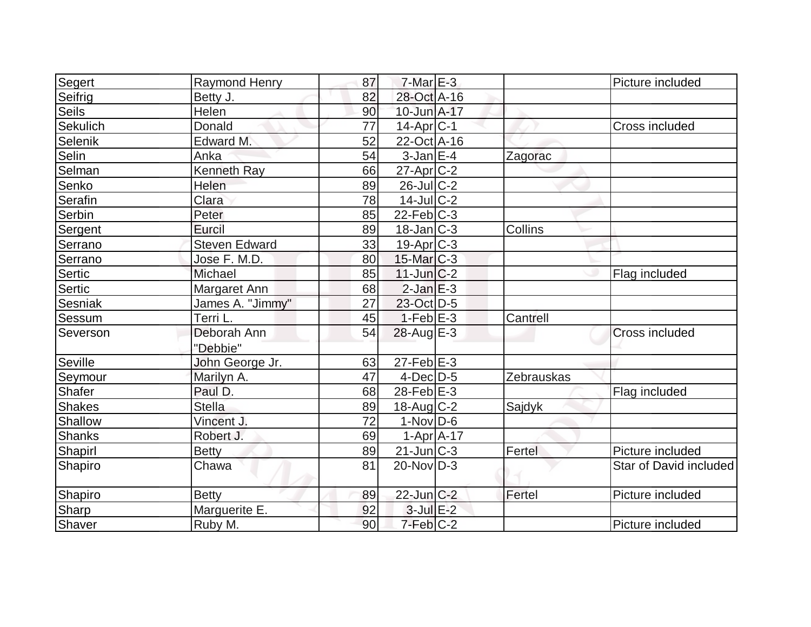| Segert        | Raymond Henry        | 87 | $7$ -Mar $E-3$         |            | Picture included       |
|---------------|----------------------|----|------------------------|------------|------------------------|
| Seifrig       | Betty J.             | 82 | 28-Oct A-16            |            |                        |
| <b>Seils</b>  | Helen                | 90 | 10-Jun A-17            |            |                        |
| Sekulich      | Donald               | 77 | $14$ -Apr $ C-1$       |            | Cross included         |
| Selenik       | Edward M.            | 52 | 22-Oct A-16            |            |                        |
| Selin         | Anka                 | 54 | $3$ -Jan $E-4$         | Zagorac    |                        |
| Selman        | Kenneth Ray          | 66 | $27$ -Apr $C-2$        |            |                        |
| Senko         | Helen                | 89 | $26$ -Jul $C-2$        |            |                        |
| Serafin       | Clara                | 78 | $14$ -Jul $C-2$        |            |                        |
| Serbin        | Peter                | 85 | $22$ -Feb $C-3$        |            |                        |
| Sergent       | Eurcil               | 89 | $18$ -Jan $ C-3 $      | Collins    |                        |
| Serrano       | <b>Steven Edward</b> | 33 | $19$ -Apr $C-3$        |            |                        |
| Serrano       | Jose F. M.D.         | 80 | $15$ -Mar $ C-3 $      |            |                        |
| Sertic        | Michael              | 85 | $11$ -Jun $C-2$        |            | Flag included          |
| Sertic        | Margaret Ann         | 68 | $2$ -Jan $E-3$         |            |                        |
| Sesniak       | James A. "Jimmy"     | 27 | 23-Oct D-5             |            |                        |
| Sessum        | Terri L.             | 45 | $1-Feb$ $E-3$          | Cantrell   |                        |
| Severson      | Deborah Ann          | 54 | $28$ -Aug $E-3$        |            | <b>Cross included</b>  |
|               | "Debbie"             |    |                        |            |                        |
| Seville       | John George Jr.      | 63 | $27$ -Feb $E-3$        |            |                        |
| Seymour       | Marilyn A.           | 47 | $4$ -Dec $D-5$         | Zebrauskas |                        |
| Shafer        | Paul D.              | 68 | $28$ -Feb $E-3$        |            | Flag included          |
| <b>Shakes</b> | <b>Stella</b>        | 89 | $18$ -Aug C-2          | Sajdyk     |                        |
| Shallow       | Vincent J.           | 72 | $1-Nov$ D-6            |            |                        |
| Shanks        | Robert J.            | 69 | $1-Apr$ $A-17$         |            |                        |
| Shapirl       | <b>Betty</b>         | 89 | $21$ -Jun $C-3$        | Fertel     | Picture included       |
| Shapiro       | Chawa                | 81 | $20$ -Nov $ D-3 $      |            | Star of David included |
| Shapiro       | <b>Betty</b>         | 89 | 22-Jun C-2             | Fertel     | Picture included       |
| Sharp         | Marguerite E.        | 92 | $3$ -Jul $E-2$         |            |                        |
| Shaver        | Ruby M.              | 90 | $7-Feb$ <sub>C-2</sub> |            | Picture included       |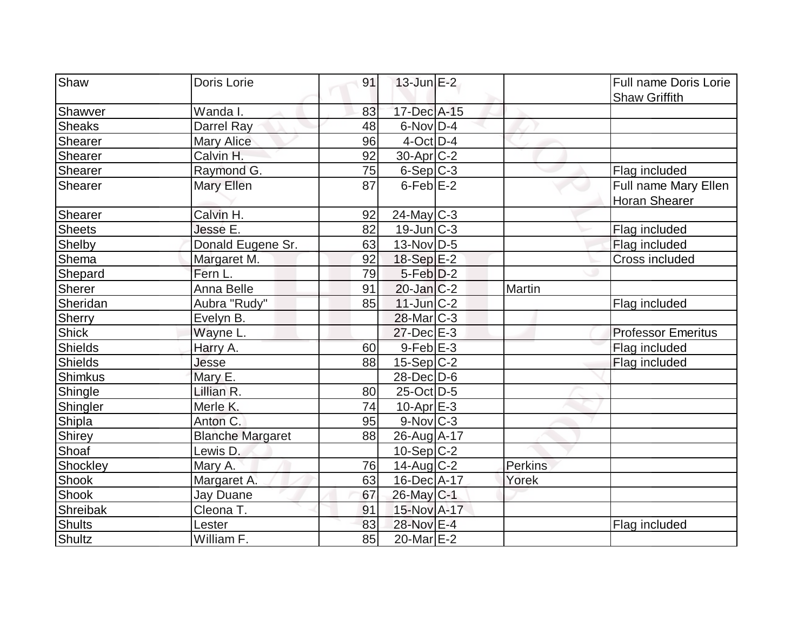| 91                                                        |                           |
|-----------------------------------------------------------|---------------------------|
| Shaw<br>$13$ -Jun $E-2$<br>Doris Lorie                    | Full name Doris Lorie     |
|                                                           | <b>Shaw Griffith</b>      |
| Wanda I.<br>17-Dec A-15<br>Shawver<br>83                  |                           |
| Darrel Ray<br>$6$ -Nov $D-4$<br><b>Sheaks</b><br>48       |                           |
| $4$ -Oct $ D-4 $<br>Shearer<br>96<br><b>Mary Alice</b>    |                           |
| $30$ -Apr $C-2$<br>Shearer<br>92<br>Calvin H.             |                           |
| 75<br>Shearer<br>Raymond G.<br>$6-Sep C-3$                | Flag included             |
| $6$ -Feb $E-2$<br>Shearer<br>Mary Ellen<br>87             | Full name Mary Ellen      |
|                                                           | Horan Shearer             |
| Calvin H.<br>$24$ -May C-3<br>Shearer<br>92               |                           |
| <b>Sheets</b><br>Jesse E.<br>$19$ -Jun $ C-3$<br>82       | Flag included             |
| 13-Nov D-5<br>Shelby<br>Donald Eugene Sr.<br>63           | Flag included             |
| Shema<br>18-Sep E-2<br>92<br>Margaret M.                  | Cross included            |
| Fern L.<br>79<br>$5-Feb D-2$<br>Shepard                   |                           |
| Anna Belle<br>Sherer<br>91<br>$20$ -Jan $ C-2 $<br>Martin |                           |
| $11$ -Jun $C-2$<br>Sheridan<br>Aubra "Rudy"<br>85         | Flag included             |
| Sherry<br>$28$ -Mar $C-3$<br>Evelyn B.                    |                           |
| <b>Shick</b><br>$27$ -Dec $E-3$<br>Wayne L.               | <b>Professor Emeritus</b> |
| $9$ -Feb $E-3$<br><b>Shields</b><br>Harry A.<br>60        | Flag included             |
| <b>Shields</b><br>$15-Sep C-2$<br>Jesse<br>88             | Flag included             |
| 28-Dec D-6<br>Shimkus<br>Mary E.                          |                           |
| Lillian R.<br>$25$ -Oct $D-5$<br>Shingle<br>80            |                           |
| Merle K.<br>74<br>$10$ -Apr $E-3$<br>Shingler             |                           |
| Shipla<br>Anton C.<br>$9-Nov$ <sub>C-3</sub><br>95        |                           |
| Shirey<br><b>Blanche Margaret</b><br>88<br>26-Aug A-17    |                           |
| 10-Sep C-2<br>Shoaf<br>Lewis D.                           |                           |
| Shockley<br>$14$ -Aug C-2<br>Perkins<br>Mary A.<br>76     |                           |
| Shook<br>Margaret A.<br>63<br>16-Dec A-17<br>Yorek        |                           |
| Shook<br>$26$ -May C-1<br>67<br>Jay Duane                 |                           |
| 15-Nov A-17<br>Shreibak<br>Cleona T.<br>91                |                           |
| <b>Shults</b><br>83<br>28-Nov E-4<br>Lester               | Flag included             |
| Shultz<br>William F.<br>85<br>20-Mar E-2                  |                           |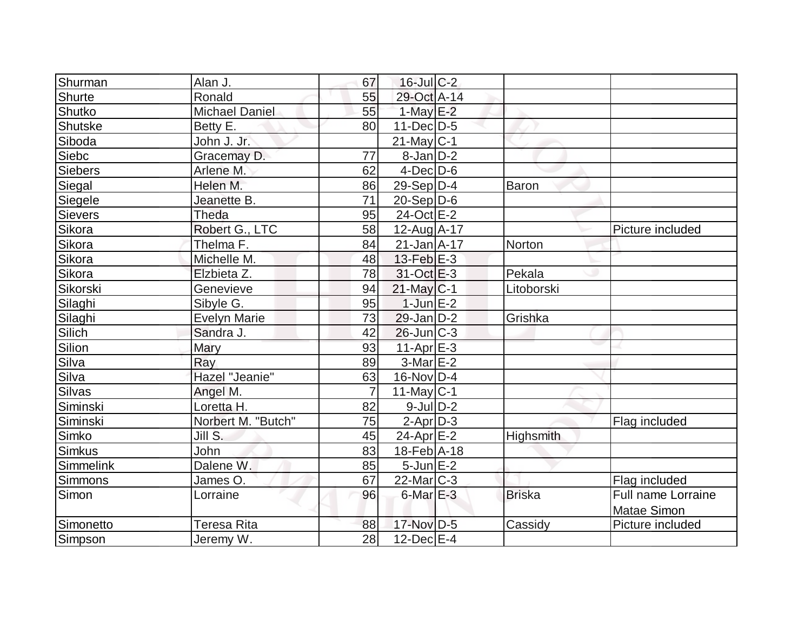| Shurman   | Alan J.               | 67             | $16$ -Jul $C-2$   |               |                           |
|-----------|-----------------------|----------------|-------------------|---------------|---------------------------|
| Shurte    | Ronald                | 55             | 29-Oct A-14       |               |                           |
| Shutko    | <b>Michael Daniel</b> | 55             | 1-May $E-2$       |               |                           |
| Shutske   | Betty E.              | 80             | $11$ -Dec $D-5$   |               |                           |
| Siboda    | John J. Jr.           |                | $21$ -May C-1     |               |                           |
| Siebc     | Gracemay D.           | 77             | $8$ -Jan $D-2$    |               |                           |
| Siebers   | Arlene M.             | 62             | $4$ -Dec $D-6$    |               |                           |
| Siegal    | Helen M.              | 86             | 29-Sep $ D-4 $    | Baron         |                           |
| Siegele   | Jeanette B.           | 71             | $20-Sep D-6$      |               |                           |
| Sievers   | Theda                 | 95             | 24-Oct E-2        |               |                           |
| Sikora    | Robert G., LTC        | 58             | 12-Aug A-17       |               | Picture included          |
| Sikora    | Thelma F.             | 84             | $21$ -Jan $A$ -17 | Norton        |                           |
| Sikora    | Michelle M.           | 48             | $13$ -Feb $E-3$   |               |                           |
| Sikora    | Elzbieta Z.           | 78             | $31-Oct$ $E-3$    | Pekala        |                           |
| Sikorski  | Genevieve             | 94             | $21$ -May C-1     | Litoborski    |                           |
| Silaghi   | Sibyle G.             | 95             | $1$ -Jun $E-2$    |               |                           |
| Silaghi   | <b>Evelyn Marie</b>   | 73             | $29$ -Jan $D-2$   | Grishka       |                           |
| Silich    | Sandra J.             | 42             | $26$ -Jun $ C-3 $ |               |                           |
| Silion    | Mary                  | 93             | $11-Apr$ $E-3$    |               |                           |
| Silva     | Ray                   | 89             | $3-Mar$ $E-2$     |               |                           |
| Silva     | Hazel "Jeanie"        | 63             | 16-Nov D-4        |               |                           |
| Silvas    | Angel M.              | $\overline{7}$ | $11$ -May $ C-1$  |               |                           |
| Siminski  | Loretta H.            | 82             | $9$ -Jul $D-2$    |               |                           |
| Siminski  | Norbert M. "Butch"    | 75             | $2-Apr D-3$       |               | Flag included             |
| Simko     | Jill S.               | 45             | $24$ -Apr $E-2$   | Highsmith     |                           |
| Simkus    | John                  | 83             | 18-Feb A-18       |               |                           |
| Simmelink | Dalene W.             | 85             | $5$ -Jun $E-2$    |               |                           |
| Simmons   | James O.              | 67             | $22$ -Mar $C-3$   |               | Flag included             |
| Simon     | Lorraine              | 96             | $6$ -Mar $E-3$    | <b>Briska</b> | <b>Full name Lorraine</b> |
|           |                       |                |                   |               | Matae Simon               |
| Simonetto | Teresa Rita           | 88             | 17-Nov D-5        | Cassidy       | Picture included          |
| Simpson   | Jeremy W.             | 28             | $12$ -Dec $E-4$   |               |                           |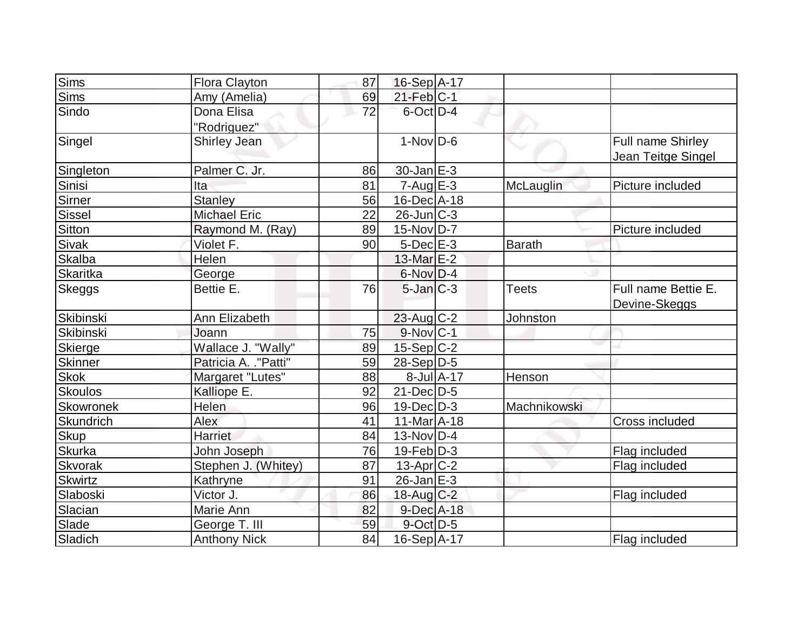| Sims             | <b>Flora Clayton</b>  | 87              | 16-Sep A-17            |            |              |                     |
|------------------|-----------------------|-----------------|------------------------|------------|--------------|---------------------|
| Sims             | Amy (Amelia)          | 69              | $21$ -Feb $ C-1 $      |            |              |                     |
| Sindo            | Dona Elisa            | $\overline{72}$ | 6-Oct D-4              |            |              |                     |
|                  | "Rodriguez"           |                 |                        |            |              |                     |
| Singel           | <b>Shirley Jean</b>   |                 | $1-Nov D-6$            |            |              | Full name Shirley   |
|                  |                       |                 |                        |            |              | Jean Teitge Singel  |
| Singleton        | Palmer C. Jr.         | 86              | 30-Jan E-3             |            |              |                     |
| Sinisi           | Ita                   | 81              | $7 - Aug$ $E - 3$      |            | McLauglin    | Picture included    |
| Sirner           | <b>Stanley</b>        | 56              | $16$ -Dec $A$ -18      |            |              |                     |
| Sissel           | <b>Michael Eric</b>   | 22              | $26$ -Jun $C-3$        |            |              |                     |
| <b>Sitton</b>    | Raymond M. (Ray)      | 89              | $15$ -Nov $ D-7 $      |            |              | Picture included    |
| Sivak            | Violet F.             | 90              | $5$ -Dec $E$ -3        |            | Barath       |                     |
| Skalba           | Helen                 |                 | 13-Mar E-2             |            |              |                     |
| <b>Skaritka</b>  | George                |                 | $6$ -Nov $D-4$         |            |              |                     |
| Skeggs           | Bettie E.             | 76              | $5$ -Jan $ C-3 $       |            | <b>Teets</b> | Full name Bettie E. |
|                  |                       |                 |                        |            |              | Devine-Skeggs       |
| Skibinski        | Ann Elizabeth         |                 | $23$ -Aug C-2          |            | Johnston     |                     |
| Skibinski        | Joann                 | 75              | $9-Nov$ <sub>C-1</sub> |            |              |                     |
| Skierge          | Wallace J. "Wally"    | 89              | $15-Sep$ C-2           |            |              |                     |
| <b>Skinner</b>   | Patricia A. . "Patti" | 59              | $28-Sep D-5$           |            |              |                     |
| <b>Skok</b>      | Margaret "Lutes"      | 88              |                        | 8-Jul A-17 | Henson       |                     |
| <b>Skoulos</b>   | Kalliope E.           | 92              | $21$ -Dec $D-5$        |            |              |                     |
| <b>Skowronek</b> | Helen                 | 96              | $19$ -Dec $D-3$        |            | Machnikowski |                     |
| Skundrich        | Alex                  | 41              | $11-Mar$ A-18          |            |              | Cross included      |
| Skup             | <b>Harriet</b>        | 84              | $13-Nov D-4$           |            |              |                     |
| <b>Skurka</b>    | John Joseph           | 76              | $19$ -Feb $ D-3 $      |            |              | Flag included       |
| Skvorak          | Stephen J. (Whitey)   | 87              | $13$ -Apr $ C-2 $      |            |              | Flag included       |
| <b>Skwirtz</b>   | Kathryne              | 91              | $26$ -Jan $E-3$        |            |              |                     |
| Slaboski         | Victor J.             | 86              | $18$ -Aug C-2          |            |              | Flag included       |
| Slacian          | Marie Ann             | 82              | 9-Dec A-18             |            |              |                     |
| Slade            | George T. III         | 59              | $9$ -Oct $D-5$         |            |              |                     |
| Sladich          | <b>Anthony Nick</b>   | 84              | $16-Sep$ A-17          |            |              | Flag included       |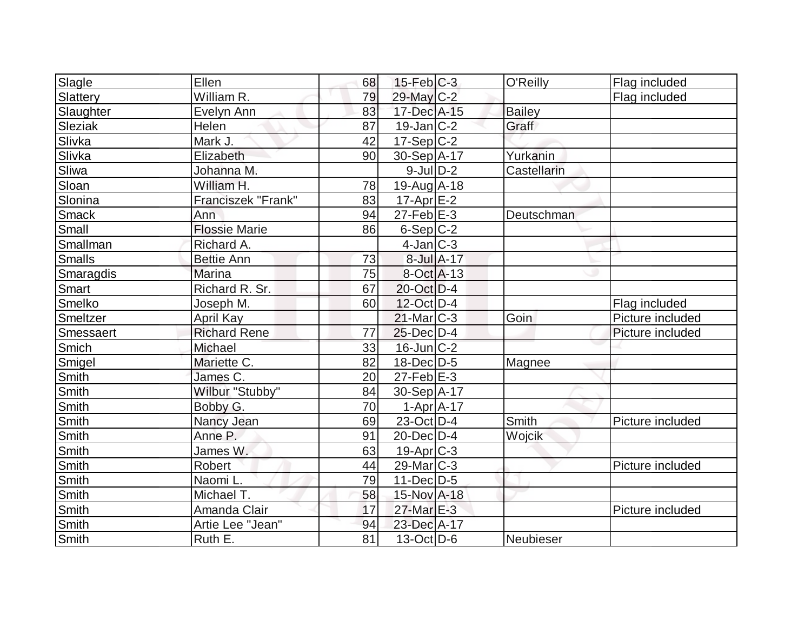| Slagle         | Ellen                | 68 | $15$ -Feb $ C-3 $ |            | O'Reilly      | Flag included    |
|----------------|----------------------|----|-------------------|------------|---------------|------------------|
| Slattery       | William R.           | 79 | $29$ -May C-2     |            |               | Flag included    |
| Slaughter      | Evelyn Ann           | 83 | 17-Dec A-15       |            | <b>Bailey</b> |                  |
| <b>Sleziak</b> | Helen                | 87 | $19$ -Jan $ C-2 $ |            | Graff         |                  |
| Slivka         | Mark J.              | 42 | $17-Sep C-2$      |            |               |                  |
| Slivka         | Elizabeth            | 90 | $30-Sep$ A-17     |            | Yurkanin      |                  |
| Sliwa          | Johanna M.           |    | $9$ -Jul $D-2$    |            | Castellarin   |                  |
| Sloan          | William H.           | 78 | $19-Auq$ A-18     |            |               |                  |
| Slonina        | Franciszek "Frank"   | 83 | $17$ -Apr $E-2$   |            |               |                  |
| <b>Smack</b>   | Ann                  | 94 | $27$ -Feb $E-3$   |            | Deutschman    |                  |
| Small          | <b>Flossie Marie</b> | 86 | $6-Sep C-2$       |            |               |                  |
| Smallman       | Richard A.           |    | $4$ -Jan $ C-3 $  |            |               |                  |
| <b>Smalls</b>  | <b>Bettie Ann</b>    | 73 |                   | 8-Jul A-17 |               |                  |
| Smaragdis      | <b>Marina</b>        | 75 | 8-Oct A-13        |            |               |                  |
| <b>Smart</b>   | Richard R. Sr.       | 67 | $20$ -Oct $ D-4$  |            |               |                  |
| Smelko         | Joseph M.            | 60 | 12-Oct D-4        |            |               | Flag included    |
| Smeltzer       | April Kay            |    | $21$ -Mar $C-3$   |            | Goin          | Picture included |
| Smessaert      | <b>Richard Rene</b>  | 77 | $25$ -Dec $D-4$   |            |               | Picture included |
| Smich          | Michael              | 33 | $16$ -Jun $ C-2 $ |            |               |                  |
| Smigel         | Mariette C.          | 82 | $18$ -Dec $ D-5 $ |            | Magnee        |                  |
| Smith          | James C.             | 20 | $27$ -Feb $E-3$   |            |               |                  |
| <b>Smith</b>   | Wilbur "Stubby"      | 84 | 30-Sep A-17       |            |               |                  |
| Smith          | Bobby G.             | 70 | $1-Apr$ $A-17$    |            |               |                  |
| Smith          | Nancy Jean           | 69 | $23$ -Oct D-4     |            | Smith         | Picture included |
| Smith          | Anne P.              | 91 | $20$ -Dec $D-4$   |            | Wojcik        |                  |
| Smith          | James W.             | 63 | $19$ -Apr $C-3$   |            |               |                  |
| Smith          | Robert               | 44 | $29$ -Mar $ C-3 $ |            |               | Picture included |
| Smith          | Naomi L.             | 79 | $11 - Dec$ $D-5$  |            |               |                  |
| Smith          | Michael T.           | 58 | 15-Nov A-18       |            |               |                  |
| Smith          | Amanda Clair         | 17 | 27-Mar E-3        |            |               | Picture included |
| Smith          | Artie Lee "Jean"     | 94 | 23-Dec A-17       |            |               |                  |
| Smith          | Ruth E.              | 81 | $13-Oct$ D-6      |            | Neubieser     |                  |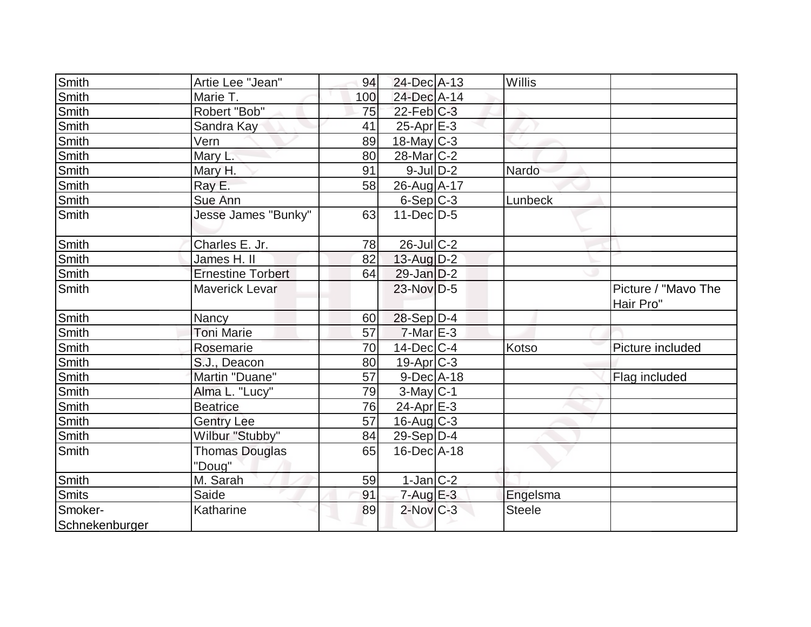| <b>Smith</b>   | Artie Lee "Jean"         | 94  | 24-Dec A-13             | Willis        |                                  |
|----------------|--------------------------|-----|-------------------------|---------------|----------------------------------|
| Smith          | Marie T.                 | 100 | 24-Dec A-14             |               |                                  |
| Smith          | Robert "Bob"             | 75  | $22$ -Feb $C-3$         |               |                                  |
| Smith          | Sandra Kay               | 41  | $25$ -Apr $E-3$         |               |                                  |
| Smith          | Vern                     | 89  | $18$ -May C-3           |               |                                  |
| <b>Smith</b>   | Mary L.                  | 80  | 28-Mar <sub>IC</sub> -2 |               |                                  |
| Smith          | Mary H.                  | 91  | $9$ -JulD-2             | Nardo         |                                  |
| <b>Smith</b>   | Ray E.                   | 58  | 26-Aug A-17             |               |                                  |
| <b>Smith</b>   | Sue Ann                  |     | $6-Sep C-3$             | Lunbeck       |                                  |
| <b>Smith</b>   | Jesse James "Bunky"      | 63  | $11-Dec$ D-5            |               |                                  |
| Smith          | Charles E. Jr.           | 78  | $26$ -Jul C-2           |               |                                  |
| <b>Smith</b>   | James H. II              | 82  | $13$ -Aug $D-2$         |               |                                  |
| <b>Smith</b>   | <b>Ernestine Torbert</b> | 64  | $29$ -Jan D-2           |               |                                  |
| <b>Smith</b>   | <b>Maverick Levar</b>    |     | $23$ -Nov D-5           |               | Picture / "Mavo The<br>Hair Pro" |
| Smith          | Nancy                    | 60  | $28-Sep D-4$            |               |                                  |
| Smith          | Toni Marie               | 57  | $7$ -Mar $E-3$          |               |                                  |
| Smith          | Rosemarie                | 70  | $14$ -Dec $ C-4 $       | Kotso         | Picture included                 |
| <b>Smith</b>   | S.J., Deacon             | 80  | $19$ -Apr $ C-3 $       |               |                                  |
| Smith          | Martin "Duane"           | 57  | $9$ -Dec $A$ -18        |               | Flag included                    |
| Smith          | Alma L. "Lucy"           | 79  | $3$ -May $C-1$          |               |                                  |
| Smith          | <b>Beatrice</b>          | 76  | $24$ -Apr $E-3$         |               |                                  |
| Smith          | <b>Gentry Lee</b>        | 57  | $16$ -Aug C-3           |               |                                  |
| <b>Smith</b>   | Wilbur "Stubby"          | 84  | $29-Sep D-4$            |               |                                  |
| Smith          | <b>Thomas Douglas</b>    | 65  | $16$ -Dec $A$ -18       |               |                                  |
|                | "Doug"                   |     |                         |               |                                  |
| Smith          | M. Sarah                 | 59  | $1-Jan$ $C-2$           |               |                                  |
| <b>Smits</b>   | Saide                    | 91  | $7 - Aug$ E-3           | Engelsma      |                                  |
| Smoker-        | Katharine                | 89  | $2$ -Nov $C-3$          | <b>Steele</b> |                                  |
| Schnekenburger |                          |     |                         |               |                                  |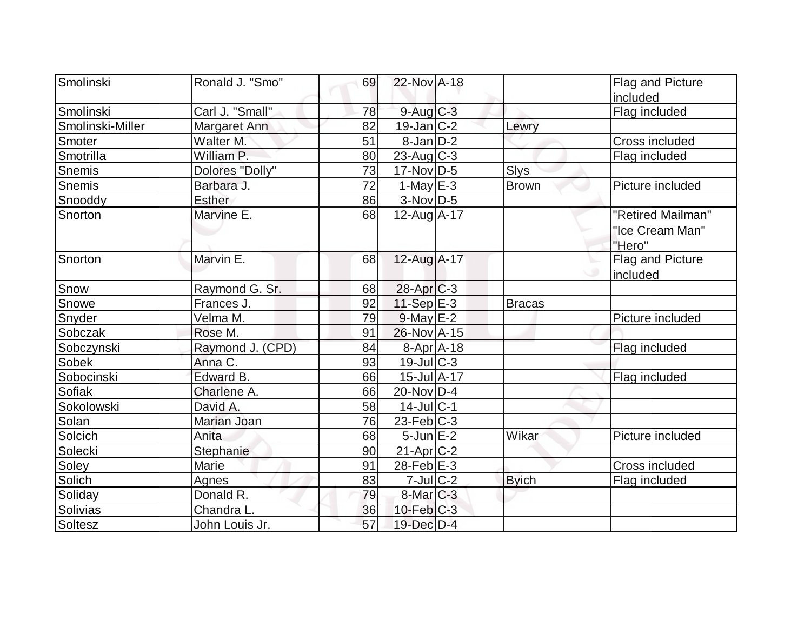| Smolinski        | Ronald J. "Smo"  | 69 | 22-Nov A-18             |               | Flag and Picture  |
|------------------|------------------|----|-------------------------|---------------|-------------------|
|                  |                  |    |                         |               | included          |
| Smolinski        | Carl J. "Small"  | 78 | $9$ -Aug $C-3$          |               | Flag included     |
| Smolinski-Miller | Margaret Ann     | 82 | $19$ -Jan $ C-2 $       | Lewry         |                   |
| Smoter           | Walter M.        | 51 | $8$ -Jan $D-2$          |               | Cross included    |
| Smotrilla        | William P.       | 80 | $23$ -Aug C-3           |               | Flag included     |
| <b>Snemis</b>    | Dolores "Dolly"  | 73 | $17$ -Nov $ D-5 $       | <b>Slys</b>   |                   |
| Snemis           | Barbara J.       | 72 | 1-May $E-3$             | <b>Brown</b>  | Picture included  |
| Snooddy          | <b>Esther</b>    | 86 | $3-Nov$ D-5             |               |                   |
| Snorton          | Marvine E.       | 68 | 12-Aug A-17             |               | "Retired Mailman" |
|                  |                  |    |                         |               | "Ice Cream Man"   |
|                  |                  |    |                         |               | "Hero"            |
| Snorton          | Marvin E.        | 68 | 12-Aug A-17             |               | Flag and Picture  |
|                  |                  |    |                         |               | lincluded         |
| Snow             | Raymond G. Sr.   | 68 | $28$ -Apr $C-3$         |               |                   |
| Snowe            | Frances J.       | 92 | 11-Sep E-3              | <b>Bracas</b> |                   |
| Snyder           | Velma M.         | 79 | $9$ -May $E-2$          |               | Picture included  |
| Sobczak          | Rose M.          | 91 | 26-Nov A-15             |               |                   |
| Sobczynski       | Raymond J. (CPD) | 84 | $8 - Apr$ $A - 18$      |               | Flag included     |
| Sobek            | Anna C.          | 93 | $19$ -Jul $C-3$         |               |                   |
| Sobocinski       | Edward B.        | 66 | 15-Jul A-17             |               | Flag included     |
| Sofiak           | Charlene A.      | 66 | 20-Nov D-4              |               |                   |
| Sokolowski       | David A.         | 58 | $14$ -Jul $C-1$         |               |                   |
| Solan            | Marian Joan      | 76 | $23$ -Feb $ C-3 $       |               |                   |
| Solcich          | Anita            | 68 | $5$ -Jun $E-2$          | Wikar         | Picture included  |
| Solecki          | Stephanie        | 90 | $21-Apr$ <sub>C-2</sub> |               |                   |
| Soley            | Marie            | 91 | 28-Feb $E-3$            |               | Cross included    |
| Solich           | <b>Agnes</b>     | 83 | $7$ -Jul $C-2$          | <b>Byich</b>  | Flag included     |
| Soliday          | Donald R.        | 79 | 8-Mar C-3               |               |                   |
| Solivias         | Chandra L.       | 36 | $10$ -Feb $C-3$         |               |                   |
| Soltesz          | John Louis Jr.   | 57 | $19$ -Dec $D-4$         |               |                   |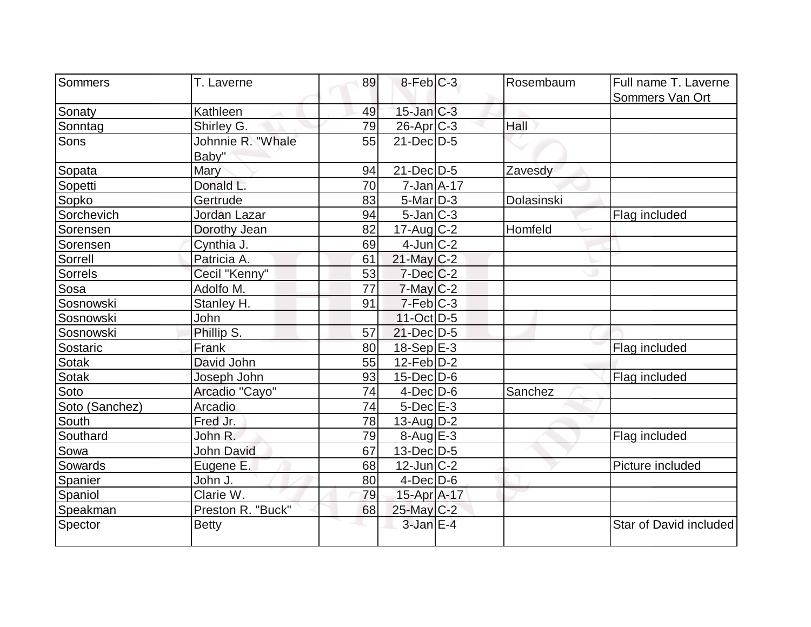| Sommers        | T. Laverne        | 89 | $8$ -Feb $ C-3 $  | Rosembaum  | Full name T. Laverne   |
|----------------|-------------------|----|-------------------|------------|------------------------|
|                |                   |    |                   |            | Sommers Van Ort        |
| Sonaty         | Kathleen          | 49 | $15$ -Jan $C-3$   |            |                        |
| Sonntag        | Shirley G.        | 79 | 26-Apr C-3        | Hall       |                        |
| Sons           | Johnnie R. "Whale | 55 | $21$ -Dec $D-5$   |            |                        |
|                | Baby"             |    |                   |            |                        |
| Sopata         | Mary              | 94 | $21$ -Dec $D-5$   | Zavesdy    |                        |
| Sopetti        | Donald L.         | 70 | $7 - Jan$ A-17    |            |                        |
| Sopko          | Gertrude          | 83 | $5$ -Mar $D-3$    | Dolasinski |                        |
| Sorchevich     | Jordan Lazar      | 94 | $5$ -Jan $ C-3 $  |            | Flag included          |
| Sorensen       | Dorothy Jean      | 82 | $17$ -Aug C-2     | Homfeld    |                        |
| Sorensen       | Cynthia J.        | 69 | $4$ -Jun $ C-2 $  |            |                        |
| Sorrell        | Patricia A.       | 61 | $21$ -May C-2     |            |                        |
| Sorrels        | Cecil "Kenny"     | 53 | $7$ -Dec $C-2$    |            |                        |
| Sosa           | Adolfo M.         | 77 | $7$ -May $C-2$    |            |                        |
| Sosnowski      | Stanley H.        | 91 | $7-Feb$ $C-3$     |            |                        |
| Sosnowski      | John              |    | $11-Oct$ D-5      |            |                        |
| Sosnowski      | Phillip S.        | 57 | $21$ -Dec $D-5$   |            |                        |
| Sostaric       | Frank             | 80 | $18-Sep$ E-3      |            | Flag included          |
| <b>Sotak</b>   | David John        | 55 | $12$ -Feb $ D-2 $ |            |                        |
| <b>Sotak</b>   | Joseph John       | 93 | $15$ -Dec $D$ -6  |            | Flag included          |
| Soto           | Arcadio "Cayo"    | 74 | $4$ -Dec $D$ -6   | Sanchez    |                        |
| Soto (Sanchez) | Arcadio           | 74 | $5$ -Dec $E$ -3   |            |                        |
| South          | Fred Jr.          | 78 | $13$ -Aug $D-2$   |            |                        |
| Southard       | John R.           | 79 | $8-Aug$ $E-3$     |            | Flag included          |
| Sowa           | <b>John David</b> | 67 | $13$ -Dec $ D-5$  |            |                        |
| Sowards        | Eugene E.         | 68 | $12$ -Jun $ C-2 $ |            | Picture included       |
| Spanier        | John J.           | 80 | $4$ -Dec $D-6$    |            |                        |
| Spaniol        | Clarie W.         | 79 | 15-Apr A-17       |            |                        |
| Speakman       | Preston R. "Buck" | 68 | 25-May C-2        |            |                        |
| Spector        | <b>Betty</b>      |    | $3$ -Jan $E-4$    |            | Star of David included |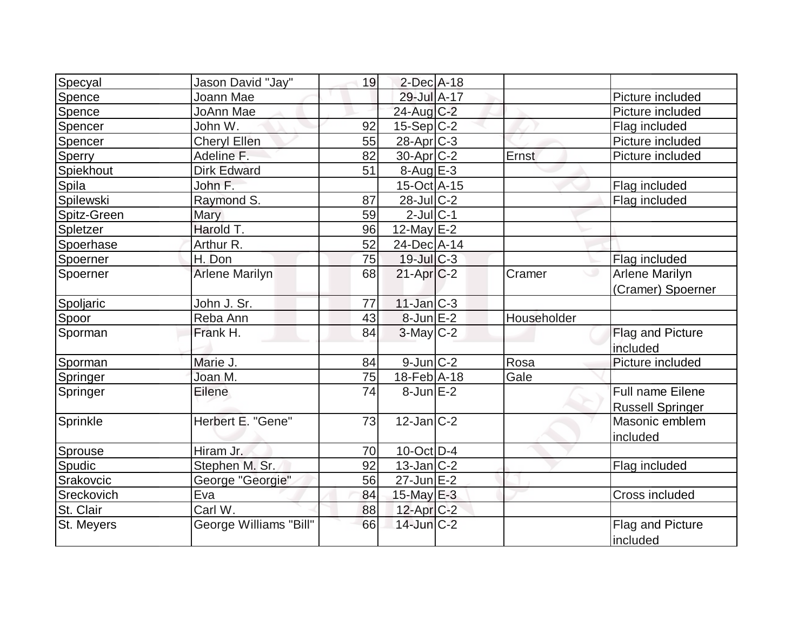| Specyal     | Jason David "Jay"      | 19 | $2$ -Dec $A-18$   |             |                         |
|-------------|------------------------|----|-------------------|-------------|-------------------------|
| Spence      | Joann Mae              |    | 29-Jul A-17       |             | Picture included        |
| Spence      | JoAnn Mae              |    | 24-Aug C-2        |             | Picture included        |
| Spencer     | John W.                | 92 | $15-Sep C-2$      |             | Flag included           |
| Spencer     | <b>Cheryl Ellen</b>    | 55 | 28-Apr C-3        |             | Picture included        |
| Sperry      | Adeline F.             | 82 | $30$ -Apr $C-2$   | Ernst       | Picture included        |
| Spiekhout   | <b>Dirk Edward</b>     | 51 | $8-Aug$ $E-3$     |             |                         |
| Spila       | John F.                |    | 15-Oct A-15       |             | Flag included           |
| Spilewski   | Raymond S.             | 87 | 28-Jul C-2        |             | Flag included           |
| Spitz-Green | Mary                   | 59 | $2$ -Jul $ C-1$   |             |                         |
| Spletzer    | Harold T.              | 96 | 12-May $E-2$      |             |                         |
| Spoerhase   | Arthur R.              | 52 | 24-Dec A-14       |             |                         |
| Spoerner    | H. Don                 | 75 | $19$ -Jul $C-3$   |             | Flag included           |
| Spoerner    | <b>Arlene Marilyn</b>  | 68 | $21-Apr$ $C-2$    | Cramer      | <b>Arlene Marilyn</b>   |
|             |                        |    |                   |             | (Cramer) Spoerner       |
| Spoljaric   | John J. Sr.            | 77 | $11$ -Jan $ C-3 $ |             |                         |
| Spoor       | Reba Ann               | 43 | $8$ -Jun $E-2$    | Householder |                         |
| Sporman     | Frank H.               | 84 | $3$ -May $C-2$    |             | Flag and Picture        |
|             |                        |    |                   |             | included                |
| Sporman     | Marie J.               | 84 | $9$ -Jun $C-2$    | Rosa        | Picture included        |
| Springer    | Joan M.                | 75 | 18-Feb A-18       | Gale        |                         |
| Springer    | Eilene                 | 74 | $8$ -Jun $E-2$    |             | Full name Eilene        |
|             |                        |    |                   |             | <b>Russell Springer</b> |
| Sprinkle    | Herbert E. "Gene"      | 73 | $12$ -Jan $ C-2 $ |             | Masonic emblem          |
|             |                        |    |                   |             | included                |
| Sprouse     | Hiram Jr.              | 70 | $10$ -Oct $D-4$   |             |                         |
| Spudic      | Stephen M. Sr.         | 92 | $13$ -Jan $ C-2 $ |             | Flag included           |
| Srakovcic   | George "Georgie"       | 56 | $27$ -Jun $E-2$   |             |                         |
| Sreckovich  | Eva                    | 84 | 15-May $E-3$      |             | Cross included          |
| St. Clair   | Carl W.                | 88 | 12-Apr C-2        |             |                         |
| St. Meyers  | George Williams "Bill" | 66 | $14$ -Jun $C-2$   |             | Flag and Picture        |
|             |                        |    |                   |             | included                |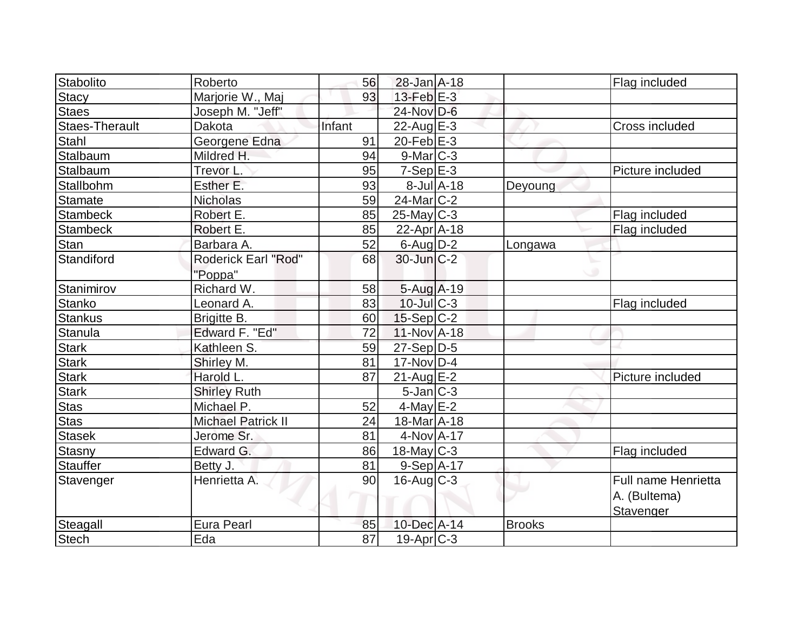| 28-Jan A-18<br>Roberto<br>56<br>Flag included<br>Marjorie W., Maj<br>$13$ -Feb $E-3$<br><b>Stacy</b><br>93<br>Staes<br>24-Nov D-6<br>Joseph M. "Jeff"<br><b>Staes-Therault</b><br>Infant<br>Dakota<br>$22$ -Aug $E-3$<br>Cross included<br>Stahl<br>Georgene Edna<br>$20$ -Feb $E-3$<br>91<br>Stalbaum<br>$9$ -Mar $ C-3$<br>Mildred H.<br>94<br>$7-Sep$ E-3<br>Stalbaum<br>Trevor L.<br>95<br>Picture included<br>Stallbohm<br>Esther E.<br>$8$ -Jul $A$ -18<br>93<br>Deyoung<br>24-Mar C-2<br><b>Nicholas</b><br><b>Stamate</b><br>59<br>$25$ -May C-3<br><b>Stambeck</b><br>Robert E.<br>85<br>Flag included<br><b>Stambeck</b><br>Robert E.<br>85<br>$22$ -Apr $ A-18$<br>Flag included<br>Stan<br>Barbara A.<br>$6$ -Aug $D-2$<br>52<br>Longawa<br>Standiford<br>$30$ -Jun $C-2$<br><b>Roderick Earl "Rod"</b><br>68<br>"Poppa"<br>Stanimirov<br>Richard W.<br>$5-Aug$ A-19<br>58<br>Stanko<br>$10$ -Jul $ C-3 $<br>83<br>Leonard A.<br>Flag included<br>$15-Sep C-2$<br><b>Stankus</b><br>Brigitte B.<br>60<br>Edward F. "Ed"<br>Stanula<br>72<br>$11-Nov1 - 18$<br><b>Stark</b><br>$27-Sep D-5$<br>Kathleen S.<br>59<br><b>Stark</b><br>$17-Nov$ D-4<br>81<br>Shirley M.<br>Harold L.<br><b>Stark</b><br>87<br>21-Aug E-2<br>Picture included<br><b>Stark</b><br>$5$ -Jan $ C-3 $<br><b>Shirley Ruth</b><br><b>Stas</b><br>Michael P.<br>$4$ -May $E-2$<br>52<br><b>Stas</b><br>18-Mar A-18<br><b>Michael Patrick II</b><br>24<br>4-Nov A-17<br>Jerome Sr.<br>81<br>18-May C-3<br>Edward G.<br>86<br>Flag included<br><b>Stauffer</b><br>81<br>$9-Sep$ A-17<br>Betty J.<br>90<br>Henrietta A.<br>$16$ -Aug C-3<br>Full name Henrietta<br>A. (Bultema)<br>Stavenger<br>Steagall<br>Eura Pearl<br>10-Dec A-14<br><b>Brooks</b><br>85 |              |     |    |                |  |  |
|-------------------------------------------------------------------------------------------------------------------------------------------------------------------------------------------------------------------------------------------------------------------------------------------------------------------------------------------------------------------------------------------------------------------------------------------------------------------------------------------------------------------------------------------------------------------------------------------------------------------------------------------------------------------------------------------------------------------------------------------------------------------------------------------------------------------------------------------------------------------------------------------------------------------------------------------------------------------------------------------------------------------------------------------------------------------------------------------------------------------------------------------------------------------------------------------------------------------------------------------------------------------------------------------------------------------------------------------------------------------------------------------------------------------------------------------------------------------------------------------------------------------------------------------------------------------------------------------------------------------------------------------------------------------------------------------------------------------------------------------|--------------|-----|----|----------------|--|--|
|                                                                                                                                                                                                                                                                                                                                                                                                                                                                                                                                                                                                                                                                                                                                                                                                                                                                                                                                                                                                                                                                                                                                                                                                                                                                                                                                                                                                                                                                                                                                                                                                                                                                                                                                           | Stabolito    |     |    |                |  |  |
|                                                                                                                                                                                                                                                                                                                                                                                                                                                                                                                                                                                                                                                                                                                                                                                                                                                                                                                                                                                                                                                                                                                                                                                                                                                                                                                                                                                                                                                                                                                                                                                                                                                                                                                                           |              |     |    |                |  |  |
|                                                                                                                                                                                                                                                                                                                                                                                                                                                                                                                                                                                                                                                                                                                                                                                                                                                                                                                                                                                                                                                                                                                                                                                                                                                                                                                                                                                                                                                                                                                                                                                                                                                                                                                                           |              |     |    |                |  |  |
|                                                                                                                                                                                                                                                                                                                                                                                                                                                                                                                                                                                                                                                                                                                                                                                                                                                                                                                                                                                                                                                                                                                                                                                                                                                                                                                                                                                                                                                                                                                                                                                                                                                                                                                                           |              |     |    |                |  |  |
|                                                                                                                                                                                                                                                                                                                                                                                                                                                                                                                                                                                                                                                                                                                                                                                                                                                                                                                                                                                                                                                                                                                                                                                                                                                                                                                                                                                                                                                                                                                                                                                                                                                                                                                                           |              |     |    |                |  |  |
|                                                                                                                                                                                                                                                                                                                                                                                                                                                                                                                                                                                                                                                                                                                                                                                                                                                                                                                                                                                                                                                                                                                                                                                                                                                                                                                                                                                                                                                                                                                                                                                                                                                                                                                                           |              |     |    |                |  |  |
|                                                                                                                                                                                                                                                                                                                                                                                                                                                                                                                                                                                                                                                                                                                                                                                                                                                                                                                                                                                                                                                                                                                                                                                                                                                                                                                                                                                                                                                                                                                                                                                                                                                                                                                                           |              |     |    |                |  |  |
|                                                                                                                                                                                                                                                                                                                                                                                                                                                                                                                                                                                                                                                                                                                                                                                                                                                                                                                                                                                                                                                                                                                                                                                                                                                                                                                                                                                                                                                                                                                                                                                                                                                                                                                                           |              |     |    |                |  |  |
|                                                                                                                                                                                                                                                                                                                                                                                                                                                                                                                                                                                                                                                                                                                                                                                                                                                                                                                                                                                                                                                                                                                                                                                                                                                                                                                                                                                                                                                                                                                                                                                                                                                                                                                                           |              |     |    |                |  |  |
|                                                                                                                                                                                                                                                                                                                                                                                                                                                                                                                                                                                                                                                                                                                                                                                                                                                                                                                                                                                                                                                                                                                                                                                                                                                                                                                                                                                                                                                                                                                                                                                                                                                                                                                                           |              |     |    |                |  |  |
|                                                                                                                                                                                                                                                                                                                                                                                                                                                                                                                                                                                                                                                                                                                                                                                                                                                                                                                                                                                                                                                                                                                                                                                                                                                                                                                                                                                                                                                                                                                                                                                                                                                                                                                                           |              |     |    |                |  |  |
|                                                                                                                                                                                                                                                                                                                                                                                                                                                                                                                                                                                                                                                                                                                                                                                                                                                                                                                                                                                                                                                                                                                                                                                                                                                                                                                                                                                                                                                                                                                                                                                                                                                                                                                                           |              |     |    |                |  |  |
|                                                                                                                                                                                                                                                                                                                                                                                                                                                                                                                                                                                                                                                                                                                                                                                                                                                                                                                                                                                                                                                                                                                                                                                                                                                                                                                                                                                                                                                                                                                                                                                                                                                                                                                                           |              |     |    |                |  |  |
|                                                                                                                                                                                                                                                                                                                                                                                                                                                                                                                                                                                                                                                                                                                                                                                                                                                                                                                                                                                                                                                                                                                                                                                                                                                                                                                                                                                                                                                                                                                                                                                                                                                                                                                                           |              |     |    |                |  |  |
|                                                                                                                                                                                                                                                                                                                                                                                                                                                                                                                                                                                                                                                                                                                                                                                                                                                                                                                                                                                                                                                                                                                                                                                                                                                                                                                                                                                                                                                                                                                                                                                                                                                                                                                                           |              |     |    |                |  |  |
| Stasek<br>Stasny<br>Stavenger                                                                                                                                                                                                                                                                                                                                                                                                                                                                                                                                                                                                                                                                                                                                                                                                                                                                                                                                                                                                                                                                                                                                                                                                                                                                                                                                                                                                                                                                                                                                                                                                                                                                                                             |              |     |    |                |  |  |
|                                                                                                                                                                                                                                                                                                                                                                                                                                                                                                                                                                                                                                                                                                                                                                                                                                                                                                                                                                                                                                                                                                                                                                                                                                                                                                                                                                                                                                                                                                                                                                                                                                                                                                                                           |              |     |    |                |  |  |
|                                                                                                                                                                                                                                                                                                                                                                                                                                                                                                                                                                                                                                                                                                                                                                                                                                                                                                                                                                                                                                                                                                                                                                                                                                                                                                                                                                                                                                                                                                                                                                                                                                                                                                                                           |              |     |    |                |  |  |
|                                                                                                                                                                                                                                                                                                                                                                                                                                                                                                                                                                                                                                                                                                                                                                                                                                                                                                                                                                                                                                                                                                                                                                                                                                                                                                                                                                                                                                                                                                                                                                                                                                                                                                                                           |              |     |    |                |  |  |
|                                                                                                                                                                                                                                                                                                                                                                                                                                                                                                                                                                                                                                                                                                                                                                                                                                                                                                                                                                                                                                                                                                                                                                                                                                                                                                                                                                                                                                                                                                                                                                                                                                                                                                                                           |              |     |    |                |  |  |
|                                                                                                                                                                                                                                                                                                                                                                                                                                                                                                                                                                                                                                                                                                                                                                                                                                                                                                                                                                                                                                                                                                                                                                                                                                                                                                                                                                                                                                                                                                                                                                                                                                                                                                                                           |              |     |    |                |  |  |
|                                                                                                                                                                                                                                                                                                                                                                                                                                                                                                                                                                                                                                                                                                                                                                                                                                                                                                                                                                                                                                                                                                                                                                                                                                                                                                                                                                                                                                                                                                                                                                                                                                                                                                                                           |              |     |    |                |  |  |
|                                                                                                                                                                                                                                                                                                                                                                                                                                                                                                                                                                                                                                                                                                                                                                                                                                                                                                                                                                                                                                                                                                                                                                                                                                                                                                                                                                                                                                                                                                                                                                                                                                                                                                                                           |              |     |    |                |  |  |
|                                                                                                                                                                                                                                                                                                                                                                                                                                                                                                                                                                                                                                                                                                                                                                                                                                                                                                                                                                                                                                                                                                                                                                                                                                                                                                                                                                                                                                                                                                                                                                                                                                                                                                                                           |              |     |    |                |  |  |
|                                                                                                                                                                                                                                                                                                                                                                                                                                                                                                                                                                                                                                                                                                                                                                                                                                                                                                                                                                                                                                                                                                                                                                                                                                                                                                                                                                                                                                                                                                                                                                                                                                                                                                                                           |              |     |    |                |  |  |
|                                                                                                                                                                                                                                                                                                                                                                                                                                                                                                                                                                                                                                                                                                                                                                                                                                                                                                                                                                                                                                                                                                                                                                                                                                                                                                                                                                                                                                                                                                                                                                                                                                                                                                                                           |              |     |    |                |  |  |
|                                                                                                                                                                                                                                                                                                                                                                                                                                                                                                                                                                                                                                                                                                                                                                                                                                                                                                                                                                                                                                                                                                                                                                                                                                                                                                                                                                                                                                                                                                                                                                                                                                                                                                                                           |              |     |    |                |  |  |
|                                                                                                                                                                                                                                                                                                                                                                                                                                                                                                                                                                                                                                                                                                                                                                                                                                                                                                                                                                                                                                                                                                                                                                                                                                                                                                                                                                                                                                                                                                                                                                                                                                                                                                                                           |              |     |    |                |  |  |
|                                                                                                                                                                                                                                                                                                                                                                                                                                                                                                                                                                                                                                                                                                                                                                                                                                                                                                                                                                                                                                                                                                                                                                                                                                                                                                                                                                                                                                                                                                                                                                                                                                                                                                                                           |              |     |    |                |  |  |
|                                                                                                                                                                                                                                                                                                                                                                                                                                                                                                                                                                                                                                                                                                                                                                                                                                                                                                                                                                                                                                                                                                                                                                                                                                                                                                                                                                                                                                                                                                                                                                                                                                                                                                                                           |              |     |    |                |  |  |
|                                                                                                                                                                                                                                                                                                                                                                                                                                                                                                                                                                                                                                                                                                                                                                                                                                                                                                                                                                                                                                                                                                                                                                                                                                                                                                                                                                                                                                                                                                                                                                                                                                                                                                                                           |              |     |    |                |  |  |
|                                                                                                                                                                                                                                                                                                                                                                                                                                                                                                                                                                                                                                                                                                                                                                                                                                                                                                                                                                                                                                                                                                                                                                                                                                                                                                                                                                                                                                                                                                                                                                                                                                                                                                                                           | <b>Stech</b> | Eda | 87 | $19-Apr$ $C-3$ |  |  |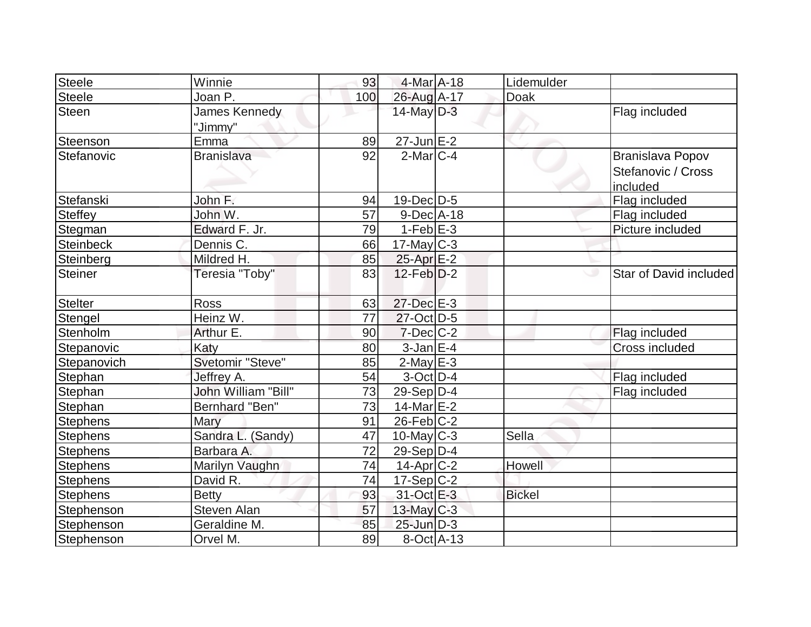| Steele           | Winnie                     | 93  | 4-Mar A-18       | Lidemulder    |                                                    |
|------------------|----------------------------|-----|------------------|---------------|----------------------------------------------------|
| <b>Steele</b>    | Joan P.                    | 100 | 26-Aug A-17      | Doak          |                                                    |
| <b>Steen</b>     | James Kennedy<br>"Jimmy"   |     | $14$ -May D-3    |               | Flag included                                      |
| Steenson         | Emma                       | 89  |                  |               |                                                    |
| Stefanovic       | <b>Branislava</b>          | 92  | $2$ -Mar $C-4$   |               | Branislava Popov<br>Stefanovic / Cross<br>included |
| Stefanski        | John F.                    | 94  | $19$ -Dec $ D-5$ |               | Flag included                                      |
| <b>Steffey</b>   | John W.                    | 57  | $9$ -Dec $A$ -18 |               | Flag included                                      |
| Stegman          | Edward F. Jr.              | 79  | $1-Feb$ $E-3$    |               | Picture included                                   |
| <b>Steinbeck</b> | Dennis C.                  | 66  | $17$ -May $C$ -3 |               |                                                    |
| Steinberg        | Mildred H.                 | 85  | $25$ -Apr $E-2$  |               |                                                    |
| <b>Steiner</b>   | Teresia "Toby"             | 83  | $12$ -Feb $D-2$  |               | Star of David included                             |
| <b>Stelter</b>   | <b>Ross</b>                | 63  | 27-Dec E-3       |               |                                                    |
| Stengel          | Heinz W.                   | 77  | 27-Oct D-5       |               |                                                    |
| Stenholm         | Arthur E.                  | 90  | $7$ -Dec $ C$ -2 |               | Flag included                                      |
| Stepanovic       | Katy                       | 80  | $3$ -Jan $E-4$   |               | <b>Cross included</b>                              |
| Stepanovich      | Svetomir "Steve"           | 85  | $2$ -May $E-3$   |               |                                                    |
| Stephan          | Jeffrey A.                 | 54  | $3-Oct$ D-4      |               | Flag included                                      |
| Stephan          | <b>John William "Bill"</b> | 73  | $29-Sep D-4$     |               | Flag included                                      |
| Stephan          | Bernhard "Ben"             | 73  | $14$ -Mar $E-2$  |               |                                                    |
| <b>Stephens</b>  | Mary                       | 91  | $26$ -Feb $C-2$  |               |                                                    |
| <b>Stephens</b>  | Sandra L. (Sandy)          | 47  | $10$ -May C-3    | Sella         |                                                    |
| <b>Stephens</b>  | Barbara A.                 | 72  | $29-Sep D-4$     |               |                                                    |
| <b>Stephens</b>  | Marilyn Vaughn             | 74  | $14$ -Apr $C-2$  | Howell        |                                                    |
| <b>Stephens</b>  | David R.                   | 74  | $17-Sep C-2$     |               |                                                    |
| <b>Stephens</b>  | <b>Betty</b>               | 93  | 31-Oct E-3       | <b>Bickel</b> |                                                    |
| Stephenson       | <b>Steven Alan</b>         | 57  | $13$ -May C-3    |               |                                                    |
| Stephenson       | Geraldine M.               | 85  | $25$ -Jun $D-3$  |               |                                                    |
| Stephenson       | Orvel M.                   | 89  | $8-Oct$ A-13     |               |                                                    |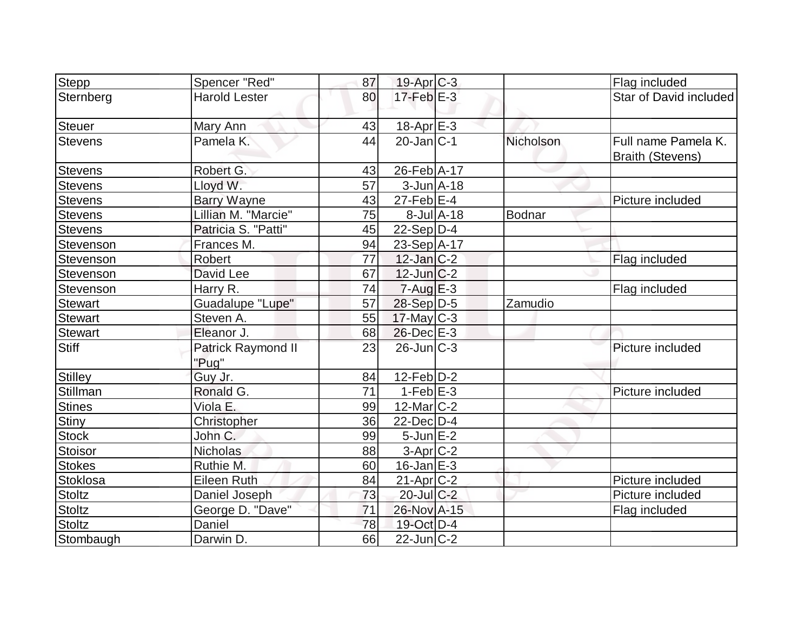| Stepp          | Spencer "Red"               | 87              | $19-Apr$ $C-3$                         |               | Flag included                                  |
|----------------|-----------------------------|-----------------|----------------------------------------|---------------|------------------------------------------------|
| Sternberg      | <b>Harold Lester</b>        | 80              | $17$ -Feb $E-3$                        |               | Star of David included                         |
| <b>Steuer</b>  | Mary Ann                    | 43              | 18-Apr E-3                             |               |                                                |
| <b>Stevens</b> | Pamela K.                   | 44              | $20$ -Jan $ C-1 $                      | Nicholson     | Full name Pamela K.<br><b>Braith (Stevens)</b> |
| <b>Stevens</b> | Robert G.                   | 43              | 26-Feb A-17                            |               |                                                |
| <b>Stevens</b> | Lloyd W.                    | $\overline{57}$ | $3$ -Jun $A$ -18                       |               |                                                |
| <b>Stevens</b> | Barry Wayne                 | 43              | $27$ -Feb $ E-4 $                      |               | Picture included                               |
| <b>Stevens</b> | Lillian M. "Marcie"         | 75              | $8$ -Jul $A$ -18                       | <b>Bodnar</b> |                                                |
| <b>Stevens</b> | Patricia S. "Patti"         | 45              | $22-Sep D-4$                           |               |                                                |
| Stevenson      | Frances M.                  | 94              | 23-Sep A-17                            |               |                                                |
| Stevenson      | Robert                      | 77              | $12$ -Jan $ C-2 $                      |               | Flag included                                  |
| Stevenson      | David Lee                   | 67              | $12$ -Jun $C-2$                        |               |                                                |
| Stevenson      | Harry R.                    | 74              | $7 - Aug$ $E - 3$                      |               | Flag included                                  |
| <b>Stewart</b> | <b>Guadalupe "Lupe"</b>     | 57              | 28-Sep D-5                             | Zamudio       |                                                |
| <b>Stewart</b> | Steven A.                   | 55              | $17$ -May C-3                          |               |                                                |
| <b>Stewart</b> | Eleanor J.                  | 68              | $26$ -Dec $E-3$                        |               |                                                |
| <b>Stiff</b>   | Patrick Raymond II<br>"Pug" | 23              | $26$ -Jun $ C-3 $                      |               | Picture included                               |
| <b>Stilley</b> | Guy Jr.                     | 84              | $12$ -Feb $ D-2 $                      |               |                                                |
| Stillman       | Ronald G.                   | 71              | $1-Feb$ E-3                            |               | Picture included                               |
| <b>Stines</b>  | Viola E.                    | 99              | $12$ -Mar $ C-2 $                      |               |                                                |
| Stiny          | Christopher                 | 36              | 22-Dec D-4                             |               |                                                |
| <b>Stock</b>   | John C.                     | 99              | $5$ -Jun $E-2$                         |               |                                                |
| Stoisor        | Nicholas                    | 88              | 3-Apr <sub>C-2</sub>                   |               |                                                |
| <b>Stokes</b>  | Ruthie M.                   | 60              | $16$ -Jan $E-3$                        |               |                                                |
| Stoklosa       | <b>Eileen Ruth</b>          | 84              | $21-Apr$ $C-2$                         |               | Picture included                               |
| <b>Stoltz</b>  | Daniel Joseph               | 73              | $20$ -Jul $C-2$                        |               | Picture included                               |
| <b>Stoltz</b>  | George D. "Dave"            | 71              | 26-Nov A-15                            |               | Flag included                                  |
| <b>Stoltz</b>  | Daniel                      | 78              | 19-Oct D-4                             |               |                                                |
| Stombaugh      | Darwin D.                   | 66              | $\overline{22}$ -Jun $\overline{C}$ -2 |               |                                                |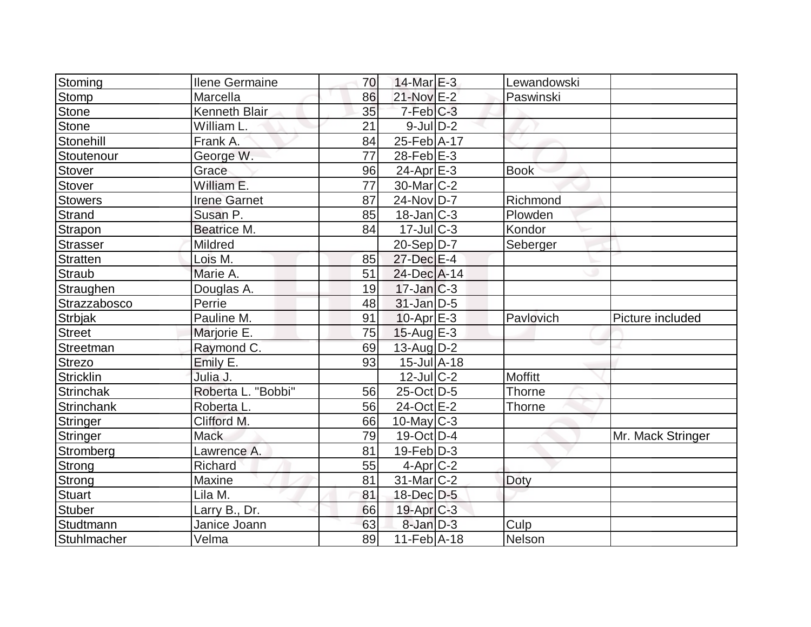| Stoming                           | <b>Ilene Germaine</b> | 70 | $14$ -Mar $E-3$              | Lewandowski |                   |
|-----------------------------------|-----------------------|----|------------------------------|-------------|-------------------|
| <b>Stomp</b>                      | Marcella              | 86 | 21-Nov E-2                   | Paswinski   |                   |
| Stone                             | Kenneth Blair         | 35 | $7-Feb$ $C-3$                |             |                   |
| <b>Stone</b>                      | William L.            | 21 | $9$ -JulD-2                  |             |                   |
| Stonehill                         | Frank A.              | 84 | 25-Feb A-17                  |             |                   |
| Stoutenour                        | George W.             | 77 | $28$ -Feb $E-3$              |             |                   |
| Stover                            | Grace                 | 96 | $24$ -Apr $E-3$              | <b>Book</b> |                   |
| <b>Stover</b>                     | William E.            | 77 | 30-Mar <sub>IC</sub> -2      |             |                   |
| <b>Stowers</b>                    | <b>Irene Garnet</b>   | 87 | 24-Nov D-7                   | Richmond    |                   |
| Strand                            | Susan P.              | 85 | $18$ -Jan $ C-3 $            | Plowden     |                   |
| Strapon                           | Beatrice M.           | 84 | $17$ -Jul $C-3$              | Kondor      |                   |
| Strasser                          | Mildred               |    | $20-Sep D-7$                 | Seberger    |                   |
| Stratten                          | Lois M.               | 85 | 27-Dec E-4                   |             |                   |
| <b>Straub</b>                     | Marie A.              | 51 | 24-Dec A-14                  |             |                   |
| Straughen                         | Douglas A.            | 19 | $17$ -Jan $ C-3 $            |             |                   |
| Strazzabosco                      | Perrie                | 48 | $31$ -Jan D-5                |             |                   |
|                                   |                       |    |                              |             |                   |
|                                   | Pauline M.            | 91 | $10$ -Apr $E-3$              | Pavlovich   | Picture included  |
| <b>Strbjak</b>                    | Marjorie E.           | 75 | $15$ -Aug $E-3$              |             |                   |
| Street<br>Streetman               | Raymond C.            | 69 | $13$ -Aug $D-2$              |             |                   |
|                                   | Emily E.              | 93 | $15$ -Jul $\overline{A}$ -18 |             |                   |
| <b>Strezo</b><br><b>Stricklin</b> | Julia J.              |    | $12$ -Jul $ C-2 $            | Moffitt     |                   |
| Strinchak                         | Roberta L. "Bobbi"    | 56 | $25$ -Oct D-5                | Thorne      |                   |
| Strinchank                        | Roberta L.            | 56 | 24-Oct E-2                   | Thorne      |                   |
| Stringer                          | Clifford M.           | 66 | $10$ -May C-3                |             |                   |
| Stringer                          | <b>Mack</b>           | 79 | $19$ -Oct D-4                |             | Mr. Mack Stringer |
|                                   | Lawrence A.           | 81 | $19$ -Feb $ D-3 $            |             |                   |
| Stromberg<br>Strong               | Richard               | 55 | $4$ -Apr $C-2$               |             |                   |
| Strong                            | Maxine                | 81 | $31$ -Mar $ C-2 $            | Doty        |                   |
| <b>Stuart</b>                     | Lila M.               | 81 | $18$ -Dec $D-5$              |             |                   |
|                                   | Larry B., Dr.         | 66 | $19$ -Apr $C-3$              |             |                   |
| Stuber<br>Studtmann               | Janice Joann          | 63 | $8$ -Jan $D-3$               | Culp        |                   |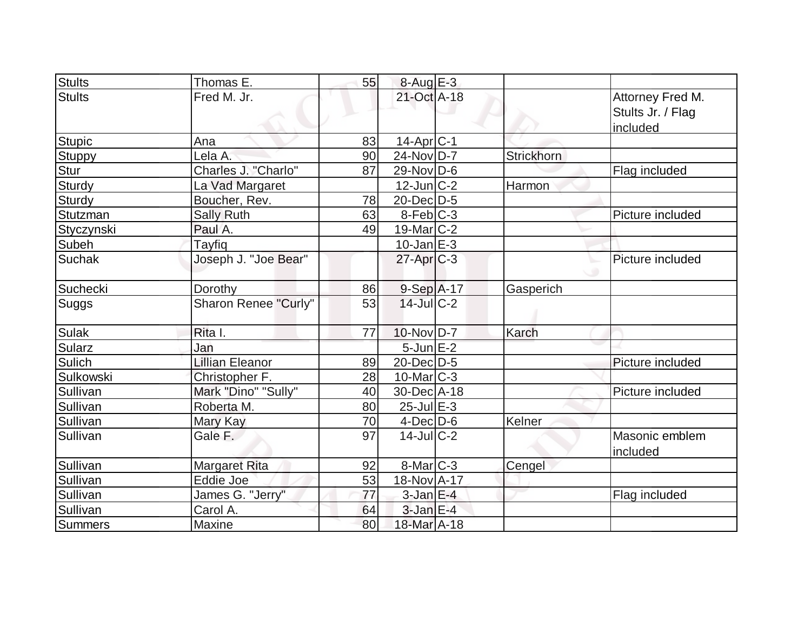| <b>Stults</b> | Thomas E.              | 55 | $8-Aug$ $E-3$          |            |                                                   |
|---------------|------------------------|----|------------------------|------------|---------------------------------------------------|
| <b>Stults</b> | Fred M. Jr.            |    | 21-Oct A-18            |            | Attorney Fred M.<br>Stults Jr. / Flag<br>included |
| <b>Stupic</b> | Ana                    | 83 | $14$ -Apr $ C-1 $      |            |                                                   |
| Stuppy        | Lela A.                | 90 | $24$ -Nov D-7          | Strickhorn |                                                   |
| Stur          | Charles J. "Charlo"    | 87 | $29$ -Nov D-6          |            | Flag included                                     |
| Sturdy        | La Vad Margaret        |    | $12$ -Jun $ C-2 $      | Harmon     |                                                   |
| Sturdy        | Boucher, Rev.          | 78 | 20-Dec D-5             |            |                                                   |
| Stutzman      | <b>Sally Ruth</b>      | 63 | $8-Feb$ <sub>C-3</sub> |            | Picture included                                  |
| Styczynski    | Paul A.                | 49 | $19$ -Mar $ C-2 $      |            |                                                   |
| Subeh         | Tayfiq                 |    | $10$ -Jan $E-3$        |            |                                                   |
| <b>Suchak</b> | Joseph J. "Joe Bear"   |    | $27$ -Apr $C-3$        |            | Picture included                                  |
| Suchecki      | Dorothy                | 86 | $9-Sep$ A-17           | Gasperich  |                                                   |
| <b>Suggs</b>  | Sharon Renee "Curly"   | 53 | $14$ -JulC-2           |            |                                                   |
| <b>Sulak</b>  | Rita I.                | 77 | 10-Nov D-7             | Karch      |                                                   |
| <b>Sularz</b> | Jan                    |    | $5$ -Jun $E-2$         |            |                                                   |
| Sulich        | <b>Lillian Eleanor</b> | 89 | $20$ -Dec $D-5$        |            | Picture included                                  |
| Sulkowski     | Christopher F.         | 28 | $10$ -Mar $ C-3 $      |            |                                                   |
| Sullivan      | Mark "Dino" "Sully"    | 40 | 30-Dec A-18            |            | Picture included                                  |
| Sullivan      | Roberta M.             | 80 | $25$ -Jul $E-3$        |            |                                                   |
| Sullivan      | Mary Kay               | 70 | $4$ -Dec $D-6$         | Kelner     |                                                   |
| Sullivan      | Gale F.                | 97 | $14$ -JulC-2           |            | Masonic emblem<br>included                        |
| Sullivan      | <b>Margaret Rita</b>   | 92 | $8$ -Mar $ C-3 $       | Cengel     |                                                   |
| Sullivan      | Eddie Joe              | 53 | 18-Nov A-17            |            |                                                   |
| Sullivan      | James G. "Jerry"       | 77 | $3$ -Jan $E-4$         |            | Flag included                                     |
| Sullivan      | Carol A.               | 64 | $3$ -Jan $E-4$         |            |                                                   |
| Summers       | Maxine                 | 80 | 18-Mar A-18            |            |                                                   |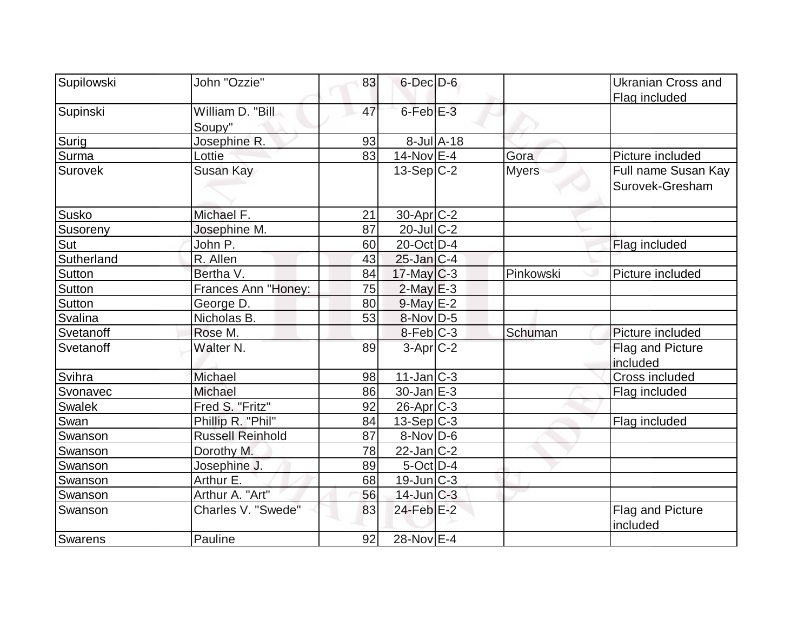| Supilowski     | John "Ozzie"            | 83 | $6$ -Dec $D$ -6           |                  |              | <b>Ukranian Cross and</b> |
|----------------|-------------------------|----|---------------------------|------------------|--------------|---------------------------|
|                |                         |    |                           |                  |              | Flag included             |
| Supinski       | William D. "Bill        | 47 | 6-Feb <sup>E-3</sup>      |                  |              |                           |
|                | Soupy"                  |    |                           |                  |              |                           |
| Surig          | Josephine R.            | 93 |                           | $8$ -Jul $A$ -18 |              |                           |
| Surma          | Lottie                  | 83 | $14$ -Nov $E-4$           |                  | Gora         | Picture included          |
| <b>Surovek</b> | Susan Kay               |    | $13-Sep C-2$              |                  | <b>Myers</b> | Full name Susan Kay       |
|                |                         |    |                           |                  |              | Surovek-Gresham           |
|                |                         |    |                           |                  |              |                           |
| <b>Susko</b>   | Michael F.              | 21 | 30-Apr <sub>C</sub> -2    |                  |              |                           |
| Susoreny       | Josephine M.            | 87 | $20$ -Jul C-2             |                  |              |                           |
| Sut            | John P.                 | 60 | 20-Oct D-4                |                  |              | Flag included             |
| Sutherland     | R. Allen                | 43 | $25$ -Jan $ C-4 $         |                  |              |                           |
| Sutton         | Bertha V.               | 84 | $17$ -May C-3             |                  | Pinkowski    | Picture included          |
| <b>Sutton</b>  | Frances Ann "Honey:     | 75 | $2$ -May $E-3$            |                  |              |                           |
| <b>Sutton</b>  | George D.               | 80 | $9$ -May $E-2$            |                  |              |                           |
| Svalina        | Nicholas B.             | 53 | $8-Nov D-5$               |                  |              |                           |
| Svetanoff      | Rose M.                 |    | $8$ -Feb $ C-3 $          |                  | Schuman      | Picture included          |
| Svetanoff      | Walter <sub>N.</sub>    | 89 | $3-Apr$ $C-2$             |                  |              | Flag and Picture          |
|                |                         |    |                           |                  |              | included                  |
| Svihra         | Michael                 | 98 | 11-Jan C-3                |                  |              | Cross included            |
| Svonavec       | Michael                 | 86 | $30 - Jan \, \boxed{E-3}$ |                  |              | Flag included             |
| Swalek         | Fred S. "Fritz"         | 92 | $26$ -Apr $C-3$           |                  |              |                           |
| Swan           | Phillip R. "Phil"       | 84 | $13-Sep C-3$              |                  |              | Flag included             |
| Swanson        | <b>Russell Reinhold</b> | 87 | $8-Nov D-6$               |                  |              |                           |
| Swanson        | Dorothy M.              | 78 | 22-Jan C-2                |                  |              |                           |
| Swanson        | Josephine J.            | 89 | $5$ -Oct $D-4$            |                  |              |                           |
| Swanson        | Arthur E.               | 68 | $19$ -Jun $ C-3 $         |                  |              |                           |
| Swanson        | Arthur A. "Art"         | 56 | $14$ -Jun $C-3$           |                  |              |                           |
| Swanson        | Charles V. "Swede"      | 83 | 24-Feb <sup>E-2</sup>     |                  |              | Flag and Picture          |
|                |                         |    |                           |                  |              | included                  |
| <b>Swarens</b> | Pauline                 | 92 | 28-Nov E-4                |                  |              |                           |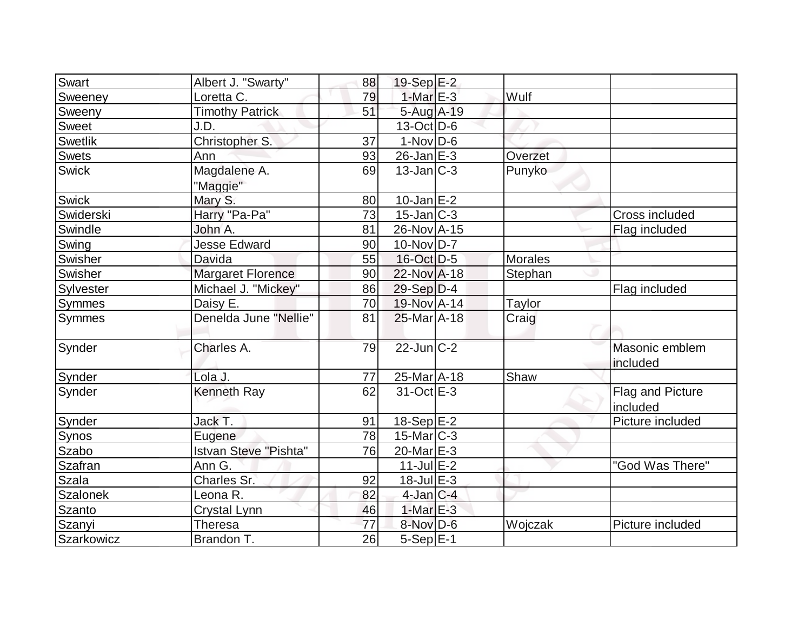| Swart           | Albert J. "Swarty"       | 88 | $19-Sep$ <sub>E-2</sub>      |         |                              |
|-----------------|--------------------------|----|------------------------------|---------|------------------------------|
| Sweeney         | Loretta C.               | 79 | $1-MarE-3$                   | Wulf    |                              |
| Sweeny          | <b>Timothy Patrick</b>   | 51 | 5-Aug A-19                   |         |                              |
| <b>Sweet</b>    | J.D.                     |    | $13-Oct$ D-6                 |         |                              |
| <b>Swetlik</b>  | Christopher S.           | 37 | $1-NovD-6$                   |         |                              |
| <b>Swets</b>    | Ann                      | 93 | $26$ -Jan $E-3$              | Overzet |                              |
| <b>Swick</b>    | Magdalene A.<br>"Maggie" | 69 | $13$ -Jan $ C-3 $            | Punyko  |                              |
| <b>Swick</b>    | Mary S.                  | 80 | $10$ -Jan $E-2$              |         |                              |
| Swiderski       | Harry "Pa-Pa"            | 73 | $15$ -Jan $ C-3 $            |         | Cross included               |
| Swindle         | John A.                  | 81 | 26-Nov A-15                  |         | Flag included                |
| Swing           | <b>Jesse Edward</b>      | 90 | $10$ -Nov $ D-7 $            |         |                              |
| Swisher         | Davida                   | 55 | 16-Oct D-5                   | Morales |                              |
| Swisher         | <b>Margaret Florence</b> | 90 | 22-Nov A-18                  | Stephan |                              |
| Sylvester       | Michael J. "Mickey"      | 86 | $29-Sep D-4$                 |         | Flag included                |
| Symmes          | Daisy E.                 | 70 | 19-Nov A-14                  | Taylor  |                              |
| <b>Symmes</b>   | Denelda June "Nellie"    | 81 | 25-Mar A-18                  | Craig   |                              |
| Synder          | Charles A.               | 79 | $22$ -Jun $C-2$              |         | Masonic emblem<br>included   |
| Synder          | Lola J.                  | 77 | $25$ -Mar $\overline{A}$ -18 | Shaw    |                              |
| Synder          | <b>Kenneth Ray</b>       | 62 | 31-Oct E-3                   |         | Flag and Picture<br>included |
| Synder          | Jack T.                  | 91 | $18-Sep$ $E-2$               |         | Picture included             |
| Synos           | Eugene                   | 78 | $15$ -Mar $ C-3 $            |         |                              |
| Szabo           | Istvan Steve "Pishta"    | 76 | 20-Mar E-3                   |         |                              |
| <b>Szafran</b>  | Ann G.                   |    | $11$ -Jul $E-2$              |         | "God Was There"              |
| <b>Szala</b>    | Charles Sr.              | 92 | $18$ -Jul $E-3$              |         |                              |
| <b>Szalonek</b> | Leona R.                 | 82 | $4$ -Jan $ C-4 $             |         |                              |
| <b>Szanto</b>   | Crystal Lynn             | 46 | $1-MarE-3$                   |         |                              |
| Szanyi          | <b>Theresa</b>           | 77 | 8-Nov D-6                    | Wojczak | Picture included             |
| Szarkowicz      | Brandon T.               | 26 | $5-Sep E-1$                  |         |                              |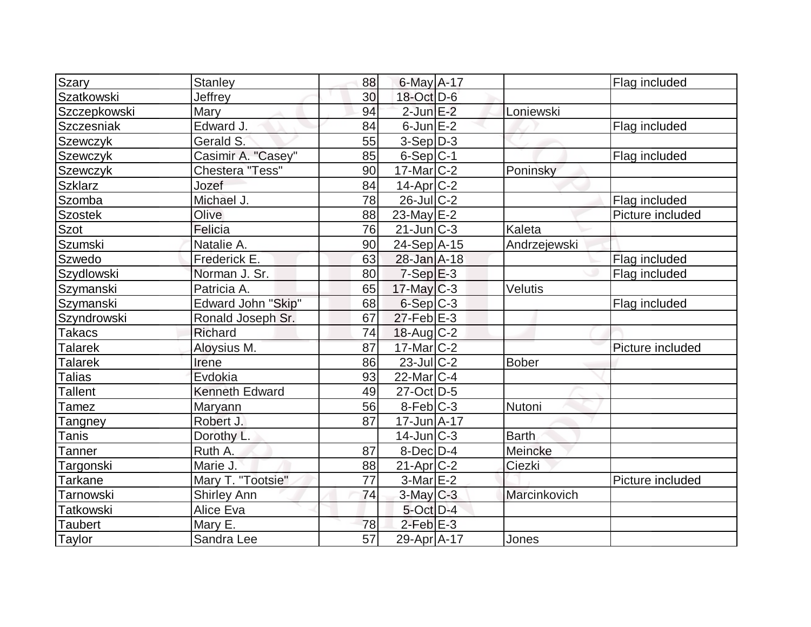| <b>Szary</b>     | <b>Stanley</b>            | 88              | $6$ -May A-17          |              | Flag included    |
|------------------|---------------------------|-----------------|------------------------|--------------|------------------|
| Szatkowski       | Jeffrey                   | 30 <sup>°</sup> | 18-Oct D-6             |              |                  |
| Szczepkowski     | Mary                      | 94              | $2$ -Jun $E-2$         | Loniewski    |                  |
| Szczesniak       | Edward J.                 | 84              | $6$ -Jun $E-2$         |              | Flag included    |
| Szewczyk         | Gerald S.                 | 55              | $3-Sep D-3$            |              |                  |
| <b>Szewczyk</b>  | Casimir A. "Casey"        | 85              | $6-Sep C-1$            |              | Flag included    |
| Szewczyk         | Chestera "Tess"           | 90              | $17$ -Mar $ C-2 $      | Poninsky     |                  |
| <b>Szklarz</b>   | Jozef                     | 84              | $14$ -Apr $C-2$        |              |                  |
| Szomba           | Michael J.                | 78              | $26$ -Jul $ C-2 $      |              | Flag included    |
| <b>Szostek</b>   | Olive                     | 88              | $23$ -May $E-2$        |              | Picture included |
| <b>Szot</b>      | Felicia                   | 76              | $21$ -Jun $C-3$        | Kaleta       |                  |
| Szumski          | Natalie A.                | 90              | 24-Sep A-15            | Andrzejewski |                  |
| Szwedo           | Frederick E.              | 63              | 28-Jan A-18            |              | Flag included    |
| Szydlowski       | Norman J. Sr.             | 80              | $7-Sep$ $E-3$          |              | Flag included    |
| Szymanski        | Patricia A.               | 65              | $17$ -May C-3          | Velutis      |                  |
| Szymanski        | <b>Edward John "Skip"</b> | 68              | $6-Sep C-3$            |              | Flag included    |
| Szyndrowski      | Ronald Joseph Sr.         | 67              | $27$ -Feb $E-3$        |              |                  |
| <b>Takacs</b>    | Richard                   | 74              | $18$ -Aug C-2          |              |                  |
| <b>Talarek</b>   | Aloysius M.               | 87              | $17$ -Mar $ C-2 $      |              | Picture included |
| <b>Talarek</b>   | Irene                     | 86              | $23$ -Jul $C-2$        | <b>Bober</b> |                  |
| <b>Talias</b>    | Evdokia                   | 93              | 22-Mar <sub>IC-4</sub> |              |                  |
| <b>Tallent</b>   | <b>Kenneth Edward</b>     | 49              | 27-Oct D-5             |              |                  |
| Tamez            | Maryann                   | 56              | $8-Feb$ <sub>C-3</sub> | Nutoni       |                  |
| Tangney          | Robert J.                 | 87              | $17 - Jun$ A-17        |              |                  |
| Tanis            | Dorothy L.                |                 | $14$ -Jun $C-3$        | <b>Barth</b> |                  |
| Tanner           | Ruth A.                   | 87              | $8$ -Dec $D-4$         | Meincke      |                  |
| Targonski        | Marie J.                  | 88              | $21-Apr$ $C-2$         | Ciezki       |                  |
| <b>Tarkane</b>   | Mary T. "Tootsie"         | 77              | $3-Mar$ $E-2$          |              | Picture included |
| Tarnowski        | <b>Shirley Ann</b>        | 74              | $3$ -May $C-3$         | Marcinkovich |                  |
| <b>Tatkowski</b> | Alice Eva                 |                 | $5$ -Oct $D-4$         |              |                  |
| <b>Taubert</b>   | Mary E.                   | 78              | $2$ -Feb $E-3$         |              |                  |
| Taylor           | Sandra Lee                | 57              | 29-Apr A-17            | Jones        |                  |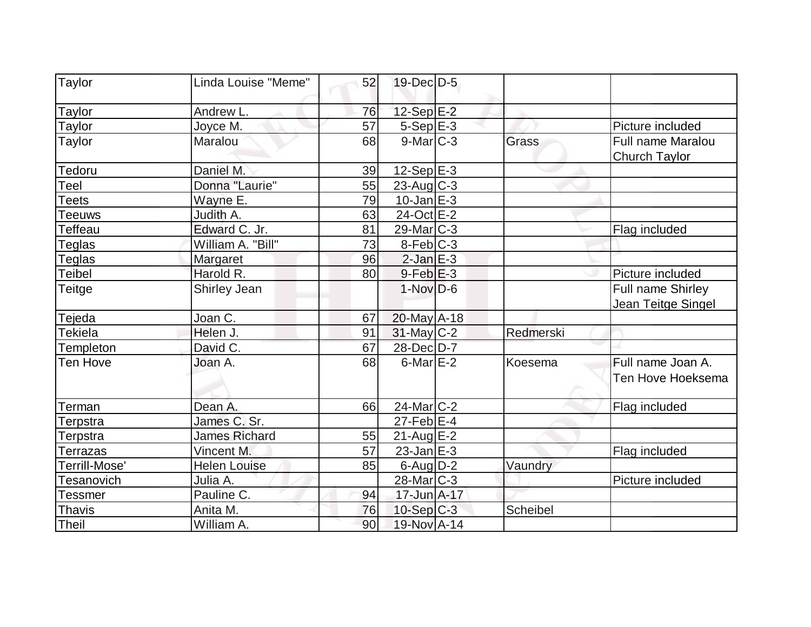| Taylor        | Linda Louise "Meme"  | 52 | $19$ -Dec $D-5$   |           |                                           |
|---------------|----------------------|----|-------------------|-----------|-------------------------------------------|
| Taylor        | Andrew L.            | 76 | 12-Sep E-2        |           |                                           |
| Taylor        | Joyce M.             | 57 | $5-Sep$ E-3       |           | Picture included                          |
| Taylor        | Maralou              | 68 | $9$ -Mar $C-3$    | Grass     | Full name Maralou<br><b>Church Taylor</b> |
| Tedoru        | Daniel M.            | 39 | $12-Sep$ E-3      |           |                                           |
| Teel          | Donna "Laurie"       | 55 | $23$ -Aug C-3     |           |                                           |
| Teets         | Wayne E.             | 79 | $10$ -Jan $E-3$   |           |                                           |
| Teeuws        | Judith A.            | 63 | 24-Oct E-2        |           |                                           |
| Teffeau       | Edward C. Jr.        | 81 | $29$ -Mar $ C-3 $ |           | Flag included                             |
| Teglas        | William A. "Bill"    | 73 | $8-Feb$ C-3       |           |                                           |
| Teglas        | Margaret             | 96 | $2$ -Jan $E-3$    |           |                                           |
| <b>Teibel</b> | Harold R.            | 80 | $9$ -Feb $E-3$    |           | Picture included                          |
| Teitge        | Shirley Jean         |    | $1-Nov D-6$       |           | Full name Shirley<br>Jean Teitge Singel   |
| Tejeda        | Joan C.              | 67 | $20$ -May A-18    |           |                                           |
| Tekiela       | Helen J.             | 91 | $31$ -May C-2     | Redmerski |                                           |
| Templeton     | David C.             | 67 | 28-Dec D-7        |           |                                           |
| Ten Hove      | Joan A.              | 68 | $6$ -Mar $E-2$    | Koesema   | Full name Joan A.<br>Ten Hove Hoeksema    |
| Terman        | Dean A.              | 66 | $24$ -Mar $C-2$   |           | Flag included                             |
| Terpstra      | James C. Sr.         |    | $27$ -Feb $E-4$   |           |                                           |
| Terpstra      | <b>James Richard</b> | 55 | $21$ -Aug $E-2$   |           |                                           |
| Terrazas      | Vincent M.           | 57 | $23$ -Jan $E-3$   |           | Flag included                             |
| Terrill-Mose' | <b>Helen Louise</b>  | 85 | $6$ -Aug $D-2$    | Vaundry   |                                           |
| Tesanovich    | Julia A.             |    | $28$ -Mar $C-3$   |           | Picture included                          |
| Tessmer       | Pauline C.           | 94 | 17-Jun A-17       |           |                                           |
| <b>Thavis</b> | Anita M.             | 76 | $10-Sep C-3$      | Scheibel  |                                           |
| Theil         | William A.           | 90 | 19-Nov A-14       |           |                                           |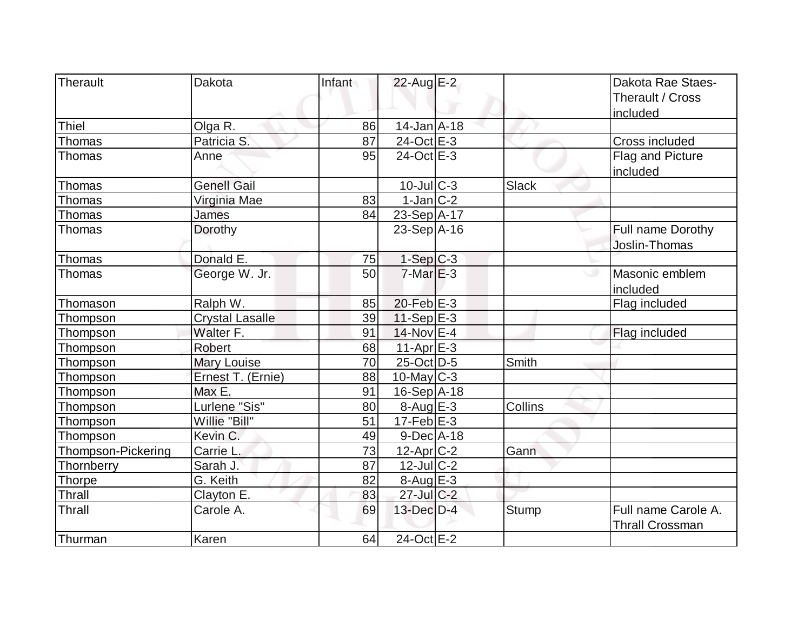| Therault                  | Dakota                 | Infant | $22$ -Aug E-2              |              | Dakota Rae Staes-<br>Therault / Cross<br>included |
|---------------------------|------------------------|--------|----------------------------|--------------|---------------------------------------------------|
| <b>Thiel</b>              | Olga R.                | 86     | $14$ -Jan $A$ -18          |              |                                                   |
| Thomas                    | Patricia S.            | 87     | $24$ -Oct $E$ -3           |              | Cross included                                    |
| Thomas                    | Anne                   | 95     | 24-Oct E-3                 |              | Flag and Picture<br>included                      |
| Thomas                    | <b>Genell Gail</b>     |        | $10$ -Jul $C-3$            | Slack        |                                                   |
| Thomas                    | Virginia Mae           | 83     | $1$ -Jan $C-2$             |              |                                                   |
| Thomas                    | James                  | 84     | 23-Sep A-17                |              |                                                   |
| Thomas                    | Dorothy                |        | $23-Sep$ A-16              |              | Full name Dorothy<br>Joslin-Thomas                |
| Thomas                    | Donald E.              | 75     | $1-Sep$ $C-3$              |              |                                                   |
| Thomas                    | George W. Jr.          | 50     | $7-MarE-3$                 |              | Masonic emblem<br>included                        |
| Thomason                  | Ralph W.               | 85     | 20-Feb E-3                 |              | Flag included                                     |
| Thompson                  | <b>Crystal Lasalle</b> | 39     | $11-Sep$ $E-3$             |              |                                                   |
| Thompson                  | Walter F.              | 91     | $14$ -Nov $E-4$            |              | Flag included                                     |
| Thompson                  | Robert                 | 68     | $11-Apr \nightharpoonup 3$ |              |                                                   |
| Thompson                  | <b>Mary Louise</b>     | 70     | $25$ -Oct $D-5$            | Smith        |                                                   |
| Thompson                  | Ernest T. (Ernie)      | 88     | $10$ -May $ C-3 $          |              |                                                   |
| Thompson                  | Max E.                 | 91     | 16-Sep A-18                |              |                                                   |
| Thompson                  | Lurlene "Sis"          | 80     | $8 - \text{Aug}$ E-3       | Collins      |                                                   |
| Thompson                  | Willie "Bill"          | 51     | $17$ -Feb $E-3$            |              |                                                   |
| Thompson                  | Kevin C.               | 49     | $9$ -Dec $A$ -18           |              |                                                   |
| <b>Thompson-Pickering</b> | Carrie L.              | 73     | $12$ -Apr $C-2$            | Gann         |                                                   |
| Thornberry                | Sarah J.               | 87     | $12$ -JulC-2               |              |                                                   |
| Thorpe                    | G. Keith               | 82     | 8-Aug E-3                  |              |                                                   |
| Thrall                    | Clayton E.             | 83     | $27$ -Jul $C-2$            |              |                                                   |
| Thrall                    | Carole A.              | 69     | 13-Dec D-4                 | <b>Stump</b> | Full name Carole A.<br><b>Thrall Crossman</b>     |
| Thurman                   | Karen                  | 64     | 24-Oct E-2                 |              |                                                   |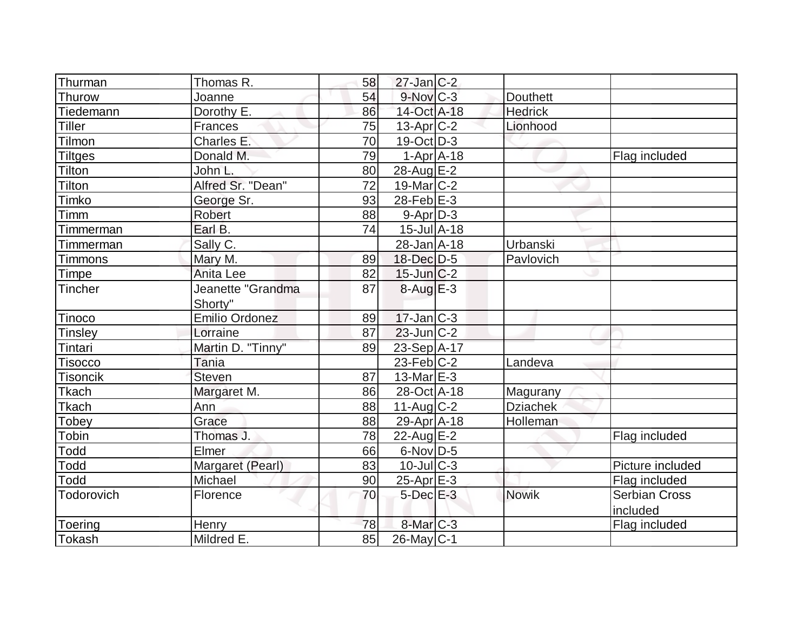| Thurman         | Thomas R.             | 58 | $27$ -Jan $ C-2 $            |                 |                      |
|-----------------|-----------------------|----|------------------------------|-----------------|----------------------|
| Thurow          | Joanne                | 54 | $9-Nov$ $C-3$                | <b>Douthett</b> |                      |
| Tiedemann       | Dorothy E.            | 86 | 14-Oct A-18                  | <b>Hedrick</b>  |                      |
| <b>Tiller</b>   | Frances               | 75 | $13$ -Apr $ C-2 $            | Lionhood        |                      |
| Tilmon          | Charles E.            | 70 | $19-Oct$ D-3                 |                 |                      |
| <b>Tiltges</b>  | Donald M.             | 79 | $1-Apr$ A-18                 |                 | Flag included        |
| Tilton          | John L.               | 80 | 28-Aug E-2                   |                 |                      |
| Tilton          | Alfred Sr. "Dean"     | 72 | $19$ -Mar $ C-2$             |                 |                      |
| Timko           | George Sr.            | 93 | $28$ -Feb $E-3$              |                 |                      |
| Timm            | Robert                | 88 | $9-Apr D-3$                  |                 |                      |
| Timmerman       | Earl B.               | 74 | $15$ -Jul $\overline{A}$ -18 |                 |                      |
| Timmerman       | Sally C.              |    | 28-Jan A-18                  | Urbanski        |                      |
| <b>Timmons</b>  | Mary M.               | 89 | 18-Dec D-5                   | Pavlovich       |                      |
| Timpe           | Anita Lee             | 82 | $15$ -Jun $C-2$              |                 |                      |
| Tincher         | Jeanette "Grandma     | 87 | $8-AugE-3$                   |                 |                      |
|                 | Shorty"               |    |                              |                 |                      |
| Tinoco          | <b>Emilio Ordonez</b> | 89 | $17$ -Jan $ C-3 $            |                 |                      |
| <b>Tinsley</b>  | Lorraine              | 87 | $23$ -Jun $C-2$              |                 |                      |
| Tintari         | Martin D. "Tinny"     | 89 | 23-Sep A-17                  |                 |                      |
| <b>Tisocco</b>  | Tania                 |    | 23-Feb $ C-2 $               | Landeva         |                      |
| <b>Tisoncik</b> | <b>Steven</b>         | 87 | $13$ -Mar $E-3$              |                 |                      |
| Tkach           | Margaret M.           | 86 | 28-Oct A-18                  | Magurany        |                      |
| <b>Tkach</b>    | Ann                   | 88 | $11-Auq$ $C-2$               | <b>Dziachek</b> |                      |
| Tobey           | Grace                 | 88 | $29$ -Apr $ A-18$            | Holleman        |                      |
| Tobin           | Thomas J.             | 78 | $22$ -Aug $E-2$              |                 | Flag included        |
| <b>Todd</b>     | Elmer                 | 66 | $6$ -Nov $D-5$               |                 |                      |
| Todd            | Margaret (Pearl)      | 83 | $10$ -JulC-3                 |                 | Picture included     |
| Todd            | Michael               | 90 | $25$ -Apr $E-3$              |                 | Flag included        |
| Todorovich      | Florence              | 70 | $5$ -Dec $E-3$               | <b>Nowik</b>    | <b>Serbian Cross</b> |
|                 |                       |    |                              |                 | included             |
| Toering         | Henry                 | 78 | $8$ -Mar $C$ -3              |                 | Flag included        |
| Tokash          | Mildred E.            | 85 | $26$ -May C-1                |                 |                      |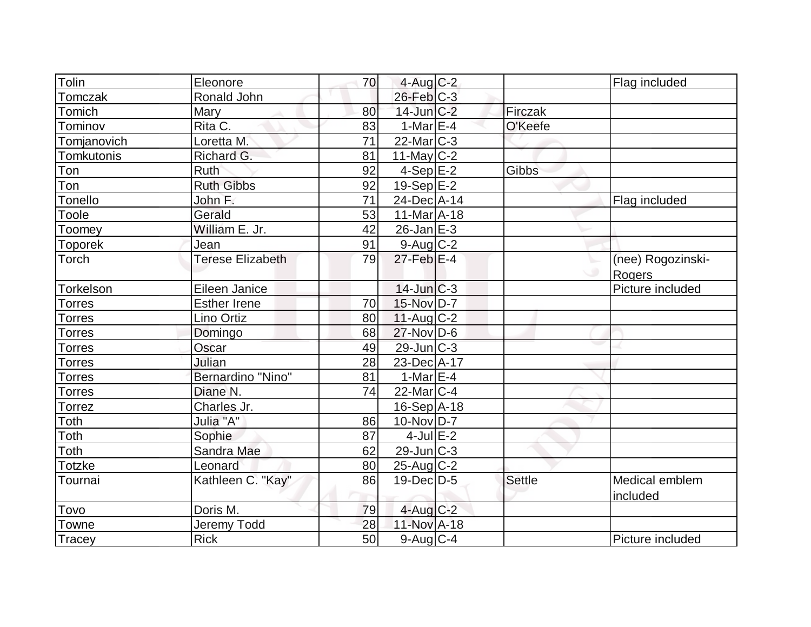| Tolin          | Eleonore                | 70 | $4$ -Aug C-2      |               | Flag included     |
|----------------|-------------------------|----|-------------------|---------------|-------------------|
| Tomczak        | Ronald John             |    | $26$ -Feb $C-3$   |               |                   |
| Tomich         | <b>Mary</b>             | 80 | $14$ -Jun $C-2$   | Firczak       |                   |
| Tominov        | Rita C.                 | 83 | 1-Mar $E-4$       | O'Keefe       |                   |
| Tomjanovich    | Loretta M.              | 71 | $22$ -Mar $C-3$   |               |                   |
| Tomkutonis     | Richard G.              | 81 | 11-May $C-2$      |               |                   |
| Ton            | <b>Ruth</b>             | 92 | $4-Sep$ $E-2$     | Gibbs         |                   |
| Ton            | <b>Ruth Gibbs</b>       | 92 | 19-Sep $E-2$      |               |                   |
| Tonello        | John F.                 | 71 | 24-Dec A-14       |               | Flag included     |
| <b>Toole</b>   | Gerald                  | 53 | $11-Mar4 - 18$    |               |                   |
| Toomey         | William E. Jr.          | 42 | $26$ -Jan $E-3$   |               |                   |
| <b>Toporek</b> | Jean                    | 91 | $9$ -Aug $C$ -2   |               |                   |
| Torch          | <b>Terese Elizabeth</b> | 79 | $27$ -Feb $E-4$   |               | (nee) Rogozinski- |
|                |                         |    |                   |               | Rogers            |
| Torkelson      | Eileen Janice           |    | $14$ -Jun $C-3$   |               | Picture included  |
| Torres         | <b>Esther Irene</b>     | 70 | 15-Nov D-7        |               |                   |
| Torres         | Lino Ortiz              | 80 | $11$ -Aug C-2     |               |                   |
| <b>Torres</b>  | Domingo                 | 68 | $27$ -Nov $ D-6$  |               |                   |
| <b>Torres</b>  | Oscar                   | 49 | $29$ -Jun $C-3$   |               |                   |
| <b>Torres</b>  | Julian                  | 28 | 23-Dec A-17       |               |                   |
| Torres         | Bernardino "Nino"       | 81 | 1-Mar $E-4$       |               |                   |
| <b>Torres</b>  | Diane N.                | 74 | $22$ -Mar $ C-4 $ |               |                   |
| <b>Torrez</b>  | Charles Jr.             |    | $16-Sep$ A-18     |               |                   |
| Toth           | Julia "A"               | 86 | $10$ -Nov $ D-7 $ |               |                   |
| Toth           | Sophie                  | 87 | $4$ -Jul $E-2$    |               |                   |
| Toth           | Sandra Mae              | 62 | $29$ -Jun $C-3$   |               |                   |
| <b>Totzke</b>  | Leonard                 | 80 | 25-Aug C-2        |               |                   |
| Tournai        | Kathleen C. "Kay"       | 86 | $19$ -Dec $ D-5$  | <b>Settle</b> | Medical emblem    |
|                |                         |    |                   |               | included          |
| Tovo           | Doris M.                | 79 | $4$ -Aug $C-2$    |               |                   |
| Towne          | <b>Jeremy Todd</b>      | 28 | 11-Nov A-18       |               |                   |
| Tracey         | <b>Rick</b>             | 50 | $9$ -Aug C-4      |               | Picture included  |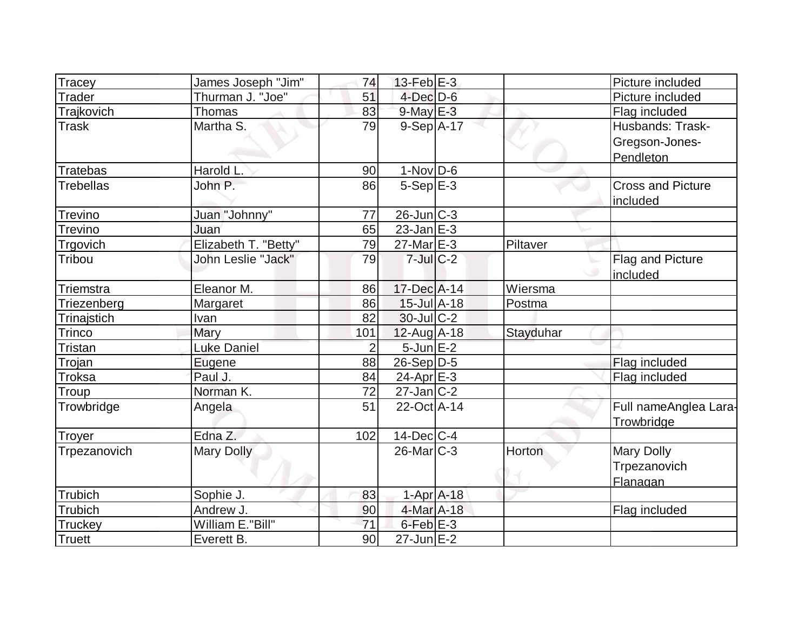| Tracey           | James Joseph "Jim"   | 74             | $13$ -Feb $E-3$              |           | Picture included                                |
|------------------|----------------------|----------------|------------------------------|-----------|-------------------------------------------------|
| <b>Trader</b>    | Thurman J. "Joe"     | 51             | $4$ -Dec $D-6$               |           | Picture included                                |
| Trajkovich       | Thomas               | 83             | $9$ -May $E-3$               |           | Flag included                                   |
| <b>Trask</b>     | Martha S.            | 79             | $9-Sep$ A-17                 |           | Husbands: Trask-<br>Gregson-Jones-<br>Pendleton |
| <b>Tratebas</b>  | Harold L.            | 90             | $1-Nov D-6$                  |           |                                                 |
| <b>Trebellas</b> | John P.              | 86             | $5-Sep$ E-3                  |           | <b>Cross and Picture</b><br>included            |
| Trevino          | Juan "Johnny"        | 77             | $26$ -Jun $C-3$              |           |                                                 |
| <b>Trevino</b>   | Juan                 | 65             | $23$ -Jan $E-3$              |           |                                                 |
| Trgovich         | Elizabeth T. "Betty" | 79             | $27$ -Mar $E-3$              | Piltaver  |                                                 |
| Tribou           | John Leslie "Jack"   | 79             | $7$ -Jul $C-2$               |           | Flag and Picture<br>included                    |
| Triemstra        | Eleanor M.           | 86             | 17-Dec A-14                  | Wiersma   |                                                 |
| Triezenberg      | Margaret             | 86             | $15$ -Jul $\overline{A}$ -18 | Postma    |                                                 |
| Trinajstich      | Ivan                 | 82             | $30$ -JulC-2                 |           |                                                 |
| Trinco           | Mary                 | 101            | $12$ -Aug A-18               | Stayduhar |                                                 |
| <b>Tristan</b>   | <b>Luke Daniel</b>   | $\overline{2}$ | $5$ -Jun $E-2$               |           |                                                 |
| Trojan           | Eugene               | 88             | $26-Sep D-5$                 |           | Flag included                                   |
| Troksa           | Paul J.              | 84             | $24$ -Apr $E-3$              |           | Flag included                                   |
| Troup            | Norman K.            | 72             | $27$ -Jan $C-2$              |           |                                                 |
| Trowbridge       | Angela               | 51             | 22-Oct A-14                  |           | Full nameAnglea Lara-<br>Trowbridge             |
| Troyer           | Edna Z.              | 102            | $14$ -Dec $ C-4 $            |           |                                                 |
| Trpezanovich     | <b>Mary Dolly</b>    |                | $26$ -Mar $C-3$              | Horton    | <b>Mary Dolly</b><br>Trpezanovich<br>Flanagan   |
| Trubich          | Sophie J.            | 83             | $1-Apr$ A-18                 |           |                                                 |
| <b>Trubich</b>   | Andrew J.            | 90             | 4-Mar A-18                   |           | Flag included                                   |
| Truckey          | William E."Bill"     | 71             | $6$ -Feb $E-3$               |           |                                                 |
| <b>Truett</b>    | Everett B.           | 90             | $27$ -Jun $E-2$              |           |                                                 |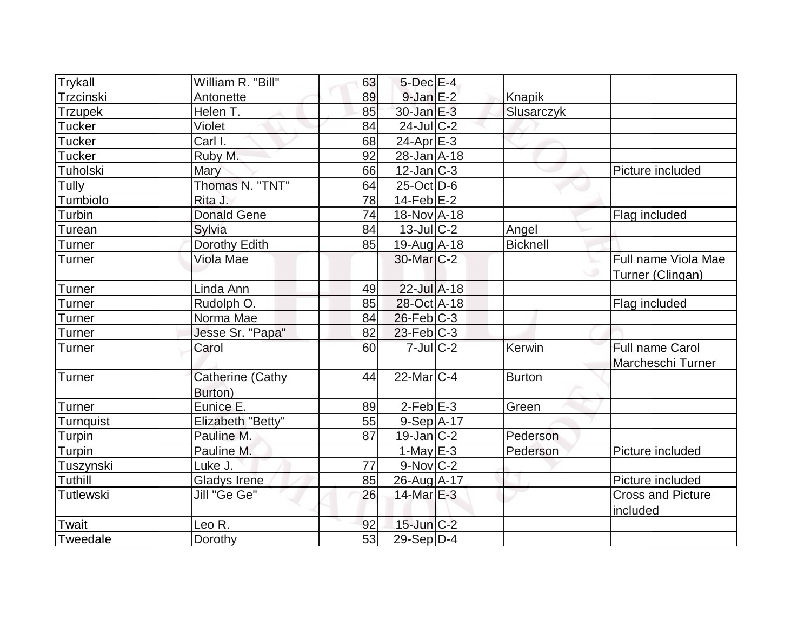| Trykall          | William R. "Bill"           | 63 | $5$ -Dec $E-4$    |                 |                          |
|------------------|-----------------------------|----|-------------------|-----------------|--------------------------|
| Trzcinski        | Antonette                   | 89 | $9$ -Jan $E-2$    | Knapik          |                          |
| <b>Trzupek</b>   | Helen T.                    | 85 | $30$ -Jan $E-3$   | Slusarczyk      |                          |
| <b>Tucker</b>    | Violet                      | 84 | $24$ -JulC-2      |                 |                          |
| <b>Tucker</b>    | Carl I.                     | 68 | $24$ -Apr $E-3$   |                 |                          |
| <b>Tucker</b>    | Ruby M.                     | 92 | 28-Jan A-18       |                 |                          |
| <b>Tuholski</b>  | Mary                        | 66 | $12$ -Jan $ C-3 $ |                 | Picture included         |
| Tully            | Thomas N. "TNT"             | 64 | $25$ -Oct $D$ -6  |                 |                          |
| Tumbiolo         | Rita J.                     | 78 | $14$ -Feb $ E-2 $ |                 |                          |
| Turbin           | <b>Donald Gene</b>          | 74 | 18-Nov A-18       |                 | Flag included            |
| Turean           | Sylvia                      | 84 | $13$ -JulC-2      | Angel           |                          |
| Turner           | <b>Dorothy Edith</b>        | 85 | 19-Aug A-18       | <b>Bicknell</b> |                          |
| Turner           | Viola Mae                   |    | 30-Mar C-2        |                 | Full name Viola Mae      |
|                  |                             |    |                   |                 | Turner (Clingan)         |
| <b>Turner</b>    | Linda Ann                   | 49 | $22$ -Jul A-18    |                 |                          |
| <b>Turner</b>    | Rudolph O.                  | 85 | 28-Oct A-18       |                 | Flag included            |
| Turner           | Norma Mae                   | 84 | $26$ -Feb $C-3$   |                 |                          |
| <b>Turner</b>    | Jesse Sr. "Papa"            | 82 | $23$ -Feb $ C-3 $ |                 |                          |
| <b>Turner</b>    | Carol                       | 60 | $7$ -Jul $C$ -2   | Kerwin          | <b>Full name Carol</b>   |
|                  |                             |    |                   |                 | Marcheschi Turner        |
| Turner           | Catherine (Cathy<br>Burton) | 44 | $22$ -Mar $C-4$   | <b>Burton</b>   |                          |
| <b>Turner</b>    | Eunice E.                   | 89 | $2-Feb$ $E-3$     | Green           |                          |
| <b>Turnquist</b> | Elizabeth "Betty"           | 55 | $9-Sep A-17$      |                 |                          |
| Turpin           | Pauline M.                  | 87 | $19$ -Jan $ C-2 $ | Pederson        |                          |
| Turpin           | Pauline M.                  |    | $1$ -May E-3      | Pederson        | Picture included         |
| Tuszynski        | Luke J.                     | 77 | $9-Nov$ C-2       |                 |                          |
| Tuthill          | <b>Gladys Irene</b>         | 85 | 26-Aug A-17       |                 | Picture included         |
| Tutlewski        | Jill "Ge Ge"                | 26 | $14$ -Mar $E-3$   |                 | <b>Cross and Picture</b> |
|                  |                             |    |                   |                 | included                 |
| Twait            | Leo R.                      | 92 | $15$ -Jun $C-2$   |                 |                          |
| Tweedale         | Dorothy                     | 53 | 29-Sep D-4        |                 |                          |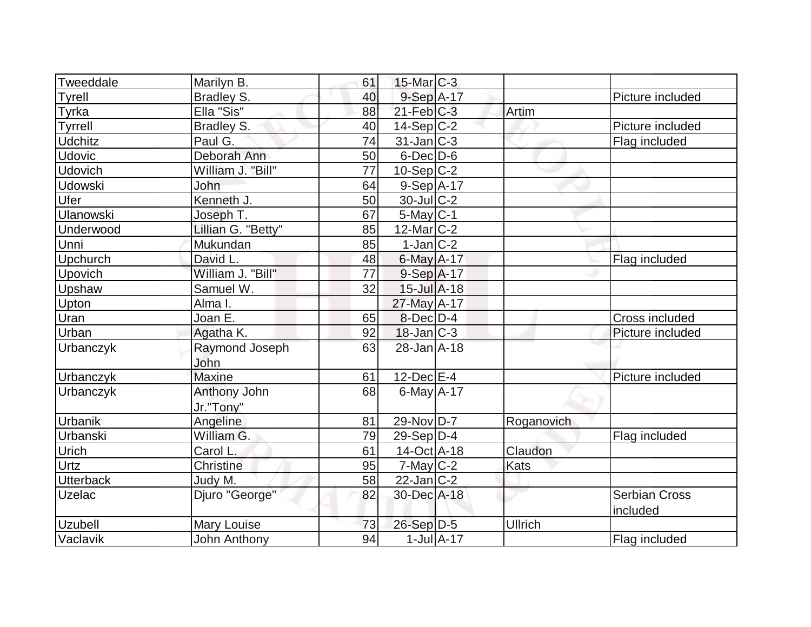| Tweeddale        | Marilyn B.          | 61 | $15$ -Mar $C-3$   |                |                      |
|------------------|---------------------|----|-------------------|----------------|----------------------|
| Tyrell           | <b>Bradley S.</b>   | 40 | 9-Sep A-17        |                | Picture included     |
| Tyrka            | Ella "Sis"          | 88 | $21$ -Feb $C-3$   | Artim          |                      |
| Tyrrell          | Bradley S.          | 40 | $14-Sep C-2$      |                | Picture included     |
| <b>Udchitz</b>   | Paul G.             | 74 | $31$ -Jan $ C-3 $ |                | Flag included        |
| <b>Udovic</b>    | Deborah Ann         | 50 | $6$ -Dec $D$ -6   |                |                      |
| Udovich          | William J. "Bill"   | 77 | $10-Sep C-2$      |                |                      |
| <b>Udowski</b>   | John                | 64 | $9-Sep$ A-17      |                |                      |
| Ufer             | Kenneth J.          | 50 | $30$ -JulC-2      |                |                      |
| <b>Ulanowski</b> | Joseph T.           | 67 | $5$ -May $C$ -1   |                |                      |
| Underwood        | Lillian G. "Betty"  | 85 | $12$ -Mar $ C-2 $ |                |                      |
| Unni             | Mukundan            | 85 | $1-Jan C-2$       |                |                      |
| Upchurch         | David L.            | 48 | $6$ -May $A$ -17  |                | Flag included        |
| Upovich          | William J. "Bill"   | 77 | $9-Sep$ A-17      |                |                      |
| Upshaw           | Samuel W.           | 32 | $15$ -Jul $A-18$  |                |                      |
| Upton            | Alma I.             |    | 27-May A-17       |                |                      |
| Uran             | Joan E.             | 65 | $8$ -Dec $D-4$    |                | Cross included       |
| Urban            | Agatha K.           | 92 | $18$ -Jan $ C-3 $ |                | Picture included     |
| Urbanczyk        | Raymond Joseph      | 63 | $28 - Jan A - 18$ |                |                      |
|                  | John                |    |                   |                |                      |
| Urbanczyk        | <b>Maxine</b>       | 61 | $12$ -Dec $E-4$   |                | Picture included     |
| Urbanczyk        | Anthony John        | 68 | $6$ -May $A$ -17  |                |                      |
|                  | Jr."Tony"           |    |                   |                |                      |
| Urbanik          | Angeline            | 81 | $29-Nov D-7$      | Roganovich     |                      |
| Urbanski         | William G.          | 79 | $29-Sep D-4$      |                | Flag included        |
| Urich            | Carol L.            | 61 | $14-Oct$ A-18     | Claudon        |                      |
| Urtz             | <b>Christine</b>    | 95 | $7$ -May $C-2$    | <b>Kats</b>    |                      |
| <b>Utterback</b> | Judy M.             | 58 | $22$ -Jan $ C-2 $ |                |                      |
| Uzelac           | Djuro "George"      | 82 | 30-Dec A-18       |                | <b>Serbian Cross</b> |
|                  |                     |    |                   |                | included             |
| <b>Uzubell</b>   | Mary Louise         | 73 | $26-Sep$ D-5      | <b>Ullrich</b> |                      |
| Vaclavik         | <b>John Anthony</b> | 94 | $1$ -Jul $A$ -17  |                | Flag included        |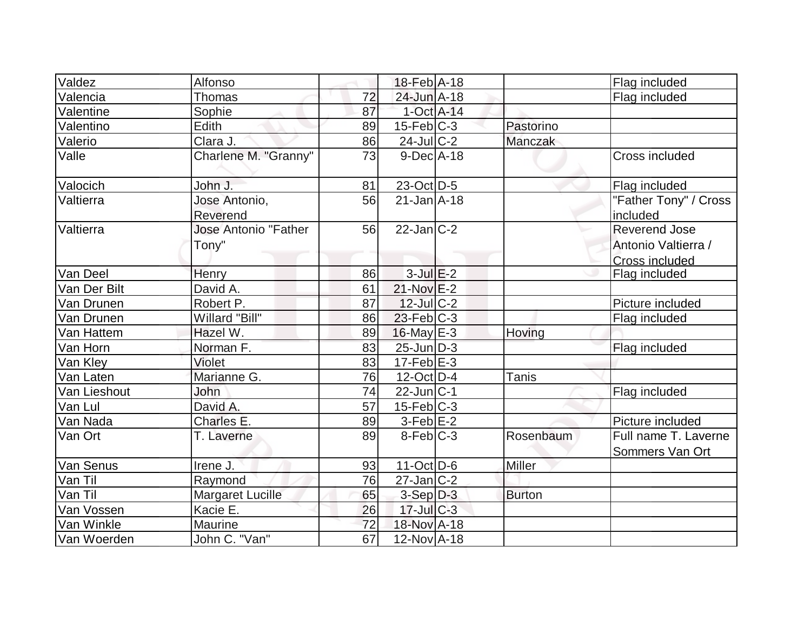| Valdez       | Alfonso                     |                 | $18$ -Feb $ A-18$ |               | Flag included                           |
|--------------|-----------------------------|-----------------|-------------------|---------------|-----------------------------------------|
| Valencia     | <b>Thomas</b>               | 72              | 24-Jun A-18       |               | Flag included                           |
| Valentine    | Sophie                      | 87              | 1-Oct A-14        |               |                                         |
| Valentino    | Edith                       | 89              | $15$ -Feb $ C-3 $ | Pastorino     |                                         |
| Valerio      | Clara J.                    | 86              | $24$ -Jul C-2     | Manczak       |                                         |
| Valle        | Charlene M. "Granny"        | 73              | $9-DecA-18$       |               | Cross included                          |
| Valocich     | John J.                     | 81              | $23$ -Oct D-5     |               | Flag included                           |
| Valtierra    | Jose Antonio,<br>Reverend   | 56              | $21$ -Jan $A$ -18 |               | "Father Tony" / Cross<br>included       |
| Valtierra    | <b>Jose Antonio "Father</b> | 56              | $22$ -Jan $C-2$   |               | <b>Reverend Jose</b>                    |
|              | Tony"                       |                 |                   |               | Antonio Valtierra /                     |
|              |                             |                 |                   |               | <b>Cross included</b>                   |
| Van Deel     | Henry                       | 86              | $3$ -Jul $E-2$    |               | Flag included                           |
| Van Der Bilt | David A.                    | 61              | $21-Nov$ $E-2$    |               |                                         |
| Van Drunen   | Robert P.                   | 87              | $12$ -JulC-2      |               | Picture included                        |
| Van Drunen   | Willard "Bill"              | 86              | $23$ -Feb $ C-3 $ |               | Flag included                           |
| Van Hattem   | Hazel W.                    | 89              | $16$ -May $E-3$   | Hoving        |                                         |
| Van Horn     | Norman F.                   | 83              | $25$ -Jun $D-3$   |               | Flag included                           |
| Van Kley     | Violet                      | 83              | $17-Feb$ $E-3$    |               |                                         |
| Van Laten    | Marianne G.                 | 76              | $12$ -Oct D-4     | <b>Tanis</b>  |                                         |
| Van Lieshout | John                        | 74              | $22$ -Jun $ C-1$  |               | Flag included                           |
| Van Lul      | David A.                    | $\overline{57}$ | $15$ -Feb $C-3$   |               |                                         |
| Van Nada     | Charles E.                  | 89              | $3-Feb$ $E-2$     |               | Picture included                        |
| Van Ort      | T. Laverne                  | 89              | $8-Feb$ $C-3$     | Rosenbaum     | Full name T. Laverne<br>Sommers Van Ort |
| Van Senus    | Irene J.                    | 93              | $11-Oct$ D-6      | Miller        |                                         |
| Van Til      | Raymond                     | 76              | $27$ -Jan $ C-2 $ |               |                                         |
| Van Til      | <b>Margaret Lucille</b>     | 65              | $3-Sep$ $D-3$     | <b>Burton</b> |                                         |
| Van Vossen   | Kacie E.                    | 26              | $17$ -Jul $C-3$   |               |                                         |
| Van Winkle   | Maurine                     | 72              | 18-Nov A-18       |               |                                         |
| Van Woerden  | John C. "Van"               | 67              | 12-Nov A-18       |               |                                         |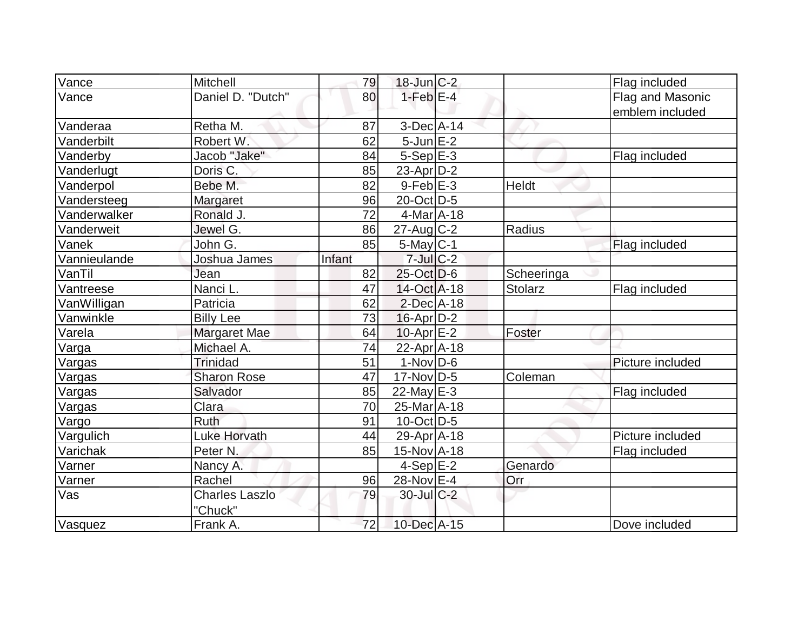| Vance         | Mitchell              | 79     | $18$ -Jun $C-2$   |            | Flag included    |
|---------------|-----------------------|--------|-------------------|------------|------------------|
| Vance         | Daniel D. "Dutch"     | 80     | $1-FebE-4$        |            | Flag and Masonic |
|               |                       |        |                   |            | emblem included  |
| Vanderaa      | Retha M.              | 87     | $3$ -Dec $A$ -14  |            |                  |
| Vanderbilt    | Robert W.             | 62     | $5$ -Jun $E-2$    |            |                  |
| Vanderby      | Jacob "Jake"          | 84     | $5-Sep$ $E-3$     |            | Flag included    |
| Vanderlugt    | Doris C.              | 85     | $23$ -Apr $D-2$   |            |                  |
| Vanderpol     | Bebe M.               | 82     | $9$ -Feb $E-3$    | Heldt      |                  |
| Vandersteeg   | Margaret              | 96     | 20-Oct D-5        |            |                  |
| Vanderwalker  | Ronald J.             | 72     | 4-Mar A-18        |            |                  |
| Vanderweit    | Jewel G.              | 86     | $27$ -Aug C-2     | Radius     |                  |
| Vanek         | John G.               | 85     | $5$ -May $C$ -1   |            | Flag included    |
| Vannieulande  | Joshua James          | Infant | $7$ -Jul $C-2$    |            |                  |
| VanTil        | Jean                  | 82     | $25$ -Oct $D-6$   | Scheeringa |                  |
| Vantreese     | Nanci L.              | 47     | $14-Oct$ A-18     | Stolarz    | Flag included    |
| VanWilligan   | Patricia              | 62     | $2$ -Dec $A$ -18  |            |                  |
| Vanwinkle     | <b>Billy Lee</b>      | 73     | $16$ -Apr $D-2$   |            |                  |
| Varela        | Margaret Mae          | 64     | $10$ -Apr $E-2$   | Foster     |                  |
| Varga         | Michael A.            | 74     | 22-Apr A-18       |            |                  |
| Vargas        | <b>Trinidad</b>       | 51     | $1-Nov D-6$       |            | Picture included |
| Vargas        | <b>Sharon Rose</b>    | 47     | $17$ -Nov $ D-5 $ | Coleman    |                  |
| <u>Vargas</u> | Salvador              | 85     | $22$ -May $E-3$   |            | Flag included    |
| Vargas        | Clara                 | 70     | $25$ -Mar $ A-18$ |            |                  |
| Vargo         | Ruth                  | 91     | $10$ -Oct $ D-5 $ |            |                  |
| Vargulich     | Luke Horvath          | 44     | $29$ -Apr $ A-18$ |            | Picture included |
| Varichak      | Peter <sub>N.</sub>   | 85     | 15-Nov A-18       |            | Flag included    |
| Varner        | Nancy A.              |        | $4-Sep$ $E-2$     | Genardo    |                  |
| Varner        | Rachel                | 96     | 28-Nov E-4        | Orr        |                  |
| Vas           | <b>Charles Laszlo</b> | 79     | 30-Jul C-2        |            |                  |
| Vasquez       | "Chuck"<br>Frank A.   | 72     | 10-Dec A-15       |            | Dove included    |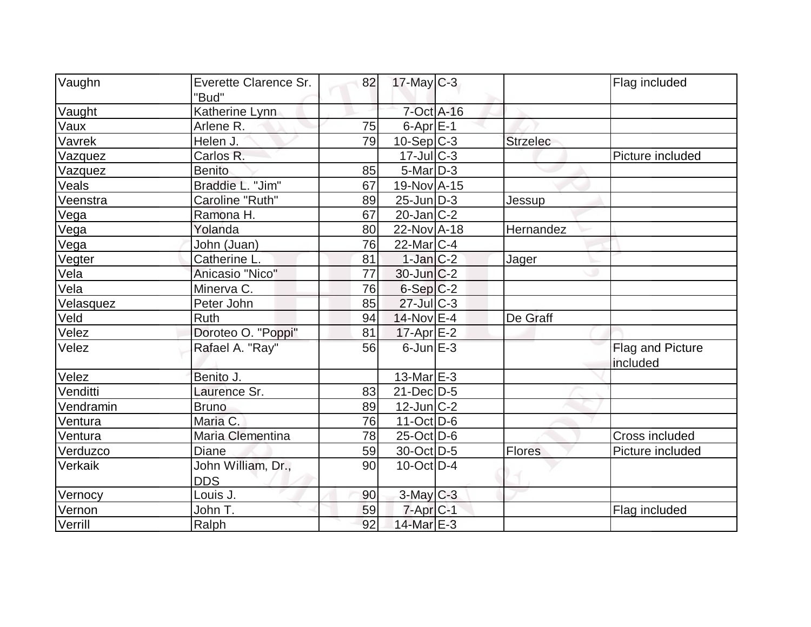| Vaughn    | Everette Clarence Sr.            | 82 | $17$ -May C-3      |                 | Flag included                |
|-----------|----------------------------------|----|--------------------|-----------------|------------------------------|
|           | "Bud"                            |    |                    |                 |                              |
| Vaught    | Katherine Lynn                   |    | 7-Oct A-16         |                 |                              |
| Vaux      | Arlene R.                        | 75 | $6$ -Apr $E-1$     |                 |                              |
| Vavrek    | Helen J.                         | 79 | $10-Sep$ C-3       | <b>Strzelec</b> |                              |
| Vazquez   | Carlos R.                        |    | $17$ -Jul $C-3$    |                 | Picture included             |
| Vazquez   | <b>Benito</b>                    | 85 | $5$ -Mar $D-3$     |                 |                              |
| Veals     | Braddie L. "Jim"                 | 67 | 19-Nov A-15        |                 |                              |
| Veenstra  | Caroline "Ruth"                  | 89 | $25$ -Jun $D-3$    | Jessup          |                              |
| Vega      | Ramona H.                        | 67 | $20$ -Jan $ C-2 $  |                 |                              |
| Vega      | Yolanda                          | 80 | 22-Nov A-18        | Hernandez       |                              |
| Vega      | John (Juan)                      | 76 | $22$ -Mar $ C-4 $  |                 |                              |
| Vegter    | Catherine L.                     | 81 | $1$ -Jan $C-2$     | Jager           |                              |
| Vela      | Anicasio "Nico"                  | 77 | $30$ -Jun $C-2$    |                 |                              |
| Vela      | Minerva C.                       | 76 | $6-Sep C-2$        |                 |                              |
| Velasquez | Peter John                       | 85 | $27 -$ Jul $C - 3$ |                 |                              |
| Veld      | Ruth                             | 94 | 14-Nov E-4         | De Graff        |                              |
| Velez     | Doroteo O. "Poppi"               | 81 | $17$ -Apr $E-2$    |                 |                              |
| Velez     | Rafael A. "Ray"                  | 56 | $6$ -Jun $E-3$     |                 | Flag and Picture<br>included |
| Velez     | Benito J.                        |    | 13-Mar $E-3$       |                 |                              |
| Venditti  | Laurence Sr.                     | 83 | 21-Dec D-5         |                 |                              |
| Vendramin | <b>Bruno</b>                     | 89 | $12$ -Jun $C-2$    |                 |                              |
| Ventura   | Maria C.                         | 76 | $11-Oct$ D-6       |                 |                              |
| Ventura   | Maria Clementina                 | 78 | $25$ -Oct D-6      |                 | Cross included               |
| Verduzco  | Diane                            | 59 | 30-Oct D-5         | Flores          | Picture included             |
| Verkaik   | John William, Dr.,<br><b>DDS</b> | 90 | 10-Oct D-4         |                 |                              |
| Vernocy   | Louis J.                         | 90 | 3-May C-3          |                 |                              |
| Vernon    | John T.                          | 59 | $7$ -Apr $ C-1 $   |                 | Flag included                |
| Verrill   | Ralph                            | 92 | 14-Mar E-3         |                 |                              |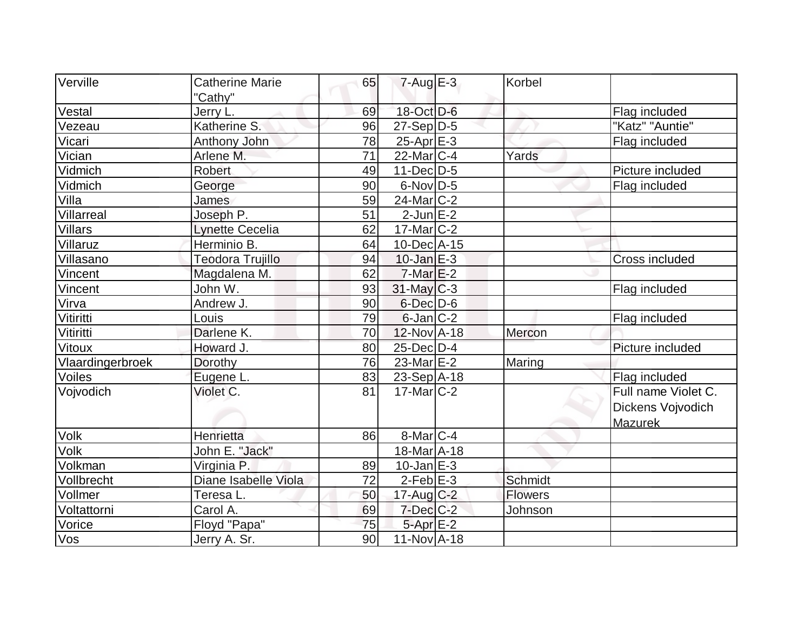| Verville         | <b>Catherine Marie</b> | 65 | $7 - Aug$ E-3     | Korbel         |                       |
|------------------|------------------------|----|-------------------|----------------|-----------------------|
|                  | "Cathy"                |    |                   |                |                       |
| Vestal           | Jerry L.               | 69 | 18-Oct D-6        |                | Flag included         |
| Vezeau           | Katherine S.           | 96 | 27-Sep D-5        |                | "Katz" "Auntie"       |
| Vicari           | Anthony John           | 78 | $25$ -Apr $E-3$   |                | Flag included         |
| Vician           | Arlene M.              | 71 | $22$ -Mar $ C-4 $ | Yards          |                       |
| Vidmich          | <b>Robert</b>          | 49 | $11-Dec$ D-5      |                | Picture included      |
| Vidmich          | George                 | 90 | $6$ -Nov $D-5$    |                | Flag included         |
| Villa            | James                  | 59 | $24$ -Mar $ C-2 $ |                |                       |
| Villarreal       | Joseph P.              | 51 | $2$ -Jun $E-2$    |                |                       |
| <b>Villars</b>   | <b>Lynette Cecelia</b> | 62 | $17$ -Mar $ C-2 $ |                |                       |
| Villaruz         | Herminio B.            | 64 | $10$ -Dec $A$ -15 |                |                       |
| Villasano        | Teodora Trujillo       | 94 | $10$ -Jan $E-3$   |                | <b>Cross included</b> |
| Vincent          | Magdalena M.           | 62 | $7$ -Mar $E-2$    |                |                       |
| Vincent          | John W.                | 93 | $31$ -May C-3     |                | Flag included         |
| Virva            | Andrew J.              | 90 | $6$ -Dec $D$ -6   |                |                       |
| Vitiritti        | Louis                  | 79 | $6$ -Jan $ C-2 $  |                | Flag included         |
| Vitiritti        | Darlene K.             | 70 | $12$ -Nov A-18    | Mercon         |                       |
| Vitoux           | Howard J.              | 80 | 25-Dec D-4        |                | Picture included      |
| Vlaardingerbroek | Dorothy                | 76 | $23$ -Mar $E-2$   | Maring         |                       |
| Voiles           | Eugene L.              | 83 | $23-Sep$ A-18     |                | Flag included         |
| Vojvodich        | Violet C.              | 81 | $17$ -Mar $ C-2 $ |                | Full name Violet C.   |
|                  |                        |    |                   |                | Dickens Vojvodich     |
|                  |                        |    |                   |                | <b>Mazurek</b>        |
| Volk             | Henrietta              | 86 | 8-Mar C-4         |                |                       |
| Volk             | John E. "Jack"         |    | 18-Mar A-18       |                |                       |
| Volkman          | Virginia P.            | 89 | $10$ -Jan $E-3$   |                |                       |
| Vollbrecht       | Diane Isabelle Viola   | 72 | $2$ -Feb $E-3$    | Schmidt        |                       |
| Vollmer          | Teresa L.              | 50 | $17$ -Aug C-2     | <b>Flowers</b> |                       |
| Voltattorni      | Carol A.               | 69 | $7$ -Dec $C$ -2   | Johnson        |                       |
| Vorice           | Floyd "Papa"           | 75 | $5$ -Apr $E-2$    |                |                       |
| Vos              | Jerry A. Sr.           | 90 | $11-Nov1 - 18$    |                |                       |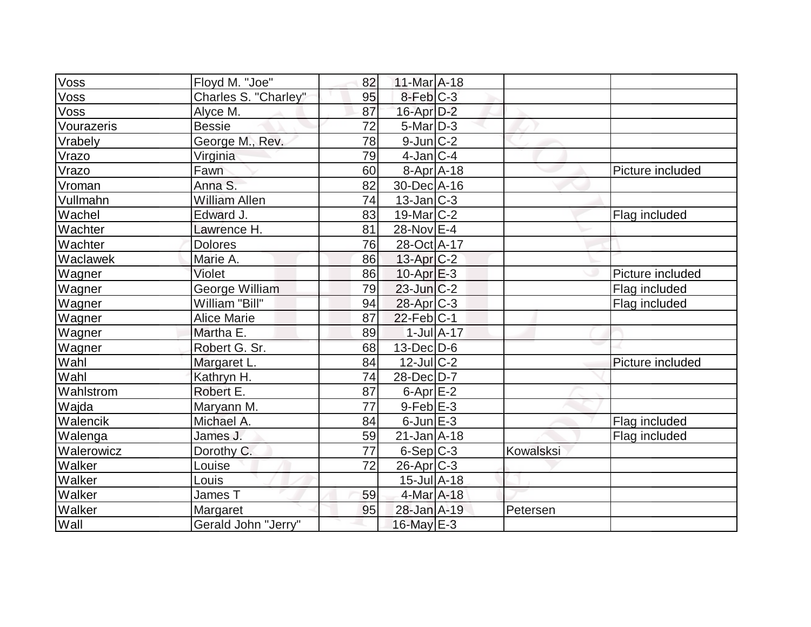| $\overline{\text{Voss}}$ | Floyd M. "Joe"        | 82 | $11$ -Mar $A$ -18            |                  |           |                  |
|--------------------------|-----------------------|----|------------------------------|------------------|-----------|------------------|
| Voss                     | Charles S. "Charley"  | 95 | 8-Feb C-3                    |                  |           |                  |
| Voss                     | Alyce M.              | 87 | $16$ -Apr $D-2$              |                  |           |                  |
| Vourazeris               | <b>Bessie</b>         | 72 | $5$ -Mar $D-3$               |                  |           |                  |
| Vrabely                  | George M., Rev.       | 78 | $9$ -Jun $C-2$               |                  |           |                  |
| Vrazo                    | Virginia              | 79 | $4$ -Jan $ C-4 $             |                  |           |                  |
| Vrazo                    | Fawn                  | 60 | $8 - Apr$ $A - 18$           |                  |           | Picture included |
| Vroman                   | Anna S.               | 82 | 30-Dec A-16                  |                  |           |                  |
| Vullmahn                 | <b>William Allen</b>  | 74 | $13$ -Jan $ C-3 $            |                  |           |                  |
| Wachel                   | Edward J.             | 83 | $19$ -Mar $ C-2 $            |                  |           | Flag included    |
| Wachter                  | Lawrence H.           | 81 | 28-Nov E-4                   |                  |           |                  |
| Wachter                  | <b>Dolores</b>        | 76 | 28-Oct A-17                  |                  |           |                  |
| Waclawek                 | Marie A.              | 86 | $13$ -Apr $C-2$              |                  |           |                  |
| Wagner                   | Violet                | 86 | $10$ -Apr $E-3$              |                  |           | Picture included |
| Wagner                   | <b>George William</b> | 79 | $23$ -Jun $C-2$              |                  |           | Flag included    |
| Wagner                   | William "Bill"        | 94 | 28-Apr C-3                   |                  |           | Flag included    |
| Wagner                   | <b>Alice Marie</b>    | 87 | $22$ -Feb $ C-1$             |                  |           |                  |
| Wagner                   | Martha E.             | 89 |                              | $1$ -Jul $A$ -17 |           |                  |
| Wagner                   | Robert G. Sr.         | 68 | $13$ -Dec $D$ -6             |                  |           |                  |
| Wahl                     | Margaret L.           | 84 | $12$ -Jul $C-2$              |                  |           | Picture included |
| Wahl                     | Kathryn H.            | 74 | 28-Dec D-7                   |                  |           |                  |
| Wahlstrom                | Robert E.             | 87 | $6$ -Apr $E-2$               |                  |           |                  |
| Wajda                    | Maryann M.            | 77 | $9$ -Feb $E-3$               |                  |           |                  |
| Walencik                 | Michael A.            | 84 | $6$ -Jun $E-3$               |                  |           | Flag included    |
| Walenga                  | James J.              | 59 | $21$ -Jan $A$ -18            |                  |           | Flag included    |
| Walerowicz               | Dorothy C.            | 77 | $6-Sep C-3$                  |                  | Kowalsksi |                  |
| Walker                   | Louise                | 72 | $26$ -Apr $C-3$              |                  |           |                  |
| Walker                   | Louis                 |    | $15$ -Jul $\overline{A}$ -18 |                  |           |                  |
| Walker                   | James T               | 59 | 4-Mar A-18                   |                  |           |                  |
| Walker                   | Margaret              | 95 | 28-Jan A-19                  |                  | Petersen  |                  |
| Wall                     | Gerald John "Jerry"   |    | 16-May E-3                   |                  |           |                  |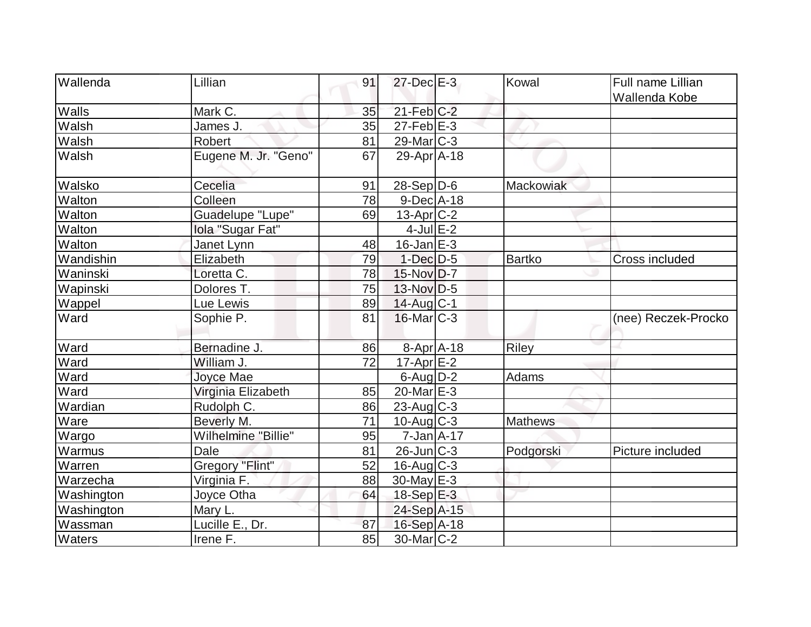| <b>Wallenda</b> | Lillian              | 91 | $27$ -Dec $E-3$   | Kowal          | <b>Full name Lillian</b> |
|-----------------|----------------------|----|-------------------|----------------|--------------------------|
|                 |                      |    |                   |                |                          |
| Walls           | Mark C.              | 35 | $21$ -Feb $ C-2 $ |                | Wallenda Kobe            |
| Walsh           | James J.             | 35 | $27$ -Feb $E-3$   |                |                          |
|                 | <b>Robert</b>        |    |                   |                |                          |
| Walsh           |                      | 81 | $29$ -Mar $ C-3 $ |                |                          |
| Walsh           | Eugene M. Jr. "Geno" | 67 | 29-Apr A-18       |                |                          |
| Walsko          | Cecelia              | 91 | $28-Sep D-6$      | Mackowiak      |                          |
| Walton          | Colleen              | 78 | $9$ -Dec $A$ -18  |                |                          |
| Walton          | Guadelupe "Lupe"     | 69 | $13$ -Apr $ C-2 $ |                |                          |
| Walton          | Iola "Sugar Fat"     |    | $4$ -Jul $E-2$    |                |                          |
| Walton          | Janet Lynn           | 48 | $16$ -Jan $E$ -3  |                |                          |
| Wandishin       | Elizabeth            | 79 | $1$ -Dec $D-5$    | Bartko         | Cross included           |
| Waninski        | Loretta C.           | 78 | 15-Nov D-7        |                |                          |
| Wapinski        | Dolores T.           | 75 | $13-Nov D-5$      |                |                          |
| Wappel          | Lue Lewis            | 89 | 14-Aug C-1        |                |                          |
| Ward            | Sophie P.            | 81 | $16$ -Mar $C-3$   |                | (nee) Reczek-Procko      |
| Ward            | Bernadine J.         | 86 | 8-Apr A-18        | <b>Riley</b>   |                          |
| Ward            | William J.           | 72 | $17$ -Apr $E-2$   |                |                          |
| Ward            | Joyce Mae            |    | $6$ -Aug $D-2$    | Adams          |                          |
| Ward            | Virginia Elizabeth   | 85 | 20-Mar $E-3$      |                |                          |
| Wardian         | Rudolph C.           | 86 | $23$ -Aug $C-3$   |                |                          |
| Ware            | Beverly M.           | 71 | $10$ -Aug $C-3$   | <b>Mathews</b> |                          |
| Wargo           | Wilhelmine "Billie"  | 95 | $7$ -Jan $A$ -17  |                |                          |
| Warmus          | Dale                 | 81 | $26$ -Jun $C-3$   | Podgorski      | Picture included         |
| Warren          | Gregory "Flint"      | 52 | $16$ -Aug $C-3$   |                |                          |
| Warzecha        | Virginia F.          | 88 | $30$ -May $E-3$   |                |                          |
| Washington      | Joyce Otha           | 64 | $18-Sep \tE-3$    |                |                          |
| Washington      | Mary L.              |    | 24-Sep A-15       |                |                          |
| Wassman         | Lucille E., Dr.      | 87 | 16-Sep A-18       |                |                          |
| <b>Waters</b>   | Irene F.             | 85 | $30$ -Mar $ C-2 $ |                |                          |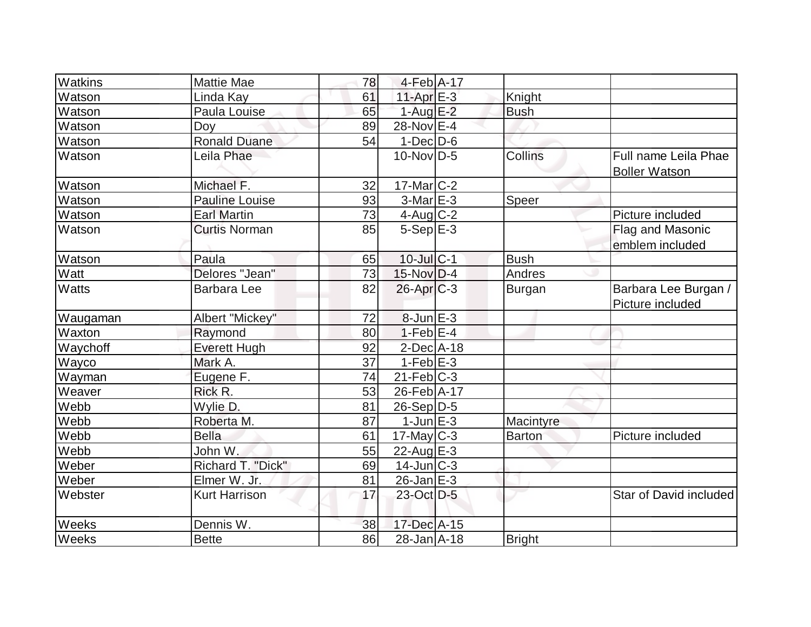| <b>Watkins</b> | Mattie Mae           | 78 | $4-Feb$ A-17               |               |                                              |
|----------------|----------------------|----|----------------------------|---------------|----------------------------------------------|
| Watson         | Linda Kay            | 61 | 11-Apr E-3                 | Knight        |                                              |
| Watson         | Paula Louise         | 65 | $1-AugE-2$                 | <b>Bush</b>   |                                              |
| Watson         | Doy                  | 89 | 28-Nov E-4                 |               |                                              |
| Watson         | <b>Ronald Duane</b>  | 54 | $1$ -Dec $\overline{D}$ -6 |               |                                              |
| Watson         | Leila Phae           |    | $10$ -Nov $ D-5 $          | Collins       | Full name Leila Phae<br><b>Boller Watson</b> |
| Watson         | Michael F.           | 32 | $17$ -Mar $ C-2 $          |               |                                              |
| Watson         | Pauline Louise       | 93 | $3-Mar$ $E-3$              | Speer         |                                              |
| Watson         | <b>Earl Martin</b>   | 73 | $4$ -Aug C-2               |               | Picture included                             |
| Watson         | <b>Curtis Norman</b> | 85 | $5-Sep$ $E-3$              |               | Flag and Masonic<br>emblem included          |
| Watson         | Paula                | 65 | $10$ -Jul $C-1$            | <b>Bush</b>   |                                              |
| Watt           | Delores "Jean"       | 73 | $15$ -Nov D-4              | Andres        |                                              |
| Watts          | <b>Barbara Lee</b>   | 82 | $26$ -Apr $C-3$            | Burgan        | Barbara Lee Burgan /<br>Picture included     |
| Waugaman       | Albert "Mickey"      | 72 | $8$ -Jun $E-3$             |               |                                              |
| Waxton         | Raymond              | 80 | $1-Feb$ E-4                |               |                                              |
| Waychoff       | <b>Everett Hugh</b>  | 92 | $2$ -Dec $A$ -18           |               |                                              |
| Wayco          | Mark A.              | 37 | $1-Feb$ $E-3$              |               |                                              |
| Wayman         | Eugene <sub>F.</sub> | 74 | $21$ -Feb $ C-3 $          |               |                                              |
| Weaver         | Rick R.              | 53 | 26-Feb A-17                |               |                                              |
| Webb           | Wylie D.             | 81 | $26-Sep D-5$               |               |                                              |
| Webb           | Roberta M.           | 87 | $1$ -Jun $E-3$             | Macintyre     |                                              |
| Webb           | <b>Bella</b>         | 61 | $17$ -May C-3              | <b>Barton</b> | Picture included                             |
| Webb           | John W.              | 55 | 22-Aug E-3                 |               |                                              |
| Weber          | Richard T. "Dick"    | 69 | $14$ -Jun $C-3$            |               |                                              |
| Weber          | Elmer W. Jr.         | 81 | $26$ -Jan $E-3$            |               |                                              |
| Webster        | <b>Kurt Harrison</b> | 17 | 23-Oct D-5                 |               | Star of David included                       |
| Weeks          | Dennis W.            | 38 | 17-Dec A-15                |               |                                              |
| Weeks          | <b>Bette</b>         | 86 | $28 - Jan$ A-18            | Bright        |                                              |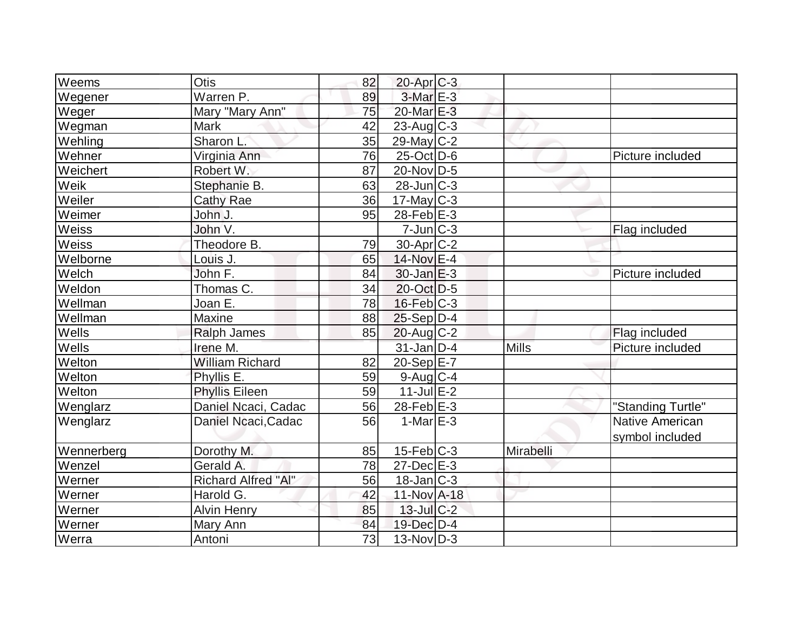| $W$ eems   | Otis                       | 82 | $20$ -Apr $C-3$   |              |                        |
|------------|----------------------------|----|-------------------|--------------|------------------------|
| Wegener    | Warren P.                  | 89 | 3-Mar E-3         |              |                        |
| Weger      | Mary "Mary Ann"            | 75 | 20-Mar E-3        |              |                        |
| Wegman     | <b>Mark</b>                | 42 | $23$ -Aug C-3     |              |                        |
| Wehling    | Sharon L.                  | 35 | 29-May C-2        |              |                        |
| Wehner     | Virginia Ann               | 76 | $25$ -Oct $D$ -6  |              | Picture included       |
| Weichert   | Robert W.                  | 87 | 20-Nov D-5        |              |                        |
| Weik       | Stephanie B.               | 63 | $28$ -Jun $C-3$   |              |                        |
| Weiler     | <b>Cathy Rae</b>           | 36 | $17$ -May C-3     |              |                        |
| Weimer     | John J.                    | 95 | $28$ -Feb $E-3$   |              |                        |
| Weiss      | John V.                    |    | $7$ -Jun $ C-3$   |              | Flag included          |
| Weiss      | Theodore B.                | 79 | $30$ -Apr $C-2$   |              |                        |
| Welborne   | Louis J.                   | 65 | 14-Nov E-4        |              |                        |
| Welch      | John F.                    | 84 | $30$ -Jan $E-3$   |              | Picture included       |
| Weldon     | Thomas C.                  | 34 | 20-Oct D-5        |              |                        |
| Wellman    | Joan E.                    | 78 | $16$ -Feb $ C-3$  |              |                        |
| Wellman    | <b>Maxine</b>              | 88 | $25-Sep D-4$      |              |                        |
| Wells      | <b>Ralph James</b>         | 85 | $20$ -Aug C-2     |              | Flag included          |
| Wells      | Irene M.                   |    | $31$ -Jan D-4     | <b>Mills</b> | Picture included       |
| Welton     | <b>William Richard</b>     | 82 | $20-Sep$ $E-7$    |              |                        |
| Welton     | Phyllis E.                 | 59 | $9$ -Aug C-4      |              |                        |
| Welton     | <b>Phyllis Eileen</b>      | 59 | $11$ -Jul $E-2$   |              |                        |
| Wenglarz   | Daniel Ncaci, Cadac        | 56 | 28-Feb $E-3$      |              | "Standing Turtle"      |
| Wenglarz   | Daniel Ncaci, Cadac        | 56 | $1-MarE-3$        |              | <b>Native American</b> |
|            |                            |    |                   |              | symbol included        |
| Wennerberg | Dorothy M.                 | 85 | $15$ -Feb $ C-3 $ | Mirabelli    |                        |
| Wenzel     | Gerald A.                  | 78 | $27$ -Dec $E-3$   |              |                        |
| Werner     | <b>Richard Alfred "Al"</b> | 56 | $18$ -Jan $ C-3 $ |              |                        |
| Werner     | Harold G.                  | 42 | 11-Nov A-18       |              |                        |
| Werner     | <b>Alvin Henry</b>         | 85 | $13$ -Jul $C-2$   |              |                        |
| Werner     | Mary Ann                   | 84 | 19-Dec D-4        |              |                        |
| Werra      | Antoni                     | 73 | $13-Nov D-3$      |              |                        |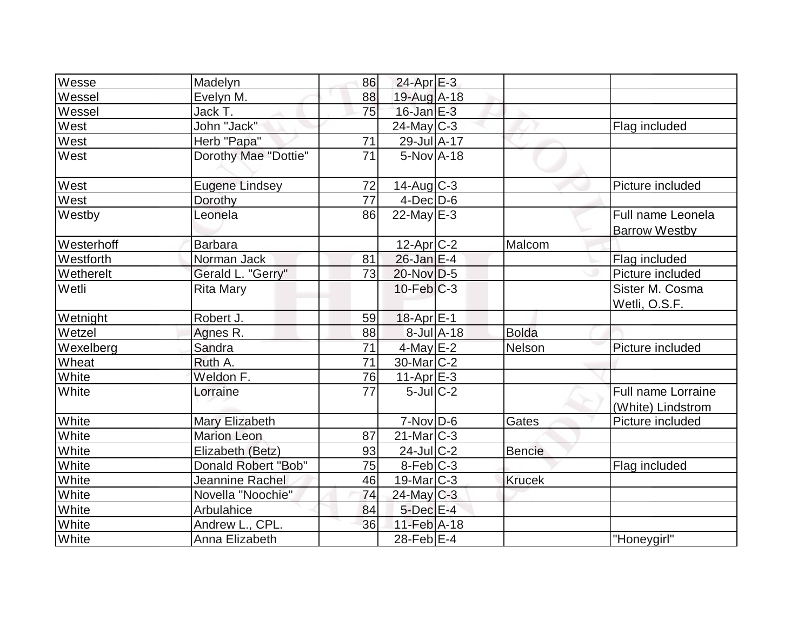| Wesse        | Madelyn               | 86 | $24$ -Apr $E-3$        |                  |               |                                                |
|--------------|-----------------------|----|------------------------|------------------|---------------|------------------------------------------------|
| Wessel       | Evelyn M.             | 88 | 19-Aug A-18            |                  |               |                                                |
| Wessel       | Jack T.               | 75 | $16$ -Jan $E-3$        |                  |               |                                                |
| West         | John "Jack"           |    | $24$ -May C-3          |                  |               | Flag included                                  |
| West         | Herb "Papa"           | 71 | 29-Jul A-17            |                  |               |                                                |
| West         | Dorothy Mae "Dottie"  | 71 | $5-NovA-18$            |                  |               |                                                |
| West         | <b>Eugene Lindsey</b> | 72 | $14$ -Aug $C-3$        |                  |               | Picture included                               |
| West         | Dorothy               | 77 | $4$ -Dec $D-6$         |                  |               |                                                |
| Westby       | Leonela               | 86 | 22-May $E-3$           |                  |               | Full name Leonela<br><b>Barrow Westby</b>      |
| Westerhoff   | <b>Barbara</b>        |    | $12$ -Apr $C-2$        |                  | Malcom        |                                                |
| Westforth    | Norman Jack           | 81 | $26$ -Jan $E-4$        |                  |               | Flag included                                  |
| Wetherelt    | Gerald L. "Gerry"     | 73 | $20$ -Nov D-5          |                  |               | Picture included                               |
| Wetli        | <b>Rita Mary</b>      |    | $10$ -Feb $ C-3 $      |                  |               | Sister M. Cosma<br>Wetli, O.S.F.               |
| Wetnight     | Robert J.             | 59 | $18$ -Apr $E-1$        |                  |               |                                                |
| Wetzel       | Agnes R.              | 88 |                        | $8$ -Jul $A$ -18 | <b>Bolda</b>  |                                                |
| Wexelberg    | Sandra                | 71 | $4$ -May $E-2$         |                  | <b>Nelson</b> | Picture included                               |
| Wheat        | Ruth A.               | 71 | $30$ -Mar $ C-2 $      |                  |               |                                                |
| White        | Weldon F.             | 76 | $11-Apr$ E-3           |                  |               |                                                |
| White        | Lorraine              | 77 | $5$ -Jul $C-2$         |                  |               | <b>Full name Lorraine</b><br>(White) Lindstrom |
| White        | Mary Elizabeth        |    | $7-Nov D-6$            |                  | Gates         | Picture included                               |
| White        | <b>Marion Leon</b>    | 87 | $21$ -Mar $ C-3 $      |                  |               |                                                |
| White        | Elizabeth (Betz)      | 93 | $24$ -Jul $ C-2 $      |                  | <b>Bencie</b> |                                                |
| White        | Donald Robert "Bob"   | 75 | $8-Feb$ <sub>C-3</sub> |                  |               | Flag included                                  |
| White        | Jeannine Rachel       | 46 | $19$ -Mar $ C-3 $      |                  | <b>Krucek</b> |                                                |
| White        | Novella "Noochie"     | 74 | $24$ -May C-3          |                  |               |                                                |
| White        | Arbulahice            | 84 | $5$ -Dec $E-4$         |                  |               |                                                |
| White        | Andrew L., CPL.       | 36 | $11-Feb$ A-18          |                  |               |                                                |
| <b>White</b> | Anna Elizabeth        |    | 28-Feb $E-4$           |                  |               | "Honeygirl"                                    |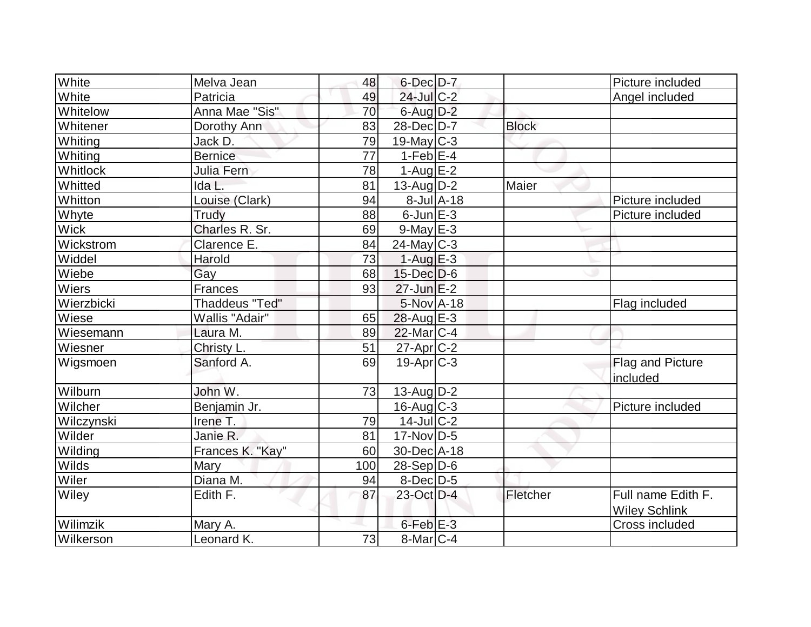| White       | Melva Jean            | 48  | $6$ -Dec $D-7$   |            |              | Picture included                           |
|-------------|-----------------------|-----|------------------|------------|--------------|--------------------------------------------|
| White       | Patricia              | 49  | 24-Jul C-2       |            |              | Angel included                             |
| Whitelow    | Anna Mae "Sis"        | 70  | $6$ -Aug $D-2$   |            |              |                                            |
| Whitener    | Dorothy Ann           | 83  | $28$ -Dec $D-7$  |            | <b>Block</b> |                                            |
| Whiting     | Jack D.               | 79  | $19$ -May C-3    |            |              |                                            |
| Whiting     | <b>Bernice</b>        | 77  | $1-Feb$ E-4      |            |              |                                            |
| Whitlock    | Julia Fern            | 78  | $1-Aug$ $E-2$    |            |              |                                            |
| Whitted     | Ida L.                | 81  | $13$ -Aug $D-2$  |            | Maier        |                                            |
| Whitton     | Louise (Clark)        | 94  |                  | 8-Jul A-18 |              | Picture included                           |
| Whyte       | Trudy                 | 88  | $6$ -Jun $E-3$   |            |              | Picture included                           |
| <b>Wick</b> | Charles R. Sr.        | 69  | $9$ -May $E-3$   |            |              |                                            |
| Wickstrom   | Clarence E.           | 84  | $24$ -May C-3    |            |              |                                            |
| Widdel      | Harold                | 73  | $1-Aug$ $E-3$    |            |              |                                            |
| Wiebe       | Gay                   | 68  | 15-Dec D-6       |            |              |                                            |
| Wiers       | Frances               | 93  | $27$ -Jun $E-2$  |            |              |                                            |
| Wierzbicki  | <b>Thaddeus "Ted"</b> |     | 5-Nov A-18       |            |              | Flag included                              |
| Wiese       | Wallis "Adair"        | 65  | $28$ -Aug E-3    |            |              |                                            |
| Wiesemann   | Laura M.              | 89  | $22$ -Mar $C-4$  |            |              |                                            |
| Wiesner     | Christy L.            | 51  | $27$ -Apr $C-2$  |            |              |                                            |
| Wigsmoen    | Sanford A.            | 69  | $19-Apr$ $C-3$   |            |              | Flag and Picture<br>included               |
| Wilburn     | John W.               | 73  | $13$ -Aug $D-2$  |            |              |                                            |
| Wilcher     | Benjamin Jr.          |     | $16$ -Aug $C-3$  |            |              | Picture included                           |
| Wilczynski  | Irene T.              | 79  | $14$ -Jul $C-2$  |            |              |                                            |
| Wilder      | Janie R.              | 81  | $17$ -Nov $ D-5$ |            |              |                                            |
| Wilding     | Frances K. "Kay"      | 60  | 30-Dec A-18      |            |              |                                            |
| Wilds       | Mary                  | 100 | $28-Sep D-6$     |            |              |                                            |
| Wiler       | Diana M.              | 94  | 8-Dec D-5        |            |              |                                            |
| Wiley       | Edith F.              | 87  | 23-Oct D-4       |            | Fletcher     | Full name Edith F.<br><b>Wiley Schlink</b> |
| Wilimzik    | Mary A.               |     | $6$ -Feb $E-3$   |            |              | Cross included                             |
| Wilkerson   | Leonard K.            | 73  | $8$ -Mar $ C-4$  |            |              |                                            |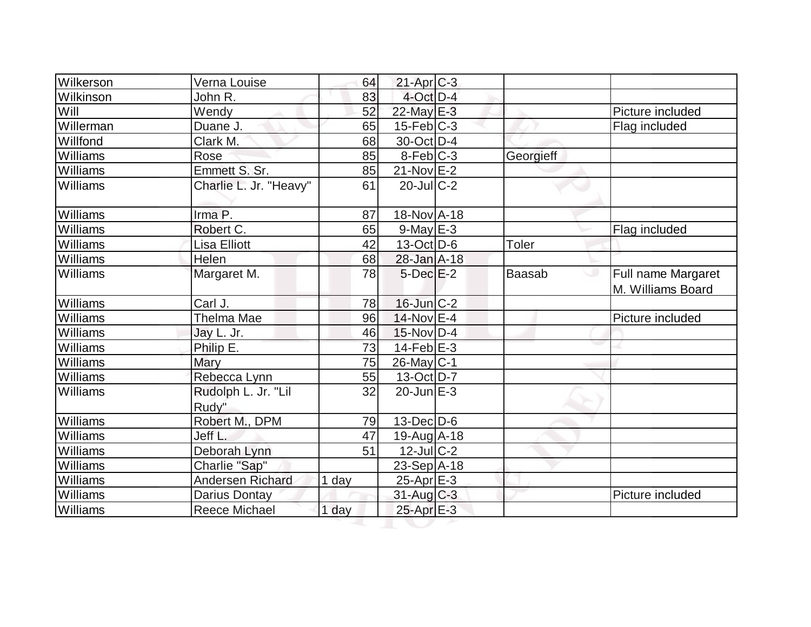| Wilkerson       | Verna Louise                 | 64    | $21-Apr$ $C-3$         |           |                                              |
|-----------------|------------------------------|-------|------------------------|-----------|----------------------------------------------|
| Wilkinson       | John R.                      | 83    | $4$ -Oct $D-4$         |           |                                              |
| Will            | Wendy                        | 52    | 22-May E-3             |           | Picture included                             |
| Willerman       | Duane J.                     | 65    | $15$ -Feb $ C-3 $      |           | Flag included                                |
| Willfond        | Clark M.                     | 68    | $30$ -Oct $D-4$        |           |                                              |
| Williams        | Rose                         | 85    | $8-Feb$ <sub>C-3</sub> | Georgieff |                                              |
| Williams        | Emmett S. Sr.                | 85    | $21-Nov$ E-2           |           |                                              |
| Williams        | Charlie L. Jr. "Heavy"       | 61    | $20$ -JulC-2           |           |                                              |
| Williams        | Irma P.                      | 87    | 18-Nov A-18            |           |                                              |
| Williams        | Robert C.                    | 65    | $9$ -May $E-3$         |           | Flag included                                |
| Williams        | <b>Lisa Elliott</b>          | 42    | $13-Oct$ D-6           | Toler     |                                              |
| Williams        | Helen                        | 68    | 28-Jan A-18            |           |                                              |
| Williams        | Margaret M.                  | 78    | $5$ -Dec $E-2$         | Baasab    | Full name Margaret<br>ر<br>M. Williams Board |
| Williams        | Carl J.                      | 78    | $16$ -Jun $C-2$        |           |                                              |
| <b>Williams</b> | Thelma Mae                   | 96    | 14-Nov E-4             |           | Picture included                             |
| Williams        | Jay L. Jr.                   | 46    | $15$ -Nov D-4          |           |                                              |
| Williams        | Philip E.                    | 73    | $14$ -Feb $E-3$        |           |                                              |
| Williams        | Mary                         | 75    | 26-May C-1             |           |                                              |
| Williams        | Rebecca Lynn                 | 55    | 13-Oct D-7             |           |                                              |
| Williams        | Rudolph L. Jr. "Lil<br>Rudy" | 32    | $20$ -Jun $E-3$        |           |                                              |
| Williams        | Robert M., DPM               | 79    | $13$ -Dec $D$ -6       |           |                                              |
| Williams        | Jeff L.                      | 47    | $19-Aug$ $A-18$        |           |                                              |
| Williams        | Deborah Lynn                 | 51    | $12$ -Jul $C-2$        |           |                                              |
| Williams        | Charlie "Sap"                |       | 23-Sep A-18            |           |                                              |
| Williams        | Andersen Richard             | 1 day | $25$ -Apr $E-3$        |           |                                              |
| Williams        | Darius Dontay                |       | 31-Aug C-3             |           | Picture included                             |
| Williams        | <b>Reece Michael</b>         | 1 day | $25$ -Apr $E-3$        |           |                                              |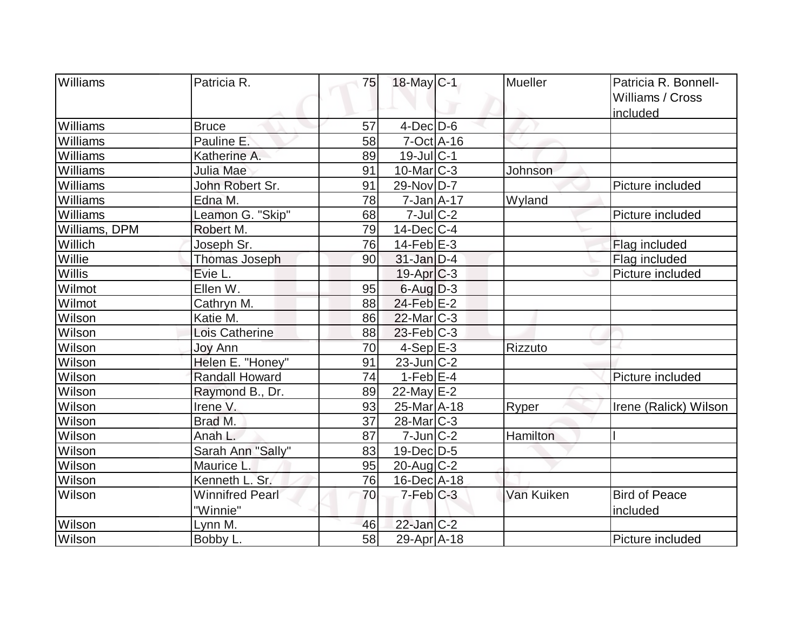| <b>Williams</b> | Patricia R.            | 75 | 18-May C-1              | Mueller         | Patricia R. Bonnell-  |
|-----------------|------------------------|----|-------------------------|-----------------|-----------------------|
|                 |                        |    |                         |                 | Williams / Cross      |
|                 |                        |    |                         |                 | included              |
| Williams        | <b>Bruce</b>           | 57 | $4$ -Dec $D-6$          |                 |                       |
| Williams        | Pauline E.             | 58 | $7-Oct$ $A-16$          |                 |                       |
| Williams        | Katherine A.           | 89 | $19$ -Jul $C-1$         |                 |                       |
| Williams        | Julia Mae              | 91 | $10$ -Mar $ C-3 $       | Johnson         |                       |
| Williams        | John Robert Sr.        | 91 | $29-Nov D-7$            |                 | Picture included      |
| Williams        | Edna M.                | 78 | $7 - Jan A - 17$        | Wyland          |                       |
| Williams        | Leamon G. "Skip"       | 68 | $7$ -Jul $C-2$          |                 | Picture included      |
| Williams, DPM   | Robert M.              | 79 | $14$ -Dec $ C-4$        |                 |                       |
| Willich         | Joseph Sr.             | 76 | $14$ -Feb $E-3$         |                 | Flag included         |
| Willie          | Thomas Joseph          | 90 | $31$ -Jan D-4           |                 | Flag included         |
| Willis          | Evie L.                |    | $19-Apr$ $C-3$          |                 | Picture included      |
| Wilmot          | Ellen W.               | 95 | $6$ -Aug $D-3$          |                 |                       |
| Wilmot          | Cathryn M.             | 88 | 24-Feb E-2              |                 |                       |
| Wilson          | Katie M.               | 86 | $22$ -Mar $C-3$         |                 |                       |
| Wilson          | Lois Catherine         | 88 | $23$ -Feb $ C-3$        |                 |                       |
| Wilson          | Joy Ann                | 70 | $4-Sep$ E-3             | Rizzuto         |                       |
| Wilson          | Helen E. "Honey"       | 91 | $23$ -Jun $ C-2 $       |                 |                       |
| Wilson          | <b>Randall Howard</b>  | 74 | $1-Feb$ $E-4$           |                 | Picture included      |
| <b>Wilson</b>   | Raymond B., Dr.        | 89 | $22$ -May $E-2$         |                 |                       |
| Wilson          | Irene V.               | 93 | 25-Mar <sub>A</sub> -18 | Ryper           | Irene (Ralick) Wilson |
| Wilson          | Brad M.                | 37 | $28$ -Mar $C-3$         |                 |                       |
| Wilson          | Anah L.                | 87 | $7$ -Jun $C-2$          | <b>Hamilton</b> |                       |
| Wilson          | Sarah Ann "Sally"      | 83 | 19-Dec D-5              |                 |                       |
| Wilson          | Maurice L.             | 95 | $20$ -Aug $C-2$         |                 |                       |
| Wilson          | Kenneth L. Sr.         | 76 | $16$ -Dec $ A-18$       |                 |                       |
| Wilson          | <b>Winnifred Pearl</b> | 70 | $7-Feb$ $C-3$           | Van Kuiken      | <b>Bird of Peace</b>  |
|                 | "Winnie"               |    |                         |                 | included              |
| Wilson          | Lynn M.                | 46 | $22$ -Jan $C-2$         |                 |                       |
| Wilson          | Bobby L.               | 58 | 29-Apr A-18             |                 | Picture included      |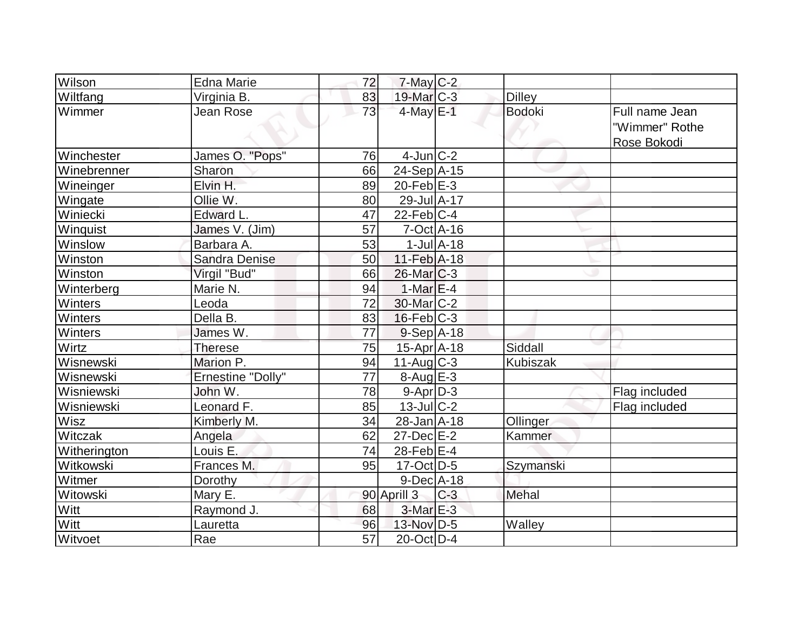| Wilson         | <b>Edna Marie</b>        | 72              | $7$ -May $C$ -2     |                             |               |                                                 |
|----------------|--------------------------|-----------------|---------------------|-----------------------------|---------------|-------------------------------------------------|
| Wiltfang       | Virginia B.              | 83              | 19-Mar C-3          |                             | <b>Dilley</b> |                                                 |
| Wimmer         | Jean Rose                | $\overline{73}$ | $4$ -May $E-1$      |                             | <b>Bodoki</b> | Full name Jean<br>"Wimmer" Rothe<br>Rose Bokodi |
| Winchester     | James O. "Pops"          | 76              | $4$ -Jun $ C-2 $    |                             |               |                                                 |
| Winebrenner    | Sharon                   | 66              | $24-Sep$ A-15       |                             |               |                                                 |
| Wineinger      | Elvin H.                 | 89              | 20-Feb $E-3$        |                             |               |                                                 |
| Wingate        | Ollie W.                 | 80              | 29-Jul A-17         |                             |               |                                                 |
| Winiecki       | Edward L.                | 47              | $22$ -Feb $ C-4 $   |                             |               |                                                 |
| Winquist       | James V. (Jim)           | 57              | $7-Oct$ A-16        |                             |               |                                                 |
| Winslow        | Barbara A.               | 53              |                     | $1$ -Jul $\overline{A}$ -18 |               |                                                 |
| Winston        | Sandra Denise            | 50              | $11-Feb$ A-18       |                             |               |                                                 |
| Winston        | Virgil "Bud"             | 66              | $26$ -Mar $ C-3 $   |                             |               |                                                 |
| Winterberg     | Marie N.                 | 94              | $1-MarE-4$          |                             |               |                                                 |
| <b>Winters</b> | Leoda                    | 72              | 30-Mar C-2          |                             |               |                                                 |
| Winters        | Della B.                 | 83              | $16$ -Feb $ C-3 $   |                             |               |                                                 |
| Winters        | James W.                 | 77              | $9-Sep$ A-18        |                             |               |                                                 |
| Wirtz          | <b>Therese</b>           | 75              | 15-Apr A-18         |                             | Siddall       |                                                 |
| Wisnewski      | Marion P.                | 94              | $11-Aug$ $C-3$      |                             | Kubiszak      |                                                 |
| Wisnewski      | <b>Ernestine "Dolly"</b> | 77              | $8 - Aug$ E-3       |                             |               |                                                 |
| Wisniewski     | John W.                  | 78              | $9 - Apr$ $D-3$     |                             |               | Flag included                                   |
| Wisniewski     | Leonard F.               | 85              | $13$ -JulC-2        |                             |               | Flag included                                   |
| Wisz           | Kimberly M.              | 34              | $28 - Jan$ $A - 18$ |                             | Ollinger      |                                                 |
| Witczak        | Angela                   | 62              | $27 - Dec$ $E-2$    |                             | Kammer        |                                                 |
| Witherington   | Louis E.                 | 74              | 28-Feb $E-4$        |                             |               |                                                 |
| Witkowski      | Frances M.               | 95              | $17$ -Oct $ D-5 $   |                             | Szymanski     |                                                 |
| Witmer         | Dorothy                  |                 | $9$ -Dec $A$ -18    |                             |               |                                                 |
| Witowski       | Mary E.                  |                 | 90 Aprill 3         | $C-3$                       | Mehal         |                                                 |
| Witt           | Raymond J.               | 68              | $3-MarE-3$          |                             |               |                                                 |
| Witt           | Lauretta                 | 96              | 13-Nov D-5          |                             | Walley        |                                                 |
| Witvoet        | Rae                      | $\overline{57}$ | $20$ -Oct $D-4$     |                             |               |                                                 |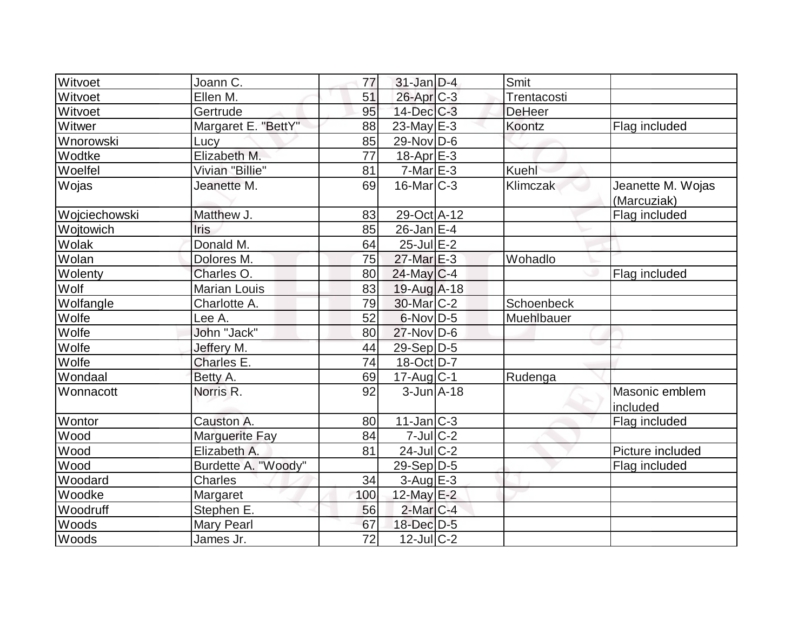| Witvoet       | Joann C.              | 77  | $31$ -Jan D-4     | Smit          |                                  |
|---------------|-----------------------|-----|-------------------|---------------|----------------------------------|
| Witvoet       | Ellen M.              | 51  | 26-Apr C-3        | Trentacosti   |                                  |
| Witvoet       | Gertrude              | 95  | $14$ -Dec $C-3$   | <b>DeHeer</b> |                                  |
| Witwer        | Margaret E. "BettY"   | 88  | $23$ -May E-3     | Koontz        | Flag included                    |
| Wnorowski     | Lucy                  | 85  | $29-Nov D-6$      |               |                                  |
| Wodtke        | Elizabeth M.          | 77  | $18$ -Apr $E-3$   |               |                                  |
| Woelfel       | Vivian "Billie"       | 81  | $7-MarE-3$        | <b>Kuehl</b>  |                                  |
| Wojas         | Jeanette M.           | 69  | $16$ -Mar $ C-3 $ | Klimczak      | Jeanette M. Wojas<br>(Marcuziak) |
| Wojciechowski | Matthew J.            | 83  | 29-Oct A-12       |               | Flag included                    |
| Wojtowich     | Iris                  | 85  | $26$ -Jan $ E-4 $ |               |                                  |
| Wolak         | Donald M.             | 64  | $25$ -Jul $E-2$   |               |                                  |
| Wolan         | Dolores M.            | 75  | 27-Mar E-3        | Wohadlo       |                                  |
| Wolenty       | Charles O.            | 80  | 24-May C-4        |               | Flag included                    |
| Wolf          | <b>Marian Louis</b>   | 83  | $19-Aug$ A-18     |               |                                  |
| Wolfangle     | Charlotte A.          | 79  | 30-Mar C-2        | Schoenbeck    |                                  |
| Wolfe         | Lee A.                | 52  | $6$ -Nov $D-5$    | Muehlbauer    |                                  |
| Wolfe         | John "Jack"           | 80  | $27$ -Nov $D-6$   |               |                                  |
| Wolfe         | Jeffery M.            | 44  | 29-Sep D-5        |               |                                  |
| Wolfe         | Charles E.            | 74  | 18-Oct D-7        |               |                                  |
| Wondaal       | Betty A.              | 69  | $17$ -Aug C-1     | Rudenga       |                                  |
| Wonnacott     | Norris R.             | 92  | $3$ -Jun $A$ -18  |               | Masonic emblem<br>included       |
| Wontor        | Causton A.            | 80  | $11$ -Jan $ C-3 $ |               | Flag included                    |
| Wood          | <b>Marguerite Fay</b> | 84  | $7 -$ Jul $C - 2$ |               |                                  |
| Wood          | Elizabeth A.          | 81  | 24-Jul C-2        |               | Picture included                 |
| Wood          | Burdette A. "Woody"   |     | $29-Sep D-5$      |               | Flag included                    |
| Woodard       | Charles               | 34  | 3-Aug E-3         |               |                                  |
| Woodke        | Margaret              | 100 | 12-May E-2        |               |                                  |
| Woodruff      | Stephen E.            | 56  | $2$ -Mar $C-4$    |               |                                  |
| Woods         | Mary Pearl            | 67  | 18-Dec D-5        |               |                                  |
| Woods         | James Jr.             | 72  | $12$ -Jul $C-2$   |               |                                  |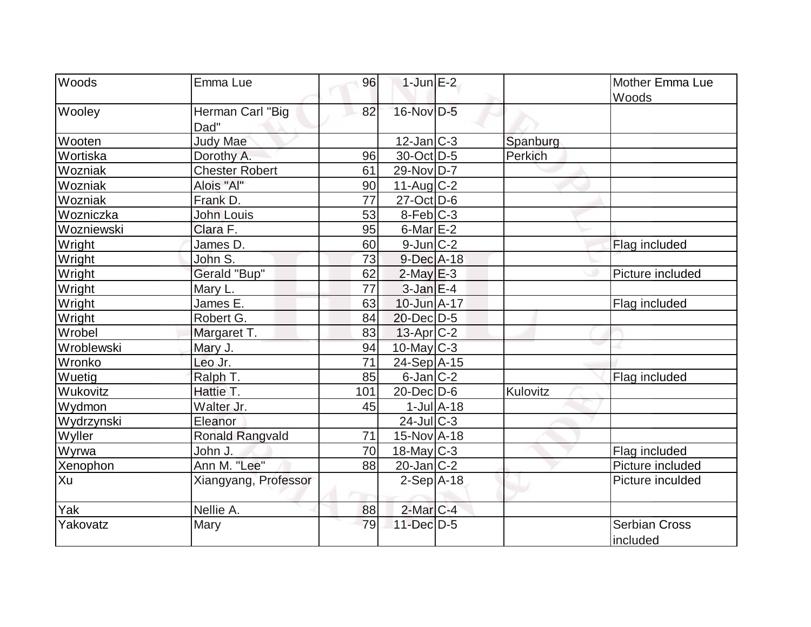| Woods      | Emma Lue                 | 96  | $1$ -Jun $E-2$    |                             |          | <b>Mother Emma Lue</b><br>Woods  |
|------------|--------------------------|-----|-------------------|-----------------------------|----------|----------------------------------|
| Wooley     | Herman Carl "Big<br>Dad" | 82  | 16-Nov D-5        |                             |          |                                  |
| Wooten     | <b>Judy Mae</b>          |     | $12$ -Jan $ C-3 $ |                             | Spanburg |                                  |
| Wortiska   | Dorothy A.               | 96  | 30-Oct D-5        |                             | Perkich  |                                  |
| Wozniak    | <b>Chester Robert</b>    | 61  | 29-Nov D-7        |                             |          |                                  |
| Wozniak    | Alois "Al"               | 90  | $11-Auq$ $C-2$    |                             |          |                                  |
| Wozniak    | Frank D.                 | 77  | $27$ -Oct $D-6$   |                             |          |                                  |
| Wozniczka  | <b>John Louis</b>        | 53  | $8-Feb C-3$       |                             |          |                                  |
| Wozniewski | Clara F.                 | 95  | $6$ -Mar $E-2$    |                             |          |                                  |
| Wright     | James D.                 | 60  | $9$ -Jun $ C-2 $  |                             |          | Flag included                    |
| Wright     | John S.                  | 73  | 9-Dec A-18        |                             |          |                                  |
| Wright     | Gerald "Bup"             | 62  | $2$ -May $E-3$    |                             |          | Picture included                 |
| Wright     | Mary L.                  | 77  | $3$ -Jan $E-4$    |                             |          |                                  |
| Wright     | James E.                 | 63  | 10-Jun A-17       |                             |          | Flag included                    |
| Wright     | Robert G.                | 84  | $20$ -Dec $D-5$   |                             |          |                                  |
| Wrobel     | Margaret T.              | 83  | $13$ -Apr $ C-2 $ |                             |          |                                  |
| Wroblewski | Mary J.                  | 94  | $10$ -May C-3     |                             |          |                                  |
| Wronko     | Leo Jr.                  | 71  | 24-Sep A-15       |                             |          |                                  |
| Wuetig     | Ralph T.                 | 85  | $6$ -Jan $ C-2 $  |                             |          | Flag included                    |
| Wukovitz   | Hattie T.                | 101 | $20$ -Dec $D$ -6  |                             | Kulovitz |                                  |
| Wydmon     | Walter Jr.               | 45  |                   | $1$ -Jul $\overline{A}$ -18 |          |                                  |
| Wydrzynski | Eleanor                  |     | $24$ -JulC-3      |                             |          |                                  |
| Wyller     | <b>Ronald Rangvald</b>   | 71  | 15-Nov A-18       |                             |          |                                  |
| Wyrwa      | John J.                  | 70  | 18-May C-3        |                             |          | Flag included                    |
| Xenophon   | Ann M. "Lee"             | 88  | $20$ -Jan $ C-2 $ |                             |          | Picture included                 |
| Xu         | Xiangyang, Professor     |     | $2-Sep$ A-18      |                             |          | Picture inculded                 |
| Yak        | Nellie A.                | 88  | $2$ -Mar $ C-4 $  |                             |          |                                  |
| Yakovatz   | Mary                     | 79  | 11-Dec D-5        |                             |          | <b>Serbian Cross</b><br>included |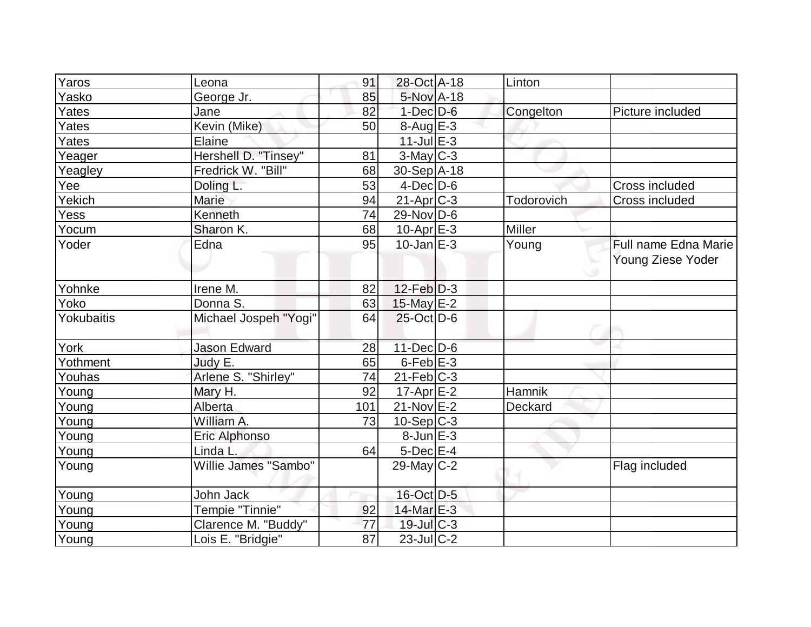| Yaros      | Leona                 | 91  | 28-Oct A-18       | Linton        |                             |
|------------|-----------------------|-----|-------------------|---------------|-----------------------------|
| Yasko      | George Jr.            | 85  | 5-Nov A-18        |               |                             |
| Yates      | Jane                  | 82  | $1-Dec$ $D-6$     | Congelton     | Picture included            |
| Yates      | Kevin (Mike)          | 50  | 8-Aug E-3         |               |                             |
| Yates      | Elaine                |     | $11$ -Jul $E-3$   |               |                             |
| Yeager     | Hershell D. "Tinsey"  | 81  | $3$ -May $C-3$    |               |                             |
|            | Fredrick W. "Bill"    | 68  | 30-Sep A-18       |               |                             |
| Yeagley    | Doling L.             | 53  | $4$ -Dec $D-6$    |               | Cross included              |
| Yee        |                       |     |                   |               |                             |
| Yekich     | Marie                 | 94  | $21-Apr$ $C-3$    | Todorovich    | Cross included              |
| Yess       | Kenneth               | 74  | $29$ -Nov D-6     |               |                             |
| Yocum      | Sharon K.             | 68  | $10$ -Apr $E-3$   | <b>Miller</b> |                             |
| Yoder      | Edna                  | 95  | $10$ -Jan $E-3$   | Young         | <b>Full name Edna Marie</b> |
|            |                       |     |                   |               | Young Ziese Yoder           |
| Yohnke     | Irene M.              | 82  | $12$ -Feb $ D-3 $ |               |                             |
| Yoko       | Donna S.              | 63  | 15-May E-2        |               |                             |
| Yokubaitis | Michael Jospeh "Yogi" | 64  | $25$ -Oct $D-6$   |               |                             |
| York       | <b>Jason Edward</b>   | 28  | $11$ -Dec $D-6$   |               |                             |
| Yothment   | Judy E.               | 65  | $6$ -Feb $E-3$    |               |                             |
| Youhas     | Arlene S. "Shirley"   | 74  | $21$ -Feb $ C-3 $ |               |                             |
| Young      | Mary H.               | 92  | $17$ -Apr $E-2$   | Hamnik        |                             |
| Young      | Alberta               | 101 | $21-Nov$ E-2      | Deckard       |                             |
| Young      | William A.            | 73  | $10-Sep C-3$      |               |                             |
| Young      | Eric Alphonso         |     | $8$ -Jun $E-3$    |               |                             |
| Young      | Linda L.              | 64  | $5$ -Dec $E$ -4   |               |                             |
| Young      | Willie James "Sambo"  |     | $29$ -May C-2     |               | Flag included               |
| Young      | John Jack             |     | 16-Oct D-5        |               |                             |
| Young      | Tempie "Tinnie"       | 92  | $14$ -Mar $E-3$   |               |                             |
| Young      | Clarence M. "Buddy"   | 77  | $19$ -Jul $C-3$   |               |                             |
| Young      | Lois E. "Bridgie"     | 87  | $23$ -Jul $C-2$   |               |                             |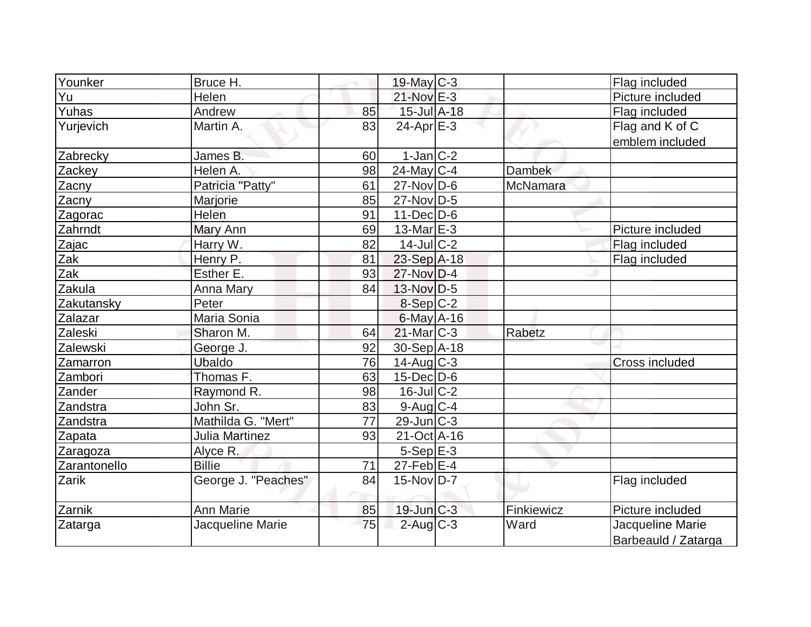| Younker            | Bruce H.              |    | $19$ -May C-3     |            | Flag included                           |
|--------------------|-----------------------|----|-------------------|------------|-----------------------------------------|
| Yu                 | Helen                 |    | $21-Nov$ E-3      |            | Picture included                        |
| Yuhas              | Andrew                | 85 | 15-Jul A-18       |            | Flag included                           |
| Yurjevich          | Martin A.             | 83 | $24$ -Apr $E-3$   |            | Flag and K of C                         |
|                    |                       |    |                   |            | emblem included                         |
| Zabrecky           | James B.              | 60 | $1-Jan$ $C-2$     |            |                                         |
| Zackey             | Helen A.              | 98 | $24$ -May C-4     | Dambek     |                                         |
| Zacny              | Patricia "Patty"      | 61 | $27$ -Nov $ D-6$  | McNamara   |                                         |
|                    | Marjorie              | 85 | 27-Nov D-5        |            |                                         |
| Zacny              | Helen                 | 91 | $11$ -Dec $D$ -6  |            |                                         |
| Zagorac<br>Zahrndt |                       | 69 | $13$ -Mar $E-3$   |            | Picture included                        |
|                    | Mary Ann              | 82 | $14$ -Jul $C-2$   |            |                                         |
| Zajac              | Harry W.              |    |                   |            | Flag included                           |
| Zak                | Henry P.              | 81 | 23-Sep A-18       |            | Flag included                           |
| Zak                | Esther E.             | 93 | 27-Nov D-4        |            |                                         |
| Zakula             | Anna Mary             | 84 | $13-Nov D-5$      |            |                                         |
| Zakutansky         | Peter                 |    | $8-Sep C-2$       |            |                                         |
| Zalazar            | Maria Sonia           |    | $6$ -May $A$ -16  |            |                                         |
| Zaleski            | Sharon M.             | 64 | $21$ -Mar $C-3$   | Rabetz     |                                         |
| Zalewski           | George J.             | 92 | 30-Sep A-18       |            |                                         |
| Zamarron           | <b>Ubaldo</b>         | 76 | $14$ -Aug C-3     |            | <b>Cross included</b>                   |
| Zambori            | Thomas F.             | 63 | $15$ -Dec $D$ -6  |            |                                         |
| Zander             | Raymond R.            | 98 | $16$ -Jul $C-2$   |            |                                         |
| Zandstra           | John Sr.              | 83 | $9$ -Aug C-4      |            |                                         |
| Zandstra           | Mathilda G. "Mert"    | 77 | $29$ -Jun $ C-3 $ |            |                                         |
| Zapata             | <b>Julia Martinez</b> | 93 | 21-Oct A-16       |            |                                         |
| Zaragoza           | Alyce R.              |    | $5-Sep$ E-3       |            |                                         |
| Zarantonello       | <b>Billie</b>         | 71 | $27$ -Feb $ E-4 $ |            |                                         |
| Zarik              | George J. "Peaches"   | 84 | 15-Nov D-7        |            | Flag included                           |
| Zarnik             | <b>Ann Marie</b>      | 85 | $19$ -Jun $C-3$   | Finkiewicz | Picture included                        |
| Zatarga            | Jacqueline Marie      | 75 | $2$ -Aug C-3      | Ward       | Jacqueline Marie<br>Barbeauld / Zatarga |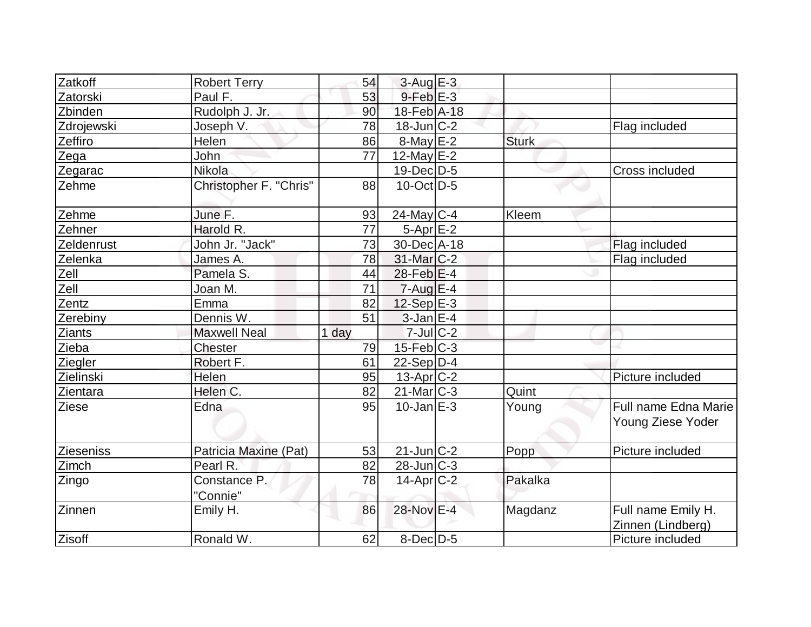| Zatkoff       | <b>Robert Terry</b>      | 54    | $3$ -Aug $E-3$    |              |                                           |
|---------------|--------------------------|-------|-------------------|--------------|-------------------------------------------|
| Zatorski      | Paul F.                  | 53    | $9$ -Feb $E-3$    |              |                                           |
| Zbinden       | Rudolph J. Jr.           | 90    | 18-Feb A-18       |              |                                           |
| Zdrojewski    | Joseph V.                | 78    | $18$ -Jun $ C-2 $ |              | Flag included                             |
| Zeffiro       | Helen                    | 86    | $8$ -May $E-2$    | <b>Sturk</b> |                                           |
| Zega          | John                     | 77    | 12-May $E-2$      |              |                                           |
| Zegarac       | Nikola                   |       | 19-Dec D-5        |              | Cross included                            |
| Zehme         | Christopher F. "Chris"   | 88    | $10$ -Oct $ D-5 $ |              |                                           |
| Zehme         | June F.                  | 93    | $24$ -May C-4     | Kleem        |                                           |
| Zehner        | Harold R.                | 77    | $5-Apr$ $E-2$     |              |                                           |
| Zeldenrust    | John Jr. "Jack"          | 73    | 30-Dec A-18       |              | Flag included                             |
| Zelenka       | James A.                 | 78    | 31-Mar C-2        |              | Flag included                             |
| Zell          | Pamela S.                | 44    | $28$ -Feb $ E-4 $ |              |                                           |
| Zell          | Joan M.                  | 71    | $7 - Aug$ $E - 4$ |              |                                           |
| Zentz         | Emma                     | 82    | $12-Sep$ E-3      |              |                                           |
| Zerebiny      | Dennis W.                | 51    | $3$ -Jan $E-4$    |              |                                           |
| <b>Ziants</b> | <b>Maxwell Neal</b>      | 1 day | $7$ -Jul $C-2$    |              |                                           |
| Zieba         | Chester                  | 79    | $15$ -Feb $C-3$   |              |                                           |
| Ziegler       | Robert F.                | 61    | $22-Sep D-4$      |              |                                           |
| Zielinski     | Helen                    | 95    | 13-Apr C-2        |              | Picture included                          |
| Zientara      | Helen C.                 | 82    | $21$ -Mar $ C-3 $ | Quint        |                                           |
| <b>Ziese</b>  | Edna                     | 95    | $10$ -Jan $E-3$   | Young        | Full name Edna Marie<br>Young Ziese Yoder |
| Zieseniss     | Patricia Maxine (Pat)    | 53    | $21$ -Jun $C-2$   | Popp         | Picture included                          |
| Zimch         | Pearl R.                 | 82    | $28$ -Jun $ C-3 $ |              |                                           |
| Zingo         | Constance P.<br>"Connie" | 78    | $14$ -Apr $C-2$   | Pakalka      |                                           |
| Zinnen        | Emily H.                 | 86    | 28-Nov E-4        | Magdanz      | Full name Emily H.<br>Zinnen (Lindberg)   |
| Zisoff        | Ronald W.                | 62    | $8$ -Dec $D-5$    |              | Picture included                          |